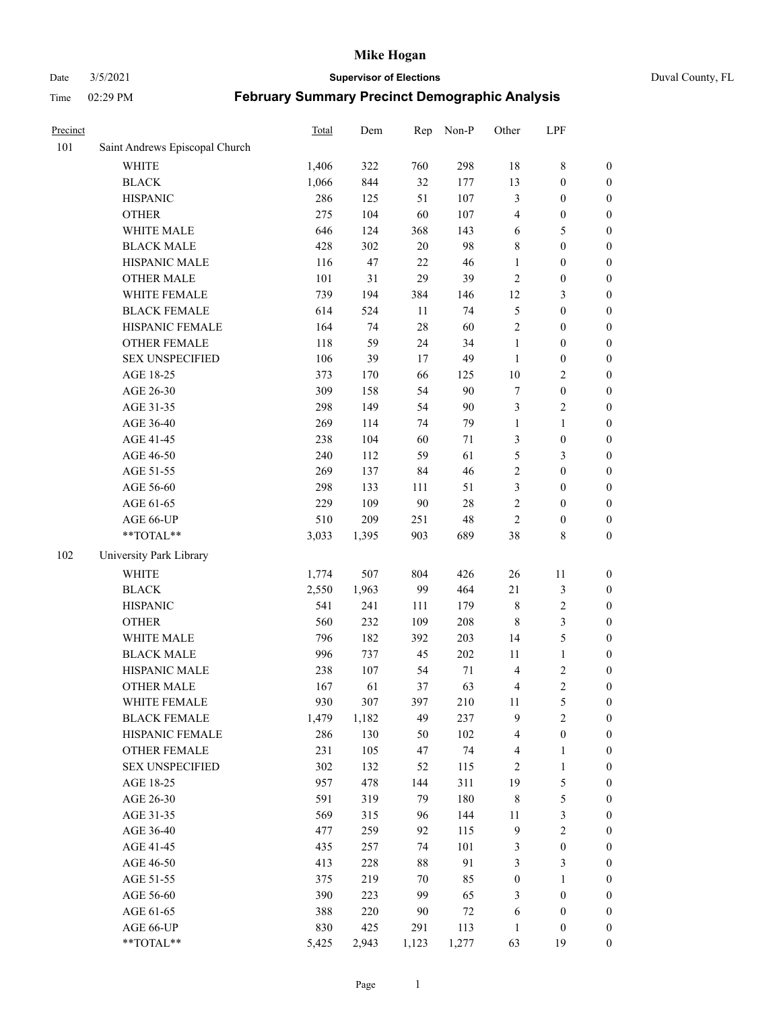#### Date 3/5/2021 **Supervisor of Elections** Duval County, FL

| Precinct |                                | Total | Dem   | Rep    | Non-P  | Other            | LPF              |                  |
|----------|--------------------------------|-------|-------|--------|--------|------------------|------------------|------------------|
| 101      | Saint Andrews Episcopal Church |       |       |        |        |                  |                  |                  |
|          | <b>WHITE</b>                   | 1,406 | 322   | 760    | 298    | 18               | $\,$ 8 $\,$      | 0                |
|          | <b>BLACK</b>                   | 1,066 | 844   | 32     | 177    | 13               | $\boldsymbol{0}$ | 0                |
|          | <b>HISPANIC</b>                | 286   | 125   | 51     | 107    | 3                | $\boldsymbol{0}$ | $\boldsymbol{0}$ |
|          | <b>OTHER</b>                   | 275   | 104   | 60     | 107    | 4                | $\boldsymbol{0}$ | $\boldsymbol{0}$ |
|          | WHITE MALE                     | 646   | 124   | 368    | 143    | 6                | 5                | $\boldsymbol{0}$ |
|          | <b>BLACK MALE</b>              | 428   | 302   | 20     | 98     | 8                | $\boldsymbol{0}$ | $\boldsymbol{0}$ |
|          | HISPANIC MALE                  | 116   | 47    | 22     | 46     | $\mathbf{1}$     | $\boldsymbol{0}$ | $\boldsymbol{0}$ |
|          | <b>OTHER MALE</b>              | 101   | 31    | 29     | 39     | $\overline{c}$   | $\boldsymbol{0}$ | $\boldsymbol{0}$ |
|          | WHITE FEMALE                   | 739   | 194   | 384    | 146    | 12               | $\mathfrak{Z}$   | $\boldsymbol{0}$ |
|          | <b>BLACK FEMALE</b>            | 614   | 524   | 11     | 74     | 5                | $\boldsymbol{0}$ | $\boldsymbol{0}$ |
|          | HISPANIC FEMALE                | 164   | 74    | 28     | 60     | $\sqrt{2}$       | $\boldsymbol{0}$ | $\boldsymbol{0}$ |
|          | <b>OTHER FEMALE</b>            | 118   | 59    | 24     | 34     | $\mathbf{1}$     | $\boldsymbol{0}$ | $\boldsymbol{0}$ |
|          | <b>SEX UNSPECIFIED</b>         | 106   | 39    | 17     | 49     | $\mathbf{1}$     | $\boldsymbol{0}$ | $\boldsymbol{0}$ |
|          | AGE 18-25                      | 373   | 170   | 66     | 125    | $10\,$           | $\sqrt{2}$       | $\boldsymbol{0}$ |
|          | AGE 26-30                      | 309   | 158   | 54     | 90     | 7                | $\boldsymbol{0}$ | $\boldsymbol{0}$ |
|          | AGE 31-35                      | 298   | 149   | 54     | 90     | 3                | $\sqrt{2}$       | $\boldsymbol{0}$ |
|          | AGE 36-40                      | 269   | 114   | 74     | 79     | $\mathbf{1}$     | $\mathbf{1}$     | $\boldsymbol{0}$ |
|          | AGE 41-45                      | 238   | 104   | 60     | $71\,$ | 3                | $\boldsymbol{0}$ | $\boldsymbol{0}$ |
|          | AGE 46-50                      | 240   | 112   | 59     | 61     | 5                | $\mathfrak{Z}$   | $\boldsymbol{0}$ |
|          | AGE 51-55                      | 269   | 137   | 84     | 46     | $\sqrt{2}$       | $\boldsymbol{0}$ | $\boldsymbol{0}$ |
|          | AGE 56-60                      | 298   | 133   | 111    | 51     | 3                | $\boldsymbol{0}$ | 0                |
|          | AGE 61-65                      | 229   | 109   | $90\,$ | $28\,$ | $\mathbf{2}$     | $\boldsymbol{0}$ | $\boldsymbol{0}$ |
|          | AGE 66-UP                      | 510   | 209   | 251    | 48     | $\sqrt{2}$       | $\boldsymbol{0}$ | $\boldsymbol{0}$ |
|          | $**TOTAL**$                    | 3,033 | 1,395 | 903    | 689    | 38               | $8\,$            | $\boldsymbol{0}$ |
| 102      | University Park Library        |       |       |        |        |                  |                  |                  |
|          | <b>WHITE</b>                   | 1,774 | 507   | 804    | 426    | 26               | $11\,$           | $\boldsymbol{0}$ |
|          | <b>BLACK</b>                   | 2,550 | 1,963 | 99     | 464    | $21\,$           | $\mathfrak{Z}$   | $\boldsymbol{0}$ |
|          | <b>HISPANIC</b>                | 541   | 241   | 111    | 179    | 8                | $\sqrt{2}$       | $\boldsymbol{0}$ |
|          | <b>OTHER</b>                   | 560   | 232   | 109    | 208    | $\,$ 8 $\,$      | $\mathfrak{Z}$   | $\boldsymbol{0}$ |
|          | WHITE MALE                     | 796   | 182   | 392    | 203    | 14               | $\mathfrak{S}$   | $\boldsymbol{0}$ |
|          | <b>BLACK MALE</b>              | 996   | 737   | 45     | 202    | 11               | $\mathbf{1}$     | $\boldsymbol{0}$ |
|          | HISPANIC MALE                  | 238   | 107   | 54     | $71\,$ | $\overline{4}$   | $\sqrt{2}$       | $\boldsymbol{0}$ |
|          | <b>OTHER MALE</b>              | 167   | 61    | 37     | 63     | 4                | $\overline{c}$   | $\boldsymbol{0}$ |
|          | WHITE FEMALE                   | 930   | 307   | 397    | 210    | 11               | 5                | 0                |
|          | <b>BLACK FEMALE</b>            | 1,479 | 1,182 | 49     | 237    | 9                | $\sqrt{2}$       | $\boldsymbol{0}$ |
|          | HISPANIC FEMALE                | 286   | 130   | 50     | 102    | 4                | $\boldsymbol{0}$ | $\overline{0}$   |
|          | <b>OTHER FEMALE</b>            | 231   | 105   | 47     | 74     | 4                | $\mathbf{1}$     | $\overline{0}$   |
|          | <b>SEX UNSPECIFIED</b>         | 302   | 132   | 52     | 115    | 2                | $\mathbf{1}$     | 0                |
|          | AGE 18-25                      | 957   | 478   | 144    | 311    | 19               | $\mathfrak s$    | 0                |
|          | AGE 26-30                      | 591   | 319   | 79     | 180    | 8                | $\mathfrak{S}$   | 0                |
|          | AGE 31-35                      | 569   | 315   | 96     | 144    | $11\,$           | $\mathfrak{Z}$   | 0                |
|          | AGE 36-40                      | 477   | 259   | 92     | 115    | $\overline{9}$   | $\sqrt{2}$       | 0                |
|          | AGE 41-45                      | 435   | 257   | 74     | 101    | 3                | $\boldsymbol{0}$ | 0                |
|          | AGE 46-50                      | 413   | 228   | $88\,$ | 91     | 3                | 3                | 0                |
|          | AGE 51-55                      | 375   | 219   | 70     | 85     | $\boldsymbol{0}$ | $\mathbf{1}$     | $\boldsymbol{0}$ |
|          | AGE 56-60                      | 390   | 223   | 99     | 65     | 3                | $\boldsymbol{0}$ | $\boldsymbol{0}$ |
|          | AGE 61-65                      | 388   | 220   | 90     | $72\,$ | 6                | $\boldsymbol{0}$ | $\boldsymbol{0}$ |
|          | AGE 66-UP                      | 830   | 425   | 291    | 113    | $\mathbf{1}$     | $\boldsymbol{0}$ | $\boldsymbol{0}$ |
|          | **TOTAL**                      | 5,425 | 2,943 | 1,123  | 1,277  | 63               | 19               | $\boldsymbol{0}$ |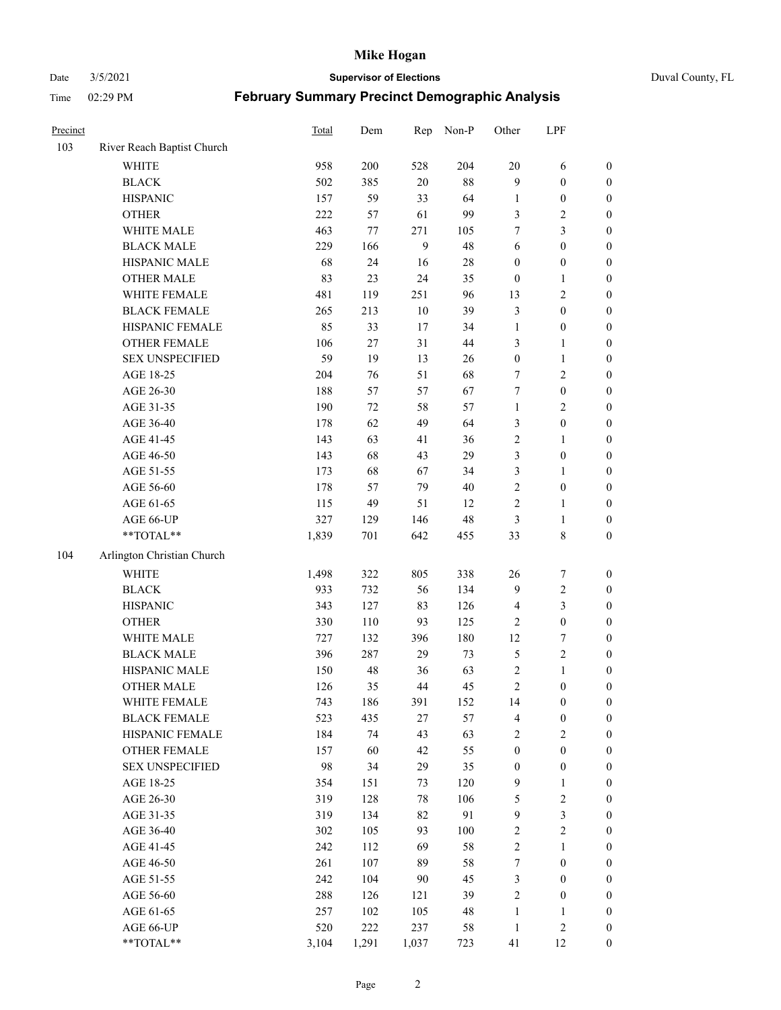Date 3/5/2021 **Supervisor of Elections** Duval County, FL

| Precinct |                            | Total | Dem    | Rep    | Non-P  | Other            | LPF              |                  |
|----------|----------------------------|-------|--------|--------|--------|------------------|------------------|------------------|
| 103      | River Reach Baptist Church |       |        |        |        |                  |                  |                  |
|          | <b>WHITE</b>               | 958   | 200    | 528    | 204    | $20\,$           | 6                | 0                |
|          | <b>BLACK</b>               | 502   | 385    | $20\,$ | $88\,$ | 9                | $\boldsymbol{0}$ | 0                |
|          | <b>HISPANIC</b>            | 157   | 59     | 33     | 64     | $\mathbf{1}$     | $\boldsymbol{0}$ | $\boldsymbol{0}$ |
|          | <b>OTHER</b>               | 222   | 57     | 61     | 99     | 3                | $\sqrt{2}$       | $\boldsymbol{0}$ |
|          | WHITE MALE                 | 463   | 77     | 271    | 105    | 7                | $\mathfrak{Z}$   | $\boldsymbol{0}$ |
|          | <b>BLACK MALE</b>          | 229   | 166    | 9      | 48     | 6                | $\boldsymbol{0}$ | $\boldsymbol{0}$ |
|          | HISPANIC MALE              | 68    | 24     | 16     | $28\,$ | $\boldsymbol{0}$ | $\boldsymbol{0}$ | $\boldsymbol{0}$ |
|          | <b>OTHER MALE</b>          | 83    | 23     | 24     | 35     | $\boldsymbol{0}$ | $\mathbf{1}$     | $\boldsymbol{0}$ |
|          | WHITE FEMALE               | 481   | 119    | 251    | 96     | 13               | $\sqrt{2}$       | $\boldsymbol{0}$ |
|          | <b>BLACK FEMALE</b>        | 265   | 213    | 10     | 39     | 3                | $\boldsymbol{0}$ | 0                |
|          | HISPANIC FEMALE            | 85    | 33     | 17     | 34     | $\mathbf{1}$     | $\boldsymbol{0}$ | 0                |
|          | OTHER FEMALE               | 106   | $27\,$ | 31     | 44     | 3                | $\mathbf{1}$     | $\boldsymbol{0}$ |
|          | <b>SEX UNSPECIFIED</b>     | 59    | 19     | 13     | 26     | $\boldsymbol{0}$ | $\mathbf{1}$     | $\boldsymbol{0}$ |
|          | AGE 18-25                  | 204   | 76     | 51     | 68     | 7                | $\sqrt{2}$       | $\boldsymbol{0}$ |
|          | AGE 26-30                  | 188   | 57     | 57     | 67     | 7                | $\boldsymbol{0}$ | $\boldsymbol{0}$ |
|          | AGE 31-35                  | 190   | 72     | 58     | 57     | $\mathbf{1}$     | $\sqrt{2}$       | $\boldsymbol{0}$ |
|          | AGE 36-40                  | 178   | 62     | 49     | 64     | 3                | $\boldsymbol{0}$ | $\boldsymbol{0}$ |
|          | AGE 41-45                  | 143   | 63     | 41     | 36     | $\sqrt{2}$       | $\mathbf{1}$     | $\boldsymbol{0}$ |
|          | AGE 46-50                  | 143   | 68     | 43     | 29     | 3                | $\boldsymbol{0}$ | $\boldsymbol{0}$ |
|          | AGE 51-55                  | 173   | 68     | 67     | 34     | 3                | $\mathbf{1}$     | 0                |
|          | AGE 56-60                  | 178   | 57     | 79     | 40     | $\sqrt{2}$       | $\boldsymbol{0}$ | 0                |
|          | AGE 61-65                  | 115   | 49     | 51     | 12     | $\sqrt{2}$       | $\mathbf{1}$     | 0                |
|          | AGE 66-UP                  | 327   | 129    | 146    | 48     | 3                | $\mathbf{1}$     | $\boldsymbol{0}$ |
|          | **TOTAL**                  | 1,839 | 701    | 642    | 455    | 33               | $8\,$            | $\boldsymbol{0}$ |
| 104      | Arlington Christian Church |       |        |        |        |                  |                  |                  |
|          | <b>WHITE</b>               | 1,498 | 322    | 805    | 338    | 26               | $\boldsymbol{7}$ | $\boldsymbol{0}$ |
|          | <b>BLACK</b>               | 933   | 732    | 56     | 134    | 9                | $\sqrt{2}$       | $\boldsymbol{0}$ |
|          | <b>HISPANIC</b>            | 343   | 127    | 83     | 126    | $\overline{4}$   | 3                | $\boldsymbol{0}$ |
|          | <b>OTHER</b>               | 330   | 110    | 93     | 125    | $\sqrt{2}$       | $\boldsymbol{0}$ | $\boldsymbol{0}$ |
|          | WHITE MALE                 | 727   | 132    | 396    | 180    | 12               | $\boldsymbol{7}$ | $\boldsymbol{0}$ |
|          | <b>BLACK MALE</b>          | 396   | 287    | 29     | 73     | 5                | $\sqrt{2}$       | $\boldsymbol{0}$ |
|          | HISPANIC MALE              | 150   | 48     | 36     | 63     | $\sqrt{2}$       | $\mathbf{1}$     | $\boldsymbol{0}$ |
|          | <b>OTHER MALE</b>          | 126   | 35     | 44     | 45     | $\sqrt{2}$       | $\boldsymbol{0}$ | $\boldsymbol{0}$ |
|          | WHITE FEMALE               | 743   | 186    | 391    | 152    | 14               | $\boldsymbol{0}$ | 0                |
|          | <b>BLACK FEMALE</b>        | 523   | 435    | 27     | 57     | 4                | $\boldsymbol{0}$ | $\boldsymbol{0}$ |
|          | HISPANIC FEMALE            | 184   | 74     | 43     | 63     | $\sqrt{2}$       | $\sqrt{2}$       | $\overline{0}$   |
|          | OTHER FEMALE               | 157   | 60     | 42     | 55     | $\boldsymbol{0}$ | $\boldsymbol{0}$ | $\overline{0}$   |
|          | <b>SEX UNSPECIFIED</b>     | 98    | 34     | 29     | 35     | $\boldsymbol{0}$ | $\boldsymbol{0}$ | 0                |
|          | AGE 18-25                  | 354   | 151    | 73     | 120    | 9                | $\mathbf{1}$     | 0                |
|          | AGE 26-30                  | 319   | 128    | 78     | 106    | 5                | $\sqrt{2}$       | 0                |
|          | AGE 31-35                  | 319   | 134    | 82     | 91     | $\mathbf{9}$     | $\mathfrak{Z}$   | 0                |
|          | AGE 36-40                  | 302   | 105    | 93     | 100    | $\sqrt{2}$       | $\sqrt{2}$       | 0                |
|          | AGE 41-45                  | 242   | 112    | 69     | 58     | $\overline{c}$   | $\mathbf{1}$     | 0                |
|          | AGE 46-50                  | 261   | 107    | 89     | 58     | $\boldsymbol{7}$ | $\boldsymbol{0}$ | 0                |
|          | AGE 51-55                  | 242   | 104    | 90     | 45     | 3                | $\boldsymbol{0}$ | 0                |
|          | AGE 56-60                  | 288   | 126    | 121    | 39     | 2                | $\boldsymbol{0}$ | $\boldsymbol{0}$ |
|          | AGE 61-65                  | 257   | 102    | 105    | 48     | $\mathbf{1}$     | $\mathbf{1}$     | $\boldsymbol{0}$ |
|          | AGE 66-UP                  | 520   | 222    | 237    | 58     | $\mathbf{1}$     | $\sqrt{2}$       | $\boldsymbol{0}$ |
|          | **TOTAL**                  | 3,104 | 1,291  | 1,037  | 723    | 41               | 12               | $\boldsymbol{0}$ |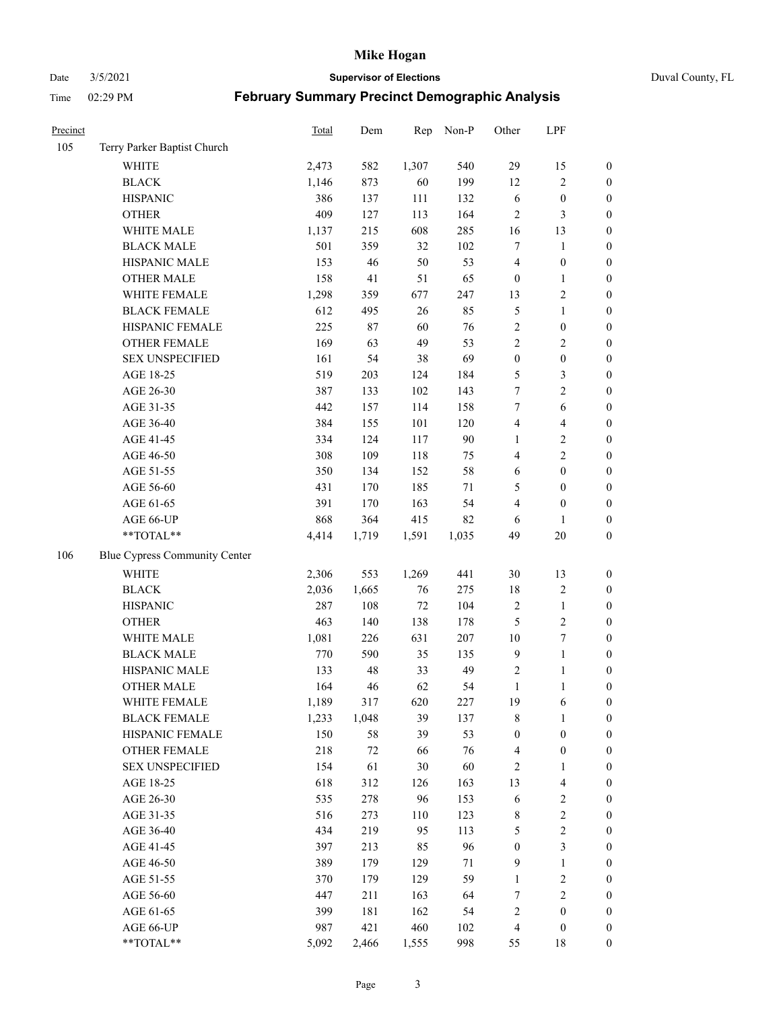Date 3/5/2021 **Supervisor of Elections** Duval County, FL

| Precinct |                                 | Total      | Dem       | Rep       | Non-P      | Other                          | LPF                      |                                      |
|----------|---------------------------------|------------|-----------|-----------|------------|--------------------------------|--------------------------|--------------------------------------|
| 105      | Terry Parker Baptist Church     |            |           |           |            |                                |                          |                                      |
|          | <b>WHITE</b>                    | 2,473      | 582       | 1,307     | 540        | 29                             | 15                       | $\boldsymbol{0}$                     |
|          | <b>BLACK</b>                    | 1,146      | 873       | 60        | 199        | 12                             | $\sqrt{2}$               | $\boldsymbol{0}$                     |
|          | <b>HISPANIC</b>                 | 386        | 137       | 111       | 132        | 6                              | $\boldsymbol{0}$         | $\boldsymbol{0}$                     |
|          | <b>OTHER</b>                    | 409        | 127       | 113       | 164        | $\overline{2}$                 | $\mathfrak{Z}$           | $\boldsymbol{0}$                     |
|          | WHITE MALE                      | 1,137      | 215       | 608       | 285        | 16                             | 13                       | $\boldsymbol{0}$                     |
|          | <b>BLACK MALE</b>               | 501        | 359       | 32        | 102        | 7                              | $\mathbf{1}$             | $\boldsymbol{0}$                     |
|          | HISPANIC MALE                   | 153        | 46        | 50        | 53         | 4                              | $\boldsymbol{0}$         | $\boldsymbol{0}$                     |
|          | <b>OTHER MALE</b>               | 158        | 41        | 51        | 65         | $\boldsymbol{0}$               | $\mathbf{1}$             | $\boldsymbol{0}$                     |
|          | WHITE FEMALE                    | 1,298      | 359       | 677       | 247        | 13                             | $\sqrt{2}$               | $\boldsymbol{0}$                     |
|          | <b>BLACK FEMALE</b>             | 612        | 495       | 26        | 85         | 5                              | $\mathbf{1}$             | $\boldsymbol{0}$                     |
|          | HISPANIC FEMALE                 | 225        | 87        | 60        | 76         | $\sqrt{2}$                     | $\boldsymbol{0}$         | 0                                    |
|          | OTHER FEMALE                    | 169        | 63        | 49        | 53         | $\mathfrak{2}$                 | $\sqrt{2}$               | $\boldsymbol{0}$                     |
|          | <b>SEX UNSPECIFIED</b>          | 161        | 54        | 38        | 69         | $\boldsymbol{0}$               | $\boldsymbol{0}$         | $\boldsymbol{0}$                     |
|          | AGE 18-25                       | 519        | 203       | 124       | 184        | 5                              | $\mathfrak{Z}$           | $\boldsymbol{0}$                     |
|          | AGE 26-30                       | 387        | 133       | 102       | 143        | 7                              | $\sqrt{2}$               | $\boldsymbol{0}$                     |
|          | AGE 31-35                       | 442        | 157       | 114       | 158        | 7                              | 6                        | $\boldsymbol{0}$                     |
|          | AGE 36-40                       | 384        | 155       | 101       | 120        | 4                              | $\overline{\mathbf{4}}$  | $\boldsymbol{0}$                     |
|          | AGE 41-45                       | 334        | 124       | 117       | 90         | $\mathbf{1}$                   | $\sqrt{2}$               | $\boldsymbol{0}$                     |
|          | AGE 46-50                       | 308        | 109       | 118       | 75         | 4                              | $\overline{2}$           | $\boldsymbol{0}$                     |
|          | AGE 51-55                       | 350        | 134       | 152       | 58         | 6                              | $\boldsymbol{0}$         | $\boldsymbol{0}$                     |
|          | AGE 56-60                       | 431        | 170       | 185       | 71         | 5                              | $\boldsymbol{0}$         | 0                                    |
|          | AGE 61-65                       | 391        | 170       | 163       | 54         | 4                              | $\boldsymbol{0}$         | $\boldsymbol{0}$                     |
|          | AGE 66-UP                       | 868        | 364       | 415       | 82         | 6                              | $\mathbf{1}$             | $\boldsymbol{0}$                     |
|          | $**TOTAL**$                     | 4,414      | 1,719     | 1,591     | 1,035      | 49                             | $20\,$                   | $\boldsymbol{0}$                     |
| 106      | Blue Cypress Community Center   |            |           |           |            |                                |                          |                                      |
|          | <b>WHITE</b>                    | 2,306      | 553       | 1,269     | 441        | 30                             | 13                       | $\boldsymbol{0}$                     |
|          | <b>BLACK</b>                    | 2,036      | 1,665     | 76        | 275        | 18                             | $\sqrt{2}$               | $\boldsymbol{0}$                     |
|          | <b>HISPANIC</b>                 | 287        | 108       | $72\,$    | 104        | $\overline{c}$                 | $\mathbf{1}$             | $\boldsymbol{0}$                     |
|          | <b>OTHER</b>                    | 463        | 140       | 138       | 178        | 5                              | $\sqrt{2}$               | $\boldsymbol{0}$                     |
|          |                                 |            |           |           |            |                                |                          |                                      |
|          | WHITE MALE<br><b>BLACK MALE</b> | 1,081      | 226       | 631<br>35 | 207<br>135 | $10\,$<br>$\overline{9}$       | $\boldsymbol{7}$         | $\boldsymbol{0}$                     |
|          | HISPANIC MALE                   | 770        | 590<br>48 | 33        | 49         |                                | $\mathbf{1}$             | $\boldsymbol{0}$                     |
|          |                                 | 133<br>164 | 46        | 62        | 54         | $\overline{c}$<br>$\mathbf{1}$ | 1<br>$\mathbf{1}$        | $\boldsymbol{0}$<br>$\boldsymbol{0}$ |
|          | <b>OTHER MALE</b>               |            |           |           |            |                                |                          |                                      |
|          | WHITE FEMALE                    | 1,189      | 317       | 620       | 227        | 19                             | 6                        | 0                                    |
|          | <b>BLACK FEMALE</b>             | 1,233      | 1,048     | 39        | 137        | 8                              | $\mathbf{1}$             | $\boldsymbol{0}$                     |
|          | HISPANIC FEMALE                 | 150        | 58        | 39        | 53         | $\boldsymbol{0}$               | $\boldsymbol{0}$         | $\overline{0}$                       |
|          | OTHER FEMALE                    | 218        | 72        | 66        | 76         | $\overline{4}$                 | $\boldsymbol{0}$         | $\overline{0}$                       |
|          | <b>SEX UNSPECIFIED</b>          | 154        | 61        | 30        | 60         | $\overline{c}$                 | $\mathbf{1}$             | 0                                    |
|          | AGE 18-25                       | 618        | 312       | 126       | 163        | 13                             | $\overline{\mathbf{4}}$  | 0                                    |
|          | AGE 26-30                       | 535        | 278       | 96        | 153<br>123 | 6                              | $\sqrt{2}$<br>$\sqrt{2}$ | 0                                    |
|          | AGE 31-35                       | 516        | 273       | 110       |            | 8                              |                          | 0                                    |
|          | AGE 36-40                       | 434        | 219       | 95        | 113        | 5                              | $\sqrt{2}$               | 0                                    |
|          | AGE 41-45                       | 397        | 213       | 85        | 96         | $\boldsymbol{0}$               | $\mathfrak{Z}$           | 0                                    |
|          | AGE 46-50                       | 389        | 179       | 129       | 71         | $\overline{9}$                 | $\mathbf{1}$             | 0                                    |
|          | AGE 51-55                       | 370        | 179       | 129       | 59         | 1                              | $\sqrt{2}$               | 0                                    |
|          | AGE 56-60                       | 447        | 211       | 163       | 64         | 7                              | $\sqrt{2}$               | $\overline{0}$                       |
|          | AGE 61-65                       | 399        | 181       | 162       | 54         | $\overline{c}$                 | $\boldsymbol{0}$         | $\boldsymbol{0}$                     |
|          | AGE 66-UP                       | 987        | 421       | 460       | 102        | $\overline{4}$                 | $\boldsymbol{0}$         | $\boldsymbol{0}$                     |
|          | **TOTAL**                       | 5,092      | 2,466     | 1,555     | 998        | 55                             | 18                       | $\boldsymbol{0}$                     |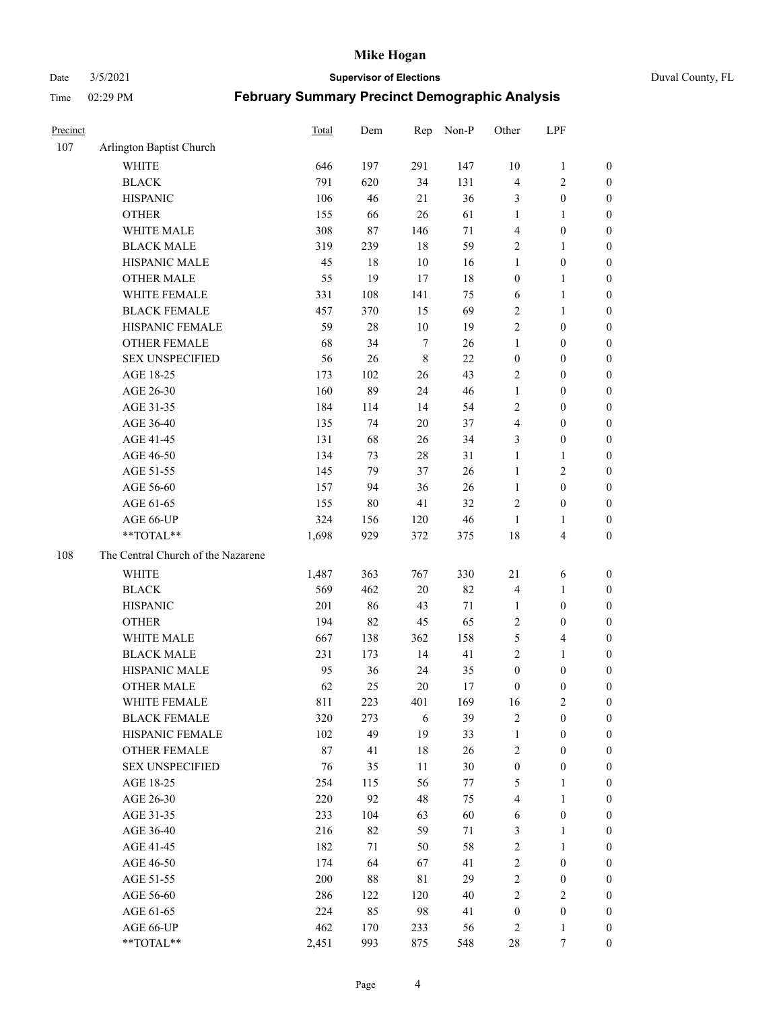Date 3/5/2021 **Supervisor of Elections** Duval County, FL

| Precinct |                                     | <b>Total</b> | Dem       | Rep          | Non-P     | Other                                | LPF                                |                                      |
|----------|-------------------------------------|--------------|-----------|--------------|-----------|--------------------------------------|------------------------------------|--------------------------------------|
| 107      | Arlington Baptist Church            |              |           |              |           |                                      |                                    |                                      |
|          | <b>WHITE</b>                        | 646          | 197       | 291          | 147       | 10                                   | $\mathbf{1}$                       | 0                                    |
|          | <b>BLACK</b>                        | 791          | 620       | 34           | 131       | $\overline{4}$                       | $\sqrt{2}$                         | 0                                    |
|          | <b>HISPANIC</b>                     | 106          | 46        | 21           | 36        | 3                                    | $\boldsymbol{0}$                   | $\boldsymbol{0}$                     |
|          | <b>OTHER</b>                        | 155          | 66        | 26           | 61        | 1                                    | $\mathbf{1}$                       | $\boldsymbol{0}$                     |
|          | WHITE MALE                          | 308          | 87        | 146          | 71        | 4                                    | $\boldsymbol{0}$                   | $\boldsymbol{0}$                     |
|          | <b>BLACK MALE</b>                   | 319          | 239       | 18           | 59        | $\overline{c}$                       | $\mathbf{1}$                       | $\boldsymbol{0}$                     |
|          | HISPANIC MALE                       | 45           | 18        | $10\,$       | 16        | $\mathbf{1}$                         | $\boldsymbol{0}$                   | $\boldsymbol{0}$                     |
|          | <b>OTHER MALE</b>                   | 55           | 19        | 17           | 18        | $\boldsymbol{0}$                     | $\mathbf{1}$                       | $\boldsymbol{0}$                     |
|          | WHITE FEMALE                        | 331          | 108       | 141          | 75        | 6                                    | $\mathbf{1}$                       | $\boldsymbol{0}$                     |
|          | <b>BLACK FEMALE</b>                 | 457          | 370       | 15           | 69        | $\sqrt{2}$                           | $\mathbf{1}$                       | 0                                    |
|          | HISPANIC FEMALE                     | 59           | 28        | $10\,$       | 19        | $\sqrt{2}$                           | $\boldsymbol{0}$                   | 0                                    |
|          | OTHER FEMALE                        | 68           | 34        | $\tau$       | 26        | $\mathbf{1}$                         | $\boldsymbol{0}$                   | $\boldsymbol{0}$                     |
|          | <b>SEX UNSPECIFIED</b>              | 56           | 26        | $\,$ 8 $\,$  | 22        | $\boldsymbol{0}$                     | $\boldsymbol{0}$                   | $\boldsymbol{0}$                     |
|          | AGE 18-25                           | 173          | 102       | 26           | 43        | $\sqrt{2}$                           | $\boldsymbol{0}$                   | $\boldsymbol{0}$                     |
|          | AGE 26-30                           | 160          | 89        | 24           | 46        | $\mathbf{1}$                         | $\boldsymbol{0}$                   | $\boldsymbol{0}$                     |
|          | AGE 31-35                           | 184          | 114       | 14           | 54        | $\sqrt{2}$                           | $\boldsymbol{0}$                   | $\boldsymbol{0}$                     |
|          | AGE 36-40                           | 135          | 74        | 20           | 37        | 4                                    | $\boldsymbol{0}$                   | $\boldsymbol{0}$                     |
|          | AGE 41-45                           | 131          | 68        | 26           | 34        | 3                                    | $\boldsymbol{0}$                   | $\boldsymbol{0}$                     |
|          | AGE 46-50                           | 134          | 73        | $28\,$       | 31        | $\mathbf{1}$                         | $\mathbf{1}$                       | $\boldsymbol{0}$                     |
|          | AGE 51-55                           | 145          | 79        | 37           | 26        | $\mathbf{1}$                         | $\sqrt{2}$                         | $\boldsymbol{0}$                     |
|          | AGE 56-60                           | 157          | 94        | 36           | 26        | $\mathbf{1}$                         | $\boldsymbol{0}$                   | 0                                    |
|          | AGE 61-65                           | 155          | 80        | 41           | 32        | $\overline{c}$                       | $\boldsymbol{0}$                   | 0                                    |
|          | AGE 66-UP                           | 324          | 156       | 120          | 46        | $\mathbf{1}$                         | $\mathbf{1}$                       | $\boldsymbol{0}$                     |
|          | **TOTAL**                           | 1,698        | 929       | 372          | 375       | 18                                   | $\overline{\mathbf{4}}$            | $\boldsymbol{0}$                     |
| 108      | The Central Church of the Nazarene  |              |           |              |           |                                      |                                    |                                      |
|          | <b>WHITE</b>                        | 1,487        | 363       | 767          | 330       | $21\,$                               |                                    |                                      |
|          | <b>BLACK</b>                        | 569          | 462       | $20\,$       | 82        |                                      | 6                                  | $\boldsymbol{0}$                     |
|          | <b>HISPANIC</b>                     | 201          | 86        | 43           | 71        | 4<br>$\mathbf{1}$                    | $\mathbf{1}$<br>$\boldsymbol{0}$   | $\boldsymbol{0}$<br>$\boldsymbol{0}$ |
|          |                                     |              |           |              |           |                                      |                                    |                                      |
|          | <b>OTHER</b>                        | 194          | 82        | 45           | 65        | $\overline{c}$                       | $\boldsymbol{0}$                   | $\boldsymbol{0}$                     |
|          | WHITE MALE<br><b>BLACK MALE</b>     | 667          | 138       | 362          | 158       | 5<br>$\overline{c}$                  | $\overline{\mathbf{4}}$            | $\boldsymbol{0}$                     |
|          | HISPANIC MALE                       | 231          | 173       | 14           | 41        |                                      | $\mathbf{1}$                       | $\boldsymbol{0}$                     |
|          |                                     | 95<br>62     | 36<br>25  | 24<br>$20\,$ | 35        | $\boldsymbol{0}$<br>$\boldsymbol{0}$ | $\boldsymbol{0}$                   | 0                                    |
|          | <b>OTHER MALE</b>                   |              |           |              | 17        |                                      | $\boldsymbol{0}$                   | $\boldsymbol{0}$                     |
|          | WHITE FEMALE<br><b>BLACK FEMALE</b> | 811<br>320   | 223       | 401<br>6     | 169<br>39 | 16<br>$\mathbf{2}$                   | 2<br>$\boldsymbol{0}$              | 0                                    |
|          | HISPANIC FEMALE                     | 102          | 273<br>49 | 19           | 33        | $\mathbf{1}$                         | $\boldsymbol{0}$                   | $\boldsymbol{0}$<br>$\overline{0}$   |
|          | OTHER FEMALE                        | 87           |           | $18\,$       | 26        |                                      | $\boldsymbol{0}$                   | $\overline{0}$                       |
|          | <b>SEX UNSPECIFIED</b>              | 76           | 41<br>35  | 11           | 30        | $\overline{c}$<br>$\boldsymbol{0}$   | $\boldsymbol{0}$                   | 0                                    |
|          | AGE 18-25                           | 254          | 115       | 56           | 77        | 5                                    | $\mathbf{1}$                       | $\theta$                             |
|          | AGE 26-30                           | 220          | 92        | 48           | 75        | $\overline{4}$                       | $\mathbf{1}$                       | 0                                    |
|          | AGE 31-35                           | 233          | 104       | 63           | 60        | 6                                    | $\boldsymbol{0}$                   | 0                                    |
|          | AGE 36-40                           | 216          | 82        | 59           | 71        | 3                                    | $\mathbf{1}$                       | 0                                    |
|          | AGE 41-45                           | 182          | 71        | 50           | 58        | $\sqrt{2}$                           | $\mathbf{1}$                       | 0                                    |
|          |                                     | 174          | 64        | 67           | 41        | $\sqrt{2}$                           |                                    | 0                                    |
|          | AGE 46-50<br>AGE 51-55              | 200          |           | $8\sqrt{1}$  | 29        | $\sqrt{2}$                           | $\boldsymbol{0}$                   | 0                                    |
|          | AGE 56-60                           | 286          | 88<br>122 | 120          | 40        | $\mathbf{2}$                         | $\boldsymbol{0}$<br>$\overline{2}$ | $\overline{0}$                       |
|          | AGE 61-65                           | 224          | 85        | 98           | 41        | $\boldsymbol{0}$                     | $\boldsymbol{0}$                   | $\overline{0}$                       |
|          | AGE 66-UP                           | 462          | 170       | 233          | 56        | 2                                    | $\mathbf{1}$                       | $\boldsymbol{0}$                     |
|          | **TOTAL**                           | 2,451        | 993       | 875          | 548       | 28                                   | $\tau$                             | $\boldsymbol{0}$                     |
|          |                                     |              |           |              |           |                                      |                                    |                                      |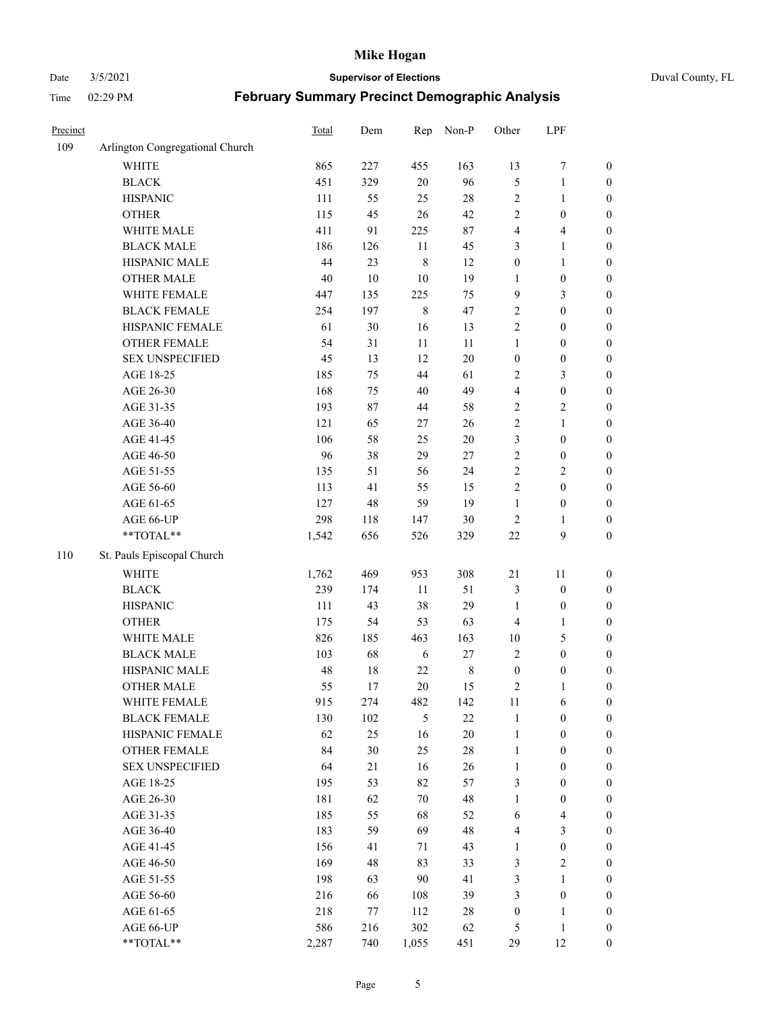#### Date 3/5/2021 **Supervisor of Elections** Duval County, FL

| Precinct |                                 | Total  | Dem    | Rep         | Non-P   | Other            | LPF                     |                  |
|----------|---------------------------------|--------|--------|-------------|---------|------------------|-------------------------|------------------|
| 109      | Arlington Congregational Church |        |        |             |         |                  |                         |                  |
|          | <b>WHITE</b>                    | 865    | 227    | 455         | 163     | 13               | $\boldsymbol{7}$        | 0                |
|          | <b>BLACK</b>                    | 451    | 329    | 20          | 96      | $\mathfrak s$    | $\mathbf{1}$            | $\boldsymbol{0}$ |
|          | <b>HISPANIC</b>                 | 111    | 55     | 25          | $28\,$  | $\sqrt{2}$       | $\mathbf{1}$            | $\boldsymbol{0}$ |
|          | <b>OTHER</b>                    | 115    | 45     | 26          | 42      | $\sqrt{2}$       | $\boldsymbol{0}$        | $\boldsymbol{0}$ |
|          | WHITE MALE                      | 411    | 91     | 225         | 87      | 4                | $\overline{\mathbf{4}}$ | $\boldsymbol{0}$ |
|          | <b>BLACK MALE</b>               | 186    | 126    | 11          | 45      | 3                | $\mathbf{1}$            | $\boldsymbol{0}$ |
|          | HISPANIC MALE                   | 44     | 23     | $\,$ $\,$   | 12      | $\boldsymbol{0}$ | $\mathbf{1}$            | $\boldsymbol{0}$ |
|          | <b>OTHER MALE</b>               | $40\,$ | $10\,$ | 10          | 19      | $\mathbf{1}$     | $\boldsymbol{0}$        | $\boldsymbol{0}$ |
|          | WHITE FEMALE                    | 447    | 135    | 225         | 75      | 9                | $\mathfrak{Z}$          | $\boldsymbol{0}$ |
|          | <b>BLACK FEMALE</b>             | 254    | 197    | $\,$ 8 $\,$ | 47      | $\sqrt{2}$       | $\boldsymbol{0}$        | $\boldsymbol{0}$ |
|          | HISPANIC FEMALE                 | 61     | 30     | 16          | 13      | $\sqrt{2}$       | $\boldsymbol{0}$        | $\boldsymbol{0}$ |
|          | OTHER FEMALE                    | 54     | 31     | 11          | 11      | $\mathbf{1}$     | $\boldsymbol{0}$        | $\boldsymbol{0}$ |
|          | <b>SEX UNSPECIFIED</b>          | 45     | 13     | 12          | $20\,$  | $\boldsymbol{0}$ | $\boldsymbol{0}$        | $\boldsymbol{0}$ |
|          | AGE 18-25                       | 185    | 75     | 44          | 61      | $\sqrt{2}$       | $\mathfrak{Z}$          | $\boldsymbol{0}$ |
|          | AGE 26-30                       | 168    | 75     | 40          | 49      | 4                | $\boldsymbol{0}$        | $\boldsymbol{0}$ |
|          | AGE 31-35                       | 193    | 87     | 44          | 58      | $\sqrt{2}$       | $\sqrt{2}$              | $\boldsymbol{0}$ |
|          | AGE 36-40                       | 121    | 65     | 27          | 26      | $\overline{c}$   | $\mathbf{1}$            | $\boldsymbol{0}$ |
|          | AGE 41-45                       | 106    | 58     | 25          | $20\,$  | 3                | $\boldsymbol{0}$        | $\boldsymbol{0}$ |
|          | AGE 46-50                       | 96     | 38     | 29          | 27      | $\sqrt{2}$       | $\boldsymbol{0}$        | $\boldsymbol{0}$ |
|          | AGE 51-55                       | 135    | 51     | 56          | 24      | $\sqrt{2}$       | $\sqrt{2}$              | $\boldsymbol{0}$ |
|          | AGE 56-60                       | 113    | 41     | 55          | 15      | $\sqrt{2}$       | $\boldsymbol{0}$        | 0                |
|          | AGE 61-65                       | 127    | 48     | 59          | 19      | $\mathbf{1}$     | $\boldsymbol{0}$        | 0                |
|          | AGE 66-UP                       | 298    | 118    | 147         | 30      | $\sqrt{2}$       | $\mathbf{1}$            | $\boldsymbol{0}$ |
|          | **TOTAL**                       | 1,542  | 656    | 526         | 329     | $22\,$           | $\boldsymbol{9}$        | $\boldsymbol{0}$ |
|          |                                 |        |        |             |         |                  |                         |                  |
| 110      | St. Pauls Episcopal Church      |        |        |             |         |                  |                         |                  |
|          | <b>WHITE</b>                    | 1,762  | 469    | 953         | 308     | 21               | 11                      | $\boldsymbol{0}$ |
|          | <b>BLACK</b>                    | 239    | 174    | $11\,$      | 51      | 3                | $\boldsymbol{0}$        | $\boldsymbol{0}$ |
|          | <b>HISPANIC</b>                 | 111    | 43     | 38          | 29      | $\mathbf{1}$     | $\boldsymbol{0}$        | $\boldsymbol{0}$ |
|          | <b>OTHER</b>                    | 175    | 54     | 53          | 63      | 4                | $\mathbf{1}$            | $\boldsymbol{0}$ |
|          | WHITE MALE                      | 826    | 185    | 463         | 163     | $10\,$           | $\mathfrak{S}$          | $\boldsymbol{0}$ |
|          | <b>BLACK MALE</b>               | 103    | 68     | 6           | 27      | $\mathbf{2}$     | $\boldsymbol{0}$        | $\boldsymbol{0}$ |
|          | HISPANIC MALE                   | 48     | $18\,$ | $22\,$      | $\,8\,$ | $\boldsymbol{0}$ | $\boldsymbol{0}$        | $\boldsymbol{0}$ |
|          | <b>OTHER MALE</b>               | 55     | 17     | 20          | 15      | 2                | $\mathbf{1}$            | $\boldsymbol{0}$ |
|          | WHITE FEMALE                    | 915    | 274    | 482         | 142     | 11               | 6                       | 0                |
|          | <b>BLACK FEMALE</b>             | 130    | 102    | 5           | 22      | $\mathbf{1}$     | $\boldsymbol{0}$        | $\overline{0}$   |
|          | HISPANIC FEMALE                 | 62     | 25     | 16          | $20\,$  | $\mathbf{1}$     | $\boldsymbol{0}$        | $\overline{0}$   |
|          | OTHER FEMALE                    | 84     | 30     | 25          | $28\,$  | $\mathbf{1}$     | $\boldsymbol{0}$        | $\overline{0}$   |
|          | <b>SEX UNSPECIFIED</b>          | 64     | 21     | 16          | 26      | $\mathbf{1}$     | $\boldsymbol{0}$        | 0                |
|          | AGE 18-25                       | 195    | 53     | 82          | 57      | 3                | $\boldsymbol{0}$        | $\theta$         |
|          | AGE 26-30                       | 181    | 62     | 70          | 48      | $\mathbf{1}$     | $\boldsymbol{0}$        | 0                |
|          | AGE 31-35                       | 185    | 55     | 68          | 52      | 6                | $\overline{\mathbf{4}}$ | 0                |
|          | AGE 36-40                       | 183    | 59     | 69          | 48      | 4                | $\mathfrak{Z}$          | 0                |
|          | AGE 41-45                       | 156    | 41     | 71          | 43      | $\mathbf{1}$     | $\boldsymbol{0}$        | 0                |
|          | AGE 46-50                       | 169    | 48     | 83          | 33      | 3                | $\sqrt{2}$              | 0                |
|          | AGE 51-55                       | 198    | 63     | 90          | 41      | 3                | $\mathbf{1}$            | 0                |
|          | AGE 56-60                       | 216    | 66     | 108         | 39      | 3                | $\boldsymbol{0}$        | $\overline{0}$   |
|          | AGE 61-65                       | 218    | 77     | 112         | 28      | $\boldsymbol{0}$ | $\mathbf{1}$            | $\overline{0}$   |
|          | AGE 66-UP                       | 586    | 216    | 302         | 62      | 5                | $\mathbf{1}$            | $\boldsymbol{0}$ |
|          | **TOTAL**                       | 2,287  | 740    | 1,055       | 451     | 29               | 12                      | $\boldsymbol{0}$ |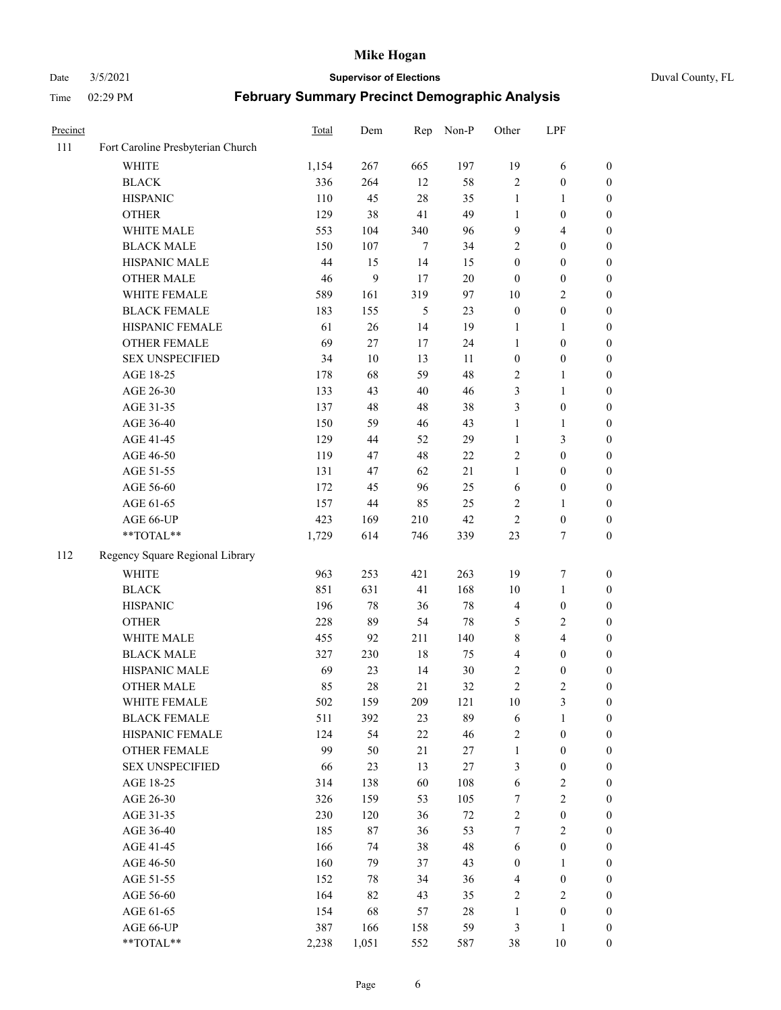#### Date 3/5/2021 **Supervisor of Elections** Duval County, FL

| Precinct |                                   | Total  | Dem   | Rep    | Non-P  | Other            | LPF              |                  |
|----------|-----------------------------------|--------|-------|--------|--------|------------------|------------------|------------------|
| 111      | Fort Caroline Presbyterian Church |        |       |        |        |                  |                  |                  |
|          | <b>WHITE</b>                      | 1,154  | 267   | 665    | 197    | 19               | 6                | 0                |
|          | <b>BLACK</b>                      | 336    | 264   | 12     | 58     | $\mathbf{2}$     | $\boldsymbol{0}$ | $\boldsymbol{0}$ |
|          | <b>HISPANIC</b>                   | 110    | 45    | 28     | 35     | $\mathbf{1}$     | $\mathbf{1}$     | $\boldsymbol{0}$ |
|          | <b>OTHER</b>                      | 129    | 38    | 41     | 49     | 1                | $\boldsymbol{0}$ | $\boldsymbol{0}$ |
|          | WHITE MALE                        | 553    | 104   | 340    | 96     | 9                | $\overline{4}$   | $\boldsymbol{0}$ |
|          | <b>BLACK MALE</b>                 | 150    | 107   | $\tau$ | 34     | $\overline{c}$   | $\boldsymbol{0}$ | $\boldsymbol{0}$ |
|          | HISPANIC MALE                     | 44     | 15    | 14     | 15     | $\boldsymbol{0}$ | $\boldsymbol{0}$ | $\boldsymbol{0}$ |
|          | <b>OTHER MALE</b>                 | $46\,$ | 9     | 17     | $20\,$ | $\boldsymbol{0}$ | $\boldsymbol{0}$ | $\boldsymbol{0}$ |
|          | WHITE FEMALE                      | 589    | 161   | 319    | 97     | 10               | $\overline{2}$   | $\boldsymbol{0}$ |
|          | <b>BLACK FEMALE</b>               | 183    | 155   | 5      | 23     | $\boldsymbol{0}$ | $\boldsymbol{0}$ | $\boldsymbol{0}$ |
|          | HISPANIC FEMALE                   | 61     | 26    | 14     | 19     | 1                | $\mathbf{1}$     | 0                |
|          | <b>OTHER FEMALE</b>               | 69     | 27    | 17     | 24     | $\mathbf{1}$     | $\boldsymbol{0}$ | $\boldsymbol{0}$ |
|          | <b>SEX UNSPECIFIED</b>            | 34     | 10    | 13     | 11     | $\boldsymbol{0}$ | $\boldsymbol{0}$ | $\boldsymbol{0}$ |
|          | AGE 18-25                         | 178    | 68    | 59     | 48     | $\overline{c}$   | $\mathbf{1}$     | $\boldsymbol{0}$ |
|          | AGE 26-30                         | 133    | 43    | 40     | 46     | 3                | $\mathbf{1}$     | $\boldsymbol{0}$ |
|          | AGE 31-35                         | 137    | 48    | 48     | 38     | 3                | $\boldsymbol{0}$ | $\boldsymbol{0}$ |
|          | AGE 36-40                         | 150    | 59    | 46     | 43     | $\mathbf{1}$     | $\mathbf{1}$     | $\boldsymbol{0}$ |
|          | AGE 41-45                         | 129    | 44    | 52     | 29     | $\mathbf{1}$     | $\mathfrak{Z}$   | $\boldsymbol{0}$ |
|          | AGE 46-50                         | 119    | 47    | 48     | 22     | $\overline{c}$   | $\boldsymbol{0}$ | $\boldsymbol{0}$ |
|          | AGE 51-55                         | 131    | 47    | 62     | 21     | $\mathbf{1}$     | $\boldsymbol{0}$ | $\boldsymbol{0}$ |
|          | AGE 56-60                         | 172    | 45    | 96     | 25     | 6                | $\boldsymbol{0}$ | 0                |
|          | AGE 61-65                         | 157    | 44    | 85     | 25     | 2                | $\mathbf{1}$     | 0                |
|          | AGE 66-UP                         | 423    | 169   | 210    | 42     | $\sqrt{2}$       | $\boldsymbol{0}$ | $\boldsymbol{0}$ |
|          | $**TOTAL**$                       | 1,729  | 614   | 746    | 339    | 23               | $\tau$           | $\boldsymbol{0}$ |
| 112      | Regency Square Regional Library   |        |       |        |        |                  |                  |                  |
|          | <b>WHITE</b>                      | 963    | 253   | 421    | 263    | 19               | $\boldsymbol{7}$ | $\boldsymbol{0}$ |
|          | <b>BLACK</b>                      | 851    | 631   | 41     | 168    | 10               | $\mathbf{1}$     | $\boldsymbol{0}$ |
|          | <b>HISPANIC</b>                   | 196    | 78    | 36     | $78\,$ | 4                | $\boldsymbol{0}$ | $\boldsymbol{0}$ |
|          | <b>OTHER</b>                      | 228    | 89    | 54     | 78     | 5                | $\sqrt{2}$       | $\boldsymbol{0}$ |
|          | WHITE MALE                        | 455    | 92    | 211    | 140    | 8                | $\overline{4}$   | $\boldsymbol{0}$ |
|          | <b>BLACK MALE</b>                 | 327    | 230   | 18     | 75     | 4                | $\boldsymbol{0}$ | $\boldsymbol{0}$ |
|          | HISPANIC MALE                     | 69     | 23    | 14     | 30     | 2                | $\boldsymbol{0}$ | $\boldsymbol{0}$ |
|          | <b>OTHER MALE</b>                 | 85     | 28    | 21     | 32     | $\overline{c}$   | $\mathbf{2}$     | $\boldsymbol{0}$ |
|          | WHITE FEMALE                      | 502    | 159   | 209    | 121    | 10               | 3                | 0                |
|          | <b>BLACK FEMALE</b>               | 511    | 392   | 23     | 89     | 6                | $\mathbf{1}$     | $\boldsymbol{0}$ |
|          | HISPANIC FEMALE                   | 124    | 54    | 22     | 46     | $\sqrt{2}$       | $\boldsymbol{0}$ | $\overline{0}$   |
|          | OTHER FEMALE                      | 99     | 50    | 21     | $27\,$ | $\mathbf{1}$     | $\boldsymbol{0}$ | $\overline{0}$   |
|          | <b>SEX UNSPECIFIED</b>            | 66     | 23    | 13     | $27\,$ | 3                | $\boldsymbol{0}$ | 0                |
|          | AGE 18-25                         | 314    | 138   | 60     | 108    | 6                | $\sqrt{2}$       | $\theta$         |
|          | AGE 26-30                         | 326    | 159   | 53     | 105    | 7                | $\overline{2}$   | 0                |
|          | AGE 31-35                         | 230    | 120   | 36     | $72\,$ | $\sqrt{2}$       | $\boldsymbol{0}$ | 0                |
|          | AGE 36-40                         | 185    | 87    | 36     | 53     | 7                | $\sqrt{2}$       | 0                |
|          | AGE 41-45                         | 166    | 74    | 38     | 48     | 6                | $\boldsymbol{0}$ | 0                |
|          | AGE 46-50                         | 160    | 79    | 37     | 43     | $\boldsymbol{0}$ | $\mathbf{1}$     | 0                |
|          | AGE 51-55                         | 152    | 78    | 34     | 36     | 4                | $\boldsymbol{0}$ | $\overline{0}$   |
|          | AGE 56-60                         | 164    | 82    | 43     | 35     | 2                | $\mathbf{2}$     | $\overline{0}$   |
|          | AGE 61-65                         | 154    | 68    | 57     | 28     | $\mathbf{1}$     | $\boldsymbol{0}$ | $\overline{0}$   |
|          | AGE 66-UP                         | 387    | 166   | 158    | 59     | 3                | $\mathbf{1}$     | $\boldsymbol{0}$ |
|          | **TOTAL**                         | 2,238  | 1,051 | 552    | 587    | 38               | 10               | $\boldsymbol{0}$ |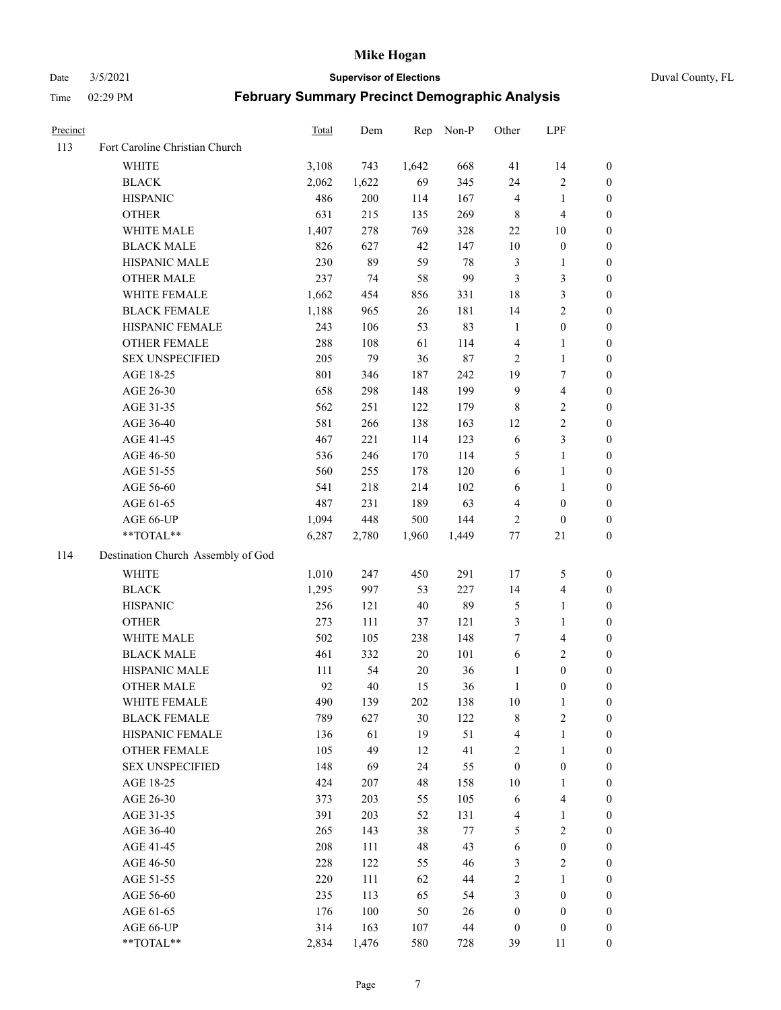Date 3/5/2021 **Supervisor of Elections** Duval County, FL

| Precinct |                                    | Total | Dem   | Rep    | Non-P   | Other            | LPF                     |                  |
|----------|------------------------------------|-------|-------|--------|---------|------------------|-------------------------|------------------|
| 113      | Fort Caroline Christian Church     |       |       |        |         |                  |                         |                  |
|          | <b>WHITE</b>                       | 3,108 | 743   | 1,642  | 668     | 41               | 14                      | 0                |
|          | <b>BLACK</b>                       | 2,062 | 1,622 | 69     | 345     | 24               | $\sqrt{2}$              | 0                |
|          | <b>HISPANIC</b>                    | 486   | 200   | 114    | 167     | $\overline{4}$   | $\mathbf{1}$            | $\boldsymbol{0}$ |
|          | <b>OTHER</b>                       | 631   | 215   | 135    | 269     | 8                | $\overline{\mathbf{4}}$ | $\boldsymbol{0}$ |
|          | WHITE MALE                         | 1,407 | 278   | 769    | 328     | $22\,$           | 10                      | $\boldsymbol{0}$ |
|          | <b>BLACK MALE</b>                  | 826   | 627   | 42     | 147     | $10\,$           | $\boldsymbol{0}$        | $\boldsymbol{0}$ |
|          | HISPANIC MALE                      | 230   | 89    | 59     | 78      | $\mathfrak{Z}$   | $\mathbf{1}$            | $\boldsymbol{0}$ |
|          | <b>OTHER MALE</b>                  | 237   | 74    | 58     | 99      | 3                | $\mathfrak{Z}$          | $\boldsymbol{0}$ |
|          | WHITE FEMALE                       | 1,662 | 454   | 856    | 331     | 18               | $\mathfrak{Z}$          | $\boldsymbol{0}$ |
|          | <b>BLACK FEMALE</b>                | 1,188 | 965   | 26     | 181     | 14               | $\sqrt{2}$              | 0                |
|          | HISPANIC FEMALE                    | 243   | 106   | 53     | 83      | $\mathbf{1}$     | $\boldsymbol{0}$        | 0                |
|          | OTHER FEMALE                       | 288   | 108   | 61     | 114     | $\overline{4}$   | $\mathbf{1}$            | 0                |
|          | <b>SEX UNSPECIFIED</b>             | 205   | 79    | 36     | $87\,$  | $\overline{2}$   | $\mathbf{1}$            | $\boldsymbol{0}$ |
|          | AGE 18-25                          | 801   | 346   | 187    | 242     | 19               | $\tau$                  | $\boldsymbol{0}$ |
|          | AGE 26-30                          | 658   | 298   | 148    | 199     | 9                | $\overline{\mathbf{4}}$ | $\boldsymbol{0}$ |
|          | AGE 31-35                          | 562   | 251   | 122    | 179     | $\,8\,$          | $\sqrt{2}$              | $\boldsymbol{0}$ |
|          | AGE 36-40                          | 581   | 266   | 138    | 163     | 12               | $\sqrt{2}$              | $\boldsymbol{0}$ |
|          | AGE 41-45                          | 467   | 221   | 114    | 123     | 6                | $\mathfrak{Z}$          | $\boldsymbol{0}$ |
|          | AGE 46-50                          | 536   | 246   | 170    | 114     | 5                | $\mathbf{1}$            | $\boldsymbol{0}$ |
|          | AGE 51-55                          | 560   | 255   | 178    | 120     | 6                | $\mathbf{1}$            | 0                |
|          | AGE 56-60                          | 541   | 218   | 214    | 102     | 6                | $\mathbf{1}$            | 0                |
|          | AGE 61-65                          | 487   | 231   | 189    | 63      | 4                | $\boldsymbol{0}$        | 0                |
|          | AGE 66-UP                          | 1,094 | 448   | 500    | 144     | $\overline{c}$   | $\boldsymbol{0}$        | $\boldsymbol{0}$ |
|          | $**TOTAL**$                        | 6,287 | 2,780 | 1,960  | 1,449   | $77 \,$          | 21                      | $\boldsymbol{0}$ |
| 114      | Destination Church Assembly of God |       |       |        |         |                  |                         |                  |
|          | <b>WHITE</b>                       | 1,010 | 247   | 450    | 291     | 17               | 5                       | $\boldsymbol{0}$ |
|          | <b>BLACK</b>                       | 1,295 | 997   | 53     | 227     | 14               | $\overline{\mathbf{4}}$ | $\boldsymbol{0}$ |
|          | <b>HISPANIC</b>                    | 256   | 121   | $40\,$ | 89      | 5                | $\mathbf{1}$            | $\boldsymbol{0}$ |
|          | <b>OTHER</b>                       | 273   | 111   | 37     | 121     | $\mathfrak{Z}$   | $\mathbf{1}$            | $\boldsymbol{0}$ |
|          | WHITE MALE                         | 502   | 105   | 238    | 148     | $\tau$           | $\overline{\mathbf{4}}$ | $\boldsymbol{0}$ |
|          | <b>BLACK MALE</b>                  | 461   | 332   | $20\,$ | 101     | 6                | $\overline{2}$          | $\boldsymbol{0}$ |
|          | HISPANIC MALE                      | 111   | 54    | 20     | 36      | $\mathbf{1}$     | $\boldsymbol{0}$        | 0                |
|          | <b>OTHER MALE</b>                  | 92    | 40    | 15     | 36      | $\mathbf{1}$     | $\boldsymbol{0}$        | $\boldsymbol{0}$ |
|          | WHITE FEMALE                       | 490   | 139   | 202    | 138     | 10               | 1                       | 0                |
|          | <b>BLACK FEMALE</b>                | 789   | 627   | $30\,$ | 122     | 8                | $\sqrt{2}$              | $\boldsymbol{0}$ |
|          | HISPANIC FEMALE                    | 136   | 61    | 19     | 51      | 4                | $\mathbf{1}$            | $\overline{0}$   |
|          | OTHER FEMALE                       | 105   | 49    | 12     | 41      | $\overline{c}$   | $\mathbf{1}$            | $\overline{0}$   |
|          | <b>SEX UNSPECIFIED</b>             | 148   | 69    | 24     | 55      | $\boldsymbol{0}$ | $\boldsymbol{0}$        | 0                |
|          | AGE 18-25                          | 424   | 207   | 48     | 158     | 10               | $\mathbf{1}$            | 0                |
|          | AGE 26-30                          | 373   | 203   | 55     | 105     | 6                | $\overline{\mathbf{4}}$ | 0                |
|          | AGE 31-35                          | 391   | 203   | 52     | 131     | 4                | $\mathbf{1}$            | 0                |
|          | AGE 36-40                          | 265   | 143   | 38     | $77 \,$ | 5                | $\sqrt{2}$              | 0                |
|          | AGE 41-45                          | 208   | 111   | 48     | 43      | 6                | $\boldsymbol{0}$        | 0                |
|          | AGE 46-50                          | 228   | 122   | 55     | 46      | 3                | $\sqrt{2}$              | 0                |
|          | AGE 51-55                          | 220   | 111   | 62     | 44      | 2                | $\mathbf{1}$            | $\overline{0}$   |
|          | AGE 56-60                          | 235   | 113   | 65     | 54      | 3                | $\boldsymbol{0}$        | $\overline{0}$   |
|          | AGE 61-65                          | 176   | 100   | 50     | 26      | $\boldsymbol{0}$ | $\boldsymbol{0}$        | $\overline{0}$   |
|          | AGE 66-UP                          | 314   | 163   | 107    | 44      | $\boldsymbol{0}$ | $\boldsymbol{0}$        | 0                |
|          | **TOTAL**                          | 2,834 | 1,476 | 580    | 728     | 39               | 11                      | $\boldsymbol{0}$ |
|          |                                    |       |       |        |         |                  |                         |                  |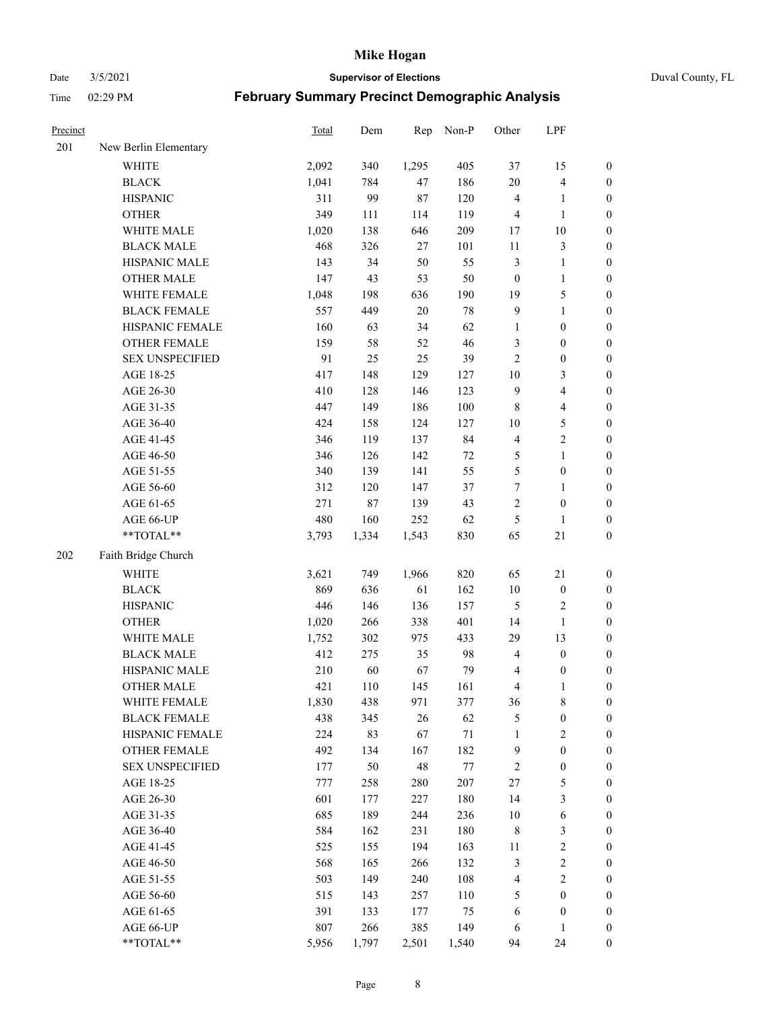Date 3/5/2021 **Supervisor of Elections** Duval County, FL

| Precinct |                        | Total | Dem    | Rep    | Non-P  | Other            | LPF                     |                  |
|----------|------------------------|-------|--------|--------|--------|------------------|-------------------------|------------------|
| 201      | New Berlin Elementary  |       |        |        |        |                  |                         |                  |
|          | <b>WHITE</b>           | 2,092 | 340    | 1,295  | 405    | 37               | 15                      | 0                |
|          | <b>BLACK</b>           | 1,041 | 784    | 47     | 186    | 20               | $\overline{\mathbf{4}}$ | 0                |
|          | <b>HISPANIC</b>        | 311   | 99     | $87\,$ | 120    | $\overline{4}$   | $\mathbf{1}$            | $\boldsymbol{0}$ |
|          | <b>OTHER</b>           | 349   | 111    | 114    | 119    | 4                | $\mathbf{1}$            | $\boldsymbol{0}$ |
|          | WHITE MALE             | 1,020 | 138    | 646    | 209    | 17               | $10\,$                  | $\boldsymbol{0}$ |
|          | <b>BLACK MALE</b>      | 468   | 326    | $27\,$ | 101    | $11\,$           | $\mathfrak{Z}$          | $\boldsymbol{0}$ |
|          | HISPANIC MALE          | 143   | 34     | 50     | 55     | $\mathfrak{Z}$   | $\mathbf{1}$            | $\boldsymbol{0}$ |
|          | <b>OTHER MALE</b>      | 147   | 43     | 53     | 50     | $\boldsymbol{0}$ | $\mathbf{1}$            | $\boldsymbol{0}$ |
|          | WHITE FEMALE           | 1,048 | 198    | 636    | 190    | 19               | $\mathfrak s$           | $\boldsymbol{0}$ |
|          | <b>BLACK FEMALE</b>    | 557   | 449    | $20\,$ | $78\,$ | $\overline{9}$   | $\mathbf{1}$            | 0                |
|          | HISPANIC FEMALE        | 160   | 63     | 34     | 62     | $\mathbf{1}$     | $\boldsymbol{0}$        | 0                |
|          | <b>OTHER FEMALE</b>    | 159   | 58     | 52     | 46     | 3                | $\boldsymbol{0}$        | $\boldsymbol{0}$ |
|          | <b>SEX UNSPECIFIED</b> | 91    | 25     | 25     | 39     | $\mathbf{2}$     | $\boldsymbol{0}$        | $\boldsymbol{0}$ |
|          | AGE 18-25              | 417   | 148    | 129    | 127    | $10\,$           | $\mathfrak{Z}$          | $\boldsymbol{0}$ |
|          | AGE 26-30              | 410   | 128    | 146    | 123    | $\mathbf{9}$     | $\overline{\mathbf{4}}$ | $\boldsymbol{0}$ |
|          | AGE 31-35              | 447   | 149    | 186    | 100    | $\,8\,$          | $\overline{\mathbf{4}}$ | $\boldsymbol{0}$ |
|          | AGE 36-40              | 424   | 158    | 124    | 127    | 10               | $\mathfrak s$           | $\boldsymbol{0}$ |
|          | AGE 41-45              | 346   | 119    | 137    | 84     | $\overline{4}$   | $\sqrt{2}$              | $\boldsymbol{0}$ |
|          | AGE 46-50              | 346   | 126    | 142    | $72\,$ | 5                | $\mathbf{1}$            | $\boldsymbol{0}$ |
|          | AGE 51-55              | 340   | 139    | 141    | 55     | 5                | $\boldsymbol{0}$        | $\boldsymbol{0}$ |
|          | AGE 56-60              | 312   | 120    | 147    | 37     | $\boldsymbol{7}$ | $\mathbf{1}$            | 0                |
|          | AGE 61-65              | 271   | $87\,$ | 139    | 43     | $\sqrt{2}$       | $\boldsymbol{0}$        | $\boldsymbol{0}$ |
|          | AGE 66-UP              | 480   | 160    | 252    | 62     | 5                | $\mathbf{1}$            | $\boldsymbol{0}$ |
|          | $**TOTAL**$            | 3,793 | 1,334  | 1,543  | 830    | 65               | $21\,$                  | $\boldsymbol{0}$ |
| 202      | Faith Bridge Church    |       |        |        |        |                  |                         |                  |
|          | <b>WHITE</b>           | 3,621 | 749    | 1,966  | 820    | 65               | 21                      | $\boldsymbol{0}$ |
|          | <b>BLACK</b>           | 869   | 636    | 61     | 162    | $10\,$           | $\boldsymbol{0}$        | $\boldsymbol{0}$ |
|          | <b>HISPANIC</b>        | 446   | 146    | 136    | 157    | 5                | $\sqrt{2}$              | $\boldsymbol{0}$ |
|          | <b>OTHER</b>           | 1,020 | 266    | 338    | 401    | 14               | $\mathbf{1}$            | $\boldsymbol{0}$ |
|          | WHITE MALE             | 1,752 | 302    | 975    | 433    | 29               | 13                      | $\boldsymbol{0}$ |
|          | <b>BLACK MALE</b>      | 412   | 275    | 35     | 98     | $\overline{4}$   | $\boldsymbol{0}$        | $\boldsymbol{0}$ |
|          | HISPANIC MALE          | 210   | 60     | 67     | 79     | 4                | $\boldsymbol{0}$        | 0                |
|          | <b>OTHER MALE</b>      | 421   | 110    | 145    | 161    | 4                | $\mathbf{1}$            | $\boldsymbol{0}$ |
|          | WHITE FEMALE           | 1,830 | 438    | 971    | 377    | 36               | 8                       | 0                |
|          | <b>BLACK FEMALE</b>    | 438   | 345    | 26     | 62     | 5                | $\boldsymbol{0}$        | $\boldsymbol{0}$ |
|          | HISPANIC FEMALE        | 224   | 83     | 67     | $71\,$ | $\mathbf{1}$     | $\sqrt{2}$              | $\overline{0}$   |
|          | <b>OTHER FEMALE</b>    | 492   | 134    | 167    | 182    | $\mathbf{9}$     | $\boldsymbol{0}$        | $\overline{0}$   |
|          | <b>SEX UNSPECIFIED</b> | 177   | 50     | 48     | 77     | $\sqrt{2}$       | $\boldsymbol{0}$        | 0                |
|          | AGE 18-25              | 777   | 258    | 280    | 207    | $27\,$           | $\mathfrak{S}$          | $\overline{0}$   |
|          | AGE 26-30              | 601   | 177    | 227    | 180    | 14               | $\mathfrak{Z}$          | 0                |
|          | AGE 31-35              | 685   | 189    | 244    | 236    | 10               | $\sqrt{6}$              | 0                |
|          | AGE 36-40              | 584   | 162    | 231    | 180    | $\,$ 8 $\,$      | $\mathfrak{Z}$          | 0                |
|          | AGE 41-45              | 525   | 155    | 194    | 163    | 11               | $\sqrt{2}$              | 0                |
|          | AGE 46-50              | 568   | 165    | 266    | 132    | 3                | $\sqrt{2}$              | 0                |
|          | AGE 51-55              | 503   | 149    | 240    | 108    | 4                | $\overline{2}$          | $\overline{0}$   |
|          | AGE 56-60              | 515   | 143    | 257    | 110    | 5                | $\boldsymbol{0}$        | $\boldsymbol{0}$ |
|          | AGE 61-65              | 391   | 133    | 177    | 75     | 6                | $\boldsymbol{0}$        | $\boldsymbol{0}$ |
|          | AGE 66-UP              | 807   | 266    | 385    | 149    | 6                | $\mathbf{1}$            | $\boldsymbol{0}$ |
|          | **TOTAL**              | 5,956 | 1,797  | 2,501  | 1,540  | 94               | 24                      | $\boldsymbol{0}$ |
|          |                        |       |        |        |        |                  |                         |                  |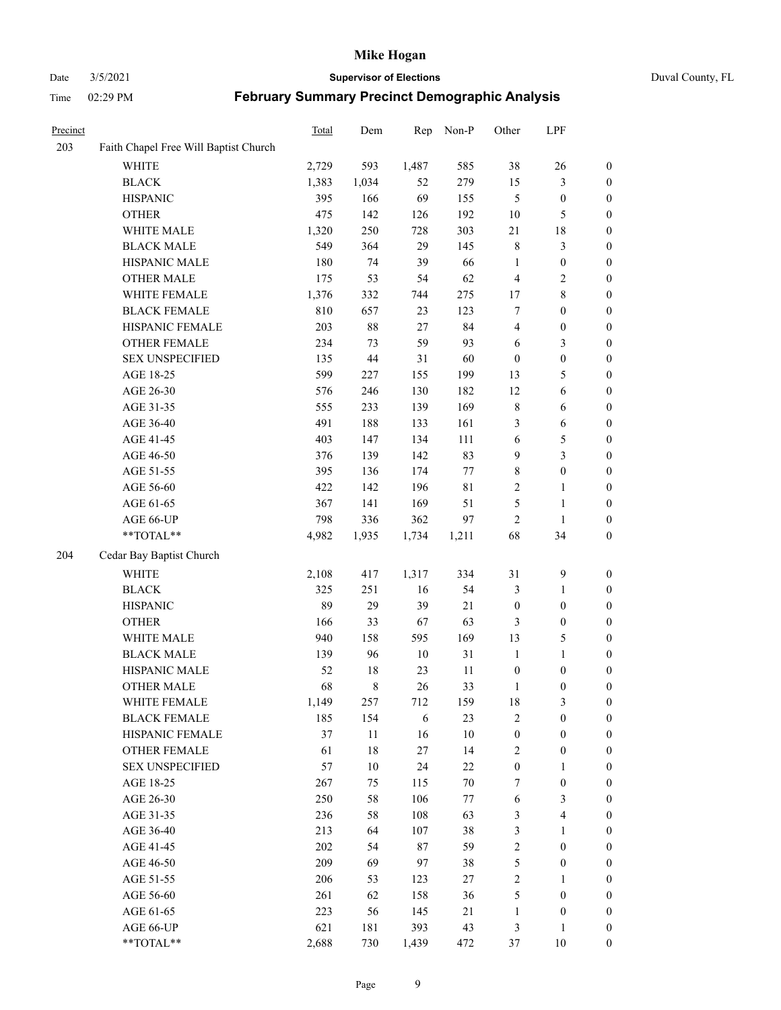#### Date 3/5/2021 **Supervisor of Elections** Duval County, FL

| Precinct |                                       | Total | Dem    | Rep        | Non-P       | Other            | LPF                     |                  |
|----------|---------------------------------------|-------|--------|------------|-------------|------------------|-------------------------|------------------|
| 203      | Faith Chapel Free Will Baptist Church |       |        |            |             |                  |                         |                  |
|          | <b>WHITE</b>                          | 2,729 | 593    | 1,487      | 585         | 38               | 26                      | $\boldsymbol{0}$ |
|          | <b>BLACK</b>                          | 1,383 | 1,034  | 52         | 279         | 15               | $\mathfrak{Z}$          | $\boldsymbol{0}$ |
|          | <b>HISPANIC</b>                       | 395   | 166    | 69         | 155         | 5                | $\boldsymbol{0}$        | $\boldsymbol{0}$ |
|          | <b>OTHER</b>                          | 475   | 142    | 126        | 192         | 10               | 5                       | $\boldsymbol{0}$ |
|          | WHITE MALE                            | 1,320 | 250    | 728        | 303         | 21               | $18\,$                  | $\boldsymbol{0}$ |
|          | <b>BLACK MALE</b>                     | 549   | 364    | 29         | 145         | $\,$ 8 $\,$      | $\mathfrak{Z}$          | $\boldsymbol{0}$ |
|          | HISPANIC MALE                         | 180   | 74     | 39         | 66          | $\mathbf{1}$     | $\boldsymbol{0}$        | $\boldsymbol{0}$ |
|          | <b>OTHER MALE</b>                     | 175   | 53     | 54         | 62          | 4                | $\sqrt{2}$              | $\boldsymbol{0}$ |
|          | WHITE FEMALE                          | 1,376 | 332    | 744        | 275         | 17               | $\,8\,$                 | 0                |
|          | <b>BLACK FEMALE</b>                   | 810   | 657    | 23         | 123         | 7                | $\boldsymbol{0}$        | 0                |
|          | HISPANIC FEMALE                       | 203   | 88     | 27         | 84          | 4                | $\boldsymbol{0}$        | $\boldsymbol{0}$ |
|          | OTHER FEMALE                          | 234   | 73     | 59         | 93          | 6                | $\mathfrak{Z}$          | $\boldsymbol{0}$ |
|          | <b>SEX UNSPECIFIED</b>                | 135   | 44     | 31         | 60          | $\boldsymbol{0}$ | $\boldsymbol{0}$        | $\boldsymbol{0}$ |
|          | AGE 18-25                             | 599   | 227    | 155        | 199         | 13               | $\mathfrak{S}$          | $\boldsymbol{0}$ |
|          | AGE 26-30                             | 576   | 246    | 130        | 182         | 12               | 6                       | $\boldsymbol{0}$ |
|          | AGE 31-35                             | 555   | 233    | 139        | 169         | $\,$ $\,$        | 6                       | $\boldsymbol{0}$ |
|          | AGE 36-40                             | 491   | 188    | 133        | 161         | 3                | $\sqrt{6}$              | $\boldsymbol{0}$ |
|          | AGE 41-45                             | 403   | 147    | 134        | 111         | 6                | $\mathfrak s$           | $\boldsymbol{0}$ |
|          | AGE 46-50                             | 376   | 139    | 142        | 83          | 9                | $\mathfrak{Z}$          | $\boldsymbol{0}$ |
|          | AGE 51-55                             | 395   | 136    | 174        | 77          | $\,$ 8 $\,$      | $\boldsymbol{0}$        | 0                |
|          | AGE 56-60                             | 422   | 142    | 196        | $8\sqrt{1}$ | $\sqrt{2}$       | $\mathbf{1}$            | $\boldsymbol{0}$ |
|          | AGE 61-65                             | 367   | 141    | 169        | 51          | 5                | $\mathbf{1}$            | $\boldsymbol{0}$ |
|          | AGE 66-UP                             | 798   | 336    | 362        | 97          | $\overline{c}$   | $\mathbf{1}$            | $\boldsymbol{0}$ |
|          | $**TOTAL**$                           | 4,982 | 1,935  | 1,734      | 1,211       | 68               | 34                      | $\boldsymbol{0}$ |
| 204      | Cedar Bay Baptist Church              |       |        |            |             |                  |                         |                  |
|          |                                       |       |        |            |             |                  |                         |                  |
|          | WHITE                                 | 2,108 | 417    | 1,317      | 334         | 31               | $\mathbf{9}$            | $\boldsymbol{0}$ |
|          | <b>BLACK</b>                          | 325   | 251    | 16         | 54          | 3                | $\mathbf{1}$            | $\boldsymbol{0}$ |
|          | <b>HISPANIC</b>                       | 89    | 29     | 39         | 21          | $\boldsymbol{0}$ | $\boldsymbol{0}$        | $\boldsymbol{0}$ |
|          | <b>OTHER</b>                          | 166   | 33     | 67         | 63          | 3                | $\boldsymbol{0}$        | $\boldsymbol{0}$ |
|          | WHITE MALE                            | 940   | 158    | 595        | 169         | 13               | $\mathfrak{S}$          | $\boldsymbol{0}$ |
|          | <b>BLACK MALE</b>                     | 139   | 96     | $10\,$     | 31          | $\mathbf{1}$     | $\mathbf{1}$            | $\boldsymbol{0}$ |
|          | HISPANIC MALE                         | 52    | 18     | 23         | 11          | $\boldsymbol{0}$ | $\boldsymbol{0}$        | 0                |
|          | <b>OTHER MALE</b>                     | 68    | 8      | 26         | 33          | $\mathbf{1}$     | $\boldsymbol{0}$        | $\boldsymbol{0}$ |
|          | WHITE FEMALE                          | 1,149 | 257    | 712        | 159         | 18               | $\mathfrak{Z}$          | 0                |
|          | <b>BLACK FEMALE</b>                   | 185   | 154    | $\sqrt{6}$ | 23          | $\sqrt{2}$       | $\boldsymbol{0}$        | $\overline{0}$   |
|          | HISPANIC FEMALE                       | 37    | $11\,$ | 16         | 10          | $\boldsymbol{0}$ | $\boldsymbol{0}$        | $\overline{0}$   |
|          | <b>OTHER FEMALE</b>                   | 61    | $18\,$ | $27\,$     | 14          | $\overline{c}$   | $\boldsymbol{0}$        | 0                |
|          | <b>SEX UNSPECIFIED</b>                | 57    | $10\,$ | 24         | 22          | $\boldsymbol{0}$ | $\mathbf{1}$            | 0                |
|          | AGE 18-25                             | 267   | 75     | 115        | $70\,$      | 7                | $\boldsymbol{0}$        | 0                |
|          | AGE 26-30                             | 250   | 58     | 106        | 77          | 6                | $\mathfrak{Z}$          | 0                |
|          | AGE 31-35                             | 236   | 58     | 108        | 63          | 3                | $\overline{\mathbf{4}}$ | 0                |
|          | AGE 36-40                             | 213   | 64     | 107        | 38          | 3                | $\mathbf{1}$            | 0                |
|          | AGE 41-45                             | 202   | 54     | $87\,$     | 59          | $\sqrt{2}$       | $\boldsymbol{0}$        | 0                |
|          | AGE 46-50                             | 209   | 69     | 97         | 38          | 5                | $\boldsymbol{0}$        | 0                |
|          | AGE 51-55                             | 206   | 53     | 123        | 27          | $\sqrt{2}$       | $\mathbf{1}$            | $\boldsymbol{0}$ |
|          | AGE 56-60                             | 261   | 62     | 158        | 36          | 5                | $\boldsymbol{0}$        | 0                |
|          | AGE 61-65                             | 223   | 56     | 145        | 21          | $\mathbf{1}$     | $\boldsymbol{0}$        | 0                |
|          | AGE 66-UP                             | 621   | 181    | 393        | 43          | 3                | $\mathbf{1}$            | 0                |
|          | **TOTAL**                             | 2,688 | 730    | 1,439      | 472         | 37               | 10                      | $\boldsymbol{0}$ |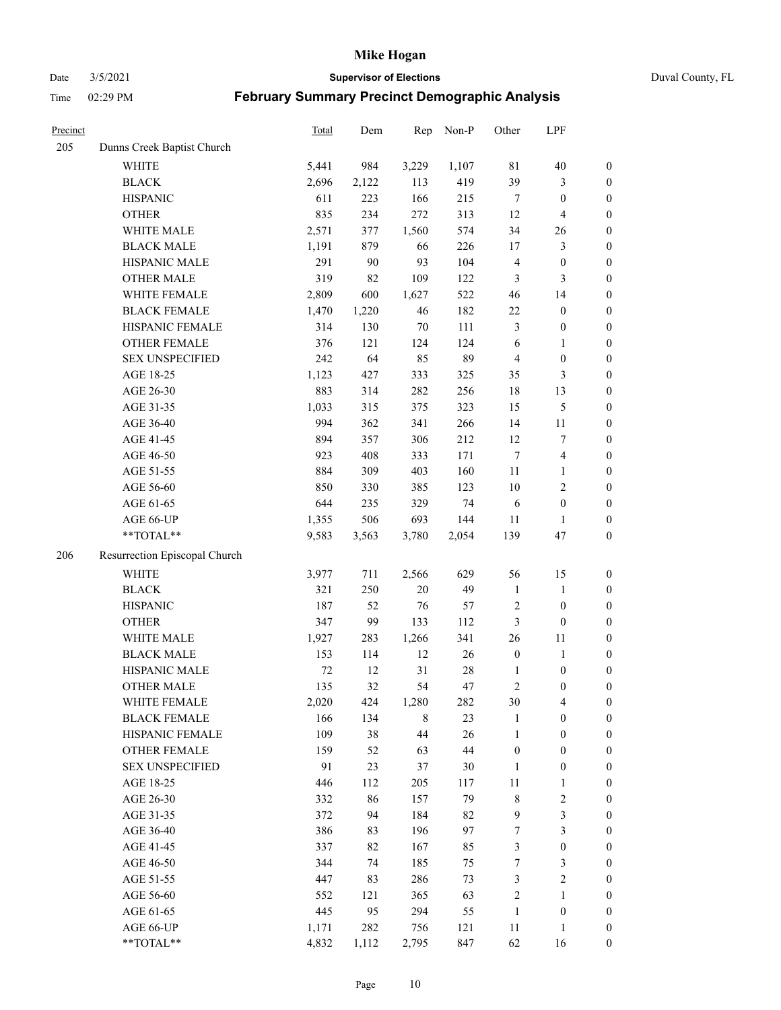Date 3/5/2021 **Supervisor of Elections** Duval County, FL

| Precinct |                               | <b>Total</b> | Dem   | Rep    | Non-P  | Other            | LPF                     |                  |
|----------|-------------------------------|--------------|-------|--------|--------|------------------|-------------------------|------------------|
| 205      | Dunns Creek Baptist Church    |              |       |        |        |                  |                         |                  |
|          | <b>WHITE</b>                  | 5,441        | 984   | 3,229  | 1,107  | $8\sqrt{1}$      | $40\,$                  | $\boldsymbol{0}$ |
|          | <b>BLACK</b>                  | 2,696        | 2,122 | 113    | 419    | 39               | $\mathfrak{Z}$          | $\boldsymbol{0}$ |
|          | <b>HISPANIC</b>               | 611          | 223   | 166    | 215    | $\tau$           | $\boldsymbol{0}$        | $\boldsymbol{0}$ |
|          | <b>OTHER</b>                  | 835          | 234   | 272    | 313    | 12               | $\overline{\mathbf{4}}$ | $\boldsymbol{0}$ |
|          | WHITE MALE                    | 2,571        | 377   | 1,560  | 574    | 34               | 26                      | $\boldsymbol{0}$ |
|          | <b>BLACK MALE</b>             | 1,191        | 879   | 66     | 226    | 17               | $\mathfrak{Z}$          | $\boldsymbol{0}$ |
|          | HISPANIC MALE                 | 291          | 90    | 93     | 104    | 4                | $\boldsymbol{0}$        | $\boldsymbol{0}$ |
|          | <b>OTHER MALE</b>             | 319          | 82    | 109    | 122    | $\mathfrak{Z}$   | 3                       | $\boldsymbol{0}$ |
|          | WHITE FEMALE                  | 2,809        | 600   | 1,627  | 522    | 46               | 14                      | $\boldsymbol{0}$ |
|          | <b>BLACK FEMALE</b>           | 1,470        | 1,220 | 46     | 182    | $22\,$           | $\boldsymbol{0}$        | $\boldsymbol{0}$ |
|          | HISPANIC FEMALE               | 314          | 130   | $70\,$ | 111    | 3                | $\boldsymbol{0}$        | 0                |
|          | OTHER FEMALE                  | 376          | 121   | 124    | 124    | 6                | $\mathbf{1}$            | $\boldsymbol{0}$ |
|          | <b>SEX UNSPECIFIED</b>        | 242          | 64    | 85     | 89     | $\overline{4}$   | $\boldsymbol{0}$        | $\boldsymbol{0}$ |
|          | AGE 18-25                     | 1,123        | 427   | 333    | 325    | 35               | $\mathfrak{Z}$          | $\boldsymbol{0}$ |
|          | AGE 26-30                     | 883          | 314   | 282    | 256    | 18               | 13                      | $\boldsymbol{0}$ |
|          | AGE 31-35                     | 1,033        | 315   | 375    | 323    | 15               | $\mathfrak s$           | $\boldsymbol{0}$ |
|          | AGE 36-40                     | 994          | 362   | 341    | 266    | 14               | $11\,$                  | $\boldsymbol{0}$ |
|          | AGE 41-45                     | 894          | 357   | 306    | 212    | 12               | $\boldsymbol{7}$        | $\boldsymbol{0}$ |
|          | AGE 46-50                     | 923          | 408   | 333    | 171    | $\tau$           | $\overline{\mathbf{4}}$ | $\boldsymbol{0}$ |
|          | AGE 51-55                     | 884          | 309   | 403    | 160    | $11\,$           | $\mathbf{1}$            | $\boldsymbol{0}$ |
|          | AGE 56-60                     | 850          | 330   | 385    | 123    | 10               | $\sqrt{2}$              | 0                |
|          | AGE 61-65                     | 644          | 235   | 329    | 74     | 6                | $\boldsymbol{0}$        | $\boldsymbol{0}$ |
|          | AGE 66-UP                     | 1,355        | 506   | 693    | 144    | 11               | $\mathbf{1}$            | $\boldsymbol{0}$ |
|          | $**TOTAL**$                   | 9,583        | 3,563 | 3,780  | 2,054  | 139              | 47                      | $\boldsymbol{0}$ |
| 206      | Resurrection Episcopal Church |              |       |        |        |                  |                         |                  |
|          | <b>WHITE</b>                  | 3,977        | 711   | 2,566  | 629    | 56               | 15                      | $\boldsymbol{0}$ |
|          | <b>BLACK</b>                  | 321          | 250   | $20\,$ | 49     | $\mathbf{1}$     | $\mathbf{1}$            | $\boldsymbol{0}$ |
|          | <b>HISPANIC</b>               | 187          | 52    | 76     | 57     | $\overline{c}$   | $\boldsymbol{0}$        | $\boldsymbol{0}$ |
|          | <b>OTHER</b>                  | 347          | 99    | 133    | 112    | $\mathfrak{Z}$   | $\boldsymbol{0}$        | $\boldsymbol{0}$ |
|          | WHITE MALE                    | 1,927        | 283   | 1,266  | 341    | 26               | $11\,$                  | $\boldsymbol{0}$ |
|          | <b>BLACK MALE</b>             | 153          | 114   | 12     | 26     | $\boldsymbol{0}$ | $\mathbf{1}$            | $\boldsymbol{0}$ |
|          | HISPANIC MALE                 | $72\,$       | 12    | 31     | $28\,$ | 1                | $\boldsymbol{0}$        | 0                |
|          | <b>OTHER MALE</b>             | 135          | 32    | 54     | 47     | $\overline{c}$   | $\boldsymbol{0}$        | $\boldsymbol{0}$ |
|          | WHITE FEMALE                  | 2,020        | 424   | 1,280  | 282    | 30               | 4                       | 0                |
|          | <b>BLACK FEMALE</b>           | 166          | 134   | 8      | 23     | $\mathbf{1}$     | $\boldsymbol{0}$        | $\boldsymbol{0}$ |
|          | HISPANIC FEMALE               | 109          | 38    | $44\,$ | 26     | $\mathbf{1}$     | $\boldsymbol{0}$        | $\overline{0}$   |
|          | OTHER FEMALE                  | 159          | 52    | 63     | 44     | $\boldsymbol{0}$ | $\boldsymbol{0}$        | $\overline{0}$   |
|          | <b>SEX UNSPECIFIED</b>        | 91           | 23    | 37     | 30     | $\mathbf{1}$     | $\boldsymbol{0}$        | 0                |
|          | AGE 18-25                     | 446          | 112   | 205    | 117    | $11\,$           | $\mathbf{1}$            | 0                |
|          | AGE 26-30                     | 332          | 86    | 157    | 79     | $\,$ 8 $\,$      | $\sqrt{2}$              | 0                |
|          | AGE 31-35                     | 372          | 94    | 184    | 82     | 9                | $\mathfrak{Z}$          | 0                |
|          | AGE 36-40                     | 386          | 83    | 196    | 97     | 7                | $\mathfrak{Z}$          | 0                |
|          | AGE 41-45                     | 337          | 82    | 167    | 85     | 3                | $\boldsymbol{0}$        | 0                |
|          | AGE 46-50                     | 344          | 74    | 185    | 75     | 7                | 3                       | 0                |
|          | AGE 51-55                     | 447          | 83    | 286    | 73     | 3                | $\sqrt{2}$              | 0                |
|          | AGE 56-60                     | 552          | 121   | 365    | 63     | $\overline{c}$   | 1                       | $\boldsymbol{0}$ |
|          | AGE 61-65                     | 445          | 95    | 294    | 55     | $\mathbf{1}$     | $\boldsymbol{0}$        | $\boldsymbol{0}$ |
|          | AGE 66-UP                     | 1,171        | 282   | 756    | 121    | 11               | $\mathbf{1}$            | 0                |
|          | **TOTAL**                     | 4,832        | 1,112 | 2,795  | 847    | 62               | 16                      | $\boldsymbol{0}$ |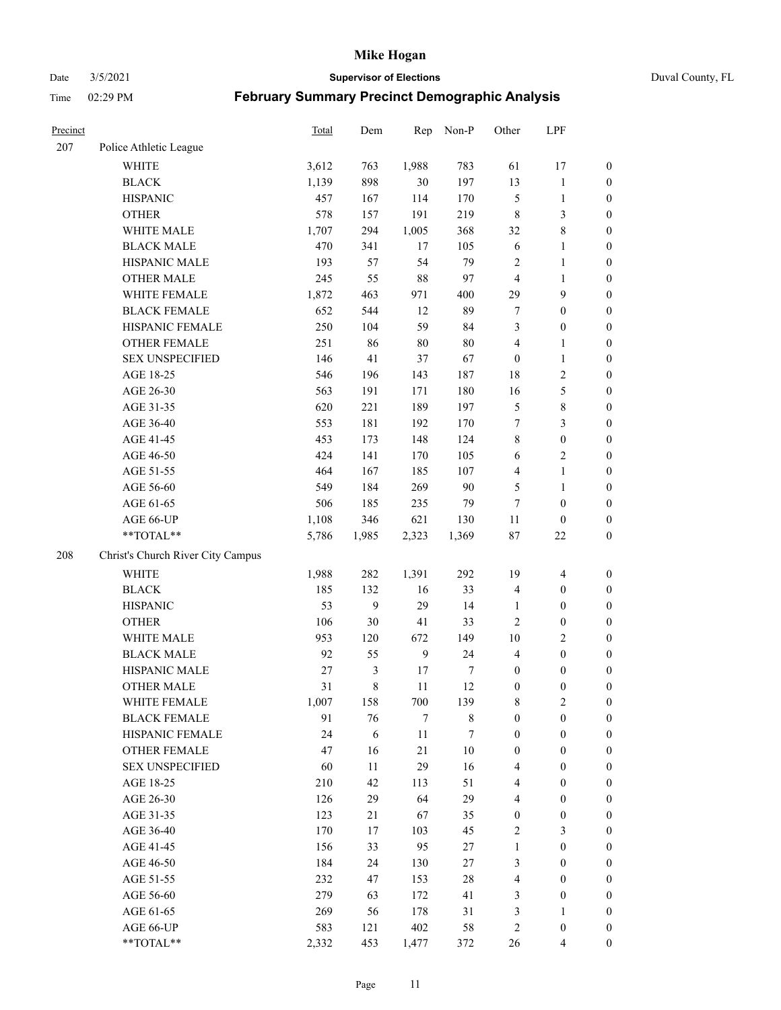Date 3/5/2021 **Supervisor of Elections** Duval County, FL

| Precinct |                                   | <b>Total</b> | Dem   | Rep          | Non-P       | Other            | LPF                     |                  |
|----------|-----------------------------------|--------------|-------|--------------|-------------|------------------|-------------------------|------------------|
| 207      | Police Athletic League            |              |       |              |             |                  |                         |                  |
|          | <b>WHITE</b>                      | 3,612        | 763   | 1,988        | 783         | 61               | 17                      | $\boldsymbol{0}$ |
|          | <b>BLACK</b>                      | 1,139        | 898   | $30\,$       | 197         | 13               | $\mathbf{1}$            | $\boldsymbol{0}$ |
|          | <b>HISPANIC</b>                   | 457          | 167   | 114          | 170         | $\mathfrak{S}$   | $\mathbf{1}$            | $\boldsymbol{0}$ |
|          | <b>OTHER</b>                      | 578          | 157   | 191          | 219         | 8                | 3                       | $\boldsymbol{0}$ |
|          | WHITE MALE                        | 1,707        | 294   | 1,005        | 368         | 32               | $\,$ 8 $\,$             | $\boldsymbol{0}$ |
|          | <b>BLACK MALE</b>                 | 470          | 341   | 17           | 105         | 6                | $\mathbf{1}$            | $\boldsymbol{0}$ |
|          | HISPANIC MALE                     | 193          | 57    | 54           | 79          | $\overline{c}$   | $\mathbf{1}$            | $\boldsymbol{0}$ |
|          | <b>OTHER MALE</b>                 | 245          | 55    | 88           | 97          | $\overline{4}$   | $\mathbf{1}$            | $\boldsymbol{0}$ |
|          | WHITE FEMALE                      | 1,872        | 463   | 971          | 400         | 29               | $\mathbf{9}$            | $\boldsymbol{0}$ |
|          | <b>BLACK FEMALE</b>               | 652          | 544   | 12           | 89          | 7                | $\boldsymbol{0}$        | $\boldsymbol{0}$ |
|          | HISPANIC FEMALE                   | 250          | 104   | 59           | 84          | 3                | $\boldsymbol{0}$        | $\boldsymbol{0}$ |
|          | <b>OTHER FEMALE</b>               | 251          | 86    | $80\,$       | $80\,$      | 4                | $\mathbf{1}$            | $\boldsymbol{0}$ |
|          | <b>SEX UNSPECIFIED</b>            | 146          | 41    | 37           | 67          | $\boldsymbol{0}$ | $\mathbf{1}$            | $\boldsymbol{0}$ |
|          | AGE 18-25                         | 546          | 196   | 143          | 187         | 18               | $\sqrt{2}$              | $\boldsymbol{0}$ |
|          | AGE 26-30                         | 563          | 191   | 171          | 180         | 16               | $\mathfrak{S}$          | $\boldsymbol{0}$ |
|          | AGE 31-35                         | 620          | 221   | 189          | 197         | 5                | $\,8\,$                 | $\boldsymbol{0}$ |
|          | AGE 36-40                         | 553          | 181   | 192          | 170         | 7                | $\mathfrak{Z}$          | $\boldsymbol{0}$ |
|          | AGE 41-45                         | 453          | 173   | 148          | 124         | 8                | $\boldsymbol{0}$        | $\boldsymbol{0}$ |
|          | AGE 46-50                         | 424          | 141   | 170          | 105         | 6                | $\mathbf{2}$            | $\boldsymbol{0}$ |
|          | AGE 51-55                         | 464          | 167   | 185          | 107         | 4                | $\mathbf{1}$            | $\boldsymbol{0}$ |
|          | AGE 56-60                         | 549          | 184   | 269          | 90          | 5                | $\mathbf{1}$            | 0                |
|          | AGE 61-65                         | 506          | 185   | 235          | 79          | $\tau$           | $\boldsymbol{0}$        | $\boldsymbol{0}$ |
|          | AGE 66-UP                         | 1,108        | 346   | 621          | 130         | $11\,$           | $\boldsymbol{0}$        | $\boldsymbol{0}$ |
|          | $**TOTAL**$                       | 5,786        | 1,985 | 2,323        | 1,369       | 87               | $22\,$                  | $\boldsymbol{0}$ |
| 208      | Christ's Church River City Campus |              |       |              |             |                  |                         |                  |
|          | <b>WHITE</b>                      | 1,988        | 282   | 1,391        | 292         | 19               | $\overline{\mathbf{4}}$ | $\boldsymbol{0}$ |
|          | <b>BLACK</b>                      | 185          | 132   | 16           | 33          | 4                | $\boldsymbol{0}$        | $\boldsymbol{0}$ |
|          | <b>HISPANIC</b>                   | 53           | 9     | 29           | 14          | $\mathbf{1}$     | $\boldsymbol{0}$        | $\boldsymbol{0}$ |
|          | <b>OTHER</b>                      | 106          | 30    | 41           | 33          | $\overline{c}$   | $\boldsymbol{0}$        | $\boldsymbol{0}$ |
|          | WHITE MALE                        | 953          | 120   | 672          | 149         | $10\,$           | $\overline{2}$          | $\boldsymbol{0}$ |
|          | <b>BLACK MALE</b>                 | 92           | 55    | $\mathbf{9}$ | 24          | $\overline{4}$   | $\boldsymbol{0}$        | $\boldsymbol{0}$ |
|          | HISPANIC MALE                     | 27           | 3     | $17\,$       | 7           | $\boldsymbol{0}$ | $\boldsymbol{0}$        | $\boldsymbol{0}$ |
|          | <b>OTHER MALE</b>                 | 31           | 8     | 11           | 12          | $\boldsymbol{0}$ | $\boldsymbol{0}$        | $\boldsymbol{0}$ |
|          | WHITE FEMALE                      | 1,007        | 158   | 700          | 139         | 8                | 2                       | 0                |
|          | <b>BLACK FEMALE</b>               | 91           | 76    | 7            | $\,$ 8 $\,$ | $\boldsymbol{0}$ | $\boldsymbol{0}$        | $\boldsymbol{0}$ |
|          | HISPANIC FEMALE                   | 24           | 6     | $11\,$       | 7           | $\boldsymbol{0}$ | $\boldsymbol{0}$        | $\overline{0}$   |
|          | <b>OTHER FEMALE</b>               | 47           | 16    | 21           | $10\,$      | $\boldsymbol{0}$ | $\boldsymbol{0}$        | $\overline{0}$   |
|          | <b>SEX UNSPECIFIED</b>            | 60           | 11    | 29           | 16          | 4                | $\boldsymbol{0}$        | 0                |
|          | AGE 18-25                         | 210          | 42    | 113          | 51          | 4                | $\boldsymbol{0}$        | $\theta$         |
|          | AGE 26-30                         | 126          | 29    | 64           | 29          | 4                | $\boldsymbol{0}$        | 0                |
|          | AGE 31-35                         | 123          | 21    | 67           | 35          | $\boldsymbol{0}$ | $\boldsymbol{0}$        | 0                |
|          | AGE 36-40                         | 170          | 17    | 103          | 45          | $\overline{c}$   | $\mathfrak{Z}$          | 0                |
|          | AGE 41-45                         | 156          | 33    | 95           | 27          | $\mathbf{1}$     | $\boldsymbol{0}$        | 0                |
|          | AGE 46-50                         | 184          | 24    | 130          | 27          | 3                | $\boldsymbol{0}$        | 0                |
|          | AGE 51-55                         | 232          | 47    | 153          | $28\,$      | 4                | $\boldsymbol{0}$        | $\overline{0}$   |
|          | AGE 56-60                         | 279          | 63    | 172          | 41          | 3                | $\boldsymbol{0}$        | $\boldsymbol{0}$ |
|          | AGE 61-65                         | 269          | 56    | 178          | 31          | 3                | $\mathbf{1}$            | $\boldsymbol{0}$ |
|          | AGE 66-UP                         | 583          | 121   | 402          | 58          | $\overline{c}$   | $\boldsymbol{0}$        | $\boldsymbol{0}$ |
|          | **TOTAL**                         | 2,332        | 453   | 1,477        | 372         | 26               | $\overline{4}$          | $\boldsymbol{0}$ |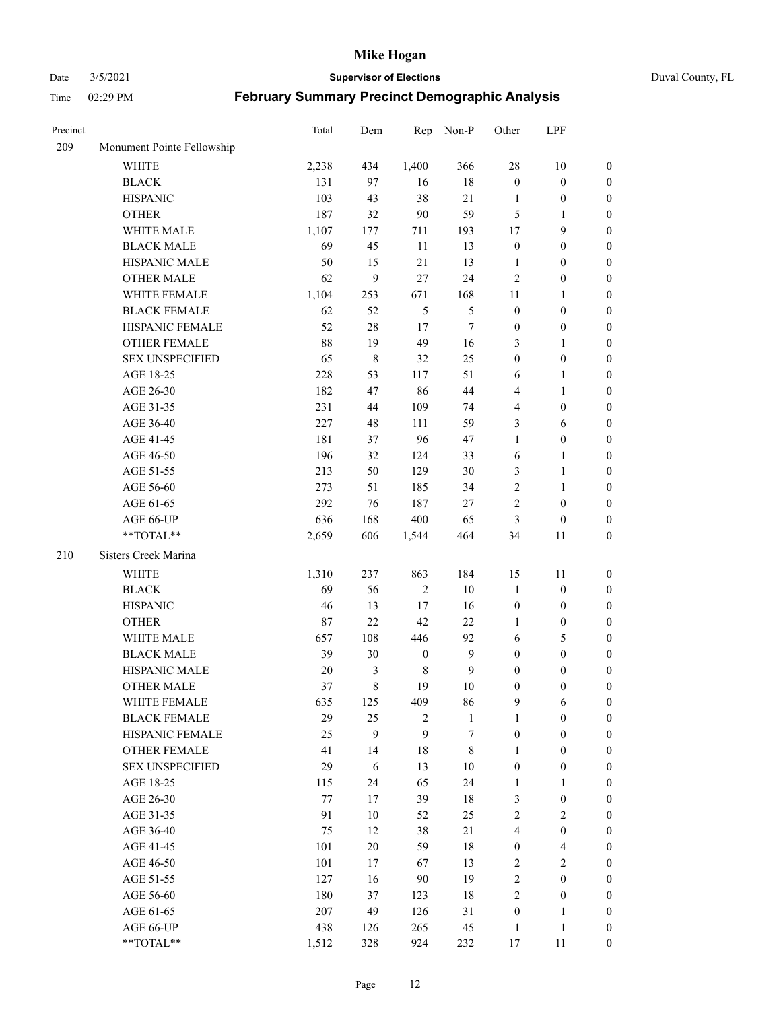#### Date 3/5/2021 **Supervisor of Elections** Duval County, FL

| Precinct |                            | <b>Total</b> | Dem    | Rep              | Non-P            | Other            | LPF                     |                  |
|----------|----------------------------|--------------|--------|------------------|------------------|------------------|-------------------------|------------------|
| 209      | Monument Pointe Fellowship |              |        |                  |                  |                  |                         |                  |
|          | <b>WHITE</b>               | 2,238        | 434    | 1,400            | 366              | 28               | $10\,$                  | 0                |
|          | <b>BLACK</b>               | 131          | 97     | 16               | $18\,$           | $\boldsymbol{0}$ | $\boldsymbol{0}$        | 0                |
|          | <b>HISPANIC</b>            | 103          | 43     | 38               | 21               | 1                | $\boldsymbol{0}$        | $\boldsymbol{0}$ |
|          | <b>OTHER</b>               | 187          | 32     | 90               | 59               | 5                | 1                       | $\boldsymbol{0}$ |
|          | WHITE MALE                 | 1,107        | 177    | 711              | 193              | 17               | 9                       | $\boldsymbol{0}$ |
|          | <b>BLACK MALE</b>          | 69           | 45     | 11               | 13               | $\boldsymbol{0}$ | $\boldsymbol{0}$        | $\boldsymbol{0}$ |
|          | HISPANIC MALE              | 50           | 15     | 21               | 13               | $\mathbf{1}$     | $\boldsymbol{0}$        | $\boldsymbol{0}$ |
|          | <b>OTHER MALE</b>          | 62           | 9      | 27               | 24               | $\mathfrak{2}$   | $\boldsymbol{0}$        | $\boldsymbol{0}$ |
|          | WHITE FEMALE               | 1,104        | 253    | 671              | 168              | 11               | $\mathbf{1}$            | $\boldsymbol{0}$ |
|          | <b>BLACK FEMALE</b>        | 62           | 52     | $\mathfrak{S}$   | $\mathfrak{S}$   | $\boldsymbol{0}$ | $\boldsymbol{0}$        | 0                |
|          | HISPANIC FEMALE            | 52           | $28\,$ | 17               | $\tau$           | $\boldsymbol{0}$ | $\boldsymbol{0}$        | 0                |
|          | OTHER FEMALE               | 88           | 19     | 49               | 16               | 3                | $\mathbf{1}$            | $\boldsymbol{0}$ |
|          | <b>SEX UNSPECIFIED</b>     | 65           | 8      | 32               | 25               | $\boldsymbol{0}$ | $\boldsymbol{0}$        | $\boldsymbol{0}$ |
|          | AGE 18-25                  | 228          | 53     | 117              | 51               | 6                | 1                       | $\boldsymbol{0}$ |
|          | AGE 26-30                  | 182          | 47     | 86               | $44\,$           | 4                | $\mathbf{1}$            | $\boldsymbol{0}$ |
|          | AGE 31-35                  | 231          | 44     | 109              | 74               | 4                | $\boldsymbol{0}$        | $\boldsymbol{0}$ |
|          | AGE 36-40                  | 227          | 48     | 111              | 59               | 3                | 6                       | $\boldsymbol{0}$ |
|          | AGE 41-45                  | 181          | 37     | 96               | 47               | $\mathbf{1}$     | $\boldsymbol{0}$        | $\boldsymbol{0}$ |
|          | AGE 46-50                  | 196          | 32     | 124              | 33               | 6                | $\mathbf{1}$            | $\boldsymbol{0}$ |
|          | AGE 51-55                  | 213          | 50     | 129              | $30\,$           | 3                | $\mathbf{1}$            | 0                |
|          | AGE 56-60                  | 273          | 51     | 185              | 34               | $\overline{c}$   |                         |                  |
|          |                            | 292          | 76     | 187              | 27               | 2                | 1<br>$\boldsymbol{0}$   | 0                |
|          | AGE 61-65                  |              |        |                  |                  |                  |                         | 0                |
|          | AGE 66-UP<br>**TOTAL**     | 636          | 168    | 400              | 65               | 3                | $\boldsymbol{0}$        | $\boldsymbol{0}$ |
|          |                            | 2,659        | 606    | 1,544            | 464              | 34               | 11                      | $\boldsymbol{0}$ |
| 210      | Sisters Creek Marina       |              |        |                  |                  |                  |                         |                  |
|          | <b>WHITE</b>               | 1,310        | 237    | 863              | 184              | 15               | 11                      | $\boldsymbol{0}$ |
|          | <b>BLACK</b>               | 69           | 56     | $\sqrt{2}$       | $10\,$           | $\mathbf{1}$     | $\boldsymbol{0}$        | $\boldsymbol{0}$ |
|          | <b>HISPANIC</b>            | 46           | 13     | $17\,$           | 16               | $\boldsymbol{0}$ | $\boldsymbol{0}$        | $\boldsymbol{0}$ |
|          | <b>OTHER</b>               | 87           | 22     | 42               | 22               | $\mathbf{1}$     | $\boldsymbol{0}$        | $\boldsymbol{0}$ |
|          | WHITE MALE                 | 657          | 108    | 446              | 92               | 6                | $\mathfrak{S}$          | $\boldsymbol{0}$ |
|          | <b>BLACK MALE</b>          | 39           | 30     | $\boldsymbol{0}$ | $\mathbf{9}$     | $\boldsymbol{0}$ | $\boldsymbol{0}$        | $\boldsymbol{0}$ |
|          | HISPANIC MALE              | 20           | 3      | $\,$ 8 $\,$      | $\mathbf{9}$     | $\boldsymbol{0}$ | $\boldsymbol{0}$        | 0                |
|          | OTHER MALE                 | 37           | 8      | 19               | $10\,$           | $\boldsymbol{0}$ | $\boldsymbol{0}$        | $\boldsymbol{0}$ |
|          | WHITE FEMALE               | 635          | 125    | 409              | 86               | 9                | 6                       | 0                |
|          | <b>BLACK FEMALE</b>        | 29           | 25     | $\mathfrak{2}$   | $\mathbf{1}$     | $\mathbf{1}$     | $\boldsymbol{0}$        | $\overline{0}$   |
|          | HISPANIC FEMALE            | 25           | 9      | 9                | $\boldsymbol{7}$ | $\boldsymbol{0}$ | $\boldsymbol{0}$        | $\overline{0}$   |
|          | OTHER FEMALE               | 41           | 14     | 18               | $8\,$            | $\mathbf{1}$     | $\boldsymbol{0}$        | $\overline{0}$   |
|          | <b>SEX UNSPECIFIED</b>     | 29           | 6      | 13               | $10\,$           | $\boldsymbol{0}$ | $\boldsymbol{0}$        | 0                |
|          | AGE 18-25                  | 115          | 24     | 65               | 24               | $\mathbf{1}$     | $\mathbf{1}$            | $\theta$         |
|          | AGE 26-30                  | 77           | 17     | 39               | 18               | 3                | $\boldsymbol{0}$        | 0                |
|          | AGE 31-35                  | 91           | $10\,$ | 52               | 25               | $\overline{2}$   | $\overline{2}$          | 0                |
|          | AGE 36-40                  | 75           | 12     | 38               | 21               | 4                | $\boldsymbol{0}$        | 0                |
|          | AGE 41-45                  | 101          | 20     | 59               | 18               | $\boldsymbol{0}$ | $\overline{\mathbf{4}}$ | 0                |
|          | AGE 46-50                  | 101          | 17     | 67               | 13               | 2                | $\sqrt{2}$              | 0                |
|          | AGE 51-55                  | 127          | 16     | 90               | 19               | $\overline{c}$   | $\boldsymbol{0}$        | $\overline{0}$   |
|          | AGE 56-60                  | 180          | 37     | 123              | 18               | 2                | $\boldsymbol{0}$        | $\overline{0}$   |
|          | AGE 61-65                  | 207          | 49     | 126              | 31               | $\boldsymbol{0}$ | $\mathbf{1}$            | $\overline{0}$   |
|          | AGE 66-UP                  | 438          | 126    | 265              | 45               | $\mathbf{1}$     | $\mathbf{1}$            | $\boldsymbol{0}$ |
|          | **TOTAL**                  | 1,512        | 328    | 924              | 232              | 17               | 11                      | $\boldsymbol{0}$ |
|          |                            |              |        |                  |                  |                  |                         |                  |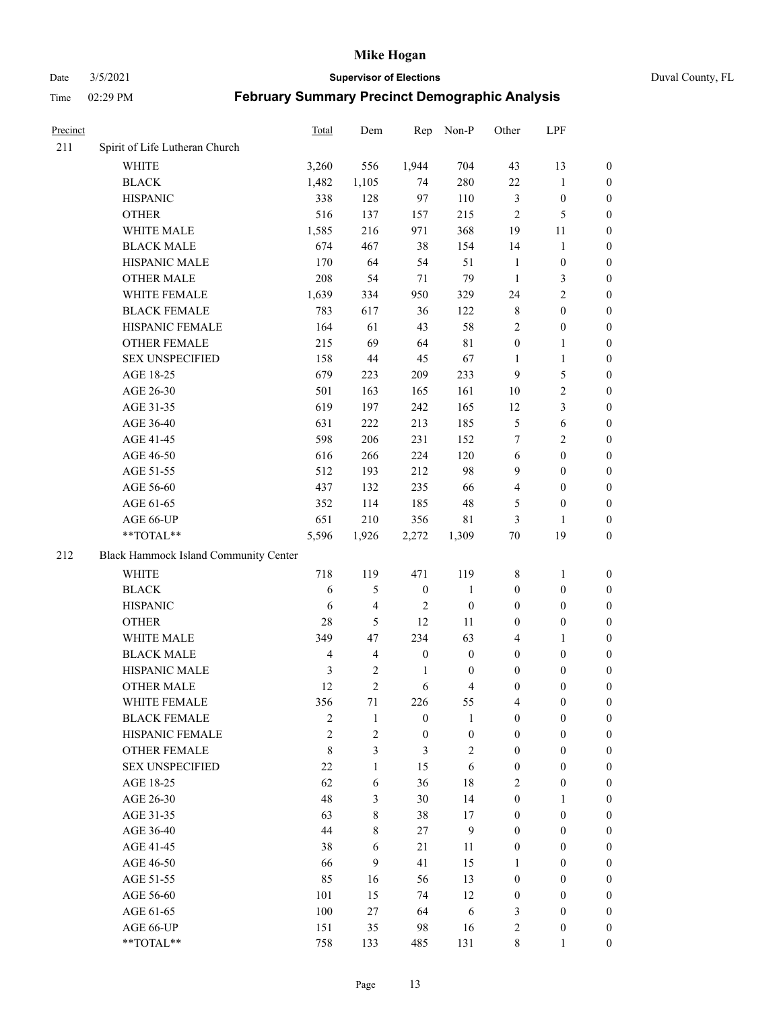Date 3/5/2021 **Supervisor of Elections** Duval County, FL

| Precinct |                                       | Total          | Dem                     | Rep              | Non-P                    | Other            | LPF              |                  |
|----------|---------------------------------------|----------------|-------------------------|------------------|--------------------------|------------------|------------------|------------------|
| 211      | Spirit of Life Lutheran Church        |                |                         |                  |                          |                  |                  |                  |
|          | <b>WHITE</b>                          | 3,260          | 556                     | 1,944            | 704                      | 43               | 13               | 0                |
|          | <b>BLACK</b>                          | 1,482          | 1,105                   | 74               | 280                      | $22\,$           | $\mathbf{1}$     | 0                |
|          | <b>HISPANIC</b>                       | 338            | 128                     | 97               | 110                      | 3                | $\boldsymbol{0}$ | $\boldsymbol{0}$ |
|          | <b>OTHER</b>                          | 516            | 137                     | 157              | 215                      | $\overline{2}$   | $\mathfrak{S}$   | $\boldsymbol{0}$ |
|          | WHITE MALE                            | 1,585          | 216                     | 971              | 368                      | 19               | 11               | $\boldsymbol{0}$ |
|          | <b>BLACK MALE</b>                     | 674            | 467                     | 38               | 154                      | 14               | $\mathbf{1}$     | $\boldsymbol{0}$ |
|          | HISPANIC MALE                         | 170            | 64                      | 54               | 51                       | $\mathbf{1}$     | $\boldsymbol{0}$ | $\boldsymbol{0}$ |
|          | <b>OTHER MALE</b>                     | 208            | 54                      | 71               | 79                       | $\mathbf{1}$     | $\mathfrak{Z}$   | $\boldsymbol{0}$ |
|          | WHITE FEMALE                          | 1,639          | 334                     | 950              | 329                      | 24               | $\overline{2}$   | $\boldsymbol{0}$ |
|          | <b>BLACK FEMALE</b>                   | 783            | 617                     | 36               | 122                      | 8                | $\boldsymbol{0}$ | 0                |
|          | HISPANIC FEMALE                       | 164            | 61                      | 43               | 58                       | $\mathfrak{2}$   | $\boldsymbol{0}$ | 0                |
|          | <b>OTHER FEMALE</b>                   | 215            | 69                      | 64               | $8\sqrt{1}$              | $\boldsymbol{0}$ | $\mathbf{1}$     | 0                |
|          | <b>SEX UNSPECIFIED</b>                | 158            | 44                      | 45               | 67                       | $\mathbf{1}$     | $\mathbf{1}$     | $\boldsymbol{0}$ |
|          | AGE 18-25                             | 679            | 223                     | 209              | 233                      | 9                | $\mathfrak{S}$   | $\boldsymbol{0}$ |
|          | AGE 26-30                             | 501            | 163                     | 165              | 161                      | 10               | $\sqrt{2}$       | $\boldsymbol{0}$ |
|          | AGE 31-35                             | 619            | 197                     | 242              | 165                      | 12               | $\mathfrak{Z}$   | $\boldsymbol{0}$ |
|          | AGE 36-40                             | 631            | 222                     | 213              | 185                      | 5                | $\sqrt{6}$       | $\boldsymbol{0}$ |
|          | AGE 41-45                             | 598            | 206                     | 231              | 152                      | 7                | $\overline{2}$   | $\boldsymbol{0}$ |
|          | AGE 46-50                             | 616            | 266                     | 224              | 120                      | $\sqrt{6}$       | $\boldsymbol{0}$ | $\boldsymbol{0}$ |
|          | AGE 51-55                             | 512            | 193                     | 212              | 98                       | 9                | $\boldsymbol{0}$ | $\boldsymbol{0}$ |
|          | AGE 56-60                             | 437            | 132                     | 235              | 66                       | 4                | $\boldsymbol{0}$ | 0                |
|          | AGE 61-65                             | 352            | 114                     | 185              | 48                       | 5                | $\boldsymbol{0}$ | 0                |
|          | AGE 66-UP                             | 651            | 210                     | 356              | 81                       | 3                | $\mathbf{1}$     | $\boldsymbol{0}$ |
|          | $**TOTAL**$                           | 5,596          | 1,926                   | 2,272            | 1,309                    | $70\,$           | 19               | $\boldsymbol{0}$ |
| 212      | Black Hammock Island Community Center |                |                         |                  |                          |                  |                  |                  |
|          | <b>WHITE</b>                          | 718            | 119                     | 471              | 119                      | 8                | $\mathbf{1}$     | $\boldsymbol{0}$ |
|          | <b>BLACK</b>                          | 6              | 5                       | $\boldsymbol{0}$ | $\mathbf{1}$             | $\boldsymbol{0}$ | $\boldsymbol{0}$ | $\boldsymbol{0}$ |
|          | <b>HISPANIC</b>                       | 6              | 4                       | $\overline{2}$   | $\boldsymbol{0}$         | $\boldsymbol{0}$ | $\boldsymbol{0}$ | $\boldsymbol{0}$ |
|          | <b>OTHER</b>                          | 28             | 5                       | 12               | 11                       | $\boldsymbol{0}$ | $\boldsymbol{0}$ | $\boldsymbol{0}$ |
|          | WHITE MALE                            | 349            | 47                      | 234              | 63                       | 4                | $\mathbf{1}$     | $\boldsymbol{0}$ |
|          | <b>BLACK MALE</b>                     | $\overline{4}$ | $\overline{\mathbf{4}}$ | $\boldsymbol{0}$ | $\boldsymbol{0}$         | $\boldsymbol{0}$ | $\boldsymbol{0}$ | $\boldsymbol{0}$ |
|          | HISPANIC MALE                         | $\mathfrak{Z}$ | $\mathbf{2}$            | $\mathbf{1}$     | $\boldsymbol{0}$         | $\boldsymbol{0}$ | $\boldsymbol{0}$ | 0                |
|          | <b>OTHER MALE</b>                     | 12             | $\overline{2}$          | 6                | $\overline{\mathcal{L}}$ | $\boldsymbol{0}$ | $\boldsymbol{0}$ | $\boldsymbol{0}$ |
|          | WHITE FEMALE                          | 356            | 71                      | 226              | 55                       | 4                | $\boldsymbol{0}$ | 0                |
|          | <b>BLACK FEMALE</b>                   | $\overline{2}$ | $\mathbf{1}$            | $\boldsymbol{0}$ | $\mathbf{1}$             | $\boldsymbol{0}$ | $\boldsymbol{0}$ | $\overline{0}$   |
|          | HISPANIC FEMALE                       | $\overline{c}$ | $\overline{c}$          | $\boldsymbol{0}$ | $\boldsymbol{0}$         | $\boldsymbol{0}$ | $\boldsymbol{0}$ | $\overline{0}$   |
|          | <b>OTHER FEMALE</b>                   | $\,$ 8 $\,$    | 3                       | $\mathfrak{Z}$   | $\mathbf{2}$             | $\boldsymbol{0}$ | $\boldsymbol{0}$ | $\overline{0}$   |
|          | <b>SEX UNSPECIFIED</b>                | 22             | $\mathbf{1}$            | 15               | 6                        | $\boldsymbol{0}$ | $\boldsymbol{0}$ | $\overline{0}$   |
|          | AGE 18-25                             | 62             | 6                       | 36               | $18\,$                   | 2                | $\boldsymbol{0}$ | $\theta$         |
|          | AGE 26-30                             | 48             | 3                       | 30               | 14                       | $\boldsymbol{0}$ | $\mathbf{1}$     | $\overline{0}$   |
|          | AGE 31-35                             | 63             | 8                       | 38               | 17                       | $\boldsymbol{0}$ | $\boldsymbol{0}$ | 0                |
|          | AGE 36-40                             | 44             | 8                       | 27               | $\mathbf{9}$             | $\boldsymbol{0}$ | $\boldsymbol{0}$ | 0                |
|          | AGE 41-45                             | 38             | 6                       | 21               | 11                       | $\boldsymbol{0}$ | $\boldsymbol{0}$ | 0                |
|          | AGE 46-50                             | 66             | 9                       | 41               | 15                       | $\mathbf{1}$     | $\boldsymbol{0}$ | 0                |
|          | AGE 51-55                             | 85             | 16                      | 56               | 13                       | $\boldsymbol{0}$ | $\boldsymbol{0}$ | $\overline{0}$   |
|          | AGE 56-60                             | 101            | 15                      | 74               | 12                       | $\boldsymbol{0}$ | $\boldsymbol{0}$ | $\overline{0}$   |
|          | AGE 61-65                             | 100            | 27                      | 64               | 6                        | 3                | $\boldsymbol{0}$ | $\overline{0}$   |
|          | AGE 66-UP                             | 151            | 35                      | 98               | 16                       | 2                | $\boldsymbol{0}$ | $\boldsymbol{0}$ |
|          | **TOTAL**                             | 758            | 133                     | 485              | 131                      | $8\,$            | $\mathbf{1}$     | $\boldsymbol{0}$ |
|          |                                       |                |                         |                  |                          |                  |                  |                  |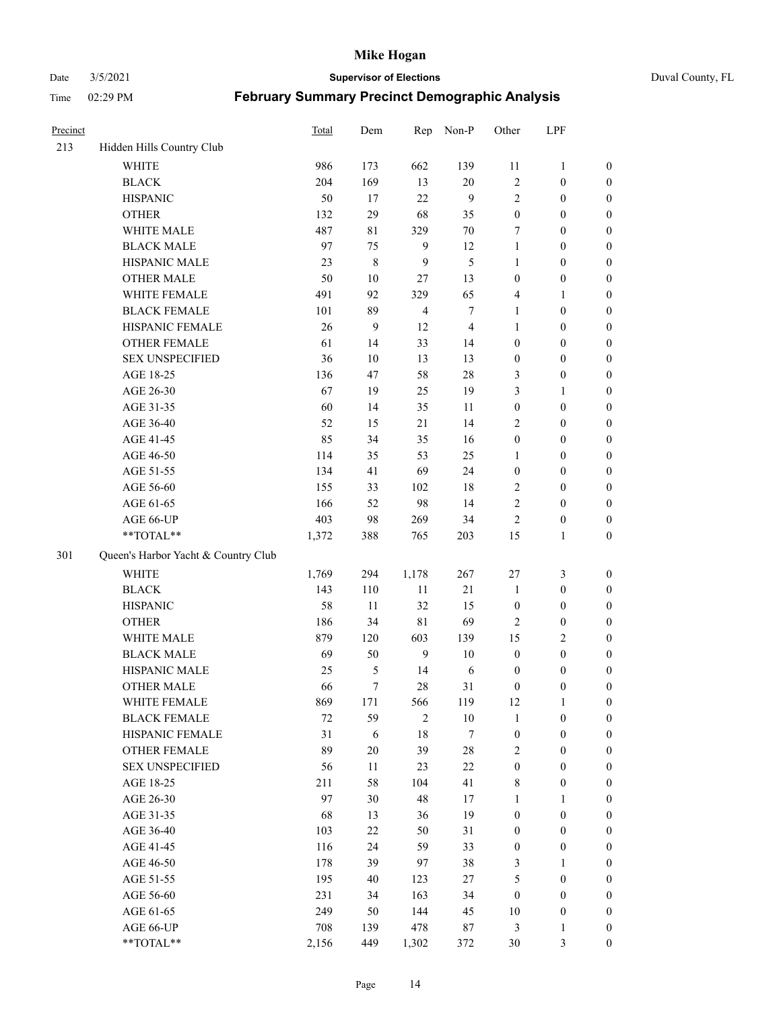Date 3/5/2021 **Supervisor of Elections** Duval County, FL

| Precinct |                                     | <b>Total</b> | Dem       | Rep            | Non-P          | Other            | LPF              |                  |
|----------|-------------------------------------|--------------|-----------|----------------|----------------|------------------|------------------|------------------|
| 213      | Hidden Hills Country Club           |              |           |                |                |                  |                  |                  |
|          | <b>WHITE</b>                        | 986          | 173       | 662            | 139            | 11               | $\mathbf{1}$     | 0                |
|          | <b>BLACK</b>                        | 204          | 169       | 13             | 20             | $\mathbf{2}$     | $\boldsymbol{0}$ | $\boldsymbol{0}$ |
|          | <b>HISPANIC</b>                     | 50           | 17        | 22             | 9              | $\overline{2}$   | $\boldsymbol{0}$ | $\boldsymbol{0}$ |
|          | <b>OTHER</b>                        | 132          | 29        | 68             | 35             | $\boldsymbol{0}$ | $\boldsymbol{0}$ | $\boldsymbol{0}$ |
|          | WHITE MALE                          | 487          | 81        | 329            | $70\,$         | 7                | $\boldsymbol{0}$ | $\boldsymbol{0}$ |
|          | <b>BLACK MALE</b>                   | 97           | 75        | $\overline{9}$ | 12             | $\mathbf{1}$     | $\boldsymbol{0}$ | $\boldsymbol{0}$ |
|          | HISPANIC MALE                       | 23           | $\,$ $\,$ | 9              | 5              | $\mathbf{1}$     | $\boldsymbol{0}$ | $\boldsymbol{0}$ |
|          | <b>OTHER MALE</b>                   | 50           | $10\,$    | 27             | 13             | $\boldsymbol{0}$ | $\boldsymbol{0}$ | $\boldsymbol{0}$ |
|          | WHITE FEMALE                        | 491          | 92        | 329            | 65             | 4                | 1                | $\boldsymbol{0}$ |
|          | <b>BLACK FEMALE</b>                 | 101          | 89        | $\overline{4}$ | $\tau$         | $\mathbf{1}$     | $\boldsymbol{0}$ | $\boldsymbol{0}$ |
|          | HISPANIC FEMALE                     | 26           | 9         | 12             | $\overline{4}$ | $\mathbf{1}$     | $\boldsymbol{0}$ | 0                |
|          | <b>OTHER FEMALE</b>                 | 61           | 14        | 33             | 14             | $\boldsymbol{0}$ | $\boldsymbol{0}$ | $\boldsymbol{0}$ |
|          | <b>SEX UNSPECIFIED</b>              | 36           | 10        | 13             | 13             | $\boldsymbol{0}$ | $\boldsymbol{0}$ | $\boldsymbol{0}$ |
|          | AGE 18-25                           | 136          | 47        | 58             | $28\,$         | 3                | $\boldsymbol{0}$ | $\boldsymbol{0}$ |
|          | AGE 26-30                           | 67           | 19        | 25             | 19             | 3                | $\mathbf{1}$     | $\boldsymbol{0}$ |
|          | AGE 31-35                           | 60           | 14        | 35             | 11             | $\boldsymbol{0}$ | $\boldsymbol{0}$ | $\boldsymbol{0}$ |
|          | AGE 36-40                           | 52           | 15        | 21             | 14             | 2                | $\boldsymbol{0}$ | $\boldsymbol{0}$ |
|          | AGE 41-45                           | 85           | 34        | 35             | 16             | $\boldsymbol{0}$ | $\boldsymbol{0}$ | $\boldsymbol{0}$ |
|          | AGE 46-50                           | 114          | 35        | 53             | 25             | 1                | $\boldsymbol{0}$ | $\boldsymbol{0}$ |
|          | AGE 51-55                           | 134          | 41        | 69             | 24             | $\boldsymbol{0}$ | $\boldsymbol{0}$ | $\boldsymbol{0}$ |
|          | AGE 56-60                           | 155          | 33        | 102            | 18             | 2                | $\boldsymbol{0}$ | 0                |
|          | AGE 61-65                           | 166          | 52        | 98             | 14             | $\mathfrak{2}$   | $\boldsymbol{0}$ | $\boldsymbol{0}$ |
|          | AGE 66-UP                           | 403          | 98        | 269            | 34             | $\overline{2}$   | $\boldsymbol{0}$ | $\boldsymbol{0}$ |
|          | **TOTAL**                           | 1,372        | 388       | 765            | 203            | 15               | $\mathbf{1}$     | $\boldsymbol{0}$ |
| 301      | Queen's Harbor Yacht & Country Club |              |           |                |                |                  |                  |                  |
|          | WHITE                               | 1,769        | 294       | 1,178          | 267            | 27               | $\mathfrak{Z}$   | $\boldsymbol{0}$ |
|          | <b>BLACK</b>                        | 143          | 110       | $11\,$         | $21\,$         | $\mathbf{1}$     | $\boldsymbol{0}$ | $\boldsymbol{0}$ |
|          | <b>HISPANIC</b>                     | 58           | 11        | 32             | 15             | $\boldsymbol{0}$ | $\boldsymbol{0}$ | $\boldsymbol{0}$ |
|          | <b>OTHER</b>                        | 186          | 34        | $8\sqrt{1}$    | 69             | 2                | $\boldsymbol{0}$ | $\boldsymbol{0}$ |
|          | WHITE MALE                          | 879          | 120       | 603            | 139            | 15               | $\overline{2}$   | $\boldsymbol{0}$ |
|          | <b>BLACK MALE</b>                   | 69           | 50        | $\overline{9}$ | $10\,$         | $\boldsymbol{0}$ | $\boldsymbol{0}$ | $\boldsymbol{0}$ |
|          | HISPANIC MALE                       | 25           | 5         | 14             | 6              | $\boldsymbol{0}$ | $\boldsymbol{0}$ | $\boldsymbol{0}$ |
|          | OTHER MALE                          | 66           | $\tau$    | 28             | 31             | $\boldsymbol{0}$ | $\boldsymbol{0}$ | $\boldsymbol{0}$ |
|          | WHITE FEMALE                        | 869          | 171       | 566            | 119            | 12               | 1                | 0                |
|          | <b>BLACK FEMALE</b>                 | 72           | 59        | $\mathfrak{2}$ | $10\,$         | $\mathbf{1}$     | $\boldsymbol{0}$ | $\boldsymbol{0}$ |
|          | HISPANIC FEMALE                     | 31           | 6         | 18             | 7              | $\boldsymbol{0}$ | $\boldsymbol{0}$ | $\overline{0}$   |
|          | <b>OTHER FEMALE</b>                 | 89           | $20\,$    | 39             | $28\,$         | 2                | $\boldsymbol{0}$ | $\overline{0}$   |
|          | <b>SEX UNSPECIFIED</b>              | 56           | 11        | 23             | $22\,$         | $\boldsymbol{0}$ | $\boldsymbol{0}$ | 0                |
|          | AGE 18-25                           | 211          | 58        | 104            | 41             | 8                | $\boldsymbol{0}$ | $\theta$         |
|          | AGE 26-30                           | 97           | 30        | 48             | 17             | $\mathbf{1}$     | $\mathbf{1}$     | 0                |
|          | AGE 31-35                           | 68           | 13        | 36             | 19             | $\boldsymbol{0}$ | $\boldsymbol{0}$ | 0                |
|          | AGE 36-40                           | 103          | $22\,$    | 50             | 31             | $\boldsymbol{0}$ | $\boldsymbol{0}$ | 0                |
|          | AGE 41-45                           | 116          | 24        | 59             | 33             | $\boldsymbol{0}$ | $\boldsymbol{0}$ | 0                |
|          | AGE 46-50                           | 178          | 39        | 97             | 38             | 3                | 1                | 0                |
|          | AGE 51-55                           | 195          | 40        | 123            | 27             | 5                | $\boldsymbol{0}$ | 0                |
|          | AGE 56-60                           | 231          | 34        | 163            | 34             | $\boldsymbol{0}$ | $\boldsymbol{0}$ | $\overline{0}$   |
|          | AGE 61-65                           | 249          | 50        | 144            | 45             | 10               | $\boldsymbol{0}$ | $\overline{0}$   |
|          | AGE 66-UP                           | 708          | 139       | 478            | $87\,$         | 3                | $\mathbf{1}$     | 0                |
|          | **TOTAL**                           | 2,156        | 449       | 1,302          | 372            | 30               | 3                | $\boldsymbol{0}$ |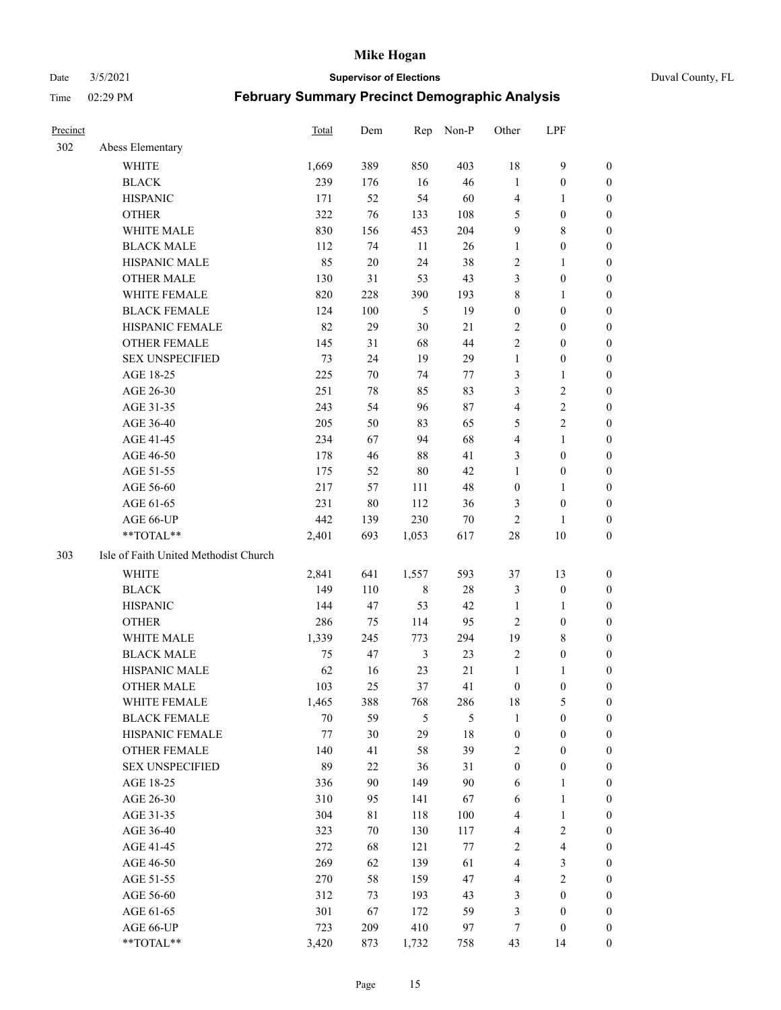#### Date 3/5/2021 **Supervisor of Elections** Duval County, FL

| Precinct |                                       | <b>Total</b> | Dem    | Rep            | Non-P  | Other            | LPF                     |                  |
|----------|---------------------------------------|--------------|--------|----------------|--------|------------------|-------------------------|------------------|
| 302      | Abess Elementary                      |              |        |                |        |                  |                         |                  |
|          | <b>WHITE</b>                          | 1,669        | 389    | 850            | 403    | 18               | $\mathbf{9}$            | 0                |
|          | <b>BLACK</b>                          | 239          | 176    | 16             | 46     | $\mathbf{1}$     | $\boldsymbol{0}$        | 0                |
|          | <b>HISPANIC</b>                       | 171          | 52     | 54             | 60     | $\overline{4}$   | $\mathbf{1}$            | $\boldsymbol{0}$ |
|          | <b>OTHER</b>                          | 322          | 76     | 133            | 108    | 5                | $\boldsymbol{0}$        | $\boldsymbol{0}$ |
|          | WHITE MALE                            | 830          | 156    | 453            | 204    | 9                | $8\,$                   | $\boldsymbol{0}$ |
|          | <b>BLACK MALE</b>                     | 112          | 74     | 11             | 26     | $\mathbf{1}$     | $\boldsymbol{0}$        | $\boldsymbol{0}$ |
|          | HISPANIC MALE                         | 85           | $20\,$ | 24             | 38     | 2                | $\mathbf{1}$            | $\boldsymbol{0}$ |
|          | <b>OTHER MALE</b>                     | 130          | 31     | 53             | 43     | 3                | $\boldsymbol{0}$        | $\boldsymbol{0}$ |
|          | WHITE FEMALE                          | 820          | 228    | 390            | 193    | $\,$ $\,$        | $\mathbf{1}$            | $\boldsymbol{0}$ |
|          | <b>BLACK FEMALE</b>                   | 124          | 100    | 5              | 19     | $\boldsymbol{0}$ | $\boldsymbol{0}$        | 0                |
|          | HISPANIC FEMALE                       | 82           | 29     | 30             | 21     | $\mathbf{2}$     | $\boldsymbol{0}$        | 0                |
|          | <b>OTHER FEMALE</b>                   | 145          | 31     | 68             | 44     | $\overline{c}$   | $\boldsymbol{0}$        | $\boldsymbol{0}$ |
|          | <b>SEX UNSPECIFIED</b>                | 73           | 24     | 19             | 29     | $\mathbf{1}$     | $\boldsymbol{0}$        | $\boldsymbol{0}$ |
|          | AGE 18-25                             | 225          | 70     | 74             | 77     | 3                | $\mathbf{1}$            | $\boldsymbol{0}$ |
|          | AGE 26-30                             | 251          | 78     | 85             | 83     | 3                | $\sqrt{2}$              | $\boldsymbol{0}$ |
|          | AGE 31-35                             | 243          | 54     | 96             | $87\,$ | 4                | $\sqrt{2}$              | $\boldsymbol{0}$ |
|          | AGE 36-40                             | 205          | 50     | 83             | 65     | 5                | $\sqrt{2}$              | $\boldsymbol{0}$ |
|          | AGE 41-45                             | 234          | 67     | 94             | 68     | 4                | $\mathbf{1}$            | $\boldsymbol{0}$ |
|          | AGE 46-50                             | 178          | 46     | $88\,$         | 41     | 3                | $\boldsymbol{0}$        | $\boldsymbol{0}$ |
|          | AGE 51-55                             | 175          | 52     | $80\,$         | 42     | $\mathbf{1}$     | $\boldsymbol{0}$        | 0                |
|          | AGE 56-60                             | 217          | 57     | 111            | 48     | $\boldsymbol{0}$ | $\mathbf{1}$            | 0                |
|          | AGE 61-65                             | 231          | 80     | 112            | 36     | 3                | $\boldsymbol{0}$        | 0                |
|          | AGE 66-UP                             | 442          | 139    | 230            | $70\,$ | $\mathbf{2}$     | 1                       | $\boldsymbol{0}$ |
|          | $**TOTAL**$                           | 2,401        | 693    | 1,053          | 617    | $28\,$           | $10\,$                  | $\boldsymbol{0}$ |
| 303      | Isle of Faith United Methodist Church |              |        |                |        |                  |                         |                  |
|          | <b>WHITE</b>                          | 2,841        | 641    | 1,557          | 593    | 37               | 13                      | $\boldsymbol{0}$ |
|          | <b>BLACK</b>                          | 149          | 110    | $\,$ 8 $\,$    | $28\,$ | 3                | $\boldsymbol{0}$        | $\boldsymbol{0}$ |
|          | <b>HISPANIC</b>                       | 144          | 47     | 53             | 42     | $\mathbf{1}$     | $\mathbf{1}$            | $\boldsymbol{0}$ |
|          | <b>OTHER</b>                          | 286          | 75     | 114            | 95     | $\overline{c}$   | $\boldsymbol{0}$        | $\boldsymbol{0}$ |
|          | <b>WHITE MALE</b>                     | 1,339        | 245    | 773            | 294    | 19               | $\,$ 8 $\,$             | $\boldsymbol{0}$ |
|          | <b>BLACK MALE</b>                     | 75           | 47     | $\mathfrak{Z}$ | 23     | $\mathfrak{2}$   | $\boldsymbol{0}$        | $\boldsymbol{0}$ |
|          | HISPANIC MALE                         | 62           | 16     | 23             | 21     | $\mathbf{1}$     | 1                       | 0                |
|          | <b>OTHER MALE</b>                     | 103          | 25     | 37             | 41     | $\boldsymbol{0}$ | $\boldsymbol{0}$        | 0                |
|          | WHITE FEMALE                          | 1,465        | 388    | 768            | 286    | 18               | 5                       | 0                |
|          | <b>BLACK FEMALE</b>                   | 70           | 59     | 5              | 5      | $\mathbf{1}$     | $\boldsymbol{0}$        | $\boldsymbol{0}$ |
|          | HISPANIC FEMALE                       | $77 \,$      | 30     | 29             | $18\,$ | $\boldsymbol{0}$ | $\boldsymbol{0}$        | $\overline{0}$   |
|          | OTHER FEMALE                          | 140          | 41     | 58             | 39     | 2                | $\boldsymbol{0}$        | $\overline{0}$   |
|          | <b>SEX UNSPECIFIED</b>                | 89           | $22\,$ | 36             | 31     | $\boldsymbol{0}$ | $\boldsymbol{0}$        | 0                |
|          | AGE 18-25                             | 336          | 90     | 149            | $90\,$ | 6                | $\mathbf{1}$            | $\overline{0}$   |
|          | AGE 26-30                             | 310          | 95     | 141            | 67     | 6                | $\mathbf{1}$            | 0                |
|          | AGE 31-35                             | 304          | 81     | 118            | 100    | 4                | $\mathbf{1}$            | 0                |
|          | AGE 36-40                             | 323          | 70     | 130            | 117    | 4                | $\sqrt{2}$              | 0                |
|          | AGE 41-45                             | 272          | 68     | 121            | $77\,$ | $\mathbf{2}$     | $\overline{\mathbf{4}}$ | 0                |
|          | AGE 46-50                             | 269          | 62     | 139            | 61     | 4                | $\mathfrak{Z}$          | 0                |
|          | AGE 51-55                             | 270          | 58     | 159            | 47     | 4                | $\overline{2}$          | $\boldsymbol{0}$ |
|          | AGE 56-60                             | 312          | 73     | 193            | 43     | 3                | $\boldsymbol{0}$        | $\boldsymbol{0}$ |
|          | AGE 61-65                             | 301          | 67     | 172            | 59     | 3                | $\boldsymbol{0}$        | $\boldsymbol{0}$ |
|          | AGE 66-UP                             | 723          | 209    | 410            | 97     | 7                | $\boldsymbol{0}$        | $\boldsymbol{0}$ |
|          | **TOTAL**                             | 3,420        | 873    | 1,732          | 758    | 43               | 14                      | $\boldsymbol{0}$ |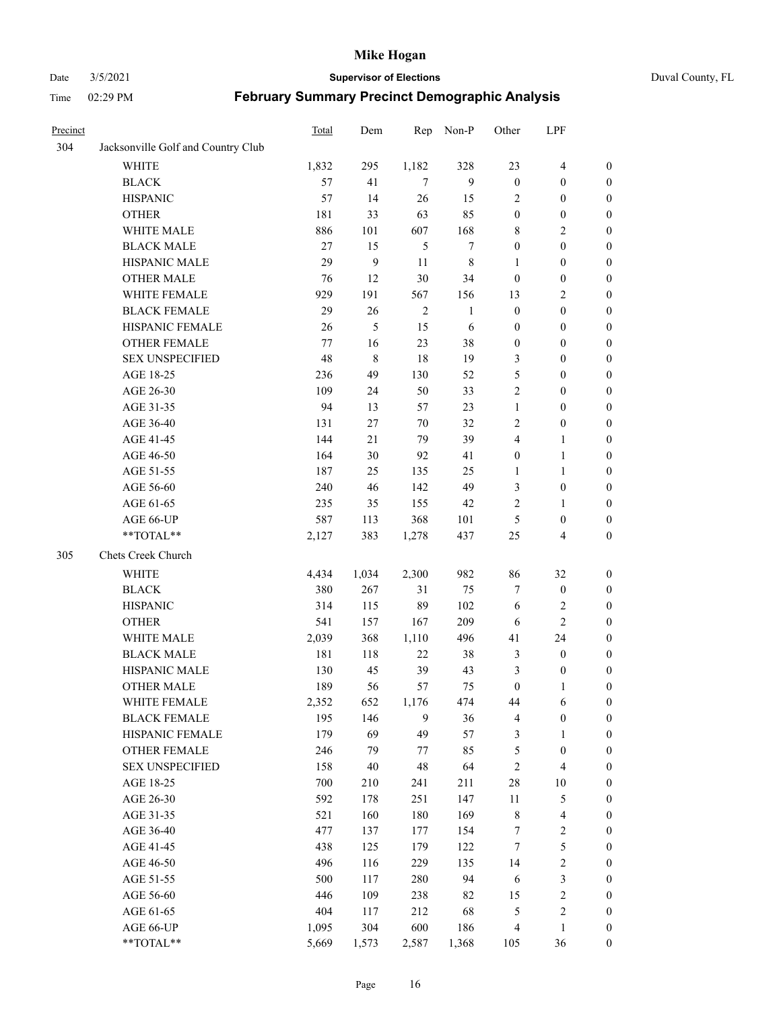#### Date 3/5/2021 **Supervisor of Elections** Duval County, FL

| Precinct |                                    | Total | Dem    | Rep        | Non-P            | Other            | LPF                     |                  |
|----------|------------------------------------|-------|--------|------------|------------------|------------------|-------------------------|------------------|
| 304      | Jacksonville Golf and Country Club |       |        |            |                  |                  |                         |                  |
|          | <b>WHITE</b>                       | 1,832 | 295    | 1,182      | 328              | 23               | $\overline{4}$          | 0                |
|          | <b>BLACK</b>                       | 57    | 41     | $\tau$     | 9                | $\boldsymbol{0}$ | $\boldsymbol{0}$        | 0                |
|          | <b>HISPANIC</b>                    | 57    | 14     | 26         | 15               | 2                | $\boldsymbol{0}$        | $\boldsymbol{0}$ |
|          | <b>OTHER</b>                       | 181   | 33     | 63         | 85               | $\boldsymbol{0}$ | $\boldsymbol{0}$        | $\boldsymbol{0}$ |
|          | WHITE MALE                         | 886   | 101    | 607        | 168              | 8                | $\sqrt{2}$              | $\boldsymbol{0}$ |
|          | <b>BLACK MALE</b>                  | 27    | 15     | 5          | $\boldsymbol{7}$ | $\boldsymbol{0}$ | $\boldsymbol{0}$        | $\boldsymbol{0}$ |
|          | HISPANIC MALE                      | 29    | 9      | 11         | $\,$ 8 $\,$      | $\mathbf{1}$     | $\boldsymbol{0}$        | $\boldsymbol{0}$ |
|          | <b>OTHER MALE</b>                  | 76    | 12     | $30\,$     | 34               | $\boldsymbol{0}$ | $\boldsymbol{0}$        | $\boldsymbol{0}$ |
|          | WHITE FEMALE                       | 929   | 191    | 567        | 156              | 13               | $\mathfrak{2}$          | $\boldsymbol{0}$ |
|          | <b>BLACK FEMALE</b>                | 29    | 26     | $\sqrt{2}$ | $\mathbf{1}$     | $\boldsymbol{0}$ | $\boldsymbol{0}$        | $\boldsymbol{0}$ |
|          | HISPANIC FEMALE                    | 26    | 5      | 15         | 6                | $\boldsymbol{0}$ | $\boldsymbol{0}$        | 0                |
|          | <b>OTHER FEMALE</b>                | 77    | 16     | 23         | 38               | $\boldsymbol{0}$ | $\boldsymbol{0}$        | 0                |
|          | <b>SEX UNSPECIFIED</b>             | 48    | 8      | 18         | 19               | 3                | $\boldsymbol{0}$        | $\boldsymbol{0}$ |
|          | AGE 18-25                          | 236   | 49     | 130        | 52               | 5                | $\boldsymbol{0}$        | $\boldsymbol{0}$ |
|          | AGE 26-30                          | 109   | 24     | 50         | 33               | 2                | $\boldsymbol{0}$        | $\boldsymbol{0}$ |
|          | AGE 31-35                          | 94    | 13     | 57         | 23               | $\mathbf{1}$     | $\boldsymbol{0}$        | $\boldsymbol{0}$ |
|          | AGE 36-40                          | 131   | 27     | 70         | 32               | $\overline{c}$   | $\boldsymbol{0}$        | $\boldsymbol{0}$ |
|          | AGE 41-45                          | 144   | 21     | 79         | 39               | 4                | $\mathbf{1}$            | $\boldsymbol{0}$ |
|          | AGE 46-50                          | 164   | 30     | 92         | 41               | $\boldsymbol{0}$ | $\mathbf{1}$            | $\boldsymbol{0}$ |
|          | AGE 51-55                          | 187   | 25     | 135        | 25               | 1                | $\mathbf{1}$            | 0                |
|          | AGE 56-60                          | 240   | 46     | 142        | 49               | 3                | $\boldsymbol{0}$        | 0                |
|          | AGE 61-65                          | 235   | 35     | 155        | 42               | $\overline{c}$   | $\mathbf{1}$            | 0                |
|          | AGE 66-UP                          | 587   | 113    | 368        | 101              | 5                | $\boldsymbol{0}$        | $\boldsymbol{0}$ |
|          | **TOTAL**                          | 2,127 | 383    | 1,278      | 437              | $25\,$           | $\overline{\mathbf{4}}$ | $\boldsymbol{0}$ |
| 305      | Chets Creek Church                 |       |        |            |                  |                  |                         |                  |
|          | <b>WHITE</b>                       | 4,434 | 1,034  | 2,300      | 982              | 86               | 32                      | $\boldsymbol{0}$ |
|          | <b>BLACK</b>                       | 380   | 267    | 31         | 75               | 7                | $\boldsymbol{0}$        | $\boldsymbol{0}$ |
|          | <b>HISPANIC</b>                    | 314   | 115    | 89         | 102              | 6                | $\mathfrak{2}$          | $\boldsymbol{0}$ |
|          | <b>OTHER</b>                       | 541   | 157    | 167        | 209              | 6                | $\overline{c}$          | $\boldsymbol{0}$ |
|          | WHITE MALE                         | 2,039 | 368    | 1,110      | 496              | 41               | 24                      | $\boldsymbol{0}$ |
|          | <b>BLACK MALE</b>                  | 181   | 118    | 22         | 38               | 3                | $\boldsymbol{0}$        | $\boldsymbol{0}$ |
|          | HISPANIC MALE                      | 130   | 45     | 39         | 43               | 3                | $\boldsymbol{0}$        | 0                |
|          | <b>OTHER MALE</b>                  | 189   | 56     | 57         | 75               | $\boldsymbol{0}$ | $\mathbf{1}$            | $\boldsymbol{0}$ |
|          | WHITE FEMALE                       | 2,352 | 652    | 1,176      | 474              | 44               | 6                       | 0                |
|          | <b>BLACK FEMALE</b>                | 195   | 146    | 9          | 36               | 4                | $\boldsymbol{0}$        | $\boldsymbol{0}$ |
|          | HISPANIC FEMALE                    | 179   | 69     | 49         | 57               | 3                | $\mathbf{1}$            | $\boldsymbol{0}$ |
|          | OTHER FEMALE                       | 246   | 79     | 77         | 85               | 5                | $\boldsymbol{0}$        | $\overline{0}$   |
|          | <b>SEX UNSPECIFIED</b>             | 158   | $40\,$ | 48         | 64               | $\sqrt{2}$       | $\overline{\mathbf{4}}$ | 0                |
|          | AGE 18-25                          | 700   | 210    | 241        | 211              | $28\,$           | $10\,$                  | 0                |
|          | AGE 26-30                          | 592   | 178    | 251        | 147              | $11\,$           | $\mathfrak s$           | 0                |
|          | AGE 31-35                          | 521   | 160    | 180        | 169              | $\,$ 8 $\,$      | $\overline{\mathbf{4}}$ | 0                |
|          | AGE 36-40                          | 477   | 137    | 177        | 154              | 7                | $\sqrt{2}$              | 0                |
|          | AGE 41-45                          | 438   | 125    | 179        | 122              | $\tau$           | $\mathfrak s$           | 0                |
|          | AGE 46-50                          | 496   | 116    | 229        | 135              | 14               | $\sqrt{2}$              | 0                |
|          | AGE 51-55                          | 500   | 117    | 280        | 94               | 6                | $\mathfrak{Z}$          | 0                |
|          | AGE 56-60                          | 446   | 109    | 238        | 82               | 15               | $\sqrt{2}$              | 0                |
|          | AGE 61-65                          | 404   | 117    | 212        | 68               | 5                | $\sqrt{2}$              | $\boldsymbol{0}$ |
|          | AGE 66-UP                          | 1,095 | 304    | 600        | 186              | $\overline{4}$   | $\mathbf{1}$            | $\boldsymbol{0}$ |
|          | **TOTAL**                          | 5,669 | 1,573  | 2,587      | 1,368            | 105              | 36                      | $\boldsymbol{0}$ |
|          |                                    |       |        |            |                  |                  |                         |                  |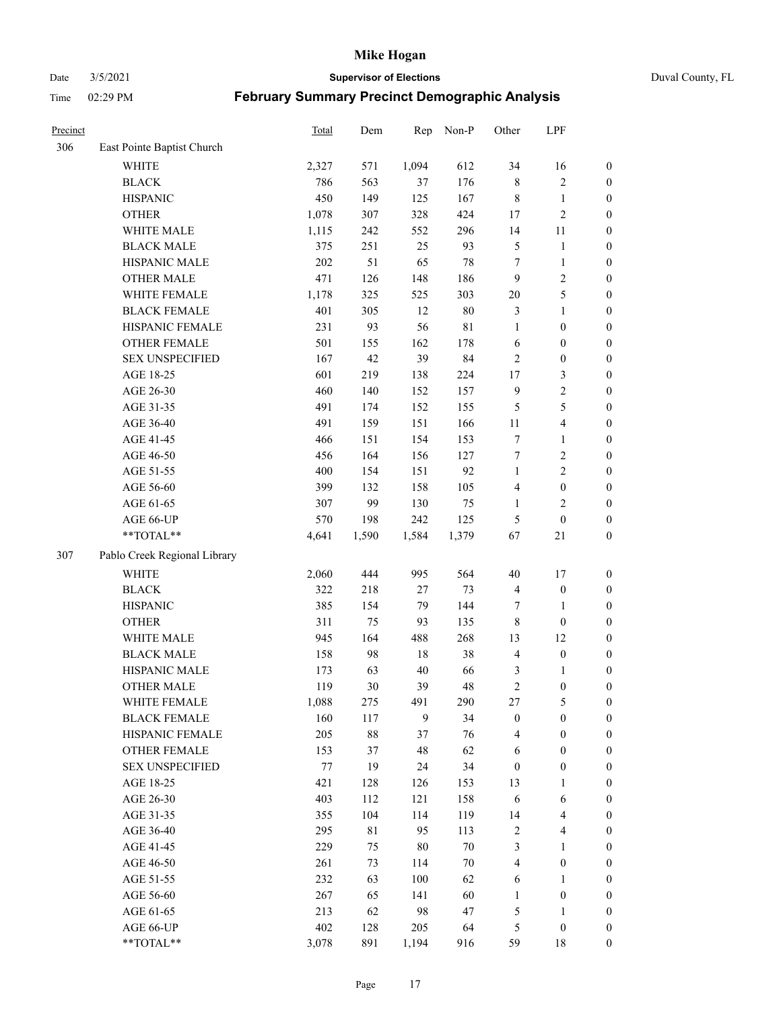Date 3/5/2021 **Supervisor of Elections** Duval County, FL

| Precinct |                              | Total | Dem   | Rep    | Non-P  | Other            | LPF                     |                  |
|----------|------------------------------|-------|-------|--------|--------|------------------|-------------------------|------------------|
| 306      | East Pointe Baptist Church   |       |       |        |        |                  |                         |                  |
|          | <b>WHITE</b>                 | 2,327 | 571   | 1,094  | 612    | 34               | 16                      | 0                |
|          | <b>BLACK</b>                 | 786   | 563   | 37     | 176    | $\,$ 8 $\,$      | $\sqrt{2}$              | $\boldsymbol{0}$ |
|          | <b>HISPANIC</b>              | 450   | 149   | 125    | 167    | $\,$ 8 $\,$      | $\mathbf{1}$            | $\boldsymbol{0}$ |
|          | <b>OTHER</b>                 | 1,078 | 307   | 328    | 424    | 17               | $\sqrt{2}$              | $\boldsymbol{0}$ |
|          | WHITE MALE                   | 1,115 | 242   | 552    | 296    | 14               | 11                      | $\boldsymbol{0}$ |
|          | <b>BLACK MALE</b>            | 375   | 251   | 25     | 93     | 5                | $\mathbf{1}$            | $\boldsymbol{0}$ |
|          | HISPANIC MALE                | 202   | 51    | 65     | 78     | 7                | $\mathbf{1}$            | $\boldsymbol{0}$ |
|          | <b>OTHER MALE</b>            | 471   | 126   | 148    | 186    | 9                | $\overline{2}$          | $\boldsymbol{0}$ |
|          | WHITE FEMALE                 | 1,178 | 325   | 525    | 303    | $20\,$           | $\mathfrak s$           | $\boldsymbol{0}$ |
|          | <b>BLACK FEMALE</b>          | 401   | 305   | 12     | $80\,$ | 3                | $\mathbf{1}$            | $\boldsymbol{0}$ |
|          | HISPANIC FEMALE              | 231   | 93    | 56     | 81     | $\mathbf{1}$     | $\boldsymbol{0}$        | 0                |
|          | OTHER FEMALE                 | 501   | 155   | 162    | 178    | $\sqrt{6}$       | $\boldsymbol{0}$        | $\boldsymbol{0}$ |
|          | <b>SEX UNSPECIFIED</b>       | 167   | 42    | 39     | 84     | $\sqrt{2}$       | $\boldsymbol{0}$        | $\boldsymbol{0}$ |
|          | AGE 18-25                    | 601   | 219   | 138    | 224    | 17               | $\mathfrak{Z}$          | $\boldsymbol{0}$ |
|          | AGE 26-30                    | 460   | 140   | 152    | 157    | $\mathbf{9}$     | $\sqrt{2}$              | $\boldsymbol{0}$ |
|          | AGE 31-35                    | 491   | 174   | 152    | 155    | 5                | $\mathfrak s$           | $\boldsymbol{0}$ |
|          | AGE 36-40                    | 491   | 159   | 151    | 166    | $11\,$           | $\overline{\mathbf{4}}$ | $\boldsymbol{0}$ |
|          | AGE 41-45                    | 466   | 151   | 154    | 153    | $\tau$           | $\mathbf{1}$            | $\boldsymbol{0}$ |
|          | AGE 46-50                    | 456   | 164   | 156    | 127    | 7                | $\sqrt{2}$              | $\boldsymbol{0}$ |
|          | AGE 51-55                    | 400   | 154   | 151    | 92     | $\mathbf{1}$     | $\sqrt{2}$              | $\boldsymbol{0}$ |
|          | AGE 56-60                    | 399   | 132   | 158    | 105    | $\overline{4}$   | $\boldsymbol{0}$        | 0                |
|          | AGE 61-65                    | 307   | 99    | 130    | 75     | $\mathbf{1}$     | $\mathbf{2}$            | $\boldsymbol{0}$ |
|          | AGE 66-UP                    | 570   | 198   | 242    | 125    | 5                | $\boldsymbol{0}$        | $\boldsymbol{0}$ |
|          | $**TOTAL**$                  | 4,641 | 1,590 | 1,584  | 1,379  | 67               | 21                      | $\boldsymbol{0}$ |
| 307      | Pablo Creek Regional Library |       |       |        |        |                  |                         |                  |
|          | <b>WHITE</b>                 | 2,060 | 444   | 995    | 564    | 40               | 17                      | $\boldsymbol{0}$ |
|          | <b>BLACK</b>                 | 322   | 218   | $27\,$ | 73     | 4                | $\boldsymbol{0}$        | $\boldsymbol{0}$ |
|          | <b>HISPANIC</b>              | 385   | 154   | 79     | 144    | 7                | $\mathbf{1}$            | $\boldsymbol{0}$ |
|          | <b>OTHER</b>                 | 311   | 75    | 93     | 135    | $\,$ 8 $\,$      | $\boldsymbol{0}$        | $\boldsymbol{0}$ |
|          | WHITE MALE                   | 945   | 164   | 488    | 268    | 13               | 12                      | $\boldsymbol{0}$ |
|          | <b>BLACK MALE</b>            | 158   | 98    | 18     | 38     | $\overline{4}$   | $\boldsymbol{0}$        | $\boldsymbol{0}$ |
|          | HISPANIC MALE                | 173   | 63    | 40     | 66     | 3                | 1                       | $\boldsymbol{0}$ |
|          | <b>OTHER MALE</b>            | 119   | 30    | 39     | 48     | $\sqrt{2}$       | $\boldsymbol{0}$        | $\boldsymbol{0}$ |
|          | WHITE FEMALE                 | 1,088 | 275   | 491    | 290    | 27               | 5                       | 0                |
|          | <b>BLACK FEMALE</b>          | 160   | 117   | 9      | 34     | $\boldsymbol{0}$ | $\boldsymbol{0}$        | $\boldsymbol{0}$ |
|          | HISPANIC FEMALE              | 205   | 88    | 37     | 76     | 4                | $\boldsymbol{0}$        | $\overline{0}$   |
|          | <b>OTHER FEMALE</b>          | 153   | 37    | 48     | 62     | 6                | $\boldsymbol{0}$        | $\overline{0}$   |
|          | <b>SEX UNSPECIFIED</b>       | 77    | 19    | 24     | 34     | $\boldsymbol{0}$ | $\boldsymbol{0}$        | 0                |
|          | AGE 18-25                    | 421   | 128   | 126    | 153    | 13               | $\mathbf{1}$            | $\overline{0}$   |
|          | AGE 26-30                    | 403   | 112   | 121    | 158    | 6                | 6                       | 0                |
|          | AGE 31-35                    | 355   | 104   | 114    | 119    | 14               | $\overline{\mathbf{4}}$ | 0                |
|          | AGE 36-40                    | 295   | 81    | 95     | 113    | $\overline{c}$   | $\overline{\mathbf{4}}$ | 0                |
|          | AGE 41-45                    | 229   | 75    | $80\,$ | $70\,$ | 3                | $\mathbf{1}$            | 0                |
|          | AGE 46-50                    | 261   | 73    | 114    | $70\,$ | 4                | $\boldsymbol{0}$        | 0                |
|          | AGE 51-55                    | 232   | 63    | 100    | 62     | 6                | $\mathbf{1}$            | 0                |
|          | AGE 56-60                    | 267   | 65    | 141    | 60     | 1                | $\boldsymbol{0}$        | $\overline{0}$   |
|          | AGE 61-65                    | 213   | 62    | 98     | 47     | 5                | $\mathbf{1}$            | $\boldsymbol{0}$ |
|          | AGE 66-UP                    | 402   | 128   | 205    | 64     | 5                | $\boldsymbol{0}$        | $\boldsymbol{0}$ |
|          | **TOTAL**                    | 3,078 | 891   | 1,194  | 916    | 59               | 18                      | $\boldsymbol{0}$ |
|          |                              |       |       |        |        |                  |                         |                  |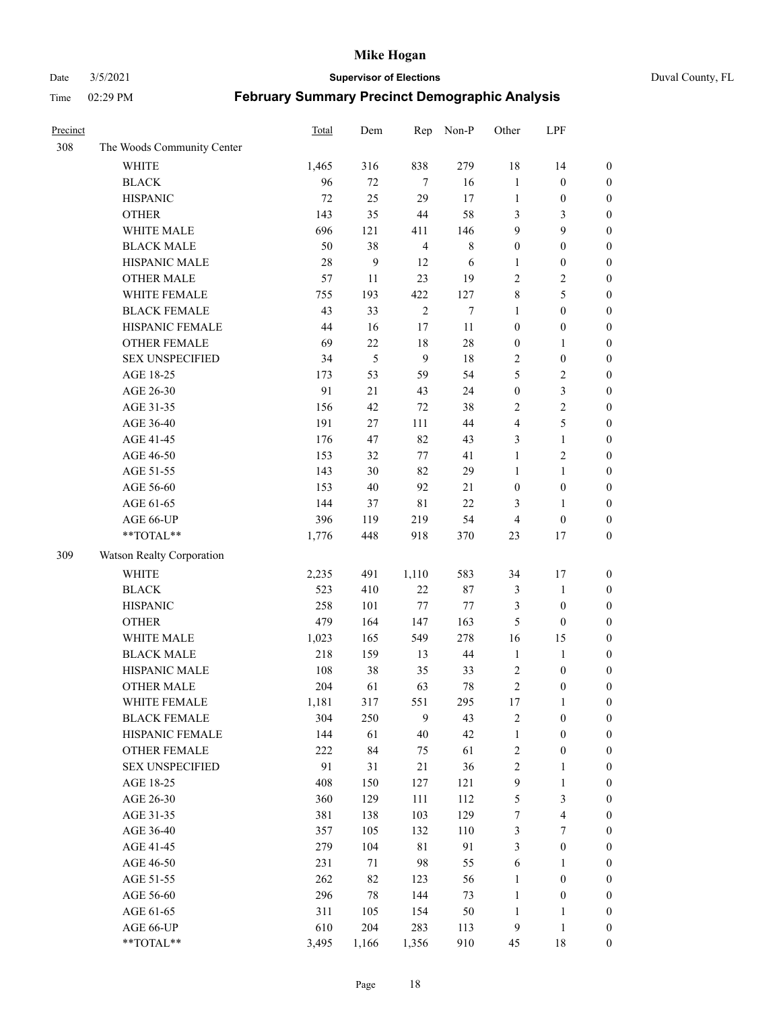#### Date 3/5/2021 **Supervisor of Elections** Duval County, FL

| Precinct |                            | Total | Dem   | Rep            | Non-P       | Other            | LPF                     |                  |
|----------|----------------------------|-------|-------|----------------|-------------|------------------|-------------------------|------------------|
| 308      | The Woods Community Center |       |       |                |             |                  |                         |                  |
|          | <b>WHITE</b>               | 1,465 | 316   | 838            | 279         | 18               | 14                      | $\boldsymbol{0}$ |
|          | <b>BLACK</b>               | 96    | 72    | 7              | 16          | $\mathbf{1}$     | $\boldsymbol{0}$        | $\boldsymbol{0}$ |
|          | <b>HISPANIC</b>            | 72    | 25    | 29             | 17          | $\mathbf{1}$     | $\boldsymbol{0}$        | $\boldsymbol{0}$ |
|          | <b>OTHER</b>               | 143   | 35    | 44             | 58          | 3                | 3                       | $\boldsymbol{0}$ |
|          | WHITE MALE                 | 696   | 121   | 411            | 146         | 9                | 9                       | $\boldsymbol{0}$ |
|          | <b>BLACK MALE</b>          | 50    | 38    | $\overline{4}$ | $\,$ 8 $\,$ | $\boldsymbol{0}$ | $\boldsymbol{0}$        | $\boldsymbol{0}$ |
|          | HISPANIC MALE              | 28    | 9     | 12             | 6           | $\mathbf{1}$     | $\boldsymbol{0}$        | $\boldsymbol{0}$ |
|          | <b>OTHER MALE</b>          | 57    | 11    | 23             | 19          | $\mathbf{2}$     | $\overline{2}$          | $\boldsymbol{0}$ |
|          | WHITE FEMALE               | 755   | 193   | 422            | 127         | $\,$ $\,$        | 5                       | $\boldsymbol{0}$ |
|          | <b>BLACK FEMALE</b>        | 43    | 33    | $\sqrt{2}$     | $\tau$      | $\mathbf{1}$     | $\boldsymbol{0}$        | $\boldsymbol{0}$ |
|          | HISPANIC FEMALE            | 44    | 16    | 17             | 11          | $\boldsymbol{0}$ | $\boldsymbol{0}$        | 0                |
|          | <b>OTHER FEMALE</b>        | 69    | 22    | $18\,$         | $28\,$      | $\boldsymbol{0}$ | $\mathbf{1}$            | $\boldsymbol{0}$ |
|          | <b>SEX UNSPECIFIED</b>     | 34    | 5     | 9              | 18          | $\sqrt{2}$       | $\boldsymbol{0}$        | $\boldsymbol{0}$ |
|          | AGE 18-25                  | 173   | 53    | 59             | 54          | 5                | $\sqrt{2}$              | $\boldsymbol{0}$ |
|          | AGE 26-30                  | 91    | 21    | 43             | 24          | $\boldsymbol{0}$ | $\mathfrak{Z}$          | $\boldsymbol{0}$ |
|          | AGE 31-35                  | 156   | 42    | $72\,$         | 38          | $\sqrt{2}$       | $\sqrt{2}$              | $\boldsymbol{0}$ |
|          | AGE 36-40                  | 191   | 27    | 111            | 44          | 4                | $\mathfrak s$           | $\boldsymbol{0}$ |
|          | AGE 41-45                  | 176   | 47    | 82             | 43          | 3                | $\mathbf{1}$            | $\boldsymbol{0}$ |
|          | AGE 46-50                  | 153   | 32    | 77             | 41          | $\mathbf{1}$     | $\overline{c}$          | $\boldsymbol{0}$ |
|          | AGE 51-55                  | 143   | 30    | 82             | 29          | $\mathbf{1}$     | $\mathbf{1}$            | $\boldsymbol{0}$ |
|          | AGE 56-60                  | 153   | 40    | 92             | 21          | $\boldsymbol{0}$ | $\boldsymbol{0}$        | 0                |
|          | AGE 61-65                  | 144   | 37    | $8\sqrt{1}$    | 22          | 3                | $\mathbf{1}$            | 0                |
|          | AGE 66-UP                  | 396   | 119   | 219            | 54          | $\overline{4}$   | $\boldsymbol{0}$        | $\boldsymbol{0}$ |
|          | $**TOTAL**$                | 1,776 | 448   | 918            | 370         | 23               | 17                      | $\boldsymbol{0}$ |
| 309      | Watson Realty Corporation  |       |       |                |             |                  |                         |                  |
|          | <b>WHITE</b>               | 2,235 | 491   | 1,110          | 583         | 34               | 17                      | $\boldsymbol{0}$ |
|          | <b>BLACK</b>               | 523   | 410   | $22\,$         | 87          | 3                | $\mathbf{1}$            | $\boldsymbol{0}$ |
|          | <b>HISPANIC</b>            | 258   | 101   | $77\,$         | 77          | 3                | $\boldsymbol{0}$        | $\boldsymbol{0}$ |
|          | <b>OTHER</b>               | 479   | 164   | 147            | 163         | 5                | $\boldsymbol{0}$        | $\boldsymbol{0}$ |
|          | WHITE MALE                 | 1,023 | 165   | 549            | 278         | 16               | 15                      | $\boldsymbol{0}$ |
|          | <b>BLACK MALE</b>          | 218   | 159   | 13             | 44          | $\mathbf{1}$     | $\mathbf{1}$            | $\boldsymbol{0}$ |
|          | HISPANIC MALE              | 108   | 38    | 35             | 33          | $\overline{c}$   | $\boldsymbol{0}$        | $\boldsymbol{0}$ |
|          | <b>OTHER MALE</b>          | 204   | 61    | 63             | 78          | $\overline{c}$   | $\boldsymbol{0}$        | $\boldsymbol{0}$ |
|          | WHITE FEMALE               | 1,181 | 317   | 551            | 295         | 17               | $\mathbf{1}$            | 0                |
|          | <b>BLACK FEMALE</b>        | 304   | 250   | 9              | 43          | $\sqrt{2}$       | $\boldsymbol{0}$        | $\boldsymbol{0}$ |
|          | HISPANIC FEMALE            | 144   | 61    | $40\,$         | 42          | $\mathbf{1}$     | $\boldsymbol{0}$        | $\overline{0}$   |
|          | OTHER FEMALE               | 222   | 84    | 75             | 61          | $\boldsymbol{2}$ | $\boldsymbol{0}$        | $\overline{0}$   |
|          | <b>SEX UNSPECIFIED</b>     | 91    | 31    | 21             | 36          | 2                | $\mathbf{1}$            | 0                |
|          | AGE 18-25                  | 408   | 150   | 127            | 121         | 9                | $\mathbf{1}$            | 0                |
|          | AGE 26-30                  | 360   | 129   | 111            | 112         | $\mathfrak s$    | $\mathfrak{Z}$          | 0                |
|          | AGE 31-35                  | 381   | 138   | 103            | 129         | 7                | $\overline{\mathbf{4}}$ | 0                |
|          | AGE 36-40                  | 357   | 105   | 132            | 110         | 3                | $\boldsymbol{7}$        | 0                |
|          | AGE 41-45                  | 279   | 104   | $8\sqrt{1}$    | 91          | 3                | $\boldsymbol{0}$        | 0                |
|          | AGE 46-50                  | 231   | 71    | 98             | 55          | 6                | $\mathbf{1}$            | 0                |
|          | AGE 51-55                  | 262   | 82    | 123            | 56          | $\mathbf{1}$     | $\boldsymbol{0}$        | 0                |
|          | AGE 56-60                  | 296   | 78    | 144            | 73          | $\mathbf{1}$     | $\boldsymbol{0}$        | $\boldsymbol{0}$ |
|          | AGE 61-65                  | 311   | 105   | 154            | 50          | $\mathbf{1}$     | $\mathbf{1}$            | $\boldsymbol{0}$ |
|          | AGE 66-UP                  | 610   | 204   | 283            | 113         | 9                | $\mathbf{1}$            | $\boldsymbol{0}$ |
|          | **TOTAL**                  | 3,495 | 1,166 | 1,356          | 910         | 45               | 18                      | $\boldsymbol{0}$ |
|          |                            |       |       |                |             |                  |                         |                  |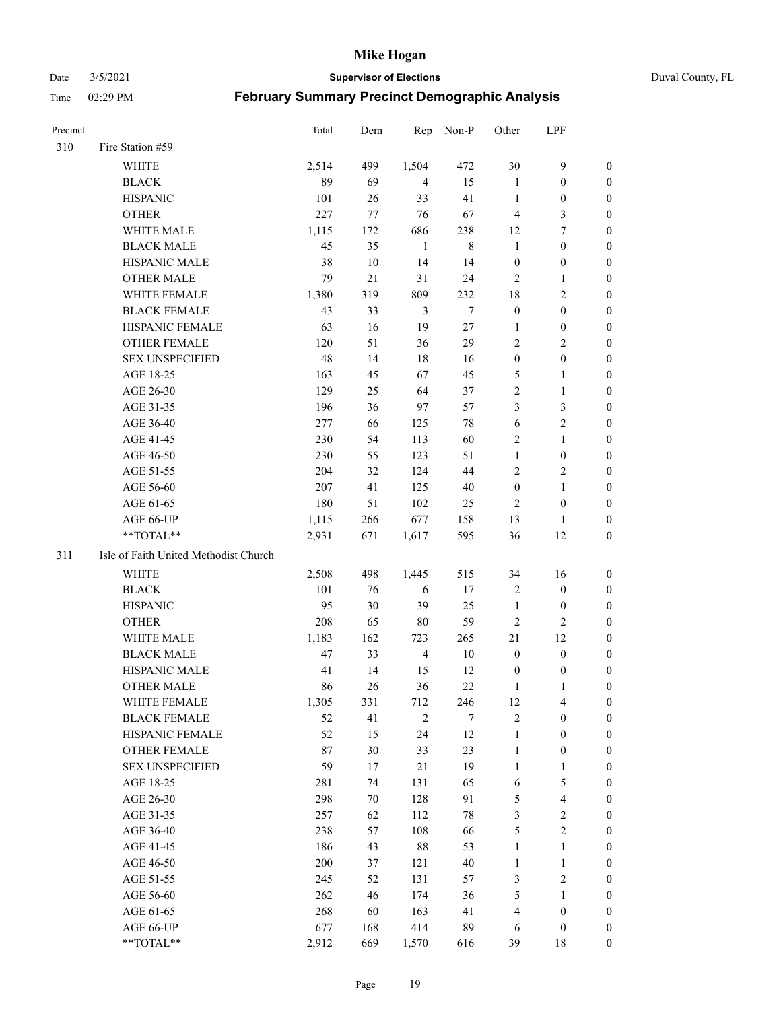#### Date 3/5/2021 **Supervisor of Elections** Duval County, FL

| <b>Precinct</b> |                                       | Total | Dem | Rep            | Non-P   | Other            | LPF                     |                  |
|-----------------|---------------------------------------|-------|-----|----------------|---------|------------------|-------------------------|------------------|
| 310             | Fire Station #59                      |       |     |                |         |                  |                         |                  |
|                 | WHITE                                 | 2,514 | 499 | 1,504          | 472     | 30               | $\mathbf{9}$            | 0                |
|                 | <b>BLACK</b>                          | 89    | 69  | $\overline{4}$ | 15      | $\mathbf{1}$     | $\boldsymbol{0}$        | 0                |
|                 | <b>HISPANIC</b>                       | 101   | 26  | 33             | 41      | $\mathbf{1}$     | $\boldsymbol{0}$        | 0                |
|                 | <b>OTHER</b>                          | 227   | 77  | 76             | 67      | $\overline{4}$   | $\mathfrak{Z}$          | $\boldsymbol{0}$ |
|                 | WHITE MALE                            | 1,115 | 172 | 686            | 238     | 12               | 7                       | $\boldsymbol{0}$ |
|                 | <b>BLACK MALE</b>                     | 45    | 35  | $\mathbf{1}$   | $\,8\,$ | $\mathbf{1}$     | $\boldsymbol{0}$        | 0                |
|                 | HISPANIC MALE                         | 38    | 10  | 14             | 14      | $\boldsymbol{0}$ | $\boldsymbol{0}$        | 0                |
|                 | <b>OTHER MALE</b>                     | 79    | 21  | 31             | 24      | $\mathbf{2}$     | $\mathbf{1}$            | $\boldsymbol{0}$ |
|                 | WHITE FEMALE                          | 1,380 | 319 | 809            | 232     | 18               | $\mathbf{2}$            | 0                |
|                 | <b>BLACK FEMALE</b>                   | 43    | 33  | 3              | $\tau$  | $\boldsymbol{0}$ | $\boldsymbol{0}$        | 0                |
|                 | HISPANIC FEMALE                       | 63    | 16  | 19             | 27      | 1                | $\boldsymbol{0}$        | 0                |
|                 | OTHER FEMALE                          | 120   | 51  | 36             | 29      | $\mathbf{2}$     | $\sqrt{2}$              | 0                |
|                 | <b>SEX UNSPECIFIED</b>                | 48    | 14  | 18             | 16      | $\boldsymbol{0}$ | $\boldsymbol{0}$        | $\boldsymbol{0}$ |
|                 | AGE 18-25                             | 163   | 45  | 67             | 45      | 5                | $\mathbf{1}$            | $\boldsymbol{0}$ |
|                 | AGE 26-30                             | 129   | 25  | 64             | 37      | $\overline{c}$   | $\mathbf{1}$            | $\boldsymbol{0}$ |
|                 | AGE 31-35                             | 196   | 36  | 97             | 57      | 3                | $\mathfrak{Z}$          | $\boldsymbol{0}$ |
|                 | AGE 36-40                             | 277   | 66  | 125            | 78      | 6                | $\sqrt{2}$              | $\boldsymbol{0}$ |
|                 | AGE 41-45                             | 230   | 54  | 113            | 60      | $\mathbf{2}$     | $\mathbf{1}$            | $\boldsymbol{0}$ |
|                 | AGE 46-50                             | 230   | 55  | 123            | 51      | $\mathbf{1}$     | $\boldsymbol{0}$        | 0                |
|                 | AGE 51-55                             | 204   | 32  | 124            | 44      | $\overline{c}$   | $\sqrt{2}$              | 0                |
|                 | AGE 56-60                             | 207   | 41  | 125            | 40      | $\boldsymbol{0}$ | $\mathbf{1}$            | 0                |
|                 | AGE 61-65                             | 180   | 51  | 102            | 25      | 2                | $\boldsymbol{0}$        | 0                |
|                 | AGE 66-UP                             | 1,115 | 266 | 677            | 158     | 13               | $\mathbf{1}$            | 0                |
|                 | **TOTAL**                             | 2,931 | 671 | 1,617          | 595     | 36               | 12                      | $\boldsymbol{0}$ |
| 311             | Isle of Faith United Methodist Church |       |     |                |         |                  |                         |                  |
|                 | <b>WHITE</b>                          | 2,508 | 498 | 1,445          | 515     | 34               | 16                      | $\boldsymbol{0}$ |
|                 | <b>BLACK</b>                          | 101   | 76  | 6              | 17      | $\overline{c}$   | $\boldsymbol{0}$        | $\boldsymbol{0}$ |
|                 | <b>HISPANIC</b>                       | 95    | 30  | 39             | 25      | $\mathbf{1}$     | $\boldsymbol{0}$        | 0                |
|                 | <b>OTHER</b>                          | 208   | 65  | 80             | 59      | $\sqrt{2}$       | $\mathbf{2}$            | $\overline{0}$   |
|                 | WHITE MALE                            | 1,183 | 162 | 723            | 265     | 21               | 12                      | 0                |
|                 | <b>BLACK MALE</b>                     | 47    | 33  | $\overline{4}$ | $10\,$  | $\boldsymbol{0}$ | $\boldsymbol{0}$        | 0                |
|                 | HISPANIC MALE                         | 41    | 14  | 15             | 12      | $\boldsymbol{0}$ | $\boldsymbol{0}$        | 0                |
|                 | <b>OTHER MALE</b>                     | 86    | 26  | 36             | 22      | 1                | 1                       | 0                |
|                 | WHITE FEMALE                          | 1,305 | 331 | 712            | 246     | 12               | 4                       | 0                |
|                 | <b>BLACK FEMALE</b>                   | 52    | 41  | $\overline{2}$ | 7       | $\sqrt{2}$       | $\boldsymbol{0}$        | $\overline{0}$   |
|                 | HISPANIC FEMALE                       | 52    | 15  | 24             | 12      | $\mathbf{1}$     | $\boldsymbol{0}$        | $\overline{0}$   |
|                 | OTHER FEMALE                          | 87    | 30  | 33             | 23      | $\mathbf{1}$     | $\boldsymbol{0}$        | $\overline{0}$   |
|                 | <b>SEX UNSPECIFIED</b>                | 59    | 17  | $21\,$         | 19      | $\mathbf{1}$     | $\mathbf{1}$            | 0                |
|                 | AGE 18-25                             | 281   | 74  | 131            | 65      | 6                | $\mathfrak{S}$          | 0                |
|                 | AGE 26-30                             | 298   | 70  | 128            | 91      | 5                | $\overline{\mathbf{4}}$ | 0                |
|                 | AGE 31-35                             | 257   | 62  | 112            | $78\,$  | 3                | $\sqrt{2}$              | 0                |
|                 | AGE 36-40                             | 238   | 57  | 108            | 66      | 5                | $\sqrt{2}$              | 0                |
|                 | AGE 41-45                             | 186   | 43  | $88\,$         | 53      | $\mathbf{1}$     | $\mathbf{1}$            | 0                |
|                 | AGE 46-50                             | 200   | 37  | 121            | 40      | $\mathbf{1}$     | $\mathbf{1}$            | 0                |
|                 | AGE 51-55                             | 245   | 52  | 131            | 57      | 3                | $\overline{2}$          | 0                |
|                 | AGE 56-60                             | 262   | 46  | 174            | 36      | 5                | 1                       | 0                |
|                 | AGE 61-65                             | 268   | 60  | 163            | 41      | 4                | $\boldsymbol{0}$        | $\overline{0}$   |
|                 | AGE 66-UP                             | 677   | 168 | 414            | 89      | 6                | $\boldsymbol{0}$        | 0                |
|                 | **TOTAL**                             | 2,912 | 669 | 1,570          | 616     | 39               | 18                      | $\boldsymbol{0}$ |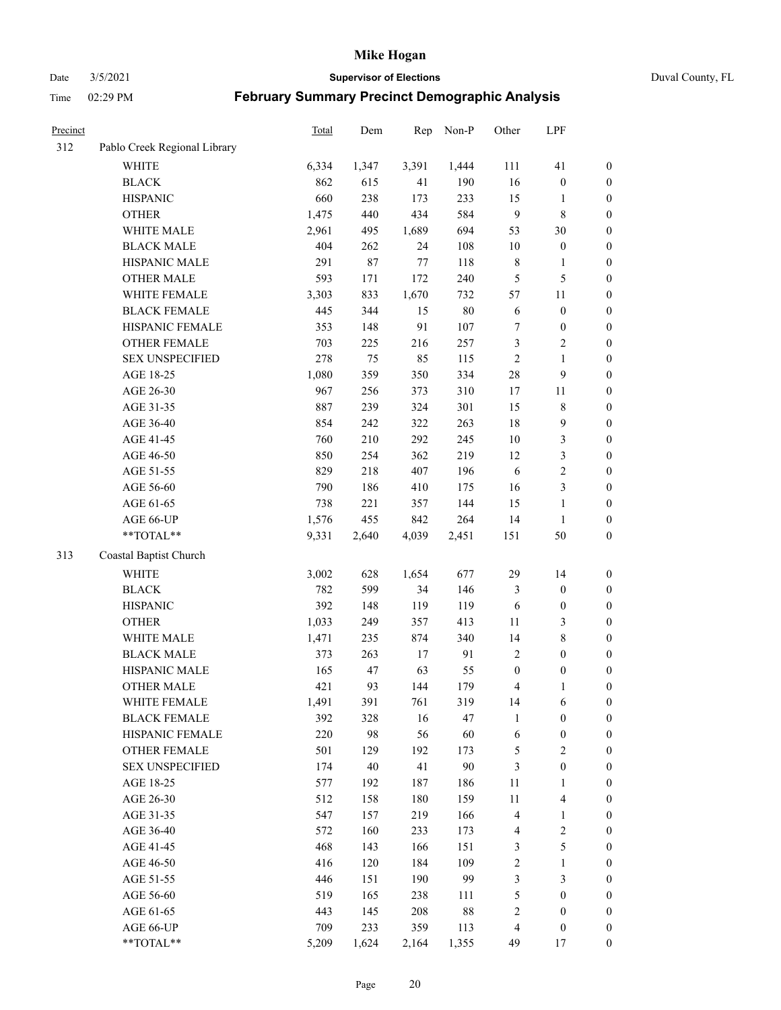Date 3/5/2021 **Supervisor of Elections** Duval County, FL

| Precinct |                              | Total | Dem   | Rep    | Non-P  | Other            | LPF                     |                  |
|----------|------------------------------|-------|-------|--------|--------|------------------|-------------------------|------------------|
| 312      | Pablo Creek Regional Library |       |       |        |        |                  |                         |                  |
|          | <b>WHITE</b>                 | 6,334 | 1,347 | 3,391  | 1,444  | 111              | 41                      | 0                |
|          | <b>BLACK</b>                 | 862   | 615   | 41     | 190    | 16               | $\boldsymbol{0}$        | $\boldsymbol{0}$ |
|          | <b>HISPANIC</b>              | 660   | 238   | 173    | 233    | 15               | $\mathbf{1}$            | $\boldsymbol{0}$ |
|          | <b>OTHER</b>                 | 1,475 | 440   | 434    | 584    | $\mathbf{9}$     | $\,$ 8 $\,$             | $\boldsymbol{0}$ |
|          | WHITE MALE                   | 2,961 | 495   | 1,689  | 694    | 53               | $30\,$                  | $\boldsymbol{0}$ |
|          | <b>BLACK MALE</b>            | 404   | 262   | 24     | 108    | 10               | $\boldsymbol{0}$        | $\boldsymbol{0}$ |
|          | HISPANIC MALE                | 291   | 87    | $77\,$ | 118    | $\,$ 8 $\,$      | $\mathbf{1}$            | $\boldsymbol{0}$ |
|          | <b>OTHER MALE</b>            | 593   | 171   | 172    | 240    | $\mathfrak{S}$   | $\mathfrak{S}$          | $\boldsymbol{0}$ |
|          | WHITE FEMALE                 | 3,303 | 833   | 1,670  | 732    | 57               | $11\,$                  | $\boldsymbol{0}$ |
|          | <b>BLACK FEMALE</b>          | 445   | 344   | 15     | $80\,$ | 6                | $\boldsymbol{0}$        | $\boldsymbol{0}$ |
|          | HISPANIC FEMALE              | 353   | 148   | 91     | 107    | 7                | $\boldsymbol{0}$        | 0                |
|          | OTHER FEMALE                 | 703   | 225   | 216    | 257    | 3                | $\sqrt{2}$              | $\boldsymbol{0}$ |
|          | <b>SEX UNSPECIFIED</b>       | 278   | 75    | 85     | 115    | $\sqrt{2}$       | $\mathbf{1}$            | $\boldsymbol{0}$ |
|          | AGE 18-25                    | 1,080 | 359   | 350    | 334    | $28\,$           | $\boldsymbol{9}$        | $\boldsymbol{0}$ |
|          | AGE 26-30                    | 967   | 256   | 373    | 310    | 17               | 11                      | $\boldsymbol{0}$ |
|          | AGE 31-35                    | 887   | 239   | 324    | 301    | 15               | $\,8\,$                 | $\boldsymbol{0}$ |
|          | AGE 36-40                    | 854   | 242   | 322    | 263    | 18               | $\mathbf{9}$            | $\boldsymbol{0}$ |
|          | AGE 41-45                    | 760   | 210   | 292    | 245    | $10\,$           | $\mathfrak{Z}$          | $\boldsymbol{0}$ |
|          | AGE 46-50                    | 850   | 254   | 362    | 219    | 12               | $\mathfrak{Z}$          | $\boldsymbol{0}$ |
|          | AGE 51-55                    | 829   | 218   | 407    | 196    | 6                | $\sqrt{2}$              | $\boldsymbol{0}$ |
|          | AGE 56-60                    | 790   | 186   | 410    | 175    | 16               | $\mathfrak{Z}$          | 0                |
|          | AGE 61-65                    | 738   | 221   | 357    | 144    | 15               | $\mathbf{1}$            | $\boldsymbol{0}$ |
|          | AGE 66-UP                    | 1,576 | 455   | 842    | 264    | 14               | $\mathbf{1}$            | $\boldsymbol{0}$ |
|          | $**TOTAL**$                  | 9,331 | 2,640 | 4,039  | 2,451  | 151              | $50\,$                  | $\boldsymbol{0}$ |
| 313      | Coastal Baptist Church       |       |       |        |        |                  |                         |                  |
|          | <b>WHITE</b>                 | 3,002 | 628   | 1,654  | 677    | 29               | 14                      | $\boldsymbol{0}$ |
|          | <b>BLACK</b>                 | 782   | 599   | 34     | 146    | $\mathfrak{Z}$   | $\boldsymbol{0}$        | $\boldsymbol{0}$ |
|          | <b>HISPANIC</b>              | 392   | 148   | 119    | 119    | 6                | $\boldsymbol{0}$        | $\boldsymbol{0}$ |
|          | <b>OTHER</b>                 | 1,033 | 249   | 357    | 413    | $11\,$           | $\mathfrak{Z}$          | $\boldsymbol{0}$ |
|          | WHITE MALE                   | 1,471 | 235   | 874    | 340    | 14               | $8\,$                   | $\boldsymbol{0}$ |
|          | <b>BLACK MALE</b>            | 373   | 263   | 17     | 91     | $\overline{2}$   | $\boldsymbol{0}$        | $\boldsymbol{0}$ |
|          | HISPANIC MALE                | 165   | 47    | 63     | 55     | $\boldsymbol{0}$ | $\boldsymbol{0}$        | $\boldsymbol{0}$ |
|          | <b>OTHER MALE</b>            | 421   | 93    | 144    | 179    | 4                | $\mathbf{1}$            | $\boldsymbol{0}$ |
|          | WHITE FEMALE                 | 1,491 | 391   | 761    | 319    | 14               | 6                       | 0                |
|          | <b>BLACK FEMALE</b>          | 392   | 328   | 16     | 47     | $\mathbf{1}$     | $\boldsymbol{0}$        | $\boldsymbol{0}$ |
|          | HISPANIC FEMALE              | 220   | 98    | 56     | 60     | 6                | $\boldsymbol{0}$        | $\boldsymbol{0}$ |
|          | OTHER FEMALE                 | 501   | 129   | 192    | 173    | 5                | $\sqrt{2}$              | $\overline{0}$   |
|          | <b>SEX UNSPECIFIED</b>       | 174   | 40    | 41     | 90     | 3                | $\boldsymbol{0}$        | 0                |
|          | AGE 18-25                    | 577   | 192   | 187    | 186    | $11\,$           | $\mathbf{1}$            | $\overline{0}$   |
|          | AGE 26-30                    | 512   | 158   | 180    | 159    | $11\,$           | $\overline{\mathbf{4}}$ | 0                |
|          | AGE 31-35                    | 547   | 157   | 219    | 166    | 4                | $\mathbf{1}$            | 0                |
|          | AGE 36-40                    | 572   | 160   | 233    | 173    | 4                | $\sqrt{2}$              | 0                |
|          | AGE 41-45                    | 468   | 143   | 166    | 151    | 3                | $\mathfrak s$           | 0                |
|          | AGE 46-50                    | 416   | 120   | 184    | 109    | $\sqrt{2}$       | $\mathbf{1}$            | 0                |
|          | AGE 51-55                    | 446   | 151   | 190    | 99     | 3                | $\mathfrak{Z}$          | $\boldsymbol{0}$ |
|          | AGE 56-60                    | 519   | 165   | 238    | 111    | 5                | $\boldsymbol{0}$        | $\boldsymbol{0}$ |
|          | AGE 61-65                    | 443   | 145   | 208    | 88     | 2                | $\boldsymbol{0}$        | $\boldsymbol{0}$ |
|          | AGE 66-UP                    | 709   | 233   | 359    | 113    | $\overline{4}$   | $\boldsymbol{0}$        | 0                |
|          | **TOTAL**                    | 5,209 | 1,624 | 2,164  | 1,355  | 49               | 17                      | $\boldsymbol{0}$ |
|          |                              |       |       |        |        |                  |                         |                  |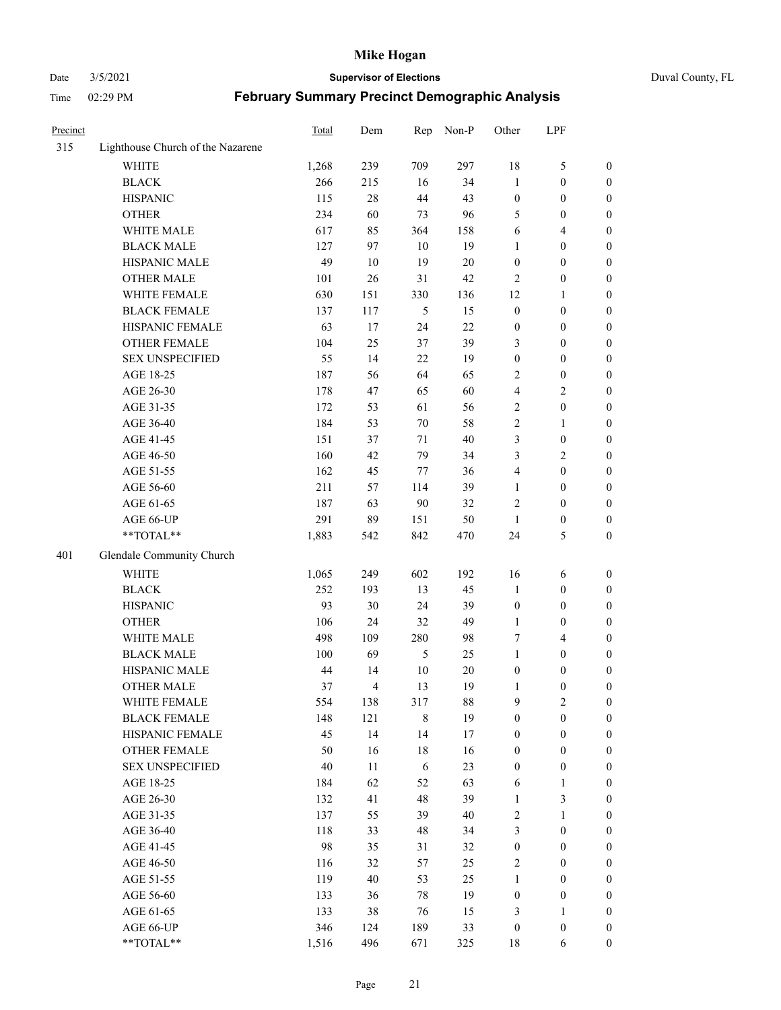#### Date 3/5/2021 **Supervisor of Elections** Duval County, FL

| Precinct |                                   | Total        | Dem                     | Rep         | Non-P     | Other                        | LPF                                |                                      |
|----------|-----------------------------------|--------------|-------------------------|-------------|-----------|------------------------------|------------------------------------|--------------------------------------|
| 315      | Lighthouse Church of the Nazarene |              |                         |             |           |                              |                                    |                                      |
|          | <b>WHITE</b>                      | 1,268        | 239                     | 709         | 297       | 18                           | $\mathfrak{S}$                     | 0                                    |
|          | <b>BLACK</b>                      | 266          | 215                     | 16          | 34        | 1                            | $\boldsymbol{0}$                   | 0                                    |
|          | <b>HISPANIC</b>                   | 115          | $28\,$                  | 44          | 43        | $\boldsymbol{0}$             | $\boldsymbol{0}$                   | $\boldsymbol{0}$                     |
|          | <b>OTHER</b>                      | 234          | 60                      | 73          | 96        | 5                            | $\boldsymbol{0}$                   | $\boldsymbol{0}$                     |
|          | WHITE MALE                        | 617          | 85                      | 364         | 158       | 6                            | $\overline{4}$                     | $\boldsymbol{0}$                     |
|          | <b>BLACK MALE</b>                 | 127          | 97                      | 10          | 19        | 1                            | $\boldsymbol{0}$                   | $\boldsymbol{0}$                     |
|          | HISPANIC MALE                     | 49           | $10\,$                  | 19          | $20\,$    | $\boldsymbol{0}$             | $\boldsymbol{0}$                   | $\boldsymbol{0}$                     |
|          | <b>OTHER MALE</b>                 | 101          | $26\,$                  | 31          | 42        | $\mathfrak{2}$               | $\boldsymbol{0}$                   | $\boldsymbol{0}$                     |
|          | WHITE FEMALE                      | 630          | 151                     | 330         | 136       | 12                           | $\mathbf{1}$                       | $\boldsymbol{0}$                     |
|          | <b>BLACK FEMALE</b>               | 137          | 117                     | 5           | 15        | $\boldsymbol{0}$             | $\boldsymbol{0}$                   | 0                                    |
|          | HISPANIC FEMALE                   | 63           | 17                      | 24          | 22        | $\boldsymbol{0}$             | $\boldsymbol{0}$                   | 0                                    |
|          | <b>OTHER FEMALE</b>               | 104          | 25                      | 37          | 39        | 3                            | $\boldsymbol{0}$                   | $\boldsymbol{0}$                     |
|          | <b>SEX UNSPECIFIED</b>            | 55           | 14                      | 22          | 19        | $\boldsymbol{0}$             | $\boldsymbol{0}$                   | $\boldsymbol{0}$                     |
|          | AGE 18-25                         | 187          | 56                      | 64          | 65        | 2                            | $\boldsymbol{0}$                   | $\boldsymbol{0}$                     |
|          | AGE 26-30                         | 178          | 47                      | 65          | 60        | 4                            | $\sqrt{2}$                         | $\boldsymbol{0}$                     |
|          | AGE 31-35                         | 172          | 53                      | 61          | 56        | $\sqrt{2}$                   | $\boldsymbol{0}$                   | $\boldsymbol{0}$                     |
|          | AGE 36-40                         | 184          | 53                      | 70          | 58        | $\overline{c}$               | $\mathbf{1}$                       | $\boldsymbol{0}$                     |
|          | AGE 41-45                         | 151          | 37                      | 71          | 40        | 3                            | $\boldsymbol{0}$                   | $\boldsymbol{0}$                     |
|          | AGE 46-50                         | 160          | 42                      | 79          | 34        | 3                            | $\overline{2}$                     | $\boldsymbol{0}$                     |
|          | AGE 51-55                         | 162          | 45                      | 77          | 36        | $\overline{4}$               | $\boldsymbol{0}$                   | $\boldsymbol{0}$                     |
|          | AGE 56-60                         | 211          | 57                      | 114         | 39        |                              | $\boldsymbol{0}$                   |                                      |
|          |                                   | 187          |                         | 90          | 32        | $\mathbf{1}$<br>$\mathbf{2}$ | $\boldsymbol{0}$                   | 0                                    |
|          | AGE 61-65                         |              | 63                      |             |           |                              |                                    | 0                                    |
|          | AGE 66-UP<br>**TOTAL**            | 291<br>1,883 | 89                      | 151<br>842  | 50<br>470 | $\mathbf{1}$<br>24           | $\boldsymbol{0}$<br>$\mathfrak{S}$ | $\boldsymbol{0}$<br>$\boldsymbol{0}$ |
|          |                                   |              | 542                     |             |           |                              |                                    |                                      |
| 401      | Glendale Community Church         |              |                         |             |           |                              |                                    |                                      |
|          | <b>WHITE</b>                      | 1,065        | 249                     | 602         | 192       | 16                           | 6                                  | $\boldsymbol{0}$                     |
|          | <b>BLACK</b>                      | 252          | 193                     | 13          | 45        | $\mathbf{1}$                 | $\boldsymbol{0}$                   | $\boldsymbol{0}$                     |
|          | <b>HISPANIC</b>                   | 93           | 30                      | 24          | 39        | $\boldsymbol{0}$             | $\boldsymbol{0}$                   | $\boldsymbol{0}$                     |
|          | <b>OTHER</b>                      | 106          | 24                      | 32          | 49        | $\mathbf{1}$                 | $\boldsymbol{0}$                   | $\boldsymbol{0}$                     |
|          | WHITE MALE                        | 498          | 109                     | 280         | 98        | 7                            | $\overline{4}$                     | $\boldsymbol{0}$                     |
|          | <b>BLACK MALE</b>                 | 100          | 69                      | 5           | 25        | $\mathbf{1}$                 | $\boldsymbol{0}$                   | $\boldsymbol{0}$                     |
|          | HISPANIC MALE                     | 44           | 14                      | 10          | $20\,$    | $\boldsymbol{0}$             | $\boldsymbol{0}$                   | 0                                    |
|          | <b>OTHER MALE</b>                 | 37           | $\overline{\mathbf{4}}$ | 13          | 19        | $\mathbf{1}$                 | $\boldsymbol{0}$                   | $\boldsymbol{0}$                     |
|          | WHITE FEMALE                      | 554          | 138                     | 317         | 88        | 9                            | 2                                  | 0                                    |
|          | <b>BLACK FEMALE</b>               | 148          | 121                     | $\,$ 8 $\,$ | 19        | $\boldsymbol{0}$             | $\boldsymbol{0}$                   | $\boldsymbol{0}$                     |
|          | HISPANIC FEMALE                   | 45           | 14                      | 14          | $17\,$    | $\boldsymbol{0}$             | $\boldsymbol{0}$                   | $\overline{0}$                       |
|          | OTHER FEMALE                      | 50           | 16                      | 18          | 16        | $\boldsymbol{0}$             | $\boldsymbol{0}$                   | $\overline{0}$                       |
|          | <b>SEX UNSPECIFIED</b>            | $40\,$       | 11                      | 6           | 23        | $\boldsymbol{0}$             | $\boldsymbol{0}$                   | 0                                    |
|          | AGE 18-25                         | 184          | 62                      | 52          | 63        | 6                            | $\mathbf{1}$                       | 0                                    |
|          | AGE 26-30                         | 132          | 41                      | 48          | 39        | $\mathbf{1}$                 | $\mathfrak{Z}$                     | 0                                    |
|          | AGE 31-35                         | 137          | 55                      | 39          | 40        | 2                            | $\mathbf{1}$                       | 0                                    |
|          | AGE 36-40                         | 118          | 33                      | 48          | 34        | 3                            | $\boldsymbol{0}$                   | 0                                    |
|          | AGE 41-45                         | 98           | 35                      | 31          | 32        | $\boldsymbol{0}$             | $\boldsymbol{0}$                   | 0                                    |
|          | AGE 46-50                         | 116          | 32                      | 57          | 25        | 2                            | $\boldsymbol{0}$                   | 0                                    |
|          | AGE 51-55                         | 119          | 40                      | 53          | 25        | $\mathbf{1}$                 | $\boldsymbol{0}$                   | 0                                    |
|          | AGE 56-60                         | 133          | 36                      | 78          | 19        | $\boldsymbol{0}$             | $\boldsymbol{0}$                   | $\overline{0}$                       |
|          | AGE 61-65                         | 133          | 38                      | 76          | 15        | 3                            | $\mathbf{1}$                       | $\overline{0}$                       |
|          | AGE 66-UP                         | 346          | 124                     | 189         | 33        | $\boldsymbol{0}$             | $\boldsymbol{0}$                   | 0                                    |
|          | **TOTAL**                         | 1,516        | 496                     | 671         | 325       | 18                           | 6                                  | $\boldsymbol{0}$                     |
|          |                                   |              |                         |             |           |                              |                                    |                                      |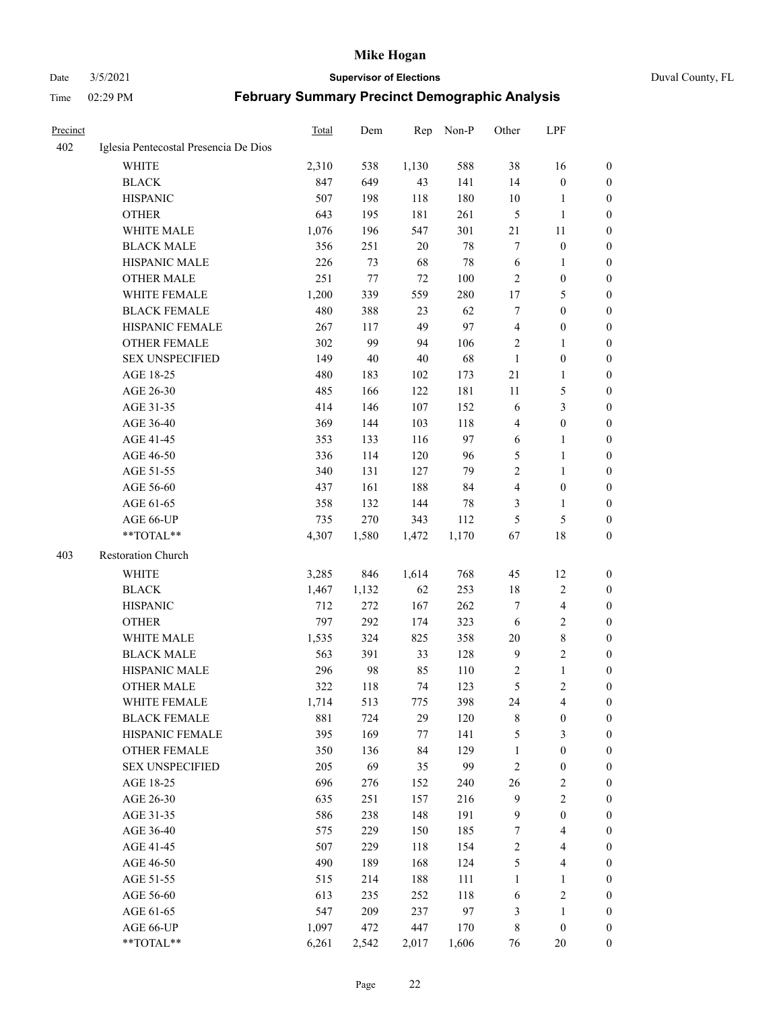#### Date 3/5/2021 **Supervisor of Elections** Duval County, FL

| <b>Precinct</b> |                                       | Total | Dem    | Rep     | Non-P | Other          | LPF                     |                  |
|-----------------|---------------------------------------|-------|--------|---------|-------|----------------|-------------------------|------------------|
| 402             | Iglesia Pentecostal Presencia De Dios |       |        |         |       |                |                         |                  |
|                 | <b>WHITE</b>                          | 2,310 | 538    | 1,130   | 588   | 38             | 16                      | 0                |
|                 | <b>BLACK</b>                          | 847   | 649    | 43      | 141   | 14             | $\boldsymbol{0}$        | 0                |
|                 | <b>HISPANIC</b>                       | 507   | 198    | 118     | 180   | 10             | 1                       | 0                |
|                 | <b>OTHER</b>                          | 643   | 195    | 181     | 261   | 5              | $\mathbf{1}$            | $\boldsymbol{0}$ |
|                 | WHITE MALE                            | 1,076 | 196    | 547     | 301   | 21             | 11                      | $\boldsymbol{0}$ |
|                 | <b>BLACK MALE</b>                     | 356   | 251    | 20      | 78    | 7              | $\boldsymbol{0}$        | $\boldsymbol{0}$ |
|                 | HISPANIC MALE                         | 226   | 73     | 68      | 78    | 6              | $\mathbf{1}$            | $\boldsymbol{0}$ |
|                 | <b>OTHER MALE</b>                     | 251   | 77     | 72      | 100   | $\mathbf{2}$   | $\boldsymbol{0}$        | 0                |
|                 | WHITE FEMALE                          | 1,200 | 339    | 559     | 280   | 17             | $\mathfrak{S}$          | 0                |
|                 | <b>BLACK FEMALE</b>                   | 480   | 388    | 23      | 62    | 7              | $\boldsymbol{0}$        | 0                |
|                 | HISPANIC FEMALE                       | 267   | 117    | 49      | 97    | $\overline{4}$ | $\boldsymbol{0}$        | 0                |
|                 | <b>OTHER FEMALE</b>                   | 302   | 99     | 94      | 106   | 2              | $\mathbf{1}$            | 0                |
|                 | <b>SEX UNSPECIFIED</b>                | 149   | $40\,$ | $40\,$  | 68    | $\mathbf{1}$   | $\boldsymbol{0}$        | $\boldsymbol{0}$ |
|                 | AGE 18-25                             | 480   | 183    | 102     | 173   | $21\,$         | $\mathbf{1}$            | $\boldsymbol{0}$ |
|                 | AGE 26-30                             | 485   | 166    | 122     | 181   | $11\,$         | $\mathfrak{S}$          | $\boldsymbol{0}$ |
|                 | AGE 31-35                             | 414   | 146    | 107     | 152   | 6              | $\mathfrak{Z}$          | $\boldsymbol{0}$ |
|                 | AGE 36-40                             | 369   | 144    | 103     | 118   | 4              | $\boldsymbol{0}$        | $\boldsymbol{0}$ |
|                 | AGE 41-45                             | 353   | 133    | 116     | 97    | 6              | $\mathbf{1}$            | $\boldsymbol{0}$ |
|                 | AGE 46-50                             | 336   | 114    | 120     | 96    | 5              | $\mathbf{1}$            | 0                |
|                 | AGE 51-55                             | 340   | 131    | 127     | 79    | $\overline{c}$ | $\mathbf{1}$            | 0                |
|                 | AGE 56-60                             | 437   | 161    | 188     | 84    | $\overline{4}$ | $\boldsymbol{0}$        | 0                |
|                 | AGE 61-65                             | 358   | 132    | 144     | 78    | 3              | $\mathbf{1}$            | 0                |
|                 | AGE 66-UP                             | 735   | 270    | 343     | 112   | 5              | $\mathfrak{S}$          | 0                |
|                 | **TOTAL**                             | 4,307 | 1,580  | 1,472   | 1,170 | 67             | $18\,$                  | $\boldsymbol{0}$ |
| 403             | Restoration Church                    |       |        |         |       |                |                         |                  |
|                 |                                       |       |        |         |       |                |                         |                  |
|                 | <b>WHITE</b>                          | 3,285 | 846    | 1,614   | 768   | 45             | 12                      | $\boldsymbol{0}$ |
|                 | <b>BLACK</b>                          | 1,467 | 1,132  | 62      | 253   | 18             | $\sqrt{2}$              | $\boldsymbol{0}$ |
|                 | <b>HISPANIC</b>                       | 712   | 272    | 167     | 262   | 7              | $\overline{\mathbf{4}}$ | $\boldsymbol{0}$ |
|                 | <b>OTHER</b>                          | 797   | 292    | 174     | 323   | 6              | $\sqrt{2}$              | $\boldsymbol{0}$ |
|                 | WHITE MALE                            | 1,535 | 324    | 825     | 358   | 20             | $8\,$                   | 0                |
|                 | <b>BLACK MALE</b>                     | 563   | 391    | 33      | 128   | $\overline{9}$ | $\overline{c}$          | 0                |
|                 | HISPANIC MALE                         | 296   | 98     | 85      | 110   | 2              | $\mathbf{1}$            | 0                |
|                 | <b>OTHER MALE</b>                     | 322   | 118    | 74      | 123   | 5              | $\mathbf{2}$            | 0                |
|                 | WHITE FEMALE                          | 1,714 | 513    | 775     | 398   | 24             | 4                       | 0                |
|                 | <b>BLACK FEMALE</b>                   | 881   | 724    | 29      | 120   | 8              | $\boldsymbol{0}$        | $\boldsymbol{0}$ |
|                 | HISPANIC FEMALE                       | 395   | 169    | $77 \,$ | 141   | 5              | $\mathfrak{Z}$          | $\overline{0}$   |
|                 | OTHER FEMALE                          | 350   | 136    | 84      | 129   | $\mathbf{1}$   | $\boldsymbol{0}$        | $\overline{0}$   |
|                 | <b>SEX UNSPECIFIED</b>                | 205   | 69     | 35      | 99    | $\overline{c}$ | $\boldsymbol{0}$        | 0                |
|                 | AGE 18-25                             | 696   | 276    | 152     | 240   | 26             | $\sqrt{2}$              | 0                |
|                 | AGE 26-30                             | 635   | 251    | 157     | 216   | $\overline{9}$ | $\overline{2}$          | 0                |
|                 | AGE 31-35                             | 586   | 238    | 148     | 191   | $\overline{9}$ | $\boldsymbol{0}$        | 0                |
|                 | AGE 36-40                             | 575   | 229    | 150     | 185   | 7              | $\overline{\mathbf{4}}$ | 0                |
|                 | AGE 41-45                             | 507   | 229    | 118     | 154   | $\sqrt{2}$     | $\overline{\mathbf{4}}$ | 0                |
|                 | AGE 46-50                             | 490   | 189    | 168     | 124   | $\mathfrak s$  | $\overline{\mathbf{4}}$ | 0                |
|                 | AGE 51-55                             | 515   | 214    | 188     | 111   | $\mathbf{1}$   | $\mathbf{1}$            | 0                |
|                 | AGE 56-60                             | 613   | 235    | 252     | 118   | 6              | $\sqrt{2}$              | $\boldsymbol{0}$ |
|                 | AGE 61-65                             | 547   | 209    | 237     | 97    | 3              | $\mathbf{1}$            | $\boldsymbol{0}$ |
|                 | AGE 66-UP                             | 1,097 | 472    | 447     | 170   | 8              | $\boldsymbol{0}$        | $\boldsymbol{0}$ |
|                 | **TOTAL**                             | 6,261 | 2,542  | 2,017   | 1,606 | 76             | 20                      | $\boldsymbol{0}$ |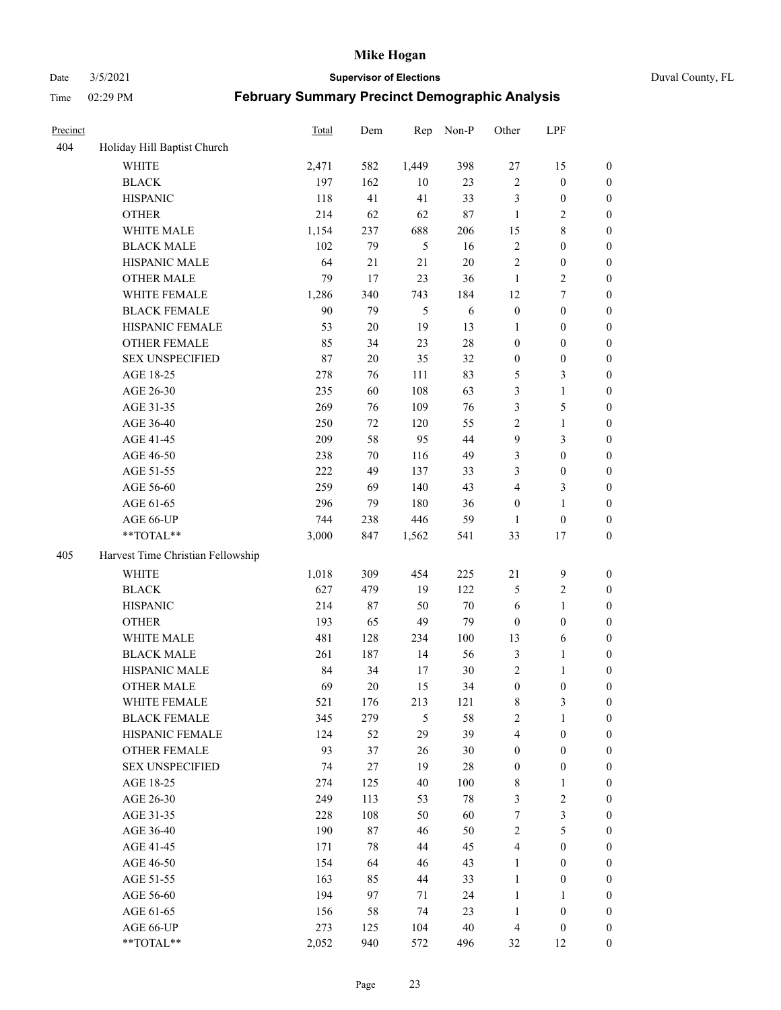Date 3/5/2021 **Supervisor of Elections** Duval County, FL

| Precinct |                                   | <b>Total</b> | Dem    | Rep            | Non-P  | Other            | LPF              |                  |
|----------|-----------------------------------|--------------|--------|----------------|--------|------------------|------------------|------------------|
| 404      | Holiday Hill Baptist Church       |              |        |                |        |                  |                  |                  |
|          | <b>WHITE</b>                      | 2,471        | 582    | 1,449          | 398    | $27\,$           | 15               | 0                |
|          | <b>BLACK</b>                      | 197          | 162    | 10             | 23     | $\sqrt{2}$       | $\boldsymbol{0}$ | $\boldsymbol{0}$ |
|          | <b>HISPANIC</b>                   | 118          | 41     | 41             | 33     | 3                | $\boldsymbol{0}$ | $\boldsymbol{0}$ |
|          | <b>OTHER</b>                      | 214          | 62     | 62             | 87     | $\mathbf{1}$     | $\sqrt{2}$       | $\boldsymbol{0}$ |
|          | WHITE MALE                        | 1,154        | 237    | 688            | 206    | 15               | $\,$ 8 $\,$      | $\boldsymbol{0}$ |
|          | <b>BLACK MALE</b>                 | 102          | 79     | 5              | 16     | $\sqrt{2}$       | $\boldsymbol{0}$ | $\boldsymbol{0}$ |
|          | HISPANIC MALE                     | 64           | 21     | 21             | $20\,$ | $\mathfrak{2}$   | $\boldsymbol{0}$ | $\boldsymbol{0}$ |
|          | <b>OTHER MALE</b>                 | 79           | 17     | 23             | 36     | $\mathbf{1}$     | $\overline{2}$   | $\boldsymbol{0}$ |
|          | WHITE FEMALE                      | 1,286        | 340    | 743            | 184    | 12               | $\boldsymbol{7}$ | $\boldsymbol{0}$ |
|          | <b>BLACK FEMALE</b>               | 90           | 79     | $\mathfrak{H}$ | 6      | $\boldsymbol{0}$ | $\boldsymbol{0}$ | $\boldsymbol{0}$ |
|          | HISPANIC FEMALE                   | 53           | $20\,$ | 19             | 13     | 1                | $\boldsymbol{0}$ | 0                |
|          | <b>OTHER FEMALE</b>               | 85           | 34     | 23             | $28\,$ | $\boldsymbol{0}$ | $\boldsymbol{0}$ | $\boldsymbol{0}$ |
|          | <b>SEX UNSPECIFIED</b>            | 87           | 20     | 35             | 32     | $\boldsymbol{0}$ | $\boldsymbol{0}$ | $\boldsymbol{0}$ |
|          | AGE 18-25                         | 278          | 76     | 111            | 83     | 5                | $\mathfrak{Z}$   | $\boldsymbol{0}$ |
|          | AGE 26-30                         | 235          | 60     | 108            | 63     | 3                | $\mathbf{1}$     | $\boldsymbol{0}$ |
|          | AGE 31-35                         | 269          | 76     | 109            | 76     | 3                | $\mathfrak{S}$   | $\boldsymbol{0}$ |
|          | AGE 36-40                         | 250          | 72     | 120            | 55     | $\overline{c}$   | $\mathbf{1}$     | $\boldsymbol{0}$ |
|          | AGE 41-45                         | 209          | 58     | 95             | 44     | 9                | $\mathfrak{Z}$   | $\boldsymbol{0}$ |
|          | AGE 46-50                         | 238          | $70\,$ | 116            | 49     | 3                | $\boldsymbol{0}$ | $\boldsymbol{0}$ |
|          | AGE 51-55                         | 222          | 49     | 137            | 33     | 3                | $\boldsymbol{0}$ | $\boldsymbol{0}$ |
|          | AGE 56-60                         | 259          | 69     | 140            | 43     | $\overline{4}$   | $\mathfrak{Z}$   | 0                |
|          | AGE 61-65                         | 296          | 79     | 180            | 36     | $\boldsymbol{0}$ | $\mathbf{1}$     | 0                |
|          | AGE 66-UP                         | 744          | 238    | 446            | 59     | $\mathbf{1}$     | $\boldsymbol{0}$ | $\boldsymbol{0}$ |
|          | $**TOTAL**$                       | 3,000        | 847    | 1,562          | 541    | 33               | 17               | $\boldsymbol{0}$ |
| 405      | Harvest Time Christian Fellowship |              |        |                |        |                  |                  |                  |
|          | <b>WHITE</b>                      | 1,018        | 309    | 454            | 225    | $21\,$           | $\mathbf{9}$     | $\boldsymbol{0}$ |
|          | <b>BLACK</b>                      | 627          | 479    | 19             | 122    | 5                | $\sqrt{2}$       | $\boldsymbol{0}$ |
|          | <b>HISPANIC</b>                   | 214          | 87     | 50             | $70\,$ | 6                | $\mathbf{1}$     | $\boldsymbol{0}$ |
|          | <b>OTHER</b>                      | 193          | 65     | 49             | 79     | $\boldsymbol{0}$ | $\boldsymbol{0}$ | $\boldsymbol{0}$ |
|          | WHITE MALE                        | 481          | 128    | 234            | 100    | 13               | $\sqrt{6}$       | $\boldsymbol{0}$ |
|          | <b>BLACK MALE</b>                 | 261          | 187    | 14             | 56     | 3                | $\mathbf{1}$     | $\boldsymbol{0}$ |
|          | HISPANIC MALE                     | 84           | 34     | 17             | 30     | $\overline{c}$   | 1                | 0                |
|          | <b>OTHER MALE</b>                 | 69           | 20     | 15             | 34     | $\boldsymbol{0}$ | $\boldsymbol{0}$ | $\boldsymbol{0}$ |
|          | WHITE FEMALE                      | 521          | 176    | 213            | 121    | 8                | 3                | 0                |
|          | <b>BLACK FEMALE</b>               | 345          | 279    | 5              | 58     | $\sqrt{2}$       | $\mathbf{1}$     | $\boldsymbol{0}$ |
|          | HISPANIC FEMALE                   | 124          | 52     | 29             | 39     | 4                | $\boldsymbol{0}$ | $\overline{0}$   |
|          | OTHER FEMALE                      | 93           | 37     | 26             | 30     | $\boldsymbol{0}$ | $\boldsymbol{0}$ | $\overline{0}$   |
|          | <b>SEX UNSPECIFIED</b>            | 74           | 27     | 19             | 28     | $\boldsymbol{0}$ | $\boldsymbol{0}$ | 0                |
|          | AGE 18-25                         | 274          | 125    | 40             | 100    | $\,$ 8 $\,$      | $\mathbf{1}$     | $\theta$         |
|          | AGE 26-30                         | 249          | 113    | 53             | $78\,$ | 3                | $\sqrt{2}$       | 0                |
|          | AGE 31-35                         | 228          | 108    | 50             | 60     | 7                | $\mathfrak{Z}$   | 0                |
|          | AGE 36-40                         | 190          | 87     | 46             | 50     | $\sqrt{2}$       | $\mathfrak s$    | 0                |
|          | AGE 41-45                         | 171          | 78     | 44             | 45     | $\overline{4}$   | $\boldsymbol{0}$ | 0                |
|          | AGE 46-50                         | 154          | 64     | 46             | 43     | $\mathbf{1}$     | $\boldsymbol{0}$ | 0                |
|          | AGE 51-55                         | 163          | 85     | 44             | 33     | $\mathbf{1}$     | $\boldsymbol{0}$ | $\boldsymbol{0}$ |
|          | AGE 56-60                         | 194          | 97     | 71             | 24     | $\mathbf{1}$     | $\mathbf{1}$     | $\overline{0}$   |
|          | AGE 61-65                         | 156          | 58     | 74             | 23     | $\mathbf{1}$     | $\boldsymbol{0}$ | $\overline{0}$   |
|          | AGE 66-UP                         | 273          | 125    | 104            | 40     | $\overline{4}$   | $\boldsymbol{0}$ | $\boldsymbol{0}$ |
|          | **TOTAL**                         | 2,052        | 940    | 572            | 496    | 32               | 12               | $\boldsymbol{0}$ |
|          |                                   |              |        |                |        |                  |                  |                  |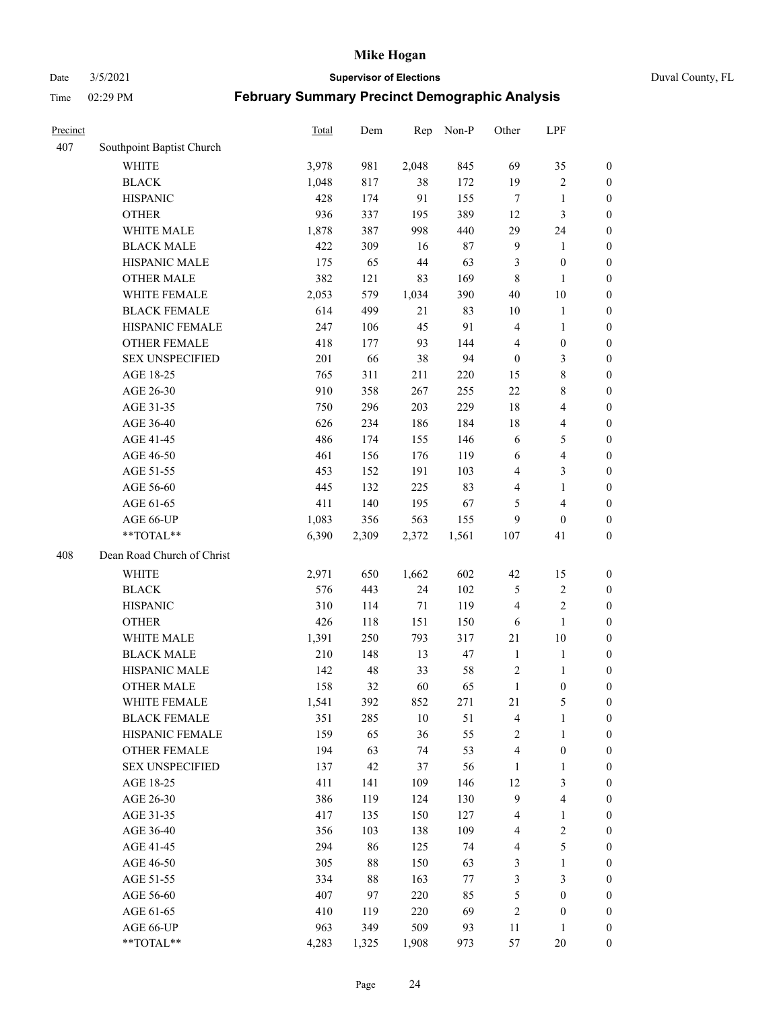Date 3/5/2021 **Supervisor of Elections** Duval County, FL

| Precinct |                                     | Total        | Dem        | Rep           | Non-P     | Other               | LPF                     |                                      |
|----------|-------------------------------------|--------------|------------|---------------|-----------|---------------------|-------------------------|--------------------------------------|
| 407      | Southpoint Baptist Church           |              |            |               |           |                     |                         |                                      |
|          | <b>WHITE</b>                        | 3,978        | 981        | 2,048         | 845       | 69                  | 35                      | 0                                    |
|          | <b>BLACK</b>                        | 1,048        | 817        | 38            | 172       | 19                  | $\sqrt{2}$              | 0                                    |
|          | <b>HISPANIC</b>                     | 428          | 174        | 91            | 155       | $\tau$              | $\mathbf{1}$            | $\boldsymbol{0}$                     |
|          | <b>OTHER</b>                        | 936          | 337        | 195           | 389       | 12                  | 3                       | $\boldsymbol{0}$                     |
|          | WHITE MALE                          | 1,878        | 387        | 998           | 440       | 29                  | 24                      | $\boldsymbol{0}$                     |
|          | <b>BLACK MALE</b>                   | 422          | 309        | 16            | $87\,$    | $\overline{9}$      | $\mathbf{1}$            | $\boldsymbol{0}$                     |
|          | HISPANIC MALE                       | 175          | 65         | $44\,$        | 63        | 3                   | $\boldsymbol{0}$        | $\boldsymbol{0}$                     |
|          | <b>OTHER MALE</b>                   | 382          | 121        | 83            | 169       | $\,$ 8 $\,$         | $\mathbf{1}$            | $\boldsymbol{0}$                     |
|          | WHITE FEMALE                        | 2,053        | 579        | 1,034         | 390       | 40                  | $10\,$                  | $\boldsymbol{0}$                     |
|          | <b>BLACK FEMALE</b>                 | 614          | 499        | 21            | 83        | 10                  | $\mathbf{1}$            | 0                                    |
|          | HISPANIC FEMALE                     | 247          | 106        | 45            | 91        | $\overline{4}$      | $\mathbf{1}$            | 0                                    |
|          | <b>OTHER FEMALE</b>                 | 418          | 177        | 93            | 144       | 4                   | $\boldsymbol{0}$        | $\boldsymbol{0}$                     |
|          | <b>SEX UNSPECIFIED</b>              | 201          | 66         | 38            | 94        | $\boldsymbol{0}$    | $\mathfrak{Z}$          | $\boldsymbol{0}$                     |
|          | AGE 18-25                           | 765          | 311        | 211           | 220       | 15                  | $8\,$                   | $\boldsymbol{0}$                     |
|          | AGE 26-30                           | 910          | 358        | 267           | 255       | $22\,$              | $8\,$                   | $\boldsymbol{0}$                     |
|          | AGE 31-35                           | 750          | 296        | 203           | 229       | 18                  | $\overline{\mathbf{4}}$ | $\boldsymbol{0}$                     |
|          | AGE 36-40                           | 626          | 234        | 186           | 184       | 18                  | $\overline{\mathbf{4}}$ | $\boldsymbol{0}$                     |
|          | AGE 41-45                           | 486          | 174        | 155           | 146       | 6                   | $\mathfrak{S}$          | $\boldsymbol{0}$                     |
|          | AGE 46-50                           | 461          | 156        | 176           | 119       | 6                   | $\overline{\mathbf{4}}$ | $\boldsymbol{0}$                     |
|          | AGE 51-55                           | 453          | 152        | 191           | 103       | 4                   | $\mathfrak{Z}$          | $\boldsymbol{0}$                     |
|          | AGE 56-60                           | 445          | 132        | 225           | 83        | 4                   | $\mathbf{1}$            | 0                                    |
|          | AGE 61-65                           | 411          | 140        | 195           | 67        | 5                   | $\overline{4}$          | $\boldsymbol{0}$                     |
|          | AGE 66-UP                           | 1,083        | 356        | 563           | 155       | 9                   | $\boldsymbol{0}$        | $\boldsymbol{0}$                     |
|          | **TOTAL**                           | 6,390        | 2,309      | 2,372         | 1,561     | 107                 | 41                      | $\boldsymbol{0}$                     |
| 408      | Dean Road Church of Christ          |              |            |               |           |                     |                         |                                      |
|          | <b>WHITE</b>                        | 2,971        | 650        | 1,662         | 602       | 42                  | 15                      | $\boldsymbol{0}$                     |
|          | <b>BLACK</b>                        | 576          | 443        | 24            | 102       |                     | $\sqrt{2}$              | $\boldsymbol{0}$                     |
|          | <b>HISPANIC</b>                     | 310          | 114        | $71\,$        | 119       | 5<br>$\overline{4}$ | $\mathbf{2}$            | $\boldsymbol{0}$                     |
|          |                                     | 426          |            | 151           |           |                     | $\mathbf{1}$            | $\boldsymbol{0}$                     |
|          | <b>OTHER</b><br>WHITE MALE          |              | 118<br>250 |               | 150       | 6<br>$21\,$         | $10\,$                  |                                      |
|          | <b>BLACK MALE</b>                   | 1,391<br>210 | 148        | 793<br>13     | 317<br>47 | $\mathbf{1}$        | $\mathbf{1}$            | $\boldsymbol{0}$<br>$\boldsymbol{0}$ |
|          | HISPANIC MALE                       | 142          | 48         | 33            | 58        | 2                   | 1                       | 0                                    |
|          | <b>OTHER MALE</b>                   | 158          | 32         | 60            | 65        | $\mathbf{1}$        | $\boldsymbol{0}$        | $\boldsymbol{0}$                     |
|          |                                     |              |            |               |           | 21                  | 5                       | 0                                    |
|          | WHITE FEMALE<br><b>BLACK FEMALE</b> | 1,541<br>351 | 392<br>285 | 852<br>$10\,$ | 271<br>51 | 4                   | $\mathbf{1}$            | $\boldsymbol{0}$                     |
|          | HISPANIC FEMALE                     | 159          | 65         | 36            | 55        | $\sqrt{2}$          | $\mathbf{1}$            | $\overline{0}$                       |
|          | <b>OTHER FEMALE</b>                 | 194          | 63         | 74            | 53        | 4                   | $\boldsymbol{0}$        | $\overline{0}$                       |
|          | <b>SEX UNSPECIFIED</b>              | 137          | 42         | 37            | 56        | $\mathbf{1}$        | $\mathbf{1}$            | 0                                    |
|          | AGE 18-25                           | 411          | 141        | 109           | 146       | 12                  | $\mathfrak{Z}$          | 0                                    |
|          | AGE 26-30                           | 386          | 119        | 124           | 130       | 9                   | $\overline{\mathbf{4}}$ | 0                                    |
|          | AGE 31-35                           | 417          | 135        | 150           | 127       | 4                   | $\mathbf{1}$            | 0                                    |
|          | AGE 36-40                           | 356          | 103        | 138           | 109       | 4                   | $\sqrt{2}$              | 0                                    |
|          | AGE 41-45                           | 294          | 86         | 125           | 74        | 4                   | $\mathfrak{S}$          | 0                                    |
|          | AGE 46-50                           | 305          | 88         | 150           | 63        | 3                   | $\mathbf{1}$            | 0                                    |
|          | AGE 51-55                           | 334          | 88         | 163           | $77\,$    | 3                   | $\mathfrak{Z}$          | 0                                    |
|          | AGE 56-60                           | 407          | 97         | 220           | 85        | 5                   | $\boldsymbol{0}$        | $\overline{0}$                       |
|          | AGE 61-65                           | 410          | 119        | 220           | 69        | 2                   | $\boldsymbol{0}$        | $\boldsymbol{0}$                     |
|          | AGE 66-UP                           | 963          | 349        | 509           | 93        | 11                  | $\mathbf{1}$            | 0                                    |
|          | **TOTAL**                           | 4,283        | 1,325      | 1,908         | 973       | 57                  | $20\,$                  | $\boldsymbol{0}$                     |
|          |                                     |              |            |               |           |                     |                         |                                      |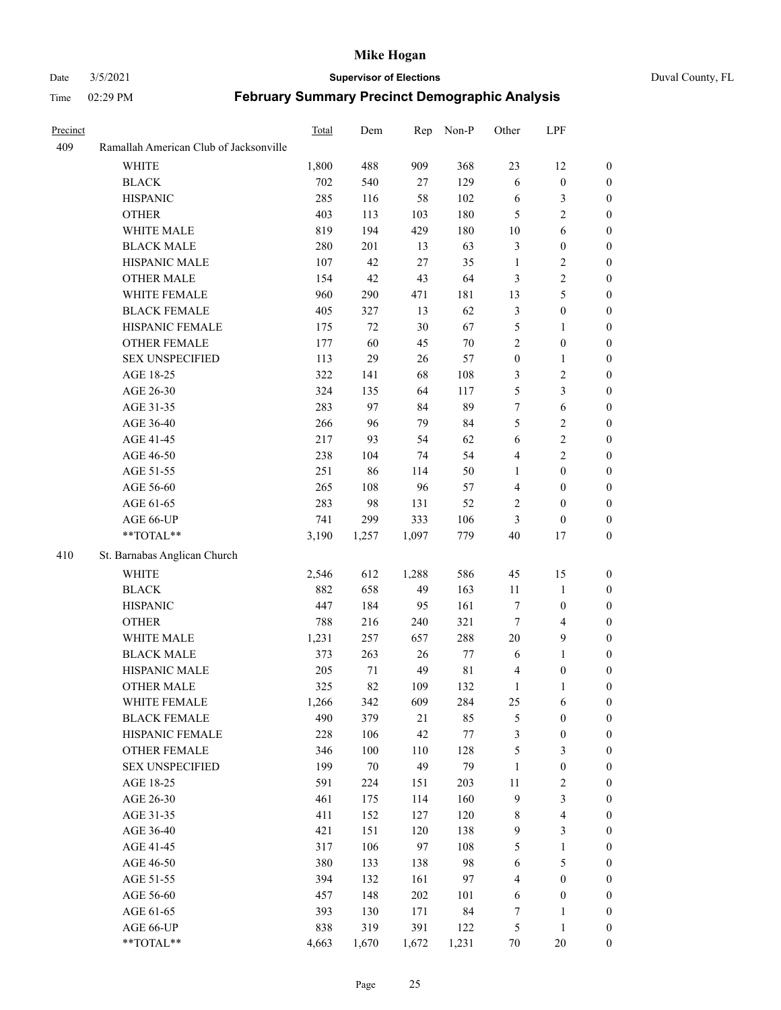#### Date 3/5/2021 **Supervisor of Elections** Duval County, FL

| Precinct |                                        | Total | Dem    | Rep    | Non-P       | Other            | LPF                     |                  |
|----------|----------------------------------------|-------|--------|--------|-------------|------------------|-------------------------|------------------|
| 409      | Ramallah American Club of Jacksonville |       |        |        |             |                  |                         |                  |
|          | <b>WHITE</b>                           | 1,800 | 488    | 909    | 368         | 23               | 12                      | $\boldsymbol{0}$ |
|          | <b>BLACK</b>                           | 702   | 540    | $27\,$ | 129         | $\sqrt{6}$       | $\boldsymbol{0}$        | $\boldsymbol{0}$ |
|          | <b>HISPANIC</b>                        | 285   | 116    | 58     | 102         | 6                | $\mathfrak{Z}$          | $\boldsymbol{0}$ |
|          | <b>OTHER</b>                           | 403   | 113    | 103    | 180         | 5                | $\overline{2}$          | $\boldsymbol{0}$ |
|          | WHITE MALE                             | 819   | 194    | 429    | 180         | $10\,$           | 6                       | $\boldsymbol{0}$ |
|          | <b>BLACK MALE</b>                      | 280   | 201    | 13     | 63          | 3                | $\boldsymbol{0}$        | $\boldsymbol{0}$ |
|          | HISPANIC MALE                          | 107   | 42     | 27     | 35          | $\mathbf{1}$     | $\sqrt{2}$              | $\boldsymbol{0}$ |
|          | <b>OTHER MALE</b>                      | 154   | 42     | 43     | 64          | 3                | $\sqrt{2}$              | 0                |
|          | WHITE FEMALE                           | 960   | 290    | 471    | 181         | 13               | 5                       | 0                |
|          | <b>BLACK FEMALE</b>                    | 405   | 327    | 13     | 62          | 3                | $\boldsymbol{0}$        | $\boldsymbol{0}$ |
|          | HISPANIC FEMALE                        | 175   | 72     | 30     | 67          | 5                | $\mathbf{1}$            | $\boldsymbol{0}$ |
|          | OTHER FEMALE                           | 177   | 60     | 45     | $70\,$      | $\overline{2}$   | $\boldsymbol{0}$        | $\boldsymbol{0}$ |
|          | <b>SEX UNSPECIFIED</b>                 | 113   | 29     | 26     | 57          | $\boldsymbol{0}$ | $\mathbf{1}$            | $\boldsymbol{0}$ |
|          | AGE 18-25                              | 322   | 141    | 68     | 108         | 3                | $\sqrt{2}$              | $\boldsymbol{0}$ |
|          | AGE 26-30                              | 324   | 135    | 64     | 117         | 5                | $\mathfrak{Z}$          | $\boldsymbol{0}$ |
|          | AGE 31-35                              | 283   | 97     | 84     | 89          | $\tau$           | $\sqrt{6}$              | $\boldsymbol{0}$ |
|          | AGE 36-40                              | 266   | 96     | 79     | 84          | 5                | $\sqrt{2}$              | $\boldsymbol{0}$ |
|          | AGE 41-45                              | 217   | 93     | 54     | 62          | $\sqrt{6}$       | $\boldsymbol{2}$        | 0                |
|          | AGE 46-50                              | 238   | 104    | 74     | 54          | $\overline{4}$   | $\overline{2}$          | 0                |
|          | AGE 51-55                              | 251   | 86     | 114    | 50          | $\mathbf{1}$     | $\boldsymbol{0}$        | $\boldsymbol{0}$ |
|          | AGE 56-60                              | 265   | 108    | 96     | 57          | $\overline{4}$   | $\boldsymbol{0}$        | $\boldsymbol{0}$ |
|          | AGE 61-65                              | 283   | 98     | 131    | 52          | 2                | $\boldsymbol{0}$        | $\boldsymbol{0}$ |
|          | AGE 66-UP                              | 741   | 299    | 333    | 106         | 3                | $\boldsymbol{0}$        | $\boldsymbol{0}$ |
|          | **TOTAL**                              | 3,190 | 1,257  | 1,097  | 779         | $40\,$           | 17                      | $\boldsymbol{0}$ |
| 410      | St. Barnabas Anglican Church           |       |        |        |             |                  |                         |                  |
|          | <b>WHITE</b>                           | 2,546 | 612    | 1,288  | 586         | 45               | 15                      | $\boldsymbol{0}$ |
|          | <b>BLACK</b>                           | 882   | 658    | 49     | 163         | $11\,$           | $\mathbf{1}$            | $\boldsymbol{0}$ |
|          | <b>HISPANIC</b>                        | 447   | 184    | 95     | 161         | 7                | $\boldsymbol{0}$        | $\boldsymbol{0}$ |
|          | <b>OTHER</b>                           | 788   | 216    | 240    | 321         | $\tau$           | $\overline{4}$          | $\boldsymbol{0}$ |
|          | WHITE MALE                             | 1,231 | 257    | 657    | 288         | $20\,$           | $\mathbf{9}$            | 0                |
|          | <b>BLACK MALE</b>                      | 373   | 263    | 26     | 77          | 6                | $\mathbf{1}$            | 0                |
|          | HISPANIC MALE                          | 205   | 71     | 49     | $8\sqrt{1}$ | 4                | $\boldsymbol{0}$        | 0                |
|          | OTHER MALE                             | 325   | 82     | 109    | 132         | $\mathbf{1}$     | $\mathbf{1}$            | $\boldsymbol{0}$ |
|          | WHITE FEMALE                           | 1,266 | 342    | 609    | 284         | 25               | 6                       | $\boldsymbol{0}$ |
|          | <b>BLACK FEMALE</b>                    | 490   | 379    | 21     | 85          | 5                | $\boldsymbol{0}$        | $\boldsymbol{0}$ |
|          | HISPANIC FEMALE                        | 228   | 106    | 42     | 77          | 3                | $\boldsymbol{0}$        | $\overline{0}$   |
|          | <b>OTHER FEMALE</b>                    | 346   | 100    | 110    | 128         | 5                | $\mathfrak{Z}$          | $\overline{0}$   |
|          | <b>SEX UNSPECIFIED</b>                 | 199   | $70\,$ | 49     | 79          | $\mathbf{1}$     | $\boldsymbol{0}$        | $\theta$         |
|          | AGE 18-25                              | 591   | 224    | 151    | 203         | $11\,$           | $\sqrt{2}$              | 0                |
|          | AGE 26-30                              | 461   | 175    | 114    | 160         | $\mathbf{9}$     | $\mathfrak{Z}$          | 0                |
|          | AGE 31-35                              | 411   | 152    | 127    | 120         | 8                | $\overline{\mathbf{4}}$ | 0                |
|          | AGE 36-40                              | 421   | 151    | 120    | 138         | 9                | $\mathfrak{Z}$          | 0                |
|          | AGE 41-45                              | 317   | 106    | 97     | 108         | 5                | $\mathbf{1}$            | 0                |
|          | AGE 46-50                              | 380   | 133    | 138    | 98          | 6                | $\mathfrak{S}$          | $\boldsymbol{0}$ |
|          | AGE 51-55                              | 394   | 132    | 161    | 97          | 4                | $\boldsymbol{0}$        | $\overline{0}$   |
|          | AGE 56-60                              | 457   | 148    | 202    | 101         | 6                | $\boldsymbol{0}$        | 0                |
|          | AGE 61-65                              | 393   | 130    | 171    | 84          | 7                | $\mathbf{1}$            | 0                |
|          | AGE 66-UP                              | 838   | 319    | 391    | 122         | 5                | $\mathbf{1}$            | $\boldsymbol{0}$ |
|          | **TOTAL**                              | 4,663 | 1,670  | 1,672  | 1,231       | $70\,$           | 20                      | $\boldsymbol{0}$ |
|          |                                        |       |        |        |             |                  |                         |                  |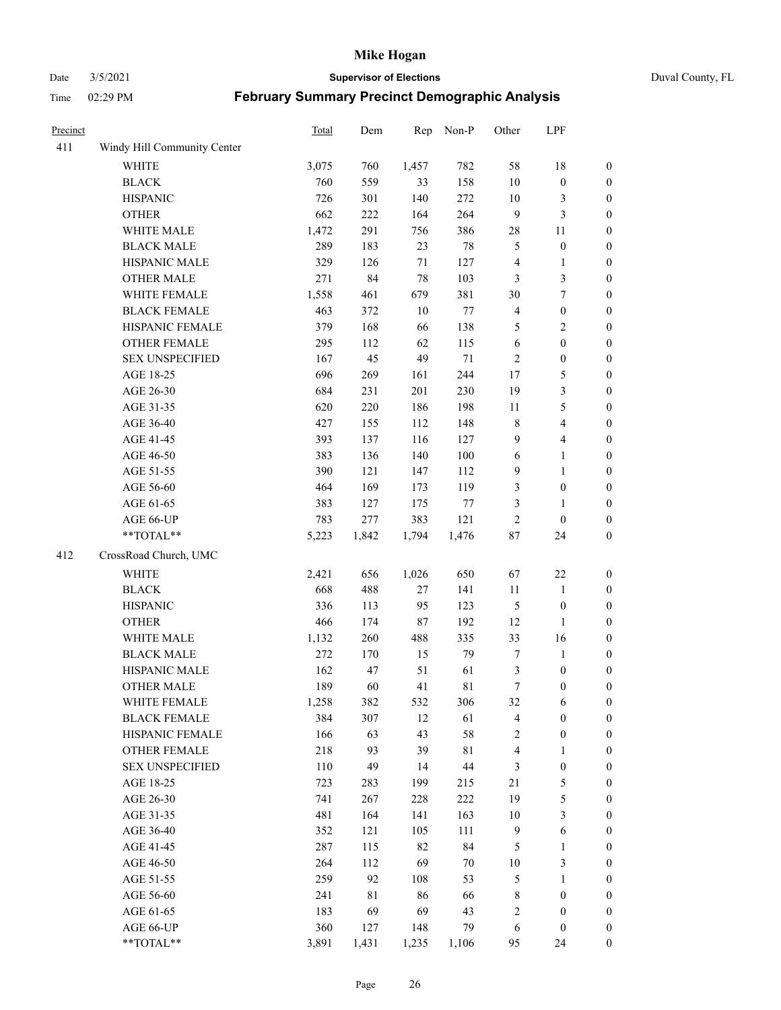Date 3/5/2021 **Supervisor of Elections** Duval County, FL

| Precinct |                             | Total | Dem   | Rep    | Non-P   | Other                   | LPF                     |                  |
|----------|-----------------------------|-------|-------|--------|---------|-------------------------|-------------------------|------------------|
| 411      | Windy Hill Community Center |       |       |        |         |                         |                         |                  |
|          | <b>WHITE</b>                | 3,075 | 760   | 1,457  | 782     | 58                      | 18                      | 0                |
|          | <b>BLACK</b>                | 760   | 559   | 33     | 158     | $10\,$                  | $\boldsymbol{0}$        | 0                |
|          | <b>HISPANIC</b>             | 726   | 301   | 140    | 272     | $10\,$                  | 3                       | $\boldsymbol{0}$ |
|          | <b>OTHER</b>                | 662   | 222   | 164    | 264     | 9                       | $\mathfrak{Z}$          | $\boldsymbol{0}$ |
|          | WHITE MALE                  | 1,472 | 291   | 756    | 386     | 28                      | 11                      | $\boldsymbol{0}$ |
|          | <b>BLACK MALE</b>           | 289   | 183   | 23     | $78\,$  | 5                       | $\boldsymbol{0}$        | $\boldsymbol{0}$ |
|          | HISPANIC MALE               | 329   | 126   | $71\,$ | 127     | 4                       | $\mathbf{1}$            | $\boldsymbol{0}$ |
|          | <b>OTHER MALE</b>           | 271   | 84    | 78     | 103     | 3                       | $\mathfrak{Z}$          | $\boldsymbol{0}$ |
|          | WHITE FEMALE                | 1,558 | 461   | 679    | 381     | 30                      | $\boldsymbol{7}$        | $\boldsymbol{0}$ |
|          | <b>BLACK FEMALE</b>         | 463   | 372   | 10     | $77 \,$ | $\overline{\mathbf{4}}$ | $\boldsymbol{0}$        | $\boldsymbol{0}$ |
|          | HISPANIC FEMALE             | 379   | 168   | 66     | 138     | 5                       | $\sqrt{2}$              | 0                |
|          | OTHER FEMALE                | 295   | 112   | 62     | 115     | $\sqrt{6}$              | $\boldsymbol{0}$        | $\boldsymbol{0}$ |
|          | <b>SEX UNSPECIFIED</b>      | 167   | 45    | 49     | $71\,$  | $\sqrt{2}$              | $\boldsymbol{0}$        | $\boldsymbol{0}$ |
|          | AGE 18-25                   | 696   | 269   | 161    | 244     | $17$                    | $\mathfrak{S}$          | $\boldsymbol{0}$ |
|          | AGE 26-30                   | 684   | 231   | 201    | 230     | 19                      | $\mathfrak{Z}$          | $\boldsymbol{0}$ |
|          | AGE 31-35                   | 620   | 220   | 186    | 198     | 11                      | $\mathfrak s$           | $\boldsymbol{0}$ |
|          | AGE 36-40                   | 427   | 155   | 112    | 148     | $\,$ 8 $\,$             | $\overline{\mathbf{4}}$ | $\boldsymbol{0}$ |
|          | AGE 41-45                   | 393   | 137   | 116    | 127     | 9                       | $\overline{4}$          | $\boldsymbol{0}$ |
|          | AGE 46-50                   | 383   | 136   | 140    | $100\,$ | $\sqrt{6}$              | $\mathbf{1}$            | $\boldsymbol{0}$ |
|          | AGE 51-55                   | 390   | 121   | 147    | 112     | 9                       | $\mathbf{1}$            | $\boldsymbol{0}$ |
|          | AGE 56-60                   | 464   | 169   | 173    | 119     | 3                       | $\boldsymbol{0}$        | 0                |
|          | AGE 61-65                   | 383   | 127   | 175    | $77\,$  | 3                       | $\mathbf{1}$            | 0                |
|          | AGE 66-UP                   | 783   | 277   | 383    | 121     | $\sqrt{2}$              | $\boldsymbol{0}$        | $\boldsymbol{0}$ |
|          | **TOTAL**                   | 5,223 | 1,842 | 1,794  | 1,476   | $87\,$                  | 24                      | $\boldsymbol{0}$ |
| 412      | CrossRoad Church, UMC       |       |       |        |         |                         |                         |                  |
|          | <b>WHITE</b>                | 2,421 | 656   | 1,026  | 650     | 67                      | $22\,$                  | $\boldsymbol{0}$ |
|          | <b>BLACK</b>                | 668   | 488   | $27\,$ | 141     | $11\,$                  | $\mathbf{1}$            | $\boldsymbol{0}$ |
|          | <b>HISPANIC</b>             | 336   | 113   | 95     | 123     | 5                       | $\boldsymbol{0}$        | $\boldsymbol{0}$ |
|          | <b>OTHER</b>                | 466   | 174   | 87     | 192     | 12                      | $\mathbf{1}$            | $\boldsymbol{0}$ |
|          | WHITE MALE                  | 1,132 | 260   | 488    | 335     | 33                      | 16                      | $\boldsymbol{0}$ |
|          | <b>BLACK MALE</b>           | 272   | 170   | 15     | 79      | 7                       | $\mathbf{1}$            | $\boldsymbol{0}$ |
|          | HISPANIC MALE               | 162   | 47    | 51     | 61      | 3                       | $\boldsymbol{0}$        | 0                |
|          | <b>OTHER MALE</b>           | 189   | 60    | 41     | 81      | $\tau$                  | $\boldsymbol{0}$        | $\boldsymbol{0}$ |
|          | WHITE FEMALE                | 1,258 | 382   | 532    | 306     | 32                      | 6                       | 0                |
|          | <b>BLACK FEMALE</b>         | 384   | 307   | 12     | 61      | 4                       | $\boldsymbol{0}$        | $\boldsymbol{0}$ |
|          | HISPANIC FEMALE             | 166   | 63    | 43     | 58      | 2                       | $\boldsymbol{0}$        | $\overline{0}$   |
|          | OTHER FEMALE                | 218   | 93    | 39     | 81      | 4                       | $\mathbf{1}$            | $\overline{0}$   |
|          | <b>SEX UNSPECIFIED</b>      | 110   | 49    | 14     | 44      | 3                       | $\boldsymbol{0}$        | 0                |
|          | AGE 18-25                   | 723   | 283   | 199    | 215     | 21                      | $\mathfrak{S}$          | 0                |
|          | AGE 26-30                   | 741   | 267   | 228    | 222     | 19                      | $\mathfrak s$           | 0                |
|          | AGE 31-35                   | 481   | 164   | 141    | 163     | $10\,$                  | $\mathfrak{Z}$          | 0                |
|          | AGE 36-40                   | 352   | 121   | 105    | 111     | $\overline{9}$          | $\sqrt{6}$              | 0                |
|          | AGE 41-45                   | 287   | 115   | 82     | 84      | $\mathfrak{S}$          | $\mathbf{1}$            | 0                |
|          | AGE 46-50                   | 264   | 112   | 69     | 70      | $10\,$                  | $\mathfrak{Z}$          | 0                |
|          | AGE 51-55                   | 259   | 92    | 108    | 53      | 5                       | $\mathbf{1}$            | 0                |
|          | AGE 56-60                   | 241   | 81    | 86     | 66      | 8                       | $\boldsymbol{0}$        | 0                |
|          | AGE 61-65                   | 183   | 69    | 69     | 43      | 2                       | $\boldsymbol{0}$        | $\overline{0}$   |
|          | AGE 66-UP                   | 360   | 127   | 148    | 79      | 6                       | $\boldsymbol{0}$        | 0                |
|          | **TOTAL**                   | 3,891 | 1,431 | 1,235  | 1,106   | 95                      | 24                      | $\boldsymbol{0}$ |
|          |                             |       |       |        |         |                         |                         |                  |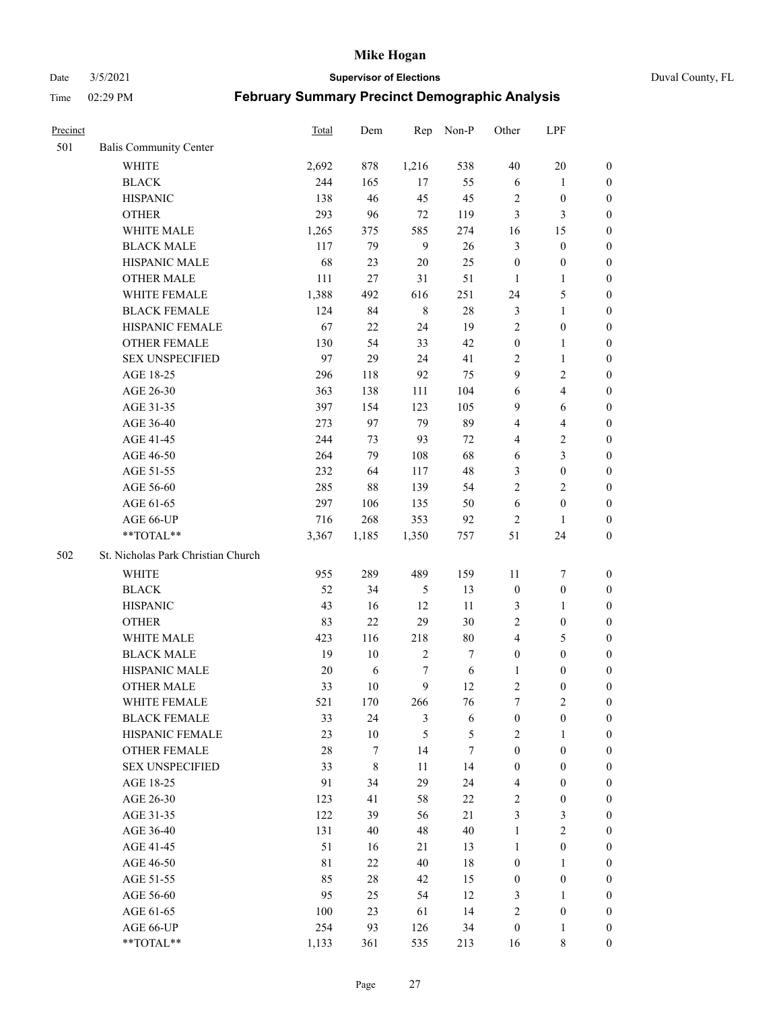Date 3/5/2021 **Supervisor of Elections** Duval County, FL

| Precinct |                                    | Total       | Dem    | Rep            | Non-P  | Other            | LPF                     |                  |
|----------|------------------------------------|-------------|--------|----------------|--------|------------------|-------------------------|------------------|
| 501      | <b>Balis Community Center</b>      |             |        |                |        |                  |                         |                  |
|          | <b>WHITE</b>                       | 2,692       | 878    | 1,216          | 538    | 40               | $20\,$                  | 0                |
|          | <b>BLACK</b>                       | 244         | 165    | 17             | 55     | 6                | $\mathbf{1}$            | 0                |
|          | <b>HISPANIC</b>                    | 138         | 46     | 45             | 45     | $\overline{2}$   | $\boldsymbol{0}$        | $\boldsymbol{0}$ |
|          | <b>OTHER</b>                       | 293         | 96     | 72             | 119    | 3                | 3                       | $\boldsymbol{0}$ |
|          | WHITE MALE                         | 1,265       | 375    | 585            | 274    | 16               | 15                      | $\boldsymbol{0}$ |
|          | <b>BLACK MALE</b>                  | 117         | 79     | 9              | 26     | 3                | $\boldsymbol{0}$        | $\boldsymbol{0}$ |
|          | HISPANIC MALE                      | 68          | 23     | 20             | 25     | $\boldsymbol{0}$ | $\boldsymbol{0}$        | $\boldsymbol{0}$ |
|          | <b>OTHER MALE</b>                  | 111         | 27     | 31             | 51     | $\mathbf{1}$     | $\mathbf{1}$            | $\boldsymbol{0}$ |
|          | WHITE FEMALE                       | 1,388       | 492    | 616            | 251    | 24               | $\mathfrak{S}$          | $\boldsymbol{0}$ |
|          | <b>BLACK FEMALE</b>                | 124         | 84     | $\,$ 8 $\,$    | $28\,$ | 3                | $\mathbf{1}$            | 0                |
|          | HISPANIC FEMALE                    | 67          | 22     | 24             | 19     | $\mathbf{2}$     | $\boldsymbol{0}$        | 0                |
|          | OTHER FEMALE                       | 130         | 54     | 33             | 42     | $\boldsymbol{0}$ | $\mathbf{1}$            | 0                |
|          | <b>SEX UNSPECIFIED</b>             | 97          | 29     | 24             | 41     | $\mathbf{2}$     | $\mathbf{1}$            | $\boldsymbol{0}$ |
|          | AGE 18-25                          | 296         | 118    | 92             | 75     | 9                | $\sqrt{2}$              | $\boldsymbol{0}$ |
|          | AGE 26-30                          | 363         | 138    | 111            | 104    | 6                | $\overline{4}$          | $\boldsymbol{0}$ |
|          | AGE 31-35                          | 397         | 154    | 123            | 105    | 9                | 6                       | $\boldsymbol{0}$ |
|          | AGE 36-40                          | 273         | 97     | 79             | 89     | 4                | $\overline{\mathbf{4}}$ | $\boldsymbol{0}$ |
|          | AGE 41-45                          | 244         | 73     | 93             | 72     | 4                | $\sqrt{2}$              | $\boldsymbol{0}$ |
|          | AGE 46-50                          | 264         | 79     | 108            | 68     | 6                | $\mathfrak{Z}$          | $\boldsymbol{0}$ |
|          | AGE 51-55                          | 232         | 64     | 117            | 48     | 3                | $\boldsymbol{0}$        | $\boldsymbol{0}$ |
|          | AGE 56-60                          | 285         | 88     | 139            | 54     | $\overline{c}$   | $\overline{2}$          | 0                |
|          | AGE 61-65                          | 297         | 106    | 135            | 50     | $\sqrt{6}$       | $\boldsymbol{0}$        | 0                |
|          | AGE 66-UP                          | 716         | 268    | 353            | 92     | $\sqrt{2}$       | $\mathbf{1}$            | $\boldsymbol{0}$ |
|          | $**TOTAL**$                        | 3,367       | 1,185  | 1,350          | 757    | 51               | 24                      | $\boldsymbol{0}$ |
| 502      | St. Nicholas Park Christian Church |             |        |                |        |                  |                         |                  |
|          | <b>WHITE</b>                       | 955         | 289    | 489            | 159    | 11               | $\boldsymbol{7}$        | $\boldsymbol{0}$ |
|          | <b>BLACK</b>                       | 52          | 34     | $\sqrt{5}$     | 13     | $\boldsymbol{0}$ | $\boldsymbol{0}$        | $\boldsymbol{0}$ |
|          | <b>HISPANIC</b>                    | 43          | 16     | 12             | 11     | 3                | $\mathbf{1}$            | $\boldsymbol{0}$ |
|          | <b>OTHER</b>                       | 83          | 22     | 29             | 30     | $\overline{c}$   | $\boldsymbol{0}$        | $\boldsymbol{0}$ |
|          | WHITE MALE                         | 423         | 116    | 218            | $80\,$ | $\overline{4}$   | $\mathfrak{S}$          | $\boldsymbol{0}$ |
|          | <b>BLACK MALE</b>                  | 19          | 10     | $\sqrt{2}$     | $\tau$ | $\boldsymbol{0}$ | $\boldsymbol{0}$        | $\boldsymbol{0}$ |
|          | HISPANIC MALE                      | 20          | 6      | 7              | 6      | 1                | $\boldsymbol{0}$        | 0                |
|          | <b>OTHER MALE</b>                  | 33          | 10     | 9              | 12     | $\overline{c}$   | $\boldsymbol{0}$        | 0                |
|          | WHITE FEMALE                       | 521         | 170    | 266            | 76     | 7                | 2                       | 0                |
|          | <b>BLACK FEMALE</b>                | 33          | 24     | $\mathfrak{Z}$ | 6      | $\boldsymbol{0}$ | $\boldsymbol{0}$        | $\overline{0}$   |
|          | HISPANIC FEMALE                    | 23          | $10\,$ | 5              | 5      | $\mathbf{2}$     | $\mathbf{1}$            | $\overline{0}$   |
|          | OTHER FEMALE                       | 28          | 7      | 14             | 7      | $\boldsymbol{0}$ | $\boldsymbol{0}$        | $\overline{0}$   |
|          | <b>SEX UNSPECIFIED</b>             | 33          | 8      | 11             | 14     | $\boldsymbol{0}$ | $\boldsymbol{0}$        | $\overline{0}$   |
|          | AGE 18-25                          | 91          | 34     | 29             | 24     | 4                | $\boldsymbol{0}$        | $\overline{0}$   |
|          | AGE 26-30                          | 123         | 41     | 58             | $22\,$ | $\sqrt{2}$       | $\boldsymbol{0}$        | 0                |
|          | AGE 31-35                          | 122         | 39     | 56             | 21     | 3                | $\mathfrak{Z}$          | 0                |
|          | AGE 36-40                          | 131         | 40     | 48             | 40     | $\mathbf{1}$     | $\sqrt{2}$              | 0                |
|          | AGE 41-45                          | 51          | 16     | 21             | 13     | $\mathbf{1}$     | $\boldsymbol{0}$        | 0                |
|          | AGE 46-50                          | $8\sqrt{1}$ | 22     | 40             | $18\,$ | $\boldsymbol{0}$ | $\mathbf{1}$            | 0                |
|          | AGE 51-55                          | 85          | $28\,$ | 42             | 15     | $\boldsymbol{0}$ | $\boldsymbol{0}$        | $\overline{0}$   |
|          | AGE 56-60                          | 95          | 25     | 54             | 12     | 3                | $\mathbf{1}$            | $\overline{0}$   |
|          | AGE 61-65                          | 100         | 23     | 61             | 14     | $\overline{c}$   | $\boldsymbol{0}$        | $\overline{0}$   |
|          | AGE 66-UP                          | 254         | 93     | 126            | 34     | $\boldsymbol{0}$ | $\mathbf{1}$            | $\boldsymbol{0}$ |
|          | **TOTAL**                          | 1,133       | 361    | 535            | 213    | 16               | $8\,$                   | $\boldsymbol{0}$ |
|          |                                    |             |        |                |        |                  |                         |                  |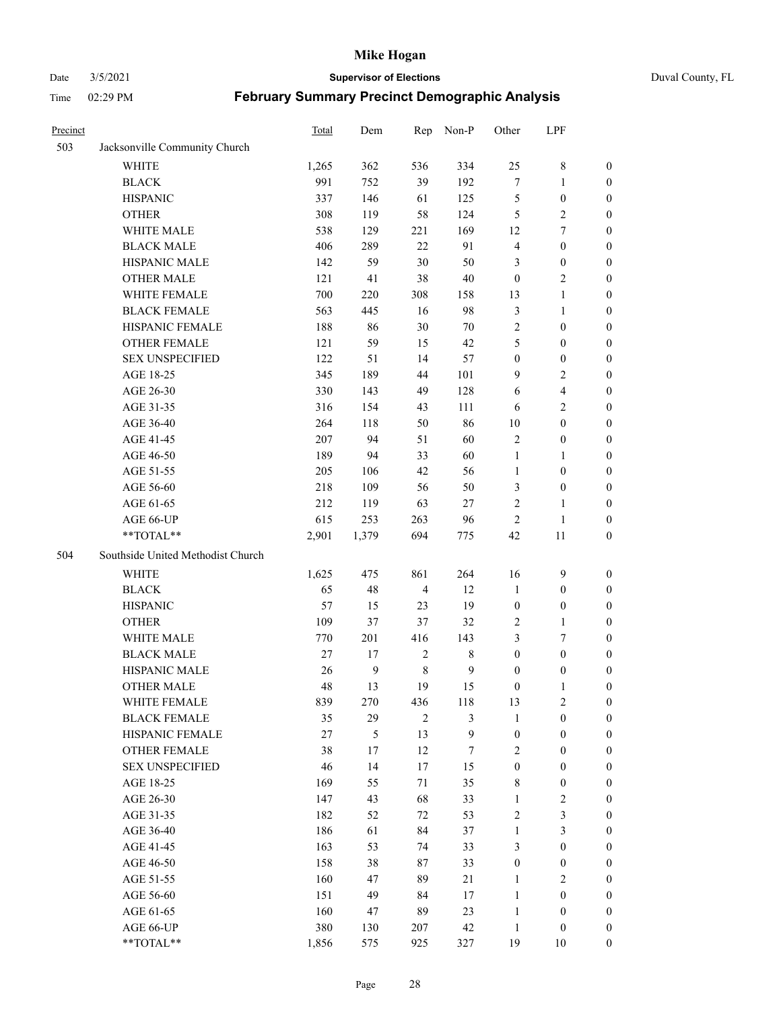#### Date 3/5/2021 **Supervisor of Elections** Duval County, FL

| Precinct |                                   | Total  | Dem              | Rep            | Non-P        | Other            | LPF                     |                  |
|----------|-----------------------------------|--------|------------------|----------------|--------------|------------------|-------------------------|------------------|
| 503      | Jacksonville Community Church     |        |                  |                |              |                  |                         |                  |
|          | <b>WHITE</b>                      | 1,265  | 362              | 536            | 334          | 25               | $8\,$                   | 0                |
|          | <b>BLACK</b>                      | 991    | 752              | 39             | 192          | $\boldsymbol{7}$ | $\mathbf{1}$            | 0                |
|          | <b>HISPANIC</b>                   | 337    | 146              | 61             | 125          | 5                | $\boldsymbol{0}$        | $\boldsymbol{0}$ |
|          | <b>OTHER</b>                      | 308    | 119              | 58             | 124          | 5                | $\sqrt{2}$              | $\boldsymbol{0}$ |
|          | WHITE MALE                        | 538    | 129              | 221            | 169          | 12               | $\tau$                  | $\boldsymbol{0}$ |
|          | <b>BLACK MALE</b>                 | 406    | 289              | 22             | 91           | $\overline{4}$   | $\boldsymbol{0}$        | $\boldsymbol{0}$ |
|          | HISPANIC MALE                     | 142    | 59               | 30             | 50           | 3                | $\boldsymbol{0}$        | $\boldsymbol{0}$ |
|          | <b>OTHER MALE</b>                 | 121    | 41               | 38             | $40\,$       | $\boldsymbol{0}$ | $\overline{2}$          | $\boldsymbol{0}$ |
|          | WHITE FEMALE                      | 700    | 220              | 308            | 158          | 13               | $\mathbf{1}$            | $\boldsymbol{0}$ |
|          | <b>BLACK FEMALE</b>               | 563    | 445              | 16             | 98           | 3                | $\mathbf{1}$            | 0                |
|          | HISPANIC FEMALE                   | 188    | 86               | 30             | 70           | $\sqrt{2}$       | $\boldsymbol{0}$        | 0                |
|          | <b>OTHER FEMALE</b>               | 121    | 59               | 15             | 42           | 5                | $\boldsymbol{0}$        | 0                |
|          | <b>SEX UNSPECIFIED</b>            | 122    | 51               | 14             | 57           | $\boldsymbol{0}$ | $\boldsymbol{0}$        | $\boldsymbol{0}$ |
|          | AGE 18-25                         | 345    | 189              | 44             | 101          | 9                | $\sqrt{2}$              | $\boldsymbol{0}$ |
|          | AGE 26-30                         | 330    | 143              | 49             | 128          | 6                | $\overline{\mathbf{4}}$ | $\boldsymbol{0}$ |
|          | AGE 31-35                         | 316    | 154              | 43             | 111          | 6                | $\sqrt{2}$              | $\boldsymbol{0}$ |
|          | AGE 36-40                         | 264    | 118              | 50             | 86           | 10               | $\boldsymbol{0}$        | $\boldsymbol{0}$ |
|          | AGE 41-45                         | 207    | 94               | 51             | 60           | $\sqrt{2}$       | $\boldsymbol{0}$        | $\boldsymbol{0}$ |
|          | AGE 46-50                         | 189    | 94               | 33             | 60           | $\mathbf{1}$     | $\mathbf{1}$            | $\boldsymbol{0}$ |
|          | AGE 51-55                         | 205    | 106              | 42             | 56           | $\mathbf{1}$     | $\boldsymbol{0}$        | 0                |
|          | AGE 56-60                         | 218    | 109              | 56             | 50           | 3                | $\boldsymbol{0}$        | 0                |
|          | AGE 61-65                         | 212    | 119              | 63             | 27           | $\mathbf{2}$     | $\mathbf{1}$            | 0                |
|          | AGE 66-UP                         | 615    | 253              | 263            | 96           | $\overline{2}$   | $\mathbf{1}$            | $\boldsymbol{0}$ |
|          | **TOTAL**                         | 2,901  | 1,379            | 694            | 775          | 42               | $11\,$                  | $\boldsymbol{0}$ |
| 504      | Southside United Methodist Church |        |                  |                |              |                  |                         |                  |
|          | <b>WHITE</b>                      | 1,625  | 475              | 861            | 264          | 16               | $\mathbf{9}$            | $\boldsymbol{0}$ |
|          | <b>BLACK</b>                      | 65     | 48               | $\overline{4}$ | 12           | $\mathbf{1}$     | $\boldsymbol{0}$        | $\boldsymbol{0}$ |
|          | <b>HISPANIC</b>                   | 57     | 15               | 23             | 19           | $\boldsymbol{0}$ | $\boldsymbol{0}$        | $\boldsymbol{0}$ |
|          | <b>OTHER</b>                      | 109    | 37               | 37             | 32           | $\overline{c}$   | $\mathbf{1}$            | $\boldsymbol{0}$ |
|          | WHITE MALE                        | 770    | 201              | 416            | 143          | 3                | $\tau$                  | $\overline{0}$   |
|          | <b>BLACK MALE</b>                 | $27\,$ | 17               | $\sqrt{2}$     | $\,$ 8 $\,$  | $\boldsymbol{0}$ | $\boldsymbol{0}$        | $\overline{0}$   |
|          | HISPANIC MALE                     | 26     | $\boldsymbol{9}$ | $\,$ 8 $\,$    | $\mathbf{9}$ | $\boldsymbol{0}$ | $\boldsymbol{0}$        | 0                |
|          | <b>OTHER MALE</b>                 | 48     | 13               | 19             | 15           | $\boldsymbol{0}$ | $\mathbf{1}$            | 0                |
|          | WHITE FEMALE                      | 839    | 270              | 436            | 118          | 13               | 2                       | 0                |
|          | <b>BLACK FEMALE</b>               | 35     | 29               | $\overline{2}$ | 3            | $\mathbf{1}$     | $\boldsymbol{0}$        | $\boldsymbol{0}$ |
|          | HISPANIC FEMALE                   | 27     | 5                | 13             | 9            | $\boldsymbol{0}$ | $\boldsymbol{0}$        | $\overline{0}$   |
|          | OTHER FEMALE                      | 38     | 17               | 12             | 7            | $\overline{c}$   | $\boldsymbol{0}$        | $\overline{0}$   |
|          | <b>SEX UNSPECIFIED</b>            | 46     | 14               | 17             | 15           | $\boldsymbol{0}$ | $\boldsymbol{0}$        | 0                |
|          | AGE 18-25                         | 169    | 55               | 71             | 35           | 8                | $\boldsymbol{0}$        | 0                |
|          | AGE 26-30                         | 147    | 43               | 68             | 33           | $\mathbf{1}$     | $\sqrt{2}$              | 0                |
|          | AGE 31-35                         | 182    | 52               | 72             | 53           | $\mathfrak{2}$   | $\mathfrak{Z}$          | 0                |
|          | AGE 36-40                         | 186    | 61               | 84             | 37           | $\mathbf{1}$     | $\mathfrak{Z}$          | 0                |
|          | AGE 41-45                         | 163    | 53               | 74             | 33           | 3                | $\boldsymbol{0}$        | 0                |
|          | AGE 46-50                         | 158    | 38               | $87\,$         | 33           | $\boldsymbol{0}$ | $\boldsymbol{0}$        | 0                |
|          | AGE 51-55                         | 160    | 47               | 89             | 21           | $\mathbf{1}$     | $\overline{2}$          | 0                |
|          | AGE 56-60                         | 151    | 49               | 84             | 17           | $\mathbf{1}$     | $\boldsymbol{0}$        | $\overline{0}$   |
|          | AGE 61-65                         | 160    | 47               | 89             | 23           | $\mathbf{1}$     | $\boldsymbol{0}$        | $\overline{0}$   |
|          | AGE 66-UP                         | 380    | 130              | 207            | 42           | $\mathbf{1}$     | $\boldsymbol{0}$        | 0                |
|          | **TOTAL**                         | 1,856  | 575              | 925            | 327          | 19               | 10                      | $\boldsymbol{0}$ |
|          |                                   |        |                  |                |              |                  |                         |                  |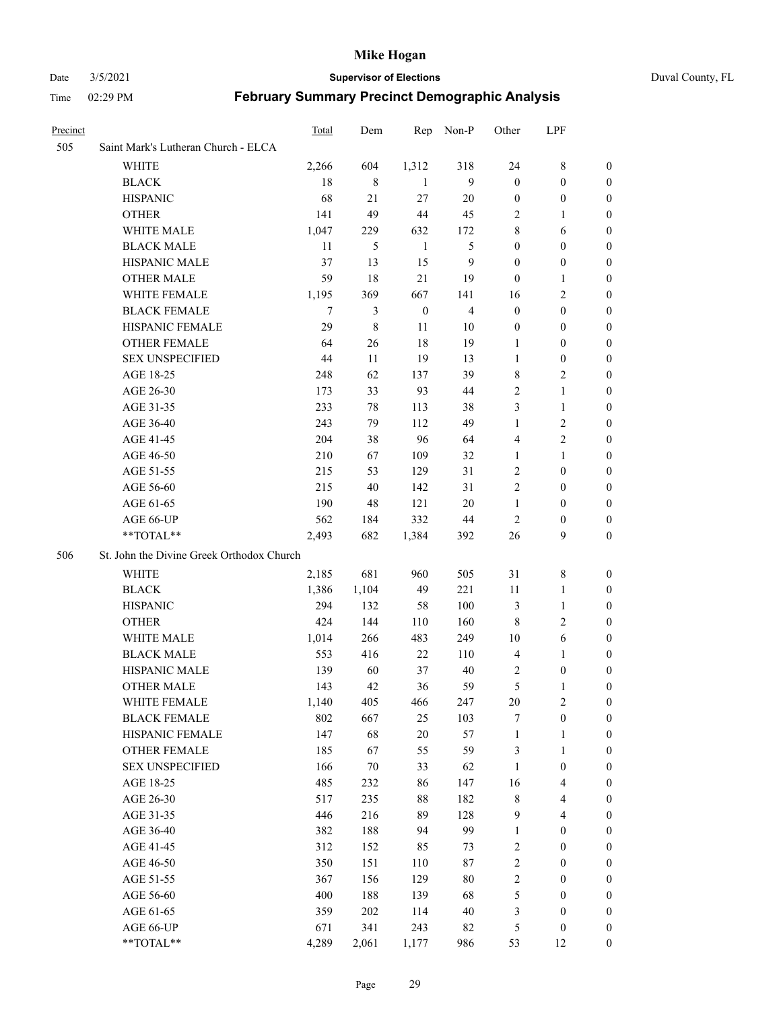#### Date 3/5/2021 **Supervisor of Elections** Duval County, FL

| Precinct |                                           | Total | Dem    | Rep              | Non-P            | Other            | LPF                     |                  |
|----------|-------------------------------------------|-------|--------|------------------|------------------|------------------|-------------------------|------------------|
| 505      | Saint Mark's Lutheran Church - ELCA       |       |        |                  |                  |                  |                         |                  |
|          | <b>WHITE</b>                              | 2,266 | 604    | 1,312            | 318              | 24               | 8                       | 0                |
|          | <b>BLACK</b>                              | 18    | 8      | 1                | 9                | $\boldsymbol{0}$ | $\boldsymbol{0}$        | $\boldsymbol{0}$ |
|          | <b>HISPANIC</b>                           | 68    | 21     | 27               | 20               | $\boldsymbol{0}$ | $\boldsymbol{0}$        | 0                |
|          | <b>OTHER</b>                              | 141   | 49     | 44               | 45               | 2                | $\mathbf{1}$            | $\boldsymbol{0}$ |
|          | WHITE MALE                                | 1,047 | 229    | 632              | 172              | 8                | 6                       | $\boldsymbol{0}$ |
|          | <b>BLACK MALE</b>                         | 11    | 5      | $\mathbf{1}$     | 5                | $\boldsymbol{0}$ | $\boldsymbol{0}$        | 0                |
|          | HISPANIC MALE                             | 37    | 13     | 15               | $\boldsymbol{9}$ | $\boldsymbol{0}$ | $\boldsymbol{0}$        | $\boldsymbol{0}$ |
|          | <b>OTHER MALE</b>                         | 59    | 18     | $21\,$           | 19               | $\boldsymbol{0}$ | $\mathbf{1}$            | 0                |
|          | WHITE FEMALE                              | 1,195 | 369    | 667              | 141              | 16               | $\sqrt{2}$              | 0                |
|          | <b>BLACK FEMALE</b>                       | 7     | 3      | $\boldsymbol{0}$ | $\overline{4}$   | $\boldsymbol{0}$ | $\boldsymbol{0}$        | 0                |
|          | HISPANIC FEMALE                           | 29    | 8      | 11               | 10               | $\boldsymbol{0}$ | $\boldsymbol{0}$        | 0                |
|          | OTHER FEMALE                              | 64    | 26     | 18               | 19               | 1                | $\boldsymbol{0}$        | 0                |
|          | <b>SEX UNSPECIFIED</b>                    | 44    | 11     | 19               | 13               | 1                | $\boldsymbol{0}$        | 0                |
|          | AGE 18-25                                 | 248   | 62     | 137              | 39               | 8                | $\sqrt{2}$              | $\boldsymbol{0}$ |
|          | AGE 26-30                                 | 173   | 33     | 93               | 44               | $\overline{c}$   | $\mathbf{1}$            | $\boldsymbol{0}$ |
|          | AGE 31-35                                 | 233   | 78     | 113              | 38               | 3                | $\mathbf{1}$            | $\boldsymbol{0}$ |
|          | AGE 36-40                                 | 243   | 79     | 112              | 49               | $\mathbf{1}$     | $\sqrt{2}$              | $\boldsymbol{0}$ |
|          | AGE 41-45                                 | 204   | 38     | 96               | 64               | 4                | $\overline{c}$          | 0                |
|          | AGE 46-50                                 | 210   | 67     | 109              | 32               | 1                | $\mathbf{1}$            | 0                |
|          | AGE 51-55                                 | 215   | 53     | 129              | 31               | $\overline{2}$   | $\boldsymbol{0}$        | 0                |
|          | AGE 56-60                                 | 215   | 40     | 142              | 31               | $\mathbf{2}$     | $\boldsymbol{0}$        | 0                |
|          | AGE 61-65                                 | 190   | 48     | 121              | $20\,$           | $\mathbf{1}$     | $\boldsymbol{0}$        | 0                |
|          | AGE 66-UP                                 | 562   | 184    | 332              | 44               | $\overline{2}$   | $\boldsymbol{0}$        | 0                |
|          | **TOTAL**                                 | 2,493 | 682    | 1,384            | 392              | 26               | 9                       | $\boldsymbol{0}$ |
| 506      | St. John the Divine Greek Orthodox Church |       |        |                  |                  |                  |                         |                  |
|          | WHITE                                     | 2,185 | 681    | 960              | 505              | 31               | $\,8\,$                 | $\boldsymbol{0}$ |
|          | <b>BLACK</b>                              | 1,386 | 1,104  | 49               | 221              | 11               | $\mathbf{1}$            | $\boldsymbol{0}$ |
|          | <b>HISPANIC</b>                           | 294   | 132    | 58               | 100              | 3                | $\mathbf{1}$            | 0                |
|          | <b>OTHER</b>                              | 424   | 144    | 110              | 160              | $\,$ 8 $\,$      | $\sqrt{2}$              | $\boldsymbol{0}$ |
|          | WHITE MALE                                | 1,014 | 266    | 483              | 249              | 10               | $\sqrt{6}$              | 0                |
|          | <b>BLACK MALE</b>                         | 553   | 416    | 22               | 110              | $\overline{4}$   | $\mathbf{1}$            | 0                |
|          | HISPANIC MALE                             | 139   | 60     | 37               | 40               | 2                | $\boldsymbol{0}$        | 0                |
|          | <b>OTHER MALE</b>                         | 143   | 42     | 36               | 59               | 5                | 1                       | 0                |
|          | WHITE FEMALE                              | 1,140 | 405    | 466              | 247              | 20               | $\overline{c}$          | $\overline{0}$   |
|          | <b>BLACK FEMALE</b>                       | 802   | 667    | 25               | 103              | 7                | $\boldsymbol{0}$        | $\boldsymbol{0}$ |
|          | HISPANIC FEMALE                           | 147   | 68     | $20\,$           | 57               | $\mathbf{1}$     | $\mathbf{1}$            | $\boldsymbol{0}$ |
|          | <b>OTHER FEMALE</b>                       | 185   | 67     | 55               | 59               | 3                | $\mathbf{1}$            | $\boldsymbol{0}$ |
|          | <b>SEX UNSPECIFIED</b>                    | 166   | $70\,$ | 33               | 62               | $\mathbf{1}$     | $\boldsymbol{0}$        | 0                |
|          | AGE 18-25                                 | 485   | 232    | 86               | 147              | 16               | $\overline{\mathbf{4}}$ | 0                |
|          | AGE 26-30                                 | 517   | 235    | $88\,$           | 182              | $\,$ 8 $\,$      | $\overline{\mathbf{4}}$ | 0                |
|          | AGE 31-35                                 | 446   | 216    | 89               | 128              | 9                | $\overline{4}$          | 0                |
|          | AGE 36-40                                 | 382   | 188    | 94               | 99               | $\mathbf{1}$     | $\boldsymbol{0}$        | 0                |
|          | AGE 41-45                                 | 312   | 152    | 85               | 73               | $\boldsymbol{2}$ | $\boldsymbol{0}$        | 0                |
|          | AGE 46-50                                 | 350   | 151    | 110              | 87               | $\sqrt{2}$       | $\boldsymbol{0}$        | 0                |
|          | AGE 51-55                                 | 367   | 156    | 129              | $80\,$           | $\sqrt{2}$       | $\boldsymbol{0}$        | $\boldsymbol{0}$ |
|          | AGE 56-60                                 | 400   | 188    | 139              | 68               | 5                | $\boldsymbol{0}$        | $\boldsymbol{0}$ |
|          | AGE 61-65                                 | 359   | 202    | 114              | $40\,$           | 3                | $\boldsymbol{0}$        | $\boldsymbol{0}$ |
|          | AGE 66-UP                                 | 671   | 341    | 243              | 82               | 5                | $\boldsymbol{0}$        | 0                |
|          | **TOTAL**                                 | 4,289 | 2,061  | 1,177            | 986              | 53               | 12                      | $\boldsymbol{0}$ |
|          |                                           |       |        |                  |                  |                  |                         |                  |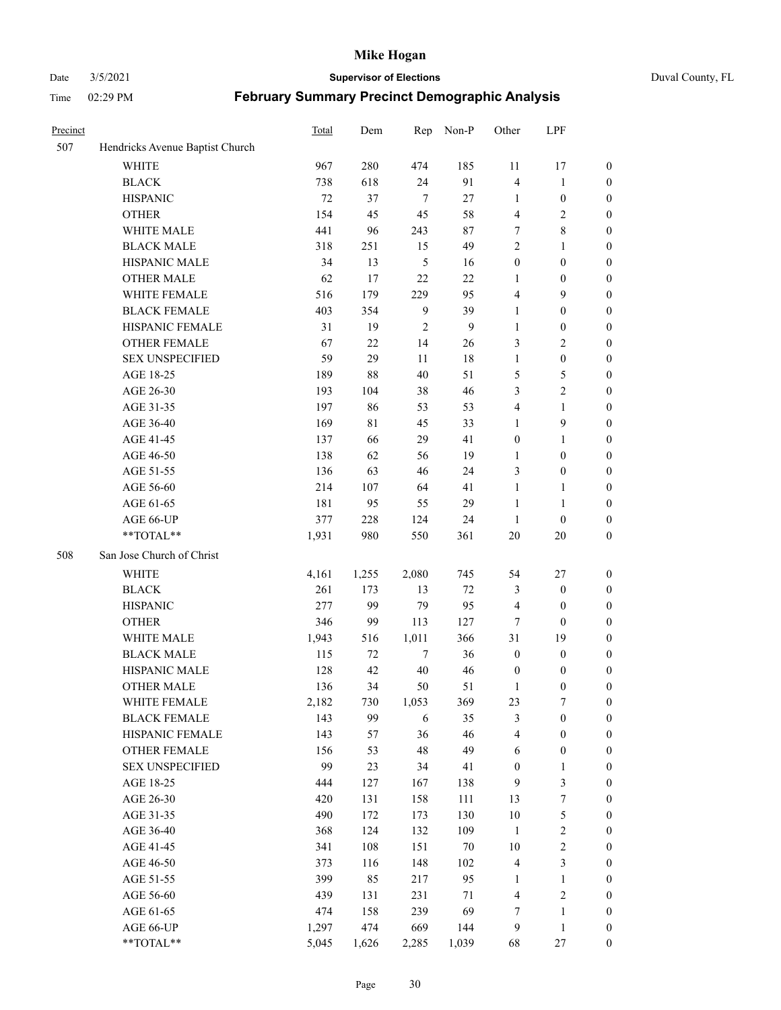Date 3/5/2021 **Supervisor of Elections** Duval County, FL

| Precinct |                                 | Total | Dem   | Rep            | Non-P        | Other              | LPF                          |                                      |
|----------|---------------------------------|-------|-------|----------------|--------------|--------------------|------------------------------|--------------------------------------|
| 507      | Hendricks Avenue Baptist Church |       |       |                |              |                    |                              |                                      |
|          | <b>WHITE</b>                    | 967   | 280   | 474            | 185          | 11                 | 17                           | $\boldsymbol{0}$                     |
|          | <b>BLACK</b>                    | 738   | 618   | 24             | 91           | $\overline{4}$     | $\mathbf{1}$                 | $\boldsymbol{0}$                     |
|          | <b>HISPANIC</b>                 | 72    | 37    | $\tau$         | 27           | $\mathbf{1}$       | $\boldsymbol{0}$             | $\boldsymbol{0}$                     |
|          | <b>OTHER</b>                    | 154   | 45    | 45             | 58           | 4                  | $\mathfrak{2}$               | $\boldsymbol{0}$                     |
|          | WHITE MALE                      | 441   | 96    | 243            | 87           | 7                  | $\,$ 8 $\,$                  | $\boldsymbol{0}$                     |
|          | <b>BLACK MALE</b>               | 318   | 251   | 15             | 49           | $\mathfrak{2}$     | 1                            | $\boldsymbol{0}$                     |
|          | HISPANIC MALE                   | 34    | 13    | $\sqrt{5}$     | 16           | $\boldsymbol{0}$   | $\boldsymbol{0}$             | $\boldsymbol{0}$                     |
|          | <b>OTHER MALE</b>               | 62    | 17    | 22             | 22           | $\mathbf{1}$       | $\boldsymbol{0}$             | $\boldsymbol{0}$                     |
|          | WHITE FEMALE                    | 516   | 179   | 229            | 95           | 4                  | $\mathbf{9}$                 | $\boldsymbol{0}$                     |
|          | <b>BLACK FEMALE</b>             | 403   | 354   | 9              | 39           | $\mathbf{1}$       | $\boldsymbol{0}$             | $\boldsymbol{0}$                     |
|          | HISPANIC FEMALE                 | 31    | 19    | $\overline{2}$ | $\mathbf{9}$ | $\mathbf{1}$       | $\boldsymbol{0}$             | 0                                    |
|          | <b>OTHER FEMALE</b>             | 67    | 22    | 14             | 26           | 3                  | $\sqrt{2}$                   | $\boldsymbol{0}$                     |
|          | <b>SEX UNSPECIFIED</b>          | 59    | 29    | 11             | 18           | $\mathbf{1}$       | $\boldsymbol{0}$             | $\boldsymbol{0}$                     |
|          | AGE 18-25                       | 189   | 88    | 40             | 51           | 5                  | $\mathfrak{S}$               | $\boldsymbol{0}$                     |
|          | AGE 26-30                       | 193   | 104   | 38             | 46           | 3                  | $\sqrt{2}$                   | $\boldsymbol{0}$                     |
|          | AGE 31-35                       | 197   | 86    | 53             | 53           | 4                  | $\mathbf{1}$                 | $\boldsymbol{0}$                     |
|          | AGE 36-40                       | 169   | 81    | 45             | 33           | $\mathbf{1}$       | $\mathbf{9}$                 | $\boldsymbol{0}$                     |
|          | AGE 41-45                       | 137   | 66    | 29             | 41           | $\boldsymbol{0}$   | $\mathbf{1}$                 | $\boldsymbol{0}$                     |
|          | AGE 46-50                       | 138   | 62    | 56             | 19           | $\mathbf{1}$       | $\boldsymbol{0}$             | $\boldsymbol{0}$                     |
|          | AGE 51-55                       | 136   | 63    | 46             | 24           | 3                  | $\boldsymbol{0}$             | 0                                    |
|          | AGE 56-60                       | 214   | 107   | 64             | 41           | $\mathbf{1}$       |                              |                                      |
|          | AGE 61-65                       | 181   | 95    | 55             | 29           | $\mathbf{1}$       | $\mathbf{1}$<br>$\mathbf{1}$ | 0<br>0                               |
|          | AGE 66-UP                       | 377   | 228   |                | 24           |                    | $\boldsymbol{0}$             |                                      |
|          | $**TOTAL**$                     | 1,931 | 980   | 124            | 361          | $\mathbf{1}$<br>20 | $20\,$                       | $\boldsymbol{0}$<br>$\boldsymbol{0}$ |
|          |                                 |       |       | 550            |              |                    |                              |                                      |
| 508      | San Jose Church of Christ       |       |       |                |              |                    |                              |                                      |
|          | <b>WHITE</b>                    | 4,161 | 1,255 | 2,080          | 745          | 54                 | $27\,$                       | $\boldsymbol{0}$                     |
|          | <b>BLACK</b>                    | 261   | 173   | 13             | $72\,$       | 3                  | $\boldsymbol{0}$             | $\boldsymbol{0}$                     |
|          | <b>HISPANIC</b>                 | 277   | 99    | 79             | 95           | $\overline{4}$     | $\boldsymbol{0}$             | $\boldsymbol{0}$                     |
|          | <b>OTHER</b>                    | 346   | 99    | 113            | 127          | 7                  | $\boldsymbol{0}$             | $\boldsymbol{0}$                     |
|          | WHITE MALE                      | 1,943 | 516   | 1,011          | 366          | 31                 | 19                           | $\boldsymbol{0}$                     |
|          | <b>BLACK MALE</b>               | 115   | 72    | $\tau$         | 36           | $\boldsymbol{0}$   | $\boldsymbol{0}$             | $\boldsymbol{0}$                     |
|          | HISPANIC MALE                   | 128   | 42    | 40             | 46           | $\boldsymbol{0}$   | $\boldsymbol{0}$             | 0                                    |
|          | <b>OTHER MALE</b>               | 136   | 34    | 50             | 51           | 1                  | $\boldsymbol{0}$             | $\boldsymbol{0}$                     |
|          | WHITE FEMALE                    | 2,182 | 730   | 1,053          | 369          | 23                 | 7                            | 0                                    |
|          | <b>BLACK FEMALE</b>             | 143   | 99    | 6              | 35           | 3                  | $\boldsymbol{0}$             | $\boldsymbol{0}$                     |
|          | HISPANIC FEMALE                 | 143   | 57    | 36             | 46           | 4                  | $\boldsymbol{0}$             | $\overline{0}$                       |
|          | OTHER FEMALE                    | 156   | 53    | 48             | 49           | 6                  | $\boldsymbol{0}$             | $\overline{0}$                       |
|          | <b>SEX UNSPECIFIED</b>          | 99    | 23    | 34             | 41           | $\boldsymbol{0}$   | $\mathbf{1}$                 | 0                                    |
|          | AGE 18-25                       | 444   | 127   | 167            | 138          | $\overline{9}$     | $\mathfrak{Z}$               | 0                                    |
|          | AGE 26-30                       | 420   | 131   | 158            | 111          | 13                 | $\boldsymbol{7}$             | 0                                    |
|          | AGE 31-35                       | 490   | 172   | 173            | 130          | $10\,$             | $\mathfrak s$                | 0                                    |
|          | AGE 36-40                       | 368   | 124   | 132            | 109          | $\mathbf{1}$       | $\sqrt{2}$                   | 0                                    |
|          | AGE 41-45                       | 341   | 108   | 151            | $70\,$       | 10                 | $\sqrt{2}$                   | 0                                    |
|          | AGE 46-50                       | 373   | 116   | 148            | 102          | $\overline{4}$     | $\mathfrak{Z}$               | 0                                    |
|          | AGE 51-55                       | 399   | 85    | 217            | 95           | 1                  | $\mathbf{1}$                 | $\boldsymbol{0}$                     |
|          | AGE 56-60                       | 439   | 131   | 231            | 71           | 4                  | $\sqrt{2}$                   | $\boldsymbol{0}$                     |
|          | AGE 61-65                       | 474   | 158   | 239            | 69           | 7                  | $\mathbf{1}$                 | $\boldsymbol{0}$                     |
|          | AGE 66-UP                       | 1,297 | 474   | 669            | 144          | 9                  | $\mathbf{1}$                 | $\boldsymbol{0}$                     |
|          | **TOTAL**                       | 5,045 | 1,626 | 2,285          | 1,039        | 68                 | $27\,$                       | $\boldsymbol{0}$                     |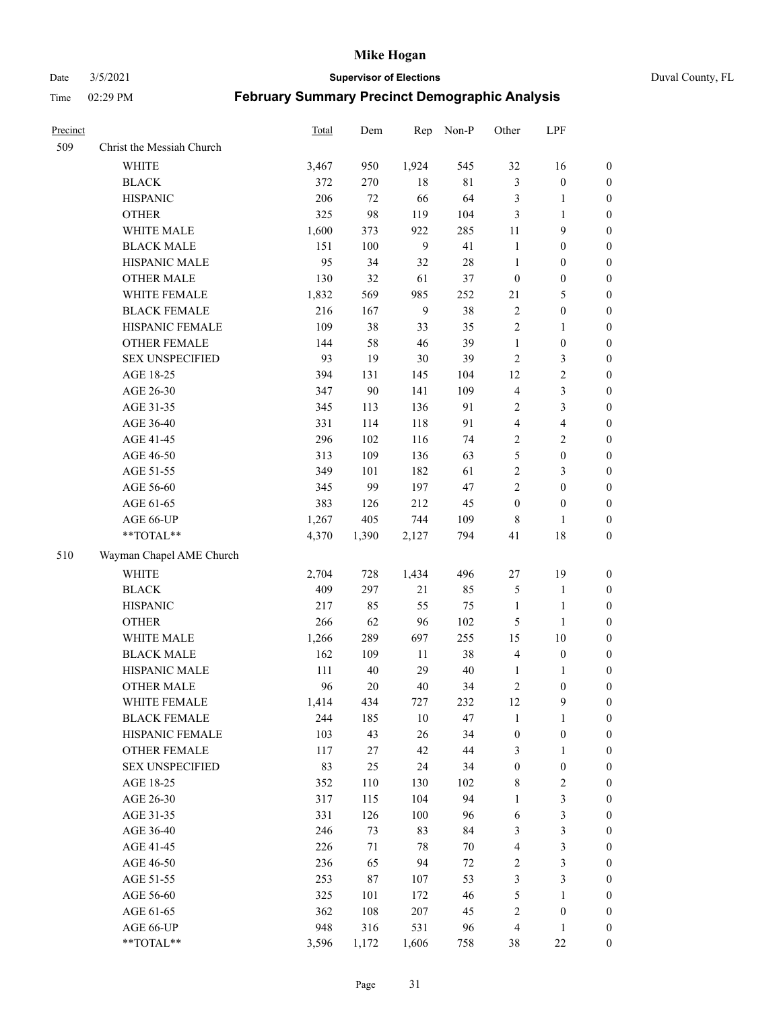Date 3/5/2021 **Supervisor of Elections** Duval County, FL

| Precinct |                                        | Total        | Dem        | Rep          | Non-P       | Other                            | LPF                              |                                    |
|----------|----------------------------------------|--------------|------------|--------------|-------------|----------------------------------|----------------------------------|------------------------------------|
| 509      | Christ the Messiah Church              |              |            |              |             |                                  |                                  |                                    |
|          | <b>WHITE</b>                           | 3,467        | 950        | 1,924        | 545         | 32                               | 16                               | 0                                  |
|          | <b>BLACK</b>                           | 372          | 270        | 18           | $8\sqrt{1}$ | 3                                | $\boldsymbol{0}$                 | 0                                  |
|          | <b>HISPANIC</b>                        | 206          | 72         | 66           | 64          | 3                                | $\mathbf{1}$                     | $\boldsymbol{0}$                   |
|          | <b>OTHER</b>                           | 325          | 98         | 119          | 104         | 3                                | $\mathbf{1}$                     | $\boldsymbol{0}$                   |
|          | WHITE MALE                             | 1,600        | 373        | 922          | 285         | 11                               | 9                                | $\boldsymbol{0}$                   |
|          | <b>BLACK MALE</b>                      | 151          | 100        | 9            | 41          | $\mathbf{1}$                     | $\boldsymbol{0}$                 | $\boldsymbol{0}$                   |
|          | HISPANIC MALE                          | 95           | 34         | 32           | 28          | $\mathbf{1}$                     | $\boldsymbol{0}$                 | $\boldsymbol{0}$                   |
|          | <b>OTHER MALE</b>                      | 130          | 32         | 61           | 37          | $\boldsymbol{0}$                 | $\boldsymbol{0}$                 | $\boldsymbol{0}$                   |
|          | WHITE FEMALE                           | 1,832        | 569        | 985          | 252         | 21                               | $\mathfrak{S}$                   | $\boldsymbol{0}$                   |
|          | <b>BLACK FEMALE</b>                    | 216          | 167        | 9            | 38          | $\sqrt{2}$                       | $\boldsymbol{0}$                 | 0                                  |
|          | HISPANIC FEMALE                        | 109          | 38         | 33           | 35          | $\sqrt{2}$                       | $\mathbf{1}$                     | 0                                  |
|          | OTHER FEMALE                           | 144          | 58         | $46\,$       | 39          | $\mathbf{1}$                     | $\boldsymbol{0}$                 | 0                                  |
|          | <b>SEX UNSPECIFIED</b>                 | 93           | 19         | $30\,$       | 39          | $\sqrt{2}$                       | 3                                | $\boldsymbol{0}$                   |
|          | AGE 18-25                              | 394          | 131        | 145          | 104         | 12                               | $\sqrt{2}$                       | $\boldsymbol{0}$                   |
|          | AGE 26-30                              | 347          | $90\,$     | 141          | 109         | 4                                | $\mathfrak{Z}$                   | $\boldsymbol{0}$                   |
|          | AGE 31-35                              | 345          | 113        | 136          | 91          | $\overline{c}$                   | $\mathfrak{Z}$                   | $\boldsymbol{0}$                   |
|          | AGE 36-40                              | 331          | 114        | 118          | 91          | 4                                | $\overline{\mathbf{4}}$          | $\boldsymbol{0}$                   |
|          | AGE 41-45                              | 296          | 102        | 116          | 74          | $\mathbf{2}$                     | $\overline{2}$                   | $\boldsymbol{0}$                   |
|          | AGE 46-50                              | 313          | 109        | 136          | 63          | 5                                | $\boldsymbol{0}$                 | $\boldsymbol{0}$                   |
|          | AGE 51-55                              | 349          | 101        | 182          | 61          | $\sqrt{2}$                       | $\mathfrak{Z}$                   | $\boldsymbol{0}$                   |
|          | AGE 56-60                              | 345          | 99         | 197          | 47          | $\mathbf{2}$                     | $\boldsymbol{0}$                 | 0                                  |
|          | AGE 61-65                              | 383          | 126        | 212          | 45          | $\boldsymbol{0}$                 | $\boldsymbol{0}$                 | 0                                  |
|          | AGE 66-UP                              | 1,267        | 405        | 744          | 109         | 8                                | $\mathbf{1}$                     | $\boldsymbol{0}$                   |
|          | $**TOTAL**$                            | 4,370        | 1,390      | 2,127        | 794         | 41                               | $18\,$                           | $\boldsymbol{0}$                   |
| 510      | Wayman Chapel AME Church               |              |            |              |             |                                  |                                  |                                    |
|          |                                        |              |            |              |             |                                  |                                  |                                    |
|          | <b>WHITE</b>                           | 2,704<br>409 | 728        | 1,434        | 496         | $27\,$                           | 19                               | $\boldsymbol{0}$                   |
|          | <b>BLACK</b>                           |              | 297        | 21           | 85          | 5                                | $\mathbf{1}$                     | $\boldsymbol{0}$                   |
|          | <b>HISPANIC</b>                        | 217          | 85         | 55           | 75          | $\mathbf{1}$                     | $\mathbf{1}$                     | $\boldsymbol{0}$                   |
|          | <b>OTHER</b>                           | 266          | 62         | 96           | 102         | 5                                | $\mathbf{1}$                     | $\boldsymbol{0}$                   |
|          | WHITE MALE                             | 1,266        | 289        | 697          | 255         | 15                               | $10\,$                           | $\boldsymbol{0}$                   |
|          | <b>BLACK MALE</b>                      | 162          | 109        | 11           | 38          | $\overline{4}$                   | $\boldsymbol{0}$                 | $\boldsymbol{0}$                   |
|          | HISPANIC MALE                          | 111<br>96    | 40<br>20   | 29<br>$40\,$ | 40          | 1                                | 1<br>$\boldsymbol{0}$            | 0                                  |
|          | <b>OTHER MALE</b>                      |              |            |              | 34          | $\overline{c}$                   |                                  | $\boldsymbol{0}$                   |
|          | WHITE FEMALE                           | 1,414        | 434        | 727          | 232         | 12                               | 9                                | 0                                  |
|          | <b>BLACK FEMALE</b><br>HISPANIC FEMALE | 244<br>103   | 185<br>43  | $10\,$<br>26 | 47<br>34    | $\mathbf{1}$<br>$\boldsymbol{0}$ | $\mathbf{1}$<br>$\boldsymbol{0}$ | $\boldsymbol{0}$<br>$\overline{0}$ |
|          | OTHER FEMALE                           | 117          | 27         | 42           | 44          |                                  |                                  |                                    |
|          | <b>SEX UNSPECIFIED</b>                 | 83           | 25         | 24           | 34          | 3<br>$\boldsymbol{0}$            | $\mathbf{1}$<br>$\boldsymbol{0}$ | 0<br>0                             |
|          | AGE 18-25                              | 352          | 110        | 130          | 102         | $\,$ 8 $\,$                      | $\sqrt{2}$                       | 0                                  |
|          | AGE 26-30                              | 317          | 115        | 104          | 94          | $\mathbf{1}$                     | $\mathfrak{Z}$                   | 0                                  |
|          | AGE 31-35                              | 331          | 126        | 100          | 96          | 6                                | $\mathfrak{Z}$                   | 0                                  |
|          | AGE 36-40                              | 246          | 73         | 83           | 84          | 3                                | $\mathfrak{Z}$                   | 0                                  |
|          | AGE 41-45                              | 226          | 71         | $78\,$       | $70\,$      | $\overline{4}$                   | $\mathfrak{Z}$                   | 0                                  |
|          | AGE 46-50                              | 236          | 65         | 94           | $72\,$      | 2                                | $\mathfrak{Z}$                   | 0                                  |
|          | AGE 51-55                              | 253          |            |              | 53          |                                  | $\mathfrak{Z}$                   | 0                                  |
|          |                                        | 325          | 87         | 107          | 46          | 3<br>5                           |                                  |                                    |
|          | AGE 56-60<br>AGE 61-65                 | 362          | 101<br>108 | 172<br>207   | 45          | $\overline{c}$                   | 1<br>$\boldsymbol{0}$            | 0<br>0                             |
|          | AGE 66-UP                              | 948          | 316        | 531          | 96          | $\overline{4}$                   | $\mathbf{1}$                     | 0                                  |
|          | **TOTAL**                              |              |            |              |             |                                  | $22\,$                           |                                    |
|          |                                        | 3,596        | 1,172      | 1,606        | 758         | 38                               |                                  | $\boldsymbol{0}$                   |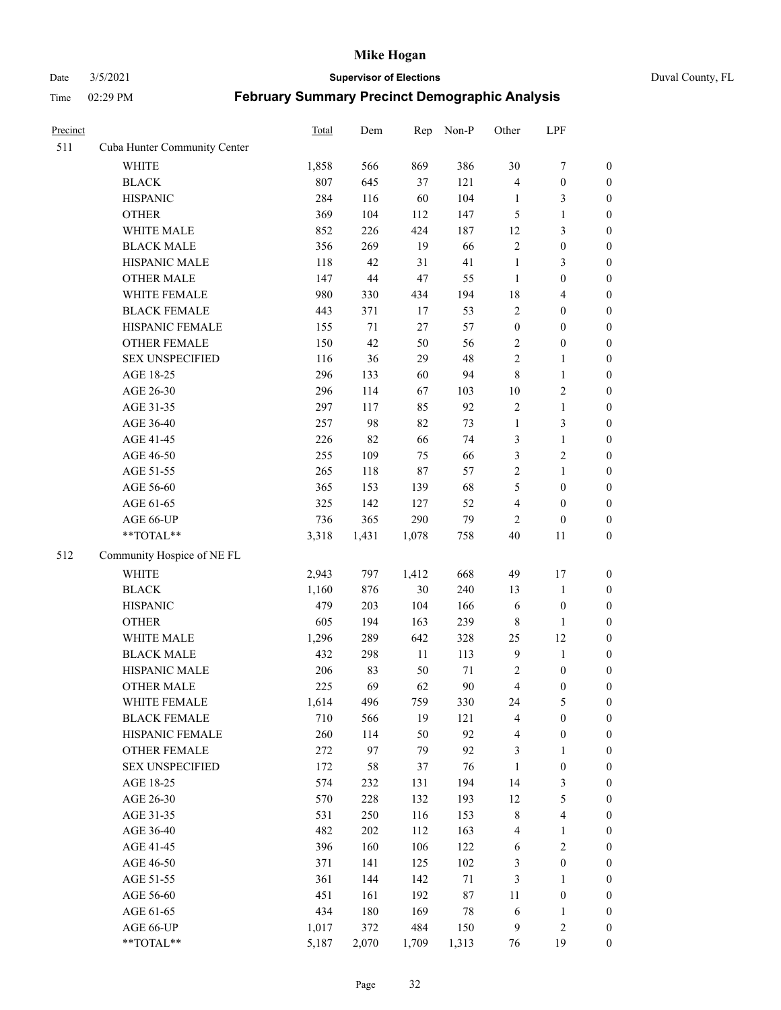# Date 3/5/2021 **Supervisor of Elections** Duval County, FL

| Precinct |                              | <b>Total</b> | Dem   | Rep    | Non-P  | Other            | LPF                     |                  |
|----------|------------------------------|--------------|-------|--------|--------|------------------|-------------------------|------------------|
| 511      | Cuba Hunter Community Center |              |       |        |        |                  |                         |                  |
|          | <b>WHITE</b>                 | 1,858        | 566   | 869    | 386    | 30               | $\boldsymbol{7}$        | 0                |
|          | <b>BLACK</b>                 | 807          | 645   | 37     | 121    | 4                | $\boldsymbol{0}$        | $\boldsymbol{0}$ |
|          | <b>HISPANIC</b>              | 284          | 116   | 60     | 104    | 1                | 3                       | $\boldsymbol{0}$ |
|          | <b>OTHER</b>                 | 369          | 104   | 112    | 147    | 5                | $\mathbf{1}$            | $\boldsymbol{0}$ |
|          | WHITE MALE                   | 852          | 226   | 424    | 187    | 12               | $\mathfrak{Z}$          | $\boldsymbol{0}$ |
|          | <b>BLACK MALE</b>            | 356          | 269   | 19     | 66     | $\sqrt{2}$       | $\boldsymbol{0}$        | $\boldsymbol{0}$ |
|          | HISPANIC MALE                | 118          | 42    | 31     | 41     | $\mathbf{1}$     | $\mathfrak{Z}$          | $\boldsymbol{0}$ |
|          | <b>OTHER MALE</b>            | 147          | 44    | 47     | 55     | $\mathbf{1}$     | $\boldsymbol{0}$        | $\boldsymbol{0}$ |
|          | WHITE FEMALE                 | 980          | 330   | 434    | 194    | 18               | $\overline{\mathbf{4}}$ | $\boldsymbol{0}$ |
|          | <b>BLACK FEMALE</b>          | 443          | 371   | 17     | 53     | $\sqrt{2}$       | $\boldsymbol{0}$        | $\boldsymbol{0}$ |
|          | HISPANIC FEMALE              | 155          | 71    | 27     | 57     | $\boldsymbol{0}$ | $\boldsymbol{0}$        | $\boldsymbol{0}$ |
|          | OTHER FEMALE                 | 150          | 42    | 50     | 56     | 2                | $\boldsymbol{0}$        | $\boldsymbol{0}$ |
|          | <b>SEX UNSPECIFIED</b>       | 116          | 36    | 29     | 48     | $\overline{2}$   | $\mathbf{1}$            | $\boldsymbol{0}$ |
|          | AGE 18-25                    | 296          | 133   | 60     | 94     | 8                | $\mathbf{1}$            | $\boldsymbol{0}$ |
|          | AGE 26-30                    | 296          | 114   | 67     | 103    | $10\,$           | $\sqrt{2}$              | $\boldsymbol{0}$ |
|          | AGE 31-35                    | 297          | 117   | 85     | 92     | $\sqrt{2}$       | $\mathbf{1}$            | $\boldsymbol{0}$ |
|          | AGE 36-40                    | 257          | 98    | 82     | 73     | $\mathbf{1}$     | $\mathfrak{Z}$          | $\boldsymbol{0}$ |
|          | AGE 41-45                    | 226          | 82    | 66     | 74     | 3                | $\mathbf{1}$            | $\boldsymbol{0}$ |
|          | AGE 46-50                    | 255          | 109   | 75     | 66     | 3                | $\sqrt{2}$              | $\boldsymbol{0}$ |
|          | AGE 51-55                    | 265          | 118   | 87     | 57     | 2                | $\mathbf{1}$            | $\boldsymbol{0}$ |
|          | AGE 56-60                    | 365          | 153   | 139    | 68     | 5                | $\boldsymbol{0}$        | 0                |
|          | AGE 61-65                    | 325          | 142   | 127    | 52     | 4                | $\boldsymbol{0}$        | $\boldsymbol{0}$ |
|          | AGE 66-UP                    | 736          | 365   | 290    | 79     | $\overline{2}$   | $\boldsymbol{0}$        | $\boldsymbol{0}$ |
|          | **TOTAL**                    | 3,318        | 1,431 | 1,078  | 758    | $40\,$           | 11                      | $\boldsymbol{0}$ |
| 512      | Community Hospice of NE FL   |              |       |        |        |                  |                         |                  |
|          | WHITE                        | 2,943        | 797   | 1,412  | 668    | 49               | 17                      | $\boldsymbol{0}$ |
|          | <b>BLACK</b>                 | 1,160        | 876   | 30     | 240    | 13               | $\mathbf{1}$            | $\boldsymbol{0}$ |
|          | <b>HISPANIC</b>              | 479          | 203   | 104    | 166    | 6                | $\boldsymbol{0}$        | $\boldsymbol{0}$ |
|          | <b>OTHER</b>                 | 605          | 194   | 163    | 239    | $\,$ 8 $\,$      | $\mathbf{1}$            | $\boldsymbol{0}$ |
|          | WHITE MALE                   | 1,296        | 289   | 642    | 328    | 25               | 12                      | $\boldsymbol{0}$ |
|          | <b>BLACK MALE</b>            | 432          | 298   | $11\,$ | 113    | $\overline{9}$   | $\mathbf{1}$            | $\boldsymbol{0}$ |
|          | HISPANIC MALE                | 206          | 83    | 50     | 71     | $\sqrt{2}$       | $\boldsymbol{0}$        | 0                |
|          | OTHER MALE                   | 225          | 69    | 62     | $90\,$ | $\overline{4}$   | $\boldsymbol{0}$        | $\boldsymbol{0}$ |
|          | WHITE FEMALE                 | 1,614        | 496   | 759    | 330    | 24               | 5                       | 0                |
|          | <b>BLACK FEMALE</b>          | 710          | 566   | 19     | 121    | 4                | $\boldsymbol{0}$        | $\boldsymbol{0}$ |
|          | HISPANIC FEMALE              | 260          | 114   | 50     | 92     | 4                | $\boldsymbol{0}$        | $\overline{0}$   |
|          | OTHER FEMALE                 | 272          | 97    | 79     | 92     | 3                | $\mathbf{1}$            | $\overline{0}$   |
|          | <b>SEX UNSPECIFIED</b>       | 172          | 58    | 37     | 76     | $\mathbf{1}$     | $\boldsymbol{0}$        | 0                |
|          | AGE 18-25                    | 574          | 232   | 131    | 194    | 14               | $\mathfrak{Z}$          | 0                |
|          | AGE 26-30                    | 570          | 228   | 132    | 193    | 12               | $\mathfrak{S}$          | 0                |
|          | AGE 31-35                    | 531          | 250   | 116    | 153    | $\,$ $\,$        | $\overline{\mathbf{4}}$ | 0                |
|          | AGE 36-40                    | 482          | 202   | 112    | 163    | 4                | $\mathbf{1}$            | 0                |
|          | AGE 41-45                    | 396          | 160   | 106    | 122    | 6                | $\sqrt{2}$              | 0                |
|          | AGE 46-50                    | 371          | 141   | 125    | 102    | 3                | $\boldsymbol{0}$        | 0                |
|          | AGE 51-55                    | 361          | 144   | 142    | 71     | 3                | $\mathbf{1}$            | 0                |
|          | AGE 56-60                    | 451          | 161   | 192    | $87\,$ | 11               | $\boldsymbol{0}$        | 0                |
|          | AGE 61-65                    | 434          | 180   | 169    | $78\,$ | 6                | $\mathbf{1}$            | 0                |
|          | AGE 66-UP                    | 1,017        | 372   | 484    | 150    | 9                | $\sqrt{2}$              | 0                |
|          | **TOTAL**                    | 5,187        | 2,070 | 1,709  | 1,313  | 76               | 19                      | $\boldsymbol{0}$ |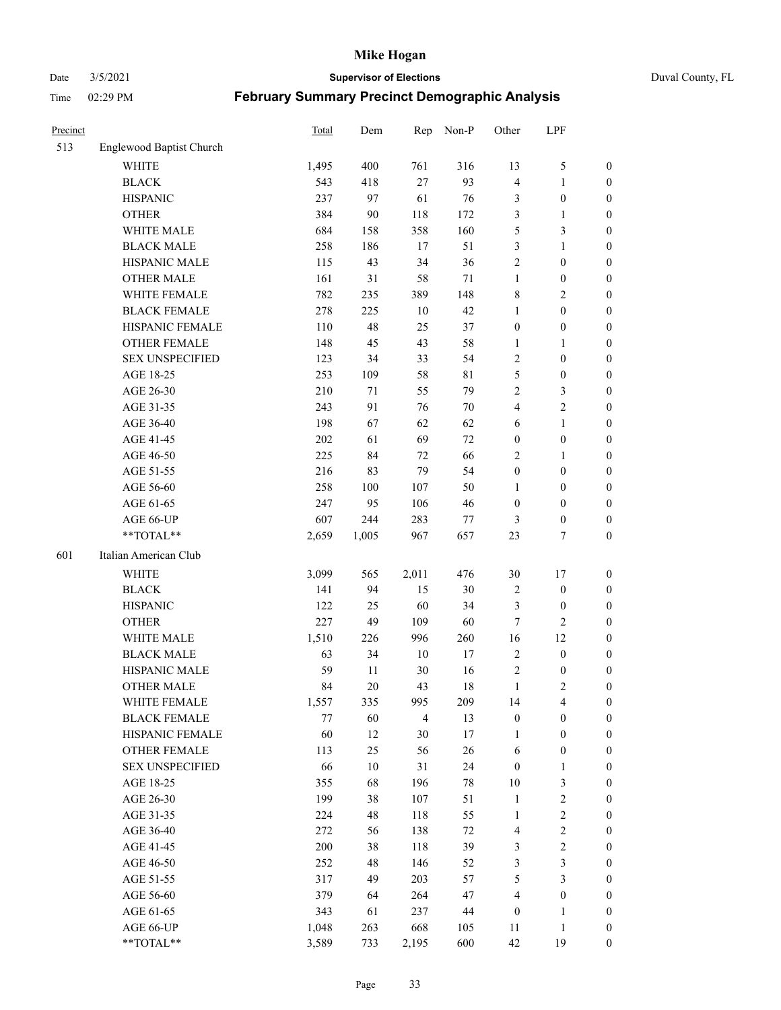### Date 3/5/2021 **Supervisor of Elections** Duval County, FL

| Precinct |                          | <b>Total</b> | Dem    | Rep            | Non-P       | Other            | LPF              |                  |
|----------|--------------------------|--------------|--------|----------------|-------------|------------------|------------------|------------------|
| 513      | Englewood Baptist Church |              |        |                |             |                  |                  |                  |
|          | <b>WHITE</b>             | 1,495        | 400    | 761            | 316         | 13               | $\mathfrak{S}$   | 0                |
|          | <b>BLACK</b>             | 543          | 418    | 27             | 93          | $\overline{4}$   | $\mathbf{1}$     | 0                |
|          | <b>HISPANIC</b>          | 237          | 97     | 61             | 76          | 3                | $\boldsymbol{0}$ | $\boldsymbol{0}$ |
|          | <b>OTHER</b>             | 384          | 90     | 118            | 172         | 3                | $\mathbf{1}$     | $\boldsymbol{0}$ |
|          | WHITE MALE               | 684          | 158    | 358            | 160         | 5                | $\mathfrak{Z}$   | $\boldsymbol{0}$ |
|          | <b>BLACK MALE</b>        | 258          | 186    | 17             | 51          | 3                | $\mathbf{1}$     | $\boldsymbol{0}$ |
|          | HISPANIC MALE            | 115          | 43     | 34             | 36          | $\overline{c}$   | $\boldsymbol{0}$ | $\boldsymbol{0}$ |
|          | <b>OTHER MALE</b>        | 161          | 31     | 58             | $71\,$      | $\mathbf{1}$     | $\boldsymbol{0}$ | $\boldsymbol{0}$ |
|          | WHITE FEMALE             | 782          | 235    | 389            | 148         | 8                | $\mathbf{2}$     | $\boldsymbol{0}$ |
|          | <b>BLACK FEMALE</b>      | 278          | 225    | $10\,$         | 42          | $\mathbf{1}$     | $\boldsymbol{0}$ | 0                |
|          | HISPANIC FEMALE          | 110          | 48     | 25             | 37          | $\boldsymbol{0}$ | $\boldsymbol{0}$ | 0                |
|          | <b>OTHER FEMALE</b>      | 148          | 45     | 43             | 58          | $\mathbf{1}$     | $\mathbf{1}$     | $\boldsymbol{0}$ |
|          | <b>SEX UNSPECIFIED</b>   | 123          | 34     | 33             | 54          | $\sqrt{2}$       | $\boldsymbol{0}$ | $\boldsymbol{0}$ |
|          | AGE 18-25                | 253          | 109    | 58             | $8\sqrt{1}$ | 5                | $\boldsymbol{0}$ | $\boldsymbol{0}$ |
|          | AGE 26-30                | 210          | 71     | 55             | 79          | $\overline{c}$   | $\mathfrak{Z}$   | $\boldsymbol{0}$ |
|          | AGE 31-35                | 243          | 91     | 76             | 70          | 4                | $\sqrt{2}$       | $\boldsymbol{0}$ |
|          | AGE 36-40                | 198          | 67     | 62             | 62          | 6                | $\mathbf{1}$     | $\boldsymbol{0}$ |
|          | AGE 41-45                | 202          | 61     | 69             | 72          | $\boldsymbol{0}$ | $\boldsymbol{0}$ | $\boldsymbol{0}$ |
|          | AGE 46-50                | 225          | 84     | 72             | 66          | $\mathbf{2}$     | $\mathbf{1}$     | $\boldsymbol{0}$ |
|          | AGE 51-55                | 216          | 83     | 79             | 54          | $\boldsymbol{0}$ | $\boldsymbol{0}$ | $\boldsymbol{0}$ |
|          | AGE 56-60                | 258          | 100    | 107            | 50          | 1                | $\boldsymbol{0}$ | 0                |
|          | AGE 61-65                | 247          | 95     | 106            | 46          | $\boldsymbol{0}$ | $\boldsymbol{0}$ | 0                |
|          | AGE 66-UP                | 607          | 244    | 283            | 77          | 3                | $\boldsymbol{0}$ | $\boldsymbol{0}$ |
|          | **TOTAL**                | 2,659        | 1,005  | 967            | 657         | 23               | $\tau$           | $\boldsymbol{0}$ |
| 601      | Italian American Club    |              |        |                |             |                  |                  |                  |
|          | <b>WHITE</b>             | 3,099        | 565    | 2,011          | 476         | 30               | 17               | $\boldsymbol{0}$ |
|          | <b>BLACK</b>             | 141          | 94     | 15             | 30          | $\overline{c}$   | $\boldsymbol{0}$ | $\boldsymbol{0}$ |
|          | <b>HISPANIC</b>          | 122          | 25     | 60             | 34          | 3                | $\boldsymbol{0}$ | $\boldsymbol{0}$ |
|          | <b>OTHER</b>             | 227          | 49     | 109            | 60          | 7                | $\overline{c}$   | $\boldsymbol{0}$ |
|          | WHITE MALE               | 1,510        | 226    | 996            | 260         | 16               | 12               | $\boldsymbol{0}$ |
|          | <b>BLACK MALE</b>        | 63           | 34     | $10\,$         | $17\,$      | $\mathfrak{2}$   | $\boldsymbol{0}$ | $\boldsymbol{0}$ |
|          | HISPANIC MALE            | 59           | 11     | $30\,$         | 16          | $\overline{c}$   | $\boldsymbol{0}$ | 0                |
|          | <b>OTHER MALE</b>        | 84           | 20     | 43             | 18          | $\mathbf{1}$     | $\mathfrak{2}$   | $\boldsymbol{0}$ |
|          | WHITE FEMALE             | 1,557        | 335    | 995            | 209         | 14               | 4                | 0                |
|          | <b>BLACK FEMALE</b>      | 77           | 60     | $\overline{4}$ | 13          | $\boldsymbol{0}$ | $\boldsymbol{0}$ | $\boldsymbol{0}$ |
|          | HISPANIC FEMALE          | 60           | 12     | 30             | 17          | $\mathbf{1}$     | $\boldsymbol{0}$ | $\overline{0}$   |
|          | <b>OTHER FEMALE</b>      | 113          | 25     | 56             | 26          | 6                | $\boldsymbol{0}$ | $\overline{0}$   |
|          | <b>SEX UNSPECIFIED</b>   | 66           | $10\,$ | 31             | 24          | $\boldsymbol{0}$ | $\mathbf{1}$     | 0                |
|          | AGE 18-25                | 355          | 68     | 196            | 78          | 10               | $\mathfrak{Z}$   | $\theta$         |
|          | AGE 26-30                | 199          | 38     | 107            | 51          | $\mathbf{1}$     | $\sqrt{2}$       | 0                |
|          | AGE 31-35                | 224          | 48     | 118            | 55          | $\mathbf{1}$     | $\sqrt{2}$       | 0                |
|          | AGE 36-40                | 272          | 56     | 138            | $72\,$      | 4                | $\sqrt{2}$       | 0                |
|          | AGE 41-45                | 200          | 38     | 118            | 39          | 3                | $\sqrt{2}$       | 0                |
|          | AGE 46-50                | 252          | 48     | 146            | 52          | 3                | $\mathfrak{Z}$   | 0                |
|          | AGE 51-55                | 317          | 49     | 203            | 57          | 5                | $\mathfrak{Z}$   | $\overline{0}$   |
|          | AGE 56-60                | 379          | 64     | 264            | 47          | 4                | $\boldsymbol{0}$ | $\overline{0}$   |
|          | AGE 61-65                | 343          | 61     | 237            | 44          | $\boldsymbol{0}$ | 1                | $\boldsymbol{0}$ |
|          | AGE 66-UP                | 1,048        | 263    | 668            | 105         | 11               | $\mathbf{1}$     | $\boldsymbol{0}$ |
|          | **TOTAL**                | 3,589        | 733    | 2,195          | 600         | 42               | 19               | $\boldsymbol{0}$ |
|          |                          |              |        |                |             |                  |                  |                  |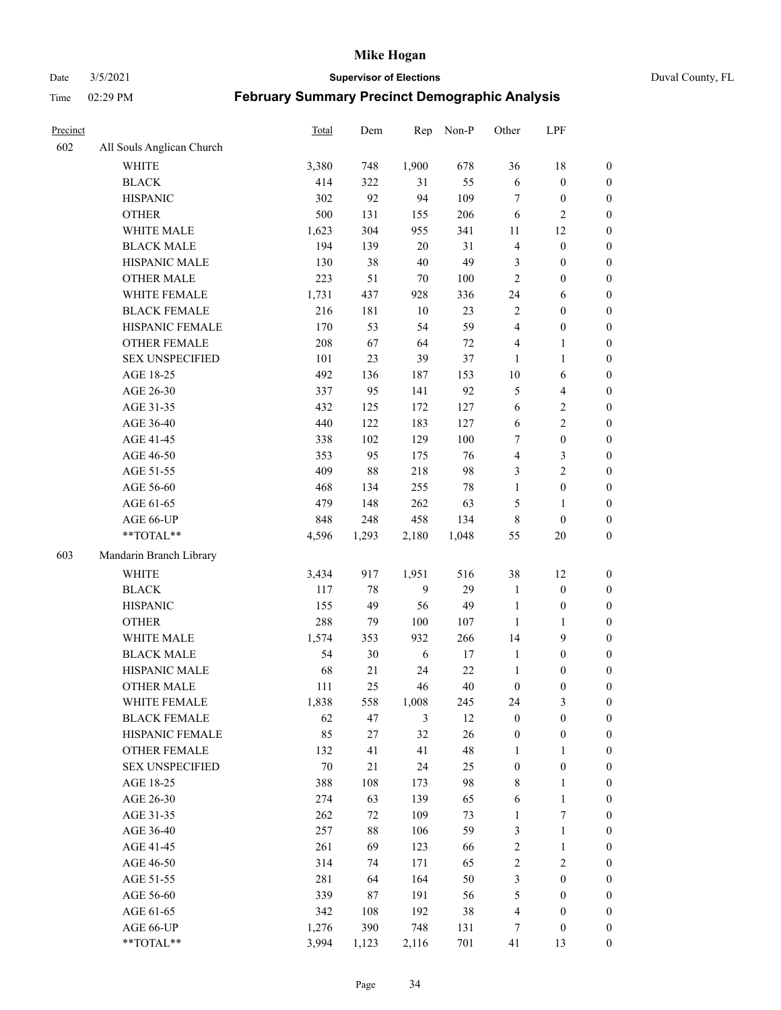Date 3/5/2021 **Supervisor of Elections** Duval County, FL

| Precinct |                           | Total | Dem   | Rep          | Non-P  | Other            | LPF                     |                  |
|----------|---------------------------|-------|-------|--------------|--------|------------------|-------------------------|------------------|
| 602      | All Souls Anglican Church |       |       |              |        |                  |                         |                  |
|          | <b>WHITE</b>              | 3,380 | 748   | 1,900        | 678    | 36               | 18                      | 0                |
|          | <b>BLACK</b>              | 414   | 322   | 31           | 55     | $\sqrt{6}$       | $\boldsymbol{0}$        | $\boldsymbol{0}$ |
|          | <b>HISPANIC</b>           | 302   | 92    | 94           | 109    | $\tau$           | $\boldsymbol{0}$        | $\boldsymbol{0}$ |
|          | <b>OTHER</b>              | 500   | 131   | 155          | 206    | 6                | $\mathbf{2}$            | $\boldsymbol{0}$ |
|          | WHITE MALE                | 1,623 | 304   | 955          | 341    | 11               | 12                      | $\boldsymbol{0}$ |
|          | <b>BLACK MALE</b>         | 194   | 139   | 20           | 31     | $\overline{4}$   | $\boldsymbol{0}$        | $\boldsymbol{0}$ |
|          | HISPANIC MALE             | 130   | 38    | $40\,$       | 49     | 3                | $\boldsymbol{0}$        | $\boldsymbol{0}$ |
|          | <b>OTHER MALE</b>         | 223   | 51    | $70\,$       | 100    | $\mathbf{2}$     | $\boldsymbol{0}$        | $\boldsymbol{0}$ |
|          | WHITE FEMALE              | 1,731 | 437   | 928          | 336    | 24               | 6                       | $\boldsymbol{0}$ |
|          | <b>BLACK FEMALE</b>       | 216   | 181   | $10\,$       | 23     | $\overline{c}$   | $\boldsymbol{0}$        | 0                |
|          | HISPANIC FEMALE           | 170   | 53    | 54           | 59     | $\overline{4}$   | $\boldsymbol{0}$        | 0                |
|          | <b>OTHER FEMALE</b>       | 208   | 67    | 64           | $72\,$ | 4                | $\mathbf{1}$            | $\boldsymbol{0}$ |
|          | <b>SEX UNSPECIFIED</b>    | 101   | 23    | 39           | 37     | $\mathbf{1}$     | $\mathbf{1}$            | $\boldsymbol{0}$ |
|          | AGE 18-25                 | 492   | 136   | 187          | 153    | $10\,$           | 6                       | $\boldsymbol{0}$ |
|          | AGE 26-30                 | 337   | 95    | 141          | 92     | 5                | $\overline{\mathbf{4}}$ | $\boldsymbol{0}$ |
|          | AGE 31-35                 | 432   | 125   | 172          | 127    | 6                | $\sqrt{2}$              | $\boldsymbol{0}$ |
|          | AGE 36-40                 | 440   | 122   | 183          | 127    | $\sqrt{6}$       | $\sqrt{2}$              | $\boldsymbol{0}$ |
|          | AGE 41-45                 | 338   | 102   | 129          | 100    | 7                | $\boldsymbol{0}$        | $\boldsymbol{0}$ |
|          | AGE 46-50                 | 353   | 95    | 175          | 76     | 4                | $\mathfrak{Z}$          | $\boldsymbol{0}$ |
|          | AGE 51-55                 | 409   | 88    | 218          | 98     | 3                | $\sqrt{2}$              | $\boldsymbol{0}$ |
|          | AGE 56-60                 | 468   | 134   | 255          | $78\,$ | $\mathbf{1}$     | $\boldsymbol{0}$        | 0                |
|          | AGE 61-65                 | 479   | 148   | 262          | 63     | 5                | $\mathbf{1}$            | 0                |
|          | AGE 66-UP                 | 848   | 248   | 458          | 134    | 8                | $\boldsymbol{0}$        | $\boldsymbol{0}$ |
|          | $**TOTAL**$               | 4,596 | 1,293 | 2,180        | 1,048  | 55               | $20\,$                  | $\boldsymbol{0}$ |
| 603      | Mandarin Branch Library   |       |       |              |        |                  |                         |                  |
|          |                           |       |       |              |        |                  |                         |                  |
|          | WHITE                     | 3,434 | 917   | 1,951        | 516    | 38               | 12                      | $\boldsymbol{0}$ |
|          | <b>BLACK</b>              | 117   | 78    | $\mathbf{9}$ | 29     | $\mathbf{1}$     | $\boldsymbol{0}$        | $\boldsymbol{0}$ |
|          | <b>HISPANIC</b>           | 155   | 49    | 56           | 49     | $\mathbf{1}$     | $\boldsymbol{0}$        | $\boldsymbol{0}$ |
|          | <b>OTHER</b>              | 288   | 79    | 100          | 107    | $\mathbf{1}$     | $\mathbf{1}$            | $\boldsymbol{0}$ |
|          | WHITE MALE                | 1,574 | 353   | 932          | 266    | 14               | 9                       | $\boldsymbol{0}$ |
|          | <b>BLACK MALE</b>         | 54    | 30    | 6            | $17\,$ | $\mathbf{1}$     | $\boldsymbol{0}$        | $\boldsymbol{0}$ |
|          | HISPANIC MALE             | 68    | 21    | 24           | 22     | $\mathbf{1}$     | $\boldsymbol{0}$        | $\boldsymbol{0}$ |
|          | <b>OTHER MALE</b>         | 111   | 25    | 46           | 40     | $\boldsymbol{0}$ | $\boldsymbol{0}$        | $\boldsymbol{0}$ |
|          | WHITE FEMALE              | 1,838 | 558   | 1,008        | 245    | 24               | 3                       | 0                |
|          | <b>BLACK FEMALE</b>       | 62    | 47    | 3            | 12     | $\boldsymbol{0}$ | $\boldsymbol{0}$        | $\boldsymbol{0}$ |
|          | HISPANIC FEMALE           | 85    | 27    | 32           | 26     | $\boldsymbol{0}$ | $\boldsymbol{0}$        | $\overline{0}$   |
|          | <b>OTHER FEMALE</b>       | 132   | 41    | 41           | 48     | $\mathbf{1}$     | $\mathbf{1}$            | $\overline{0}$   |
|          | <b>SEX UNSPECIFIED</b>    | 70    | 21    | 24           | 25     | $\boldsymbol{0}$ | $\boldsymbol{0}$        | 0                |
|          | AGE 18-25                 | 388   | 108   | 173          | 98     | 8                | $\mathbf{1}$            | $\overline{0}$   |
|          | AGE 26-30                 | 274   | 63    | 139          | 65     | 6                | $\mathbf{1}$            | 0                |
|          | AGE 31-35                 | 262   | 72    | 109          | 73     | $\mathbf{1}$     | $\boldsymbol{7}$        | 0                |
|          | AGE 36-40                 | 257   | 88    | 106          | 59     | 3                | $\mathbf{1}$            | 0                |
|          | AGE 41-45                 | 261   | 69    | 123          | 66     | $\sqrt{2}$       | $\mathbf{1}$            | 0                |
|          | AGE 46-50                 | 314   | 74    | 171          | 65     | $\sqrt{2}$       | $\sqrt{2}$              | 0                |
|          | AGE 51-55                 | 281   | 64    | 164          | 50     | 3                | $\boldsymbol{0}$        | $\overline{0}$   |
|          | AGE 56-60                 | 339   | 87    | 191          | 56     | 5                | $\boldsymbol{0}$        | $\overline{0}$   |
|          | AGE 61-65                 | 342   | 108   | 192          | 38     | 4                | $\boldsymbol{0}$        | $\overline{0}$   |
|          | AGE 66-UP                 | 1,276 | 390   | 748          | 131    | 7                | $\boldsymbol{0}$        | $\boldsymbol{0}$ |
|          | **TOTAL**                 | 3,994 | 1,123 | 2,116        | 701    | 41               | 13                      | $\boldsymbol{0}$ |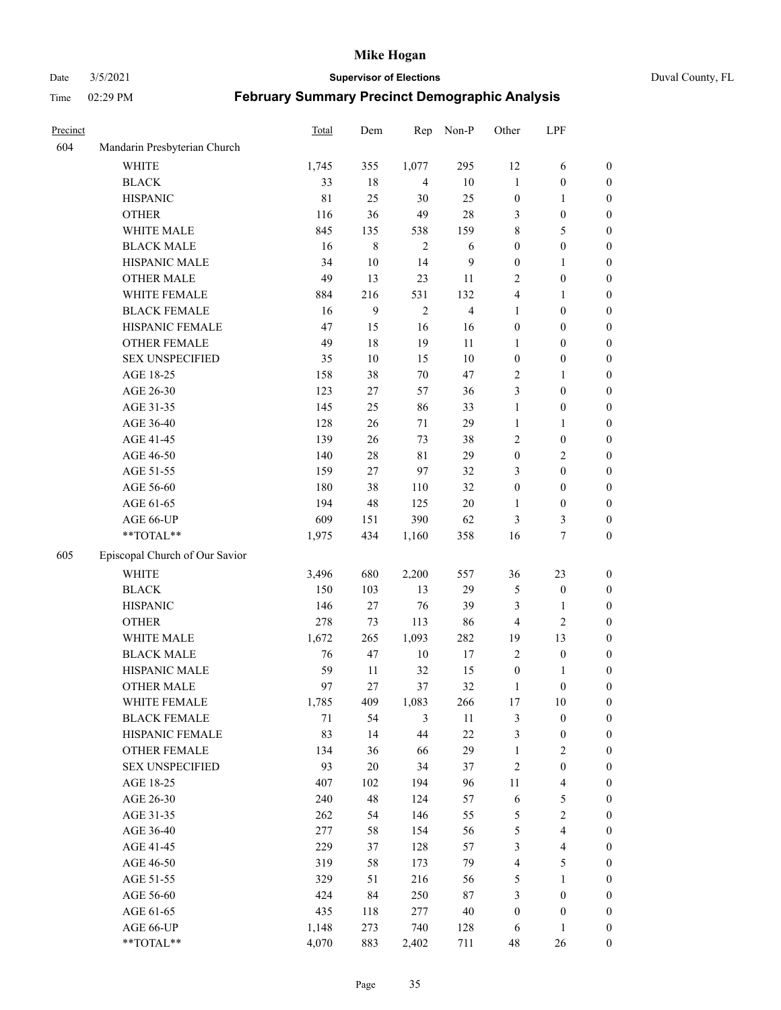#### Date 3/5/2021 **Supervisor of Elections** Duval County, FL

| Precinct |                                | Total       | Dem    | Rep            | Non-P          | Other            | LPF                     |                  |
|----------|--------------------------------|-------------|--------|----------------|----------------|------------------|-------------------------|------------------|
| 604      | Mandarin Presbyterian Church   |             |        |                |                |                  |                         |                  |
|          | WHITE                          | 1,745       | 355    | 1,077          | 295            | 12               | 6                       | 0                |
|          | <b>BLACK</b>                   | 33          | 18     | 4              | $10\,$         | $\mathbf{1}$     | $\boldsymbol{0}$        | 0                |
|          | <b>HISPANIC</b>                | $8\sqrt{1}$ | 25     | 30             | 25             | $\boldsymbol{0}$ | $\mathbf{1}$            | $\boldsymbol{0}$ |
|          | <b>OTHER</b>                   | 116         | 36     | 49             | $28\,$         | 3                | $\boldsymbol{0}$        | $\boldsymbol{0}$ |
|          | WHITE MALE                     | 845         | 135    | 538            | 159            | 8                | 5                       | $\boldsymbol{0}$ |
|          | <b>BLACK MALE</b>              | 16          | 8      | $\overline{2}$ | 6              | $\boldsymbol{0}$ | $\boldsymbol{0}$        | $\boldsymbol{0}$ |
|          | HISPANIC MALE                  | 34          | $10\,$ | 14             | 9              | $\boldsymbol{0}$ | $\mathbf{1}$            | $\boldsymbol{0}$ |
|          | <b>OTHER MALE</b>              | 49          | 13     | 23             | 11             | 2                | $\boldsymbol{0}$        | $\boldsymbol{0}$ |
|          | WHITE FEMALE                   | 884         | 216    | 531            | 132            | 4                | $\mathbf{1}$            | $\boldsymbol{0}$ |
|          | <b>BLACK FEMALE</b>            | 16          | 9      | $\sqrt{2}$     | $\overline{4}$ | $\mathbf{1}$     | $\boldsymbol{0}$        | 0                |
|          | HISPANIC FEMALE                | 47          | 15     | 16             | 16             | $\boldsymbol{0}$ | $\boldsymbol{0}$        | 0                |
|          | OTHER FEMALE                   | 49          | 18     | 19             | 11             | 1                | $\boldsymbol{0}$        | 0                |
|          | <b>SEX UNSPECIFIED</b>         | 35          | $10\,$ | 15             | $10\,$         | $\boldsymbol{0}$ | $\boldsymbol{0}$        | $\boldsymbol{0}$ |
|          | AGE 18-25                      | 158         | 38     | $70\,$         | 47             | 2                | $\mathbf{1}$            | $\boldsymbol{0}$ |
|          | AGE 26-30                      | 123         | 27     | 57             | 36             | 3                | $\boldsymbol{0}$        | $\boldsymbol{0}$ |
|          | AGE 31-35                      | 145         | 25     | 86             | 33             | $\mathbf{1}$     | $\boldsymbol{0}$        | $\boldsymbol{0}$ |
|          | AGE 36-40                      | 128         | 26     | 71             | 29             | $\mathbf{1}$     | $\mathbf{1}$            | $\boldsymbol{0}$ |
|          | AGE 41-45                      | 139         | 26     | 73             | 38             | $\mathbf{2}$     | $\boldsymbol{0}$        | $\boldsymbol{0}$ |
|          | AGE 46-50                      | 140         | $28\,$ | $8\sqrt{1}$    | 29             | $\boldsymbol{0}$ | $\mathbf{2}$            | $\boldsymbol{0}$ |
|          | AGE 51-55                      | 159         | 27     | 97             | 32             | 3                | $\boldsymbol{0}$        | $\boldsymbol{0}$ |
|          | AGE 56-60                      | 180         | 38     | 110            | 32             | $\boldsymbol{0}$ | $\boldsymbol{0}$        | 0                |
|          | AGE 61-65                      | 194         | 48     | 125            | $20\,$         | 1                | $\boldsymbol{0}$        | 0                |
|          | AGE 66-UP                      | 609         | 151    | 390            | 62             | 3                | 3                       | $\boldsymbol{0}$ |
|          | **TOTAL**                      | 1,975       | 434    | 1,160          | 358            | 16               | $\boldsymbol{7}$        | $\boldsymbol{0}$ |
| 605      | Episcopal Church of Our Savior |             |        |                |                |                  |                         |                  |
|          | <b>WHITE</b>                   | 3,496       | 680    | 2,200          | 557            | 36               | 23                      | $\boldsymbol{0}$ |
|          | <b>BLACK</b>                   | 150         | 103    | 13             | 29             | 5                | $\boldsymbol{0}$        | $\boldsymbol{0}$ |
|          | <b>HISPANIC</b>                | 146         | 27     | 76             | 39             | 3                | $\mathbf{1}$            | $\boldsymbol{0}$ |
|          | <b>OTHER</b>                   | 278         | 73     | 113            | 86             | 4                | $\sqrt{2}$              | $\boldsymbol{0}$ |
|          | WHITE MALE                     | 1,672       | 265    | 1,093          | 282            | 19               | 13                      | $\boldsymbol{0}$ |
|          | <b>BLACK MALE</b>              | 76          | 47     | $10\,$         | $17\,$         | $\overline{2}$   | $\boldsymbol{0}$        | $\boldsymbol{0}$ |
|          | HISPANIC MALE                  | 59          | 11     | 32             | 15             | $\boldsymbol{0}$ | 1                       | 0                |
|          | <b>OTHER MALE</b>              | 97          | 27     | 37             | 32             | 1                | $\boldsymbol{0}$        | 0                |
|          | WHITE FEMALE                   | 1,785       | 409    | 1,083          | 266            | 17               | 10                      | 0                |
|          | <b>BLACK FEMALE</b>            | 71          | 54     | 3              | 11             | 3                | $\boldsymbol{0}$        | $\boldsymbol{0}$ |
|          | HISPANIC FEMALE                | 83          | 14     | $44\,$         | 22             | 3                | $\boldsymbol{0}$        | $\boldsymbol{0}$ |
|          | <b>OTHER FEMALE</b>            | 134         | 36     | 66             | 29             | $\mathbf{1}$     | $\sqrt{2}$              | $\overline{0}$   |
|          | <b>SEX UNSPECIFIED</b>         | 93          | $20\,$ | 34             | 37             | 2                | $\boldsymbol{0}$        | 0                |
|          | AGE 18-25                      | 407         | 102    | 194            | 96             | $11\,$           | $\overline{\mathbf{4}}$ | 0                |
|          | AGE 26-30                      | 240         | 48     | 124            | 57             | 6                | 5                       | 0                |
|          | AGE 31-35                      | 262         | 54     | 146            | 55             | 5                | $\sqrt{2}$              | 0                |
|          | AGE 36-40                      | 277         | 58     | 154            | 56             | 5                | $\overline{\mathbf{4}}$ | 0                |
|          | AGE 41-45                      | 229         | 37     | 128            | 57             | 3                | $\overline{\mathbf{4}}$ | 0                |
|          | AGE 46-50                      | 319         | 58     | 173            | 79             | 4                | $\mathfrak{S}$          | 0                |
|          | AGE 51-55                      | 329         | 51     | 216            | 56             | 5                | $\mathbf{1}$            | $\boldsymbol{0}$ |
|          | AGE 56-60                      | 424         | 84     | 250            | $87\,$         | 3                | $\boldsymbol{0}$        | $\boldsymbol{0}$ |
|          | AGE 61-65                      | 435         | 118    | 277            | 40             | $\boldsymbol{0}$ | $\boldsymbol{0}$        | $\boldsymbol{0}$ |
|          | AGE 66-UP                      | 1,148       | 273    | 740            | 128            | 6                | $\mathbf{1}$            | $\boldsymbol{0}$ |
|          | **TOTAL**                      | 4,070       | 883    | 2,402          | 711            | 48               | 26                      | $\boldsymbol{0}$ |
|          |                                |             |        |                |                |                  |                         |                  |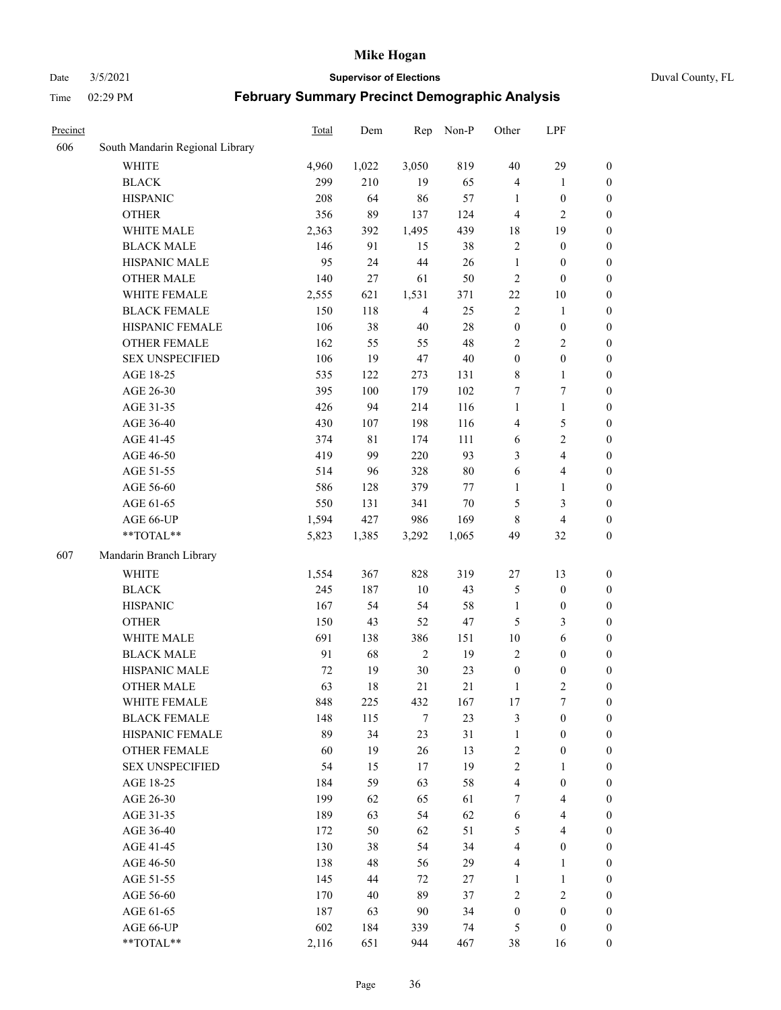#### Date 3/5/2021 **Supervisor of Elections** Duval County, FL

| Precinct |                                     | Total        | Dem       | Rep                    | Non-P     | Other                  | LPF                              |                                      |
|----------|-------------------------------------|--------------|-----------|------------------------|-----------|------------------------|----------------------------------|--------------------------------------|
| 606      | South Mandarin Regional Library     |              |           |                        |           |                        |                                  |                                      |
|          | <b>WHITE</b>                        | 4,960        | 1,022     | 3,050                  | 819       | 40                     | 29                               | $\boldsymbol{0}$                     |
|          | <b>BLACK</b>                        | 299          | 210       | 19                     | 65        | 4                      | $\mathbf{1}$                     | $\boldsymbol{0}$                     |
|          | <b>HISPANIC</b>                     | 208          | 64        | 86                     | 57        | 1                      | $\boldsymbol{0}$                 | $\boldsymbol{0}$                     |
|          | <b>OTHER</b>                        | 356          | 89        | 137                    | 124       | 4                      | $\mathfrak{2}$                   | $\boldsymbol{0}$                     |
|          | WHITE MALE                          | 2,363        | 392       | 1,495                  | 439       | 18                     | 19                               | $\boldsymbol{0}$                     |
|          | <b>BLACK MALE</b>                   | 146          | 91        | 15                     | 38        | $\mathfrak{2}$         | $\boldsymbol{0}$                 | $\boldsymbol{0}$                     |
|          | HISPANIC MALE                       | 95           | 24        | 44                     | 26        | $\mathbf{1}$           | $\boldsymbol{0}$                 | $\boldsymbol{0}$                     |
|          | <b>OTHER MALE</b>                   | 140          | 27        | 61                     | 50        | $\overline{c}$         | $\boldsymbol{0}$                 | $\boldsymbol{0}$                     |
|          | WHITE FEMALE                        | 2,555        | 621       | 1,531                  | 371       | 22                     | $10\,$                           | $\boldsymbol{0}$                     |
|          | <b>BLACK FEMALE</b>                 | 150          | 118       | $\overline{4}$         | 25        | $\mathfrak{2}$         | $\mathbf{1}$                     | 0                                    |
|          | HISPANIC FEMALE                     | 106          | 38        | $40\,$                 | 28        | $\boldsymbol{0}$       | $\boldsymbol{0}$                 | $\boldsymbol{0}$                     |
|          | OTHER FEMALE                        | 162          | 55        | 55                     | 48        | 2                      | $\sqrt{2}$                       | $\boldsymbol{0}$                     |
|          | <b>SEX UNSPECIFIED</b>              | 106          | 19        | 47                     | 40        | $\boldsymbol{0}$       | $\boldsymbol{0}$                 | $\boldsymbol{0}$                     |
|          | AGE 18-25                           | 535          | 122       | 273                    | 131       | 8                      | $\mathbf{1}$                     | $\boldsymbol{0}$                     |
|          | AGE 26-30                           | 395          | 100       | 179                    | 102       | 7                      | $\boldsymbol{7}$                 | $\boldsymbol{0}$                     |
|          | AGE 31-35                           | 426          | 94        | 214                    | 116       | $\mathbf{1}$           | $\mathbf{1}$                     | $\boldsymbol{0}$                     |
|          | AGE 36-40                           | 430          | 107       | 198                    | 116       | 4                      | 5                                | $\boldsymbol{0}$                     |
|          | AGE 41-45                           | 374          | 81        | 174                    | 111       | 6                      | $\sqrt{2}$                       | $\boldsymbol{0}$                     |
|          | AGE 46-50                           | 419          | 99        | 220                    | 93        | 3                      | $\overline{4}$                   | $\boldsymbol{0}$                     |
|          | AGE 51-55                           | 514          | 96        | 328                    | $80\,$    | 6                      | $\overline{\mathbf{4}}$          | 0                                    |
|          | AGE 56-60                           | 586          | 128       | 379                    | 77        | $\mathbf{1}$           | $\mathbf{1}$                     | $\boldsymbol{0}$                     |
|          | AGE 61-65                           | 550          | 131       | 341                    | $70\,$    | 5                      | $\mathfrak{Z}$                   | $\boldsymbol{0}$                     |
|          | AGE 66-UP                           | 1,594        | 427       | 986                    | 169       | $\,8\,$                | $\overline{\mathbf{4}}$          | $\boldsymbol{0}$                     |
|          | **TOTAL**                           | 5,823        | 1,385     | 3,292                  | 1,065     | 49                     | 32                               | $\boldsymbol{0}$                     |
| 607      | Mandarin Branch Library             |              |           |                        |           |                        |                                  |                                      |
|          | <b>WHITE</b>                        |              | 367       | 828                    | 319       |                        | 13                               | $\boldsymbol{0}$                     |
|          | <b>BLACK</b>                        | 1,554<br>245 | 187       | 10                     | 43        | 27                     | $\boldsymbol{0}$                 |                                      |
|          |                                     | 167          | 54        | 54                     | 58        | 5<br>$\mathbf{1}$      | $\boldsymbol{0}$                 | $\boldsymbol{0}$                     |
|          | <b>HISPANIC</b>                     |              |           |                        |           |                        |                                  | $\boldsymbol{0}$                     |
|          | <b>OTHER</b><br>WHITE MALE          | 150          | 43        | 52                     | 47        | 5                      | $\mathfrak{Z}$                   | $\boldsymbol{0}$                     |
|          | <b>BLACK MALE</b>                   | 691<br>91    | 138<br>68 | 386<br>$\mathbf{2}$    | 151<br>19 | $10\,$<br>$\mathbf{2}$ | $\sqrt{6}$                       | $\boldsymbol{0}$                     |
|          | HISPANIC MALE                       | 72           | 19        | $30\,$                 | 23        | $\boldsymbol{0}$       | $\boldsymbol{0}$                 | $\boldsymbol{0}$                     |
|          | <b>OTHER MALE</b>                   | 63           | 18        | 21                     | 21        | $\mathbf{1}$           | $\boldsymbol{0}$<br>$\mathbf{2}$ | 0<br>$\boldsymbol{0}$                |
|          |                                     |              |           |                        |           |                        | 7                                | $\overline{0}$                       |
|          | WHITE FEMALE<br><b>BLACK FEMALE</b> | 848<br>148   | 225       | 432<br>$7\phantom{.0}$ | 167<br>23 | 17                     | $\boldsymbol{0}$                 | $\overline{0}$                       |
|          | HISPANIC FEMALE                     | 89           | 115<br>34 | 23                     | 31        | 3<br>$\mathbf{1}$      | $\boldsymbol{0}$                 | $\overline{0}$                       |
|          | <b>OTHER FEMALE</b>                 | 60           | 19        | 26                     | 13        |                        | $\boldsymbol{0}$                 | 0                                    |
|          | <b>SEX UNSPECIFIED</b>              | 54           | 15        | 17                     | 19        | 2<br>$\sqrt{2}$        | $\mathbf{1}$                     | 0                                    |
|          | AGE 18-25                           | 184          | 59        | 63                     | 58        | 4                      | $\boldsymbol{0}$                 | $\theta$                             |
|          | AGE 26-30                           | 199          |           | 65                     | 61        | 7                      | $\overline{\mathbf{4}}$          | 0                                    |
|          | AGE 31-35                           | 189          | 62<br>63  | 54                     | 62        | 6                      | $\overline{\mathbf{4}}$          | 0                                    |
|          | AGE 36-40                           | 172          | 50        | 62                     | 51        | 5                      | $\overline{4}$                   |                                      |
|          | AGE 41-45                           | 130          | 38        | 54                     | 34        | 4                      | $\boldsymbol{0}$                 | 0<br>0                               |
|          | AGE 46-50                           | 138          | 48        | 56                     | 29        | 4                      | $\mathbf{1}$                     | $\boldsymbol{0}$                     |
|          |                                     |              |           |                        |           |                        |                                  |                                      |
|          | AGE 51-55<br>AGE 56-60              | 145<br>170   | 44<br>40  | 72<br>89               | 27<br>37  | 1<br>$\overline{c}$    | $\mathbf{1}$<br>$\sqrt{2}$       | $\boldsymbol{0}$<br>$\boldsymbol{0}$ |
|          | AGE 61-65                           | 187          | 63        | 90                     | 34        | $\boldsymbol{0}$       | $\boldsymbol{0}$                 | $\overline{0}$                       |
|          | AGE 66-UP                           | 602          | 184       | 339                    | 74        | 5                      | $\boldsymbol{0}$                 | 0                                    |
|          | **TOTAL**                           | 2,116        | 651       | 944                    | 467       | 38                     | 16                               | $\overline{0}$                       |
|          |                                     |              |           |                        |           |                        |                                  |                                      |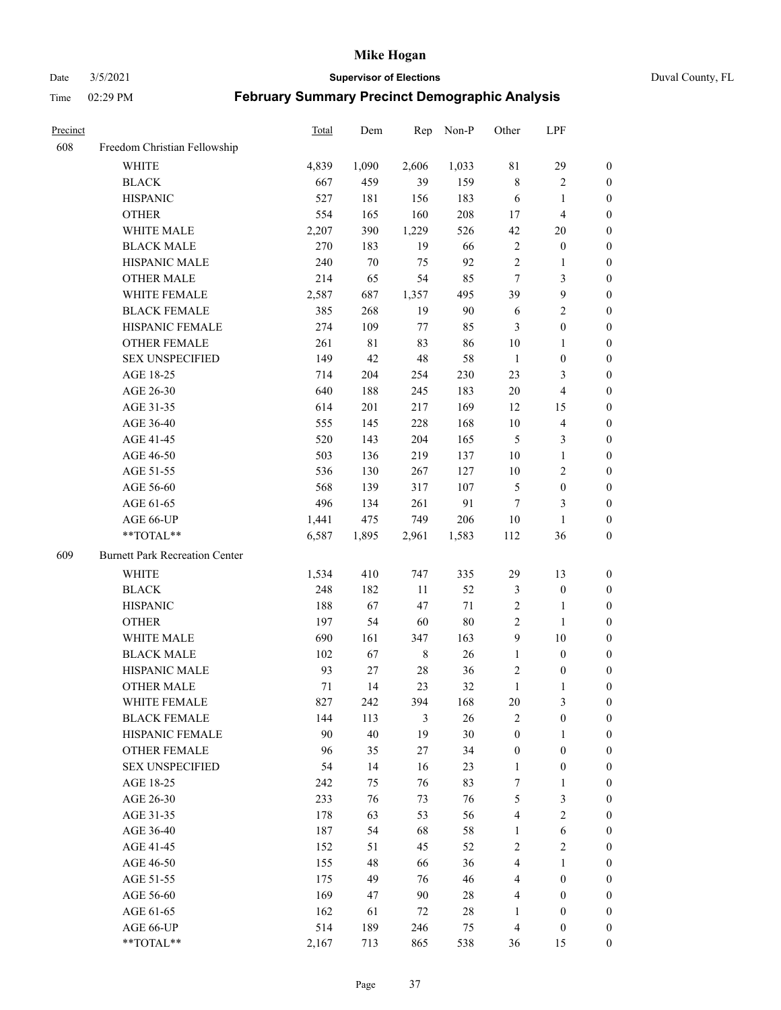Date 3/5/2021 **Supervisor of Elections** Duval County, FL

| Precinct |                                       | Total | Dem   | Rep         | Non-P  | Other            | LPF                     |                  |
|----------|---------------------------------------|-------|-------|-------------|--------|------------------|-------------------------|------------------|
| 608      | Freedom Christian Fellowship          |       |       |             |        |                  |                         |                  |
|          | <b>WHITE</b>                          | 4,839 | 1,090 | 2,606       | 1,033  | $8\sqrt{1}$      | 29                      | $\boldsymbol{0}$ |
|          | <b>BLACK</b>                          | 667   | 459   | 39          | 159    | $\,$ 8 $\,$      | $\sqrt{2}$              | $\boldsymbol{0}$ |
|          | <b>HISPANIC</b>                       | 527   | 181   | 156         | 183    | 6                | $\mathbf{1}$            | $\boldsymbol{0}$ |
|          | <b>OTHER</b>                          | 554   | 165   | 160         | 208    | 17               | $\overline{\mathbf{4}}$ | $\boldsymbol{0}$ |
|          | WHITE MALE                            | 2,207 | 390   | 1,229       | 526    | 42               | 20                      | $\boldsymbol{0}$ |
|          | <b>BLACK MALE</b>                     | 270   | 183   | 19          | 66     | 2                | $\boldsymbol{0}$        | $\boldsymbol{0}$ |
|          | HISPANIC MALE                         | 240   | 70    | 75          | 92     | $\mathfrak{2}$   | $\mathbf{1}$            | $\boldsymbol{0}$ |
|          | <b>OTHER MALE</b>                     | 214   | 65    | 54          | 85     | $\tau$           | $\mathfrak{Z}$          | $\boldsymbol{0}$ |
|          | WHITE FEMALE                          | 2,587 | 687   | 1,357       | 495    | 39               | $\boldsymbol{9}$        | $\boldsymbol{0}$ |
|          | <b>BLACK FEMALE</b>                   | 385   | 268   | 19          | 90     | 6                | $\sqrt{2}$              | 0                |
|          | HISPANIC FEMALE                       | 274   | 109   | 77          | 85     | 3                | $\boldsymbol{0}$        | 0                |
|          | OTHER FEMALE                          | 261   | 81    | 83          | 86     | 10               | $\mathbf{1}$            | 0                |
|          | <b>SEX UNSPECIFIED</b>                | 149   | 42    | 48          | 58     | $\mathbf{1}$     | $\boldsymbol{0}$        | $\boldsymbol{0}$ |
|          | AGE 18-25                             | 714   | 204   | 254         | 230    | 23               | $\mathfrak{Z}$          | $\boldsymbol{0}$ |
|          | AGE 26-30                             | 640   | 188   | 245         | 183    | 20               | $\overline{\mathbf{4}}$ | $\boldsymbol{0}$ |
|          | AGE 31-35                             | 614   | 201   | 217         | 169    | 12               | 15                      | $\boldsymbol{0}$ |
|          | AGE 36-40                             | 555   | 145   | 228         | 168    | 10               | $\overline{\mathbf{4}}$ | $\boldsymbol{0}$ |
|          | AGE 41-45                             | 520   | 143   | 204         | 165    | 5                | $\mathfrak{Z}$          | $\boldsymbol{0}$ |
|          | AGE 46-50                             | 503   | 136   | 219         | 137    | 10               | $\mathbf{1}$            | $\boldsymbol{0}$ |
|          | AGE 51-55                             | 536   | 130   | 267         | 127    | 10               | $\sqrt{2}$              | 0                |
|          | AGE 56-60                             | 568   | 139   | 317         | 107    | 5                | $\boldsymbol{0}$        | 0                |
|          | AGE 61-65                             | 496   | 134   | 261         | 91     | $\tau$           | 3                       | 0                |
|          | AGE 66-UP                             | 1,441 | 475   | 749         | 206    | 10               | $\mathbf{1}$            | $\boldsymbol{0}$ |
|          | **TOTAL**                             | 6,587 | 1,895 | 2,961       | 1,583  | 112              | 36                      | $\boldsymbol{0}$ |
| 609      | <b>Burnett Park Recreation Center</b> |       |       |             |        |                  |                         |                  |
|          | <b>WHITE</b>                          | 1,534 | 410   | 747         | 335    | 29               | 13                      | $\boldsymbol{0}$ |
|          | <b>BLACK</b>                          | 248   | 182   | $11\,$      | 52     | 3                | $\boldsymbol{0}$        | $\boldsymbol{0}$ |
|          | <b>HISPANIC</b>                       | 188   | 67    | 47          | 71     | 2                | $\mathbf{1}$            | $\boldsymbol{0}$ |
|          | <b>OTHER</b>                          | 197   | 54    | 60          | $80\,$ | $\sqrt{2}$       | $\mathbf{1}$            | $\boldsymbol{0}$ |
|          | WHITE MALE                            | 690   | 161   | 347         | 163    | $\overline{9}$   | $10\,$                  | $\boldsymbol{0}$ |
|          | <b>BLACK MALE</b>                     | 102   | 67    | $\,$ 8 $\,$ | 26     | $\mathbf{1}$     | $\boldsymbol{0}$        | $\boldsymbol{0}$ |
|          | HISPANIC MALE                         | 93    | 27    | $28\,$      | 36     | $\overline{c}$   | $\boldsymbol{0}$        | 0                |
|          | <b>OTHER MALE</b>                     | 71    | 14    | 23          | 32     | $\mathbf{1}$     | 1                       | 0                |
|          | WHITE FEMALE                          | 827   | 242   | 394         | 168    | 20               | 3                       | 0                |
|          | <b>BLACK FEMALE</b>                   | 144   | 113   | 3           | 26     | $\mathbf{2}$     | $\boldsymbol{0}$        | $\boldsymbol{0}$ |
|          | HISPANIC FEMALE                       | 90    | 40    | 19          | 30     | $\boldsymbol{0}$ | $\mathbf{1}$            | $\overline{0}$   |
|          | <b>OTHER FEMALE</b>                   | 96    | 35    | $27\,$      | 34     | $\boldsymbol{0}$ | $\boldsymbol{0}$        | $\overline{0}$   |
|          | <b>SEX UNSPECIFIED</b>                | 54    | 14    | 16          | 23     | $\mathbf{1}$     | $\boldsymbol{0}$        | 0                |
|          | AGE 18-25                             | 242   | 75    | 76          | 83     | 7                | $\mathbf{1}$            | 0                |
|          | AGE 26-30                             | 233   | 76    | 73          | 76     | 5                | $\mathfrak{Z}$          | 0                |
|          | AGE 31-35                             | 178   | 63    | 53          | 56     | 4                | $\overline{2}$          | 0                |
|          | AGE 36-40                             | 187   | 54    | 68          | 58     | 1                | $\sqrt{6}$              | 0                |
|          | AGE 41-45                             | 152   | 51    | 45          | 52     | $\mathbf{2}$     | $\mathbf{2}$            | 0                |
|          | AGE 46-50                             | 155   | 48    | 66          | 36     | 4                | $\mathbf{1}$            | 0                |
|          | AGE 51-55                             | 175   | 49    | 76          | 46     | 4                | $\boldsymbol{0}$        | 0                |
|          | AGE 56-60                             | 169   | 47    | 90          | 28     | 4                | $\boldsymbol{0}$        | 0                |
|          | AGE 61-65                             | 162   | 61    | 72          | $28\,$ | 1                | $\boldsymbol{0}$        | $\overline{0}$   |
|          | AGE 66-UP                             | 514   | 189   | 246         | 75     | $\overline{4}$   | $\boldsymbol{0}$        | 0                |
|          | **TOTAL**                             | 2,167 | 713   | 865         | 538    | 36               | 15                      | $\boldsymbol{0}$ |
|          |                                       |       |       |             |        |                  |                         |                  |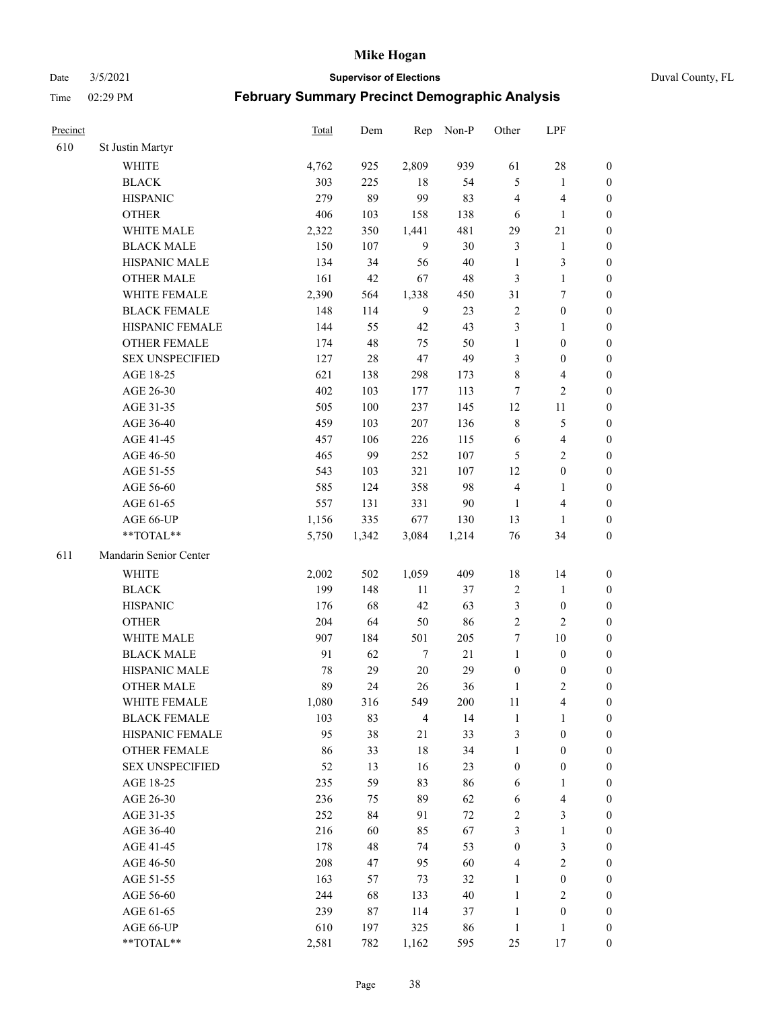Date 3/5/2021 **Supervisor of Elections** Duval County, FL

| Precinct |                        | <b>Total</b> | Dem   | Rep            | Non-P  | Other            | LPF                     |                  |
|----------|------------------------|--------------|-------|----------------|--------|------------------|-------------------------|------------------|
| 610      | St Justin Martyr       |              |       |                |        |                  |                         |                  |
|          | <b>WHITE</b>           | 4,762        | 925   | 2,809          | 939    | 61               | $28\,$                  | 0                |
|          | <b>BLACK</b>           | 303          | 225   | 18             | 54     | 5                | $\mathbf{1}$            | $\boldsymbol{0}$ |
|          | <b>HISPANIC</b>        | 279          | 89    | 99             | 83     | 4                | $\overline{\mathbf{4}}$ | $\boldsymbol{0}$ |
|          | <b>OTHER</b>           | 406          | 103   | 158            | 138    | 6                | $\mathbf{1}$            | $\boldsymbol{0}$ |
|          | WHITE MALE             | 2,322        | 350   | 1,441          | 481    | 29               | $21\,$                  | $\boldsymbol{0}$ |
|          | <b>BLACK MALE</b>      | 150          | 107   | 9              | 30     | 3                | $\mathbf{1}$            | $\boldsymbol{0}$ |
|          | HISPANIC MALE          | 134          | 34    | 56             | $40\,$ | $\mathbf{1}$     | $\mathfrak{Z}$          | $\boldsymbol{0}$ |
|          | <b>OTHER MALE</b>      | 161          | 42    | 67             | 48     | 3                | $\mathbf{1}$            | $\boldsymbol{0}$ |
|          | WHITE FEMALE           | 2,390        | 564   | 1,338          | 450    | 31               | $\boldsymbol{7}$        | $\boldsymbol{0}$ |
|          | <b>BLACK FEMALE</b>    | 148          | 114   | 9              | 23     | $\overline{c}$   | $\boldsymbol{0}$        | 0                |
|          | HISPANIC FEMALE        | 144          | 55    | 42             | 43     | 3                | $\mathbf{1}$            | 0                |
|          | <b>OTHER FEMALE</b>    | 174          | 48    | 75             | 50     | $\mathbf{1}$     | $\boldsymbol{0}$        | $\boldsymbol{0}$ |
|          | <b>SEX UNSPECIFIED</b> | 127          | 28    | 47             | 49     | 3                | $\boldsymbol{0}$        | $\boldsymbol{0}$ |
|          | AGE 18-25              | 621          | 138   | 298            | 173    | $\,$ $\,$        | $\overline{\mathbf{4}}$ | $\boldsymbol{0}$ |
|          | AGE 26-30              | 402          | 103   | 177            | 113    | 7                | $\sqrt{2}$              | $\boldsymbol{0}$ |
|          | AGE 31-35              | 505          | 100   | 237            | 145    | 12               | 11                      | $\boldsymbol{0}$ |
|          | AGE 36-40              | 459          | 103   | 207            | 136    | $\,$ 8 $\,$      | $\mathfrak s$           | $\boldsymbol{0}$ |
|          | AGE 41-45              | 457          | 106   | 226            | 115    | 6                | $\overline{\mathbf{4}}$ | $\boldsymbol{0}$ |
|          | AGE 46-50              | 465          | 99    | 252            | 107    | 5                | $\overline{2}$          | $\boldsymbol{0}$ |
|          | AGE 51-55              | 543          | 103   | 321            | 107    | 12               | $\boldsymbol{0}$        | $\boldsymbol{0}$ |
|          | AGE 56-60              | 585          | 124   | 358            | 98     | $\overline{4}$   | $\mathbf{1}$            | 0                |
|          | AGE 61-65              | 557          | 131   | 331            | $90\,$ | $\mathbf{1}$     | $\overline{\mathbf{4}}$ | 0                |
|          | AGE 66-UP              | 1,156        | 335   | 677            | 130    | 13               | $\mathbf{1}$            | $\boldsymbol{0}$ |
|          | **TOTAL**              | 5,750        | 1,342 | 3,084          | 1,214  | 76               | 34                      | $\boldsymbol{0}$ |
| 611      | Mandarin Senior Center |              |       |                |        |                  |                         |                  |
|          | <b>WHITE</b>           | 2,002        | 502   | 1,059          | 409    | 18               | 14                      | $\boldsymbol{0}$ |
|          | <b>BLACK</b>           | 199          | 148   | 11             | 37     | $\overline{c}$   | $\mathbf{1}$            | $\boldsymbol{0}$ |
|          | <b>HISPANIC</b>        | 176          | 68    | 42             | 63     | 3                | $\boldsymbol{0}$        | $\boldsymbol{0}$ |
|          | <b>OTHER</b>           | 204          | 64    | 50             | 86     | $\overline{c}$   | $\overline{c}$          | $\boldsymbol{0}$ |
|          | <b>WHITE MALE</b>      | 907          | 184   | 501            | 205    | 7                | $10\,$                  | $\boldsymbol{0}$ |
|          | <b>BLACK MALE</b>      | 91           | 62    | $\tau$         | $21\,$ | $\mathbf{1}$     | $\boldsymbol{0}$        | $\boldsymbol{0}$ |
|          | HISPANIC MALE          | 78           | 29    | $20\,$         | 29     | $\boldsymbol{0}$ | $\boldsymbol{0}$        | 0                |
|          | <b>OTHER MALE</b>      | 89           | 24    | 26             | 36     | 1                | $\mathbf{2}$            | $\boldsymbol{0}$ |
|          | WHITE FEMALE           | 1,080        | 316   | 549            | 200    | 11               | 4                       | 0                |
|          | <b>BLACK FEMALE</b>    | 103          | 83    | $\overline{4}$ | 14     | $\mathbf{1}$     | $\mathbf{1}$            | $\boldsymbol{0}$ |
|          | HISPANIC FEMALE        | 95           | 38    | 21             | 33     | $\mathfrak{Z}$   | $\boldsymbol{0}$        | $\overline{0}$   |
|          | OTHER FEMALE           | 86           | 33    | $18\,$         | 34     | $\mathbf{1}$     | $\boldsymbol{0}$        | $\overline{0}$   |
|          | <b>SEX UNSPECIFIED</b> | 52           | 13    | 16             | 23     | $\boldsymbol{0}$ | $\boldsymbol{0}$        | 0                |
|          | AGE 18-25              | 235          | 59    | 83             | 86     | 6                | $\mathbf{1}$            | 0                |
|          | AGE 26-30              | 236          | 75    | 89             | 62     | 6                | $\overline{\mathbf{4}}$ | 0                |
|          | AGE 31-35              | 252          | 84    | 91             | $72\,$ | $\sqrt{2}$       | $\mathfrak{Z}$          | 0                |
|          | AGE 36-40              | 216          | 60    | 85             | 67     | 3                | $\mathbf{1}$            | 0                |
|          | AGE 41-45              | 178          | 48    | 74             | 53     | $\boldsymbol{0}$ | $\mathfrak{Z}$          | 0                |
|          | AGE 46-50              | 208          | 47    | 95             | 60     | 4                | $\sqrt{2}$              | 0                |
|          | AGE 51-55              | 163          | 57    | 73             | 32     | $\mathbf{1}$     | $\boldsymbol{0}$        | 0                |
|          | AGE 56-60              | 244          | 68    | 133            | 40     | $\mathbf{1}$     | $\mathbf{2}$            | 0                |
|          | AGE 61-65              | 239          | 87    | 114            | 37     | $\mathbf{1}$     | $\boldsymbol{0}$        | $\overline{0}$   |
|          | AGE 66-UP              | 610          | 197   | 325            | 86     | $\mathbf{1}$     | $\mathbf{1}$            | 0                |
|          | **TOTAL**              | 2,581        | 782   | 1,162          | 595    | 25               | 17                      | $\boldsymbol{0}$ |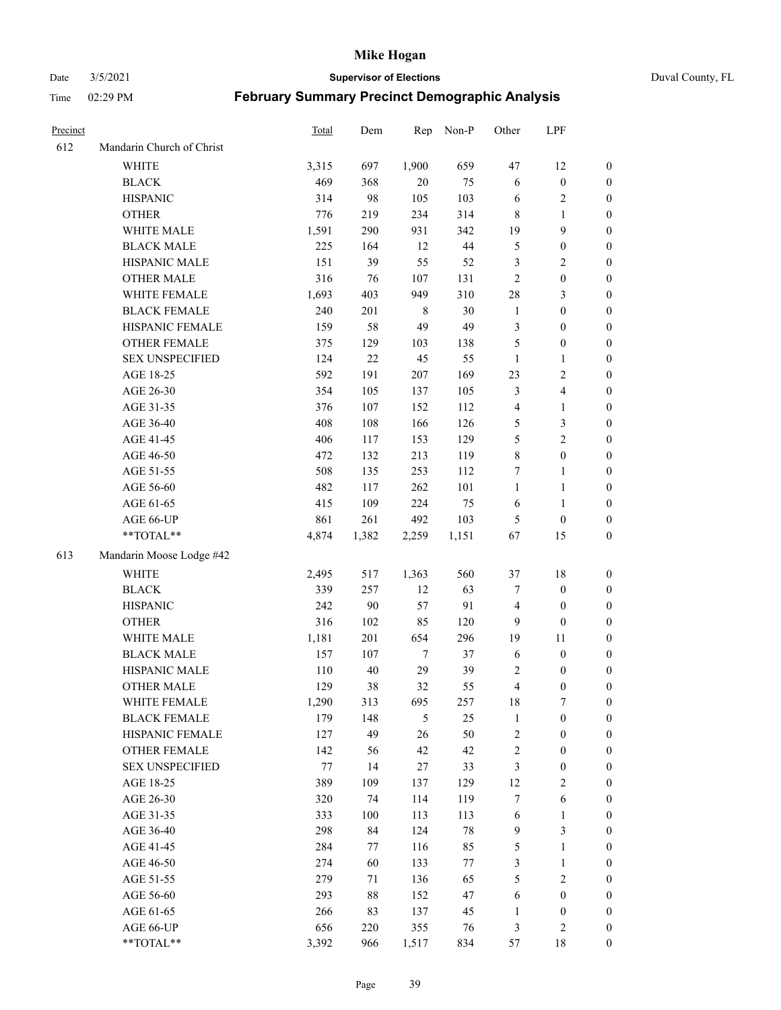Date 3/5/2021 **Supervisor of Elections** Duval County, FL

| Precinct |                           | Total | Dem    | Rep    | Non-P  | Other                   | LPF                     |                  |
|----------|---------------------------|-------|--------|--------|--------|-------------------------|-------------------------|------------------|
| 612      | Mandarin Church of Christ |       |        |        |        |                         |                         |                  |
|          | <b>WHITE</b>              | 3,315 | 697    | 1,900  | 659    | 47                      | 12                      | 0                |
|          | <b>BLACK</b>              | 469   | 368    | $20\,$ | 75     | 6                       | $\boldsymbol{0}$        | 0                |
|          | <b>HISPANIC</b>           | 314   | 98     | 105    | 103    | 6                       | $\sqrt{2}$              | $\boldsymbol{0}$ |
|          | <b>OTHER</b>              | 776   | 219    | 234    | 314    | $\,8\,$                 | 1                       | $\boldsymbol{0}$ |
|          | WHITE MALE                | 1,591 | 290    | 931    | 342    | 19                      | 9                       | $\boldsymbol{0}$ |
|          | <b>BLACK MALE</b>         | 225   | 164    | 12     | $44\,$ | 5                       | $\boldsymbol{0}$        | $\boldsymbol{0}$ |
|          | HISPANIC MALE             | 151   | 39     | 55     | 52     | 3                       | $\sqrt{2}$              | $\boldsymbol{0}$ |
|          | <b>OTHER MALE</b>         | 316   | 76     | 107    | 131    | $\mathbf{2}$            | $\boldsymbol{0}$        | $\boldsymbol{0}$ |
|          | WHITE FEMALE              | 1,693 | 403    | 949    | 310    | 28                      | $\mathfrak{Z}$          | $\boldsymbol{0}$ |
|          | <b>BLACK FEMALE</b>       | 240   | 201    | 8      | $30\,$ | $\mathbf{1}$            | $\boldsymbol{0}$        | 0                |
|          | HISPANIC FEMALE           | 159   | 58     | 49     | 49     | 3                       | $\boldsymbol{0}$        | 0                |
|          | OTHER FEMALE              | 375   | 129    | 103    | 138    | 5                       | $\boldsymbol{0}$        | $\boldsymbol{0}$ |
|          | <b>SEX UNSPECIFIED</b>    | 124   | $22\,$ | 45     | 55     | $\mathbf{1}$            | $\mathbf{1}$            | $\boldsymbol{0}$ |
|          | AGE 18-25                 | 592   | 191    | 207    | 169    | 23                      | $\sqrt{2}$              | $\boldsymbol{0}$ |
|          | AGE 26-30                 | 354   | 105    | 137    | 105    | 3                       | $\overline{\mathbf{4}}$ | $\boldsymbol{0}$ |
|          | AGE 31-35                 | 376   | 107    | 152    | 112    | 4                       | $\mathbf{1}$            | $\boldsymbol{0}$ |
|          | AGE 36-40                 | 408   | 108    | 166    | 126    | 5                       | $\mathfrak{Z}$          | $\boldsymbol{0}$ |
|          | AGE 41-45                 | 406   | 117    | 153    | 129    | $\mathfrak{S}$          | $\overline{2}$          | $\boldsymbol{0}$ |
|          | AGE 46-50                 | 472   | 132    | 213    | 119    | $\,$ $\,$               | $\boldsymbol{0}$        | $\boldsymbol{0}$ |
|          | AGE 51-55                 | 508   | 135    | 253    | 112    | 7                       | $\mathbf{1}$            | $\boldsymbol{0}$ |
|          | AGE 56-60                 | 482   | 117    | 262    | 101    | $\mathbf{1}$            | $\mathbf{1}$            | 0                |
|          | AGE 61-65                 | 415   | 109    | 224    | 75     | 6                       | $\mathbf{1}$            | 0                |
|          | AGE 66-UP                 | 861   | 261    | 492    | 103    | 5                       | $\boldsymbol{0}$        | $\boldsymbol{0}$ |
|          | $**TOTAL**$               | 4,874 | 1,382  | 2,259  | 1,151  | 67                      | 15                      | $\boldsymbol{0}$ |
| 613      | Mandarin Moose Lodge #42  |       |        |        |        |                         |                         |                  |
|          | <b>WHITE</b>              | 2,495 | 517    | 1,363  | 560    | 37                      | $18\,$                  | $\boldsymbol{0}$ |
|          | <b>BLACK</b>              | 339   | 257    | 12     | 63     | 7                       | $\boldsymbol{0}$        | $\boldsymbol{0}$ |
|          | <b>HISPANIC</b>           | 242   | 90     | 57     | 91     | $\overline{4}$          | $\boldsymbol{0}$        | $\boldsymbol{0}$ |
|          | <b>OTHER</b>              | 316   | 102    | 85     | 120    | 9                       | $\boldsymbol{0}$        | $\boldsymbol{0}$ |
|          | WHITE MALE                | 1,181 | 201    | 654    | 296    | 19                      | 11                      | $\boldsymbol{0}$ |
|          | <b>BLACK MALE</b>         | 157   | 107    | $\tau$ | 37     | 6                       | $\boldsymbol{0}$        | $\boldsymbol{0}$ |
|          | HISPANIC MALE             | 110   | 40     | 29     | 39     | 2                       | $\boldsymbol{0}$        | $\boldsymbol{0}$ |
|          | <b>OTHER MALE</b>         | 129   | 38     | 32     | 55     | $\overline{\mathbf{4}}$ | $\boldsymbol{0}$        | $\boldsymbol{0}$ |
|          | WHITE FEMALE              | 1,290 | 313    | 695    | 257    | 18                      | 7                       | 0                |
|          | <b>BLACK FEMALE</b>       | 179   | 148    | 5      | 25     | $\mathbf{1}$            | $\boldsymbol{0}$        | $\boldsymbol{0}$ |
|          | HISPANIC FEMALE           | 127   | 49     | 26     | 50     | $\overline{c}$          | $\boldsymbol{0}$        | $\overline{0}$   |
|          | <b>OTHER FEMALE</b>       | 142   | 56     | 42     | 42     | $\sqrt{2}$              | $\boldsymbol{0}$        | $\overline{0}$   |
|          | <b>SEX UNSPECIFIED</b>    | 77    | 14     | 27     | 33     | 3                       | $\boldsymbol{0}$        | 0                |
|          | AGE 18-25                 | 389   | 109    | 137    | 129    | 12                      | $\sqrt{2}$              | 0                |
|          | AGE 26-30                 | 320   | 74     | 114    | 119    | 7                       | $\sqrt{6}$              | 0                |
|          | AGE 31-35                 | 333   | 100    | 113    | 113    | 6                       | $\mathbf{1}$            | 0                |
|          | AGE 36-40                 | 298   | 84     | 124    | $78\,$ | $\overline{9}$          | $\mathfrak{Z}$          | 0                |
|          | AGE 41-45                 | 284   | 77     | 116    | 85     | 5                       | $\mathbf{1}$            | 0                |
|          | AGE 46-50                 | 274   | 60     | 133    | $77\,$ | 3                       | $\mathbf{1}$            | 0                |
|          | AGE 51-55                 | 279   | 71     | 136    | 65     | 5                       | $\mathfrak{2}$          | 0                |
|          | AGE 56-60                 | 293   | 88     | 152    | 47     | 6                       | $\boldsymbol{0}$        | 0                |
|          | AGE 61-65                 | 266   | 83     | 137    | 45     | 1                       | $\boldsymbol{0}$        | $\overline{0}$   |
|          | AGE 66-UP                 | 656   | 220    | 355    | 76     | 3                       | $\mathfrak{2}$          | 0                |
|          | **TOTAL**                 | 3,392 | 966    | 1,517  | 834    | 57                      | 18                      | $\boldsymbol{0}$ |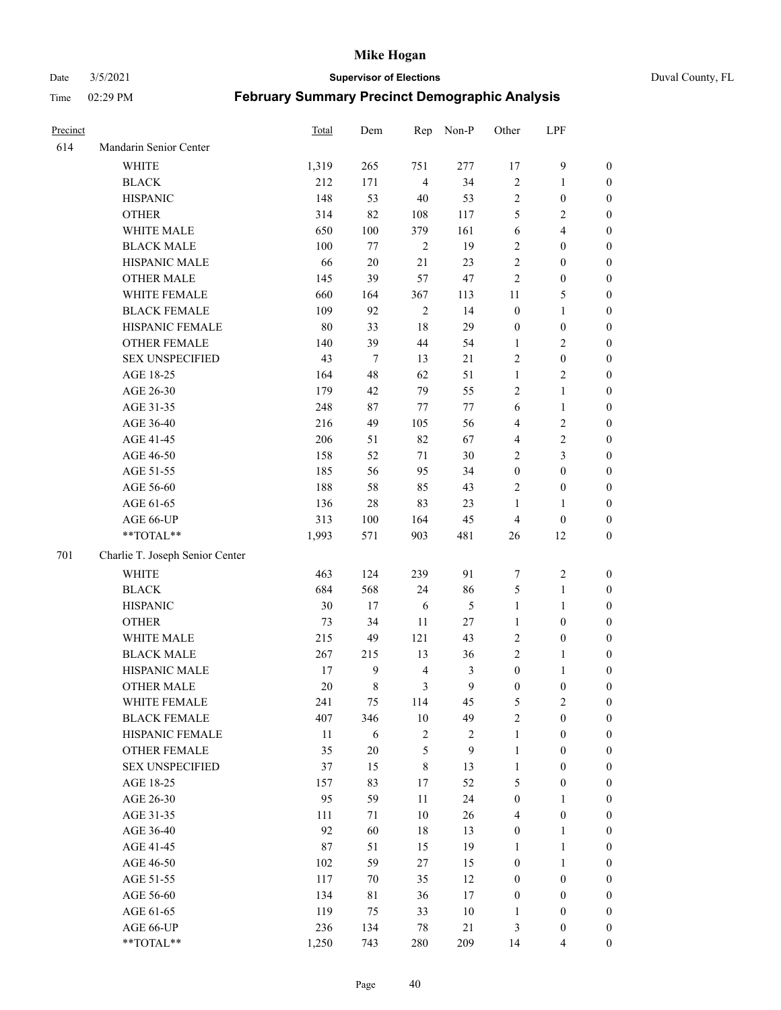Date 3/5/2021 **Supervisor of Elections** Duval County, FL

| Precinct |                                 | Total | Dem    | Rep            | Non-P      | Other            | LPF              |                  |
|----------|---------------------------------|-------|--------|----------------|------------|------------------|------------------|------------------|
| 614      | Mandarin Senior Center          |       |        |                |            |                  |                  |                  |
|          | <b>WHITE</b>                    | 1,319 | 265    | 751            | 277        | 17               | $\mathbf{9}$     | $\boldsymbol{0}$ |
|          | <b>BLACK</b>                    | 212   | 171    | $\overline{4}$ | 34         | $\sqrt{2}$       | $\mathbf{1}$     | $\boldsymbol{0}$ |
|          | <b>HISPANIC</b>                 | 148   | 53     | 40             | 53         | $\sqrt{2}$       | $\boldsymbol{0}$ | $\boldsymbol{0}$ |
|          | <b>OTHER</b>                    | 314   | 82     | 108            | 117        | 5                | $\mathfrak{2}$   | $\boldsymbol{0}$ |
|          | WHITE MALE                      | 650   | 100    | 379            | 161        | 6                | $\overline{4}$   | $\boldsymbol{0}$ |
|          | <b>BLACK MALE</b>               | 100   | 77     | $\overline{2}$ | 19         | $\overline{c}$   | $\boldsymbol{0}$ | $\boldsymbol{0}$ |
|          | HISPANIC MALE                   | 66    | $20\,$ | 21             | 23         | $\mathfrak{2}$   | $\boldsymbol{0}$ | $\boldsymbol{0}$ |
|          | OTHER MALE                      | 145   | 39     | 57             | 47         | $\mathfrak{2}$   | $\boldsymbol{0}$ | $\boldsymbol{0}$ |
|          | WHITE FEMALE                    | 660   | 164    | 367            | 113        | 11               | $\mathfrak{S}$   | $\boldsymbol{0}$ |
|          | <b>BLACK FEMALE</b>             | 109   | 92     | $\sqrt{2}$     | 14         | $\boldsymbol{0}$ | $\mathbf{1}$     | $\boldsymbol{0}$ |
|          | HISPANIC FEMALE                 | 80    | 33     | 18             | 29         | $\boldsymbol{0}$ | $\boldsymbol{0}$ | 0                |
|          | <b>OTHER FEMALE</b>             | 140   | 39     | 44             | 54         | $\mathbf{1}$     | $\sqrt{2}$       | 0                |
|          | <b>SEX UNSPECIFIED</b>          | 43    | $\tau$ | 13             | $21\,$     | $\sqrt{2}$       | $\boldsymbol{0}$ | $\boldsymbol{0}$ |
|          | AGE 18-25                       | 164   | 48     | 62             | 51         | $\mathbf{1}$     | $\sqrt{2}$       | $\boldsymbol{0}$ |
|          | AGE 26-30                       | 179   | 42     | 79             | 55         | $\overline{c}$   | $\mathbf{1}$     | $\boldsymbol{0}$ |
|          | AGE 31-35                       | 248   | 87     | $77\,$         | $77\,$     | 6                | $\mathbf{1}$     | $\boldsymbol{0}$ |
|          | AGE 36-40                       | 216   | 49     | 105            | 56         | 4                | $\sqrt{2}$       | $\boldsymbol{0}$ |
|          | AGE 41-45                       | 206   | 51     | 82             | 67         | $\overline{4}$   | $\sqrt{2}$       | $\boldsymbol{0}$ |
|          | AGE 46-50                       | 158   | 52     | 71             | 30         | $\mathbf{2}$     | $\mathfrak{Z}$   | $\boldsymbol{0}$ |
|          | AGE 51-55                       | 185   | 56     | 95             | 34         | $\boldsymbol{0}$ | $\boldsymbol{0}$ | $\boldsymbol{0}$ |
|          | AGE 56-60                       | 188   | 58     | 85             | 43         | $\overline{c}$   | $\boldsymbol{0}$ | 0                |
|          | AGE 61-65                       | 136   | 28     | 83             | 23         | 1                | $\mathbf{1}$     | 0                |
|          | AGE 66-UP                       | 313   | 100    | 164            | 45         | $\overline{4}$   | $\boldsymbol{0}$ | $\boldsymbol{0}$ |
|          | $**TOTAL**$                     | 1,993 | 571    | 903            | 481        | 26               | 12               | $\boldsymbol{0}$ |
| 701      | Charlie T. Joseph Senior Center |       |        |                |            |                  |                  |                  |
|          | <b>WHITE</b>                    | 463   | 124    | 239            | 91         | 7                | $\sqrt{2}$       | $\boldsymbol{0}$ |
|          | <b>BLACK</b>                    | 684   | 568    | 24             | 86         | 5                | $\mathbf{1}$     | $\boldsymbol{0}$ |
|          | <b>HISPANIC</b>                 | 30    | 17     | $\sqrt{6}$     | 5          | $\mathbf{1}$     | $\mathbf{1}$     | $\boldsymbol{0}$ |
|          | <b>OTHER</b>                    | 73    | 34     | $11\,$         | 27         | $\mathbf{1}$     | $\boldsymbol{0}$ | $\boldsymbol{0}$ |
|          | WHITE MALE                      | 215   | 49     | 121            | 43         | $\sqrt{2}$       | $\boldsymbol{0}$ | $\boldsymbol{0}$ |
|          | <b>BLACK MALE</b>               | 267   | 215    | 13             | 36         | $\mathbf{2}$     | $\mathbf{1}$     | $\boldsymbol{0}$ |
|          | HISPANIC MALE                   | 17    | 9      | $\overline{4}$ | 3          | $\boldsymbol{0}$ | 1                | 0                |
|          | <b>OTHER MALE</b>               | 20    | 8      | 3              | 9          | $\boldsymbol{0}$ | $\boldsymbol{0}$ | 0                |
|          | WHITE FEMALE                    | 241   | 75     | 114            | 45         | 5                | 2                | 0                |
|          | <b>BLACK FEMALE</b>             | 407   | 346    | 10             | 49         | $\sqrt{2}$       | $\boldsymbol{0}$ | $\overline{0}$   |
|          | HISPANIC FEMALE                 | 11    | 6      | $\sqrt{2}$     | $\sqrt{2}$ | $\mathbf{1}$     | $\boldsymbol{0}$ | $\overline{0}$   |
|          | OTHER FEMALE                    | 35    | $20\,$ | 5              | 9          | $\mathbf{1}$     | $\boldsymbol{0}$ | $\overline{0}$   |
|          | <b>SEX UNSPECIFIED</b>          | 37    | 15     | $\,8\,$        | 13         | $\mathbf{1}$     | $\boldsymbol{0}$ | 0                |
|          | AGE 18-25                       | 157   | 83     | 17             | 52         | 5                | $\boldsymbol{0}$ | $\theta$         |
|          | AGE 26-30                       | 95    | 59     | 11             | 24         | $\boldsymbol{0}$ | $\mathbf{1}$     | 0                |
|          | AGE 31-35                       | 111   | 71     | $10\,$         | 26         | 4                | $\boldsymbol{0}$ | 0                |
|          | AGE 36-40                       | 92    | 60     | $18\,$         | 13         | $\boldsymbol{0}$ | $\mathbf{1}$     | 0                |
|          | AGE 41-45                       | 87    | 51     | 15             | 19         | $\mathbf{1}$     | $\mathbf{1}$     | 0                |
|          | AGE 46-50                       | 102   | 59     | 27             | 15         | $\boldsymbol{0}$ | $\mathbf{1}$     | 0                |
|          | AGE 51-55                       | 117   | 70     | 35             | 12         | $\boldsymbol{0}$ | $\boldsymbol{0}$ | 0                |
|          | AGE 56-60                       | 134   | 81     | 36             | $17\,$     | $\boldsymbol{0}$ | $\boldsymbol{0}$ | $\overline{0}$   |
|          | AGE 61-65                       | 119   | 75     | 33             | 10         | 1                | $\boldsymbol{0}$ | $\boldsymbol{0}$ |
|          | AGE 66-UP                       | 236   | 134    | 78             | 21         | 3                | $\boldsymbol{0}$ | 0                |
|          | **TOTAL**                       | 1,250 | 743    | 280            | 209        | 14               | $\overline{4}$   | $\boldsymbol{0}$ |
|          |                                 |       |        |                |            |                  |                  |                  |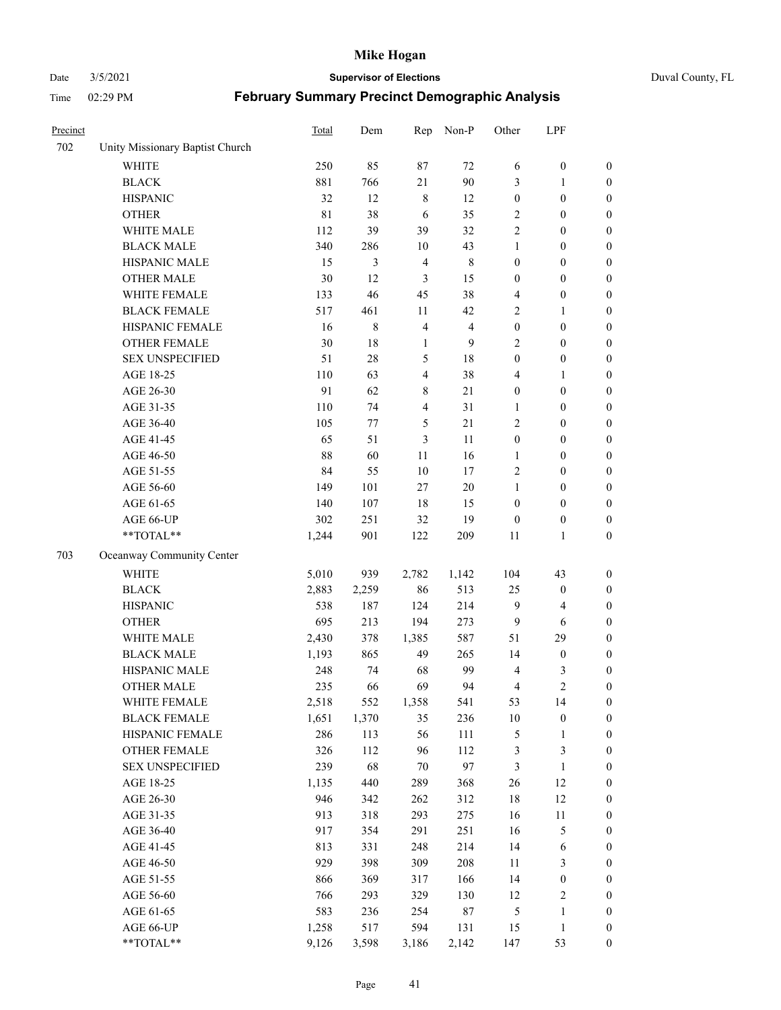#### Date 3/5/2021 **Supervisor of Elections** Duval County, FL

| Precinct |                                 | <b>Total</b> | Dem   | Rep            | Non-P          | Other            | LPF              |                  |
|----------|---------------------------------|--------------|-------|----------------|----------------|------------------|------------------|------------------|
| 702      | Unity Missionary Baptist Church |              |       |                |                |                  |                  |                  |
|          | <b>WHITE</b>                    | 250          | 85    | 87             | 72             | 6                | $\boldsymbol{0}$ | 0                |
|          | <b>BLACK</b>                    | 881          | 766   | 21             | 90             | 3                | $\mathbf{1}$     | $\boldsymbol{0}$ |
|          | <b>HISPANIC</b>                 | 32           | 12    | $\,$ 8 $\,$    | 12             | $\boldsymbol{0}$ | $\boldsymbol{0}$ | $\boldsymbol{0}$ |
|          | <b>OTHER</b>                    | $8\sqrt{1}$  | 38    | 6              | 35             | 2                | $\boldsymbol{0}$ | $\boldsymbol{0}$ |
|          | WHITE MALE                      | 112          | 39    | 39             | 32             | $\overline{c}$   | $\boldsymbol{0}$ | $\boldsymbol{0}$ |
|          | <b>BLACK MALE</b>               | 340          | 286   | 10             | 43             | 1                | $\boldsymbol{0}$ | $\boldsymbol{0}$ |
|          | HISPANIC MALE                   | 15           | 3     | $\overline{4}$ | $\,$ 8 $\,$    | $\boldsymbol{0}$ | $\boldsymbol{0}$ | $\boldsymbol{0}$ |
|          | <b>OTHER MALE</b>               | 30           | 12    | 3              | 15             | $\boldsymbol{0}$ | $\boldsymbol{0}$ | $\boldsymbol{0}$ |
|          | WHITE FEMALE                    | 133          | 46    | 45             | 38             | 4                | $\boldsymbol{0}$ | $\boldsymbol{0}$ |
|          | <b>BLACK FEMALE</b>             | 517          | 461   | 11             | 42             | $\sqrt{2}$       | $\mathbf{1}$     | $\boldsymbol{0}$ |
|          | HISPANIC FEMALE                 | 16           | 8     | $\overline{4}$ | $\overline{4}$ | $\boldsymbol{0}$ | $\boldsymbol{0}$ | $\boldsymbol{0}$ |
|          | <b>OTHER FEMALE</b>             | 30           | 18    | $\mathbf{1}$   | 9              | $\mathfrak{2}$   | $\boldsymbol{0}$ | $\boldsymbol{0}$ |
|          | <b>SEX UNSPECIFIED</b>          | 51           | 28    | $\mathfrak{S}$ | $18\,$         | $\boldsymbol{0}$ | $\boldsymbol{0}$ | $\boldsymbol{0}$ |
|          | AGE 18-25                       | 110          | 63    | $\overline{4}$ | 38             | 4                | $\mathbf{1}$     | $\boldsymbol{0}$ |
|          | AGE 26-30                       | 91           | 62    | 8              | 21             | $\boldsymbol{0}$ | $\boldsymbol{0}$ | $\boldsymbol{0}$ |
|          | AGE 31-35                       | 110          | 74    | $\overline{4}$ | 31             | $\mathbf{1}$     | $\boldsymbol{0}$ | $\boldsymbol{0}$ |
|          | AGE 36-40                       | 105          | 77    | $\mathfrak{S}$ | 21             | $\overline{c}$   | $\boldsymbol{0}$ | $\boldsymbol{0}$ |
|          | AGE 41-45                       | 65           | 51    | 3              | 11             | $\boldsymbol{0}$ | $\boldsymbol{0}$ | $\boldsymbol{0}$ |
|          | AGE 46-50                       | 88           | 60    | 11             | 16             | $\mathbf{1}$     | $\boldsymbol{0}$ | $\boldsymbol{0}$ |
|          | AGE 51-55                       | 84           | 55    | 10             | 17             | $\overline{c}$   | $\boldsymbol{0}$ | $\boldsymbol{0}$ |
|          | AGE 56-60                       | 149          | 101   | 27             | 20             | 1                | $\boldsymbol{0}$ | 0                |
|          | AGE 61-65                       | 140          | 107   | 18             | 15             | $\boldsymbol{0}$ | $\boldsymbol{0}$ | $\boldsymbol{0}$ |
|          | AGE 66-UP                       | 302          | 251   | 32             | 19             | $\boldsymbol{0}$ | $\boldsymbol{0}$ | $\boldsymbol{0}$ |
|          | **TOTAL**                       | 1,244        | 901   | 122            | 209            | 11               | $\mathbf{1}$     | $\boldsymbol{0}$ |
| 703      | Oceanway Community Center       |              |       |                |                |                  |                  |                  |
|          | <b>WHITE</b>                    | 5,010        | 939   | 2,782          | 1,142          | 104              | 43               | $\boldsymbol{0}$ |
|          | <b>BLACK</b>                    | 2,883        | 2,259 | 86             | 513            | 25               | $\boldsymbol{0}$ | $\boldsymbol{0}$ |
|          | <b>HISPANIC</b>                 | 538          | 187   | 124            | 214            | $\overline{9}$   | $\overline{4}$   | $\boldsymbol{0}$ |
|          | <b>OTHER</b>                    | 695          | 213   | 194            | 273            | $\overline{9}$   | 6                | $\boldsymbol{0}$ |
|          | WHITE MALE                      | 2,430        | 378   | 1,385          | 587            | 51               | 29               | $\boldsymbol{0}$ |
|          | <b>BLACK MALE</b>               | 1,193        | 865   | 49             | 265            | 14               | $\boldsymbol{0}$ | $\boldsymbol{0}$ |
|          | HISPANIC MALE                   | 248          | 74    | 68             | 99             | $\overline{4}$   | 3                | $\boldsymbol{0}$ |
|          | <b>OTHER MALE</b>               | 235          | 66    | 69             | 94             | 4                | $\overline{c}$   | $\boldsymbol{0}$ |
|          | WHITE FEMALE                    | 2,518        | 552   | 1,358          | 541            | 53               | 14               | 0                |
|          | <b>BLACK FEMALE</b>             | 1,651        | 1,370 | 35             | 236            | $10\,$           | $\boldsymbol{0}$ | $\boldsymbol{0}$ |
|          | HISPANIC FEMALE                 | 286          | 113   | 56             | 111            | 5                | $\mathbf{1}$     | $\boldsymbol{0}$ |
|          | OTHER FEMALE                    | 326          | 112   | 96             | 112            | 3                | $\mathfrak{Z}$   | $\overline{0}$   |
|          | <b>SEX UNSPECIFIED</b>          | 239          | 68    | 70             | 97             | 3                | $\mathbf{1}$     | 0                |
|          | AGE 18-25                       | 1,135        | 440   | 289            | 368            | 26               | 12               | 0                |
|          | AGE 26-30                       | 946          | 342   | 262            | 312            | 18               | 12               | 0                |
|          | AGE 31-35                       | 913          | 318   | 293            | 275            | 16               | $11\,$           | 0                |
|          | AGE 36-40                       | 917          | 354   | 291            | 251            | 16               | $\mathfrak{S}$   | 0                |
|          | AGE 41-45                       | 813          | 331   | 248            | 214            | 14               | 6                | 0                |
|          | AGE 46-50                       | 929          | 398   | 309            | 208            | 11               | 3                | 0                |
|          | AGE 51-55                       | 866          | 369   | 317            | 166            | 14               | $\boldsymbol{0}$ | 0                |
|          | AGE 56-60                       | 766          | 293   | 329            | 130            | 12               | $\sqrt{2}$       | $\boldsymbol{0}$ |
|          | AGE 61-65                       | 583          | 236   | 254            | $87\,$         | 5                | $\mathbf{1}$     | $\boldsymbol{0}$ |
|          | AGE 66-UP                       | 1,258        | 517   | 594            | 131            | 15               | $\mathbf{1}$     | $\boldsymbol{0}$ |
|          | **TOTAL**                       | 9,126        | 3,598 | 3,186          | 2,142          | 147              | 53               | $\boldsymbol{0}$ |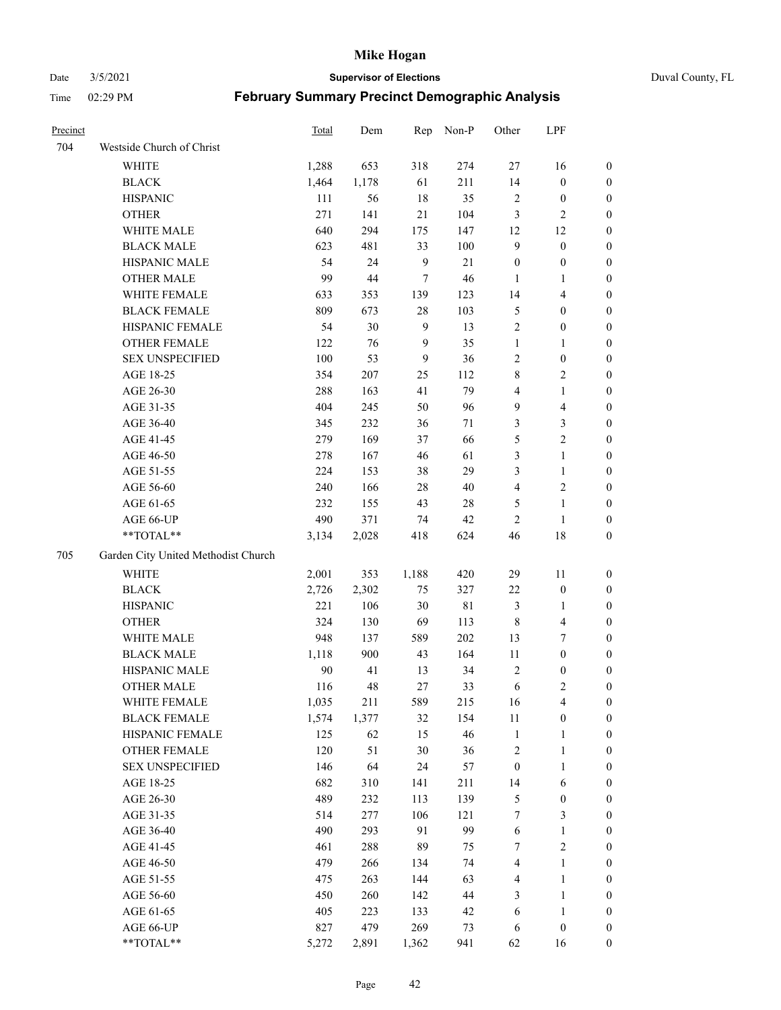Date 3/5/2021 **Supervisor of Elections** Duval County, FL

| Precinct |                                     | Total | Dem    | Rep            | Non-P  | Other            | LPF                     |                  |
|----------|-------------------------------------|-------|--------|----------------|--------|------------------|-------------------------|------------------|
| 704      | Westside Church of Christ           |       |        |                |        |                  |                         |                  |
|          | WHITE                               | 1,288 | 653    | 318            | 274    | 27               | 16                      | 0                |
|          | <b>BLACK</b>                        | 1,464 | 1,178  | 61             | 211    | 14               | $\boldsymbol{0}$        | 0                |
|          | <b>HISPANIC</b>                     | 111   | 56     | 18             | 35     | $\overline{c}$   | $\boldsymbol{0}$        | 0                |
|          | <b>OTHER</b>                        | 271   | 141    | 21             | 104    | 3                | $\mathbf{2}$            | $\boldsymbol{0}$ |
|          | WHITE MALE                          | 640   | 294    | 175            | 147    | 12               | 12                      | $\boldsymbol{0}$ |
|          | <b>BLACK MALE</b>                   | 623   | 481    | 33             | 100    | $\mathbf{9}$     | $\boldsymbol{0}$        | $\boldsymbol{0}$ |
|          | HISPANIC MALE                       | 54    | 24     | 9              | 21     | $\boldsymbol{0}$ | $\boldsymbol{0}$        | $\boldsymbol{0}$ |
|          | <b>OTHER MALE</b>                   | 99    | $44\,$ | $\tau$         | 46     | $\mathbf{1}$     | $\mathbf{1}$            | $\boldsymbol{0}$ |
|          | WHITE FEMALE                        | 633   | 353    | 139            | 123    | 14               | $\overline{\mathbf{4}}$ | $\boldsymbol{0}$ |
|          | <b>BLACK FEMALE</b>                 | 809   | 673    | 28             | 103    | 5                | $\boldsymbol{0}$        | 0                |
|          | HISPANIC FEMALE                     | 54    | 30     | $\overline{9}$ | 13     | $\sqrt{2}$       | $\boldsymbol{0}$        | 0                |
|          | OTHER FEMALE                        | 122   | 76     | 9              | 35     | $\mathbf{1}$     | $\mathbf{1}$            | 0                |
|          | <b>SEX UNSPECIFIED</b>              | 100   | 53     | 9              | 36     | $\sqrt{2}$       | $\boldsymbol{0}$        | $\boldsymbol{0}$ |
|          | AGE 18-25                           | 354   | 207    | 25             | 112    | 8                | $\sqrt{2}$              | $\boldsymbol{0}$ |
|          | AGE 26-30                           | 288   | 163    | 41             | 79     | 4                | $\mathbf{1}$            | $\boldsymbol{0}$ |
|          | AGE 31-35                           | 404   | 245    | 50             | 96     | $\overline{9}$   | $\overline{\mathbf{4}}$ | $\boldsymbol{0}$ |
|          | AGE 36-40                           | 345   | 232    | 36             | $71\,$ | 3                | $\mathfrak{Z}$          | $\boldsymbol{0}$ |
|          | AGE 41-45                           | 279   | 169    | 37             | 66     | 5                | $\overline{2}$          | $\boldsymbol{0}$ |
|          | AGE 46-50                           | 278   | 167    | 46             | 61     | 3                | $\mathbf{1}$            | $\boldsymbol{0}$ |
|          | AGE 51-55                           | 224   | 153    | 38             | 29     | 3                | $\mathbf{1}$            | 0                |
|          | AGE 56-60                           | 240   | 166    | $28\,$         | $40\,$ | $\overline{4}$   | $\sqrt{2}$              | 0                |
|          | AGE 61-65                           | 232   | 155    | 43             | 28     | $\mathfrak{S}$   | $\mathbf{1}$            | 0                |
|          | AGE 66-UP                           | 490   | 371    | 74             | 42     | $\sqrt{2}$       | $\mathbf{1}$            | 0                |
|          | $**TOTAL**$                         | 3,134 | 2,028  | 418            | 624    | 46               | $18\,$                  | $\boldsymbol{0}$ |
| 705      | Garden City United Methodist Church |       |        |                |        |                  |                         |                  |
|          | <b>WHITE</b>                        | 2,001 | 353    | 1,188          | 420    | 29               | 11                      | $\boldsymbol{0}$ |
|          | <b>BLACK</b>                        | 2,726 | 2,302  | 75             | 327    | $22\,$           | $\boldsymbol{0}$        | $\boldsymbol{0}$ |
|          | <b>HISPANIC</b>                     | 221   | 106    | $30\,$         | 81     | 3                | $\mathbf{1}$            | $\boldsymbol{0}$ |
|          | <b>OTHER</b>                        | 324   | 130    | 69             | 113    | $\,$ 8 $\,$      | $\overline{\mathbf{4}}$ | $\boldsymbol{0}$ |
|          | WHITE MALE                          | 948   | 137    | 589            | 202    | 13               | $\boldsymbol{7}$        | $\boldsymbol{0}$ |
|          | <b>BLACK MALE</b>                   | 1,118 | 900    | 43             | 164    | 11               | $\boldsymbol{0}$        | $\boldsymbol{0}$ |
|          | HISPANIC MALE                       | 90    | 41     | 13             | 34     | $\sqrt{2}$       | $\boldsymbol{0}$        | 0                |
|          | <b>OTHER MALE</b>                   | 116   | 48     | 27             | 33     | 6                | $\mathfrak{2}$          | 0                |
|          | WHITE FEMALE                        | 1,035 | 211    | 589            | 215    | 16               | 4                       | 0                |
|          | <b>BLACK FEMALE</b>                 | 1,574 | 1,377  | 32             | 154    | 11               | $\boldsymbol{0}$        | $\boldsymbol{0}$ |
|          | HISPANIC FEMALE                     | 125   | 62     | 15             | 46     | $\mathbf{1}$     | $\mathbf{1}$            | $\boldsymbol{0}$ |
|          | <b>OTHER FEMALE</b>                 | 120   | 51     | $30\,$         | 36     | $\overline{c}$   | $\mathbf{1}$            | $\overline{0}$   |
|          | <b>SEX UNSPECIFIED</b>              | 146   | 64     | 24             | 57     | $\boldsymbol{0}$ | $\mathbf{1}$            | 0                |
|          | AGE 18-25                           | 682   | 310    | 141            | 211    | 14               | 6                       | 0                |
|          | AGE 26-30                           | 489   | 232    | 113            | 139    | 5                | $\boldsymbol{0}$        | 0                |
|          | AGE 31-35                           | 514   | 277    | 106            | 121    | 7                | $\mathfrak{Z}$          | 0                |
|          | AGE 36-40                           | 490   | 293    | 91             | 99     | 6                | $\mathbf{1}$            | 0                |
|          | AGE 41-45                           | 461   | 288    | 89             | 75     | 7                | $\sqrt{2}$              | 0                |
|          | AGE 46-50                           | 479   | 266    | 134            | 74     | 4                | $\mathbf{1}$            | 0                |
|          | AGE 51-55                           | 475   | 263    | 144            | 63     | 4                | $\mathbf{1}$            | 0                |
|          | AGE 56-60                           | 450   | 260    | 142            | 44     | 3                | $\mathbf{1}$            | $\boldsymbol{0}$ |
|          | AGE 61-65                           | 405   | 223    | 133            | 42     | 6                | $\mathbf{1}$            | $\boldsymbol{0}$ |
|          | AGE 66-UP                           | 827   | 479    | 269            | 73     | 6                | $\boldsymbol{0}$        | $\boldsymbol{0}$ |
|          | **TOTAL**                           | 5,272 | 2,891  | 1,362          | 941    | 62               | 16                      | $\boldsymbol{0}$ |
|          |                                     |       |        |                |        |                  |                         |                  |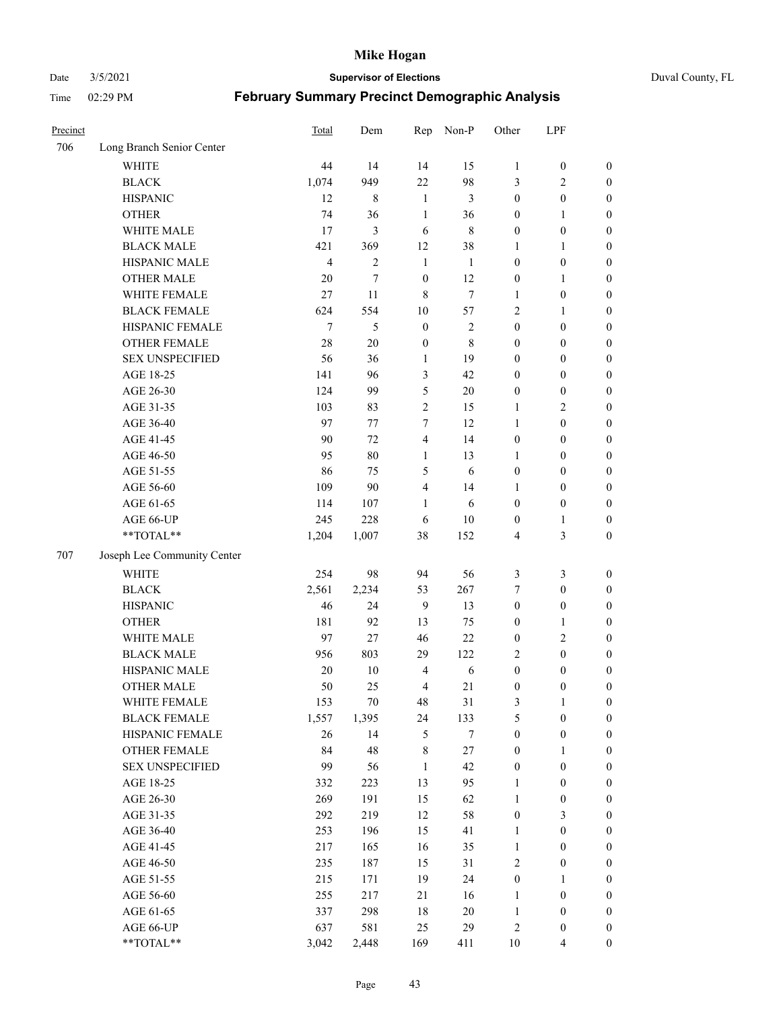Date 3/5/2021 **Supervisor of Elections** Duval County, FL

| Precinct |                             | Total          | Dem            | Rep              | Non-P      | Other            | LPF              |                  |
|----------|-----------------------------|----------------|----------------|------------------|------------|------------------|------------------|------------------|
| 706      | Long Branch Senior Center   |                |                |                  |            |                  |                  |                  |
|          | <b>WHITE</b>                | 44             | 14             | 14               | 15         | $\mathbf{1}$     | $\boldsymbol{0}$ | $\boldsymbol{0}$ |
|          | <b>BLACK</b>                | 1,074          | 949            | 22               | 98         | 3                | $\overline{c}$   | $\boldsymbol{0}$ |
|          | <b>HISPANIC</b>             | 12             | 8              | $\mathbf{1}$     | 3          | $\boldsymbol{0}$ | $\boldsymbol{0}$ | $\boldsymbol{0}$ |
|          | <b>OTHER</b>                | 74             | 36             | $\mathbf{1}$     | 36         | $\boldsymbol{0}$ | $\mathbf{1}$     | $\boldsymbol{0}$ |
|          | WHITE MALE                  | 17             | 3              | 6                | $\,8\,$    | $\boldsymbol{0}$ | $\boldsymbol{0}$ | $\boldsymbol{0}$ |
|          | <b>BLACK MALE</b>           | 421            | 369            | 12               | 38         | 1                | $\mathbf{1}$     | $\boldsymbol{0}$ |
|          | HISPANIC MALE               | $\overline{4}$ | $\overline{2}$ | $\mathbf{1}$     | 1          | $\boldsymbol{0}$ | $\boldsymbol{0}$ | $\boldsymbol{0}$ |
|          | <b>OTHER MALE</b>           | 20             | $\tau$         | $\boldsymbol{0}$ | 12         | $\boldsymbol{0}$ | $\mathbf{1}$     | $\boldsymbol{0}$ |
|          | WHITE FEMALE                | 27             | 11             | 8                | $\tau$     | 1                | $\boldsymbol{0}$ | $\boldsymbol{0}$ |
|          | <b>BLACK FEMALE</b>         | 624            | 554            | 10               | 57         | 2                | $\mathbf{1}$     | $\boldsymbol{0}$ |
|          | HISPANIC FEMALE             | $\tau$         | 5              | $\boldsymbol{0}$ | $\sqrt{2}$ | $\boldsymbol{0}$ | $\boldsymbol{0}$ | 0                |
|          | <b>OTHER FEMALE</b>         | 28             | 20             | $\boldsymbol{0}$ | $\,8\,$    | $\boldsymbol{0}$ | $\boldsymbol{0}$ | $\boldsymbol{0}$ |
|          | <b>SEX UNSPECIFIED</b>      | 56             | 36             | $\mathbf{1}$     | 19         | $\boldsymbol{0}$ | $\boldsymbol{0}$ | $\boldsymbol{0}$ |
|          | AGE 18-25                   | 141            | 96             | $\mathfrak{Z}$   | 42         | $\boldsymbol{0}$ | $\boldsymbol{0}$ | $\boldsymbol{0}$ |
|          | AGE 26-30                   | 124            | 99             | 5                | $20\,$     | $\boldsymbol{0}$ | $\boldsymbol{0}$ | $\boldsymbol{0}$ |
|          | AGE 31-35                   | 103            | 83             | $\sqrt{2}$       | 15         | $\mathbf{1}$     | $\sqrt{2}$       | $\boldsymbol{0}$ |
|          | AGE 36-40                   | 97             | 77             | 7                | 12         | $\mathbf{1}$     | $\boldsymbol{0}$ | $\boldsymbol{0}$ |
|          | AGE 41-45                   | 90             | 72             | $\overline{4}$   | 14         | $\boldsymbol{0}$ | $\boldsymbol{0}$ | $\boldsymbol{0}$ |
|          | AGE 46-50                   | 95             | 80             | $\mathbf{1}$     | 13         | 1                | $\boldsymbol{0}$ | $\boldsymbol{0}$ |
|          | AGE 51-55                   | 86             | 75             | 5                | 6          | $\boldsymbol{0}$ | $\boldsymbol{0}$ | $\boldsymbol{0}$ |
|          | AGE 56-60                   | 109            | 90             | $\overline{4}$   | 14         | 1                | $\boldsymbol{0}$ | 0                |
|          | AGE 61-65                   | 114            | 107            | $\mathbf{1}$     | 6          | $\boldsymbol{0}$ | $\boldsymbol{0}$ | 0                |
|          | AGE 66-UP                   | 245            | 228            | 6                | $10\,$     | $\boldsymbol{0}$ | $\mathbf{1}$     | $\boldsymbol{0}$ |
|          | **TOTAL**                   | 1,204          | 1,007          | 38               | 152        | 4                | $\mathfrak{Z}$   | $\boldsymbol{0}$ |
| 707      | Joseph Lee Community Center |                |                |                  |            |                  |                  |                  |
|          | <b>WHITE</b>                | 254            | 98             | 94               | 56         | 3                | $\mathfrak{Z}$   | $\boldsymbol{0}$ |
|          | <b>BLACK</b>                | 2,561          | 2,234          | 53               | 267        | 7                | $\boldsymbol{0}$ | $\boldsymbol{0}$ |
|          | <b>HISPANIC</b>             | 46             | 24             | 9                | 13         | $\boldsymbol{0}$ | $\boldsymbol{0}$ | $\boldsymbol{0}$ |
|          | <b>OTHER</b>                | 181            | 92             | 13               | 75         | $\boldsymbol{0}$ | $\mathbf{1}$     | $\boldsymbol{0}$ |
|          | WHITE MALE                  | 97             | 27             | 46               | 22         | $\boldsymbol{0}$ | $\mathbf{2}$     | $\boldsymbol{0}$ |
|          | <b>BLACK MALE</b>           | 956            | 803            | 29               | 122        | 2                | $\boldsymbol{0}$ | $\boldsymbol{0}$ |
|          | HISPANIC MALE               | $20\,$         | $10\,$         | $\overline{4}$   | $\sqrt{6}$ | $\boldsymbol{0}$ | $\boldsymbol{0}$ | $\boldsymbol{0}$ |
|          | <b>OTHER MALE</b>           | 50             | 25             | $\overline{4}$   | 21         | $\boldsymbol{0}$ | $\boldsymbol{0}$ | $\boldsymbol{0}$ |
|          | WHITE FEMALE                | 153            | 70             | 48               | 31         | 3                | 1                | 0                |
|          | <b>BLACK FEMALE</b>         | 1,557          | 1,395          | 24               | 133        | 5                | $\boldsymbol{0}$ | $\boldsymbol{0}$ |
|          | HISPANIC FEMALE             | 26             | 14             | $\mathfrak s$    | $\tau$     | $\boldsymbol{0}$ | $\boldsymbol{0}$ | $\overline{0}$   |
|          | OTHER FEMALE                | 84             | 48             | $\,$ 8 $\,$      | 27         | $\boldsymbol{0}$ | $\mathbf{1}$     | $\overline{0}$   |
|          | <b>SEX UNSPECIFIED</b>      | 99             | 56             | $\mathbf{1}$     | 42         | $\boldsymbol{0}$ | $\boldsymbol{0}$ | $\overline{0}$   |
|          | AGE 18-25                   | 332            | 223            | 13               | 95         | $\mathbf{1}$     | $\boldsymbol{0}$ | $\overline{0}$   |
|          | AGE 26-30                   | 269            | 191            | 15               | 62         | $\mathbf{1}$     | $\boldsymbol{0}$ | 0                |
|          | AGE 31-35                   | 292            | 219            | 12               | 58         | $\boldsymbol{0}$ | $\mathfrak{Z}$   | 0                |
|          | AGE 36-40                   | 253            | 196            | 15               | 41         | $\mathbf{1}$     | $\boldsymbol{0}$ | 0                |
|          | AGE 41-45                   | 217            | 165            | 16               | 35         | $\mathbf{1}$     | $\boldsymbol{0}$ | 0                |
|          | AGE 46-50                   | 235            | 187            | 15               | 31         | 2                | $\boldsymbol{0}$ | 0                |
|          | AGE 51-55                   | 215            | 171            | 19               | 24         | $\boldsymbol{0}$ | $\mathbf{1}$     | $\boldsymbol{0}$ |
|          | AGE 56-60                   | 255            | 217            | 21               | 16         | 1                | $\boldsymbol{0}$ | $\boldsymbol{0}$ |
|          | AGE 61-65                   | 337            | 298            | 18               | $20\,$     | $\mathbf{1}$     | $\boldsymbol{0}$ | $\boldsymbol{0}$ |
|          | AGE 66-UP                   | 637            | 581            | 25               | 29         | $\overline{c}$   | $\boldsymbol{0}$ | $\boldsymbol{0}$ |
|          | **TOTAL**                   | 3,042          | 2,448          | 169              | 411        | 10               | $\overline{4}$   | $\boldsymbol{0}$ |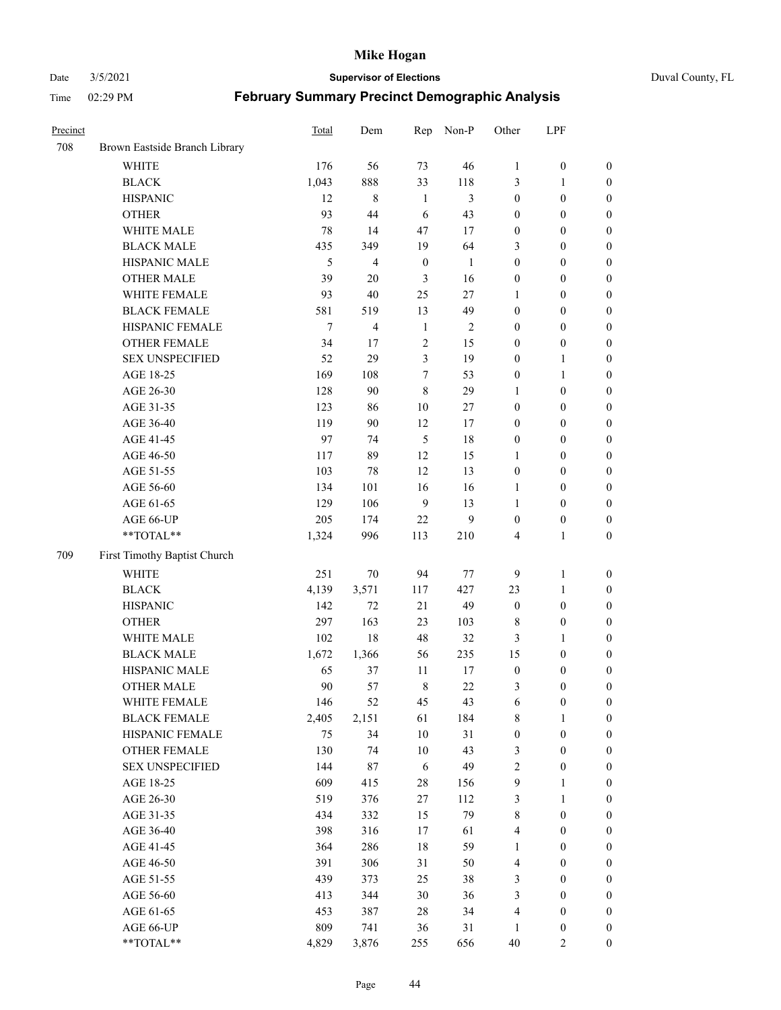#### Date 3/5/2021 **Supervisor of Elections** Duval County, FL

| Precinct |                               | Total  | Dem         | Rep              | Non-P          | Other            | LPF              |                  |
|----------|-------------------------------|--------|-------------|------------------|----------------|------------------|------------------|------------------|
| 708      | Brown Eastside Branch Library |        |             |                  |                |                  |                  |                  |
|          | <b>WHITE</b>                  | 176    | 56          | 73               | 46             | $\mathbf{1}$     | $\boldsymbol{0}$ | $\boldsymbol{0}$ |
|          | <b>BLACK</b>                  | 1,043  | 888         | 33               | 118            | 3                | $\mathbf{1}$     | $\boldsymbol{0}$ |
|          | <b>HISPANIC</b>               | 12     | $\,$ 8 $\,$ | $\mathbf{1}$     | $\mathfrak{Z}$ | $\boldsymbol{0}$ | $\boldsymbol{0}$ | $\boldsymbol{0}$ |
|          | <b>OTHER</b>                  | 93     | 44          | 6                | 43             | $\boldsymbol{0}$ | $\boldsymbol{0}$ | $\boldsymbol{0}$ |
|          | WHITE MALE                    | 78     | 14          | 47               | 17             | $\boldsymbol{0}$ | $\boldsymbol{0}$ | $\boldsymbol{0}$ |
|          | <b>BLACK MALE</b>             | 435    | 349         | 19               | 64             | 3                | $\boldsymbol{0}$ | $\boldsymbol{0}$ |
|          | HISPANIC MALE                 | 5      | 4           | $\boldsymbol{0}$ | 1              | $\boldsymbol{0}$ | $\boldsymbol{0}$ | $\boldsymbol{0}$ |
|          | <b>OTHER MALE</b>             | 39     | 20          | 3                | 16             | $\boldsymbol{0}$ | $\boldsymbol{0}$ | $\boldsymbol{0}$ |
|          | WHITE FEMALE                  | 93     | 40          | 25               | 27             | 1                | $\boldsymbol{0}$ | $\boldsymbol{0}$ |
|          | <b>BLACK FEMALE</b>           | 581    | 519         | 13               | 49             | $\boldsymbol{0}$ | $\boldsymbol{0}$ | $\boldsymbol{0}$ |
|          | HISPANIC FEMALE               | $\tau$ | 4           | $\mathbf{1}$     | $\overline{c}$ | $\boldsymbol{0}$ | $\boldsymbol{0}$ | $\boldsymbol{0}$ |
|          | <b>OTHER FEMALE</b>           | 34     | 17          | $\overline{2}$   | 15             | $\boldsymbol{0}$ | $\boldsymbol{0}$ | $\boldsymbol{0}$ |
|          | <b>SEX UNSPECIFIED</b>        | 52     | 29          | $\mathfrak{Z}$   | 19             | $\boldsymbol{0}$ | $\mathbf{1}$     | $\boldsymbol{0}$ |
|          | AGE 18-25                     | 169    | 108         | $\tau$           | 53             | $\boldsymbol{0}$ | $\mathbf{1}$     | $\boldsymbol{0}$ |
|          | AGE 26-30                     | 128    | 90          | $\,8\,$          | 29             | $\mathbf{1}$     | $\boldsymbol{0}$ | $\boldsymbol{0}$ |
|          | AGE 31-35                     | 123    | 86          | 10               | 27             | $\boldsymbol{0}$ | $\boldsymbol{0}$ | $\boldsymbol{0}$ |
|          | AGE 36-40                     | 119    | 90          | 12               | 17             | $\boldsymbol{0}$ | $\boldsymbol{0}$ | $\boldsymbol{0}$ |
|          | AGE 41-45                     | 97     | 74          | 5                | 18             | $\boldsymbol{0}$ | $\boldsymbol{0}$ | $\boldsymbol{0}$ |
|          | AGE 46-50                     | 117    | 89          | 12               | 15             | 1                | $\boldsymbol{0}$ | $\boldsymbol{0}$ |
|          | AGE 51-55                     | 103    | 78          | 12               | 13             | $\boldsymbol{0}$ | $\boldsymbol{0}$ | $\boldsymbol{0}$ |
|          | AGE 56-60                     | 134    | 101         | 16               | 16             | 1                | $\boldsymbol{0}$ | 0                |
|          | AGE 61-65                     | 129    | 106         | 9                | 13             | 1                | $\boldsymbol{0}$ | $\boldsymbol{0}$ |
|          | AGE 66-UP                     | 205    | 174         | 22               | 9              | $\boldsymbol{0}$ | $\boldsymbol{0}$ | $\boldsymbol{0}$ |
|          | $**TOTAL**$                   | 1,324  | 996         | 113              | 210            | 4                | $\mathbf{1}$     | $\boldsymbol{0}$ |
| 709      | First Timothy Baptist Church  |        |             |                  |                |                  |                  |                  |
|          | WHITE                         | 251    | 70          | 94               | $77\,$         | 9                | $\mathbf{1}$     | $\boldsymbol{0}$ |
|          | <b>BLACK</b>                  | 4,139  | 3,571       | 117              | 427            | 23               | $\mathbf{1}$     | $\boldsymbol{0}$ |
|          | <b>HISPANIC</b>               | 142    | 72          | 21               | 49             | $\boldsymbol{0}$ | $\boldsymbol{0}$ | $\boldsymbol{0}$ |
|          | <b>OTHER</b>                  | 297    | 163         | 23               | 103            | $\,$ 8 $\,$      | $\boldsymbol{0}$ | $\boldsymbol{0}$ |
|          | WHITE MALE                    | 102    | 18          | 48               | 32             | 3                | $\mathbf{1}$     | $\boldsymbol{0}$ |
|          | <b>BLACK MALE</b>             | 1,672  | 1,366       | 56               | 235            | 15               | $\boldsymbol{0}$ | $\boldsymbol{0}$ |
|          | HISPANIC MALE                 | 65     | 37          | 11               | 17             | $\boldsymbol{0}$ | $\boldsymbol{0}$ | $\boldsymbol{0}$ |
|          | <b>OTHER MALE</b>             | 90     | 57          | $\,8\,$          | 22             | 3                | $\boldsymbol{0}$ | $\boldsymbol{0}$ |
|          | WHITE FEMALE                  | 146    | 52          | 45               | 43             | 6                | $\boldsymbol{0}$ | 0                |
|          | <b>BLACK FEMALE</b>           | 2,405  | 2,151       | 61               | 184            | 8                | $\mathbf{1}$     | $\boldsymbol{0}$ |
|          | HISPANIC FEMALE               | 75     | 34          | $10\,$           | 31             | $\boldsymbol{0}$ | $\boldsymbol{0}$ | $\overline{0}$   |
|          | OTHER FEMALE                  | 130    | 74          | $10\,$           | 43             | 3                | $\boldsymbol{0}$ | $\overline{0}$   |
|          | <b>SEX UNSPECIFIED</b>        | 144    | 87          | 6                | 49             | 2                | $\boldsymbol{0}$ | $\overline{0}$   |
|          | AGE 18-25                     | 609    | 415         | $28\,$           | 156            | 9                | $\mathbf{1}$     | $\overline{0}$   |
|          | AGE 26-30                     | 519    | 376         | $27\,$           | 112            | 3                | $\mathbf{1}$     | $\overline{0}$   |
|          | AGE 31-35                     | 434    | 332         | 15               | 79             | $\,$ $\,$        | $\boldsymbol{0}$ | 0                |
|          | AGE 36-40                     | 398    | 316         | 17               | 61             | 4                | $\boldsymbol{0}$ | 0                |
|          | AGE 41-45                     | 364    | 286         | 18               | 59             | $\mathbf{1}$     | $\boldsymbol{0}$ | 0                |
|          | AGE 46-50                     | 391    | 306         | 31               | 50             | 4                | $\boldsymbol{0}$ | 0                |
|          | AGE 51-55                     | 439    | 373         | 25               | 38             | 3                | $\boldsymbol{0}$ | $\boldsymbol{0}$ |
|          | AGE 56-60                     | 413    | 344         | $30\,$           | 36             | 3                | $\boldsymbol{0}$ | $\boldsymbol{0}$ |
|          | AGE 61-65                     | 453    | 387         | 28               | 34             | 4                | $\boldsymbol{0}$ | $\boldsymbol{0}$ |
|          | AGE 66-UP                     | 809    | 741         | 36               | 31             | $\mathbf{1}$     | $\boldsymbol{0}$ | $\boldsymbol{0}$ |
|          | **TOTAL**                     | 4,829  | 3,876       | 255              | 656            | $40\,$           | $\mathbf{2}$     | $\boldsymbol{0}$ |
|          |                               |        |             |                  |                |                  |                  |                  |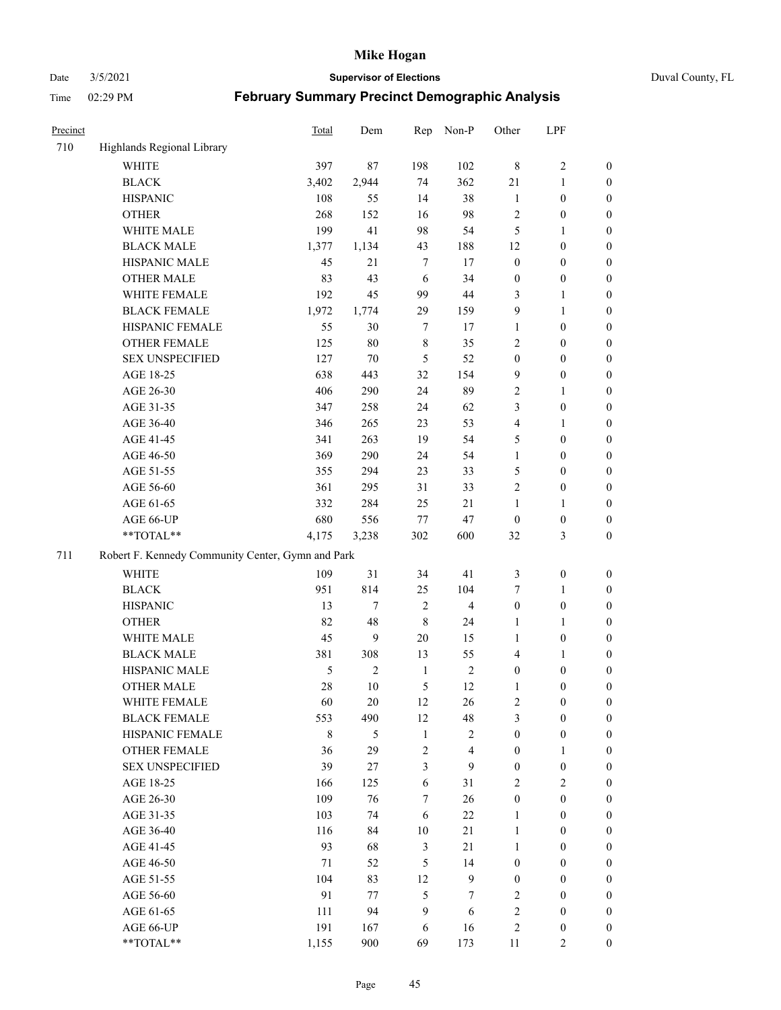Date 3/5/2021 **Supervisor of Elections** Duval County, FL

| Precinct |                                                   | <b>Total</b>  | Dem            | Rep            | Non-P                   | Other            | LPF              |                  |
|----------|---------------------------------------------------|---------------|----------------|----------------|-------------------------|------------------|------------------|------------------|
| 710      | Highlands Regional Library                        |               |                |                |                         |                  |                  |                  |
|          | <b>WHITE</b>                                      | 397           | 87             | 198            | 102                     | $\,8\,$          | $\sqrt{2}$       | 0                |
|          | <b>BLACK</b>                                      | 3,402         | 2,944          | 74             | 362                     | 21               | $\mathbf{1}$     | 0                |
|          | <b>HISPANIC</b>                                   | 108           | 55             | 14             | 38                      | $\mathbf{1}$     | $\boldsymbol{0}$ | $\boldsymbol{0}$ |
|          | <b>OTHER</b>                                      | 268           | 152            | 16             | 98                      | 2                | $\boldsymbol{0}$ | $\boldsymbol{0}$ |
|          | WHITE MALE                                        | 199           | 41             | 98             | 54                      | 5                | $\mathbf{1}$     | $\boldsymbol{0}$ |
|          | <b>BLACK MALE</b>                                 | 1,377         | 1,134          | 43             | 188                     | 12               | $\boldsymbol{0}$ | $\boldsymbol{0}$ |
|          | HISPANIC MALE                                     | 45            | 21             | $\tau$         | 17                      | $\boldsymbol{0}$ | $\boldsymbol{0}$ | $\boldsymbol{0}$ |
|          | <b>OTHER MALE</b>                                 | 83            | 43             | 6              | 34                      | $\boldsymbol{0}$ | $\boldsymbol{0}$ | $\boldsymbol{0}$ |
|          | WHITE FEMALE                                      | 192           | 45             | 99             | $44\,$                  | 3                | $\mathbf{1}$     | $\boldsymbol{0}$ |
|          | <b>BLACK FEMALE</b>                               | 1,972         | 1,774          | 29             | 159                     | 9                | $\mathbf{1}$     | $\boldsymbol{0}$ |
|          | HISPANIC FEMALE                                   | 55            | 30             | $\tau$         | 17                      | $\mathbf{1}$     | $\boldsymbol{0}$ | 0                |
|          | <b>OTHER FEMALE</b>                               | 125           | 80             | $\,$ 8 $\,$    | 35                      | $\mathbf{2}$     | $\boldsymbol{0}$ | $\boldsymbol{0}$ |
|          | <b>SEX UNSPECIFIED</b>                            | 127           | 70             | $\mathfrak{S}$ | 52                      | $\boldsymbol{0}$ | $\boldsymbol{0}$ | $\boldsymbol{0}$ |
|          | AGE 18-25                                         | 638           | 443            | 32             | 154                     | 9                | $\boldsymbol{0}$ | $\boldsymbol{0}$ |
|          | AGE 26-30                                         | 406           | 290            | 24             | 89                      | 2                | $\mathbf{1}$     | $\boldsymbol{0}$ |
|          | AGE 31-35                                         | 347           | 258            | 24             | 62                      | 3                | $\boldsymbol{0}$ | $\boldsymbol{0}$ |
|          | AGE 36-40                                         | 346           | 265            | 23             | 53                      | 4                | $\mathbf{1}$     | $\boldsymbol{0}$ |
|          | AGE 41-45                                         | 341           | 263            | 19             | 54                      | 5                | $\boldsymbol{0}$ | $\boldsymbol{0}$ |
|          | AGE 46-50                                         | 369           | 290            | 24             | 54                      | $\mathbf{1}$     | $\boldsymbol{0}$ | $\boldsymbol{0}$ |
|          | AGE 51-55                                         | 355           | 294            | 23             | 33                      | 5                | $\boldsymbol{0}$ | $\boldsymbol{0}$ |
|          | AGE 56-60                                         | 361           | 295            | 31             | 33                      | $\overline{c}$   | $\boldsymbol{0}$ | 0                |
|          | AGE 61-65                                         | 332           | 284            | 25             | 21                      | 1                | $\mathbf{1}$     | 0                |
|          | AGE 66-UP                                         | 680           | 556            | 77             | 47                      | $\boldsymbol{0}$ | $\boldsymbol{0}$ | $\boldsymbol{0}$ |
|          | $**TOTAL**$                                       | 4,175         | 3,238          | 302            | 600                     | 32               | $\mathfrak{Z}$   | $\boldsymbol{0}$ |
| 711      | Robert F. Kennedy Community Center, Gymn and Park |               |                |                |                         |                  |                  |                  |
|          | WHITE                                             | 109           | 31             | 34             | 41                      | 3                | $\boldsymbol{0}$ | $\boldsymbol{0}$ |
|          | <b>BLACK</b>                                      | 951           | 814            | 25             | 104                     | 7                | $\mathbf{1}$     | $\boldsymbol{0}$ |
|          | <b>HISPANIC</b>                                   | 13            | $\tau$         | $\overline{2}$ | $\overline{\mathbf{4}}$ | $\boldsymbol{0}$ | $\boldsymbol{0}$ | $\boldsymbol{0}$ |
|          | <b>OTHER</b>                                      | 82            | 48             | $\,8\,$        | 24                      | $\mathbf{1}$     | $\mathbf{1}$     | $\boldsymbol{0}$ |
|          | WHITE MALE                                        | 45            | 9              | $20\,$         | 15                      | $\mathbf{1}$     | $\boldsymbol{0}$ | $\boldsymbol{0}$ |
|          | <b>BLACK MALE</b>                                 | 381           | 308            | 13             | 55                      | 4                | $\mathbf{1}$     | $\boldsymbol{0}$ |
|          | HISPANIC MALE                                     | $\mathfrak s$ | $\overline{c}$ | $\mathbf{1}$   | $\sqrt{2}$              | $\boldsymbol{0}$ | $\boldsymbol{0}$ | $\boldsymbol{0}$ |
|          | <b>OTHER MALE</b>                                 | 28            | 10             | 5              | 12                      | $\mathbf{1}$     | $\boldsymbol{0}$ | $\boldsymbol{0}$ |
|          | WHITE FEMALE                                      | 60            | 20             | 12             | 26                      | 2                | $\boldsymbol{0}$ | 0                |
|          | <b>BLACK FEMALE</b>                               | 553           | 490            | 12             | 48                      | 3                | $\boldsymbol{0}$ | $\overline{0}$   |
|          | HISPANIC FEMALE                                   | $\,$ 8 $\,$   | 5              | $\mathbf{1}$   | $\sqrt{2}$              | $\boldsymbol{0}$ | $\boldsymbol{0}$ | $\overline{0}$   |
|          | OTHER FEMALE                                      | 36            | 29             | $\sqrt{2}$     | $\overline{\mathbf{4}}$ | $\boldsymbol{0}$ | $\mathbf{1}$     | $\overline{0}$   |
|          | <b>SEX UNSPECIFIED</b>                            | 39            | 27             | $\mathfrak{Z}$ | 9                       | $\boldsymbol{0}$ | $\boldsymbol{0}$ | $\overline{0}$   |
|          | AGE 18-25                                         | 166           | 125            | 6              | 31                      | $\mathbf{2}$     | $\mathbf{2}$     | $\theta$         |
|          | AGE 26-30                                         | 109           | 76             | $\tau$         | 26                      | $\boldsymbol{0}$ | $\boldsymbol{0}$ | $\overline{0}$   |
|          | AGE 31-35                                         | 103           | 74             | 6              | 22                      | $\mathbf{1}$     | $\boldsymbol{0}$ | 0                |
|          | AGE 36-40                                         | 116           | 84             | $10\,$         | 21                      | $\mathbf{1}$     | $\boldsymbol{0}$ | 0                |
|          | AGE 41-45                                         | 93            | 68             | $\mathfrak{Z}$ | 21                      | $\mathbf{1}$     | $\boldsymbol{0}$ | 0                |
|          | AGE 46-50                                         | 71            | 52             | 5              | 14                      | $\boldsymbol{0}$ | $\boldsymbol{0}$ | 0                |
|          | AGE 51-55                                         | 104           | 83             | 12             | $\mathbf{9}$            | $\boldsymbol{0}$ | $\boldsymbol{0}$ | $\boldsymbol{0}$ |
|          | AGE 56-60                                         | 91            | 77             | 5              | 7                       | $\mathbf{2}$     | $\boldsymbol{0}$ | $\boldsymbol{0}$ |
|          | AGE 61-65                                         | 111           | 94             | 9              | 6                       | 2                | $\boldsymbol{0}$ | $\boldsymbol{0}$ |
|          | AGE 66-UP                                         | 191           | 167            | 6              | 16                      | 2                | $\boldsymbol{0}$ | $\boldsymbol{0}$ |
|          | **TOTAL**                                         | 1,155         | 900            | 69             | 173                     | 11               | $\mathbf{2}$     | $\boldsymbol{0}$ |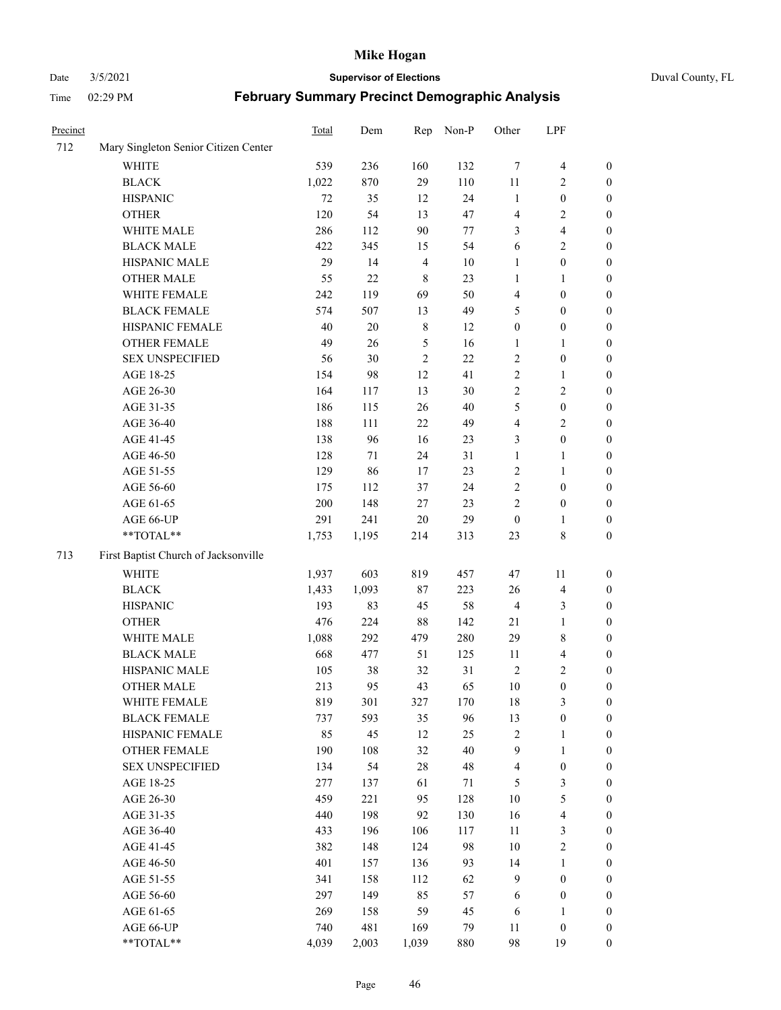#### Date 3/5/2021 **Supervisor of Elections** Duval County, FL

| Precinct |                                      | Total | Dem    | Rep            | Non-P  | Other            | LPF                     |                  |
|----------|--------------------------------------|-------|--------|----------------|--------|------------------|-------------------------|------------------|
| 712      | Mary Singleton Senior Citizen Center |       |        |                |        |                  |                         |                  |
|          | <b>WHITE</b>                         | 539   | 236    | 160            | 132    | $\tau$           | $\overline{\mathbf{4}}$ | $\boldsymbol{0}$ |
|          | <b>BLACK</b>                         | 1,022 | 870    | 29             | 110    | $11\,$           | $\overline{c}$          | $\boldsymbol{0}$ |
|          | <b>HISPANIC</b>                      | 72    | 35     | 12             | 24     | $\mathbf{1}$     | $\boldsymbol{0}$        | $\boldsymbol{0}$ |
|          | <b>OTHER</b>                         | 120   | 54     | 13             | 47     | 4                | $\sqrt{2}$              | $\boldsymbol{0}$ |
|          | WHITE MALE                           | 286   | 112    | 90             | 77     | 3                | $\overline{\mathbf{4}}$ | $\boldsymbol{0}$ |
|          | <b>BLACK MALE</b>                    | 422   | 345    | 15             | 54     | 6                | $\sqrt{2}$              | $\boldsymbol{0}$ |
|          | HISPANIC MALE                        | 29    | 14     | $\overline{4}$ | 10     | $\mathbf{1}$     | $\boldsymbol{0}$        | $\boldsymbol{0}$ |
|          | <b>OTHER MALE</b>                    | 55    | 22     | $\,$ 8 $\,$    | 23     | 1                | $\mathbf{1}$            | $\boldsymbol{0}$ |
|          | WHITE FEMALE                         | 242   | 119    | 69             | 50     | 4                | $\boldsymbol{0}$        | $\boldsymbol{0}$ |
|          | <b>BLACK FEMALE</b>                  | 574   | 507    | 13             | 49     | 5                | $\boldsymbol{0}$        | 0                |
|          | HISPANIC FEMALE                      | 40    | $20\,$ | $\,$ 8 $\,$    | 12     | $\boldsymbol{0}$ | $\boldsymbol{0}$        | 0                |
|          | OTHER FEMALE                         | 49    | 26     | $\sqrt{5}$     | 16     | 1                | $\mathbf{1}$            | $\boldsymbol{0}$ |
|          | <b>SEX UNSPECIFIED</b>               | 56    | 30     | $\sqrt{2}$     | 22     | $\overline{c}$   | $\boldsymbol{0}$        | $\boldsymbol{0}$ |
|          | AGE 18-25                            | 154   | 98     | $12\,$         | 41     | $\overline{c}$   | $\mathbf{1}$            | $\boldsymbol{0}$ |
|          | AGE 26-30                            | 164   | 117    | 13             | 30     | $\overline{c}$   | $\mathfrak{2}$          | $\boldsymbol{0}$ |
|          | AGE 31-35                            | 186   | 115    | 26             | $40\,$ | 5                | $\boldsymbol{0}$        | $\boldsymbol{0}$ |
|          | AGE 36-40                            | 188   | 111    | $22\,$         | 49     | 4                | $\sqrt{2}$              | $\boldsymbol{0}$ |
|          | AGE 41-45                            | 138   | 96     | 16             | 23     | 3                | $\boldsymbol{0}$        | $\boldsymbol{0}$ |
|          | AGE 46-50                            | 128   | 71     | 24             | 31     | $\mathbf{1}$     | 1                       | $\boldsymbol{0}$ |
|          | AGE 51-55                            | 129   | 86     | 17             | 23     | $\overline{c}$   | $\mathbf{1}$            | 0                |
|          | AGE 56-60                            | 175   | 112    | 37             | 24     | $\sqrt{2}$       | $\boldsymbol{0}$        | 0                |
|          | AGE 61-65                            | 200   | 148    | $27\,$         | 23     | $\overline{c}$   | $\boldsymbol{0}$        | 0                |
|          | AGE 66-UP                            | 291   | 241    | $20\,$         | 29     | $\boldsymbol{0}$ | $\mathbf{1}$            | $\boldsymbol{0}$ |
|          | $**TOTAL**$                          | 1,753 | 1,195  | 214            | 313    | 23               | $8\,$                   | $\boldsymbol{0}$ |
| 713      | First Baptist Church of Jacksonville |       |        |                |        |                  |                         |                  |
|          | <b>WHITE</b>                         | 1,937 | 603    | 819            | 457    | 47               | 11                      | $\boldsymbol{0}$ |
|          | <b>BLACK</b>                         | 1,433 | 1,093  | $87\,$         | 223    | 26               | $\overline{\mathbf{4}}$ | $\boldsymbol{0}$ |
|          | <b>HISPANIC</b>                      | 193   | 83     | 45             | 58     | $\overline{4}$   | $\mathfrak{Z}$          | $\boldsymbol{0}$ |
|          | <b>OTHER</b>                         | 476   | 224    | $88\,$         | 142    | $21\,$           | $\mathbf{1}$            | $\boldsymbol{0}$ |
|          | WHITE MALE                           | 1,088 | 292    | 479            | 280    | 29               | $8\,$                   | $\boldsymbol{0}$ |
|          | <b>BLACK MALE</b>                    | 668   | 477    | 51             | 125    | 11               | $\overline{\mathbf{4}}$ | $\boldsymbol{0}$ |
|          | HISPANIC MALE                        | 105   | 38     | 32             | 31     | $\sqrt{2}$       | $\mathbf{2}$            | 0                |
|          | <b>OTHER MALE</b>                    | 213   | 95     | 43             | 65     | 10               | $\boldsymbol{0}$        | $\boldsymbol{0}$ |
|          | WHITE FEMALE                         | 819   | 301    | 327            | 170    | 18               | 3                       | $\overline{0}$   |
|          | <b>BLACK FEMALE</b>                  | 737   | 593    | 35             | 96     | 13               | $\boldsymbol{0}$        | $\boldsymbol{0}$ |
|          | HISPANIC FEMALE                      | 85    | 45     | 12             | 25     | $\sqrt{2}$       | $\mathbf{1}$            | $\boldsymbol{0}$ |
|          | <b>OTHER FEMALE</b>                  | 190   | 108    | 32             | 40     | 9                | $\mathbf{1}$            | $\overline{0}$   |
|          | <b>SEX UNSPECIFIED</b>               | 134   | 54     | $28\,$         | 48     | $\overline{4}$   | $\boldsymbol{0}$        | 0                |
|          | AGE 18-25                            | 277   | 137    | 61             | 71     | 5                | $\mathfrak{Z}$          | 0                |
|          | AGE 26-30                            | 459   | 221    | 95             | 128    | $10\,$           | $\mathfrak s$           | 0                |
|          | AGE 31-35                            | 440   | 198    | 92             | 130    | 16               | $\overline{\mathbf{4}}$ | 0                |
|          | AGE 36-40                            | 433   | 196    | 106            | 117    | $11\,$           | $\mathfrak{Z}$          | 0                |
|          | AGE 41-45                            | 382   | 148    | 124            | 98     | 10               | $\sqrt{2}$              | 0                |
|          | AGE 46-50                            | 401   | 157    | 136            | 93     | 14               | $\mathbf{1}$            | 0                |
|          | AGE 51-55                            | 341   | 158    | 112            | 62     | 9                | $\boldsymbol{0}$        | $\boldsymbol{0}$ |
|          | AGE 56-60                            | 297   | 149    | 85             | 57     | 6                | $\boldsymbol{0}$        | $\boldsymbol{0}$ |
|          | AGE 61-65                            | 269   | 158    | 59             | 45     | 6                | $\mathbf{1}$            | 0                |
|          | AGE 66-UP                            | 740   | 481    | 169            | 79     | 11               | $\boldsymbol{0}$        | 0                |
|          | **TOTAL**                            | 4,039 | 2,003  | 1,039          | 880    | 98               | 19                      | $\boldsymbol{0}$ |
|          |                                      |       |        |                |        |                  |                         |                  |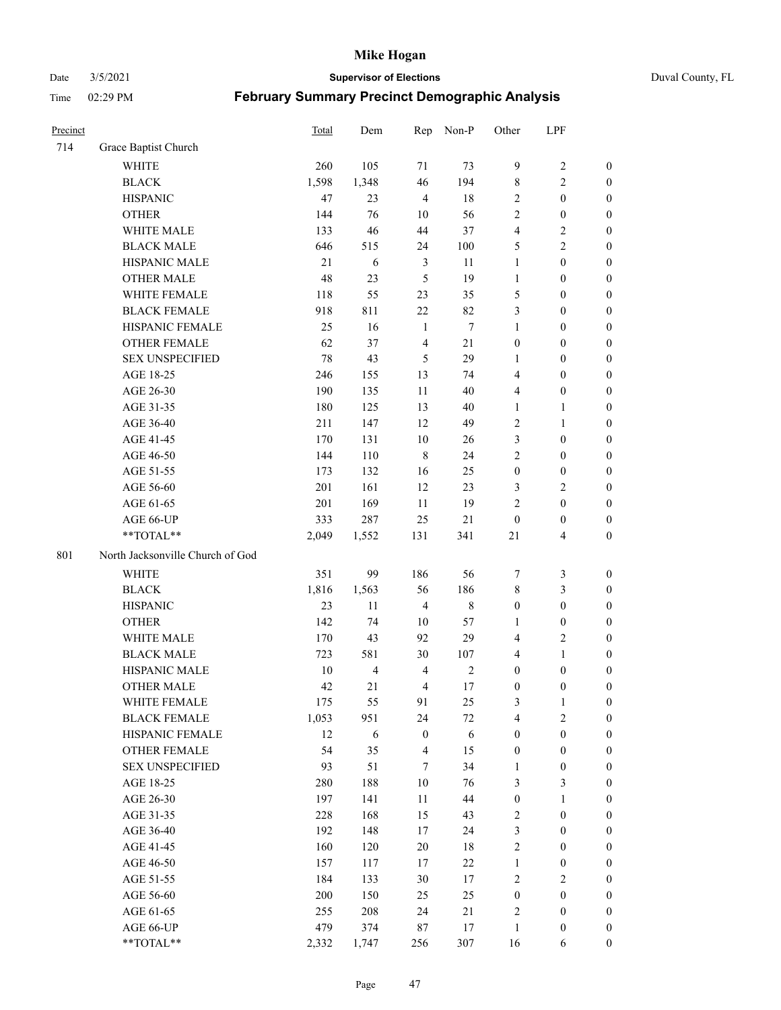Date 3/5/2021 **Supervisor of Elections** Duval County, FL

| Precinct |                                  | <b>Total</b> | Dem                     | Rep              | Non-P       | Other            | LPF                     |                  |
|----------|----------------------------------|--------------|-------------------------|------------------|-------------|------------------|-------------------------|------------------|
| 714      | Grace Baptist Church             |              |                         |                  |             |                  |                         |                  |
|          | <b>WHITE</b>                     | 260          | 105                     | 71               | 73          | 9                | $\sqrt{2}$              | $\boldsymbol{0}$ |
|          | <b>BLACK</b>                     | 1,598        | 1,348                   | 46               | 194         | $\,$ 8 $\,$      | $\mathfrak{2}$          | $\boldsymbol{0}$ |
|          | <b>HISPANIC</b>                  | 47           | 23                      | $\overline{4}$   | 18          | $\mathfrak{2}$   | $\boldsymbol{0}$        | $\boldsymbol{0}$ |
|          | <b>OTHER</b>                     | 144          | 76                      | 10               | 56          | $\overline{c}$   | $\boldsymbol{0}$        | $\boldsymbol{0}$ |
|          | WHITE MALE                       | 133          | 46                      | 44               | 37          | 4                | $\sqrt{2}$              | $\boldsymbol{0}$ |
|          | <b>BLACK MALE</b>                | 646          | 515                     | 24               | 100         | 5                | $\sqrt{2}$              | $\boldsymbol{0}$ |
|          | HISPANIC MALE                    | 21           | 6                       | 3                | 11          | $\mathbf{1}$     | $\boldsymbol{0}$        | $\boldsymbol{0}$ |
|          | <b>OTHER MALE</b>                | 48           | 23                      | 5                | 19          | $\mathbf{1}$     | $\boldsymbol{0}$        | $\boldsymbol{0}$ |
|          | WHITE FEMALE                     | 118          | 55                      | 23               | 35          | 5                | $\boldsymbol{0}$        | $\boldsymbol{0}$ |
|          | <b>BLACK FEMALE</b>              | 918          | 811                     | $22\,$           | 82          | 3                | $\boldsymbol{0}$        | $\boldsymbol{0}$ |
|          | HISPANIC FEMALE                  | 25           | 16                      | 1                | $\tau$      | $\mathbf{1}$     | $\boldsymbol{0}$        | 0                |
|          | <b>OTHER FEMALE</b>              | 62           | 37                      | $\overline{4}$   | 21          | $\boldsymbol{0}$ | $\boldsymbol{0}$        | $\boldsymbol{0}$ |
|          | <b>SEX UNSPECIFIED</b>           | 78           | 43                      | 5                | 29          | $\mathbf{1}$     | $\boldsymbol{0}$        | $\boldsymbol{0}$ |
|          | AGE 18-25                        | 246          | 155                     | 13               | 74          | 4                | $\boldsymbol{0}$        | $\boldsymbol{0}$ |
|          | AGE 26-30                        | 190          | 135                     | 11               | 40          | 4                | $\boldsymbol{0}$        | $\boldsymbol{0}$ |
|          | AGE 31-35                        | 180          | 125                     | 13               | 40          | $\mathbf{1}$     | $\mathbf{1}$            | $\boldsymbol{0}$ |
|          | AGE 36-40                        | 211          | 147                     | 12               | 49          | $\overline{c}$   | $\mathbf{1}$            | $\boldsymbol{0}$ |
|          | AGE 41-45                        | 170          | 131                     | $10\,$           | 26          | 3                | $\boldsymbol{0}$        | $\boldsymbol{0}$ |
|          | AGE 46-50                        | 144          | 110                     | $\,8\,$          | 24          | $\overline{c}$   | $\boldsymbol{0}$        | $\boldsymbol{0}$ |
|          | AGE 51-55                        | 173          | 132                     | 16               | 25          | $\boldsymbol{0}$ | $\boldsymbol{0}$        | $\boldsymbol{0}$ |
|          | AGE 56-60                        | 201          | 161                     | 12               | 23          | 3                | $\mathfrak{2}$          | 0                |
|          | AGE 61-65                        | 201          | 169                     | 11               | 19          | $\overline{c}$   | $\boldsymbol{0}$        | 0                |
|          | AGE 66-UP                        | 333          | 287                     | 25               | 21          | $\boldsymbol{0}$ | $\boldsymbol{0}$        | $\boldsymbol{0}$ |
|          | **TOTAL**                        | 2,049        | 1,552                   | 131              | 341         | 21               | $\overline{\mathbf{4}}$ | $\boldsymbol{0}$ |
| 801      | North Jacksonville Church of God |              |                         |                  |             |                  |                         |                  |
|          | <b>WHITE</b>                     | 351          | 99                      | 186              | 56          | 7                | $\mathfrak{Z}$          | $\boldsymbol{0}$ |
|          | <b>BLACK</b>                     | 1,816        | 1,563                   | 56               | 186         | 8                | $\mathfrak{Z}$          | $\boldsymbol{0}$ |
|          | <b>HISPANIC</b>                  | 23           | 11                      | $\overline{4}$   | $\,$ 8 $\,$ | $\boldsymbol{0}$ | $\boldsymbol{0}$        | $\boldsymbol{0}$ |
|          | <b>OTHER</b>                     | 142          | 74                      | 10               | 57          | $\mathbf{1}$     | $\boldsymbol{0}$        | $\boldsymbol{0}$ |
|          | WHITE MALE                       | 170          | 43                      | 92               | 29          | 4                | $\mathfrak{2}$          | $\boldsymbol{0}$ |
|          | <b>BLACK MALE</b>                | 723          | 581                     | $30\,$           | 107         | 4                | $\mathbf{1}$            | $\boldsymbol{0}$ |
|          | HISPANIC MALE                    | 10           | $\overline{\mathbf{4}}$ | $\overline{4}$   | $\sqrt{2}$  | $\boldsymbol{0}$ | $\boldsymbol{0}$        | 0                |
|          | <b>OTHER MALE</b>                | 42           | 21                      | $\overline{4}$   | 17          | $\boldsymbol{0}$ | $\boldsymbol{0}$        | $\boldsymbol{0}$ |
|          | WHITE FEMALE                     | 175          | 55                      | 91               | 25          | 3                | 1                       | 0                |
|          | <b>BLACK FEMALE</b>              | 1,053        | 951                     | 24               | 72          | 4                | $\sqrt{2}$              | $\boldsymbol{0}$ |
|          | HISPANIC FEMALE                  | 12           | 6                       | $\boldsymbol{0}$ | 6           | $\boldsymbol{0}$ | $\boldsymbol{0}$        | $\overline{0}$   |
|          | OTHER FEMALE                     | 54           | 35                      | $\overline{4}$   | 15          | $\boldsymbol{0}$ | $\boldsymbol{0}$        | $\overline{0}$   |
|          | <b>SEX UNSPECIFIED</b>           | 93           | 51                      | 7                | 34          | $\mathbf{1}$     | $\boldsymbol{0}$        | 0                |
|          | AGE 18-25                        | 280          | 188                     | $10\,$           | 76          | 3                | $\mathfrak{Z}$          | $\theta$         |
|          | AGE 26-30                        | 197          | 141                     | 11               | 44          | $\boldsymbol{0}$ | $\mathbf{1}$            | 0                |
|          | AGE 31-35                        | 228          | 168                     | 15               | 43          | $\sqrt{2}$       | $\boldsymbol{0}$        | 0                |
|          | AGE 36-40                        | 192          | 148                     | 17               | 24          | 3                | $\boldsymbol{0}$        | 0                |
|          | AGE 41-45                        | 160          | 120                     | $20\,$           | $18\,$      | $\sqrt{2}$       | $\boldsymbol{0}$        | 0                |
|          | AGE 46-50                        | 157          | 117                     | 17               | 22          | $\mathbf{1}$     | $\boldsymbol{0}$        | 0                |
|          | AGE 51-55                        | 184          | 133                     | $30\,$           | 17          | $\sqrt{2}$       | $\sqrt{2}$              | $\boldsymbol{0}$ |
|          | AGE 56-60                        | 200          | 150                     | 25               | 25          | $\boldsymbol{0}$ | $\boldsymbol{0}$        | $\boldsymbol{0}$ |
|          | AGE 61-65                        | 255          | 208                     | 24               | 21          | 2                | $\boldsymbol{0}$        | $\boldsymbol{0}$ |
|          | AGE 66-UP                        | 479          | 374                     | 87               | 17          | $\mathbf{1}$     | $\boldsymbol{0}$        | $\boldsymbol{0}$ |
|          | **TOTAL**                        | 2,332        | 1,747                   | 256              | 307         | 16               | 6                       | $\boldsymbol{0}$ |
|          |                                  |              |                         |                  |             |                  |                         |                  |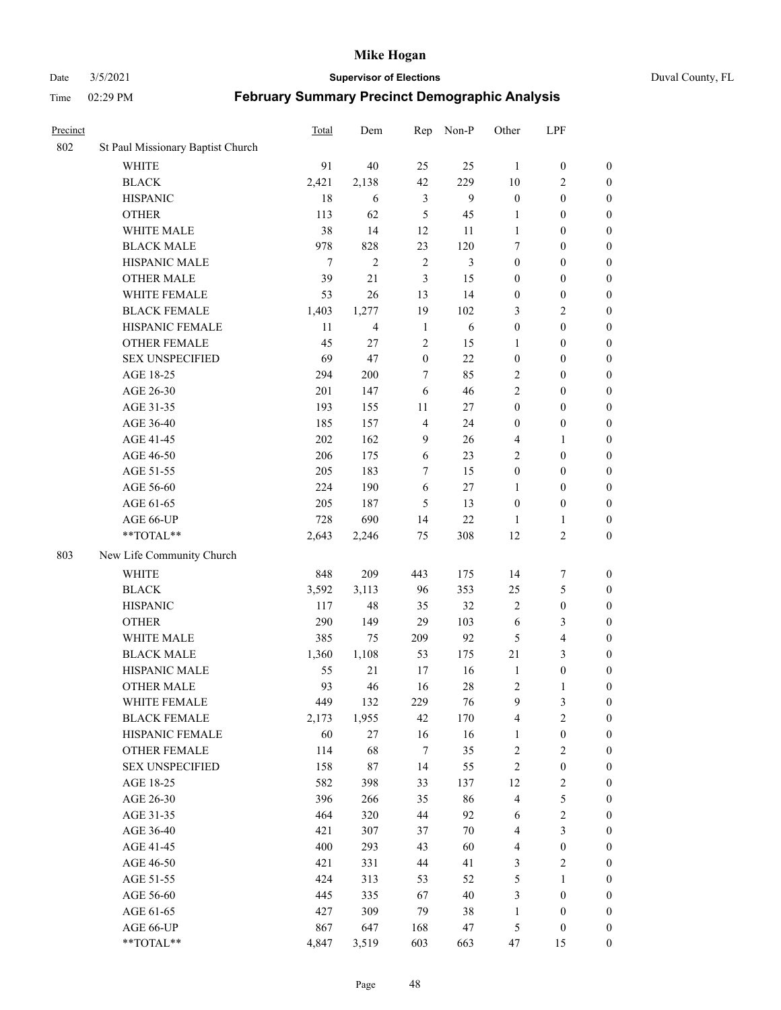Date 3/5/2021 **Supervisor of Elections** Duval County, FL

| Precinct |                                   | <b>Total</b> | Dem            | Rep              | Non-P  | Other            | LPF              |                  |
|----------|-----------------------------------|--------------|----------------|------------------|--------|------------------|------------------|------------------|
| 802      | St Paul Missionary Baptist Church |              |                |                  |        |                  |                  |                  |
|          | <b>WHITE</b>                      | 91           | 40             | 25               | 25     | 1                | $\boldsymbol{0}$ | $\boldsymbol{0}$ |
|          | <b>BLACK</b>                      | 2,421        | 2,138          | 42               | 229    | 10               | $\overline{c}$   | $\boldsymbol{0}$ |
|          | <b>HISPANIC</b>                   | 18           | 6              | 3                | 9      | $\boldsymbol{0}$ | $\boldsymbol{0}$ | $\boldsymbol{0}$ |
|          | <b>OTHER</b>                      | 113          | 62             | 5                | 45     | 1                | $\boldsymbol{0}$ | $\boldsymbol{0}$ |
|          | WHITE MALE                        | 38           | 14             | 12               | 11     | $\mathbf{1}$     | $\boldsymbol{0}$ | $\boldsymbol{0}$ |
|          | <b>BLACK MALE</b>                 | 978          | 828            | 23               | 120    | 7                | $\boldsymbol{0}$ | $\boldsymbol{0}$ |
|          | HISPANIC MALE                     | $\tau$       | $\overline{c}$ | $\overline{2}$   | 3      | $\boldsymbol{0}$ | $\boldsymbol{0}$ | $\boldsymbol{0}$ |
|          | <b>OTHER MALE</b>                 | 39           | 21             | 3                | 15     | $\boldsymbol{0}$ | $\boldsymbol{0}$ | $\boldsymbol{0}$ |
|          | WHITE FEMALE                      | 53           | 26             | 13               | 14     | $\boldsymbol{0}$ | $\boldsymbol{0}$ | $\boldsymbol{0}$ |
|          | <b>BLACK FEMALE</b>               | 1,403        | 1,277          | 19               | 102    | 3                | $\sqrt{2}$       | $\boldsymbol{0}$ |
|          | HISPANIC FEMALE                   | 11           | 4              | $\mathbf{1}$     | 6      | $\boldsymbol{0}$ | $\boldsymbol{0}$ | $\boldsymbol{0}$ |
|          | <b>OTHER FEMALE</b>               | 45           | 27             | $\overline{2}$   | 15     | 1                | $\boldsymbol{0}$ | $\boldsymbol{0}$ |
|          | <b>SEX UNSPECIFIED</b>            | 69           | 47             | $\boldsymbol{0}$ | 22     | $\boldsymbol{0}$ | $\boldsymbol{0}$ | $\boldsymbol{0}$ |
|          | AGE 18-25                         | 294          | 200            | 7                | 85     | $\overline{c}$   | $\boldsymbol{0}$ | $\boldsymbol{0}$ |
|          | AGE 26-30                         | 201          | 147            | 6                | 46     | $\overline{c}$   | $\boldsymbol{0}$ | $\boldsymbol{0}$ |
|          | AGE 31-35                         | 193          | 155            | 11               | 27     | $\boldsymbol{0}$ | $\boldsymbol{0}$ | $\boldsymbol{0}$ |
|          | AGE 36-40                         | 185          | 157            | $\overline{4}$   | 24     | $\boldsymbol{0}$ | $\boldsymbol{0}$ | $\boldsymbol{0}$ |
|          | AGE 41-45                         | 202          | 162            | 9                | 26     | 4                | $\mathbf{1}$     | $\boldsymbol{0}$ |
|          | AGE 46-50                         | 206          | 175            | 6                | 23     | $\mathbf{2}$     | $\boldsymbol{0}$ | $\boldsymbol{0}$ |
|          | AGE 51-55                         | 205          | 183            | 7                | 15     | $\boldsymbol{0}$ | $\boldsymbol{0}$ | $\boldsymbol{0}$ |
|          | AGE 56-60                         | 224          | 190            | 6                | 27     | 1                | $\boldsymbol{0}$ | 0                |
|          | AGE 61-65                         | 205          | 187            | 5                | 13     | $\boldsymbol{0}$ | $\boldsymbol{0}$ | 0                |
|          | AGE 66-UP                         | 728          | 690            | 14               | 22     | 1                | $\mathbf{1}$     | $\boldsymbol{0}$ |
|          | **TOTAL**                         | 2,643        | 2,246          | 75               | 308    | 12               | $\sqrt{2}$       | $\boldsymbol{0}$ |
| 803      | New Life Community Church         |              |                |                  |        |                  |                  |                  |
|          | <b>WHITE</b>                      | 848          | 209            | 443              | 175    | 14               | $\boldsymbol{7}$ | $\boldsymbol{0}$ |
|          | <b>BLACK</b>                      | 3,592        | 3,113          | 96               | 353    | 25               | $\mathfrak{S}$   | $\boldsymbol{0}$ |
|          | <b>HISPANIC</b>                   | 117          | 48             | 35               | 32     | $\overline{c}$   | $\boldsymbol{0}$ | $\boldsymbol{0}$ |
|          | <b>OTHER</b>                      | 290          | 149            | 29               | 103    | 6                | $\mathfrak{Z}$   | $\boldsymbol{0}$ |
|          | WHITE MALE                        | 385          | 75             | 209              | 92     | 5                | $\overline{4}$   | $\boldsymbol{0}$ |
|          | <b>BLACK MALE</b>                 | 1,360        | 1,108          | 53               | 175    | $21\,$           | 3                | $\boldsymbol{0}$ |
|          | HISPANIC MALE                     | 55           | 21             | 17               | 16     | $\mathbf{1}$     | $\boldsymbol{0}$ | $\boldsymbol{0}$ |
|          | <b>OTHER MALE</b>                 | 93           | 46             | 16               | 28     | $\overline{c}$   | $\mathbf{1}$     | $\boldsymbol{0}$ |
|          | WHITE FEMALE                      | 449          | 132            | 229              | 76     | 9                | 3                | 0                |
|          | <b>BLACK FEMALE</b>               | 2,173        | 1,955          | 42               | 170    | 4                | $\sqrt{2}$       | $\boldsymbol{0}$ |
|          | HISPANIC FEMALE                   | 60           | 27             | 16               | 16     | $\mathbf{1}$     | $\boldsymbol{0}$ | $\overline{0}$   |
|          | OTHER FEMALE                      | 114          | 68             | $\tau$           | 35     | $\boldsymbol{2}$ | $\sqrt{2}$       | $\overline{0}$   |
|          | <b>SEX UNSPECIFIED</b>            | 158          | 87             | 14               | 55     | $\overline{c}$   | $\boldsymbol{0}$ | 0                |
|          | AGE 18-25                         | 582          | 398            | 33               | 137    | 12               | $\sqrt{2}$       | 0                |
|          | AGE 26-30                         | 396          | 266            | 35               | 86     | 4                | $\mathfrak s$    | 0                |
|          | AGE 31-35                         | 464          | 320            | 44               | 92     | 6                | $\sqrt{2}$       | 0                |
|          | AGE 36-40                         | 421          | 307            | 37               | $70\,$ | 4                | $\mathfrak{Z}$   | 0                |
|          | AGE 41-45                         | 400          | 293            | 43               | 60     | $\overline{4}$   | $\boldsymbol{0}$ | 0                |
|          | AGE 46-50                         | 421          | 331            | 44               | 41     | 3                | $\sqrt{2}$       | 0                |
|          | AGE 51-55                         | 424          | 313            | 53               | 52     | 5                | $\mathbf{1}$     | $\boldsymbol{0}$ |
|          | AGE 56-60                         | 445          | 335            | 67               | 40     | 3                | $\boldsymbol{0}$ | $\boldsymbol{0}$ |
|          | AGE 61-65                         | 427          | 309            | 79               | 38     | $\mathbf{1}$     | $\boldsymbol{0}$ | $\boldsymbol{0}$ |
|          | AGE 66-UP                         | 867          | 647            | 168              | 47     | 5                | $\boldsymbol{0}$ | $\boldsymbol{0}$ |
|          | **TOTAL**                         | 4,847        | 3,519          | 603              | 663    | 47               | 15               | $\boldsymbol{0}$ |
|          |                                   |              |                |                  |        |                  |                  |                  |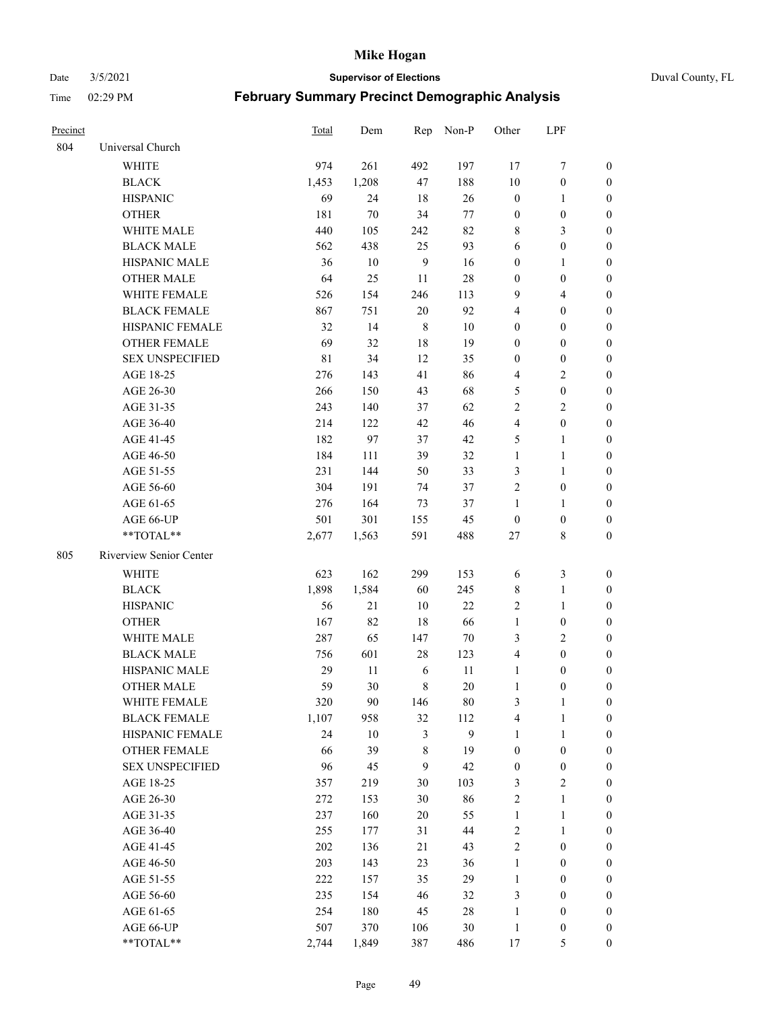#### Date 3/5/2021 **Supervisor of Elections** Duval County, FL

| Precinct |                         | <b>Total</b> | Dem    | Rep            | Non-P  | Other            | LPF              |                  |
|----------|-------------------------|--------------|--------|----------------|--------|------------------|------------------|------------------|
| 804      | Universal Church        |              |        |                |        |                  |                  |                  |
|          | <b>WHITE</b>            | 974          | 261    | 492            | 197    | 17               | $\boldsymbol{7}$ | $\boldsymbol{0}$ |
|          | <b>BLACK</b>            | 1,453        | 1,208  | 47             | 188    | 10               | $\boldsymbol{0}$ | $\boldsymbol{0}$ |
|          | <b>HISPANIC</b>         | 69           | 24     | 18             | 26     | $\boldsymbol{0}$ | $\mathbf{1}$     | 0                |
|          | <b>OTHER</b>            | 181          | $70\,$ | 34             | 77     | $\boldsymbol{0}$ | $\boldsymbol{0}$ | $\boldsymbol{0}$ |
|          | WHITE MALE              | 440          | 105    | 242            | 82     | 8                | $\mathfrak{Z}$   | $\boldsymbol{0}$ |
|          | <b>BLACK MALE</b>       | 562          | 438    | 25             | 93     | 6                | $\boldsymbol{0}$ | $\boldsymbol{0}$ |
|          | <b>HISPANIC MALE</b>    | 36           | 10     | $\overline{9}$ | 16     | $\boldsymbol{0}$ | $\mathbf{1}$     | $\boldsymbol{0}$ |
|          | <b>OTHER MALE</b>       | 64           | 25     | 11             | $28\,$ | $\boldsymbol{0}$ | $\boldsymbol{0}$ | $\boldsymbol{0}$ |
|          | WHITE FEMALE            | 526          | 154    | 246            | 113    | 9                | $\overline{4}$   | $\boldsymbol{0}$ |
|          | <b>BLACK FEMALE</b>     | 867          | 751    | $20\,$         | 92     | 4                | $\boldsymbol{0}$ | $\boldsymbol{0}$ |
|          | HISPANIC FEMALE         | 32           | 14     | $\,8\,$        | 10     | $\boldsymbol{0}$ | $\boldsymbol{0}$ | 0                |
|          | <b>OTHER FEMALE</b>     | 69           | 32     | $18\,$         | 19     | $\boldsymbol{0}$ | $\boldsymbol{0}$ | 0                |
|          | <b>SEX UNSPECIFIED</b>  | $8\sqrt{1}$  | 34     | 12             | 35     | $\boldsymbol{0}$ | $\boldsymbol{0}$ | $\boldsymbol{0}$ |
|          | AGE 18-25               | 276          | 143    | 41             | 86     | 4                | $\sqrt{2}$       | $\boldsymbol{0}$ |
|          | AGE 26-30               | 266          | 150    | 43             | 68     | 5                | $\boldsymbol{0}$ | $\boldsymbol{0}$ |
|          | AGE 31-35               | 243          | 140    | 37             | 62     | $\sqrt{2}$       | $\sqrt{2}$       | $\boldsymbol{0}$ |
|          | AGE 36-40               | 214          | 122    | 42             | 46     | 4                | $\boldsymbol{0}$ | $\boldsymbol{0}$ |
|          | AGE 41-45               | 182          | 97     | 37             | 42     | 5                | $\mathbf{1}$     | $\boldsymbol{0}$ |
|          | AGE 46-50               | 184          | 111    | 39             | 32     | $\mathbf{1}$     | $\mathbf{1}$     | $\boldsymbol{0}$ |
|          | AGE 51-55               | 231          | 144    | 50             | 33     | 3                | $\mathbf{1}$     | 0                |
|          | AGE 56-60               | 304          | 191    | 74             | 37     | $\overline{c}$   | $\boldsymbol{0}$ | 0                |
|          | AGE 61-65               | 276          | 164    | 73             | 37     | 1                | $\mathbf{1}$     | 0                |
|          | AGE 66-UP               | 501          | 301    | 155            | 45     | $\boldsymbol{0}$ | $\boldsymbol{0}$ | 0                |
|          | **TOTAL**               | 2,677        | 1,563  | 591            | 488    | $27\,$           | $8\,$            | $\boldsymbol{0}$ |
| 805      | Riverview Senior Center |              |        |                |        |                  |                  |                  |
|          | <b>WHITE</b>            | 623          | 162    | 299            | 153    | 6                | $\mathfrak{Z}$   | $\boldsymbol{0}$ |
|          | <b>BLACK</b>            | 1,898        | 1,584  | 60             | 245    | 8                | $\mathbf{1}$     | $\boldsymbol{0}$ |
|          | <b>HISPANIC</b>         | 56           | 21     | 10             | 22     | $\overline{c}$   | $\mathbf{1}$     | $\boldsymbol{0}$ |
|          | <b>OTHER</b>            | 167          | 82     | 18             | 66     | $\mathbf{1}$     | $\boldsymbol{0}$ | $\boldsymbol{0}$ |
|          | WHITE MALE              | 287          | 65     | 147            | $70\,$ | 3                | $\overline{2}$   | $\boldsymbol{0}$ |
|          | <b>BLACK MALE</b>       | 756          | 601    | $28\,$         | 123    | $\overline{4}$   | $\boldsymbol{0}$ | $\boldsymbol{0}$ |
|          | HISPANIC MALE           | 29           | $11\,$ | 6              | 11     | $\mathbf{1}$     | $\boldsymbol{0}$ | 0                |
|          | <b>OTHER MALE</b>       | 59           | 30     | $\,8\,$        | 20     | $\mathbf{1}$     | $\boldsymbol{0}$ | 0                |
|          | WHITE FEMALE            | 320          | 90     | 146            | 80     | 3                | $\mathbf{1}$     | 0                |
|          | <b>BLACK FEMALE</b>     | 1,107        | 958    | 32             | 112    | 4                | $\mathbf{1}$     | $\boldsymbol{0}$ |
|          | HISPANIC FEMALE         | 24           | $10\,$ | $\mathfrak{Z}$ | 9      | $\mathbf{1}$     | $\mathbf{1}$     | $\overline{0}$   |
|          | OTHER FEMALE            | 66           | 39     | 8              | 19     | $\boldsymbol{0}$ | $\boldsymbol{0}$ | $\overline{0}$   |
|          | <b>SEX UNSPECIFIED</b>  | 96           | 45     | 9              | 42     | $\boldsymbol{0}$ | $\boldsymbol{0}$ | 0                |
|          | AGE 18-25               | 357          | 219    | 30             | 103    | 3                | $\sqrt{2}$       | 0                |
|          | AGE 26-30               | 272          | 153    | $30\,$         | 86     | 2                | $\mathbf{1}$     | 0                |
|          | AGE 31-35               | 237          | 160    | $20\,$         | 55     | $\mathbf{1}$     | $\mathbf{1}$     | 0                |
|          | AGE 36-40               | 255          | 177    | 31             | 44     | $\overline{c}$   | $\mathbf{1}$     | 0                |
|          | AGE 41-45               | 202          | 136    | 21             | 43     | $\sqrt{2}$       | $\boldsymbol{0}$ | 0                |
|          | AGE 46-50               | 203          | 143    | 23             | 36     | $\mathbf{1}$     | $\boldsymbol{0}$ | 0                |
|          | AGE 51-55               | 222          | 157    | 35             | 29     | $\mathbf{1}$     | $\boldsymbol{0}$ | $\boldsymbol{0}$ |
|          | AGE 56-60               | 235          | 154    | 46             | 32     | 3                | $\boldsymbol{0}$ | $\boldsymbol{0}$ |
|          | AGE 61-65               | 254          | 180    | 45             | 28     | $\mathbf{1}$     | $\boldsymbol{0}$ | $\boldsymbol{0}$ |
|          | AGE 66-UP               | 507          | 370    | 106            | 30     | $\mathbf{1}$     | $\boldsymbol{0}$ | $\boldsymbol{0}$ |
|          | **TOTAL**               | 2,744        | 1,849  | 387            | 486    | 17               | 5                | $\boldsymbol{0}$ |
|          |                         |              |        |                |        |                  |                  |                  |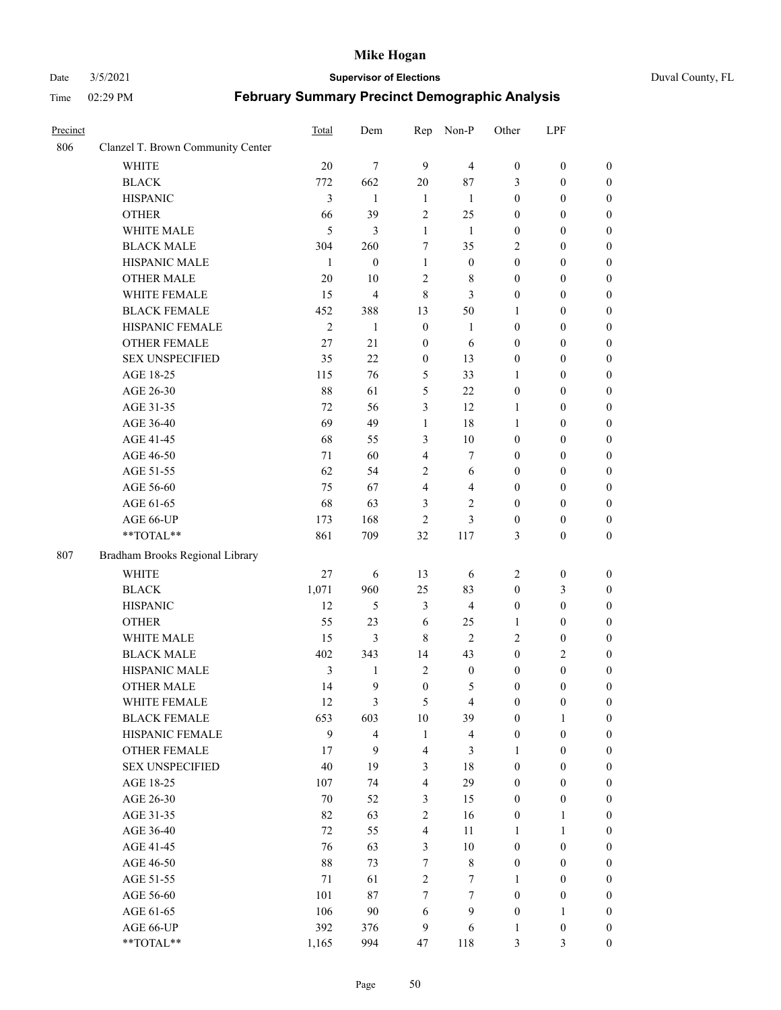#### Date 3/5/2021 **Supervisor of Elections** Duval County, FL

| Precinct |                                                             | Total          | Dem              | Rep                     | Non-P                   | Other            | LPF              |                  |
|----------|-------------------------------------------------------------|----------------|------------------|-------------------------|-------------------------|------------------|------------------|------------------|
| 806      | Clanzel T. Brown Community Center                           |                |                  |                         |                         |                  |                  |                  |
|          | <b>WHITE</b>                                                | 20             | $\overline{7}$   | 9                       | $\overline{4}$          | $\boldsymbol{0}$ | $\boldsymbol{0}$ | $\boldsymbol{0}$ |
|          | <b>BLACK</b>                                                | 772            | 662              | 20                      | 87                      | 3                | $\boldsymbol{0}$ | $\boldsymbol{0}$ |
|          | <b>HISPANIC</b>                                             | 3              | 1                | $\mathbf{1}$            | $\mathbf{1}$            | $\boldsymbol{0}$ | $\boldsymbol{0}$ | $\boldsymbol{0}$ |
|          | <b>OTHER</b>                                                | 66             | 39               | $\sqrt{2}$              | 25                      | $\boldsymbol{0}$ | $\boldsymbol{0}$ | $\boldsymbol{0}$ |
|          | WHITE MALE                                                  | $\mathfrak{H}$ | 3                | $\mathbf{1}$            | $\mathbf{1}$            | $\boldsymbol{0}$ | $\boldsymbol{0}$ | $\boldsymbol{0}$ |
|          | <b>BLACK MALE</b>                                           | 304            | 260              | 7                       | 35                      | 2                | $\boldsymbol{0}$ | $\boldsymbol{0}$ |
|          | HISPANIC MALE                                               | $\mathbf{1}$   | $\boldsymbol{0}$ | $\mathbf{1}$            | $\boldsymbol{0}$        | $\boldsymbol{0}$ | $\boldsymbol{0}$ | $\boldsymbol{0}$ |
|          | <b>OTHER MALE</b>                                           | 20             | 10               | $\mathfrak{2}$          | 8                       | $\boldsymbol{0}$ | $\boldsymbol{0}$ | 0                |
|          | WHITE FEMALE                                                | 15             | 4                | $\,8\,$                 | 3                       | $\boldsymbol{0}$ | $\boldsymbol{0}$ | $\boldsymbol{0}$ |
|          | <b>BLACK FEMALE</b>                                         | 452            | 388              | 13                      | 50                      | 1                | $\boldsymbol{0}$ | $\boldsymbol{0}$ |
|          | HISPANIC FEMALE                                             | $\mathfrak{2}$ | $\mathbf{1}$     | $\boldsymbol{0}$        | $\mathbf{1}$            | $\boldsymbol{0}$ | $\boldsymbol{0}$ | $\boldsymbol{0}$ |
|          | OTHER FEMALE                                                | 27             | 21               | $\boldsymbol{0}$        | 6                       | $\boldsymbol{0}$ | $\boldsymbol{0}$ | $\boldsymbol{0}$ |
|          | <b>SEX UNSPECIFIED</b>                                      | 35             | 22               | $\boldsymbol{0}$        | 13                      | $\boldsymbol{0}$ | $\boldsymbol{0}$ | $\boldsymbol{0}$ |
|          | AGE 18-25                                                   | 115            | 76               | 5                       | 33                      | 1                | $\boldsymbol{0}$ | $\boldsymbol{0}$ |
|          | AGE 26-30                                                   | 88             | 61               | 5                       | 22                      | $\boldsymbol{0}$ | $\boldsymbol{0}$ | $\boldsymbol{0}$ |
|          | AGE 31-35                                                   | 72             | 56               | $\mathfrak{Z}$          | 12                      | 1                | $\boldsymbol{0}$ | $\boldsymbol{0}$ |
|          | AGE 36-40                                                   | 69             | 49               | $\mathbf{1}$            | 18                      | 1                | $\boldsymbol{0}$ | $\boldsymbol{0}$ |
|          | AGE 41-45                                                   | 68             | 55               | 3                       | 10                      | $\boldsymbol{0}$ | $\boldsymbol{0}$ | 0                |
|          | AGE 46-50                                                   | 71             | 60               | $\overline{4}$          | 7                       | $\boldsymbol{0}$ | $\boldsymbol{0}$ | 0                |
|          | AGE 51-55                                                   | 62             | 54               | $\mathfrak{2}$          | 6                       | $\boldsymbol{0}$ | $\boldsymbol{0}$ | $\boldsymbol{0}$ |
|          | AGE 56-60                                                   | 75             | 67               | $\overline{4}$          | $\overline{4}$          | $\boldsymbol{0}$ | $\boldsymbol{0}$ | $\boldsymbol{0}$ |
|          | AGE 61-65                                                   | 68             | 63               | 3                       | $\overline{c}$          | $\boldsymbol{0}$ | $\boldsymbol{0}$ | $\boldsymbol{0}$ |
|          | AGE 66-UP                                                   | 173            | 168              | $\mathfrak{2}$          | 3                       | $\boldsymbol{0}$ | $\boldsymbol{0}$ | $\boldsymbol{0}$ |
|          | $\mathrm{*}\mathrm{*} \mathrm{TOTAL} \mathrm{*} \mathrm{*}$ | 861            | 709              | 32                      | 117                     | 3                | $\boldsymbol{0}$ | $\boldsymbol{0}$ |
|          |                                                             |                |                  |                         |                         |                  |                  |                  |
| 807      | Bradham Brooks Regional Library                             |                |                  |                         |                         |                  |                  |                  |
|          | <b>WHITE</b>                                                | 27             | 6                | 13                      | 6                       | $\mathbf{2}$     | $\boldsymbol{0}$ | $\boldsymbol{0}$ |
|          | <b>BLACK</b>                                                | 1,071          | 960              | 25                      | 83                      | $\boldsymbol{0}$ | $\mathfrak{Z}$   | $\boldsymbol{0}$ |
|          | <b>HISPANIC</b>                                             | 12             | 5                | $\mathfrak{Z}$          | $\overline{4}$          | $\boldsymbol{0}$ | $\boldsymbol{0}$ | $\boldsymbol{0}$ |
|          | <b>OTHER</b>                                                | 55             | 23               | 6                       | 25                      | $\mathbf{1}$     | $\boldsymbol{0}$ | $\boldsymbol{0}$ |
|          | WHITE MALE                                                  | 15             | 3                | $\,$ 8 $\,$             | $\overline{2}$          | $\mathbf{2}$     | $\boldsymbol{0}$ | 0                |
|          | <b>BLACK MALE</b>                                           | 402            | 343              | 14                      | 43                      | $\boldsymbol{0}$ | $\mathbf{2}$     | 0                |
|          | HISPANIC MALE                                               | 3              | $\mathbf{1}$     | $\sqrt{2}$              | $\boldsymbol{0}$        | $\boldsymbol{0}$ | $\boldsymbol{0}$ | $\boldsymbol{0}$ |
|          | <b>OTHER MALE</b>                                           | 14             | 9                | $\boldsymbol{0}$        | 5                       | $\boldsymbol{0}$ | $\boldsymbol{0}$ | $\boldsymbol{0}$ |
|          | WHITE FEMALE                                                | 12             | 3                | $\mathfrak s$           | $\overline{4}$          | $\boldsymbol{0}$ | $\boldsymbol{0}$ | $\boldsymbol{0}$ |
|          | <b>BLACK FEMALE</b>                                         | 653            | 603              | 10                      | 39                      | $\boldsymbol{0}$ | $\mathbf{1}$     | $\overline{0}$   |
|          | HISPANIC FEMALE                                             | 9              | $\overline{4}$   | $\mathbf{1}$            | $\overline{\mathbf{4}}$ | $\boldsymbol{0}$ | $\boldsymbol{0}$ | $\overline{0}$   |
|          | <b>OTHER FEMALE</b>                                         | 17             | 9                | $\overline{4}$          | $\mathfrak{Z}$          | $\mathbf{1}$     | $\boldsymbol{0}$ | $\overline{0}$   |
|          | <b>SEX UNSPECIFIED</b>                                      | $40\,$         | 19               | $\mathfrak{Z}$          | $18\,$                  | $\boldsymbol{0}$ | $\boldsymbol{0}$ | $\overline{0}$   |
|          | AGE 18-25                                                   | 107            | 74               | $\overline{\mathbf{4}}$ | 29                      | $\boldsymbol{0}$ | $\boldsymbol{0}$ | $\overline{0}$   |
|          | AGE 26-30                                                   | 70             | 52               | 3                       | 15                      | $\boldsymbol{0}$ | $\boldsymbol{0}$ | 0                |
|          | AGE 31-35                                                   | 82             | 63               | $\sqrt{2}$              | 16                      | $\boldsymbol{0}$ | $\mathbf{1}$     | 0                |
|          | AGE 36-40                                                   | 72             | 55               | $\overline{\mathbf{4}}$ | 11                      | 1                | $\mathbf{1}$     | $\overline{0}$   |
|          | AGE 41-45                                                   | 76             | 63               | $\mathfrak{Z}$          | $10\,$                  | $\boldsymbol{0}$ | $\boldsymbol{0}$ | $\overline{0}$   |
|          | AGE 46-50                                                   | $88\,$         | 73               | $\tau$                  | $\,$ 8 $\,$             | $\boldsymbol{0}$ | $\boldsymbol{0}$ | $\boldsymbol{0}$ |
|          | AGE 51-55                                                   | 71             | 61               | $\sqrt{2}$              | $\tau$                  | 1                | $\boldsymbol{0}$ | $\overline{0}$   |
|          | AGE 56-60                                                   | 101            | 87               | 7                       | $\tau$                  | $\boldsymbol{0}$ | $\boldsymbol{0}$ | $\overline{0}$   |
|          | AGE 61-65                                                   | 106            | 90               | 6                       | $\mathbf{9}$            | $\boldsymbol{0}$ | $\mathbf{1}$     | $\overline{0}$   |
|          | AGE 66-UP                                                   | 392            | 376              | 9                       | $\sqrt{6}$              | $\mathbf{1}$     | $\boldsymbol{0}$ | $\overline{0}$   |
|          | **TOTAL**                                                   | 1,165          | 994              | 47                      | 118                     | $\mathfrak{Z}$   | $\mathfrak{Z}$   | $\boldsymbol{0}$ |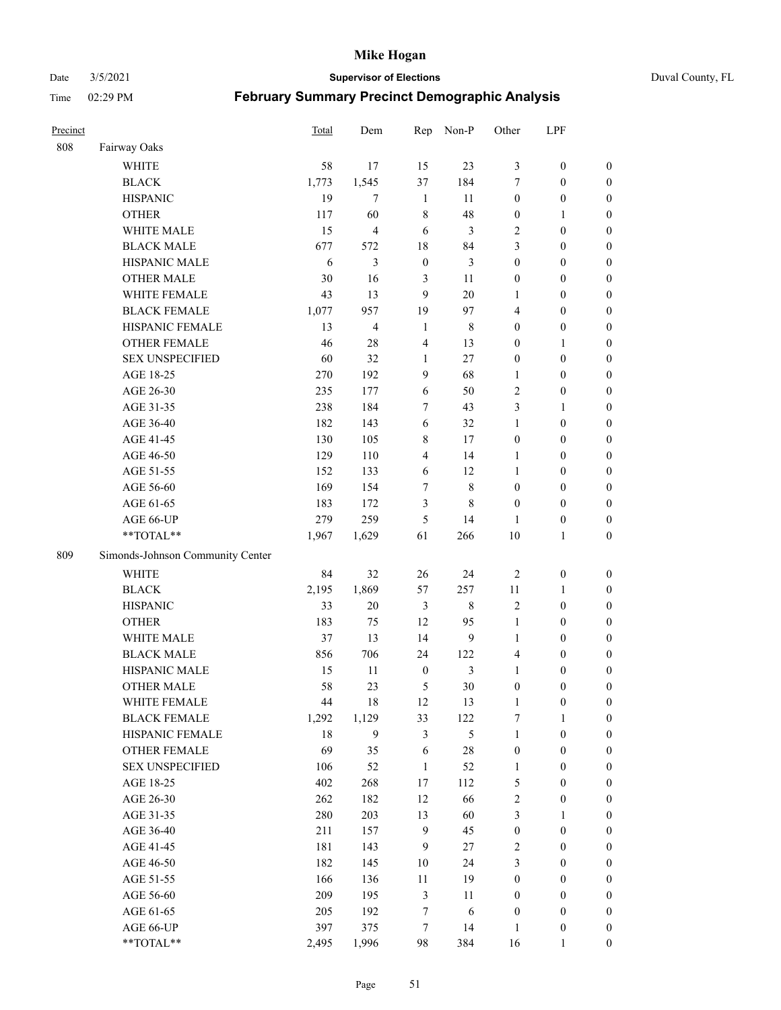#### Date 3/5/2021 **Supervisor of Elections** Duval County, FL

| Precinct |                                  | Total | Dem            | Rep              | Non-P        | Other            | LPF              |                  |
|----------|----------------------------------|-------|----------------|------------------|--------------|------------------|------------------|------------------|
| 808      | Fairway Oaks                     |       |                |                  |              |                  |                  |                  |
|          | <b>WHITE</b>                     | 58    | 17             | 15               | 23           | 3                | $\boldsymbol{0}$ | $\boldsymbol{0}$ |
|          | <b>BLACK</b>                     | 1,773 | 1,545          | 37               | 184          | 7                | $\boldsymbol{0}$ | $\boldsymbol{0}$ |
|          | <b>HISPANIC</b>                  | 19    | $\overline{7}$ | $\mathbf{1}$     | 11           | $\boldsymbol{0}$ | $\boldsymbol{0}$ | $\boldsymbol{0}$ |
|          | <b>OTHER</b>                     | 117   | 60             | $\,8\,$          | 48           | $\boldsymbol{0}$ | 1                | $\boldsymbol{0}$ |
|          | WHITE MALE                       | 15    | 4              | 6                | 3            | $\overline{c}$   | $\boldsymbol{0}$ | $\boldsymbol{0}$ |
|          | <b>BLACK MALE</b>                | 677   | 572            | 18               | 84           | 3                | $\boldsymbol{0}$ | $\boldsymbol{0}$ |
|          | HISPANIC MALE                    | 6     | 3              | $\boldsymbol{0}$ | 3            | $\boldsymbol{0}$ | $\boldsymbol{0}$ | $\boldsymbol{0}$ |
|          | <b>OTHER MALE</b>                | 30    | 16             | 3                | 11           | $\boldsymbol{0}$ | $\boldsymbol{0}$ | $\boldsymbol{0}$ |
|          | WHITE FEMALE                     | 43    | 13             | 9                | $20\,$       | 1                | $\boldsymbol{0}$ | $\boldsymbol{0}$ |
|          | <b>BLACK FEMALE</b>              | 1,077 | 957            | 19               | 97           | $\overline{4}$   | $\boldsymbol{0}$ | 0                |
|          | HISPANIC FEMALE                  | 13    | 4              | $\mathbf{1}$     | $\,$ 8 $\,$  | $\boldsymbol{0}$ | $\boldsymbol{0}$ | $\boldsymbol{0}$ |
|          | <b>OTHER FEMALE</b>              | 46    | 28             | $\overline{4}$   | 13           | $\boldsymbol{0}$ | $\mathbf{1}$     | $\boldsymbol{0}$ |
|          | <b>SEX UNSPECIFIED</b>           | 60    | 32             | $\mathbf{1}$     | 27           | $\boldsymbol{0}$ | $\boldsymbol{0}$ | $\boldsymbol{0}$ |
|          | AGE 18-25                        | 270   | 192            | 9                | 68           | $\mathbf{1}$     | $\boldsymbol{0}$ | $\boldsymbol{0}$ |
|          | AGE 26-30                        | 235   | 177            | 6                | 50           | $\overline{c}$   | $\boldsymbol{0}$ | $\boldsymbol{0}$ |
|          | AGE 31-35                        | 238   | 184            | $\tau$           | 43           | 3                | $\mathbf{1}$     | $\boldsymbol{0}$ |
|          | AGE 36-40                        | 182   | 143            | 6                | 32           | $\mathbf{1}$     | $\boldsymbol{0}$ | $\boldsymbol{0}$ |
|          | AGE 41-45                        | 130   | 105            | $\,$ 8 $\,$      | 17           | $\boldsymbol{0}$ | $\boldsymbol{0}$ | $\boldsymbol{0}$ |
|          | AGE 46-50                        | 129   | 110            | $\overline{4}$   | 14           | $\mathbf{1}$     | $\boldsymbol{0}$ | $\boldsymbol{0}$ |
|          | AGE 51-55                        | 152   | 133            | 6                | 12           | $\mathbf{1}$     | $\boldsymbol{0}$ | 0                |
|          | AGE 56-60                        | 169   | 154            | 7                | $\,$ 8 $\,$  | $\boldsymbol{0}$ | $\boldsymbol{0}$ | $\boldsymbol{0}$ |
|          | AGE 61-65                        | 183   | 172            | 3                | $\,$ 8 $\,$  | $\boldsymbol{0}$ | $\boldsymbol{0}$ | $\boldsymbol{0}$ |
|          | AGE 66-UP                        | 279   | 259            | 5                | 14           | 1                | $\boldsymbol{0}$ | $\boldsymbol{0}$ |
|          | **TOTAL**                        | 1,967 | 1,629          | 61               | 266          | 10               | $\mathbf{1}$     | $\boldsymbol{0}$ |
| 809      | Simonds-Johnson Community Center |       |                |                  |              |                  |                  |                  |
|          | <b>WHITE</b>                     | 84    | 32             | 26               | 24           | $\sqrt{2}$       | $\boldsymbol{0}$ | $\boldsymbol{0}$ |
|          | <b>BLACK</b>                     | 2,195 | 1,869          | 57               | 257          | 11               | $\mathbf{1}$     | $\boldsymbol{0}$ |
|          | <b>HISPANIC</b>                  | 33    | $20\,$         | $\mathfrak{Z}$   | $\,$ 8 $\,$  | $\mathfrak{2}$   | $\boldsymbol{0}$ | $\boldsymbol{0}$ |
|          | <b>OTHER</b>                     | 183   | 75             | 12               | 95           | $\mathbf{1}$     | $\boldsymbol{0}$ | $\boldsymbol{0}$ |
|          | WHITE MALE                       | 37    | 13             | 14               | $\mathbf{9}$ | $\mathbf{1}$     | $\boldsymbol{0}$ | $\boldsymbol{0}$ |
|          | <b>BLACK MALE</b>                | 856   | 706            | 24               | 122          | 4                | $\boldsymbol{0}$ | $\boldsymbol{0}$ |
|          | HISPANIC MALE                    | 15    | 11             | $\boldsymbol{0}$ | 3            | $\mathbf{1}$     | $\boldsymbol{0}$ | 0                |
|          | <b>OTHER MALE</b>                | 58    | 23             | 5                | 30           | $\boldsymbol{0}$ | $\boldsymbol{0}$ | $\boldsymbol{0}$ |
|          | WHITE FEMALE                     | 44    | 18             | 12               | 13           | $\mathbf{1}$     | $\boldsymbol{0}$ | $\boldsymbol{0}$ |
|          | <b>BLACK FEMALE</b>              | 1,292 | 1,129          | 33               | 122          | 7                | $\mathbf{1}$     | $\boldsymbol{0}$ |
|          | HISPANIC FEMALE                  | 18    | 9              | $\mathfrak{Z}$   | 5            | $\mathbf{1}$     | $\boldsymbol{0}$ | $\overline{0}$   |
|          | <b>OTHER FEMALE</b>              | 69    | 35             | $\sqrt{6}$       | 28           | $\boldsymbol{0}$ | $\boldsymbol{0}$ | $\overline{0}$   |
|          | <b>SEX UNSPECIFIED</b>           | 106   | 52             | $\mathbf{1}$     | 52           | $\mathbf{1}$     | $\boldsymbol{0}$ | $\boldsymbol{0}$ |
|          | AGE 18-25                        | 402   | 268            | $17\,$           | 112          | 5                | $\boldsymbol{0}$ | $\overline{0}$   |
|          | AGE 26-30                        | 262   | 182            | 12               | 66           | $\sqrt{2}$       | $\boldsymbol{0}$ | 0                |
|          | AGE 31-35                        | 280   | 203            | 13               | 60           | $\mathfrak{Z}$   | $\mathbf{1}$     | 0                |
|          | AGE 36-40                        | 211   | 157            | $\overline{9}$   | 45           | $\boldsymbol{0}$ | $\boldsymbol{0}$ | 0                |
|          | AGE 41-45                        | 181   | 143            | 9                | 27           | $\sqrt{2}$       | $\boldsymbol{0}$ | 0                |
|          | AGE 46-50                        | 182   | 145            | $10\,$           | 24           | 3                | $\boldsymbol{0}$ | $\boldsymbol{0}$ |
|          | AGE 51-55                        | 166   | 136            | 11               | 19           | $\boldsymbol{0}$ | $\boldsymbol{0}$ | $\boldsymbol{0}$ |
|          | AGE 56-60                        | 209   | 195            | $\mathfrak{Z}$   | 11           | $\boldsymbol{0}$ | $\boldsymbol{0}$ | $\boldsymbol{0}$ |
|          | AGE 61-65                        | 205   | 192            | 7                | 6            | $\boldsymbol{0}$ | $\boldsymbol{0}$ | $\boldsymbol{0}$ |
|          | AGE 66-UP                        | 397   | 375            | $\boldsymbol{7}$ | 14           | $\mathbf{1}$     | $\boldsymbol{0}$ | $\boldsymbol{0}$ |
|          | **TOTAL**                        | 2,495 | 1,996          | 98               | 384          | 16               | $\mathbf{1}$     | $\overline{0}$   |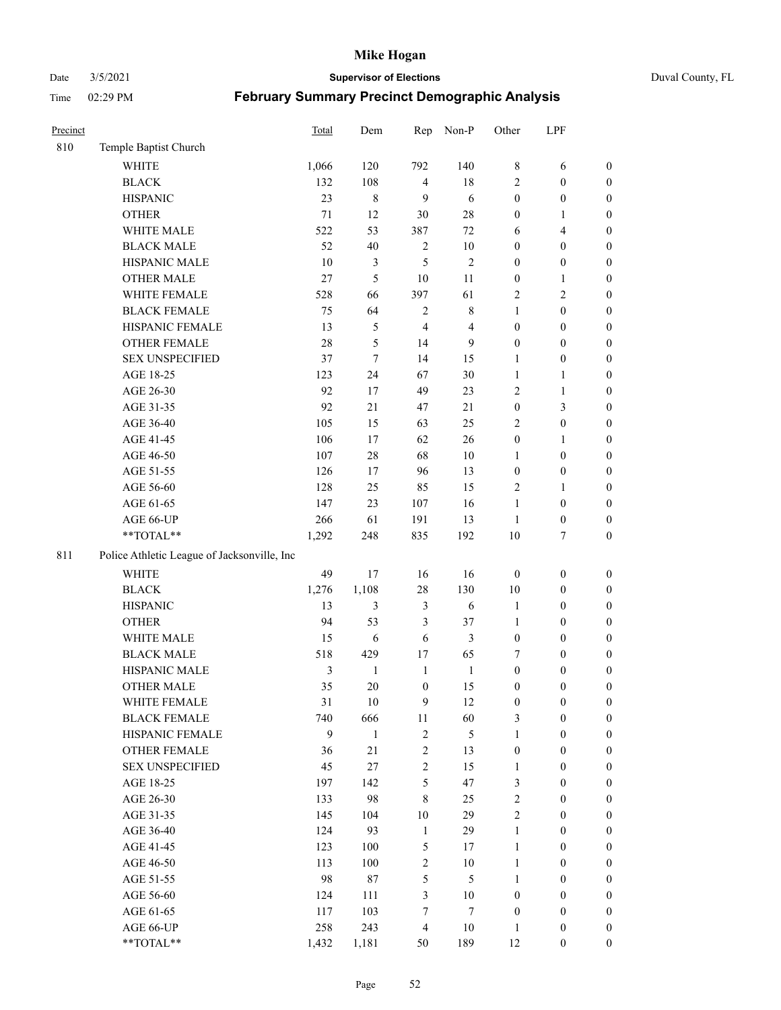#### Date 3/5/2021 **Supervisor of Elections** Duval County, FL

| Precinct |                                             | Total  | Dem            | Rep              | Non-P          | Other            | LPF              |                  |
|----------|---------------------------------------------|--------|----------------|------------------|----------------|------------------|------------------|------------------|
| 810      | Temple Baptist Church                       |        |                |                  |                |                  |                  |                  |
|          | <b>WHITE</b>                                | 1,066  | 120            | 792              | 140            | 8                | 6                | 0                |
|          | <b>BLACK</b>                                | 132    | 108            | $\overline{4}$   | $18\,$         | 2                | $\boldsymbol{0}$ | $\boldsymbol{0}$ |
|          | <b>HISPANIC</b>                             | 23     | 8              | 9                | 6              | $\boldsymbol{0}$ | $\boldsymbol{0}$ | $\boldsymbol{0}$ |
|          | <b>OTHER</b>                                | $71\,$ | 12             | 30               | $28\,$         | $\boldsymbol{0}$ | 1                | $\boldsymbol{0}$ |
|          | WHITE MALE                                  | 522    | 53             | 387              | $72\,$         | 6                | $\overline{4}$   | $\boldsymbol{0}$ |
|          | <b>BLACK MALE</b>                           | 52     | $40\,$         | $\sqrt{2}$       | $10\,$         | $\boldsymbol{0}$ | $\boldsymbol{0}$ | $\boldsymbol{0}$ |
|          | HISPANIC MALE                               | 10     | 3              | 5                | $\sqrt{2}$     | $\boldsymbol{0}$ | $\boldsymbol{0}$ | $\boldsymbol{0}$ |
|          | <b>OTHER MALE</b>                           | 27     | $\mathfrak s$  | 10               | 11             | $\boldsymbol{0}$ | $\mathbf{1}$     | $\boldsymbol{0}$ |
|          | WHITE FEMALE                                | 528    | 66             | 397              | 61             | 2                | $\mathfrak{2}$   | $\boldsymbol{0}$ |
|          | <b>BLACK FEMALE</b>                         | 75     | 64             | $\sqrt{2}$       | $\,$ 8 $\,$    | $\mathbf{1}$     | $\boldsymbol{0}$ | $\boldsymbol{0}$ |
|          | HISPANIC FEMALE                             | 13     | $\mathfrak{S}$ | $\overline{4}$   | $\overline{4}$ | $\boldsymbol{0}$ | $\boldsymbol{0}$ | 0                |
|          | OTHER FEMALE                                | 28     | 5              | 14               | 9              | $\boldsymbol{0}$ | $\boldsymbol{0}$ | $\boldsymbol{0}$ |
|          | <b>SEX UNSPECIFIED</b>                      | 37     | $\tau$         | 14               | 15             | $\mathbf{1}$     | $\boldsymbol{0}$ | $\boldsymbol{0}$ |
|          | AGE 18-25                                   | 123    | 24             | 67               | 30             | $\mathbf{1}$     | $\mathbf{1}$     | $\boldsymbol{0}$ |
|          | AGE 26-30                                   | 92     | 17             | 49               | 23             | 2                | $\mathbf{1}$     | $\boldsymbol{0}$ |
|          | AGE 31-35                                   | 92     | 21             | 47               | 21             | $\boldsymbol{0}$ | $\mathfrak{Z}$   | $\boldsymbol{0}$ |
|          | AGE 36-40                                   | 105    | 15             | 63               | 25             | 2                | $\boldsymbol{0}$ | $\boldsymbol{0}$ |
|          | AGE 41-45                                   | 106    | 17             | 62               | 26             | $\boldsymbol{0}$ | $\mathbf{1}$     | $\boldsymbol{0}$ |
|          | AGE 46-50                                   | 107    | $28\,$         | 68               | $10\,$         | 1                | $\boldsymbol{0}$ | $\boldsymbol{0}$ |
|          | AGE 51-55                                   | 126    | 17             | 96               | 13             | $\boldsymbol{0}$ | $\boldsymbol{0}$ | $\boldsymbol{0}$ |
|          | AGE 56-60                                   | 128    | 25             | 85               | 15             | $\mathbf{2}$     | $\mathbf{1}$     | 0                |
|          | AGE 61-65                                   | 147    | 23             | 107              | 16             | $\mathbf{1}$     | $\boldsymbol{0}$ | 0                |
|          | AGE 66-UP                                   | 266    | 61             | 191              | 13             | $\mathbf{1}$     | $\boldsymbol{0}$ | $\boldsymbol{0}$ |
|          | **TOTAL**                                   | 1,292  | 248            | 835              | 192            | 10               | $\boldsymbol{7}$ | $\boldsymbol{0}$ |
| 811      | Police Athletic League of Jacksonville, Inc |        |                |                  |                |                  |                  |                  |
|          | WHITE                                       | 49     | 17             | 16               | 16             | $\boldsymbol{0}$ | $\boldsymbol{0}$ | $\boldsymbol{0}$ |
|          | <b>BLACK</b>                                | 1,276  | 1,108          | 28               | 130            | 10               | $\boldsymbol{0}$ | $\boldsymbol{0}$ |
|          | <b>HISPANIC</b>                             | 13     | 3              | $\mathfrak{Z}$   | 6              | $\mathbf{1}$     | $\boldsymbol{0}$ | $\boldsymbol{0}$ |
|          | <b>OTHER</b>                                | 94     | 53             | $\mathfrak{Z}$   | 37             | $\mathbf{1}$     | $\boldsymbol{0}$ | $\boldsymbol{0}$ |
|          | WHITE MALE                                  | 15     | $\sqrt{6}$     | 6                | $\mathfrak{Z}$ | $\boldsymbol{0}$ | $\boldsymbol{0}$ | $\boldsymbol{0}$ |
|          | <b>BLACK MALE</b>                           | 518    | 429            | 17               | 65             | 7                | $\boldsymbol{0}$ | $\boldsymbol{0}$ |
|          | HISPANIC MALE                               | 3      | $\mathbf{1}$   | $\mathbf{1}$     | $\mathbf{1}$   | $\boldsymbol{0}$ | $\boldsymbol{0}$ | $\boldsymbol{0}$ |
|          | <b>OTHER MALE</b>                           | 35     | 20             | $\boldsymbol{0}$ | 15             | $\boldsymbol{0}$ | $\boldsymbol{0}$ | $\boldsymbol{0}$ |
|          | WHITE FEMALE                                | 31     | 10             | 9                | 12             | $\boldsymbol{0}$ | $\boldsymbol{0}$ | 0                |
|          | <b>BLACK FEMALE</b>                         | 740    | 666            | $11\,$           | 60             | 3                | $\boldsymbol{0}$ | $\boldsymbol{0}$ |
|          | HISPANIC FEMALE                             | 9      | $\mathbf{1}$   | $\sqrt{2}$       | 5              | $\mathbf{1}$     | $\boldsymbol{0}$ | $\overline{0}$   |
|          | OTHER FEMALE                                | 36     | 21             | $\sqrt{2}$       | 13             | $\boldsymbol{0}$ | $\boldsymbol{0}$ | $\overline{0}$   |
|          | <b>SEX UNSPECIFIED</b>                      | 45     | 27             | $\overline{c}$   | 15             | $\mathbf{1}$     | $\boldsymbol{0}$ | $\overline{0}$   |
|          | AGE 18-25                                   | 197    | 142            | 5                | 47             | 3                | $\boldsymbol{0}$ | $\overline{0}$   |
|          | AGE 26-30                                   | 133    | 98             | $\,$ 8 $\,$      | 25             | 2                | $\boldsymbol{0}$ | $\overline{0}$   |
|          | AGE 31-35                                   | 145    | 104            | 10               | 29             | $\overline{c}$   | $\boldsymbol{0}$ | $\overline{0}$   |
|          | AGE 36-40                                   | 124    | 93             | $\mathbf{1}$     | 29             | $\mathbf{1}$     | $\boldsymbol{0}$ | 0                |
|          | AGE 41-45                                   | 123    | 100            | 5                | 17             | $\mathbf{1}$     | $\boldsymbol{0}$ | 0                |
|          | AGE 46-50                                   | 113    | 100            | $\sqrt{2}$       | $10\,$         | 1                | $\boldsymbol{0}$ | $\boldsymbol{0}$ |
|          | AGE 51-55                                   | 98     | $87\,$         | 5                | $\mathfrak{H}$ | $\mathbf{1}$     | $\boldsymbol{0}$ | $\boldsymbol{0}$ |
|          | AGE 56-60                                   | 124    | 111            | $\mathfrak{Z}$   | $10\,$         | $\boldsymbol{0}$ | $\boldsymbol{0}$ | $\boldsymbol{0}$ |
|          | AGE 61-65                                   | 117    | 103            | 7                | 7              | $\boldsymbol{0}$ | $\boldsymbol{0}$ | $\boldsymbol{0}$ |
|          | AGE 66-UP                                   | 258    | 243            | $\overline{4}$   | $10\,$         | $\mathbf{1}$     | $\boldsymbol{0}$ | $\boldsymbol{0}$ |
|          | **TOTAL**                                   | 1,432  | 1,181          | 50               | 189            | 12               | $\boldsymbol{0}$ | $\boldsymbol{0}$ |
|          |                                             |        |                |                  |                |                  |                  |                  |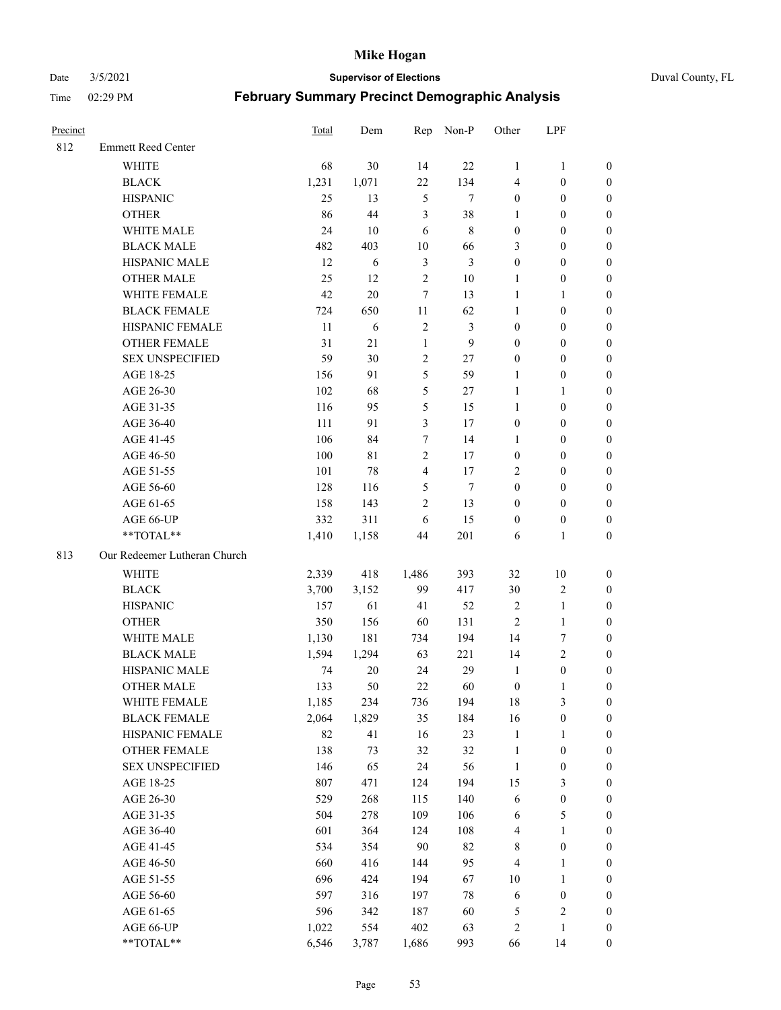Date 3/5/2021 **Supervisor of Elections** Duval County, FL

| Precinct |                              | <b>Total</b> | Dem    | Rep            | Non-P          | Other                   | LPF              |                  |
|----------|------------------------------|--------------|--------|----------------|----------------|-------------------------|------------------|------------------|
| 812      | <b>Emmett Reed Center</b>    |              |        |                |                |                         |                  |                  |
|          | <b>WHITE</b>                 | 68           | 30     | 14             | 22             | 1                       | $\mathbf{1}$     | 0                |
|          | <b>BLACK</b>                 | 1,231        | 1,071  | 22             | 134            | 4                       | $\boldsymbol{0}$ | 0                |
|          | <b>HISPANIC</b>              | 25           | 13     | $\mathfrak{S}$ | $\tau$         | $\boldsymbol{0}$        | $\boldsymbol{0}$ | $\boldsymbol{0}$ |
|          | <b>OTHER</b>                 | 86           | 44     | 3              | 38             | 1                       | $\boldsymbol{0}$ | $\boldsymbol{0}$ |
|          | WHITE MALE                   | 24           | 10     | 6              | $\,8\,$        | $\boldsymbol{0}$        | $\boldsymbol{0}$ | $\boldsymbol{0}$ |
|          | <b>BLACK MALE</b>            | 482          | 403    | 10             | 66             | 3                       | $\boldsymbol{0}$ | $\boldsymbol{0}$ |
|          | HISPANIC MALE                | 12           | 6      | $\mathfrak{Z}$ | $\mathfrak{Z}$ | $\boldsymbol{0}$        | $\boldsymbol{0}$ | $\boldsymbol{0}$ |
|          | <b>OTHER MALE</b>            | 25           | 12     | $\sqrt{2}$     | $10\,$         | $\mathbf{1}$            | $\boldsymbol{0}$ | $\boldsymbol{0}$ |
|          | WHITE FEMALE                 | 42           | 20     | $\tau$         | 13             | $\mathbf{1}$            | $\mathbf{1}$     | $\boldsymbol{0}$ |
|          | <b>BLACK FEMALE</b>          | 724          | 650    | 11             | 62             | $\mathbf{1}$            | $\boldsymbol{0}$ | 0                |
|          | HISPANIC FEMALE              | 11           | 6      | $\sqrt{2}$     | $\mathfrak{Z}$ | $\boldsymbol{0}$        | $\boldsymbol{0}$ | 0                |
|          | <b>OTHER FEMALE</b>          | 31           | 21     | $\mathbf{1}$   | 9              | $\boldsymbol{0}$        | $\boldsymbol{0}$ | $\boldsymbol{0}$ |
|          | <b>SEX UNSPECIFIED</b>       | 59           | 30     | $\sqrt{2}$     | 27             | $\boldsymbol{0}$        | $\boldsymbol{0}$ | $\boldsymbol{0}$ |
|          | AGE 18-25                    | 156          | 91     | 5              | 59             | 1                       | $\boldsymbol{0}$ | $\boldsymbol{0}$ |
|          | AGE 26-30                    | 102          | 68     | 5              | 27             | $\mathbf{1}$            | $\mathbf{1}$     | $\boldsymbol{0}$ |
|          | AGE 31-35                    | 116          | 95     | 5              | 15             | $\mathbf{1}$            | $\boldsymbol{0}$ | $\boldsymbol{0}$ |
|          | AGE 36-40                    | 111          | 91     | 3              | 17             | $\boldsymbol{0}$        | $\boldsymbol{0}$ | $\boldsymbol{0}$ |
|          | AGE 41-45                    | 106          | 84     | 7              | 14             | $\mathbf{1}$            | $\boldsymbol{0}$ | $\boldsymbol{0}$ |
|          | AGE 46-50                    | $100\,$      | 81     | $\sqrt{2}$     | 17             | $\boldsymbol{0}$        | $\boldsymbol{0}$ | $\boldsymbol{0}$ |
|          | AGE 51-55                    | 101          | 78     | $\overline{4}$ | 17             | $\overline{2}$          | $\boldsymbol{0}$ | $\boldsymbol{0}$ |
|          | AGE 56-60                    | 128          | 116    | 5              | $\tau$         | $\boldsymbol{0}$        | $\boldsymbol{0}$ | 0                |
|          | AGE 61-65                    | 158          | 143    | $\mathfrak{2}$ | 13             | $\boldsymbol{0}$        | $\boldsymbol{0}$ | 0                |
|          | AGE 66-UP                    | 332          | 311    | 6              | 15             | $\boldsymbol{0}$        | $\boldsymbol{0}$ | $\boldsymbol{0}$ |
|          | **TOTAL**                    | 1,410        | 1,158  | 44             | 201            | 6                       | $\mathbf{1}$     | $\boldsymbol{0}$ |
| 813      | Our Redeemer Lutheran Church |              |        |                |                |                         |                  |                  |
|          | <b>WHITE</b>                 | 2,339        | 418    | 1,486          | 393            | 32                      | $10\,$           | $\boldsymbol{0}$ |
|          | <b>BLACK</b>                 | 3,700        | 3,152  | 99             | 417            | 30                      | $\sqrt{2}$       | $\boldsymbol{0}$ |
|          | <b>HISPANIC</b>              | 157          | 61     | 41             | 52             | $\sqrt{2}$              | $\mathbf{1}$     | $\boldsymbol{0}$ |
|          | <b>OTHER</b>                 | 350          | 156    | 60             | 131            | $\mathfrak{2}$          | $\mathbf{1}$     | $\boldsymbol{0}$ |
|          | WHITE MALE                   | 1,130        | 181    | 734            | 194            | 14                      | $\boldsymbol{7}$ | $\overline{0}$   |
|          | <b>BLACK MALE</b>            | 1,594        | 1,294  | 63             | 221            | 14                      | $\overline{2}$   | $\boldsymbol{0}$ |
|          | HISPANIC MALE                | 74           | $20\,$ | 24             | 29             | $\mathbf{1}$            | $\boldsymbol{0}$ | 0                |
|          | <b>OTHER MALE</b>            | 133          | 50     | 22             | 60             | $\boldsymbol{0}$        | $\mathbf{1}$     | 0                |
|          | WHITE FEMALE                 | 1,185        | 234    | 736            | 194            | 18                      | 3                | 0                |
|          | <b>BLACK FEMALE</b>          | 2,064        | 1,829  | 35             | 184            | 16                      | $\boldsymbol{0}$ | $\boldsymbol{0}$ |
|          | HISPANIC FEMALE              | 82           | 41     | 16             | 23             | $\mathbf{1}$            | $\mathbf{1}$     | $\overline{0}$   |
|          | OTHER FEMALE                 | 138          | 73     | 32             | 32             | $\mathbf{1}$            | $\boldsymbol{0}$ | $\overline{0}$   |
|          | <b>SEX UNSPECIFIED</b>       | 146          | 65     | 24             | 56             | $\mathbf{1}$            | $\boldsymbol{0}$ | 0                |
|          | AGE 18-25                    | 807          | 471    | 124            | 194            | 15                      | $\mathfrak{Z}$   | 0                |
|          | AGE 26-30                    | 529          | 268    | 115            | 140            | 6                       | $\boldsymbol{0}$ | 0                |
|          | AGE 31-35                    | 504          | 278    | 109            | 106            | 6                       | $\mathfrak{S}$   | 0                |
|          | AGE 36-40                    | 601          | 364    | 124            | 108            | $\overline{\mathbf{4}}$ | $\mathbf{1}$     | 0                |
|          | AGE 41-45                    | 534          | 354    | 90             | 82             | 8                       | $\boldsymbol{0}$ | 0                |
|          | AGE 46-50                    | 660          | 416    | 144            | 95             | 4                       | $\mathbf{1}$     | 0                |
|          | AGE 51-55                    | 696          | 424    | 194            | 67             | 10                      | $\mathbf{1}$     | 0                |
|          | AGE 56-60                    | 597          | 316    | 197            | $78\,$         | 6                       | $\boldsymbol{0}$ | 0                |
|          | AGE 61-65                    | 596          | 342    | 187            | 60             | 5                       | $\sqrt{2}$       | 0                |
|          | AGE 66-UP                    | 1,022        | 554    | 402            | 63             | 2                       | $\mathbf{1}$     | $\boldsymbol{0}$ |
|          | **TOTAL**                    | 6,546        | 3,787  | 1,686          | 993            | 66                      | 14               | $\boldsymbol{0}$ |
|          |                              |              |        |                |                |                         |                  |                  |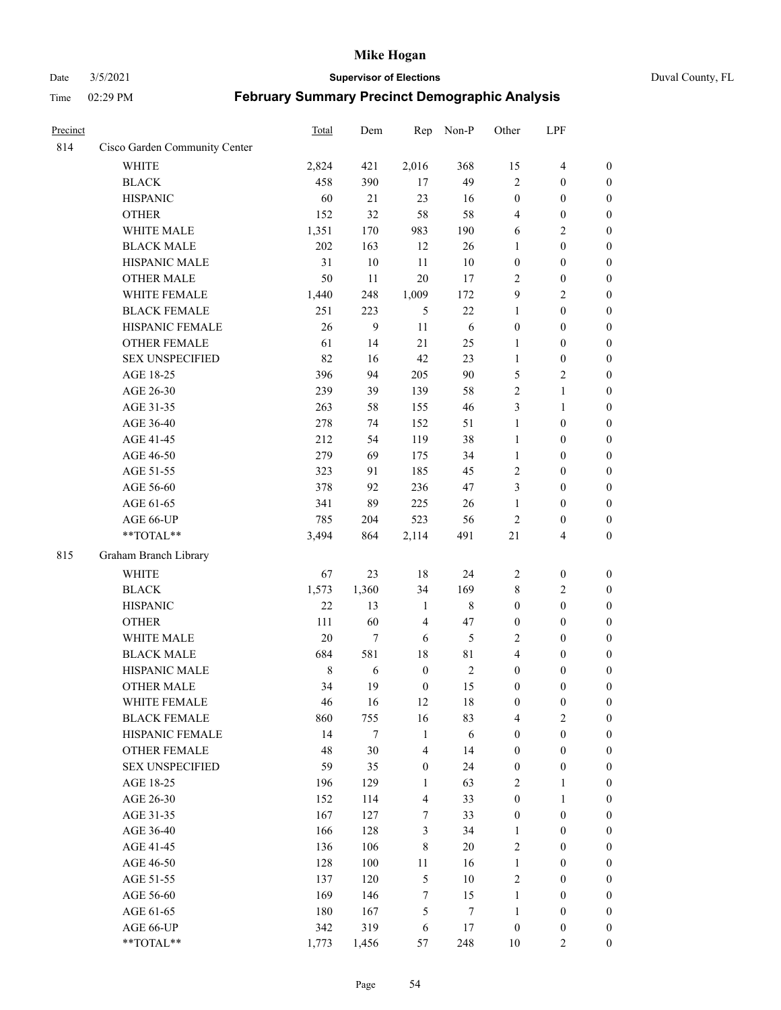#### Date 3/5/2021 **Supervisor of Elections** Duval County, FL

| Precinct |                               | Total       | Dem    | Rep                     | Non-P       | Other            | LPF                     |                  |
|----------|-------------------------------|-------------|--------|-------------------------|-------------|------------------|-------------------------|------------------|
| 814      | Cisco Garden Community Center |             |        |                         |             |                  |                         |                  |
|          | <b>WHITE</b>                  | 2,824       | 421    | 2,016                   | 368         | 15               | $\overline{4}$          | 0                |
|          | <b>BLACK</b>                  | 458         | 390    | 17                      | 49          | $\mathfrak{2}$   | $\boldsymbol{0}$        | $\boldsymbol{0}$ |
|          | <b>HISPANIC</b>               | 60          | 21     | 23                      | 16          | $\boldsymbol{0}$ | $\boldsymbol{0}$        | $\boldsymbol{0}$ |
|          | <b>OTHER</b>                  | 152         | 32     | 58                      | 58          | 4                | $\boldsymbol{0}$        | $\boldsymbol{0}$ |
|          | WHITE MALE                    | 1,351       | 170    | 983                     | 190         | 6                | $\sqrt{2}$              | $\boldsymbol{0}$ |
|          | <b>BLACK MALE</b>             | 202         | 163    | 12                      | 26          | $\mathbf{1}$     | $\boldsymbol{0}$        | $\boldsymbol{0}$ |
|          | HISPANIC MALE                 | 31          | $10\,$ | 11                      | $10\,$      | $\boldsymbol{0}$ | $\boldsymbol{0}$        | $\boldsymbol{0}$ |
|          | <b>OTHER MALE</b>             | 50          | 11     | 20                      | 17          | $\mathbf{2}$     | $\boldsymbol{0}$        | $\boldsymbol{0}$ |
|          | WHITE FEMALE                  | 1,440       | 248    | 1,009                   | 172         | 9                | $\overline{2}$          | $\boldsymbol{0}$ |
|          | <b>BLACK FEMALE</b>           | 251         | 223    | 5                       | 22          | $\mathbf{1}$     | $\boldsymbol{0}$        | $\boldsymbol{0}$ |
|          | HISPANIC FEMALE               | 26          | 9      | 11                      | 6           | $\boldsymbol{0}$ | $\boldsymbol{0}$        | 0                |
|          | <b>OTHER FEMALE</b>           | 61          | 14     | 21                      | 25          | $\mathbf{1}$     | $\boldsymbol{0}$        | $\boldsymbol{0}$ |
|          | <b>SEX UNSPECIFIED</b>        | 82          | 16     | 42                      | 23          | $\mathbf{1}$     | $\boldsymbol{0}$        | $\boldsymbol{0}$ |
|          | AGE 18-25                     | 396         | 94     | 205                     | 90          | 5                | $\sqrt{2}$              | $\boldsymbol{0}$ |
|          | AGE 26-30                     | 239         | 39     | 139                     | 58          | 2                | $\mathbf{1}$            | $\boldsymbol{0}$ |
|          | AGE 31-35                     | 263         | 58     | 155                     | 46          | 3                | $\mathbf{1}$            | $\boldsymbol{0}$ |
|          | AGE 36-40                     | 278         | 74     | 152                     | 51          | $\mathbf{1}$     | $\boldsymbol{0}$        | $\boldsymbol{0}$ |
|          | AGE 41-45                     | 212         | 54     | 119                     | 38          | $\mathbf{1}$     | $\boldsymbol{0}$        | $\boldsymbol{0}$ |
|          | AGE 46-50                     | 279         | 69     | 175                     | 34          | $\mathbf{1}$     | $\boldsymbol{0}$        | $\boldsymbol{0}$ |
|          | AGE 51-55                     | 323         | 91     | 185                     | 45          | $\sqrt{2}$       | $\boldsymbol{0}$        | $\boldsymbol{0}$ |
|          | AGE 56-60                     | 378         | 92     | 236                     | 47          | 3                | $\boldsymbol{0}$        | 0                |
|          | AGE 61-65                     | 341         | 89     | 225                     | 26          | $\mathbf{1}$     | $\boldsymbol{0}$        | 0                |
|          | AGE 66-UP                     | 785         | 204    | 523                     | 56          | $\sqrt{2}$       | $\boldsymbol{0}$        | $\boldsymbol{0}$ |
|          | $**TOTAL**$                   | 3,494       | 864    | 2,114                   | 491         | 21               | $\overline{\mathbf{4}}$ | $\boldsymbol{0}$ |
|          | Graham Branch Library         |             |        |                         |             |                  |                         |                  |
| 815      |                               |             |        |                         |             |                  |                         |                  |
|          | WHITE                         | 67          | 23     | $18\,$                  | 24          | $\overline{2}$   | $\boldsymbol{0}$        | $\boldsymbol{0}$ |
|          | <b>BLACK</b>                  | 1,573       | 1,360  | 34                      | 169         | 8                | $\sqrt{2}$              | $\boldsymbol{0}$ |
|          | <b>HISPANIC</b>               | 22          | 13     | $\mathbf{1}$            | $\,$ 8 $\,$ | $\boldsymbol{0}$ | $\boldsymbol{0}$        | $\boldsymbol{0}$ |
|          | <b>OTHER</b>                  | 111         | 60     | $\overline{4}$          | 47          | $\boldsymbol{0}$ | $\boldsymbol{0}$        | $\boldsymbol{0}$ |
|          | WHITE MALE                    | 20          | $\tau$ | 6                       | 5           | 2                | $\boldsymbol{0}$        | $\boldsymbol{0}$ |
|          | <b>BLACK MALE</b>             | 684         | 581    | $18\,$                  | 81          | 4                | $\boldsymbol{0}$        | $\boldsymbol{0}$ |
|          | HISPANIC MALE                 | $\,$ 8 $\,$ | 6      | $\boldsymbol{0}$        | $\sqrt{2}$  | $\boldsymbol{0}$ | $\boldsymbol{0}$        | $\boldsymbol{0}$ |
|          | <b>OTHER MALE</b>             | 34          | 19     | $\boldsymbol{0}$        | 15          | $\boldsymbol{0}$ | $\boldsymbol{0}$        | $\boldsymbol{0}$ |
|          | WHITE FEMALE                  | 46          | 16     | 12                      | 18          | $\boldsymbol{0}$ | $\boldsymbol{0}$        | 0                |
|          | <b>BLACK FEMALE</b>           | 860         | 755    | 16                      | 83          | 4                | $\overline{2}$          | $\overline{0}$   |
|          | HISPANIC FEMALE               | 14          | 7      | $\mathbf{1}$            | 6           | $\boldsymbol{0}$ | $\boldsymbol{0}$        | $\overline{0}$   |
|          | OTHER FEMALE                  | 48          | 30     | $\overline{\mathbf{4}}$ | 14          | $\boldsymbol{0}$ | $\boldsymbol{0}$        | $\overline{0}$   |
|          | <b>SEX UNSPECIFIED</b>        | 59          | 35     | $\boldsymbol{0}$        | 24          | $\boldsymbol{0}$ | $\boldsymbol{0}$        | $\overline{0}$   |
|          | AGE 18-25                     | 196         | 129    | 1                       | 63          | $\mathfrak{2}$   | $\mathbf{1}$            | $\overline{0}$   |
|          | AGE 26-30                     | 152         | 114    | $\overline{\mathbf{4}}$ | 33          | $\boldsymbol{0}$ | $\mathbf{1}$            | $\overline{0}$   |
|          | AGE 31-35                     | 167         | 127    | 7                       | 33          | $\boldsymbol{0}$ | $\boldsymbol{0}$        | 0                |
|          | AGE 36-40                     | 166         | 128    | $\mathfrak{Z}$          | 34          | $\mathbf{1}$     | $\boldsymbol{0}$        | 0                |
|          | AGE 41-45                     | 136         | 106    | $\,8\,$                 | 20          | $\mathbf{2}$     | $\boldsymbol{0}$        | 0                |
|          | AGE 46-50                     | 128         | 100    | 11                      | 16          | $\mathbf{1}$     | $\boldsymbol{0}$        | 0                |
|          | AGE 51-55                     | 137         | 120    | $\mathfrak s$           | $10\,$      | $\sqrt{2}$       | $\boldsymbol{0}$        | $\boldsymbol{0}$ |
|          | AGE 56-60                     | 169         | 146    | $\tau$                  | 15          | $\mathbf{1}$     | $\boldsymbol{0}$        | $\overline{0}$   |
|          | AGE 61-65                     | 180         | 167    | $\mathfrak{S}$          | 7           | $\mathbf{1}$     | $\boldsymbol{0}$        | $\overline{0}$   |
|          | AGE 66-UP                     | 342         | 319    | 6                       | 17          | $\boldsymbol{0}$ | $\boldsymbol{0}$        | $\boldsymbol{0}$ |
|          | **TOTAL**                     | 1,773       | 1,456  | 57                      | 248         | 10               | $\overline{2}$          | $\boldsymbol{0}$ |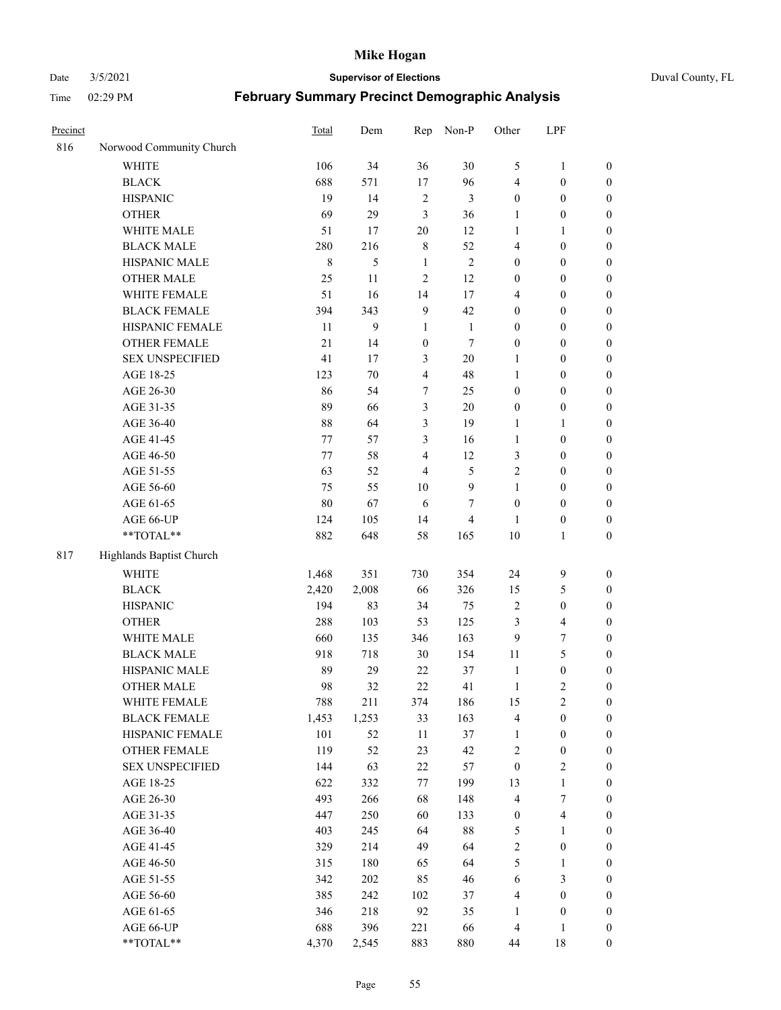#### Date 3/5/2021 **Supervisor of Elections** Duval County, FL

| Precinct |                          | Total   | Dem        | Rep                     | Non-P          | Other            | LPF                     |                                      |
|----------|--------------------------|---------|------------|-------------------------|----------------|------------------|-------------------------|--------------------------------------|
| 816      | Norwood Community Church |         |            |                         |                |                  |                         |                                      |
|          | <b>WHITE</b>             | 106     | 34         | 36                      | 30             | 5                | $\mathbf{1}$            | 0                                    |
|          | <b>BLACK</b>             | 688     | 571        | 17                      | 96             | 4                | $\boldsymbol{0}$        | $\boldsymbol{0}$                     |
|          | <b>HISPANIC</b>          | 19      | 14         | $\sqrt{2}$              | 3              | $\boldsymbol{0}$ | $\boldsymbol{0}$        | $\boldsymbol{0}$                     |
|          | <b>OTHER</b>             | 69      | 29         | 3                       | 36             | 1                | $\boldsymbol{0}$        | $\boldsymbol{0}$                     |
|          | WHITE MALE               | 51      | 17         | 20                      | 12             | $\mathbf{1}$     | 1                       | $\boldsymbol{0}$                     |
|          | <b>BLACK MALE</b>        | 280     | 216        | $\,$ 8 $\,$             | 52             | 4                | $\boldsymbol{0}$        | $\boldsymbol{0}$                     |
|          | HISPANIC MALE            | $\,8\,$ | 5          | $\mathbf{1}$            | $\sqrt{2}$     | $\boldsymbol{0}$ | $\boldsymbol{0}$        | $\boldsymbol{0}$                     |
|          | <b>OTHER MALE</b>        | 25      | 11         | $\mathfrak{2}$          | 12             | $\boldsymbol{0}$ | $\boldsymbol{0}$        | $\boldsymbol{0}$                     |
|          | WHITE FEMALE             | 51      | 16         | 14                      | 17             | 4                | $\boldsymbol{0}$        | $\boldsymbol{0}$                     |
|          | <b>BLACK FEMALE</b>      | 394     | 343        | $\overline{9}$          | 42             | $\boldsymbol{0}$ | $\boldsymbol{0}$        | $\boldsymbol{0}$                     |
|          | HISPANIC FEMALE          | 11      | 9          | $\mathbf{1}$            | $\mathbf{1}$   | $\boldsymbol{0}$ | $\boldsymbol{0}$        | 0                                    |
|          | OTHER FEMALE             | 21      | 14         | $\boldsymbol{0}$        | $\tau$         | $\boldsymbol{0}$ | $\boldsymbol{0}$        | $\boldsymbol{0}$                     |
|          | <b>SEX UNSPECIFIED</b>   | 41      | 17         | $\mathfrak{Z}$          | $20\,$         | $\mathbf{1}$     | $\boldsymbol{0}$        | $\boldsymbol{0}$                     |
|          | AGE 18-25                | 123     | 70         | $\overline{4}$          | 48             | 1                | $\boldsymbol{0}$        | $\boldsymbol{0}$                     |
|          | AGE 26-30                | 86      | 54         | $\boldsymbol{7}$        | 25             | $\boldsymbol{0}$ | $\boldsymbol{0}$        | $\boldsymbol{0}$                     |
|          | AGE 31-35                | 89      | 66         | 3                       | 20             | $\boldsymbol{0}$ | $\boldsymbol{0}$        | $\boldsymbol{0}$                     |
|          | AGE 36-40                | $88\,$  | 64         | 3                       | 19             | $\mathbf{1}$     | $\mathbf{1}$            | $\boldsymbol{0}$                     |
|          | AGE 41-45                | 77      | 57         | $\mathfrak{Z}$          | 16             | $\mathbf{1}$     | $\boldsymbol{0}$        | $\boldsymbol{0}$                     |
|          | AGE 46-50                | 77      | 58         | $\overline{\mathbf{4}}$ | 12             | 3                | $\boldsymbol{0}$        | $\boldsymbol{0}$                     |
|          | AGE 51-55                | 63      | 52         | $\overline{4}$          | $\mathfrak{S}$ | $\mathbf{2}$     | $\boldsymbol{0}$        | $\boldsymbol{0}$                     |
|          | AGE 56-60                | 75      | 55         | 10                      | $\mathbf{9}$   | $\mathbf{1}$     | $\boldsymbol{0}$        |                                      |
|          |                          | $80\,$  | 67         | 6                       | 7              | $\boldsymbol{0}$ | $\boldsymbol{0}$        | 0                                    |
|          | AGE 61-65                |         |            |                         |                |                  |                         | 0                                    |
|          | AGE 66-UP<br>**TOTAL**   | 124     | 105<br>648 | 14<br>58                | $\overline{4}$ | 1<br>10          | $\boldsymbol{0}$        | $\boldsymbol{0}$<br>$\boldsymbol{0}$ |
|          |                          | 882     |            |                         | 165            |                  | $\mathbf{1}$            |                                      |
| 817      | Highlands Baptist Church |         |            |                         |                |                  |                         |                                      |
|          | <b>WHITE</b>             | 1,468   | 351        | 730                     | 354            | 24               | $\mathbf{9}$            | $\boldsymbol{0}$                     |
|          | <b>BLACK</b>             | 2,420   | 2,008      | 66                      | 326            | 15               | $\mathfrak{S}$          | $\boldsymbol{0}$                     |
|          | <b>HISPANIC</b>          | 194     | 83         | 34                      | 75             | $\overline{c}$   | $\boldsymbol{0}$        | $\boldsymbol{0}$                     |
|          | <b>OTHER</b>             | 288     | 103        | 53                      | 125            | 3                | $\overline{\mathbf{4}}$ | $\boldsymbol{0}$                     |
|          | WHITE MALE               | 660     | 135        | 346                     | 163            | 9                | $\tau$                  | $\boldsymbol{0}$                     |
|          | <b>BLACK MALE</b>        | 918     | 718        | $30\,$                  | 154            | 11               | 5                       | $\boldsymbol{0}$                     |
|          | HISPANIC MALE            | 89      | 29         | $22\,$                  | 37             | $\mathbf{1}$     | $\boldsymbol{0}$        | $\boldsymbol{0}$                     |
|          | <b>OTHER MALE</b>        | 98      | 32         | 22                      | 41             | $\mathbf{1}$     | $\mathbf{2}$            | $\boldsymbol{0}$                     |
|          | WHITE FEMALE             | 788     | 211        | 374                     | 186            | 15               | 2                       | 0                                    |
|          | <b>BLACK FEMALE</b>      | 1,453   | 1,253      | 33                      | 163            | 4                | $\boldsymbol{0}$        | $\boldsymbol{0}$                     |
|          | HISPANIC FEMALE          | 101     | 52         | $11\,$                  | 37             | 1                | $\boldsymbol{0}$        | $\boldsymbol{0}$                     |
|          | OTHER FEMALE             | 119     | 52         | 23                      | 42             | $\overline{c}$   | $\boldsymbol{0}$        | $\overline{0}$                       |
|          | <b>SEX UNSPECIFIED</b>   | 144     | 63         | $22\,$                  | 57             | $\boldsymbol{0}$ | $\mathfrak{2}$          | 0                                    |
|          | AGE 18-25                | 622     | 332        | 77                      | 199            | 13               | $\mathbf{1}$            | $\theta$                             |
|          | AGE 26-30                | 493     | 266        | 68                      | 148            | 4                | $\boldsymbol{7}$        | 0                                    |
|          | AGE 31-35                | 447     | 250        | 60                      | 133            | $\boldsymbol{0}$ | $\overline{\mathbf{4}}$ | 0                                    |
|          | AGE 36-40                | 403     | 245        | 64                      | $88\,$         | 5                | $\mathbf{1}$            | 0                                    |
|          | AGE 41-45                | 329     | 214        | 49                      | 64             | $\overline{c}$   | $\boldsymbol{0}$        | 0                                    |
|          | AGE 46-50                | 315     | 180        | 65                      | 64             | 5                | $\mathbf{1}$            | 0                                    |
|          | AGE 51-55                | 342     | 202        | 85                      | 46             | 6                | $\mathfrak{Z}$          | 0                                    |
|          | AGE 56-60                | 385     | 242        | 102                     | 37             | 4                | $\boldsymbol{0}$        | $\overline{0}$                       |
|          | AGE 61-65                | 346     | 218        | 92                      | 35             | 1                | $\boldsymbol{0}$        | $\boldsymbol{0}$                     |
|          | AGE 66-UP                | 688     | 396        | 221                     | 66             | $\overline{4}$   | $\mathbf{1}$            | $\boldsymbol{0}$                     |
|          | **TOTAL**                | 4,370   | 2,545      | 883                     | 880            | 44               | 18                      | $\boldsymbol{0}$                     |
|          |                          |         |            |                         |                |                  |                         |                                      |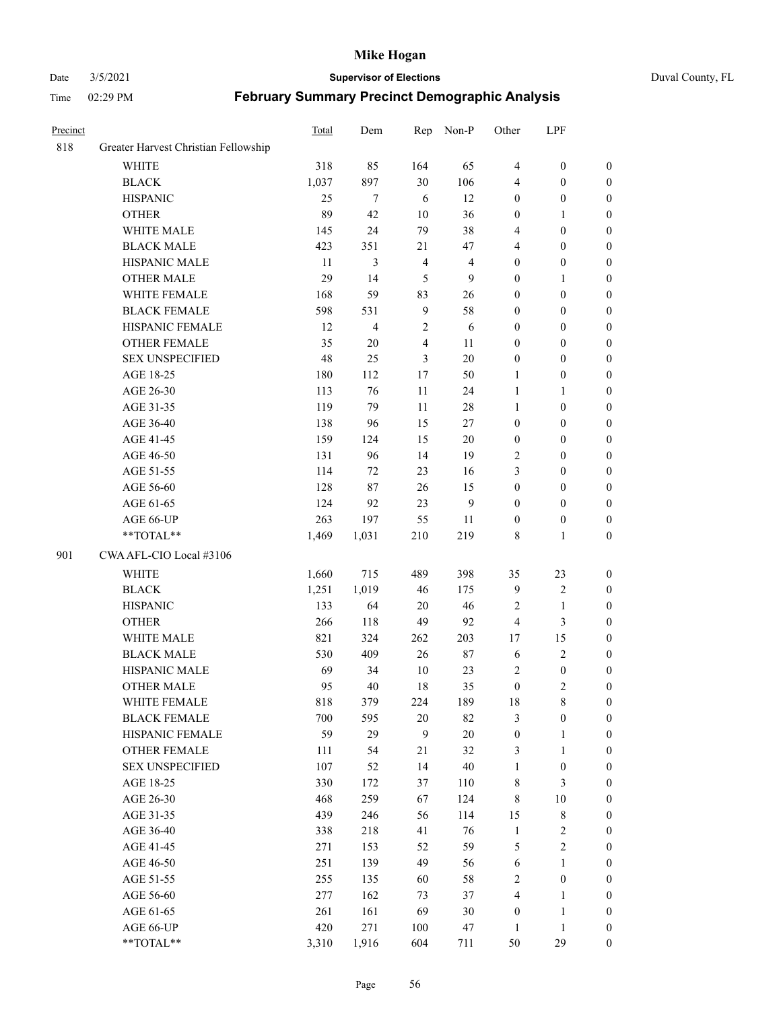#### Date 3/5/2021 **Supervisor of Elections** Duval County, FL

| Precinct |                                      | Total | Dem    | Rep            | Non-P          | Other            | LPF              |                  |
|----------|--------------------------------------|-------|--------|----------------|----------------|------------------|------------------|------------------|
| 818      | Greater Harvest Christian Fellowship |       |        |                |                |                  |                  |                  |
|          | <b>WHITE</b>                         | 318   | 85     | 164            | 65             | $\overline{4}$   | $\boldsymbol{0}$ | 0                |
|          | <b>BLACK</b>                         | 1,037 | 897    | 30             | 106            | 4                | $\boldsymbol{0}$ | 0                |
|          | <b>HISPANIC</b>                      | 25    | $\tau$ | 6              | 12             | $\boldsymbol{0}$ | $\boldsymbol{0}$ | $\boldsymbol{0}$ |
|          | <b>OTHER</b>                         | 89    | 42     | $10\,$         | 36             | $\boldsymbol{0}$ | $\mathbf{1}$     | $\boldsymbol{0}$ |
|          | WHITE MALE                           | 145   | 24     | 79             | 38             | 4                | $\boldsymbol{0}$ | $\boldsymbol{0}$ |
|          | <b>BLACK MALE</b>                    | 423   | 351    | 21             | 47             | 4                | $\boldsymbol{0}$ | $\boldsymbol{0}$ |
|          | HISPANIC MALE                        | 11    | 3      | $\overline{4}$ | $\overline{4}$ | $\boldsymbol{0}$ | $\boldsymbol{0}$ | $\boldsymbol{0}$ |
|          | <b>OTHER MALE</b>                    | 29    | 14     | 5              | $\mathbf{9}$   | $\boldsymbol{0}$ | $\mathbf{1}$     | $\boldsymbol{0}$ |
|          | WHITE FEMALE                         | 168   | 59     | 83             | 26             | $\boldsymbol{0}$ | $\boldsymbol{0}$ | $\boldsymbol{0}$ |
|          | <b>BLACK FEMALE</b>                  | 598   | 531    | $\overline{9}$ | 58             | $\boldsymbol{0}$ | $\boldsymbol{0}$ | 0                |
|          | HISPANIC FEMALE                      | 12    | 4      | $\sqrt{2}$     | 6              | $\boldsymbol{0}$ | $\boldsymbol{0}$ | 0                |
|          | <b>OTHER FEMALE</b>                  | 35    | $20\,$ | $\overline{4}$ | 11             | $\boldsymbol{0}$ | $\boldsymbol{0}$ | $\boldsymbol{0}$ |
|          | <b>SEX UNSPECIFIED</b>               | 48    | 25     | 3              | $20\,$         | $\boldsymbol{0}$ | $\boldsymbol{0}$ | $\boldsymbol{0}$ |
|          | AGE 18-25                            | 180   | 112    | $17\,$         | 50             | 1                | $\boldsymbol{0}$ | $\boldsymbol{0}$ |
|          | AGE 26-30                            | 113   | 76     | $11\,$         | 24             | $\mathbf{1}$     | $\mathbf{1}$     | $\boldsymbol{0}$ |
|          | AGE 31-35                            | 119   | 79     | 11             | $28\,$         | $\mathbf{1}$     | $\boldsymbol{0}$ | $\boldsymbol{0}$ |
|          | AGE 36-40                            | 138   | 96     | 15             | 27             | $\boldsymbol{0}$ | $\boldsymbol{0}$ | $\boldsymbol{0}$ |
|          | AGE 41-45                            | 159   | 124    | 15             | $20\,$         | $\boldsymbol{0}$ | $\boldsymbol{0}$ | $\boldsymbol{0}$ |
|          | AGE 46-50                            | 131   | 96     | 14             | 19             | $\mathfrak{2}$   | $\boldsymbol{0}$ | $\boldsymbol{0}$ |
|          | AGE 51-55                            | 114   | 72     | 23             | 16             | 3                | $\boldsymbol{0}$ | $\boldsymbol{0}$ |
|          | AGE 56-60                            | 128   | 87     | 26             | 15             | $\boldsymbol{0}$ | $\boldsymbol{0}$ | 0                |
|          | AGE 61-65                            | 124   | 92     | 23             | 9              | $\boldsymbol{0}$ | $\boldsymbol{0}$ | 0                |
|          | AGE 66-UP                            | 263   | 197    | 55             | 11             | $\boldsymbol{0}$ | $\boldsymbol{0}$ | $\boldsymbol{0}$ |
|          | $**TOTAL**$                          | 1,469 | 1,031  | 210            | 219            | 8                | $\mathbf{1}$     | $\boldsymbol{0}$ |
| 901      | CWA AFL-CIO Local #3106              |       |        |                |                |                  |                  |                  |
|          | <b>WHITE</b>                         | 1,660 | 715    | 489            | 398            | 35               | 23               | $\boldsymbol{0}$ |
|          | <b>BLACK</b>                         | 1,251 | 1,019  | 46             | 175            | $\mathbf{9}$     | $\sqrt{2}$       | $\boldsymbol{0}$ |
|          | <b>HISPANIC</b>                      | 133   | 64     | $20\,$         | 46             | 2                | $\mathbf{1}$     | $\boldsymbol{0}$ |
|          | <b>OTHER</b>                         | 266   | 118    | 49             | 92             | 4                | $\mathfrak{Z}$   | $\boldsymbol{0}$ |
|          | WHITE MALE                           | 821   | 324    | 262            | 203            | 17               | 15               | $\boldsymbol{0}$ |
|          | <b>BLACK MALE</b>                    | 530   | 409    | 26             | $87\,$         | 6                | $\sqrt{2}$       | $\boldsymbol{0}$ |
|          | HISPANIC MALE                        | 69    | 34     | $10\,$         | 23             | 2                | $\boldsymbol{0}$ | 0                |
|          | <b>OTHER MALE</b>                    | 95    | 40     | 18             | 35             | $\boldsymbol{0}$ | $\mathbf{2}$     | $\boldsymbol{0}$ |
|          | WHITE FEMALE                         | 818   | 379    | 224            | 189            | 18               | 8                | 0                |
|          | <b>BLACK FEMALE</b>                  | 700   | 595    | $20\,$         | 82             | 3                | $\boldsymbol{0}$ | $\boldsymbol{0}$ |
|          | HISPANIC FEMALE                      | 59    | 29     | 9              | $20\,$         | $\boldsymbol{0}$ | $\mathbf{1}$     | $\overline{0}$   |
|          | OTHER FEMALE                         | 111   | 54     | 21             | 32             | 3                | $\mathbf{1}$     | $\overline{0}$   |
|          | <b>SEX UNSPECIFIED</b>               | 107   | 52     | 14             | 40             | $\mathbf{1}$     | $\boldsymbol{0}$ | 0                |
|          | AGE 18-25                            | 330   | 172    | 37             | 110            | $\,$ 8 $\,$      | $\mathfrak{Z}$   | $\theta$         |
|          | AGE 26-30                            | 468   | 259    | 67             | 124            | 8                | $10\,$           | 0                |
|          | AGE 31-35                            | 439   | 246    | 56             | 114            | 15               | $\,$ 8 $\,$      | 0                |
|          | AGE 36-40                            | 338   | 218    | 41             | 76             | $\mathbf{1}$     | $\sqrt{2}$       | 0                |
|          | AGE 41-45                            | 271   | 153    | 52             | 59             | 5                | $\sqrt{2}$       | 0                |
|          | AGE 46-50                            | 251   | 139    | 49             | 56             | $\sqrt{6}$       | $\mathbf{1}$     | 0                |
|          | AGE 51-55                            | 255   | 135    | 60             | 58             | $\sqrt{2}$       | $\boldsymbol{0}$ | 0                |
|          | AGE 56-60                            | 277   | 162    | 73             | 37             | 4                | $\mathbf{1}$     | $\boldsymbol{0}$ |
|          | AGE 61-65                            | 261   | 161    | 69             | 30             | $\boldsymbol{0}$ | $\mathbf{1}$     | $\boldsymbol{0}$ |
|          | AGE 66-UP                            | 420   | 271    | 100            | 47             | $\mathbf{1}$     | $\mathbf{1}$     | $\boldsymbol{0}$ |
|          | **TOTAL**                            | 3,310 | 1,916  | 604            | 711            | 50               | 29               | $\boldsymbol{0}$ |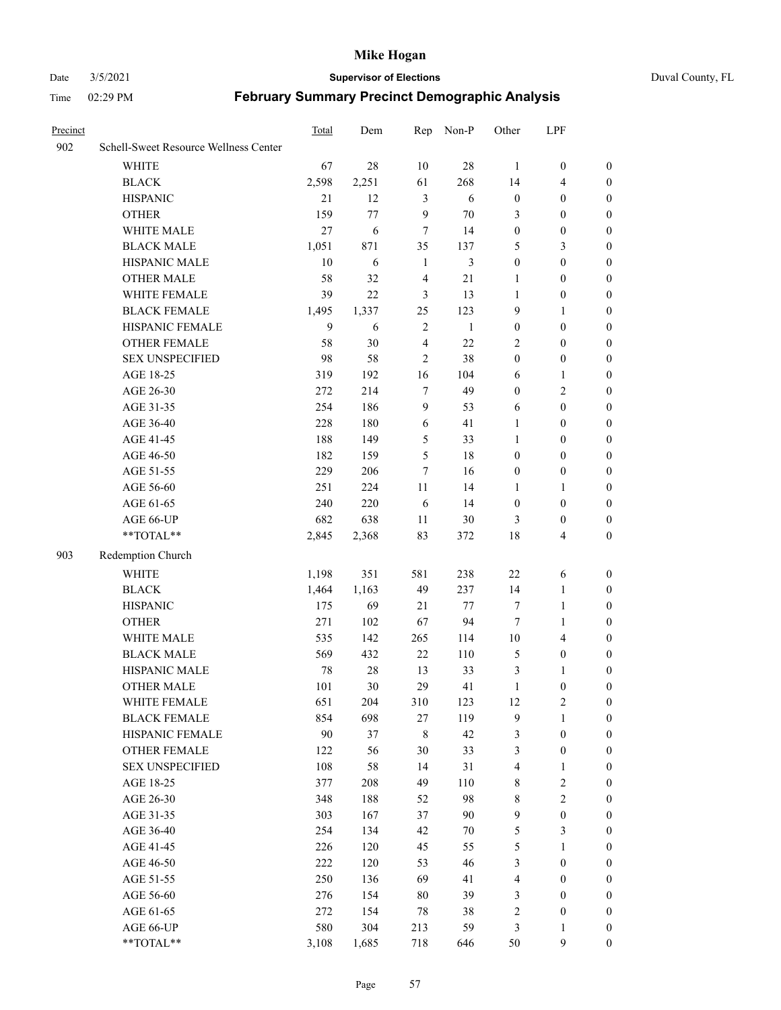#### Date 3/5/2021 **Supervisor of Elections** Duval County, FL

| Precinct |                                       | Total | Dem   | Rep            | Non-P        | Other            | LPF              |                  |
|----------|---------------------------------------|-------|-------|----------------|--------------|------------------|------------------|------------------|
| 902      | Schell-Sweet Resource Wellness Center |       |       |                |              |                  |                  |                  |
|          | <b>WHITE</b>                          | 67    | 28    | 10             | $28\,$       | $\mathbf{1}$     | $\boldsymbol{0}$ | $\boldsymbol{0}$ |
|          | <b>BLACK</b>                          | 2,598 | 2,251 | 61             | 268          | 14               | $\overline{4}$   | $\boldsymbol{0}$ |
|          | <b>HISPANIC</b>                       | 21    | 12    | 3              | 6            | $\boldsymbol{0}$ | $\boldsymbol{0}$ | $\boldsymbol{0}$ |
|          | <b>OTHER</b>                          | 159   | 77    | 9              | 70           | 3                | $\boldsymbol{0}$ | $\boldsymbol{0}$ |
|          | WHITE MALE                            | 27    | 6     | 7              | 14           | $\boldsymbol{0}$ | $\boldsymbol{0}$ | $\boldsymbol{0}$ |
|          | <b>BLACK MALE</b>                     | 1,051 | 871   | 35             | 137          | 5                | 3                | $\boldsymbol{0}$ |
|          | HISPANIC MALE                         | 10    | 6     | $\mathbf{1}$   | 3            | $\boldsymbol{0}$ | $\boldsymbol{0}$ | $\boldsymbol{0}$ |
|          | <b>OTHER MALE</b>                     | 58    | 32    | $\overline{4}$ | 21           | 1                | $\boldsymbol{0}$ | 0                |
|          | WHITE FEMALE                          | 39    | 22    | 3              | 13           | $\mathbf{1}$     | $\boldsymbol{0}$ | 0                |
|          | <b>BLACK FEMALE</b>                   | 1,495 | 1,337 | 25             | 123          | 9                | $\mathbf{1}$     | 0                |
|          | HISPANIC FEMALE                       | 9     | 6     | $\overline{2}$ | $\mathbf{1}$ | $\boldsymbol{0}$ | $\boldsymbol{0}$ | $\boldsymbol{0}$ |
|          | OTHER FEMALE                          | 58    | 30    | $\overline{4}$ | 22           | 2                | $\boldsymbol{0}$ | $\boldsymbol{0}$ |
|          | <b>SEX UNSPECIFIED</b>                | 98    | 58    | $\overline{2}$ | 38           | $\boldsymbol{0}$ | $\boldsymbol{0}$ | $\boldsymbol{0}$ |
|          | AGE 18-25                             | 319   | 192   | 16             | 104          | 6                | $\mathbf{1}$     | $\boldsymbol{0}$ |
|          | AGE 26-30                             | 272   | 214   | $\tau$         | 49           | $\boldsymbol{0}$ | $\mathbf{2}$     | $\boldsymbol{0}$ |
|          | AGE 31-35                             | 254   | 186   | 9              | 53           | 6                | $\boldsymbol{0}$ | $\boldsymbol{0}$ |
|          | AGE 36-40                             | 228   | 180   | 6              | 41           | $\mathbf{1}$     | $\boldsymbol{0}$ | $\boldsymbol{0}$ |
|          | AGE 41-45                             | 188   | 149   | 5              | 33           | $\mathbf{1}$     | $\boldsymbol{0}$ | $\boldsymbol{0}$ |
|          | AGE 46-50                             | 182   | 159   | 5              | 18           | $\boldsymbol{0}$ | $\boldsymbol{0}$ | 0                |
|          | AGE 51-55                             | 229   | 206   | $\overline{7}$ | 16           | $\boldsymbol{0}$ | $\boldsymbol{0}$ | 0                |
|          | AGE 56-60                             | 251   | 224   | 11             | 14           | 1                | $\mathbf{1}$     | $\boldsymbol{0}$ |
|          | AGE 61-65                             | 240   | 220   | 6              | 14           | $\boldsymbol{0}$ | $\boldsymbol{0}$ | $\boldsymbol{0}$ |
|          | AGE 66-UP                             | 682   | 638   | 11             | 30           | 3                | $\boldsymbol{0}$ | $\boldsymbol{0}$ |
|          | $**TOTAL**$                           | 2,845 | 2,368 | 83             | 372          | 18               | $\overline{4}$   | $\boldsymbol{0}$ |
| 903      | Redemption Church                     |       |       |                |              |                  |                  |                  |
|          | <b>WHITE</b>                          | 1,198 | 351   | 581            | 238          | $22\,$           | 6                | $\boldsymbol{0}$ |
|          | <b>BLACK</b>                          | 1,464 | 1,163 | 49             | 237          | 14               | $\mathbf{1}$     | $\boldsymbol{0}$ |
|          | <b>HISPANIC</b>                       | 175   | 69    | 21             | $77 \,$      | 7                | $\mathbf{1}$     | $\boldsymbol{0}$ |
|          | <b>OTHER</b>                          | 271   | 102   | 67             | 94           | $\tau$           | $\mathbf{1}$     | $\boldsymbol{0}$ |
|          | WHITE MALE                            | 535   | 142   | 265            | 114          | $10\,$           | $\overline{4}$   | 0                |
|          | <b>BLACK MALE</b>                     | 569   | 432   | 22             | 110          | $\mathfrak{S}$   | $\boldsymbol{0}$ | 0                |
|          | HISPANIC MALE                         | 78    | 28    | 13             | 33           | 3                | $\mathbf{1}$     | 0                |
|          | <b>OTHER MALE</b>                     | 101   | 30    | 29             | 41           | $\mathbf{1}$     | $\boldsymbol{0}$ | $\boldsymbol{0}$ |
|          | WHITE FEMALE                          | 651   | 204   | 310            | 123          | $12\,$           | $\sqrt{2}$       | $\boldsymbol{0}$ |
|          | <b>BLACK FEMALE</b>                   | 854   | 698   | $27\,$         | 119          | 9                | $\mathbf{1}$     | $\boldsymbol{0}$ |
|          | HISPANIC FEMALE                       | 90    | 37    | $\,$ 8 $\,$    | 42           | 3                | $\boldsymbol{0}$ | $\overline{0}$   |
|          | <b>OTHER FEMALE</b>                   | 122   | 56    | 30             | 33           | 3                | $\boldsymbol{0}$ | $\overline{0}$   |
|          | <b>SEX UNSPECIFIED</b>                | 108   | 58    | 14             | 31           | 4                | $\mathbf{1}$     | $\overline{0}$   |
|          | AGE 18-25                             | 377   | 208   | 49             | 110          | $\,$ 8 $\,$      | $\sqrt{2}$       | 0                |
|          | AGE 26-30                             | 348   | 188   | 52             | 98           | 8                | $\sqrt{2}$       | 0                |
|          | AGE 31-35                             | 303   | 167   | 37             | 90           | $\overline{9}$   | $\boldsymbol{0}$ | 0                |
|          | AGE 36-40                             | 254   | 134   | 42             | $70\,$       | 5                | $\mathfrak{Z}$   | 0                |
|          | AGE 41-45                             | 226   | 120   | 45             | 55           | 5                | $\mathbf{1}$     | $\overline{0}$   |
|          | AGE 46-50                             | 222   | 120   | 53             | 46           | 3                | $\boldsymbol{0}$ | $\boldsymbol{0}$ |
|          | AGE 51-55                             | 250   | 136   | 69             | 41           | $\overline{4}$   | $\boldsymbol{0}$ | $\boldsymbol{0}$ |
|          | AGE 56-60                             | 276   | 154   | 80             | 39           | 3                | $\boldsymbol{0}$ | $\overline{0}$   |
|          | AGE 61-65                             | 272   | 154   | 78             | 38           | $\overline{c}$   | $\boldsymbol{0}$ | $\overline{0}$   |
|          | AGE 66-UP                             | 580   | 304   | 213            | 59           | 3                | $\mathbf{1}$     | $\overline{0}$   |
|          | **TOTAL**                             | 3,108 | 1,685 | 718            | 646          | 50               | $\mathbf{9}$     | $\boldsymbol{0}$ |
|          |                                       |       |       |                |              |                  |                  |                  |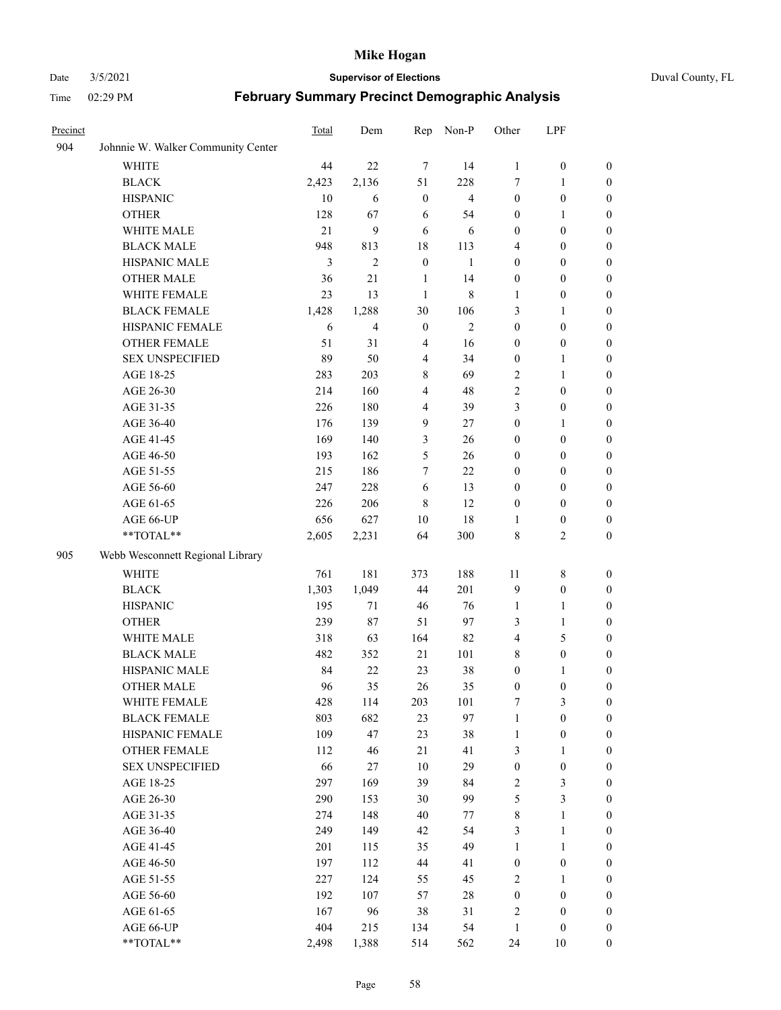#### Date 3/5/2021 **Supervisor of Elections** Duval County, FL

| Precinct |                                    | Total | Dem            | Rep              | Non-P          | Other            | LPF              |                  |
|----------|------------------------------------|-------|----------------|------------------|----------------|------------------|------------------|------------------|
| 904      | Johnnie W. Walker Community Center |       |                |                  |                |                  |                  |                  |
|          | <b>WHITE</b>                       | 44    | 22             | 7                | 14             | $\mathbf{1}$     | $\boldsymbol{0}$ | $\boldsymbol{0}$ |
|          | <b>BLACK</b>                       | 2,423 | 2,136          | 51               | 228            | 7                | $\mathbf{1}$     | $\boldsymbol{0}$ |
|          | <b>HISPANIC</b>                    | 10    | 6              | $\boldsymbol{0}$ | $\overline{4}$ | $\boldsymbol{0}$ | $\boldsymbol{0}$ | $\boldsymbol{0}$ |
|          | <b>OTHER</b>                       | 128   | 67             | 6                | 54             | $\boldsymbol{0}$ | 1                | $\boldsymbol{0}$ |
|          | WHITE MALE                         | 21    | 9              | 6                | 6              | $\boldsymbol{0}$ | $\boldsymbol{0}$ | $\boldsymbol{0}$ |
|          | <b>BLACK MALE</b>                  | 948   | 813            | 18               | 113            | 4                | $\boldsymbol{0}$ | $\boldsymbol{0}$ |
|          | HISPANIC MALE                      | 3     | $\overline{2}$ | $\boldsymbol{0}$ | $\mathbf{1}$   | $\boldsymbol{0}$ | $\boldsymbol{0}$ | $\boldsymbol{0}$ |
|          | <b>OTHER MALE</b>                  | 36    | 21             | $\mathbf{1}$     | 14             | $\boldsymbol{0}$ | $\boldsymbol{0}$ | 0                |
|          | WHITE FEMALE                       | 23    | 13             | $\mathbf{1}$     | 8              | 1                | $\boldsymbol{0}$ | 0                |
|          | <b>BLACK FEMALE</b>                | 1,428 | 1,288          | 30               | 106            | 3                | $\mathbf{1}$     | 0                |
|          | HISPANIC FEMALE                    | 6     | $\overline{4}$ | $\boldsymbol{0}$ | $\mathbf{2}$   | $\boldsymbol{0}$ | $\boldsymbol{0}$ | $\boldsymbol{0}$ |
|          | OTHER FEMALE                       | 51    | 31             | $\overline{4}$   | 16             | $\boldsymbol{0}$ | $\boldsymbol{0}$ | $\boldsymbol{0}$ |
|          | <b>SEX UNSPECIFIED</b>             | 89    | 50             | $\overline{4}$   | 34             | $\boldsymbol{0}$ | $\mathbf{1}$     | $\boldsymbol{0}$ |
|          | AGE 18-25                          | 283   | 203            | $\,$ 8 $\,$      | 69             | 2                | $\mathbf{1}$     | $\boldsymbol{0}$ |
|          | AGE 26-30                          | 214   | 160            | $\overline{4}$   | 48             | $\sqrt{2}$       | $\boldsymbol{0}$ | $\boldsymbol{0}$ |
|          | AGE 31-35                          | 226   | 180            | $\overline{4}$   | 39             | 3                | $\boldsymbol{0}$ | $\boldsymbol{0}$ |
|          | AGE 36-40                          | 176   | 139            | 9                | 27             | $\boldsymbol{0}$ | $\mathbf{1}$     | $\boldsymbol{0}$ |
|          | AGE 41-45                          | 169   | 140            | 3                | 26             | $\boldsymbol{0}$ | $\boldsymbol{0}$ | $\boldsymbol{0}$ |
|          | AGE 46-50                          | 193   | 162            | 5                | 26             | $\boldsymbol{0}$ | $\boldsymbol{0}$ | $\boldsymbol{0}$ |
|          | AGE 51-55                          | 215   | 186            | $\tau$           | 22             | 0                | $\boldsymbol{0}$ | 0                |
|          | AGE 56-60                          | 247   | 228            | 6                | 13             | $\boldsymbol{0}$ | $\boldsymbol{0}$ | $\boldsymbol{0}$ |
|          | AGE 61-65                          | 226   | 206            | $\,$ 8 $\,$      | 12             | $\boldsymbol{0}$ | $\boldsymbol{0}$ | $\boldsymbol{0}$ |
|          | AGE 66-UP                          | 656   | 627            | 10               | 18             | 1                | $\boldsymbol{0}$ | $\boldsymbol{0}$ |
|          | **TOTAL**                          | 2,605 | 2,231          | 64               | 300            | 8                | $\mathbf{2}$     | $\boldsymbol{0}$ |
| 905      | Webb Wesconnett Regional Library   |       |                |                  |                |                  |                  |                  |
|          | <b>WHITE</b>                       | 761   | 181            | 373              | 188            | 11               | $\,$ 8 $\,$      | $\boldsymbol{0}$ |
|          | <b>BLACK</b>                       | 1,303 | 1,049          | 44               | 201            | $\overline{9}$   | $\boldsymbol{0}$ | $\boldsymbol{0}$ |
|          | <b>HISPANIC</b>                    | 195   | 71             | 46               | 76             | $\mathbf{1}$     | $\mathbf{1}$     | $\boldsymbol{0}$ |
|          | <b>OTHER</b>                       | 239   | $87\,$         | 51               | 97             | 3                | $\mathbf{1}$     | $\boldsymbol{0}$ |
|          | WHITE MALE                         | 318   | 63             | 164              | 82             | 4                | $\mathfrak{S}$   | $\boldsymbol{0}$ |
|          | <b>BLACK MALE</b>                  | 482   | 352            | 21               | 101            | 8                | $\boldsymbol{0}$ | $\boldsymbol{0}$ |
|          | HISPANIC MALE                      | 84    | 22             | 23               | 38             | $\boldsymbol{0}$ | 1                | 0                |
|          | <b>OTHER MALE</b>                  | 96    | 35             | 26               | 35             | $\boldsymbol{0}$ | $\boldsymbol{0}$ | $\boldsymbol{0}$ |
|          | WHITE FEMALE                       | 428   | 114            | 203              | 101            | 7                | $\mathfrak{Z}$   | $\boldsymbol{0}$ |
|          | <b>BLACK FEMALE</b>                | 803   | 682            | 23               | 97             | $\mathbf{1}$     | $\boldsymbol{0}$ | $\overline{0}$   |
|          | HISPANIC FEMALE                    | 109   | 47             | 23               | 38             | $\mathbf{1}$     | $\boldsymbol{0}$ | $\overline{0}$   |
|          | <b>OTHER FEMALE</b>                | 112   | 46             | $21\,$           | 41             | 3                | $\mathbf{1}$     | $\overline{0}$   |
|          | <b>SEX UNSPECIFIED</b>             | 66    | 27             | 10               | 29             | $\boldsymbol{0}$ | $\boldsymbol{0}$ | $\theta$         |
|          | AGE 18-25                          | 297   | 169            | 39               | 84             | 2                | $\mathfrak{Z}$   | 0                |
|          | AGE 26-30                          | 290   | 153            | 30               | 99             | 5                | $\mathfrak{Z}$   | 0                |
|          | AGE 31-35                          | 274   | 148            | 40               | 77             | $\,$ $\,$        | $\mathbf{1}$     | 0                |
|          | AGE 36-40                          | 249   | 149            | 42               | 54             | 3                | $\mathbf{1}$     | 0                |
|          | AGE 41-45                          | 201   | 115            | 35               | 49             | $\mathbf{1}$     | $\mathbf{1}$     | 0                |
|          | AGE 46-50                          | 197   | 112            | 44               | 41             | $\boldsymbol{0}$ | $\boldsymbol{0}$ | 0                |
|          | AGE 51-55                          | 227   | 124            | 55               | 45             | $\mathfrak{2}$   | $\mathbf{1}$     | $\boldsymbol{0}$ |
|          | AGE 56-60                          | 192   | 107            | 57               | $28\,$         | $\boldsymbol{0}$ | $\boldsymbol{0}$ | $\overline{0}$   |
|          | AGE 61-65                          | 167   | 96             | 38               | 31             | $\overline{c}$   | $\boldsymbol{0}$ | 0                |
|          | AGE 66-UP                          | 404   | 215            | 134              | 54             | $\mathbf{1}$     | $\boldsymbol{0}$ | 0                |
|          | **TOTAL**                          | 2,498 | 1,388          | 514              | 562            | 24               | 10               | $\boldsymbol{0}$ |
|          |                                    |       |                |                  |                |                  |                  |                  |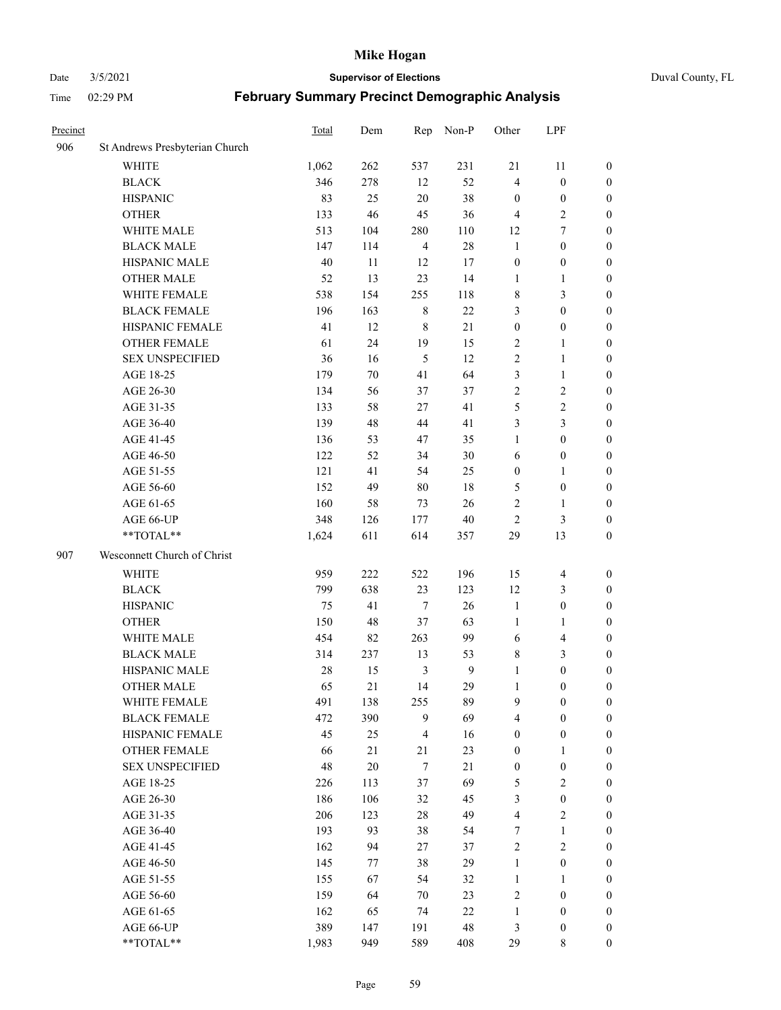#### Date 3/5/2021 **Supervisor of Elections** Duval County, FL

| Precinct |                                | Total | Dem    | Rep            | Non-P        | Other            | LPF                     |                  |
|----------|--------------------------------|-------|--------|----------------|--------------|------------------|-------------------------|------------------|
| 906      | St Andrews Presbyterian Church |       |        |                |              |                  |                         |                  |
|          | <b>WHITE</b>                   | 1,062 | 262    | 537            | 231          | 21               | 11                      | 0                |
|          | <b>BLACK</b>                   | 346   | 278    | 12             | 52           | $\overline{4}$   | $\boldsymbol{0}$        | 0                |
|          | <b>HISPANIC</b>                | 83    | 25     | 20             | 38           | $\boldsymbol{0}$ | $\boldsymbol{0}$        | $\boldsymbol{0}$ |
|          | <b>OTHER</b>                   | 133   | 46     | 45             | 36           | $\overline{4}$   | $\sqrt{2}$              | $\boldsymbol{0}$ |
|          | WHITE MALE                     | 513   | 104    | 280            | 110          | 12               | $\tau$                  | $\boldsymbol{0}$ |
|          | <b>BLACK MALE</b>              | 147   | 114    | $\overline{4}$ | 28           | $\mathbf{1}$     | $\boldsymbol{0}$        | $\boldsymbol{0}$ |
|          | HISPANIC MALE                  | 40    | 11     | 12             | 17           | $\boldsymbol{0}$ | $\boldsymbol{0}$        | $\boldsymbol{0}$ |
|          | <b>OTHER MALE</b>              | 52    | 13     | 23             | 14           | $\mathbf{1}$     | $\mathbf{1}$            | $\boldsymbol{0}$ |
|          | WHITE FEMALE                   | 538   | 154    | 255            | 118          | 8                | $\mathfrak{Z}$          | $\boldsymbol{0}$ |
|          | <b>BLACK FEMALE</b>            | 196   | 163    | $\,$ 8 $\,$    | $22\,$       | 3                | $\boldsymbol{0}$        | 0                |
|          | HISPANIC FEMALE                | 41    | 12     | $\,8\,$        | 21           | $\boldsymbol{0}$ | $\boldsymbol{0}$        | 0                |
|          | <b>OTHER FEMALE</b>            | 61    | 24     | 19             | 15           | $\overline{2}$   | $\mathbf{1}$            | 0                |
|          | <b>SEX UNSPECIFIED</b>         | 36    | 16     | 5              | 12           | $\mathfrak{2}$   | $\mathbf{1}$            | $\boldsymbol{0}$ |
|          | AGE 18-25                      | 179   | 70     | 41             | 64           | 3                | $\mathbf{1}$            | $\boldsymbol{0}$ |
|          | AGE 26-30                      | 134   | 56     | 37             | 37           | $\overline{c}$   | $\sqrt{2}$              | $\boldsymbol{0}$ |
|          | AGE 31-35                      | 133   | 58     | 27             | 41           | 5                | $\sqrt{2}$              | $\boldsymbol{0}$ |
|          | AGE 36-40                      | 139   | 48     | 44             | 41           | 3                | $\mathfrak{Z}$          | $\boldsymbol{0}$ |
|          | AGE 41-45                      | 136   | 53     | 47             | 35           | $\mathbf{1}$     | $\boldsymbol{0}$        | $\boldsymbol{0}$ |
|          | AGE 46-50                      | 122   | 52     | 34             | 30           | 6                | $\boldsymbol{0}$        | $\boldsymbol{0}$ |
|          | AGE 51-55                      | 121   | 41     | 54             | 25           | $\boldsymbol{0}$ | $\mathbf{1}$            | $\boldsymbol{0}$ |
|          | AGE 56-60                      | 152   | 49     | 80             | 18           | 5                | $\boldsymbol{0}$        | 0                |
|          | AGE 61-65                      | 160   | 58     | 73             | 26           | $\mathbf{2}$     | $\mathbf{1}$            | 0                |
|          | AGE 66-UP                      | 348   | 126    | 177            | $40\,$       | $\sqrt{2}$       | $\mathfrak{Z}$          | $\boldsymbol{0}$ |
|          | $**TOTAL**$                    | 1,624 | 611    | 614            | 357          | 29               | 13                      | $\boldsymbol{0}$ |
| 907      | Wesconnett Church of Christ    |       |        |                |              |                  |                         |                  |
|          | <b>WHITE</b>                   | 959   | 222    | 522            | 196          | 15               | $\overline{\mathbf{4}}$ | $\boldsymbol{0}$ |
|          | <b>BLACK</b>                   | 799   | 638    | 23             | 123          | 12               | $\mathfrak{Z}$          | $\boldsymbol{0}$ |
|          | <b>HISPANIC</b>                | 75    | 41     | $\tau$         | 26           | $\mathbf{1}$     | $\boldsymbol{0}$        | $\boldsymbol{0}$ |
|          | <b>OTHER</b>                   | 150   | 48     | 37             | 63           | $\mathbf{1}$     | $\mathbf{1}$            | $\boldsymbol{0}$ |
|          | WHITE MALE                     | 454   | 82     | 263            | 99           | 6                | $\overline{\mathbf{4}}$ | $\boldsymbol{0}$ |
|          | <b>BLACK MALE</b>              | 314   | 237    | 13             | 53           | 8                | $\mathfrak{Z}$          | $\boldsymbol{0}$ |
|          | HISPANIC MALE                  | 28    | 15     | $\mathfrak{Z}$ | $\mathbf{9}$ | $\mathbf{1}$     | $\boldsymbol{0}$        | $\boldsymbol{0}$ |
|          | <b>OTHER MALE</b>              | 65    | 21     | 14             | 29           | $\mathbf{1}$     | $\boldsymbol{0}$        | $\boldsymbol{0}$ |
|          | WHITE FEMALE                   | 491   | 138    | 255            | 89           | 9                | $\boldsymbol{0}$        | 0                |
|          | <b>BLACK FEMALE</b>            | 472   | 390    | 9              | 69           | 4                | $\boldsymbol{0}$        | $\boldsymbol{0}$ |
|          | HISPANIC FEMALE                | 45    | 25     | $\overline{4}$ | 16           | $\boldsymbol{0}$ | $\boldsymbol{0}$        | $\overline{0}$   |
|          | <b>OTHER FEMALE</b>            | 66    | 21     | 21             | 23           | $\boldsymbol{0}$ | $\mathbf{1}$            | $\overline{0}$   |
|          | <b>SEX UNSPECIFIED</b>         | 48    | $20\,$ | $\tau$         | 21           | $\boldsymbol{0}$ | $\boldsymbol{0}$        | 0                |
|          | AGE 18-25                      | 226   | 113    | 37             | 69           | 5                | $\sqrt{2}$              | $\theta$         |
|          | AGE 26-30                      | 186   | 106    | 32             | 45           | 3                | $\boldsymbol{0}$        | 0                |
|          | AGE 31-35                      | 206   | 123    | $28\,$         | 49           | 4                | $\sqrt{2}$              | 0                |
|          | AGE 36-40                      | 193   | 93     | 38             | 54           | 7                | $\mathbf{1}$            | 0                |
|          | AGE 41-45                      | 162   | 94     | 27             | 37           | $\sqrt{2}$       | $\mathfrak{2}$          | 0                |
|          | AGE 46-50                      | 145   | 77     | 38             | 29           | $\mathbf{1}$     | $\boldsymbol{0}$        | 0                |
|          | AGE 51-55                      | 155   | 67     | 54             | 32           | $\mathbf{1}$     | $\mathbf{1}$            | $\boldsymbol{0}$ |
|          | AGE 56-60                      | 159   | 64     | $70\,$         | 23           | 2                | $\boldsymbol{0}$        | $\overline{0}$   |
|          | AGE 61-65                      | 162   | 65     | 74             | 22           | $\mathbf{1}$     | $\boldsymbol{0}$        | $\overline{0}$   |
|          | AGE 66-UP                      | 389   | 147    | 191            | 48           | 3                | $\boldsymbol{0}$        | $\boldsymbol{0}$ |
|          | **TOTAL**                      | 1,983 | 949    | 589            | 408          | 29               | 8                       | $\boldsymbol{0}$ |
|          |                                |       |        |                |              |                  |                         |                  |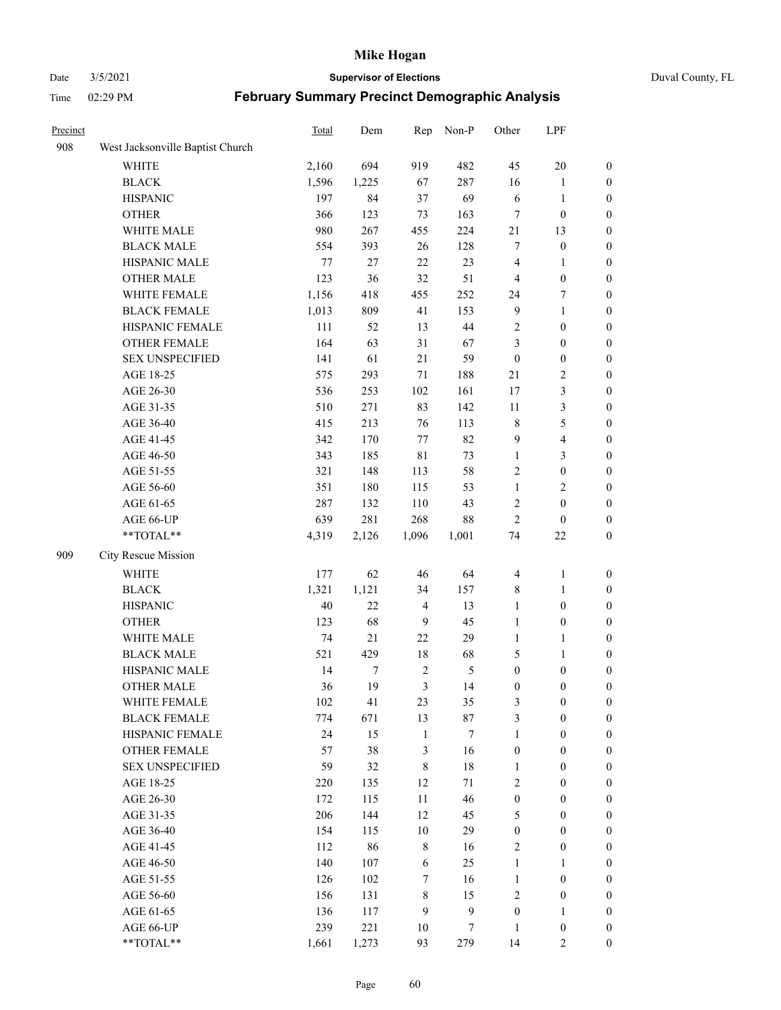#### Date 3/5/2021 **Supervisor of Elections** Duval County, FL

| Precinct |                                  | Total  | Dem   | Rep            | Non-P          | Other            | LPF                     |                  |
|----------|----------------------------------|--------|-------|----------------|----------------|------------------|-------------------------|------------------|
| 908      | West Jacksonville Baptist Church |        |       |                |                |                  |                         |                  |
|          | <b>WHITE</b>                     | 2,160  | 694   | 919            | 482            | 45               | $20\,$                  | 0                |
|          | <b>BLACK</b>                     | 1,596  | 1,225 | 67             | 287            | 16               | $\mathbf{1}$            | 0                |
|          | <b>HISPANIC</b>                  | 197    | 84    | 37             | 69             | 6                | $\mathbf{1}$            | 0                |
|          | <b>OTHER</b>                     | 366    | 123   | 73             | 163            | 7                | $\boldsymbol{0}$        | $\boldsymbol{0}$ |
|          | WHITE MALE                       | 980    | 267   | 455            | 224            | 21               | 13                      | $\boldsymbol{0}$ |
|          | <b>BLACK MALE</b>                | 554    | 393   | 26             | 128            | 7                | $\boldsymbol{0}$        | $\boldsymbol{0}$ |
|          | HISPANIC MALE                    | 77     | 27    | 22             | 23             | 4                | $\mathbf{1}$            | $\boldsymbol{0}$ |
|          | <b>OTHER MALE</b>                | 123    | 36    | 32             | 51             | $\overline{4}$   | $\boldsymbol{0}$        | $\boldsymbol{0}$ |
|          | WHITE FEMALE                     | 1,156  | 418   | 455            | 252            | 24               | $\boldsymbol{7}$        | $\boldsymbol{0}$ |
|          | <b>BLACK FEMALE</b>              | 1,013  | 809   | 41             | 153            | $\overline{9}$   | $\mathbf{1}$            | 0                |
|          | HISPANIC FEMALE                  | 111    | 52    | 13             | 44             | $\sqrt{2}$       | $\boldsymbol{0}$        | 0                |
|          | OTHER FEMALE                     | 164    | 63    | 31             | 67             | 3                | $\boldsymbol{0}$        | 0                |
|          | <b>SEX UNSPECIFIED</b>           | 141    | 61    | 21             | 59             | $\boldsymbol{0}$ | $\boldsymbol{0}$        | $\boldsymbol{0}$ |
|          | AGE 18-25                        | 575    | 293   | $71\,$         | 188            | 21               | $\sqrt{2}$              | $\boldsymbol{0}$ |
|          | AGE 26-30                        | 536    | 253   | 102            | 161            | $17$             | $\mathfrak{Z}$          | $\boldsymbol{0}$ |
|          | AGE 31-35                        | 510    | 271   | 83             | 142            | 11               | $\mathfrak{Z}$          | $\boldsymbol{0}$ |
|          | AGE 36-40                        | 415    | 213   | 76             | 113            | $\,$ 8 $\,$      | $\mathfrak s$           | $\boldsymbol{0}$ |
|          | AGE 41-45                        | 342    | 170   | 77             | 82             | 9                | $\overline{\mathbf{4}}$ | $\boldsymbol{0}$ |
|          | AGE 46-50                        | 343    | 185   | $8\sqrt{1}$    | 73             | $\mathbf{1}$     | $\mathfrak{Z}$          | $\boldsymbol{0}$ |
|          | AGE 51-55                        | 321    | 148   | 113            | 58             | $\sqrt{2}$       | $\boldsymbol{0}$        | $\boldsymbol{0}$ |
|          | AGE 56-60                        | 351    | 180   | 115            | 53             | $\mathbf{1}$     | $\sqrt{2}$              | 0                |
|          | AGE 61-65                        | 287    | 132   | 110            | 43             | $\sqrt{2}$       | $\boldsymbol{0}$        | 0                |
|          | AGE 66-UP                        | 639    | 281   | 268            | $88\,$         | $\mathfrak{2}$   | $\boldsymbol{0}$        | $\boldsymbol{0}$ |
|          | **TOTAL**                        | 4,319  | 2,126 | 1,096          | 1,001          | 74               | $22\,$                  | $\boldsymbol{0}$ |
| 909      | City Rescue Mission              |        |       |                |                |                  |                         |                  |
|          | <b>WHITE</b>                     | 177    | 62    | 46             | 64             | $\overline{4}$   | $\mathbf{1}$            | $\boldsymbol{0}$ |
|          | <b>BLACK</b>                     | 1,321  | 1,121 | 34             | 157            | $\,$ 8 $\,$      | $\mathbf{1}$            | $\boldsymbol{0}$ |
|          | <b>HISPANIC</b>                  | $40\,$ | 22    | $\overline{4}$ | 13             | $\mathbf{1}$     | $\boldsymbol{0}$        | $\boldsymbol{0}$ |
|          | <b>OTHER</b>                     | 123    | 68    | 9              | 45             | $\mathbf{1}$     | $\boldsymbol{0}$        | $\boldsymbol{0}$ |
|          | WHITE MALE                       | 74     | 21    | $22\,$         | 29             | $\mathbf{1}$     | $\mathbf{1}$            | $\boldsymbol{0}$ |
|          | <b>BLACK MALE</b>                | 521    | 429   | 18             | 68             | 5                | $\mathbf{1}$            | $\boldsymbol{0}$ |
|          | HISPANIC MALE                    | 14     | 7     | $\sqrt{2}$     | $\mathfrak{S}$ | $\boldsymbol{0}$ | $\boldsymbol{0}$        | 0                |
|          | <b>OTHER MALE</b>                | 36     | 19    | 3              | 14             | $\boldsymbol{0}$ | $\boldsymbol{0}$        | $\boldsymbol{0}$ |
|          | WHITE FEMALE                     | 102    | 41    | 23             | 35             | 3                | $\boldsymbol{0}$        | 0                |
|          | <b>BLACK FEMALE</b>              | 774    | 671   | 13             | 87             | 3                | $\boldsymbol{0}$        | $\overline{0}$   |
|          | HISPANIC FEMALE                  | 24     | 15    | $\mathbf{1}$   | $\tau$         | $\mathbf{1}$     | $\boldsymbol{0}$        | $\overline{0}$   |
|          | OTHER FEMALE                     | 57     | 38    | 3              | 16             | $\boldsymbol{0}$ | $\boldsymbol{0}$        | $\overline{0}$   |
|          | <b>SEX UNSPECIFIED</b>           | 59     | 32    | $\,$ 8 $\,$    | $18\,$         | $\mathbf{1}$     | $\boldsymbol{0}$        | $\overline{0}$   |
|          | AGE 18-25                        | 220    | 135   | 12             | 71             | 2                | $\boldsymbol{0}$        | $\theta$         |
|          | AGE 26-30                        | 172    | 115   | $11\,$         | 46             | $\boldsymbol{0}$ | $\boldsymbol{0}$        | 0                |
|          | AGE 31-35                        | 206    | 144   | 12             | 45             | 5                | $\boldsymbol{0}$        | 0                |
|          | AGE 36-40                        | 154    | 115   | 10             | 29             | $\boldsymbol{0}$ | $\boldsymbol{0}$        | 0                |
|          | AGE 41-45                        | 112    | 86    | $\,$ 8 $\,$    | 16             | 2                | $\boldsymbol{0}$        | 0                |
|          | AGE 46-50                        | 140    | 107   | 6              | 25             | $\mathbf{1}$     | $\mathbf{1}$            | 0                |
|          | AGE 51-55                        | 126    | 102   | $\tau$         | 16             | $\mathbf{1}$     | $\boldsymbol{0}$        | $\overline{0}$   |
|          | AGE 56-60                        | 156    | 131   | $\,$ 8 $\,$    | 15             | $\mathbf{2}$     | $\boldsymbol{0}$        | $\overline{0}$   |
|          | AGE 61-65                        | 136    | 117   | 9              | $\mathbf{9}$   | $\boldsymbol{0}$ | $\mathbf{1}$            | $\overline{0}$   |
|          | AGE 66-UP                        | 239    | 221   | 10             | 7              | $\mathbf{1}$     | $\boldsymbol{0}$        | $\boldsymbol{0}$ |
|          | **TOTAL**                        | 1,661  | 1,273 | 93             | 279            | 14               | $\overline{2}$          | $\boldsymbol{0}$ |
|          |                                  |        |       |                |                |                  |                         |                  |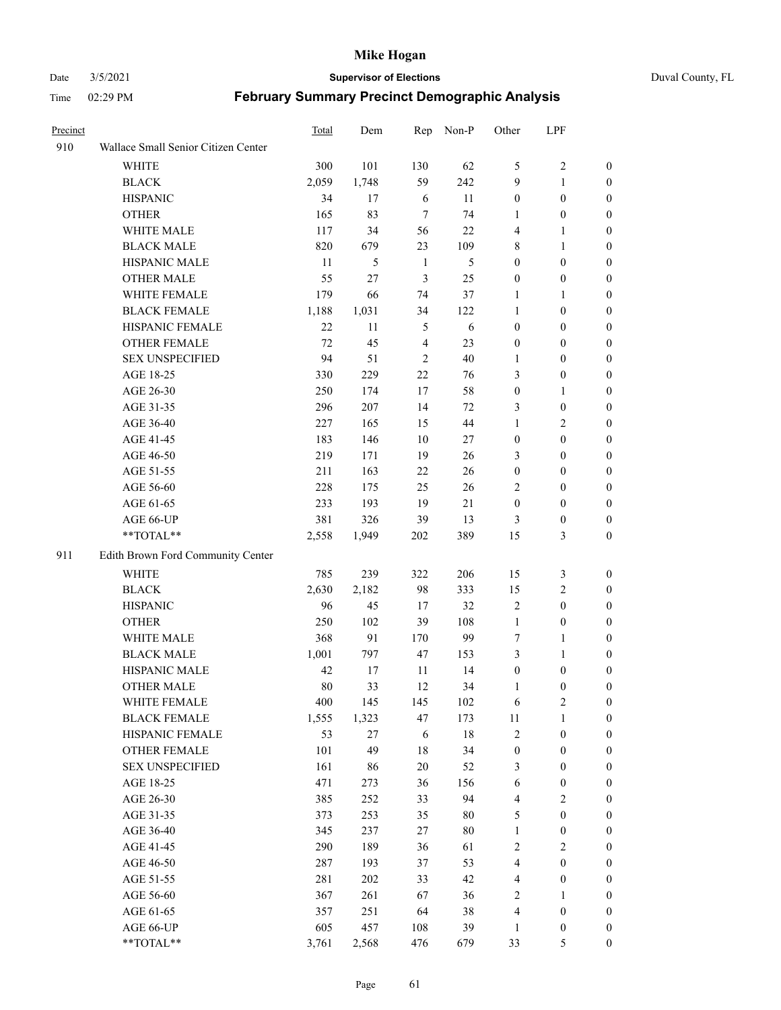#### Date 3/5/2021 **Supervisor of Elections** Duval County, FL

| Precinct |                                     | <b>Total</b> | Dem   | Rep             | Non-P  | Other            | LPF              |                  |
|----------|-------------------------------------|--------------|-------|-----------------|--------|------------------|------------------|------------------|
| 910      | Wallace Small Senior Citizen Center |              |       |                 |        |                  |                  |                  |
|          | <b>WHITE</b>                        | 300          | 101   | 130             | 62     | 5                | $\sqrt{2}$       | 0                |
|          | <b>BLACK</b>                        | 2,059        | 1,748 | 59              | 242    | 9                | $\mathbf{1}$     | 0                |
|          | <b>HISPANIC</b>                     | 34           | 17    | 6               | 11     | $\boldsymbol{0}$ | $\boldsymbol{0}$ | $\boldsymbol{0}$ |
|          | <b>OTHER</b>                        | 165          | 83    | $7\phantom{.0}$ | 74     | 1                | $\boldsymbol{0}$ | $\boldsymbol{0}$ |
|          | WHITE MALE                          | 117          | 34    | 56              | 22     | 4                | $\mathbf{1}$     | $\boldsymbol{0}$ |
|          | <b>BLACK MALE</b>                   | 820          | 679   | 23              | 109    | 8                | $\mathbf{1}$     | $\boldsymbol{0}$ |
|          | HISPANIC MALE                       | 11           | 5     | $\mathbf{1}$    | 5      | $\boldsymbol{0}$ | $\boldsymbol{0}$ | $\boldsymbol{0}$ |
|          | <b>OTHER MALE</b>                   | 55           | 27    | 3               | 25     | $\boldsymbol{0}$ | $\boldsymbol{0}$ | $\boldsymbol{0}$ |
|          | WHITE FEMALE                        | 179          | 66    | 74              | 37     | 1                | $\mathbf{1}$     | $\boldsymbol{0}$ |
|          | <b>BLACK FEMALE</b>                 | 1,188        | 1,031 | 34              | 122    | $\mathbf{1}$     | $\boldsymbol{0}$ | 0                |
|          | HISPANIC FEMALE                     | 22           | 11    | 5               | 6      | $\boldsymbol{0}$ | $\boldsymbol{0}$ | 0                |
|          | <b>OTHER FEMALE</b>                 | 72           | 45    | $\overline{4}$  | 23     | $\boldsymbol{0}$ | $\boldsymbol{0}$ | 0                |
|          | <b>SEX UNSPECIFIED</b>              | 94           | 51    | $\overline{2}$  | 40     | $\mathbf{1}$     | $\boldsymbol{0}$ | $\boldsymbol{0}$ |
|          | AGE 18-25                           | 330          | 229   | 22              | 76     | 3                | $\boldsymbol{0}$ | $\boldsymbol{0}$ |
|          | AGE 26-30                           | 250          | 174   | 17              | 58     | $\boldsymbol{0}$ | $\mathbf{1}$     | $\boldsymbol{0}$ |
|          | AGE 31-35                           | 296          | 207   | 14              | 72     | 3                | $\boldsymbol{0}$ | $\boldsymbol{0}$ |
|          | AGE 36-40                           | 227          | 165   | 15              | 44     | 1                | $\mathfrak{2}$   | $\boldsymbol{0}$ |
|          | AGE 41-45                           | 183          | 146   | 10              | 27     | $\boldsymbol{0}$ | $\boldsymbol{0}$ | $\boldsymbol{0}$ |
|          | AGE 46-50                           | 219          | 171   | 19              | 26     | 3                | $\boldsymbol{0}$ | $\boldsymbol{0}$ |
|          | AGE 51-55                           | 211          | 163   | 22              | 26     | $\boldsymbol{0}$ | $\boldsymbol{0}$ | $\boldsymbol{0}$ |
|          | AGE 56-60                           | 228          | 175   | 25              | 26     | $\overline{2}$   | $\boldsymbol{0}$ | 0                |
|          | AGE 61-65                           | 233          | 193   | 19              | 21     | $\boldsymbol{0}$ | $\boldsymbol{0}$ | 0                |
|          | AGE 66-UP                           | 381          | 326   | 39              | 13     | 3                | $\boldsymbol{0}$ | $\boldsymbol{0}$ |
|          | $**TOTAL**$                         | 2,558        | 1,949 | 202             | 389    | 15               | $\mathfrak{Z}$   | $\boldsymbol{0}$ |
| 911      | Edith Brown Ford Community Center   |              |       |                 |        |                  |                  |                  |
|          | <b>WHITE</b>                        | 785          | 239   | 322             | 206    | 15               | 3                | $\boldsymbol{0}$ |
|          | <b>BLACK</b>                        | 2,630        | 2,182 | 98              | 333    | 15               | $\sqrt{2}$       | $\boldsymbol{0}$ |
|          | <b>HISPANIC</b>                     | 96           | 45    | 17              | 32     | $\overline{c}$   | $\boldsymbol{0}$ | $\boldsymbol{0}$ |
|          | <b>OTHER</b>                        | 250          | 102   | 39              | 108    | $\mathbf{1}$     | $\boldsymbol{0}$ | $\boldsymbol{0}$ |
|          | WHITE MALE                          | 368          | 91    | 170             | 99     | $\tau$           | $\mathbf{1}$     | $\boldsymbol{0}$ |
|          | <b>BLACK MALE</b>                   | 1,001        | 797   | 47              | 153    | 3                | $\mathbf{1}$     | $\boldsymbol{0}$ |
|          | HISPANIC MALE                       | 42           | 17    | 11              | 14     | $\boldsymbol{0}$ | $\boldsymbol{0}$ | 0                |
|          | <b>OTHER MALE</b>                   | 80           | 33    | 12              | 34     | 1                | $\boldsymbol{0}$ | 0                |
|          | WHITE FEMALE                        | 400          | 145   | 145             | 102    | 6                | 2                | 0                |
|          | <b>BLACK FEMALE</b>                 | 1,555        | 1,323 | 47              | 173    | 11               | $\mathbf{1}$     | $\boldsymbol{0}$ |
|          | HISPANIC FEMALE                     | 53           | 27    | 6               | $18\,$ | $\overline{c}$   | $\boldsymbol{0}$ | $\overline{0}$   |
|          | OTHER FEMALE                        | 101          | 49    | $18\,$          | 34     | $\boldsymbol{0}$ | $\boldsymbol{0}$ | $\overline{0}$   |
|          | <b>SEX UNSPECIFIED</b>              | 161          | 86    | $20\,$          | 52     | 3                | $\boldsymbol{0}$ | 0                |
|          | AGE 18-25                           | 471          | 273   | 36              | 156    | 6                | $\boldsymbol{0}$ | $\theta$         |
|          | AGE 26-30                           | 385          | 252   | 33              | 94     | 4                | $\overline{2}$   | 0                |
|          | AGE 31-35                           | 373          | 253   | 35              | 80     | 5                | $\boldsymbol{0}$ | 0                |
|          | AGE 36-40                           | 345          | 237   | $27\,$          | $80\,$ | $\mathbf{1}$     | $\boldsymbol{0}$ | 0                |
|          | AGE 41-45                           | 290          | 189   | 36              | 61     | $\mathbf{2}$     | $\overline{2}$   | 0                |
|          | AGE 46-50                           | 287          | 193   | 37              | 53     | 4                | $\boldsymbol{0}$ | 0                |
|          | AGE 51-55                           | 281          | 202   | 33              | 42     | $\overline{4}$   | $\boldsymbol{0}$ | 0                |
|          | AGE 56-60                           | 367          | 261   | 67              | 36     | $\overline{2}$   | $\mathbf{1}$     | $\overline{0}$   |
|          | AGE 61-65                           | 357          | 251   | 64              | 38     | 4                | $\boldsymbol{0}$ | $\overline{0}$   |
|          | AGE 66-UP                           | 605          | 457   | 108             | 39     | $\mathbf{1}$     | $\boldsymbol{0}$ | $\boldsymbol{0}$ |
|          | **TOTAL**                           | 3,761        | 2,568 | 476             | 679    | 33               | 5                | $\boldsymbol{0}$ |
|          |                                     |              |       |                 |        |                  |                  |                  |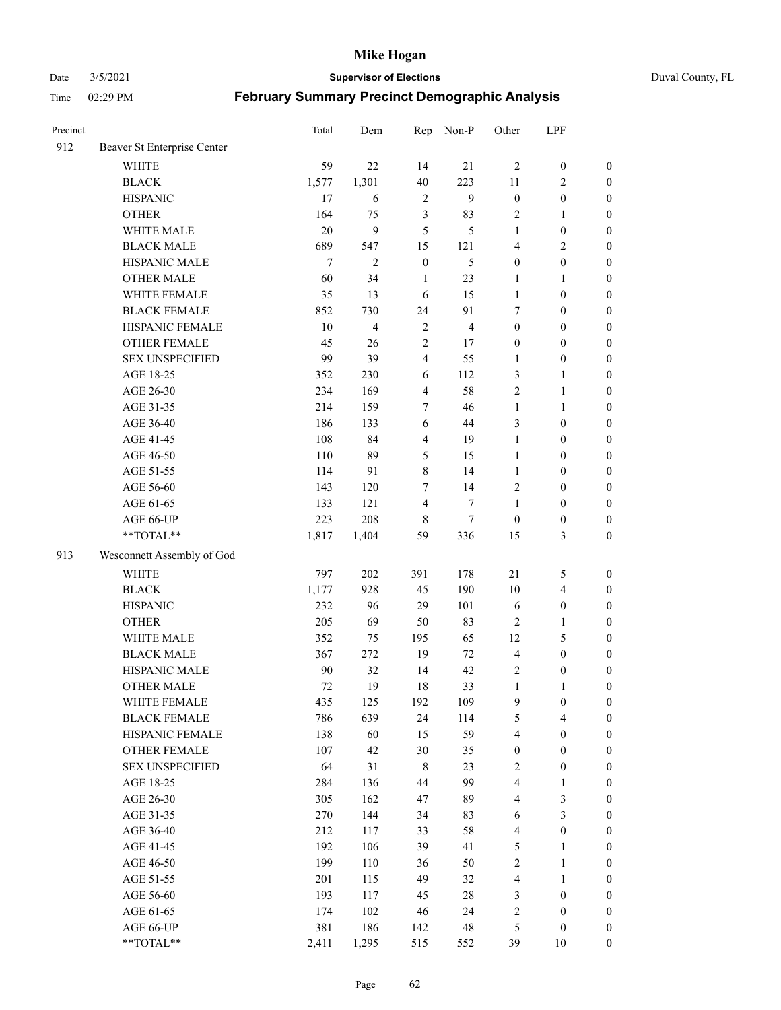Date 3/5/2021 **Supervisor of Elections** Duval County, FL

| Precinct |                             | <b>Total</b> | Dem            | Rep              | Non-P          | Other                   | LPF                     |                  |
|----------|-----------------------------|--------------|----------------|------------------|----------------|-------------------------|-------------------------|------------------|
| 912      | Beaver St Enterprise Center |              |                |                  |                |                         |                         |                  |
|          | <b>WHITE</b>                | 59           | 22             | 14               | 21             | $\overline{2}$          | $\boldsymbol{0}$        | $\boldsymbol{0}$ |
|          | <b>BLACK</b>                | 1,577        | 1,301          | 40               | 223            | 11                      | $\overline{c}$          | $\boldsymbol{0}$ |
|          | <b>HISPANIC</b>             | 17           | 6              | $\sqrt{2}$       | 9              | $\boldsymbol{0}$        | $\boldsymbol{0}$        | $\boldsymbol{0}$ |
|          | <b>OTHER</b>                | 164          | 75             | $\mathfrak{Z}$   | 83             | $\overline{c}$          | $\mathbf{1}$            | $\boldsymbol{0}$ |
|          | WHITE MALE                  | 20           | 9              | 5                | 5              | $\mathbf{1}$            | $\boldsymbol{0}$        | $\boldsymbol{0}$ |
|          | <b>BLACK MALE</b>           | 689          | 547            | 15               | 121            | 4                       | $\mathbf{2}$            | $\boldsymbol{0}$ |
|          | HISPANIC MALE               | $\tau$       | $\overline{c}$ | $\boldsymbol{0}$ | 5              | $\boldsymbol{0}$        | $\boldsymbol{0}$        | $\boldsymbol{0}$ |
|          | <b>OTHER MALE</b>           | 60           | 34             | $\mathbf{1}$     | 23             | $\mathbf{1}$            | $\mathbf{1}$            | $\boldsymbol{0}$ |
|          | WHITE FEMALE                | 35           | 13             | 6                | 15             | $\mathbf{1}$            | $\boldsymbol{0}$        | $\boldsymbol{0}$ |
|          | <b>BLACK FEMALE</b>         | 852          | 730            | 24               | 91             | 7                       | $\boldsymbol{0}$        | $\boldsymbol{0}$ |
|          | HISPANIC FEMALE             | 10           | 4              | $\sqrt{2}$       | $\overline{4}$ | $\boldsymbol{0}$        | $\boldsymbol{0}$        | $\boldsymbol{0}$ |
|          | <b>OTHER FEMALE</b>         | 45           | 26             | $\overline{2}$   | 17             | $\boldsymbol{0}$        | $\boldsymbol{0}$        | $\boldsymbol{0}$ |
|          | <b>SEX UNSPECIFIED</b>      | 99           | 39             | $\overline{4}$   | 55             | $\mathbf{1}$            | $\boldsymbol{0}$        | $\boldsymbol{0}$ |
|          | AGE 18-25                   | 352          | 230            | 6                | 112            | 3                       | $\mathbf{1}$            | $\boldsymbol{0}$ |
|          | AGE 26-30                   | 234          | 169            | $\overline{4}$   | 58             | 2                       | $\mathbf{1}$            | $\boldsymbol{0}$ |
|          | AGE 31-35                   | 214          | 159            | $\tau$           | 46             | $\mathbf{1}$            | $\mathbf{1}$            | $\boldsymbol{0}$ |
|          | AGE 36-40                   | 186          | 133            | 6                | 44             | 3                       | $\boldsymbol{0}$        | $\boldsymbol{0}$ |
|          | AGE 41-45                   | 108          | 84             | $\overline{4}$   | 19             | $\mathbf{1}$            | $\boldsymbol{0}$        | $\boldsymbol{0}$ |
|          | AGE 46-50                   | 110          | 89             | 5                | 15             | $\mathbf{1}$            | $\boldsymbol{0}$        | $\boldsymbol{0}$ |
|          | AGE 51-55                   | 114          | 91             | $\,$ 8 $\,$      | 14             | $\mathbf{1}$            | $\boldsymbol{0}$        | $\boldsymbol{0}$ |
|          | AGE 56-60                   | 143          | 120            | $\tau$           | 14             | $\overline{c}$          | $\boldsymbol{0}$        | 0                |
|          | AGE 61-65                   | 133          | 121            | $\overline{4}$   | $\tau$         | 1                       | $\boldsymbol{0}$        | $\boldsymbol{0}$ |
|          | AGE 66-UP                   | 223          | 208            | 8                | $\tau$         | $\boldsymbol{0}$        | $\boldsymbol{0}$        | $\boldsymbol{0}$ |
|          | $**TOTAL**$                 | 1,817        | 1,404          | 59               | 336            | 15                      | $\mathfrak{Z}$          | $\boldsymbol{0}$ |
| 913      | Wesconnett Assembly of God  |              |                |                  |                |                         |                         |                  |
|          | WHITE                       | 797          | 202            | 391              | 178            | $21\,$                  | 5                       | $\boldsymbol{0}$ |
|          | <b>BLACK</b>                | 1,177        | 928            | 45               | 190            | 10                      | $\overline{\mathbf{4}}$ | $\boldsymbol{0}$ |
|          | <b>HISPANIC</b>             | 232          | 96             | 29               | 101            | 6                       | $\boldsymbol{0}$        | $\boldsymbol{0}$ |
|          | <b>OTHER</b>                | 205          | 69             | 50               | 83             | $\overline{c}$          | $\mathbf{1}$            | $\boldsymbol{0}$ |
|          | WHITE MALE                  | 352          | 75             | 195              | 65             | 12                      | $\mathfrak{S}$          | $\boldsymbol{0}$ |
|          | <b>BLACK MALE</b>           | 367          | 272            | 19               | 72             | $\overline{4}$          | $\boldsymbol{0}$        | $\boldsymbol{0}$ |
|          | HISPANIC MALE               | 90           | 32             | 14               | 42             | 2                       | $\boldsymbol{0}$        | $\boldsymbol{0}$ |
|          | <b>OTHER MALE</b>           | 72           | 19             | 18               | 33             | $\mathbf{1}$            | $\mathbf{1}$            | $\boldsymbol{0}$ |
|          | WHITE FEMALE                | 435          | 125            | 192              | 109            | 9                       | $\boldsymbol{0}$        | 0                |
|          | <b>BLACK FEMALE</b>         | 786          | 639            | 24               | 114            | 5                       | $\overline{4}$          | $\boldsymbol{0}$ |
|          | HISPANIC FEMALE             | 138          | 60             | 15               | 59             | 4                       | $\boldsymbol{0}$        | $\overline{0}$   |
|          | OTHER FEMALE                | 107          | 42             | 30               | 35             | $\boldsymbol{0}$        | $\boldsymbol{0}$        | $\overline{0}$   |
|          | <b>SEX UNSPECIFIED</b>      | 64           | 31             | $\,8\,$          | 23             | 2                       | $\boldsymbol{0}$        | 0                |
|          | AGE 18-25                   | 284          | 136            | 44               | 99             | 4                       | $\mathbf{1}$            | $\theta$         |
|          | AGE 26-30                   | 305          | 162            | 47               | 89             | 4                       | $\mathfrak{Z}$          | 0                |
|          | AGE 31-35                   | 270          | 144            | 34               | 83             | 6                       | $\mathfrak{Z}$          | 0                |
|          | AGE 36-40                   | 212          | 117            | 33               | 58             | $\overline{\mathbf{4}}$ | $\boldsymbol{0}$        | 0                |
|          | AGE 41-45                   | 192          | 106            | 39               | 41             | 5                       | $\mathbf{1}$            | 0                |
|          | AGE 46-50                   | 199          | 110            | 36               | 50             | $\sqrt{2}$              | $\mathbf{1}$            | 0                |
|          | AGE 51-55                   | 201          | 115            | 49               | 32             | $\overline{4}$          | $\mathbf{1}$            | 0                |
|          | AGE 56-60                   | 193          | 117            | 45               | $28\,$         | 3                       | $\boldsymbol{0}$        | $\overline{0}$   |
|          | AGE 61-65                   | 174          | 102            | 46               | 24             | $\overline{c}$          | $\boldsymbol{0}$        | $\overline{0}$   |
|          | AGE 66-UP                   | 381          | 186            | 142              | $\sqrt{48}$    | 5                       | $\boldsymbol{0}$        | $\boldsymbol{0}$ |
|          | **TOTAL**                   | 2,411        | 1,295          | 515              | 552            | 39                      | 10                      | $\boldsymbol{0}$ |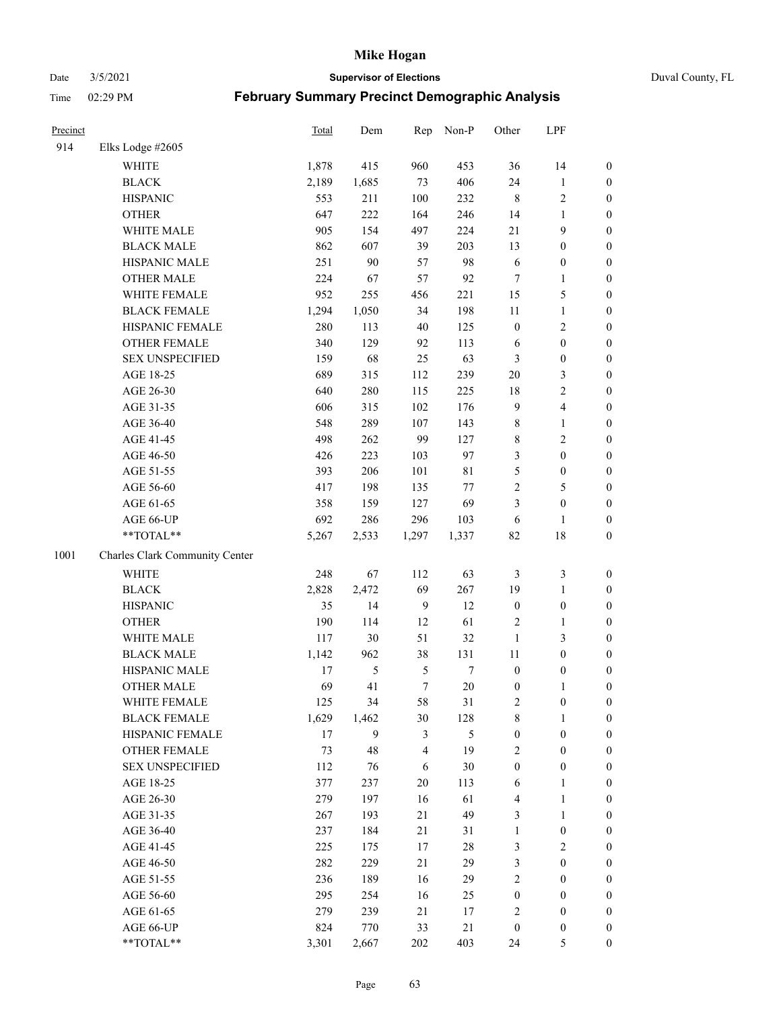#### Date 3/5/2021 **Supervisor of Elections** Duval County, FL

| Precinct |                                | Total | Dem    | Rep            | Non-P          | Other            | LPF                     |                  |
|----------|--------------------------------|-------|--------|----------------|----------------|------------------|-------------------------|------------------|
| 914      | Elks Lodge #2605               |       |        |                |                |                  |                         |                  |
|          | <b>WHITE</b>                   | 1,878 | 415    | 960            | 453            | 36               | 14                      | 0                |
|          | <b>BLACK</b>                   | 2,189 | 1,685  | 73             | 406            | 24               | $\mathbf{1}$            | 0                |
|          | <b>HISPANIC</b>                | 553   | 211    | 100            | 232            | $\,$ 8 $\,$      | $\sqrt{2}$              | $\boldsymbol{0}$ |
|          | <b>OTHER</b>                   | 647   | 222    | 164            | 246            | 14               | 1                       | $\boldsymbol{0}$ |
|          | WHITE MALE                     | 905   | 154    | 497            | 224            | 21               | 9                       | $\boldsymbol{0}$ |
|          | <b>BLACK MALE</b>              | 862   | 607    | 39             | 203            | 13               | $\boldsymbol{0}$        | $\boldsymbol{0}$ |
|          | HISPANIC MALE                  | 251   | 90     | 57             | 98             | 6                | $\boldsymbol{0}$        | $\boldsymbol{0}$ |
|          | <b>OTHER MALE</b>              | 224   | 67     | 57             | 92             | $\tau$           | $\mathbf{1}$            | $\boldsymbol{0}$ |
|          | WHITE FEMALE                   | 952   | 255    | 456            | 221            | 15               | $\mathfrak s$           | $\boldsymbol{0}$ |
|          | <b>BLACK FEMALE</b>            | 1,294 | 1,050  | 34             | 198            | $11\,$           | $\mathbf{1}$            | 0                |
|          | HISPANIC FEMALE                | 280   | 113    | 40             | 125            | $\boldsymbol{0}$ | $\sqrt{2}$              | 0                |
|          | OTHER FEMALE                   | 340   | 129    | 92             | 113            | 6                | $\boldsymbol{0}$        | $\boldsymbol{0}$ |
|          | <b>SEX UNSPECIFIED</b>         | 159   | 68     | 25             | 63             | 3                | $\boldsymbol{0}$        | $\boldsymbol{0}$ |
|          | AGE 18-25                      | 689   | 315    | 112            | 239            | $20\,$           | $\mathfrak{Z}$          | $\boldsymbol{0}$ |
|          | AGE 26-30                      | 640   | 280    | 115            | 225            | 18               | $\sqrt{2}$              | $\boldsymbol{0}$ |
|          | AGE 31-35                      | 606   | 315    | 102            | 176            | 9                | $\overline{\mathbf{4}}$ | $\boldsymbol{0}$ |
|          | AGE 36-40                      | 548   | 289    | 107            | 143            | $\,$ 8 $\,$      | $\mathbf{1}$            | $\boldsymbol{0}$ |
|          | AGE 41-45                      | 498   | 262    | 99             | 127            | 8                | $\overline{2}$          | $\boldsymbol{0}$ |
|          | AGE 46-50                      | 426   | 223    | 103            | 97             | 3                | $\boldsymbol{0}$        | $\boldsymbol{0}$ |
|          | AGE 51-55                      | 393   | 206    | 101            | $8\sqrt{1}$    | 5                | $\boldsymbol{0}$        | $\boldsymbol{0}$ |
|          | AGE 56-60                      | 417   | 198    | 135            | 77             | $\sqrt{2}$       | 5                       | 0                |
|          | AGE 61-65                      | 358   | 159    | 127            | 69             | 3                | $\boldsymbol{0}$        | $\boldsymbol{0}$ |
|          | AGE 66-UP                      | 692   | 286    | 296            | 103            | 6                | $\mathbf{1}$            | $\boldsymbol{0}$ |
|          | **TOTAL**                      | 5,267 | 2,533  | 1,297          | 1,337          | 82               | $18\,$                  | $\boldsymbol{0}$ |
| 1001     | Charles Clark Community Center |       |        |                |                |                  |                         |                  |
|          | WHITE                          | 248   | 67     | 112            | 63             | 3                | $\mathfrak{Z}$          | $\boldsymbol{0}$ |
|          | <b>BLACK</b>                   | 2,828 | 2,472  | 69             | 267            | 19               | $\mathbf{1}$            | $\boldsymbol{0}$ |
|          | <b>HISPANIC</b>                | 35    | 14     | $\overline{9}$ | 12             | $\boldsymbol{0}$ | $\boldsymbol{0}$        | $\boldsymbol{0}$ |
|          | <b>OTHER</b>                   | 190   | 114    | 12             | 61             | 2                | $\mathbf{1}$            | $\boldsymbol{0}$ |
|          | WHITE MALE                     | 117   | $30\,$ | 51             | 32             | $\mathbf{1}$     | 3                       | $\boldsymbol{0}$ |
|          | <b>BLACK MALE</b>              | 1,142 | 962    | 38             | 131            | 11               | $\boldsymbol{0}$        | $\boldsymbol{0}$ |
|          | HISPANIC MALE                  | 17    | 5      | 5              | 7              | $\boldsymbol{0}$ | $\boldsymbol{0}$        | $\boldsymbol{0}$ |
|          | OTHER MALE                     | 69    | 41     | $\tau$         | $20\,$         | $\boldsymbol{0}$ | $\mathbf{1}$            | $\boldsymbol{0}$ |
|          | WHITE FEMALE                   | 125   | 34     | 58             | 31             | 2                | $\boldsymbol{0}$        | 0                |
|          | <b>BLACK FEMALE</b>            | 1,629 | 1,462  | 30             | 128            | 8                | $\mathbf{1}$            | $\boldsymbol{0}$ |
|          | HISPANIC FEMALE                | 17    | 9      | 3              | $\mathfrak{S}$ | $\boldsymbol{0}$ | $\boldsymbol{0}$        | $\overline{0}$   |
|          | OTHER FEMALE                   | 73    | 48     | 4              | 19             | 2                | $\boldsymbol{0}$        | $\overline{0}$   |
|          | <b>SEX UNSPECIFIED</b>         | 112   | 76     | 6              | $30\,$         | $\boldsymbol{0}$ | $\boldsymbol{0}$        | 0                |
|          | AGE 18-25                      | 377   | 237    | 20             | 113            | 6                | $\mathbf{1}$            | 0                |
|          | AGE 26-30                      | 279   | 197    | 16             | 61             | 4                | $\mathbf{1}$            | 0                |
|          | AGE 31-35                      | 267   | 193    | 21             | 49             | 3                | $\mathbf{1}$            | 0                |
|          | AGE 36-40                      | 237   | 184    | 21             | 31             | $\mathbf{1}$     | $\boldsymbol{0}$        | 0                |
|          | AGE 41-45                      | 225   | 175    | 17             | $28\,$         | 3                | $\mathfrak{2}$          | 0                |
|          | AGE 46-50                      | 282   | 229    | 21             | 29             | 3                | $\boldsymbol{0}$        | 0                |
|          | AGE 51-55                      | 236   | 189    | 16             | 29             | 2                | $\boldsymbol{0}$        | 0                |
|          | AGE 56-60                      | 295   | 254    | 16             | 25             | $\boldsymbol{0}$ | $\boldsymbol{0}$        | $\boldsymbol{0}$ |
|          | AGE 61-65                      | 279   | 239    | 21             | 17             | 2                | $\boldsymbol{0}$        | $\overline{0}$   |
|          | AGE 66-UP                      | 824   | 770    | 33             | 21             | $\boldsymbol{0}$ | $\boldsymbol{0}$        | 0                |
|          | **TOTAL**                      | 3,301 | 2,667  | 202            | 403            | 24               | $\mathfrak{S}$          | $\boldsymbol{0}$ |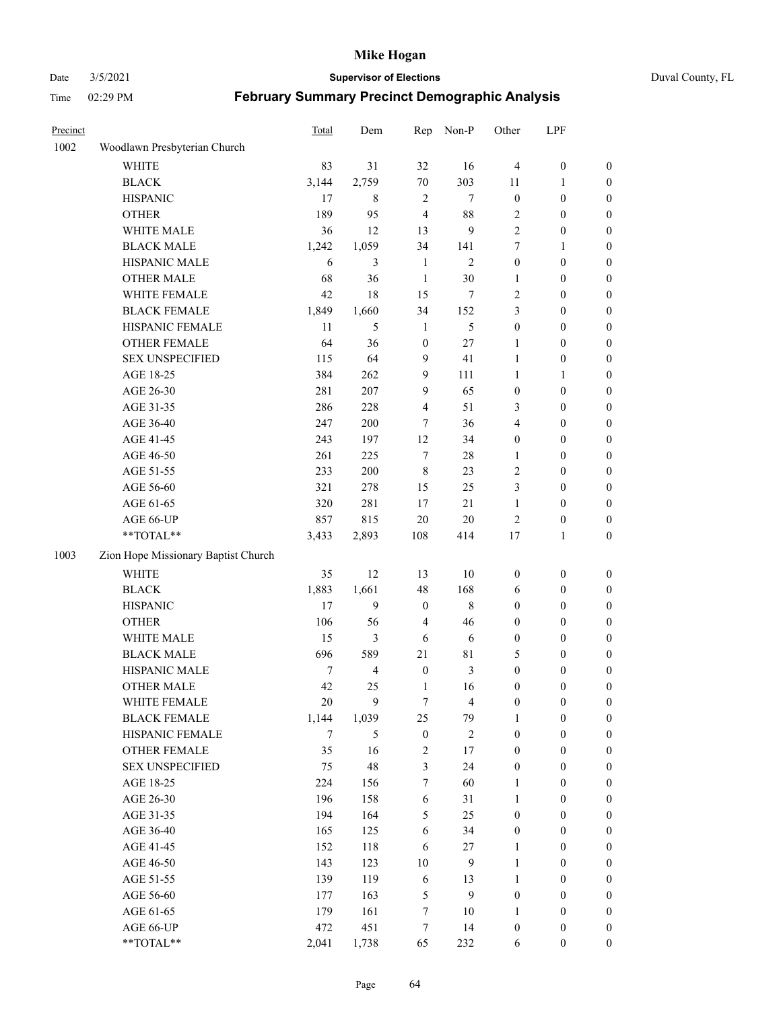#### Date 3/5/2021 **Supervisor of Elections** Duval County, FL

| Precinct |                                     | <b>Total</b> | Dem                     | Rep                     | Non-P          | Other            | LPF              |                  |
|----------|-------------------------------------|--------------|-------------------------|-------------------------|----------------|------------------|------------------|------------------|
| 1002     | Woodlawn Presbyterian Church        |              |                         |                         |                |                  |                  |                  |
|          | <b>WHITE</b>                        | 83           | 31                      | 32                      | 16             | $\overline{4}$   | $\boldsymbol{0}$ | 0                |
|          | <b>BLACK</b>                        | 3,144        | 2,759                   | $70\,$                  | 303            | 11               | 1                | 0                |
|          | <b>HISPANIC</b>                     | 17           | 8                       | $\overline{2}$          | $\tau$         | $\boldsymbol{0}$ | $\boldsymbol{0}$ | $\boldsymbol{0}$ |
|          | <b>OTHER</b>                        | 189          | 95                      | $\overline{4}$          | 88             | 2                | $\boldsymbol{0}$ | $\boldsymbol{0}$ |
|          | WHITE MALE                          | 36           | 12                      | 13                      | 9              | 2                | $\boldsymbol{0}$ | $\boldsymbol{0}$ |
|          | <b>BLACK MALE</b>                   | 1,242        | 1,059                   | 34                      | 141            | 7                | 1                | $\boldsymbol{0}$ |
|          | HISPANIC MALE                       | 6            | 3                       | $\mathbf{1}$            | $\mathbf{2}$   | $\boldsymbol{0}$ | $\boldsymbol{0}$ | $\boldsymbol{0}$ |
|          | <b>OTHER MALE</b>                   | 68           | 36                      | $\mathbf{1}$            | $30\,$         | $\mathbf{1}$     | $\boldsymbol{0}$ | $\boldsymbol{0}$ |
|          | WHITE FEMALE                        | 42           | 18                      | 15                      | 7              | 2                | $\boldsymbol{0}$ | $\boldsymbol{0}$ |
|          | <b>BLACK FEMALE</b>                 | 1,849        | 1,660                   | 34                      | 152            | 3                | $\boldsymbol{0}$ | $\boldsymbol{0}$ |
|          | HISPANIC FEMALE                     | 11           | 5                       | $\mathbf{1}$            | 5              | $\boldsymbol{0}$ | $\boldsymbol{0}$ | 0                |
|          | <b>OTHER FEMALE</b>                 | 64           | 36                      | $\boldsymbol{0}$        | $27\,$         | 1                | $\boldsymbol{0}$ | $\boldsymbol{0}$ |
|          | <b>SEX UNSPECIFIED</b>              | 115          | 64                      | 9                       | 41             | $\mathbf{1}$     | $\boldsymbol{0}$ | $\boldsymbol{0}$ |
|          | AGE 18-25                           | 384          | 262                     | 9                       | 111            | $\mathbf{1}$     | 1                | $\boldsymbol{0}$ |
|          | AGE 26-30                           | 281          | 207                     | 9                       | 65             | $\boldsymbol{0}$ | $\boldsymbol{0}$ | $\boldsymbol{0}$ |
|          | AGE 31-35                           | 286          | 228                     | $\overline{\mathbf{4}}$ | 51             | 3                | $\boldsymbol{0}$ | $\boldsymbol{0}$ |
|          | AGE 36-40                           | 247          | 200                     | 7                       | 36             | 4                | $\boldsymbol{0}$ | $\boldsymbol{0}$ |
|          | AGE 41-45                           | 243          | 197                     | 12                      | 34             | $\boldsymbol{0}$ | $\boldsymbol{0}$ | $\boldsymbol{0}$ |
|          | AGE 46-50                           | 261          | 225                     | $\tau$                  | $28\,$         | $\mathbf{1}$     | $\boldsymbol{0}$ | $\boldsymbol{0}$ |
|          | AGE 51-55                           | 233          | 200                     | $\,$ 8 $\,$             | 23             | 2                | $\boldsymbol{0}$ | $\boldsymbol{0}$ |
|          | AGE 56-60                           | 321          | 278                     | 15                      | 25             | 3                | $\boldsymbol{0}$ | 0                |
|          | AGE 61-65                           | 320          | 281                     | 17                      | 21             | 1                | $\boldsymbol{0}$ | 0                |
|          | AGE 66-UP                           | 857          | 815                     | $20\,$                  | $20\,$         | $\sqrt{2}$       | $\boldsymbol{0}$ | $\boldsymbol{0}$ |
|          | **TOTAL**                           | 3,433        | 2,893                   | 108                     | 414            | 17               | $\mathbf{1}$     | $\boldsymbol{0}$ |
| 1003     | Zion Hope Missionary Baptist Church |              |                         |                         |                |                  |                  |                  |
|          | <b>WHITE</b>                        | 35           | 12                      | 13                      | $10\,$         | $\boldsymbol{0}$ | $\boldsymbol{0}$ | $\boldsymbol{0}$ |
|          | <b>BLACK</b>                        | 1,883        | 1,661                   | 48                      | 168            | 6                | $\boldsymbol{0}$ | $\boldsymbol{0}$ |
|          | <b>HISPANIC</b>                     | 17           | 9                       | $\boldsymbol{0}$        | $\,8\,$        | $\boldsymbol{0}$ | $\boldsymbol{0}$ | $\boldsymbol{0}$ |
|          | <b>OTHER</b>                        | 106          | 56                      | 4                       | 46             | $\boldsymbol{0}$ | $\boldsymbol{0}$ | $\boldsymbol{0}$ |
|          | WHITE MALE                          | 15           | 3                       | 6                       | $\sqrt{6}$     | $\boldsymbol{0}$ | $\boldsymbol{0}$ | $\boldsymbol{0}$ |
|          | <b>BLACK MALE</b>                   | 696          | 589                     | 21                      | $8\sqrt{1}$    | 5                | $\boldsymbol{0}$ | $\boldsymbol{0}$ |
|          | HISPANIC MALE                       | 7            | $\overline{\mathbf{4}}$ | $\boldsymbol{0}$        | $\mathfrak{Z}$ | $\boldsymbol{0}$ | $\boldsymbol{0}$ | $\boldsymbol{0}$ |
|          | <b>OTHER MALE</b>                   | 42           | 25                      | $\mathbf{1}$            | 16             | $\boldsymbol{0}$ | $\boldsymbol{0}$ | $\boldsymbol{0}$ |
|          | WHITE FEMALE                        | 20           | 9                       | 7                       | 4              | 0                | 0                | 0                |
|          | <b>BLACK FEMALE</b>                 | 1,144        | 1,039                   | 25                      | 79             | 1                | $\boldsymbol{0}$ | $\boldsymbol{0}$ |
|          | HISPANIC FEMALE                     | 7            | 5                       | $\boldsymbol{0}$        | $\sqrt{2}$     | $\boldsymbol{0}$ | $\boldsymbol{0}$ | $\boldsymbol{0}$ |
|          | OTHER FEMALE                        | 35           | 16                      | $\sqrt{2}$              | $17\,$         | $\boldsymbol{0}$ | $\boldsymbol{0}$ | $\overline{0}$   |
|          | <b>SEX UNSPECIFIED</b>              | 75           | 48                      | 3                       | 24             | $\boldsymbol{0}$ | $\boldsymbol{0}$ | $\overline{0}$   |
|          | AGE 18-25                           | 224          | 156                     | $\boldsymbol{7}$        | 60             | $\mathbf{1}$     | $\boldsymbol{0}$ | $\overline{0}$   |
|          | AGE 26-30                           | 196          | 158                     | $\sqrt{6}$              | 31             | $\mathbf{1}$     | $\boldsymbol{0}$ | $\overline{0}$   |
|          | AGE 31-35                           | 194          | 164                     | 5                       | 25             | $\boldsymbol{0}$ | $\boldsymbol{0}$ | 0                |
|          | AGE 36-40                           | 165          | 125                     | 6                       | 34             | $\boldsymbol{0}$ | $\boldsymbol{0}$ | 0                |
|          | AGE 41-45                           | 152          | 118                     | 6                       | $27\,$         | $\mathbf{1}$     | $\boldsymbol{0}$ | 0                |
|          | AGE 46-50                           | 143          | 123                     | $10\,$                  | $\mathbf{9}$   | $\mathbf{1}$     | $\boldsymbol{0}$ | 0                |
|          | AGE 51-55                           | 139          | 119                     | $\sqrt{6}$              | 13             | $\mathbf{1}$     | $\boldsymbol{0}$ | $\boldsymbol{0}$ |
|          | AGE 56-60                           | 177          | 163                     | 5                       | 9              | $\boldsymbol{0}$ | $\boldsymbol{0}$ | $\boldsymbol{0}$ |
|          | AGE 61-65                           | 179          | 161                     | 7                       | 10             | $\mathbf{1}$     | $\boldsymbol{0}$ | $\boldsymbol{0}$ |
|          | AGE 66-UP                           | 472          | 451                     | 7                       | 14             | $\boldsymbol{0}$ | $\boldsymbol{0}$ | $\boldsymbol{0}$ |
|          | **TOTAL**                           | 2,041        | 1,738                   | 65                      | 232            | 6                | $\boldsymbol{0}$ | $\boldsymbol{0}$ |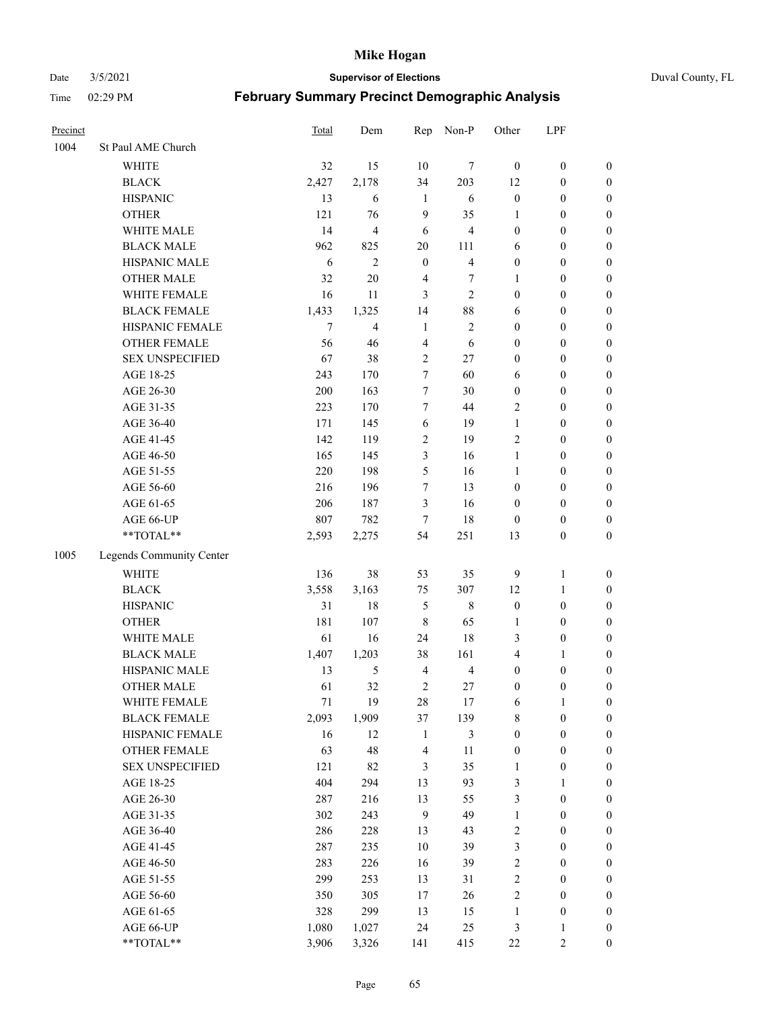Date 3/5/2021 **Supervisor of Elections** Duval County, FL

| Precinct |                          | Total  | Dem                     | Rep            | Non-P                   | Other            | LPF              |                  |
|----------|--------------------------|--------|-------------------------|----------------|-------------------------|------------------|------------------|------------------|
| 1004     | St Paul AME Church       |        |                         |                |                         |                  |                  |                  |
|          | <b>WHITE</b>             | 32     | 15                      | 10             | 7                       | $\mathbf{0}$     | $\boldsymbol{0}$ | $\boldsymbol{0}$ |
|          | <b>BLACK</b>             | 2,427  | 2,178                   | 34             | 203                     | 12               | $\boldsymbol{0}$ | $\boldsymbol{0}$ |
|          | <b>HISPANIC</b>          | 13     | 6                       | $\mathbf{1}$   | 6                       | $\boldsymbol{0}$ | $\boldsymbol{0}$ | $\boldsymbol{0}$ |
|          | <b>OTHER</b>             | 121    | 76                      | 9              | 35                      | 1                | $\boldsymbol{0}$ | $\boldsymbol{0}$ |
|          | WHITE MALE               | 14     | $\overline{\mathbf{4}}$ | 6              | $\overline{\mathbf{4}}$ | $\boldsymbol{0}$ | $\boldsymbol{0}$ | $\boldsymbol{0}$ |
|          | <b>BLACK MALE</b>        | 962    | 825                     | 20             | 111                     | 6                | $\boldsymbol{0}$ | $\boldsymbol{0}$ |
|          | HISPANIC MALE            | 6      | $\mathfrak{2}$          | $\mathbf{0}$   | $\overline{\mathbf{4}}$ | $\boldsymbol{0}$ | $\boldsymbol{0}$ | $\boldsymbol{0}$ |
|          | <b>OTHER MALE</b>        | 32     | $20\,$                  | $\overline{4}$ | 7                       | $\mathbf{1}$     | $\boldsymbol{0}$ | $\boldsymbol{0}$ |
|          | WHITE FEMALE             | 16     | 11                      | 3              | $\overline{c}$          | $\boldsymbol{0}$ | $\boldsymbol{0}$ | $\boldsymbol{0}$ |
|          | <b>BLACK FEMALE</b>      | 1,433  | 1,325                   | 14             | $88\,$                  | 6                | $\boldsymbol{0}$ | $\boldsymbol{0}$ |
|          | HISPANIC FEMALE          | $\tau$ | $\overline{4}$          | $\mathbf{1}$   | $\sqrt{2}$              | $\boldsymbol{0}$ | $\boldsymbol{0}$ | 0                |
|          | <b>OTHER FEMALE</b>      | 56     | 46                      | $\overline{4}$ | 6                       | $\boldsymbol{0}$ | $\boldsymbol{0}$ | $\boldsymbol{0}$ |
|          | <b>SEX UNSPECIFIED</b>   | 67     | 38                      | $\mathbf{2}$   | 27                      | $\boldsymbol{0}$ | $\boldsymbol{0}$ | $\boldsymbol{0}$ |
|          | AGE 18-25                | 243    | 170                     | 7              | 60                      | 6                | $\boldsymbol{0}$ | $\boldsymbol{0}$ |
|          | AGE 26-30                | 200    | 163                     | 7              | 30                      | $\boldsymbol{0}$ | $\boldsymbol{0}$ | $\boldsymbol{0}$ |
|          | AGE 31-35                | 223    | 170                     | 7              | 44                      | $\overline{c}$   | $\boldsymbol{0}$ | $\boldsymbol{0}$ |
|          | AGE 36-40                | 171    | 145                     | 6              | 19                      | $\mathbf{1}$     | $\boldsymbol{0}$ | $\boldsymbol{0}$ |
|          | AGE 41-45                | 142    | 119                     | $\overline{c}$ | 19                      | 2                | $\boldsymbol{0}$ | $\boldsymbol{0}$ |
|          | AGE 46-50                | 165    | 145                     | 3              | 16                      | $\mathbf{1}$     | $\boldsymbol{0}$ | $\boldsymbol{0}$ |
|          | AGE 51-55                | 220    | 198                     | 5              | 16                      | $\mathbf{1}$     | $\boldsymbol{0}$ | $\boldsymbol{0}$ |
|          | AGE 56-60                | 216    | 196                     | $\tau$         | 13                      | $\boldsymbol{0}$ | $\boldsymbol{0}$ | 0                |
|          | AGE 61-65                | 206    | 187                     | 3              | 16                      | $\boldsymbol{0}$ | $\boldsymbol{0}$ | 0                |
|          | AGE 66-UP                | 807    | 782                     | $\tau$         | 18                      | $\boldsymbol{0}$ | $\boldsymbol{0}$ | $\boldsymbol{0}$ |
|          | **TOTAL**                | 2,593  | 2,275                   | 54             | 251                     | 13               | $\boldsymbol{0}$ | $\boldsymbol{0}$ |
| 1005     | Legends Community Center |        |                         |                |                         |                  |                  |                  |
|          | WHITE                    | 136    | 38                      | 53             | 35                      | 9                | $\mathbf{1}$     | $\boldsymbol{0}$ |
|          | <b>BLACK</b>             | 3,558  | 3,163                   | 75             | 307                     | 12               | $\mathbf{1}$     | $\boldsymbol{0}$ |
|          | <b>HISPANIC</b>          | 31     | 18                      | 5              | $\,8\,$                 | $\boldsymbol{0}$ | $\boldsymbol{0}$ | $\boldsymbol{0}$ |
|          | <b>OTHER</b>             | 181    | 107                     | $\,$ 8 $\,$    | 65                      | $\mathbf{1}$     | $\boldsymbol{0}$ | $\boldsymbol{0}$ |
|          | WHITE MALE               | 61     | 16                      | 24             | 18                      | 3                | $\boldsymbol{0}$ | $\boldsymbol{0}$ |
|          | <b>BLACK MALE</b>        | 1,407  | 1,203                   | 38             | 161                     | 4                | 1                | $\boldsymbol{0}$ |
|          | HISPANIC MALE            | 13     | 5                       | $\overline{4}$ | $\overline{4}$          | $\boldsymbol{0}$ | $\boldsymbol{0}$ | $\boldsymbol{0}$ |
|          | OTHER MALE               | 61     | 32                      | $\overline{2}$ | 27                      | $\boldsymbol{0}$ | $\boldsymbol{0}$ | $\boldsymbol{0}$ |
|          | WHITE FEMALE             | 71     | 19                      | 28             | 17                      | 6                | 1                | 0                |
|          | <b>BLACK FEMALE</b>      | 2,093  | 1,909                   | 37             | 139                     | 8                | $\boldsymbol{0}$ | $\boldsymbol{0}$ |
|          | HISPANIC FEMALE          | 16     | 12                      | $\mathbf{1}$   | $\mathfrak{Z}$          | $\boldsymbol{0}$ | $\boldsymbol{0}$ | $\overline{0}$   |
|          | OTHER FEMALE             | 63     | 48                      | 4              | 11                      | $\boldsymbol{0}$ | $\boldsymbol{0}$ | $\overline{0}$   |
|          | <b>SEX UNSPECIFIED</b>   | 121    | 82                      | 3              | 35                      | $\mathbf{1}$     | $\boldsymbol{0}$ | 0                |
|          | AGE 18-25                | 404    | 294                     | 13             | 93                      | 3                | $\mathbf{1}$     | $\overline{0}$   |
|          | AGE 26-30                | 287    | 216                     | 13             | 55                      | 3                | $\boldsymbol{0}$ | 0                |
|          | AGE 31-35                | 302    | 243                     | $\overline{9}$ | 49                      | $\mathbf{1}$     | $\boldsymbol{0}$ | 0                |
|          | AGE 36-40                | 286    | 228                     | 13             | 43                      | 2                | $\boldsymbol{0}$ | 0                |
|          | AGE 41-45                | 287    | 235                     | 10             | 39                      | 3                | $\boldsymbol{0}$ | 0                |
|          | AGE 46-50                | 283    | 226                     | 16             | 39                      | 2                | $\boldsymbol{0}$ | 0                |
|          | AGE 51-55                | 299    | 253                     | 13             | 31                      | 2                | $\boldsymbol{0}$ | $\boldsymbol{0}$ |
|          | AGE 56-60                | 350    | 305                     | $17$           | 26                      | 2                | $\boldsymbol{0}$ | $\boldsymbol{0}$ |
|          | AGE 61-65                | 328    | 299                     | 13             | 15                      | $\mathbf{1}$     | $\boldsymbol{0}$ | $\boldsymbol{0}$ |
|          | AGE 66-UP                | 1,080  | 1,027                   | 24             | 25                      | 3                | $\mathbf{1}$     | 0                |
|          | **TOTAL**                | 3,906  | 3,326                   | 141            | 415                     | $22\,$           | $\sqrt{2}$       | $\boldsymbol{0}$ |
|          |                          |        |                         |                |                         |                  |                  |                  |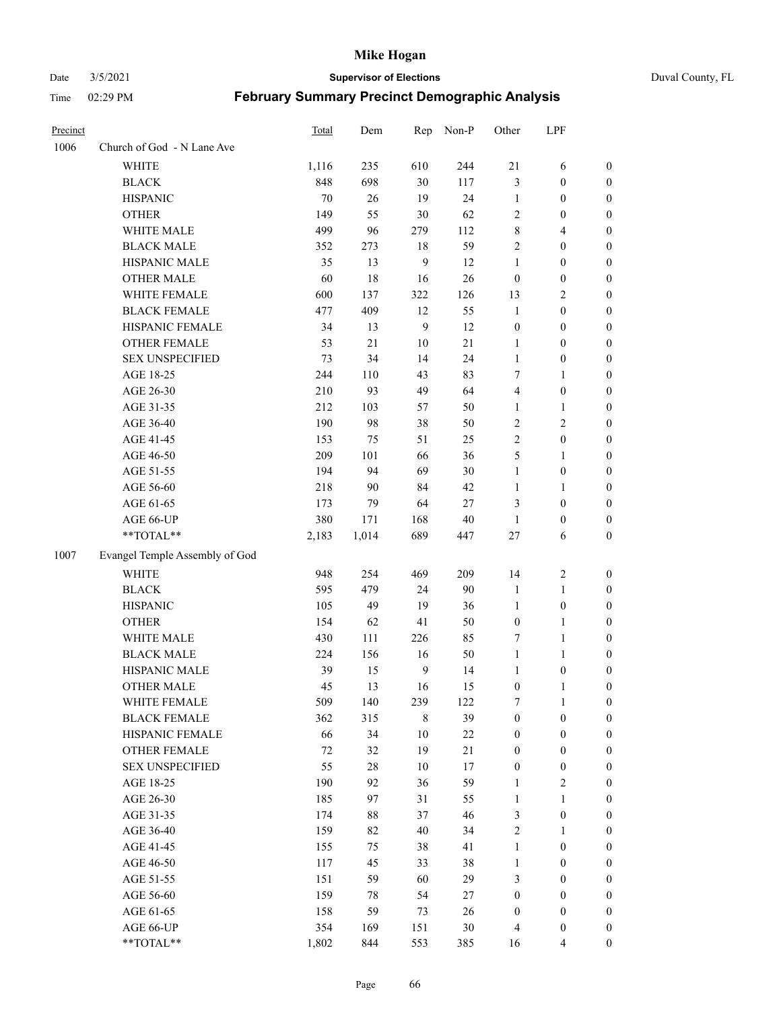Date 3/5/2021 **Supervisor of Elections** Duval County, FL

| Precinct |                                | Total  | Dem    | Rep            | Non-P  | Other            | LPF              |                  |
|----------|--------------------------------|--------|--------|----------------|--------|------------------|------------------|------------------|
| 1006     | Church of God - N Lane Ave     |        |        |                |        |                  |                  |                  |
|          | <b>WHITE</b>                   | 1,116  | 235    | 610            | 244    | $21\,$           | 6                | 0                |
|          | <b>BLACK</b>                   | 848    | 698    | 30             | 117    | 3                | $\boldsymbol{0}$ | 0                |
|          | <b>HISPANIC</b>                | 70     | 26     | 19             | 24     | $\mathbf{1}$     | $\boldsymbol{0}$ | $\boldsymbol{0}$ |
|          | <b>OTHER</b>                   | 149    | 55     | 30             | 62     | 2                | 0                | $\boldsymbol{0}$ |
|          | WHITE MALE                     | 499    | 96     | 279            | 112    | 8                | $\overline{4}$   | $\boldsymbol{0}$ |
|          | <b>BLACK MALE</b>              | 352    | 273    | 18             | 59     | $\overline{c}$   | $\boldsymbol{0}$ | $\boldsymbol{0}$ |
|          | HISPANIC MALE                  | 35     | 13     | 9              | 12     | $\mathbf{1}$     | $\boldsymbol{0}$ | $\boldsymbol{0}$ |
|          | <b>OTHER MALE</b>              | 60     | 18     | 16             | 26     | $\boldsymbol{0}$ | $\boldsymbol{0}$ | $\boldsymbol{0}$ |
|          | WHITE FEMALE                   | 600    | 137    | 322            | 126    | 13               | $\mathfrak{2}$   | $\boldsymbol{0}$ |
|          | <b>BLACK FEMALE</b>            | 477    | 409    | 12             | 55     | $\mathbf{1}$     | $\boldsymbol{0}$ | $\boldsymbol{0}$ |
|          | HISPANIC FEMALE                | 34     | 13     | $\overline{9}$ | 12     | $\boldsymbol{0}$ | $\boldsymbol{0}$ | 0                |
|          | <b>OTHER FEMALE</b>            | 53     | 21     | $10\,$         | 21     | $\mathbf{1}$     | $\boldsymbol{0}$ | 0                |
|          | <b>SEX UNSPECIFIED</b>         | 73     | 34     | 14             | 24     | $\mathbf{1}$     | $\boldsymbol{0}$ | $\boldsymbol{0}$ |
|          | AGE 18-25                      | 244    | 110    | 43             | 83     | 7                | 1                | $\boldsymbol{0}$ |
|          | AGE 26-30                      | 210    | 93     | 49             | 64     | 4                | $\boldsymbol{0}$ | $\boldsymbol{0}$ |
|          | AGE 31-35                      | 212    | 103    | 57             | 50     | $\mathbf{1}$     | $\mathbf{1}$     | $\boldsymbol{0}$ |
|          | AGE 36-40                      | 190    | 98     | 38             | 50     | 2                | $\mathfrak{2}$   | $\boldsymbol{0}$ |
|          | AGE 41-45                      | 153    | 75     | 51             | 25     | $\overline{2}$   | $\boldsymbol{0}$ | $\boldsymbol{0}$ |
|          | AGE 46-50                      | 209    | 101    | 66             | 36     | 5                | 1                | $\boldsymbol{0}$ |
|          | AGE 51-55                      | 194    | 94     | 69             | $30\,$ | $\mathbf{1}$     | $\boldsymbol{0}$ | 0                |
|          | AGE 56-60                      | 218    | 90     | 84             | 42     | 1                | 1                | 0                |
|          | AGE 61-65                      | 173    | 79     | 64             | $27\,$ | 3                | $\boldsymbol{0}$ | 0                |
|          | AGE 66-UP                      | 380    | 171    | 168            | $40\,$ | $\mathbf{1}$     | $\boldsymbol{0}$ | $\boldsymbol{0}$ |
|          | **TOTAL**                      | 2,183  | 1,014  | 689            | 447    | $27\,$           | 6                | $\boldsymbol{0}$ |
| 1007     | Evangel Temple Assembly of God |        |        |                |        |                  |                  |                  |
|          | <b>WHITE</b>                   | 948    | 254    | 469            | 209    | 14               | $\sqrt{2}$       | $\boldsymbol{0}$ |
|          | <b>BLACK</b>                   | 595    | 479    | 24             | 90     | $\mathbf{1}$     | $\mathbf{1}$     | $\boldsymbol{0}$ |
|          | <b>HISPANIC</b>                | 105    | 49     | 19             | 36     | $\mathbf{1}$     | $\boldsymbol{0}$ | $\boldsymbol{0}$ |
|          | <b>OTHER</b>                   | 154    | 62     | 41             | 50     | $\boldsymbol{0}$ | $\mathbf{1}$     | $\boldsymbol{0}$ |
|          | WHITE MALE                     | 430    | 111    | 226            | 85     | 7                | $\mathbf{1}$     | $\boldsymbol{0}$ |
|          | <b>BLACK MALE</b>              | 224    | 156    | 16             | 50     | $\mathbf{1}$     | $\mathbf{1}$     | $\boldsymbol{0}$ |
|          | HISPANIC MALE                  | 39     | 15     | $\overline{9}$ | 14     | 1                | $\boldsymbol{0}$ | 0                |
|          | <b>OTHER MALE</b>              | 45     | 13     | 16             | 15     | $\boldsymbol{0}$ | $\mathbf{1}$     | 0                |
|          | WHITE FEMALE                   | 509    | 140    | 239            | 122    | 7                | 1                | 0                |
|          | <b>BLACK FEMALE</b>            | 362    | 315    | 8              | 39     | $\boldsymbol{0}$ | $\boldsymbol{0}$ | $\boldsymbol{0}$ |
|          | HISPANIC FEMALE                | 66     | 34     | $10\,$         | $22\,$ | $\boldsymbol{0}$ | $\boldsymbol{0}$ | $\overline{0}$   |
|          | <b>OTHER FEMALE</b>            | $72\,$ | 32     | 19             | $21\,$ | $\boldsymbol{0}$ | $\boldsymbol{0}$ | $\overline{0}$   |
|          | <b>SEX UNSPECIFIED</b>         | 55     | $28\,$ | $10\,$         | 17     | $\boldsymbol{0}$ | $\boldsymbol{0}$ | 0                |
|          | AGE 18-25                      | 190    | 92     | 36             | 59     | $\mathbf{1}$     | $\sqrt{2}$       | 0                |
|          | AGE 26-30                      | 185    | 97     | 31             | 55     | $\mathbf{1}$     | $\mathbf{1}$     | 0                |
|          | AGE 31-35                      | 174    | $88\,$ | 37             | 46     | 3                | $\boldsymbol{0}$ | 0                |
|          | AGE 36-40                      | 159    | 82     | 40             | 34     | 2                | 1                | 0                |
|          | AGE 41-45                      | 155    | 75     | 38             | 41     | $\mathbf{1}$     | $\boldsymbol{0}$ | 0                |
|          | AGE 46-50                      | 117    | 45     | 33             | 38     | $\mathbf{1}$     | $\boldsymbol{0}$ | 0                |
|          | AGE 51-55                      | 151    | 59     | 60             | 29     | 3                | $\boldsymbol{0}$ | $\overline{0}$   |
|          | AGE 56-60                      | 159    | 78     | 54             | 27     | $\boldsymbol{0}$ | $\boldsymbol{0}$ | $\overline{0}$   |
|          | AGE 61-65                      | 158    | 59     | 73             | 26     | $\boldsymbol{0}$ | $\boldsymbol{0}$ | $\overline{0}$   |
|          | AGE 66-UP                      | 354    | 169    | 151            | $30\,$ | 4                | $\boldsymbol{0}$ | 0                |
|          | **TOTAL**                      | 1,802  | 844    | 553            | 385    | 16               | $\overline{4}$   | $\boldsymbol{0}$ |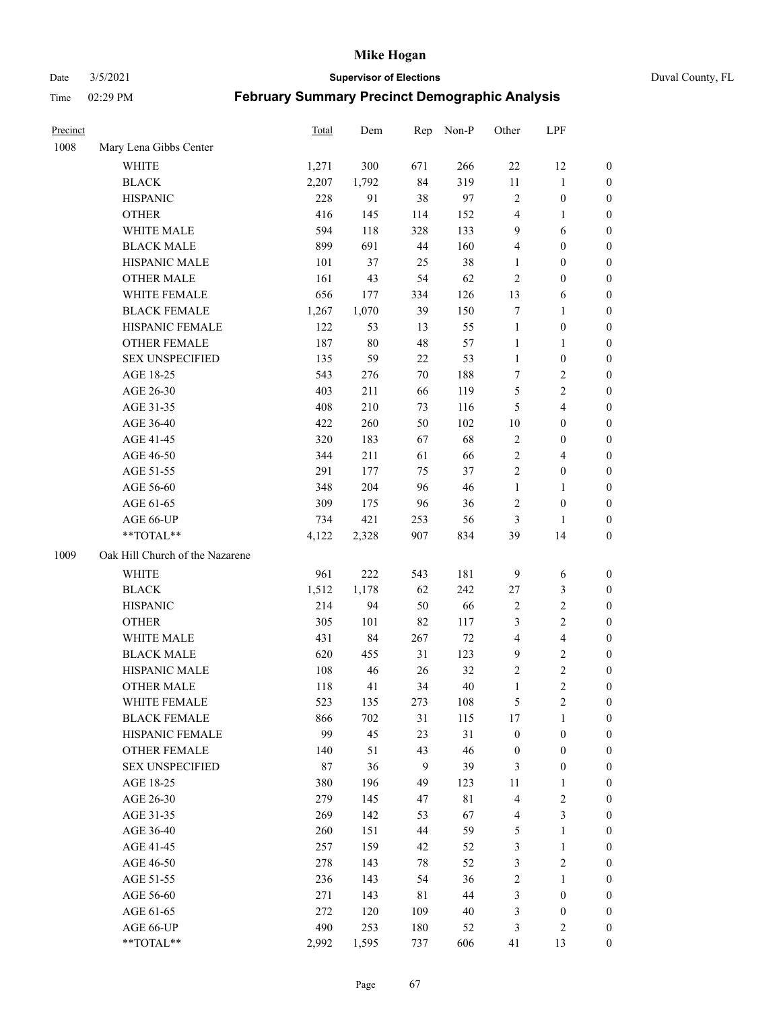Date 3/5/2021 **Supervisor of Elections** Duval County, FL

| Precinct |                                 | Total | Dem        | Rep | Non-P       | Other            | LPF                     |                  |
|----------|---------------------------------|-------|------------|-----|-------------|------------------|-------------------------|------------------|
| 1008     | Mary Lena Gibbs Center          |       |            |     |             |                  |                         |                  |
|          | <b>WHITE</b>                    | 1,271 | 300        | 671 | 266         | $22\,$           | 12                      | 0                |
|          | <b>BLACK</b>                    | 2,207 | 1,792      | 84  | 319         | 11               | $\mathbf{1}$            | 0                |
|          | <b>HISPANIC</b>                 | 228   | 91         | 38  | 97          | $\mathfrak{2}$   | $\boldsymbol{0}$        | $\boldsymbol{0}$ |
|          | <b>OTHER</b>                    | 416   | 145        | 114 | 152         | 4                | 1                       | $\boldsymbol{0}$ |
|          | WHITE MALE                      | 594   | 118        | 328 | 133         | 9                | 6                       | $\boldsymbol{0}$ |
|          | <b>BLACK MALE</b>               | 899   | 691        | 44  | 160         | 4                | $\boldsymbol{0}$        | $\boldsymbol{0}$ |
|          | HISPANIC MALE                   | 101   | 37         | 25  | 38          | $\mathbf{1}$     | $\boldsymbol{0}$        | $\boldsymbol{0}$ |
|          | <b>OTHER MALE</b>               | 161   | 43         | 54  | 62          | $\mathfrak{2}$   | $\boldsymbol{0}$        | $\boldsymbol{0}$ |
|          | WHITE FEMALE                    | 656   | 177        | 334 | 126         | 13               | 6                       | $\boldsymbol{0}$ |
|          | <b>BLACK FEMALE</b>             | 1,267 | 1,070      | 39  | 150         | 7                | $\mathbf{1}$            | 0                |
|          | HISPANIC FEMALE                 | 122   | 53         | 13  | 55          | $\mathbf{1}$     | $\boldsymbol{0}$        | 0                |
|          | <b>OTHER FEMALE</b>             | 187   | $80\,$     | 48  | 57          | $\mathbf{1}$     | $\mathbf{1}$            | 0                |
|          | <b>SEX UNSPECIFIED</b>          | 135   | 59         | 22  | 53          | $\mathbf{1}$     | $\boldsymbol{0}$        | $\boldsymbol{0}$ |
|          | AGE 18-25                       | 543   | 276        | 70  | 188         | 7                | $\sqrt{2}$              | $\boldsymbol{0}$ |
|          | AGE 26-30                       | 403   | 211        | 66  | 119         | 5                | $\sqrt{2}$              | $\boldsymbol{0}$ |
|          | AGE 31-35                       | 408   | 210        | 73  | 116         | 5                | $\overline{\mathbf{4}}$ | $\boldsymbol{0}$ |
|          | AGE 36-40                       | 422   | 260        | 50  | 102         | 10               | $\boldsymbol{0}$        | $\boldsymbol{0}$ |
|          | AGE 41-45                       | 320   | 183        | 67  | 68          | $\sqrt{2}$       | $\boldsymbol{0}$        | $\boldsymbol{0}$ |
|          | AGE 46-50                       | 344   | 211        | 61  | 66          | $\overline{2}$   | $\overline{4}$          | $\boldsymbol{0}$ |
|          | AGE 51-55                       | 291   | 177        | 75  | 37          | 2                | $\boldsymbol{0}$        | 0                |
|          | AGE 56-60                       | 348   | 204        | 96  | 46          | $\mathbf{1}$     | 1                       | 0                |
|          | AGE 61-65                       | 309   | 175        | 96  | 36          | 2                | $\boldsymbol{0}$        | 0                |
|          | AGE 66-UP                       | 734   | 421        | 253 | 56          | 3                | $\mathbf{1}$            | $\boldsymbol{0}$ |
|          | **TOTAL**                       | 4,122 | 2,328      | 907 | 834         | 39               | 14                      | $\boldsymbol{0}$ |
| 1009     | Oak Hill Church of the Nazarene |       |            |     |             |                  |                         |                  |
|          | <b>WHITE</b>                    | 961   | 222        | 543 | 181         | 9                | 6                       | $\boldsymbol{0}$ |
|          | <b>BLACK</b>                    | 1,512 | 1,178      | 62  | 242         | $27\,$           | $\mathfrak{Z}$          | $\boldsymbol{0}$ |
|          | <b>HISPANIC</b>                 | 214   | 94         | 50  | 66          | 2                | $\sqrt{2}$              | $\boldsymbol{0}$ |
|          | <b>OTHER</b>                    | 305   | 101        | 82  | 117         | 3                | $\sqrt{2}$              | $\boldsymbol{0}$ |
|          | WHITE MALE                      | 431   | 84         | 267 | 72          | $\overline{4}$   | $\overline{4}$          | $\boldsymbol{0}$ |
|          | <b>BLACK MALE</b>               | 620   | 455        | 31  | 123         | $\mathbf{9}$     | $\sqrt{2}$              | $\boldsymbol{0}$ |
|          | HISPANIC MALE                   | 108   | 46         | 26  | 32          | 2                | $\sqrt{2}$              | $\boldsymbol{0}$ |
|          | <b>OTHER MALE</b>               | 118   | 41         | 34  | $40\,$      | $\mathbf{1}$     | $\overline{c}$          | $\boldsymbol{0}$ |
|          | WHITE FEMALE                    | 523   | 135        | 273 | 108         | 5                | 2                       | 0                |
|          | <b>BLACK FEMALE</b>             | 866   | 702        | 31  | 115         | 17               | $\mathbf{1}$            | $\boldsymbol{0}$ |
|          | HISPANIC FEMALE                 | 99    | 45         | 23  | 31          | $\boldsymbol{0}$ | $\boldsymbol{0}$        | $\overline{0}$   |
|          | <b>OTHER FEMALE</b>             | 140   | 51         | 43  | 46          | $\boldsymbol{0}$ | $\boldsymbol{0}$        | $\overline{0}$   |
|          | <b>SEX UNSPECIFIED</b>          | 87    | 36         | 9   | 39          | 3                | $\boldsymbol{0}$        | 0                |
|          | AGE 18-25                       | 380   | 196        | 49  | 123         | 11               | $\mathbf{1}$            | 0                |
|          | AGE 26-30                       | 279   | 145        | 47  | $8\sqrt{1}$ | 4                | $\sqrt{2}$              | 0                |
|          | AGE 31-35                       | 269   | 142        | 53  | 67          | 4                | $\mathfrak{Z}$          | 0                |
|          | AGE 36-40                       | 260   | 151        | 44  | 59          | 5                | $\mathbf{1}$            | 0                |
|          | AGE 41-45                       | 257   | 159        | 42  | 52          | 3                | $\mathbf{1}$            | 0                |
|          | AGE 46-50                       | 278   | 143        | 78  | 52          | 3                | $\sqrt{2}$              | 0                |
|          | AGE 51-55                       | 236   |            | 54  | 36          |                  | $\mathbf{1}$            | 0                |
|          | AGE 56-60                       | 271   | 143<br>143 | 81  | 44          | 2<br>3           | $\boldsymbol{0}$        | 0                |
|          | AGE 61-65                       | 272   | 120        | 109 | 40          | 3                | $\boldsymbol{0}$        | 0                |
|          | AGE 66-UP                       | 490   | 253        | 180 | 52          | 3                | $\mathbf{2}$            | 0                |
|          | $**TOTAL**$                     | 2,992 | 1,595      | 737 | 606         | 41               | 13                      | $\boldsymbol{0}$ |
|          |                                 |       |            |     |             |                  |                         |                  |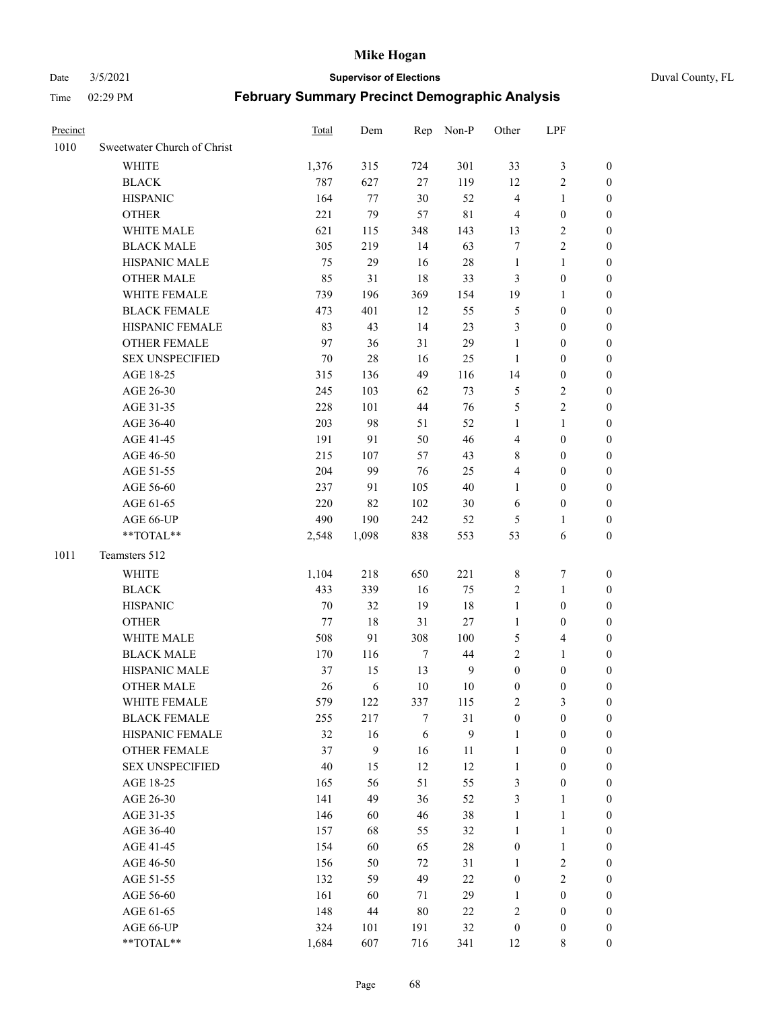Date 3/5/2021 **Supervisor of Elections** Duval County, FL

| Precinct |                             | <b>Total</b> | Dem              |                  | Rep Non-P        | Other            | LPF              |                  |
|----------|-----------------------------|--------------|------------------|------------------|------------------|------------------|------------------|------------------|
| 1010     | Sweetwater Church of Christ |              |                  |                  |                  |                  |                  |                  |
|          | <b>WHITE</b>                | 1,376        | 315              | 724              | 301              | 33               | $\mathfrak{Z}$   | 0                |
|          | <b>BLACK</b>                | 787          | 627              | 27               | 119              | 12               | $\sqrt{2}$       | 0                |
|          | <b>HISPANIC</b>             | 164          | 77               | 30               | 52               | 4                | $\mathbf{1}$     | $\boldsymbol{0}$ |
|          | <b>OTHER</b>                | 221          | 79               | 57               | $8\sqrt{1}$      | 4                | $\boldsymbol{0}$ | $\boldsymbol{0}$ |
|          | WHITE MALE                  | 621          | 115              | 348              | 143              | 13               | $\sqrt{2}$       | $\boldsymbol{0}$ |
|          | <b>BLACK MALE</b>           | 305          | 219              | 14               | 63               | 7                | $\sqrt{2}$       | $\boldsymbol{0}$ |
|          | HISPANIC MALE               | 75           | 29               | 16               | $28\,$           | $\mathbf{1}$     | $\mathbf{1}$     | $\boldsymbol{0}$ |
|          | <b>OTHER MALE</b>           | 85           | 31               | 18               | 33               | 3                | $\boldsymbol{0}$ | $\boldsymbol{0}$ |
|          | WHITE FEMALE                | 739          | 196              | 369              | 154              | 19               | $\mathbf{1}$     | $\boldsymbol{0}$ |
|          | <b>BLACK FEMALE</b>         | 473          | 401              | 12               | 55               | 5                | $\boldsymbol{0}$ | 0                |
|          | HISPANIC FEMALE             | 83           | 43               | 14               | 23               | 3                | $\boldsymbol{0}$ | 0                |
|          | <b>OTHER FEMALE</b>         | 97           | 36               | 31               | 29               | 1                | $\boldsymbol{0}$ | $\boldsymbol{0}$ |
|          | <b>SEX UNSPECIFIED</b>      | 70           | $28\,$           | 16               | 25               | $\mathbf{1}$     | $\boldsymbol{0}$ | $\boldsymbol{0}$ |
|          | AGE 18-25                   | 315          | 136              | 49               | 116              | 14               | $\boldsymbol{0}$ | $\boldsymbol{0}$ |
|          | AGE 26-30                   | 245          | 103              | 62               | 73               | 5                | $\sqrt{2}$       | $\boldsymbol{0}$ |
|          | AGE 31-35                   | 228          | 101              | 44               | 76               | 5                | $\sqrt{2}$       | $\boldsymbol{0}$ |
|          | AGE 36-40                   | 203          | 98               | 51               | 52               | 1                | $\mathbf{1}$     | $\boldsymbol{0}$ |
|          | AGE 41-45                   | 191          | 91               | 50               | 46               | 4                | $\boldsymbol{0}$ | $\boldsymbol{0}$ |
|          | AGE 46-50                   | 215          | 107              | 57               | 43               | 8                | $\boldsymbol{0}$ | $\boldsymbol{0}$ |
|          | AGE 51-55                   | 204          | 99               | 76               | 25               | 4                | $\boldsymbol{0}$ | $\boldsymbol{0}$ |
|          | AGE 56-60                   | 237          | 91               | 105              | 40               | $\mathbf{1}$     | $\boldsymbol{0}$ | 0                |
|          | AGE 61-65                   | 220          | 82               | 102              | 30               | 6                | $\boldsymbol{0}$ | 0                |
|          | AGE 66-UP                   | 490          | 190              | 242              | 52               | 5                | 1                | 0                |
|          | **TOTAL**                   | 2,548        | 1,098            | 838              | 553              | 53               | 6                | $\boldsymbol{0}$ |
| 1011     | Teamsters 512               |              |                  |                  |                  |                  |                  |                  |
|          | <b>WHITE</b>                | 1,104        | 218              | 650              | 221              | 8                | $\boldsymbol{7}$ | $\boldsymbol{0}$ |
|          | <b>BLACK</b>                | 433          | 339              | 16               | 75               | 2                | $\mathbf{1}$     | $\boldsymbol{0}$ |
|          | <b>HISPANIC</b>             | 70           | 32               | 19               | 18               | $\mathbf{1}$     | $\boldsymbol{0}$ | $\boldsymbol{0}$ |
|          | <b>OTHER</b>                | 77           | 18               | 31               | 27               | $\mathbf{1}$     | $\boldsymbol{0}$ | $\boldsymbol{0}$ |
|          | WHITE MALE                  | 508          | 91               | 308              | 100              | 5                | $\overline{4}$   | $\boldsymbol{0}$ |
|          | <b>BLACK MALE</b>           | 170          | 116              | $\boldsymbol{7}$ | 44               | $\overline{2}$   | $\mathbf{1}$     | $\boldsymbol{0}$ |
|          | HISPANIC MALE               | 37           | 15               | 13               | $\mathbf{9}$     | $\boldsymbol{0}$ | $\boldsymbol{0}$ | 0                |
|          | <b>OTHER MALE</b>           | 26           | 6                | 10               | 10               | $\boldsymbol{0}$ | $\boldsymbol{0}$ | 0                |
|          | WHITE FEMALE                | 579          | 122              | 337              | 115              | 2                | 3                | 0                |
|          | <b>BLACK FEMALE</b>         | 255          | 217              | 7                | 31               | $\boldsymbol{0}$ | $\boldsymbol{0}$ | $\overline{0}$   |
|          | HISPANIC FEMALE             | 32           | 16               | 6                | $\boldsymbol{9}$ | $\mathbf{1}$     | $\boldsymbol{0}$ | $\overline{0}$   |
|          | <b>OTHER FEMALE</b>         | 37           | $\boldsymbol{9}$ | 16               | 11               | $\mathbf{1}$     | $\boldsymbol{0}$ | 0                |
|          | <b>SEX UNSPECIFIED</b>      | $40\,$       | 15               | 12               | 12               | $\mathbf{1}$     | $\boldsymbol{0}$ | 0                |
|          | AGE 18-25                   | 165          | 56               | 51               | 55               | 3                | $\boldsymbol{0}$ | 0                |
|          | AGE 26-30                   | 141          | 49               | 36               | 52               | 3                | $\mathbf{1}$     | 0                |
|          | AGE 31-35                   | 146          | 60               | 46               | $38\,$           | $\mathbf{1}$     | $\mathbf{1}$     | 0                |
|          | AGE 36-40                   | 157          | 68               | 55               | 32               | $\mathbf{1}$     | $\mathbf{1}$     | 0                |
|          | AGE 41-45                   | 154          | 60               | 65               | $28\,$           | $\boldsymbol{0}$ | $\mathbf{1}$     | 0                |
|          | AGE 46-50                   | 156          | 50               | $72\,$           | 31               | $\mathbf{1}$     | $\sqrt{2}$       | 0                |
|          | AGE 51-55                   | 132          | 59               | 49               | 22               | $\boldsymbol{0}$ | $\sqrt{2}$       | 0                |
|          | AGE 56-60                   | 161          | 60               | 71               | 29               | 1                | $\boldsymbol{0}$ | 0                |
|          | AGE 61-65                   | 148          | $44\,$           | 80               | 22               | 2                | $\boldsymbol{0}$ | 0                |
|          | AGE 66-UP                   | 324          | 101              | 191              | $32\,$           | $\boldsymbol{0}$ | $\boldsymbol{0}$ | 0                |
|          | **TOTAL**                   | 1,684        | 607              | 716              | 341              | 12               | 8                | $\boldsymbol{0}$ |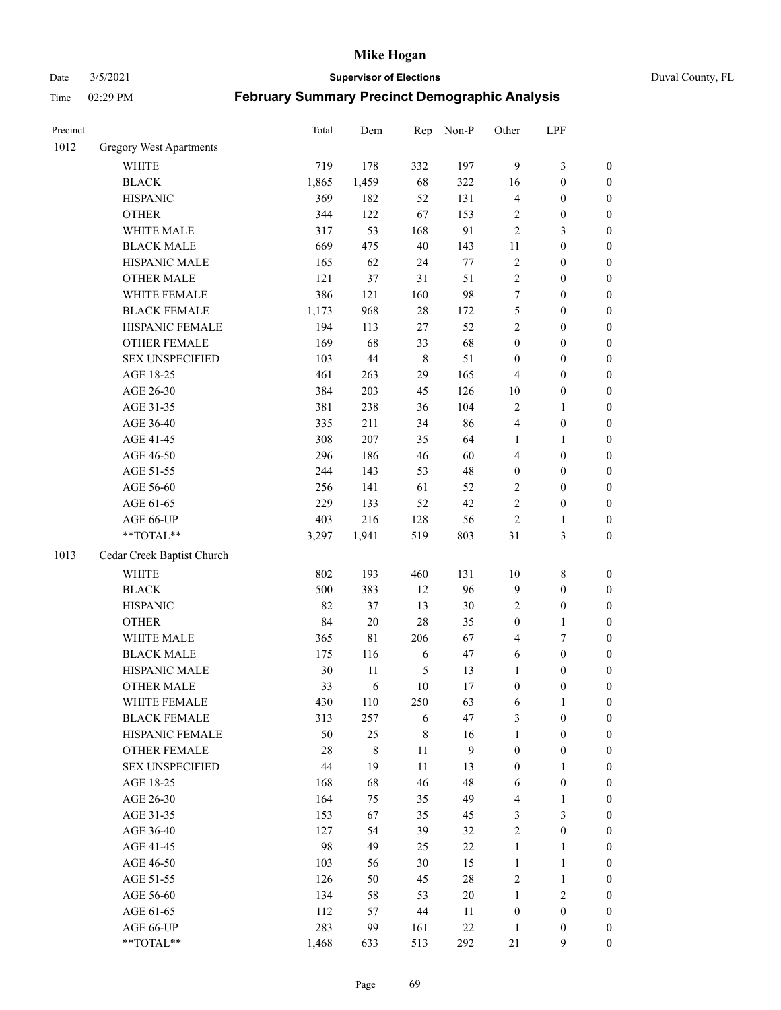Date 3/5/2021 **Supervisor of Elections** Duval County, FL

| Precinct |                            | <b>Total</b> | Dem         | Rep         | Non-P        | Other            | LPF              |                  |
|----------|----------------------------|--------------|-------------|-------------|--------------|------------------|------------------|------------------|
| 1012     | Gregory West Apartments    |              |             |             |              |                  |                  |                  |
|          | WHITE                      | 719          | 178         | 332         | 197          | $\overline{9}$   | $\mathfrak{Z}$   | 0                |
|          | <b>BLACK</b>               | 1,865        | 1,459       | 68          | 322          | 16               | $\boldsymbol{0}$ | $\boldsymbol{0}$ |
|          | <b>HISPANIC</b>            | 369          | 182         | 52          | 131          | 4                | $\boldsymbol{0}$ | $\boldsymbol{0}$ |
|          | <b>OTHER</b>               | 344          | 122         | 67          | 153          | 2                | $\boldsymbol{0}$ | $\boldsymbol{0}$ |
|          | WHITE MALE                 | 317          | 53          | 168         | 91           | 2                | $\mathfrak{Z}$   | $\boldsymbol{0}$ |
|          | <b>BLACK MALE</b>          | 669          | 475         | 40          | 143          | 11               | $\boldsymbol{0}$ | $\boldsymbol{0}$ |
|          | HISPANIC MALE              | 165          | 62          | 24          | 77           | 2                | $\boldsymbol{0}$ | $\boldsymbol{0}$ |
|          | <b>OTHER MALE</b>          | 121          | 37          | 31          | 51           | $\overline{c}$   | $\boldsymbol{0}$ | $\boldsymbol{0}$ |
|          | WHITE FEMALE               | 386          | 121         | 160         | 98           | 7                | $\boldsymbol{0}$ | $\boldsymbol{0}$ |
|          | <b>BLACK FEMALE</b>        | 1,173        | 968         | $28\,$      | 172          | 5                | $\boldsymbol{0}$ | $\boldsymbol{0}$ |
|          | HISPANIC FEMALE            | 194          | 113         | 27          | 52           | $\overline{2}$   | $\boldsymbol{0}$ | $\boldsymbol{0}$ |
|          | <b>OTHER FEMALE</b>        | 169          | 68          | 33          | 68           | $\boldsymbol{0}$ | $\boldsymbol{0}$ | $\boldsymbol{0}$ |
|          | <b>SEX UNSPECIFIED</b>     | 103          | $44\,$      | $\,$ 8 $\,$ | 51           | $\boldsymbol{0}$ | $\boldsymbol{0}$ | $\boldsymbol{0}$ |
|          | AGE 18-25                  | 461          | 263         | 29          | 165          | 4                | $\boldsymbol{0}$ | $\boldsymbol{0}$ |
|          | AGE 26-30                  | 384          | 203         | 45          | 126          | $10\,$           | $\boldsymbol{0}$ | $\boldsymbol{0}$ |
|          | AGE 31-35                  | 381          | 238         | 36          | 104          | $\overline{c}$   | $\mathbf{1}$     | $\boldsymbol{0}$ |
|          | AGE 36-40                  | 335          | 211         | 34          | 86           | 4                | $\boldsymbol{0}$ | $\boldsymbol{0}$ |
|          | AGE 41-45                  | 308          | 207         | 35          | 64           | $\mathbf{1}$     | $\mathbf{1}$     | $\boldsymbol{0}$ |
|          | AGE 46-50                  | 296          | 186         | 46          | 60           | 4                | $\boldsymbol{0}$ | $\boldsymbol{0}$ |
|          | AGE 51-55                  | 244          | 143         | 53          | 48           | $\boldsymbol{0}$ | $\boldsymbol{0}$ | $\boldsymbol{0}$ |
|          | AGE 56-60                  | 256          | 141         | 61          | 52           | 2                | $\boldsymbol{0}$ | $\boldsymbol{0}$ |
|          | AGE 61-65                  | 229          | 133         | 52          | 42           | $\overline{c}$   | $\boldsymbol{0}$ | $\boldsymbol{0}$ |
|          | AGE 66-UP                  | 403          | 216         | 128         | 56           | $\sqrt{2}$       | 1                | $\boldsymbol{0}$ |
|          | **TOTAL**                  | 3,297        | 1,941       | 519         | 803          | 31               | $\mathfrak{Z}$   | $\boldsymbol{0}$ |
| 1013     | Cedar Creek Baptist Church |              |             |             |              |                  |                  |                  |
|          | <b>WHITE</b>               | 802          | 193         | 460         | 131          | $10\,$           | $\,$ $\,$        | $\boldsymbol{0}$ |
|          | <b>BLACK</b>               | 500          | 383         | 12          | 96           | 9                | $\boldsymbol{0}$ | $\boldsymbol{0}$ |
|          | <b>HISPANIC</b>            | 82           | 37          | 13          | $30\,$       | 2                | $\boldsymbol{0}$ | $\boldsymbol{0}$ |
|          | <b>OTHER</b>               | 84           | $20\,$      | 28          | 35           | $\boldsymbol{0}$ | $\mathbf{1}$     | $\boldsymbol{0}$ |
|          | WHITE MALE                 | 365          | $8\sqrt{1}$ | 206         | 67           | 4                | 7                | $\boldsymbol{0}$ |
|          | <b>BLACK MALE</b>          | 175          | 116         | 6           | 47           | 6                | $\boldsymbol{0}$ | $\boldsymbol{0}$ |
|          | HISPANIC MALE              | 30           | 11          | 5           | 13           | $\mathbf{1}$     | $\boldsymbol{0}$ | $\boldsymbol{0}$ |
|          | <b>OTHER MALE</b>          | 33           | 6           | 10          | 17           | $\boldsymbol{0}$ | $\boldsymbol{0}$ | $\boldsymbol{0}$ |
|          | WHITE FEMALE               | 430          | 110         | 250         | 63           | 6                | 1                | 0                |
|          | <b>BLACK FEMALE</b>        | 313          | 257         | 6           | 47           | 3                | $\boldsymbol{0}$ | $\overline{0}$   |
|          | HISPANIC FEMALE            | 50           | 25          | $\,$ $\,$   | 16           | $\mathbf{1}$     | $\boldsymbol{0}$ | $\overline{0}$   |
|          | OTHER FEMALE               | 28           | $8\,$       | $11\,$      | $\mathbf{9}$ | $\boldsymbol{0}$ | $\boldsymbol{0}$ | $\overline{0}$   |
|          | <b>SEX UNSPECIFIED</b>     | 44           | 19          | 11          | 13           | $\boldsymbol{0}$ | $\mathbf{1}$     | 0                |
|          | AGE 18-25                  | 168          | 68          | 46          | 48           | 6                | $\boldsymbol{0}$ | 0                |
|          | AGE 26-30                  | 164          | 75          | 35          | 49           | 4                | $\mathbf{1}$     | 0                |
|          | AGE 31-35                  | 153          | 67          | 35          | 45           | 3                | $\mathfrak{Z}$   | 0                |
|          | AGE 36-40                  | 127          | 54          | 39          | 32           | $\overline{c}$   | $\boldsymbol{0}$ | 0                |
|          | AGE 41-45                  | 98           | 49          | 25          | $22\,$       | $\mathbf{1}$     | $\mathbf{1}$     | 0                |
|          | AGE 46-50                  | 103          | 56          | 30          | 15           | $\mathbf{1}$     | $\mathbf{1}$     | 0                |
|          | AGE 51-55                  | 126          | 50          | 45          | $28\,$       | 2                | $\mathbf{1}$     | 0                |
|          | AGE 56-60                  | 134          | 58          | 53          | $20\,$       | $\mathbf{1}$     | $\sqrt{2}$       | 0                |
|          | AGE 61-65                  | 112          | 57          | 44          | 11           | $\boldsymbol{0}$ | $\boldsymbol{0}$ | $\overline{0}$   |
|          | AGE 66-UP                  | 283          | 99          | 161         | $22\,$       | $\mathbf{1}$     | $\boldsymbol{0}$ | 0                |
|          | **TOTAL**                  | 1,468        | 633         | 513         | 292          | 21               | 9                | $\boldsymbol{0}$ |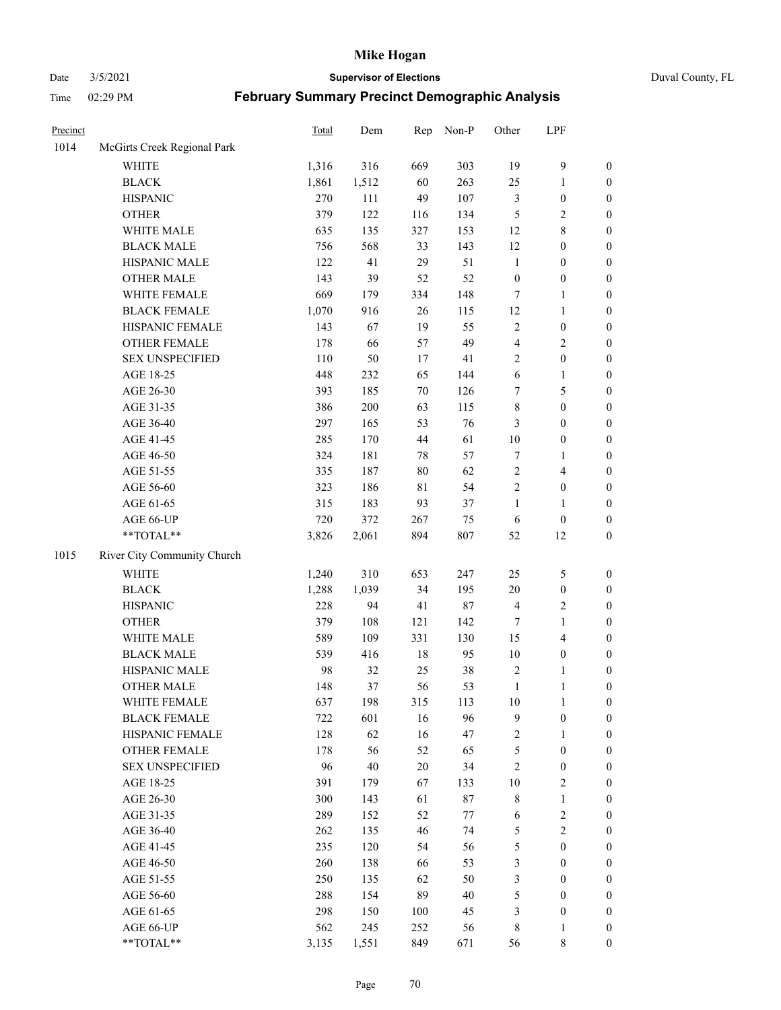Date 3/5/2021 **Supervisor of Elections** Duval County, FL

| Precinct |                             | Total | Dem   | Rep    | Non-P  | Other            | LPF                     |                  |
|----------|-----------------------------|-------|-------|--------|--------|------------------|-------------------------|------------------|
| 1014     | McGirts Creek Regional Park |       |       |        |        |                  |                         |                  |
|          | <b>WHITE</b>                | 1,316 | 316   | 669    | 303    | 19               | $\mathbf{9}$            | 0                |
|          | <b>BLACK</b>                | 1,861 | 1,512 | 60     | 263    | 25               | $\mathbf{1}$            | $\boldsymbol{0}$ |
|          | <b>HISPANIC</b>             | 270   | 111   | 49     | 107    | 3                | $\boldsymbol{0}$        | $\boldsymbol{0}$ |
|          | <b>OTHER</b>                | 379   | 122   | 116    | 134    | 5                | $\sqrt{2}$              | $\boldsymbol{0}$ |
|          | WHITE MALE                  | 635   | 135   | 327    | 153    | 12               | $8\,$                   | $\boldsymbol{0}$ |
|          | <b>BLACK MALE</b>           | 756   | 568   | 33     | 143    | 12               | $\boldsymbol{0}$        | $\boldsymbol{0}$ |
|          | HISPANIC MALE               | 122   | 41    | 29     | 51     | $\mathbf{1}$     | $\boldsymbol{0}$        | $\boldsymbol{0}$ |
|          | <b>OTHER MALE</b>           | 143   | 39    | 52     | 52     | $\boldsymbol{0}$ | $\boldsymbol{0}$        | $\boldsymbol{0}$ |
|          | WHITE FEMALE                | 669   | 179   | 334    | 148    | 7                | $\mathbf{1}$            | $\boldsymbol{0}$ |
|          | <b>BLACK FEMALE</b>         | 1,070 | 916   | 26     | 115    | 12               | $\mathbf{1}$            | $\boldsymbol{0}$ |
|          | HISPANIC FEMALE             | 143   | 67    | 19     | 55     | $\sqrt{2}$       | $\boldsymbol{0}$        | 0                |
|          | OTHER FEMALE                | 178   | 66    | 57     | 49     | 4                | $\sqrt{2}$              | $\boldsymbol{0}$ |
|          | <b>SEX UNSPECIFIED</b>      | 110   | 50    | 17     | 41     | $\overline{c}$   | $\boldsymbol{0}$        | $\boldsymbol{0}$ |
|          | AGE 18-25                   | 448   | 232   | 65     | 144    | 6                | $\mathbf{1}$            | $\boldsymbol{0}$ |
|          | AGE 26-30                   | 393   | 185   | 70     | 126    | 7                | $\mathfrak{S}$          | $\boldsymbol{0}$ |
|          | AGE 31-35                   | 386   | 200   | 63     | 115    | $\,$ $\,$        | $\boldsymbol{0}$        | $\boldsymbol{0}$ |
|          | AGE 36-40                   | 297   | 165   | 53     | 76     | 3                | $\boldsymbol{0}$        | $\boldsymbol{0}$ |
|          | AGE 41-45                   | 285   | 170   | 44     | 61     | $10\,$           | $\boldsymbol{0}$        | $\boldsymbol{0}$ |
|          | AGE 46-50                   | 324   | 181   | $78\,$ | 57     | 7                | 1                       | $\boldsymbol{0}$ |
|          | AGE 51-55                   | 335   | 187   | $80\,$ | 62     | $\sqrt{2}$       | $\overline{\mathbf{4}}$ | $\boldsymbol{0}$ |
|          | AGE 56-60                   | 323   | 186   | 81     | 54     | $\sqrt{2}$       | $\boldsymbol{0}$        | 0                |
|          | AGE 61-65                   | 315   | 183   | 93     | 37     | $\mathbf{1}$     | $\mathbf{1}$            | $\boldsymbol{0}$ |
|          | AGE 66-UP                   | 720   | 372   | 267    | 75     | 6                | $\boldsymbol{0}$        | $\boldsymbol{0}$ |
|          | **TOTAL**                   | 3,826 | 2,061 | 894    | 807    | 52               | 12                      | $\boldsymbol{0}$ |
| 1015     | River City Community Church |       |       |        |        |                  |                         |                  |
|          | <b>WHITE</b>                | 1,240 | 310   | 653    | 247    | 25               | $\mathfrak{S}$          | $\boldsymbol{0}$ |
|          | <b>BLACK</b>                | 1,288 | 1,039 | 34     | 195    | 20               | $\boldsymbol{0}$        | $\boldsymbol{0}$ |
|          | <b>HISPANIC</b>             | 228   | 94    | 41     | $87\,$ | 4                | $\sqrt{2}$              | $\boldsymbol{0}$ |
|          | <b>OTHER</b>                | 379   | 108   | 121    | 142    | 7                | $\mathbf{1}$            | $\boldsymbol{0}$ |
|          | WHITE MALE                  | 589   | 109   | 331    | 130    | 15               | $\overline{4}$          | $\boldsymbol{0}$ |
|          | <b>BLACK MALE</b>           | 539   | 416   | $18\,$ | 95     | $10\,$           | $\boldsymbol{0}$        | $\boldsymbol{0}$ |
|          | HISPANIC MALE               | 98    | 32    | 25     | $38\,$ | $\sqrt{2}$       | 1                       | $\boldsymbol{0}$ |
|          | <b>OTHER MALE</b>           | 148   | 37    | 56     | 53     | $\mathbf{1}$     | $\mathbf{1}$            | $\boldsymbol{0}$ |
|          | WHITE FEMALE                | 637   | 198   | 315    | 113    | 10               | 1                       | 0                |
|          | <b>BLACK FEMALE</b>         | 722   | 601   | 16     | 96     | 9                | $\boldsymbol{0}$        | $\overline{0}$   |
|          | HISPANIC FEMALE             | 128   | 62    | 16     | 47     | 2                | $\mathbf{1}$            | $\overline{0}$   |
|          | <b>OTHER FEMALE</b>         | 178   | 56    | 52     | 65     | 5                | $\boldsymbol{0}$        | $\overline{0}$   |
|          | <b>SEX UNSPECIFIED</b>      | 96    | 40    | $20\,$ | 34     | 2                | $\boldsymbol{0}$        | 0                |
|          | AGE 18-25                   | 391   | 179   | 67     | 133    | 10               | $\sqrt{2}$              | 0                |
|          | AGE 26-30                   | 300   | 143   | 61     | $87\,$ | 8                | $\mathbf{1}$            | 0                |
|          | AGE 31-35                   | 289   | 152   | 52     | $77\,$ | 6                | $\sqrt{2}$              | 0                |
|          | AGE 36-40                   | 262   | 135   | 46     | 74     | 5                | $\sqrt{2}$              | 0                |
|          | AGE 41-45                   | 235   | 120   | 54     | 56     | 5                | $\boldsymbol{0}$        | 0                |
|          | AGE 46-50                   | 260   | 138   | 66     | 53     | 3                | $\boldsymbol{0}$        | 0                |
|          | AGE 51-55                   | 250   | 135   | 62     | 50     | 3                | $\boldsymbol{0}$        | 0                |
|          | AGE 56-60                   | 288   | 154   | 89     | 40     | 5                | $\boldsymbol{0}$        | $\overline{0}$   |
|          | AGE 61-65                   | 298   | 150   | 100    | 45     | 3                | $\boldsymbol{0}$        | $\overline{0}$   |
|          | AGE 66-UP                   | 562   | 245   | 252    | 56     | 8                | $\mathbf{1}$            | 0                |
|          | $**TOTAL**$                 | 3,135 | 1,551 | 849    | 671    | 56               | 8                       | $\boldsymbol{0}$ |
|          |                             |       |       |        |        |                  |                         |                  |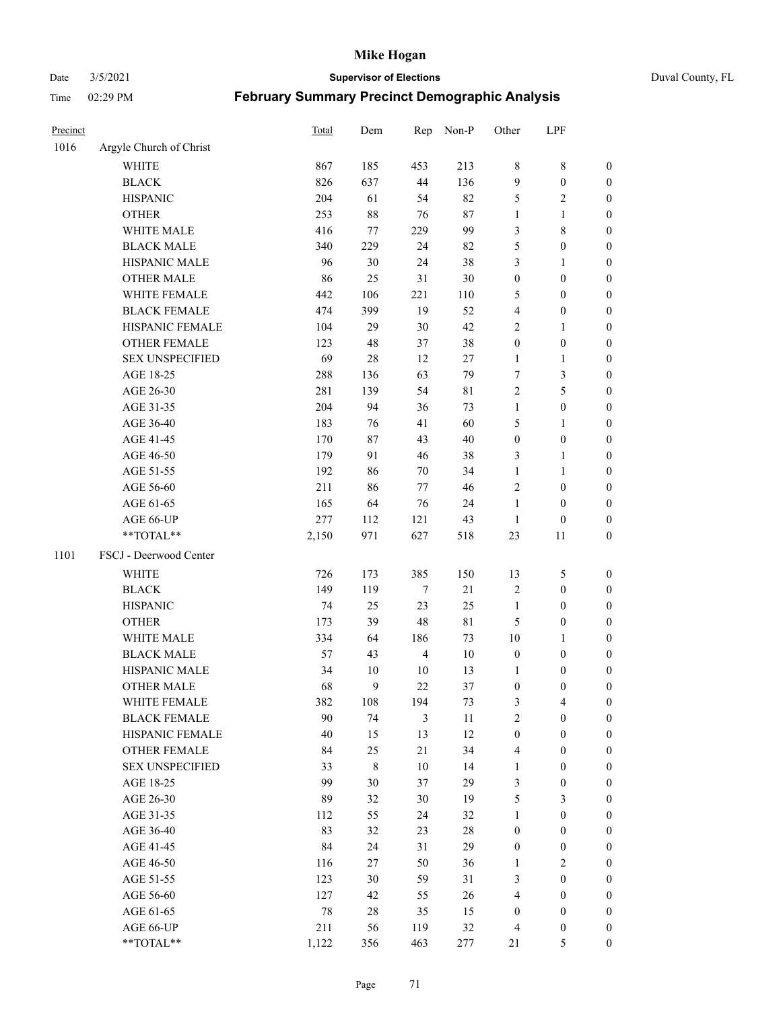Date 3/5/2021 **Supervisor of Elections** Duval County, FL

| Precinct |                         | <b>Total</b> | Dem         | Rep            | Non-P       | Other            | LPF              |                  |
|----------|-------------------------|--------------|-------------|----------------|-------------|------------------|------------------|------------------|
| 1016     | Argyle Church of Christ |              |             |                |             |                  |                  |                  |
|          | <b>WHITE</b>            | 867          | 185         | 453            | 213         | 8                | $\,$ 8 $\,$      | 0                |
|          | <b>BLACK</b>            | 826          | 637         | 44             | 136         | 9                | $\boldsymbol{0}$ | 0                |
|          | <b>HISPANIC</b>         | 204          | 61          | 54             | 82          | 5                | $\overline{2}$   | $\boldsymbol{0}$ |
|          | <b>OTHER</b>            | 253          | $88\,$      | 76             | $87\,$      | 1                | 1                | $\boldsymbol{0}$ |
|          | WHITE MALE              | 416          | 77          | 229            | 99          | 3                | $\,$ 8 $\,$      | $\boldsymbol{0}$ |
|          | <b>BLACK MALE</b>       | 340          | 229         | 24             | 82          | 5                | $\boldsymbol{0}$ | $\boldsymbol{0}$ |
|          | HISPANIC MALE           | 96           | 30          | 24             | 38          | 3                | $\mathbf{1}$     | $\boldsymbol{0}$ |
|          | <b>OTHER MALE</b>       | 86           | 25          | 31             | $30\,$      | $\boldsymbol{0}$ | $\boldsymbol{0}$ | $\boldsymbol{0}$ |
|          | WHITE FEMALE            | 442          | 106         | 221            | 110         | 5                | $\boldsymbol{0}$ | $\boldsymbol{0}$ |
|          | <b>BLACK FEMALE</b>     | 474          | 399         | 19             | 52          | 4                | $\boldsymbol{0}$ | 0                |
|          | HISPANIC FEMALE         | 104          | 29          | 30             | 42          | 2                | $\mathbf{1}$     | 0                |
|          | <b>OTHER FEMALE</b>     | 123          | 48          | 37             | 38          | $\boldsymbol{0}$ | $\boldsymbol{0}$ | 0                |
|          | <b>SEX UNSPECIFIED</b>  | 69           | 28          | 12             | 27          | $\mathbf{1}$     | $\mathbf{1}$     | $\boldsymbol{0}$ |
|          | AGE 18-25               | 288          | 136         | 63             | 79          | 7                | $\mathfrak{Z}$   | $\boldsymbol{0}$ |
|          | AGE 26-30               | 281          | 139         | 54             | 81          | 2                | 5                | $\boldsymbol{0}$ |
|          | AGE 31-35               | 204          | 94          | 36             | 73          | $\mathbf{1}$     | $\boldsymbol{0}$ | $\boldsymbol{0}$ |
|          | AGE 36-40               | 183          | 76          | 41             | 60          | 5                | $\mathbf{1}$     | $\boldsymbol{0}$ |
|          | AGE 41-45               | 170          | 87          | 43             | $40\,$      | $\boldsymbol{0}$ | $\boldsymbol{0}$ | $\boldsymbol{0}$ |
|          | AGE 46-50               | 179          | 91          | 46             | 38          | 3                | $\mathbf{1}$     | $\boldsymbol{0}$ |
|          | AGE 51-55               | 192          | 86          | 70             | 34          | $\mathbf{1}$     | $\mathbf{1}$     | 0                |
|          | AGE 56-60               | 211          | 86          | 77             | 46          | $\mathfrak{2}$   | $\boldsymbol{0}$ | 0                |
|          | AGE 61-65               | 165          | 64          | 76             | 24          | $\mathbf{1}$     | $\boldsymbol{0}$ | 0                |
|          | AGE 66-UP               | 277          | 112         | 121            | 43          | $\mathbf{1}$     | $\boldsymbol{0}$ | $\boldsymbol{0}$ |
|          | **TOTAL**               | 2,150        | 971         | 627            | 518         | 23               | 11               | $\boldsymbol{0}$ |
| 1101     | FSCJ - Deerwood Center  |              |             |                |             |                  |                  |                  |
|          |                         |              |             |                |             |                  |                  |                  |
|          | <b>WHITE</b>            | 726          | 173         | 385            | 150         | 13               | 5                | $\boldsymbol{0}$ |
|          | <b>BLACK</b>            | 149          | 119         | $\tau$         | $21\,$      | 2                | $\boldsymbol{0}$ | $\boldsymbol{0}$ |
|          | <b>HISPANIC</b>         | 74           | 25          | 23             | 25          | $\mathbf{1}$     | $\boldsymbol{0}$ | $\boldsymbol{0}$ |
|          | <b>OTHER</b>            | 173          | 39          | 48             | $8\sqrt{1}$ | 5                | $\boldsymbol{0}$ | $\boldsymbol{0}$ |
|          | WHITE MALE              | 334          | 64          | 186            | 73          | $10\,$           | $\mathbf{1}$     | $\boldsymbol{0}$ |
|          | <b>BLACK MALE</b>       | 57           | 43          | $\overline{4}$ | $10\,$      | $\boldsymbol{0}$ | $\boldsymbol{0}$ | $\boldsymbol{0}$ |
|          | HISPANIC MALE           | 34           | $10\,$      | 10             | 13          | 1                | $\boldsymbol{0}$ | 0                |
|          | <b>OTHER MALE</b>       | 68           | 9           | 22             | 37          | $\boldsymbol{0}$ | $\boldsymbol{0}$ | $\boldsymbol{0}$ |
|          | WHITE FEMALE            | 382          | 108         | 194            | 73          | 3                | 4                | 0                |
|          | <b>BLACK FEMALE</b>     | 90           | 74          | 3              | 11          | $\overline{c}$   | $\boldsymbol{0}$ | $\overline{0}$   |
|          | HISPANIC FEMALE         | 40           | 15          | 13             | 12          | $\boldsymbol{0}$ | $\boldsymbol{0}$ | $\overline{0}$   |
|          | OTHER FEMALE            | 84           | 25          | 21             | 34          | 4                | $\boldsymbol{0}$ | $\overline{0}$   |
|          | <b>SEX UNSPECIFIED</b>  | 33           | $\,$ 8 $\,$ | 10             | 14          | $\mathbf{1}$     | $\boldsymbol{0}$ | 0                |
|          | AGE 18-25               | 99           | 30          | 37             | 29          | 3                | $\boldsymbol{0}$ | 0                |
|          | AGE 26-30               | 89           | 32          | 30             | 19          | 5                | $\mathfrak{Z}$   | 0                |
|          | AGE 31-35               | 112          | 55          | 24             | 32          | $\mathbf{1}$     | $\boldsymbol{0}$ | 0                |
|          | AGE 36-40               | 83           | 32          | 23             | $28\,$      | $\boldsymbol{0}$ | $\boldsymbol{0}$ | 0                |
|          | AGE 41-45               | 84           | 24          | 31             | 29          | $\boldsymbol{0}$ | $\boldsymbol{0}$ | 0                |
|          | AGE 46-50               | 116          | 27          | 50             | 36          | $\mathbf{1}$     | $\overline{c}$   | 0                |
|          | AGE 51-55               | 123          | 30          | 59             | 31          | 3                | $\boldsymbol{0}$ | 0                |
|          | AGE 56-60               | 127          | 42          | 55             | 26          | 4                | $\boldsymbol{0}$ | $\overline{0}$   |
|          | AGE 61-65               | 78           | 28          | 35             | 15          | $\boldsymbol{0}$ | $\boldsymbol{0}$ | 0                |
|          | AGE 66-UP               | 211          | 56          | 119            | $32\,$      | 4                | $\boldsymbol{0}$ | 0                |
|          | **TOTAL**               | 1,122        | 356         | 463            | 277         | 21               | 5                | $\boldsymbol{0}$ |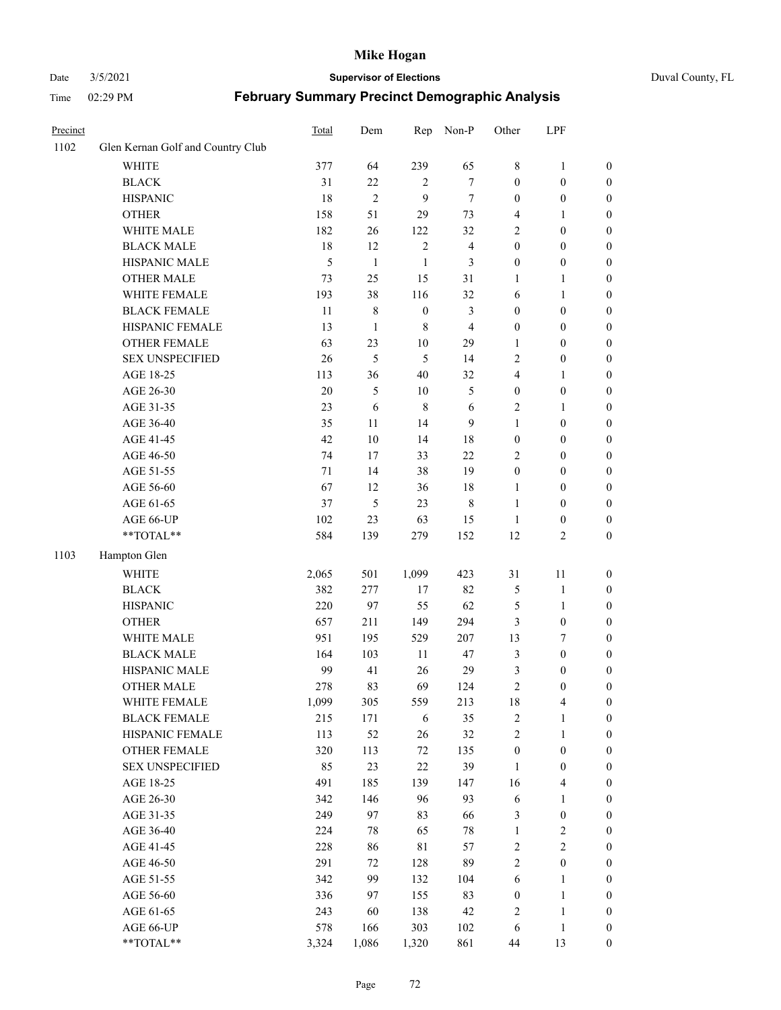#### Date 3/5/2021 **Supervisor of Elections** Duval County, FL

| Precinct |                                   | Total | Dem            | Rep              | Non-P                   | Other            | LPF              |                  |
|----------|-----------------------------------|-------|----------------|------------------|-------------------------|------------------|------------------|------------------|
| 1102     | Glen Kernan Golf and Country Club |       |                |                  |                         |                  |                  |                  |
|          | <b>WHITE</b>                      | 377   | 64             | 239              | 65                      | 8                | $\mathbf{1}$     | 0                |
|          | <b>BLACK</b>                      | 31    | 22             | $\overline{2}$   | $\tau$                  | $\boldsymbol{0}$ | $\boldsymbol{0}$ | $\boldsymbol{0}$ |
|          | <b>HISPANIC</b>                   | 18    | $\overline{c}$ | 9                | $\tau$                  | $\boldsymbol{0}$ | $\boldsymbol{0}$ | $\boldsymbol{0}$ |
|          | <b>OTHER</b>                      | 158   | 51             | 29               | 73                      | 4                | 1                | $\boldsymbol{0}$ |
|          | WHITE MALE                        | 182   | 26             | 122              | 32                      | 2                | $\boldsymbol{0}$ | $\boldsymbol{0}$ |
|          | <b>BLACK MALE</b>                 | 18    | 12             | $\sqrt{2}$       | $\overline{\mathbf{4}}$ | $\boldsymbol{0}$ | $\boldsymbol{0}$ | $\boldsymbol{0}$ |
|          | HISPANIC MALE                     | 5     | $\mathbf{1}$   | $\mathbf{1}$     | 3                       | $\boldsymbol{0}$ | $\boldsymbol{0}$ | $\boldsymbol{0}$ |
|          | <b>OTHER MALE</b>                 | 73    | 25             | 15               | 31                      | $\mathbf{1}$     | $\mathbf{1}$     | $\boldsymbol{0}$ |
|          | WHITE FEMALE                      | 193   | 38             | 116              | 32                      | 6                | 1                | $\boldsymbol{0}$ |
|          | <b>BLACK FEMALE</b>               | 11    | $\,$ 8 $\,$    | $\boldsymbol{0}$ | $\mathfrak{Z}$          | $\boldsymbol{0}$ | $\boldsymbol{0}$ | 0                |
|          | HISPANIC FEMALE                   | 13    | $\mathbf{1}$   | $\,8\,$          | $\overline{4}$          | $\boldsymbol{0}$ | $\boldsymbol{0}$ | 0                |
|          | OTHER FEMALE                      | 63    | 23             | 10               | 29                      | 1                | $\boldsymbol{0}$ | $\boldsymbol{0}$ |
|          | <b>SEX UNSPECIFIED</b>            | 26    | 5              | 5                | 14                      | 2                | $\boldsymbol{0}$ | $\boldsymbol{0}$ |
|          | AGE 18-25                         | 113   | 36             | 40               | 32                      | 4                | 1                | $\boldsymbol{0}$ |
|          | AGE 26-30                         | 20    | 5              | 10               | $\mathfrak{S}$          | $\boldsymbol{0}$ | $\boldsymbol{0}$ | $\boldsymbol{0}$ |
|          | AGE 31-35                         | 23    | 6              | $\,8\,$          | 6                       | $\overline{c}$   | $\mathbf{1}$     | $\boldsymbol{0}$ |
|          | AGE 36-40                         | 35    | 11             | 14               | 9                       | $\mathbf{1}$     | $\boldsymbol{0}$ | $\boldsymbol{0}$ |
|          | AGE 41-45                         | 42    | $10\,$         | 14               | 18                      | $\boldsymbol{0}$ | $\boldsymbol{0}$ | $\boldsymbol{0}$ |
|          | AGE 46-50                         | 74    | 17             | 33               | 22                      | 2                | $\boldsymbol{0}$ | $\boldsymbol{0}$ |
|          | AGE 51-55                         | 71    | 14             | 38               | 19                      | $\boldsymbol{0}$ | $\boldsymbol{0}$ | $\boldsymbol{0}$ |
|          | AGE 56-60                         | 67    | 12             | 36               | 18                      | 1                | $\boldsymbol{0}$ | 0                |
|          | AGE 61-65                         | 37    | 5              | 23               | 8                       | $\mathbf{1}$     | $\boldsymbol{0}$ | 0                |
|          | AGE 66-UP                         | 102   | 23             | 63               | 15                      | $\mathbf{1}$     | $\boldsymbol{0}$ | $\boldsymbol{0}$ |
|          | **TOTAL**                         | 584   | 139            | 279              | 152                     | 12               | $\sqrt{2}$       | $\boldsymbol{0}$ |
| 1103     | Hampton Glen                      |       |                |                  |                         |                  |                  |                  |
|          | <b>WHITE</b>                      | 2,065 | 501            | 1,099            | 423                     | 31               | 11               | $\boldsymbol{0}$ |
|          | <b>BLACK</b>                      | 382   | 277            | 17               | 82                      | 5                | $\mathbf{1}$     | $\boldsymbol{0}$ |
|          | <b>HISPANIC</b>                   | 220   | 97             | 55               | 62                      | 5                | $\mathbf{1}$     | $\boldsymbol{0}$ |
|          | <b>OTHER</b>                      | 657   | 211            | 149              | 294                     | 3                | $\boldsymbol{0}$ | $\boldsymbol{0}$ |
|          | WHITE MALE                        | 951   | 195            | 529              | 207                     | 13               | $\tau$           | $\boldsymbol{0}$ |
|          | <b>BLACK MALE</b>                 | 164   | 103            | 11               | 47                      | 3                | $\boldsymbol{0}$ | $\boldsymbol{0}$ |
|          | HISPANIC MALE                     | 99    | 41             | 26               | 29                      | 3                | $\boldsymbol{0}$ | $\boldsymbol{0}$ |
|          | OTHER MALE                        | 278   | 83             | 69               | 124                     | $\overline{c}$   | $\boldsymbol{0}$ | $\boldsymbol{0}$ |
|          | WHITE FEMALE                      | 1,099 | 305            | 559              | 213                     | 18               | 4                | 0                |
|          | <b>BLACK FEMALE</b>               | 215   | 171            | 6                | 35                      | 2                | $\mathbf{1}$     | $\boldsymbol{0}$ |
|          | HISPANIC FEMALE                   | 113   | 52             | 26               | 32                      | $\overline{c}$   | $\mathbf{1}$     | $\boldsymbol{0}$ |
|          | OTHER FEMALE                      | 320   | 113            | 72               | 135                     | $\boldsymbol{0}$ | $\boldsymbol{0}$ | $\overline{0}$   |
|          | <b>SEX UNSPECIFIED</b>            | 85    | 23             | 22               | 39                      | $\mathbf{1}$     | $\boldsymbol{0}$ | 0                |
|          | AGE 18-25                         | 491   | 185            | 139              | 147                     | 16               | $\overline{4}$   | 0                |
|          | AGE 26-30                         | 342   | 146            | 96               | 93                      | 6                | $\mathbf{1}$     | 0                |
|          | AGE 31-35                         | 249   | 97             | 83               | 66                      | 3                | $\boldsymbol{0}$ | 0                |
|          | AGE 36-40                         | 224   | 78             | 65               | $78\,$                  | $\mathbf{1}$     | $\sqrt{2}$       | 0                |
|          | AGE 41-45                         | 228   | 86             | 81               | 57                      | $\overline{c}$   | $\overline{2}$   | 0                |
|          | AGE 46-50                         | 291   | 72             | 128              | 89                      | $\overline{c}$   | $\boldsymbol{0}$ | 0                |
|          | AGE 51-55                         | 342   | 99             | 132              | 104                     | 6                | $\mathbf{1}$     | $\boldsymbol{0}$ |
|          | AGE 56-60                         | 336   | 97             | 155              | 83                      | $\boldsymbol{0}$ | $\mathbf{1}$     | $\boldsymbol{0}$ |
|          | AGE 61-65                         | 243   | 60             | 138              | 42                      | 2                | $\mathbf{1}$     | $\boldsymbol{0}$ |
|          | AGE 66-UP                         | 578   | 166            | 303              | 102                     | 6                | $\mathbf{1}$     | $\boldsymbol{0}$ |
|          | **TOTAL**                         | 3,324 | 1,086          | 1,320            | 861                     | 44               | 13               | $\boldsymbol{0}$ |
|          |                                   |       |                |                  |                         |                  |                  |                  |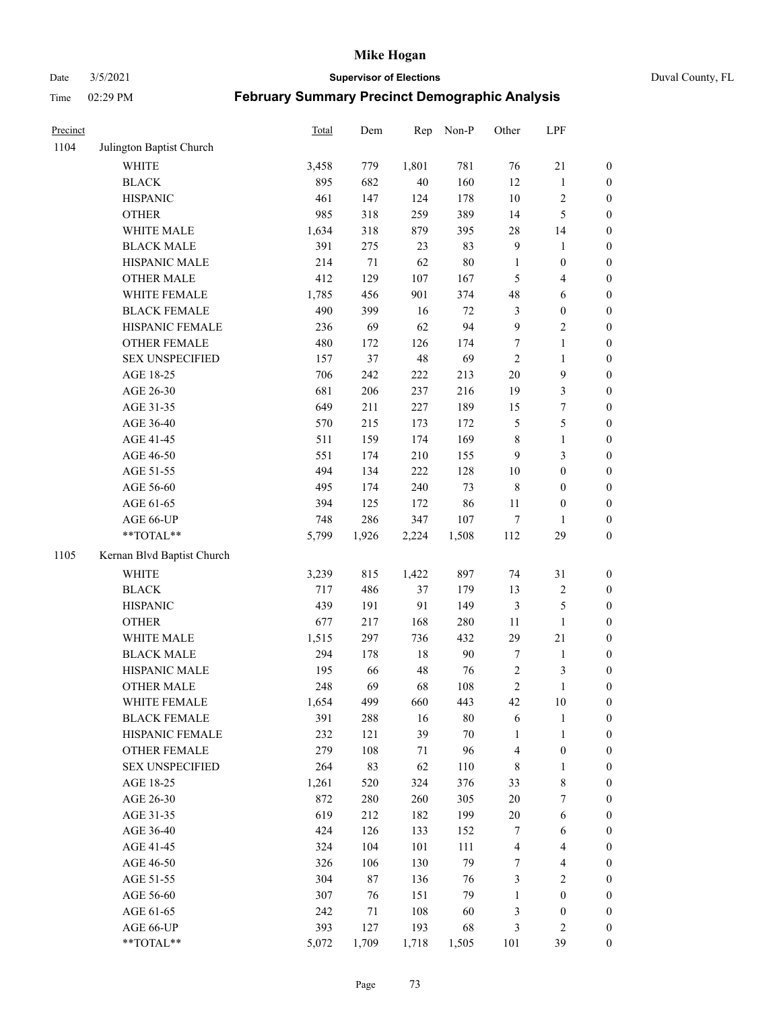Date 3/5/2021 **Supervisor of Elections** Duval County, FL

| Precinct |                                     | Total        | Dem    | Rep       | Non-P         | Other                   | LPF                     |                  |
|----------|-------------------------------------|--------------|--------|-----------|---------------|-------------------------|-------------------------|------------------|
| 1104     | Julington Baptist Church            |              |        |           |               |                         |                         |                  |
|          | <b>WHITE</b>                        | 3,458        | 779    | 1,801     | 781           | 76                      | $21\,$                  | 0                |
|          | <b>BLACK</b>                        | 895          | 682    | 40        | 160           | 12                      | $\mathbf{1}$            | $\boldsymbol{0}$ |
|          | <b>HISPANIC</b>                     | 461          | 147    | 124       | 178           | $10\,$                  | $\sqrt{2}$              | $\boldsymbol{0}$ |
|          | <b>OTHER</b>                        | 985          | 318    | 259       | 389           | 14                      | $\mathfrak{S}$          | $\boldsymbol{0}$ |
|          | WHITE MALE                          | 1,634        | 318    | 879       | 395           | 28                      | 14                      | $\boldsymbol{0}$ |
|          | <b>BLACK MALE</b>                   | 391          | 275    | 23        | 83            | 9                       | 1                       | $\boldsymbol{0}$ |
|          | HISPANIC MALE                       | 214          | 71     | 62        | $80\,$        | $\mathbf{1}$            | $\boldsymbol{0}$        | $\boldsymbol{0}$ |
|          | <b>OTHER MALE</b>                   | 412          | 129    | 107       | 167           | 5                       | $\overline{\mathbf{4}}$ | $\boldsymbol{0}$ |
|          | WHITE FEMALE                        | 1,785        | 456    | 901       | 374           | 48                      | 6                       | $\boldsymbol{0}$ |
|          | <b>BLACK FEMALE</b>                 | 490          | 399    | 16        | $72\,$        | $\mathfrak{Z}$          | $\boldsymbol{0}$        | $\boldsymbol{0}$ |
|          | HISPANIC FEMALE                     | 236          | 69     | 62        | 94            | $\boldsymbol{9}$        | $\sqrt{2}$              | $\boldsymbol{0}$ |
|          | OTHER FEMALE                        | 480          | 172    | 126       | 174           | $\tau$                  | $\mathbf{1}$            | $\boldsymbol{0}$ |
|          | <b>SEX UNSPECIFIED</b>              | 157          | 37     | 48        | 69            | $\sqrt{2}$              | $\mathbf{1}$            | $\boldsymbol{0}$ |
|          | AGE 18-25                           | 706          | 242    | 222       | 213           | $20\,$                  | $\mathbf{9}$            | $\boldsymbol{0}$ |
|          | AGE 26-30                           | 681          | 206    | 237       | 216           | 19                      | $\mathfrak{Z}$          | $\boldsymbol{0}$ |
|          | AGE 31-35                           | 649          | 211    | 227       | 189           | 15                      | $\boldsymbol{7}$        | $\boldsymbol{0}$ |
|          | AGE 36-40                           | 570          | 215    | 173       | 172           | 5                       | $\mathfrak s$           | $\boldsymbol{0}$ |
|          | AGE 41-45                           | 511          | 159    | 174       | 169           | 8                       | $\mathbf{1}$            | $\boldsymbol{0}$ |
|          | AGE 46-50                           | 551          | 174    | 210       | 155           | 9                       | $\mathfrak{Z}$          | $\boldsymbol{0}$ |
|          | AGE 51-55                           | 494          | 134    | 222       | 128           | $10\,$                  | $\boldsymbol{0}$        | $\boldsymbol{0}$ |
|          | AGE 56-60                           | 495          | 174    | 240       | 73            | $\,$ 8 $\,$             | $\boldsymbol{0}$        | 0                |
|          | AGE 61-65                           | 394          | 125    | 172       | 86            | 11                      | $\boldsymbol{0}$        | $\boldsymbol{0}$ |
|          | AGE 66-UP                           | 748          | 286    | 347       | 107           | $\tau$                  | 1                       | $\boldsymbol{0}$ |
|          | **TOTAL**                           | 5,799        | 1,926  | 2,224     | 1,508         | 112                     | 29                      | $\boldsymbol{0}$ |
| 1105     | Kernan Blvd Baptist Church          |              |        |           |               |                         |                         |                  |
|          | <b>WHITE</b>                        | 3,239        | 815    | 1,422     | 897           | 74                      | 31                      | $\boldsymbol{0}$ |
|          | <b>BLACK</b>                        | 717          | 486    | 37        | 179           | 13                      | $\sqrt{2}$              | $\boldsymbol{0}$ |
|          | <b>HISPANIC</b>                     | 439          | 191    | 91        | 149           | 3                       | $\mathfrak{S}$          | $\boldsymbol{0}$ |
|          | <b>OTHER</b>                        | 677          | 217    | 168       | 280           | 11                      | $\mathbf{1}$            | $\boldsymbol{0}$ |
|          | WHITE MALE                          | 1,515        | 297    | 736       | 432           | 29                      | $21\,$                  | $\boldsymbol{0}$ |
|          | <b>BLACK MALE</b>                   | 294          | 178    | $18\,$    | $90\,$        | $\tau$                  | $\mathbf{1}$            | $\boldsymbol{0}$ |
|          | HISPANIC MALE                       | 195          | 66     | 48        | 76            | $\sqrt{2}$              | $\mathfrak{Z}$          | 0                |
|          | <b>OTHER MALE</b>                   | 248          | 69     | 68        | 108           | $\overline{c}$          | $\mathbf{1}$            | $\boldsymbol{0}$ |
|          |                                     |              | 499    |           |               | 42                      |                         | 0                |
|          | WHITE FEMALE<br><b>BLACK FEMALE</b> | 1,654<br>391 | 288    | 660<br>16 | 443<br>$80\,$ | 6                       | 10<br>$\mathbf{1}$      | $\boldsymbol{0}$ |
|          | HISPANIC FEMALE                     | 232          | 121    | 39        | $70\,$        | $\mathbf{1}$            | $\mathbf{1}$            | $\overline{0}$   |
|          | <b>OTHER FEMALE</b>                 | 279          | 108    | 71        | 96            | 4                       | $\boldsymbol{0}$        | $\overline{0}$   |
|          | <b>SEX UNSPECIFIED</b>              | 264          | 83     | 62        | 110           | 8                       | $\mathbf{1}$            | 0                |
|          | AGE 18-25                           | 1,261        | 520    | 324       | 376           | 33                      | $\,$ 8 $\,$             | 0                |
|          | AGE 26-30                           | 872          | 280    | 260       | 305           | $20\,$                  | $\boldsymbol{7}$        | 0                |
|          | AGE 31-35                           | 619          | 212    | 182       | 199           | $20\,$                  | 6                       | 0                |
|          | AGE 36-40                           | 424          | 126    | 133       | 152           | 7                       | 6                       | 0                |
|          | AGE 41-45                           | 324          | 104    | 101       | 111           | $\overline{\mathbf{4}}$ | $\overline{4}$          | 0                |
|          | AGE 46-50                           | 326          | 106    | 130       | 79            | 7                       | $\overline{4}$          | 0                |
|          | AGE 51-55                           | 304          | $87\,$ | 136       | 76            | 3                       | $\sqrt{2}$              | 0                |
|          | AGE 56-60                           | 307          | 76     | 151       | 79            | $\mathbf{1}$            | $\boldsymbol{0}$        | $\boldsymbol{0}$ |
|          | AGE 61-65                           | 242          | 71     | 108       | 60            | 3                       | $\boldsymbol{0}$        | $\overline{0}$   |
|          | AGE 66-UP                           | 393          | 127    | 193       | 68            | 3                       | $\mathbf{2}$            | 0                |
|          | **TOTAL**                           | 5,072        | 1,709  | 1,718     | 1,505         | 101                     | 39                      | $\boldsymbol{0}$ |
|          |                                     |              |        |           |               |                         |                         |                  |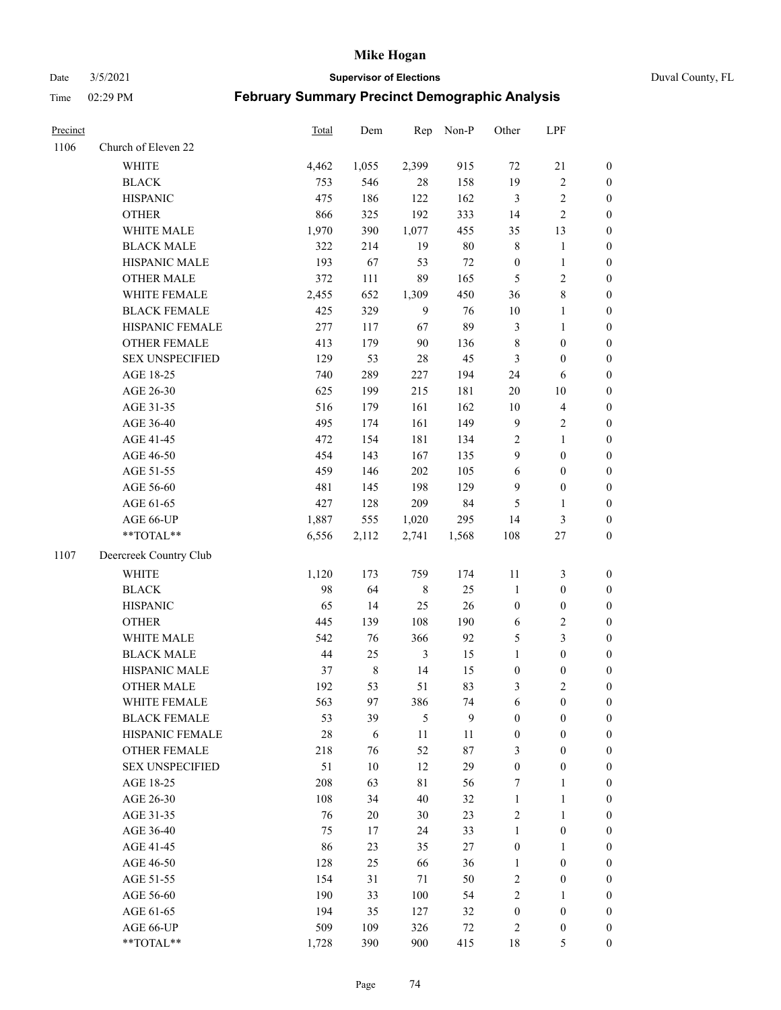#### Date 3/5/2021 **Supervisor of Elections** Duval County, FL

| Precinct |                        | <b>Total</b> | Dem     | Rep            | Non-P  | Other            | LPF                     |                  |
|----------|------------------------|--------------|---------|----------------|--------|------------------|-------------------------|------------------|
| 1106     | Church of Eleven 22    |              |         |                |        |                  |                         |                  |
|          | <b>WHITE</b>           | 4,462        | 1,055   | 2,399          | 915    | 72               | $21\,$                  | $\boldsymbol{0}$ |
|          | <b>BLACK</b>           | 753          | 546     | 28             | 158    | 19               | $\sqrt{2}$              | $\boldsymbol{0}$ |
|          | <b>HISPANIC</b>        | 475          | 186     | 122            | 162    | 3                | $\sqrt{2}$              | $\boldsymbol{0}$ |
|          | <b>OTHER</b>           | 866          | 325     | 192            | 333    | 14               | $\sqrt{2}$              | $\boldsymbol{0}$ |
|          | WHITE MALE             | 1,970        | 390     | 1,077          | 455    | 35               | 13                      | $\boldsymbol{0}$ |
|          | <b>BLACK MALE</b>      | 322          | 214     | 19             | $80\,$ | 8                | $\mathbf{1}$            | $\boldsymbol{0}$ |
|          | HISPANIC MALE          | 193          | 67      | 53             | $72\,$ | $\boldsymbol{0}$ | $\mathbf{1}$            | $\boldsymbol{0}$ |
|          | <b>OTHER MALE</b>      | 372          | 111     | 89             | 165    | $\mathfrak{S}$   | $\overline{2}$          | $\boldsymbol{0}$ |
|          | WHITE FEMALE           | 2,455        | 652     | 1,309          | 450    | 36               | $\,8\,$                 | $\boldsymbol{0}$ |
|          | <b>BLACK FEMALE</b>    | 425          | 329     | $\overline{9}$ | 76     | $10\,$           | $\mathbf{1}$            | 0                |
|          | HISPANIC FEMALE        | 277          | 117     | 67             | 89     | 3                | $\mathbf{1}$            | 0                |
|          | OTHER FEMALE           | 413          | 179     | 90             | 136    | $\,$ 8 $\,$      | $\boldsymbol{0}$        | $\boldsymbol{0}$ |
|          | <b>SEX UNSPECIFIED</b> | 129          | 53      | 28             | 45     | 3                | $\boldsymbol{0}$        | $\boldsymbol{0}$ |
|          | AGE 18-25              | 740          | 289     | 227            | 194    | 24               | 6                       | $\boldsymbol{0}$ |
|          | AGE 26-30              | 625          | 199     | 215            | 181    | $20\,$           | $10\,$                  | $\boldsymbol{0}$ |
|          | AGE 31-35              | 516          | 179     | 161            | 162    | $10\,$           | $\overline{\mathbf{4}}$ | $\boldsymbol{0}$ |
|          | AGE 36-40              | 495          | 174     | 161            | 149    | 9                | $\sqrt{2}$              | $\boldsymbol{0}$ |
|          | AGE 41-45              | 472          | 154     | 181            | 134    | $\sqrt{2}$       | $\mathbf{1}$            | $\boldsymbol{0}$ |
|          | AGE 46-50              | 454          | 143     | 167            | 135    | 9                | $\boldsymbol{0}$        | $\boldsymbol{0}$ |
|          | AGE 51-55              | 459          | 146     | 202            | 105    | $\sqrt{6}$       | $\boldsymbol{0}$        | $\boldsymbol{0}$ |
|          | AGE 56-60              | 481          | 145     | 198            | 129    | 9                | $\boldsymbol{0}$        | 0                |
|          | AGE 61-65              | 427          | 128     | 209            | 84     | 5                | $\mathbf{1}$            | 0                |
|          | AGE 66-UP              | 1,887        | 555     | 1,020          | 295    | 14               | $\mathfrak{Z}$          | $\boldsymbol{0}$ |
|          | **TOTAL**              | 6,556        | 2,112   | 2,741          | 1,568  | 108              | $27\,$                  | $\boldsymbol{0}$ |
| 1107     | Deercreek Country Club |              |         |                |        |                  |                         |                  |
|          | <b>WHITE</b>           | 1,120        | 173     | 759            | 174    | $11\,$           | $\mathfrak{Z}$          | $\boldsymbol{0}$ |
|          | <b>BLACK</b>           | 98           | 64      | $\,$ 8 $\,$    | 25     | $\mathbf{1}$     | $\boldsymbol{0}$        | $\boldsymbol{0}$ |
|          | <b>HISPANIC</b>        | 65           | 14      | 25             | 26     | $\boldsymbol{0}$ | $\boldsymbol{0}$        | $\boldsymbol{0}$ |
|          | <b>OTHER</b>           | 445          | 139     | 108            | 190    | 6                | $\sqrt{2}$              | $\boldsymbol{0}$ |
|          | WHITE MALE             | 542          | 76      | 366            | 92     | 5                | $\mathfrak{Z}$          | $\boldsymbol{0}$ |
|          | <b>BLACK MALE</b>      | 44           | 25      | $\mathfrak{Z}$ | 15     | $\mathbf{1}$     | $\boldsymbol{0}$        | $\boldsymbol{0}$ |
|          | HISPANIC MALE          | 37           | $\,8\,$ | 14             | 15     | $\boldsymbol{0}$ | $\boldsymbol{0}$        | $\boldsymbol{0}$ |
|          | OTHER MALE             | 192          | 53      | 51             | 83     | 3                | $\mathfrak{2}$          | $\boldsymbol{0}$ |
|          | WHITE FEMALE           | 563          | 97      | 386            | 74     | 6                | $\boldsymbol{0}$        | 0                |
|          | <b>BLACK FEMALE</b>    | 53           | 39      | 5              | 9      | $\boldsymbol{0}$ | $\boldsymbol{0}$        | $\overline{0}$   |
|          | HISPANIC FEMALE        | 28           | 6       | $11\,$         | 11     | $\boldsymbol{0}$ | $\boldsymbol{0}$        | $\overline{0}$   |
|          | <b>OTHER FEMALE</b>    | 218          | 76      | 52             | 87     | 3                | $\boldsymbol{0}$        | $\overline{0}$   |
|          | <b>SEX UNSPECIFIED</b> | 51           | 10      | 12             | 29     | $\boldsymbol{0}$ | $\boldsymbol{0}$        | 0                |
|          | AGE 18-25              | 208          | 63      | 81             | 56     | 7                | $\mathbf{1}$            | 0                |
|          | AGE 26-30              | 108          | 34      | 40             | 32     | $\mathbf{1}$     | $\mathbf{1}$            | 0                |
|          | AGE 31-35              | 76           | 20      | 30             | 23     | 2                | $\mathbf{1}$            | 0                |
|          | AGE 36-40              | 75           | 17      | 24             | 33     | $\mathbf{1}$     | $\boldsymbol{0}$        | 0                |
|          | AGE 41-45              | 86           | 23      | 35             | 27     | $\boldsymbol{0}$ | 1                       | 0                |
|          | AGE 46-50              | 128          | 25      | 66             | 36     | $\mathbf{1}$     | $\boldsymbol{0}$        | 0                |
|          | AGE 51-55              | 154          | 31      | 71             | 50     | 2                | $\boldsymbol{0}$        | 0                |
|          | AGE 56-60              | 190          | 33      | 100            | 54     | 2                | 1                       | 0                |
|          | AGE 61-65              | 194          | 35      | 127            | 32     | $\boldsymbol{0}$ | $\boldsymbol{0}$        | 0                |
|          | AGE 66-UP              | 509          | 109     | 326            | 72     | 2                | $\boldsymbol{0}$        | 0                |
|          | $**TOTAL**$            | 1,728        | 390     | 900            | 415    | 18               | 5                       | $\boldsymbol{0}$ |
|          |                        |              |         |                |        |                  |                         |                  |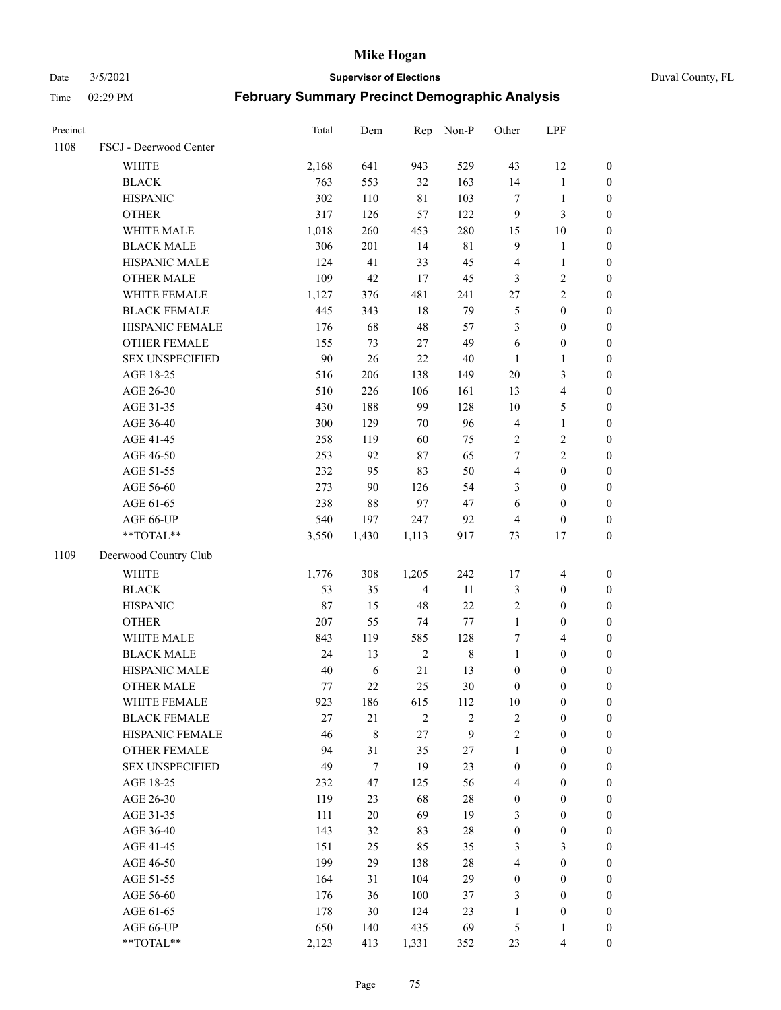Date 3/5/2021 **Supervisor of Elections** Duval County, FL

| Precinct |                        | <b>Total</b> | Dem         | Rep            | Non-P          | Other            | LPF              |                  |
|----------|------------------------|--------------|-------------|----------------|----------------|------------------|------------------|------------------|
| 1108     | FSCJ - Deerwood Center |              |             |                |                |                  |                  |                  |
|          | <b>WHITE</b>           | 2,168        | 641         | 943            | 529            | 43               | 12               | 0                |
|          | <b>BLACK</b>           | 763          | 553         | 32             | 163            | 14               | $\mathbf{1}$     | $\boldsymbol{0}$ |
|          | <b>HISPANIC</b>        | 302          | 110         | $8\sqrt{1}$    | 103            | $\tau$           | $\mathbf{1}$     | $\boldsymbol{0}$ |
|          | <b>OTHER</b>           | 317          | 126         | 57             | 122            | 9                | $\mathfrak{Z}$   | $\boldsymbol{0}$ |
|          | WHITE MALE             | 1,018        | 260         | 453            | 280            | 15               | 10               | $\boldsymbol{0}$ |
|          | <b>BLACK MALE</b>      | 306          | 201         | 14             | 81             | 9                | $\mathbf{1}$     | $\boldsymbol{0}$ |
|          | HISPANIC MALE          | 124          | 41          | 33             | 45             | 4                | $\mathbf{1}$     | $\boldsymbol{0}$ |
|          | <b>OTHER MALE</b>      | 109          | 42          | 17             | 45             | 3                | $\mathbf{2}$     | $\boldsymbol{0}$ |
|          | WHITE FEMALE           | 1,127        | 376         | 481            | 241            | $27\,$           | $\overline{c}$   | $\boldsymbol{0}$ |
|          | <b>BLACK FEMALE</b>    | 445          | 343         | 18             | 79             | 5                | $\boldsymbol{0}$ | $\boldsymbol{0}$ |
|          | HISPANIC FEMALE        | 176          | 68          | 48             | 57             | 3                | $\boldsymbol{0}$ | 0                |
|          | <b>OTHER FEMALE</b>    | 155          | 73          | $27\,$         | 49             | 6                | $\boldsymbol{0}$ | $\boldsymbol{0}$ |
|          | <b>SEX UNSPECIFIED</b> | 90           | 26          | 22             | $40\,$         | $\mathbf{1}$     | $\mathbf{1}$     | $\boldsymbol{0}$ |
|          | AGE 18-25              | 516          | 206         | 138            | 149            | $20\,$           | $\mathfrak{Z}$   | $\boldsymbol{0}$ |
|          | AGE 26-30              | 510          | 226         | 106            | 161            | 13               | $\overline{4}$   | $\boldsymbol{0}$ |
|          | AGE 31-35              | 430          | 188         | 99             | 128            | 10               | $\mathfrak s$    | $\boldsymbol{0}$ |
|          | AGE 36-40              | 300          | 129         | $70\,$         | 96             | 4                | $\mathbf{1}$     | $\boldsymbol{0}$ |
|          | AGE 41-45              | 258          | 119         | 60             | 75             | $\overline{2}$   | $\sqrt{2}$       | $\boldsymbol{0}$ |
|          | AGE 46-50              | 253          | 92          | 87             | 65             | 7                | $\overline{c}$   | $\boldsymbol{0}$ |
|          | AGE 51-55              | 232          | 95          | 83             | 50             | 4                | $\boldsymbol{0}$ | $\boldsymbol{0}$ |
|          | AGE 56-60              | 273          | 90          | 126            | 54             | 3                | $\boldsymbol{0}$ | $\boldsymbol{0}$ |
|          | AGE 61-65              | 238          | $88\,$      | 97             | 47             | 6                | $\boldsymbol{0}$ | $\boldsymbol{0}$ |
|          | AGE 66-UP              | 540          | 197         | 247            | 92             | 4                | $\boldsymbol{0}$ | $\boldsymbol{0}$ |
|          | $**TOTAL**$            | 3,550        | 1,430       | 1,113          | 917            | 73               | 17               | $\boldsymbol{0}$ |
| 1109     | Deerwood Country Club  |              |             |                |                |                  |                  |                  |
|          | <b>WHITE</b>           | 1,776        | 308         | 1,205          | 242            | 17               | $\overline{4}$   | $\boldsymbol{0}$ |
|          | <b>BLACK</b>           | 53           | 35          | $\overline{4}$ | 11             | 3                | $\boldsymbol{0}$ | $\boldsymbol{0}$ |
|          | <b>HISPANIC</b>        | 87           | 15          | 48             | 22             | 2                | $\boldsymbol{0}$ | $\boldsymbol{0}$ |
|          | <b>OTHER</b>           | 207          | 55          | 74             | 77             | $\mathbf{1}$     | $\boldsymbol{0}$ | $\boldsymbol{0}$ |
|          | WHITE MALE             | 843          | 119         | 585            | 128            | 7                | $\overline{4}$   | $\boldsymbol{0}$ |
|          | <b>BLACK MALE</b>      | 24           | 13          | $\sqrt{2}$     | $\,$ 8 $\,$    | $\mathbf{1}$     | $\boldsymbol{0}$ | $\boldsymbol{0}$ |
|          | HISPANIC MALE          | 40           | $\sqrt{6}$  | 21             | 13             | $\boldsymbol{0}$ | $\boldsymbol{0}$ | $\boldsymbol{0}$ |
|          | <b>OTHER MALE</b>      | 77           | 22          | 25             | $30\,$         | $\boldsymbol{0}$ | $\boldsymbol{0}$ | $\boldsymbol{0}$ |
|          | WHITE FEMALE           | 923          | 186         | 615            | 112            | 10               | 0                | 0                |
|          | <b>BLACK FEMALE</b>    | 27           | 21          | $\mathbf{2}$   | $\overline{2}$ | 2                | $\boldsymbol{0}$ | $\overline{0}$   |
|          | HISPANIC FEMALE        | 46           | $\,$ 8 $\,$ | 27             | 9              | $\overline{c}$   | $\boldsymbol{0}$ | $\overline{0}$   |
|          | <b>OTHER FEMALE</b>    | 94           | 31          | 35             | 27             | $\mathbf{1}$     | $\boldsymbol{0}$ | $\overline{0}$   |
|          | <b>SEX UNSPECIFIED</b> | 49           | $\tau$      | 19             | 23             | $\boldsymbol{0}$ | $\boldsymbol{0}$ | $\overline{0}$   |
|          | AGE 18-25              | 232          | 47          | 125            | 56             | 4                | $\boldsymbol{0}$ | $\theta$         |
|          | AGE 26-30              | 119          | 23          | 68             | $28\,$         | $\boldsymbol{0}$ | $\boldsymbol{0}$ | 0                |
|          | AGE 31-35              | 111          | $20\,$      | 69             | 19             | 3                | $\boldsymbol{0}$ | 0                |
|          | AGE 36-40              | 143          | 32          | 83             | $28\,$         | $\boldsymbol{0}$ | $\boldsymbol{0}$ | 0                |
|          | AGE 41-45              | 151          | 25          | 85             | 35             | 3                | $\mathfrak{Z}$   | 0                |
|          | AGE 46-50              | 199          | 29          | 138            | $28\,$         | 4                | $\boldsymbol{0}$ | 0                |
|          | AGE 51-55              | 164          | 31          | 104            | 29             | $\boldsymbol{0}$ | $\boldsymbol{0}$ | $\overline{0}$   |
|          | AGE 56-60              | 176          | 36          | 100            | 37             | 3                | $\boldsymbol{0}$ | $\overline{0}$   |
|          | AGE 61-65              | 178          | $30\,$      | 124            | 23             | $\mathbf{1}$     | $\boldsymbol{0}$ | $\overline{0}$   |
|          | AGE 66-UP              | 650          | 140         | 435            | 69             | 5                | $\mathbf{1}$     | 0                |
|          | **TOTAL**              | 2,123        | 413         | 1,331          | 352            | 23               | $\overline{4}$   | $\boldsymbol{0}$ |
|          |                        |              |             |                |                |                  |                  |                  |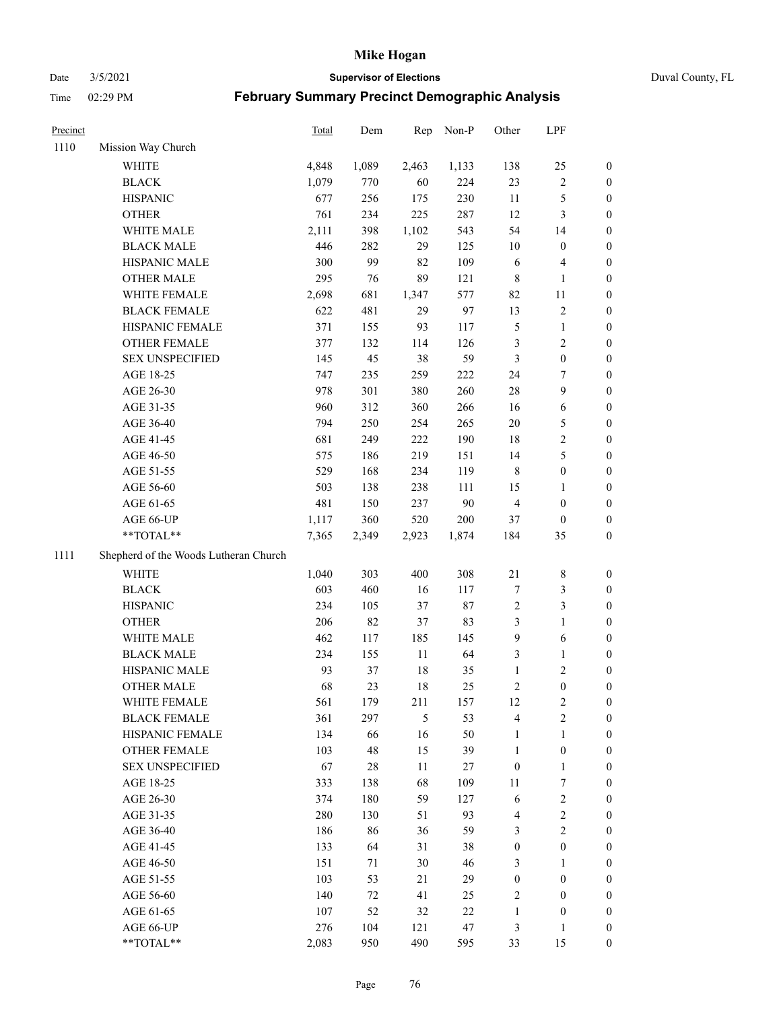Date 3/5/2021 **Supervisor of Elections** Duval County, FL

| Precinct |                                       | Total | Dem    | Rep    | Non-P  | Other            | LPF                     |                  |
|----------|---------------------------------------|-------|--------|--------|--------|------------------|-------------------------|------------------|
| 1110     | Mission Way Church                    |       |        |        |        |                  |                         |                  |
|          | WHITE                                 | 4,848 | 1,089  | 2,463  | 1,133  | 138              | 25                      | 0                |
|          | <b>BLACK</b>                          | 1,079 | 770    | 60     | 224    | 23               | $\sqrt{2}$              | 0                |
|          | <b>HISPANIC</b>                       | 677   | 256    | 175    | 230    | 11               | $\mathfrak s$           | $\boldsymbol{0}$ |
|          | <b>OTHER</b>                          | 761   | 234    | 225    | 287    | 12               | $\mathfrak{Z}$          | $\boldsymbol{0}$ |
|          | WHITE MALE                            | 2,111 | 398    | 1,102  | 543    | 54               | 14                      | $\boldsymbol{0}$ |
|          | <b>BLACK MALE</b>                     | 446   | 282    | 29     | 125    | 10               | $\boldsymbol{0}$        | $\boldsymbol{0}$ |
|          | HISPANIC MALE                         | 300   | 99     | 82     | 109    | 6                | $\overline{\mathbf{4}}$ | $\boldsymbol{0}$ |
|          | <b>OTHER MALE</b>                     | 295   | 76     | 89     | 121    | $\,$ 8 $\,$      | $\mathbf{1}$            | $\boldsymbol{0}$ |
|          | WHITE FEMALE                          | 2,698 | 681    | 1,347  | 577    | 82               | 11                      | 0                |
|          | <b>BLACK FEMALE</b>                   | 622   | 481    | 29     | 97     | 13               | $\sqrt{2}$              | 0                |
|          | HISPANIC FEMALE                       | 371   | 155    | 93     | 117    | 5                | $\mathbf{1}$            | 0                |
|          | OTHER FEMALE                          | 377   | 132    | 114    | 126    | 3                | $\sqrt{2}$              | 0                |
|          | <b>SEX UNSPECIFIED</b>                | 145   | 45     | 38     | 59     | 3                | $\boldsymbol{0}$        | $\boldsymbol{0}$ |
|          | AGE 18-25                             | 747   | 235    | 259    | 222    | 24               | $\tau$                  | $\boldsymbol{0}$ |
|          | AGE 26-30                             | 978   | 301    | 380    | 260    | 28               | $\boldsymbol{9}$        | $\boldsymbol{0}$ |
|          | AGE 31-35                             | 960   | 312    | 360    | 266    | 16               | 6                       | $\boldsymbol{0}$ |
|          | AGE 36-40                             | 794   | 250    | 254    | 265    | $20\,$           | $\mathfrak s$           | $\boldsymbol{0}$ |
|          | AGE 41-45                             | 681   | 249    | 222    | 190    | 18               | $\sqrt{2}$              | $\boldsymbol{0}$ |
|          | AGE 46-50                             | 575   | 186    | 219    | 151    | 14               | $\mathfrak s$           | $\boldsymbol{0}$ |
|          | AGE 51-55                             | 529   | 168    | 234    | 119    | $\,$ 8 $\,$      | $\boldsymbol{0}$        | 0                |
|          | AGE 56-60                             | 503   | 138    | 238    | 111    | 15               | $\mathbf{1}$            | 0                |
|          | AGE 61-65                             | 481   | 150    | 237    | 90     | $\overline{4}$   | $\boldsymbol{0}$        | 0                |
|          | AGE 66-UP                             | 1,117 | 360    | 520    | 200    | 37               | $\boldsymbol{0}$        | $\boldsymbol{0}$ |
|          | **TOTAL**                             | 7,365 | 2,349  | 2,923  | 1,874  | 184              | 35                      | $\boldsymbol{0}$ |
| 1111     | Shepherd of the Woods Lutheran Church |       |        |        |        |                  |                         |                  |
|          | <b>WHITE</b>                          | 1,040 | 303    | 400    | 308    | 21               | $\,$ 8 $\,$             | $\boldsymbol{0}$ |
|          | <b>BLACK</b>                          | 603   | 460    | 16     | 117    | 7                | $\mathfrak{Z}$          | $\boldsymbol{0}$ |
|          | <b>HISPANIC</b>                       | 234   | 105    | 37     | $87\,$ | $\sqrt{2}$       | $\mathfrak{Z}$          | $\boldsymbol{0}$ |
|          | <b>OTHER</b>                          | 206   | 82     | 37     | 83     | 3                | $\mathbf{1}$            | $\boldsymbol{0}$ |
|          | WHITE MALE                            | 462   | 117    | 185    | 145    | 9                | $\sqrt{6}$              | $\boldsymbol{0}$ |
|          | <b>BLACK MALE</b>                     | 234   | 155    | $11\,$ | 64     | 3                | $\mathbf{1}$            | $\boldsymbol{0}$ |
|          | HISPANIC MALE                         | 93    | 37     | 18     | 35     | $\mathbf{1}$     | $\sqrt{2}$              | 0                |
|          | <b>OTHER MALE</b>                     | 68    | 23     | 18     | 25     | 2                | $\boldsymbol{0}$        | 0                |
|          | WHITE FEMALE                          | 561   | 179    | 211    | 157    | 12               | 2                       | 0                |
|          | <b>BLACK FEMALE</b>                   | 361   | 297    | 5      | 53     | 4                | $\sqrt{2}$              | $\overline{0}$   |
|          | HISPANIC FEMALE                       | 134   | 66     | 16     | 50     | $\mathbf{1}$     | $\mathbf{1}$            | $\overline{0}$   |
|          | OTHER FEMALE                          | 103   | 48     | 15     | 39     | $\mathbf{1}$     | $\boldsymbol{0}$        | $\overline{0}$   |
|          | <b>SEX UNSPECIFIED</b>                | 67    | $28\,$ | 11     | 27     | $\boldsymbol{0}$ | $\mathbf{1}$            | 0                |
|          | AGE 18-25                             | 333   | 138    | 68     | 109    | 11               | $\boldsymbol{7}$        | 0                |
|          | AGE 26-30                             | 374   | 180    | 59     | 127    | 6                | $\sqrt{2}$              | 0                |
|          | AGE 31-35                             | 280   | 130    | 51     | 93     | 4                | $\sqrt{2}$              | 0                |
|          | AGE 36-40                             | 186   | 86     | 36     | 59     | 3                | $\sqrt{2}$              | 0                |
|          | AGE 41-45                             | 133   | 64     | 31     | 38     | $\boldsymbol{0}$ | $\boldsymbol{0}$        | 0                |
|          | AGE 46-50                             | 151   | 71     | 30     | 46     | 3                | $\mathbf{1}$            | 0                |
|          | AGE 51-55                             | 103   | 53     | 21     | 29     | $\boldsymbol{0}$ | $\boldsymbol{0}$        | 0                |
|          | AGE 56-60                             | 140   | 72     | 41     | 25     | $\overline{c}$   | $\boldsymbol{0}$        | 0                |
|          | AGE 61-65                             | 107   | 52     | 32     | $22\,$ | $\mathbf{1}$     | $\boldsymbol{0}$        | $\overline{0}$   |
|          | AGE 66-UP                             | 276   | 104    | 121    | 47     | 3                | $\mathbf{1}$            | 0                |
|          | **TOTAL**                             | 2,083 | 950    | 490    | 595    | 33               | 15                      | $\boldsymbol{0}$ |
|          |                                       |       |        |        |        |                  |                         |                  |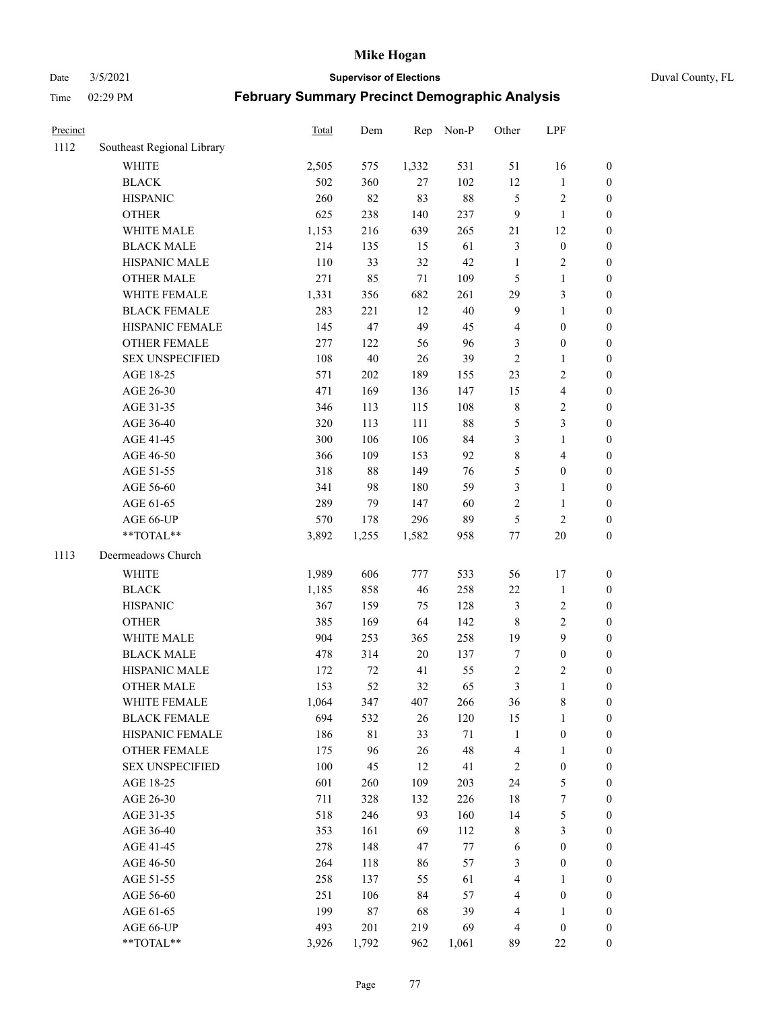Date 3/5/2021 **Supervisor of Elections** Duval County, FL

| Precinct |                            | <b>Total</b> | Dem    | Rep    | Non-P  | Other            | LPF                     |                  |
|----------|----------------------------|--------------|--------|--------|--------|------------------|-------------------------|------------------|
| 1112     | Southeast Regional Library |              |        |        |        |                  |                         |                  |
|          | <b>WHITE</b>               | 2,505        | 575    | 1,332  | 531    | 51               | 16                      | 0                |
|          | <b>BLACK</b>               | 502          | 360    | 27     | 102    | 12               | $\mathbf{1}$            | 0                |
|          | <b>HISPANIC</b>            | 260          | 82     | 83     | $88\,$ | 5                | $\sqrt{2}$              | $\boldsymbol{0}$ |
|          | <b>OTHER</b>               | 625          | 238    | 140    | 237    | 9                | $\mathbf{1}$            | $\boldsymbol{0}$ |
|          | WHITE MALE                 | 1,153        | 216    | 639    | 265    | 21               | 12                      | $\boldsymbol{0}$ |
|          | <b>BLACK MALE</b>          | 214          | 135    | 15     | 61     | 3                | $\boldsymbol{0}$        | $\boldsymbol{0}$ |
|          | HISPANIC MALE              | 110          | 33     | 32     | $42\,$ | $\mathbf{1}$     | $\sqrt{2}$              | $\boldsymbol{0}$ |
|          | <b>OTHER MALE</b>          | 271          | 85     | 71     | 109    | 5                | $\mathbf{1}$            | $\boldsymbol{0}$ |
|          | WHITE FEMALE               | 1,331        | 356    | 682    | 261    | 29               | $\mathfrak{Z}$          | $\boldsymbol{0}$ |
|          | <b>BLACK FEMALE</b>        | 283          | 221    | 12     | $40\,$ | $\overline{9}$   | $\mathbf{1}$            | $\boldsymbol{0}$ |
|          | HISPANIC FEMALE            | 145          | 47     | 49     | 45     | 4                | $\boldsymbol{0}$        | 0                |
|          | OTHER FEMALE               | 277          | 122    | 56     | 96     | 3                | $\boldsymbol{0}$        | $\boldsymbol{0}$ |
|          | <b>SEX UNSPECIFIED</b>     | 108          | 40     | 26     | 39     | $\mathfrak{2}$   | $\mathbf{1}$            | $\boldsymbol{0}$ |
|          | AGE 18-25                  | 571          | 202    | 189    | 155    | 23               | $\sqrt{2}$              | $\boldsymbol{0}$ |
|          | AGE 26-30                  | 471          | 169    | 136    | 147    | 15               | $\overline{\mathbf{4}}$ | $\boldsymbol{0}$ |
|          | AGE 31-35                  | 346          | 113    | 115    | 108    | $\,$ $\,$        | $\sqrt{2}$              | $\boldsymbol{0}$ |
|          | AGE 36-40                  | 320          | 113    | 111    | $88\,$ | 5                | $\mathfrak{Z}$          | $\boldsymbol{0}$ |
|          | AGE 41-45                  | 300          | 106    | 106    | 84     | 3                | $\mathbf{1}$            | $\boldsymbol{0}$ |
|          | AGE 46-50                  | 366          | 109    | 153    | 92     | $\,$ $\,$        | $\overline{\mathbf{4}}$ | $\boldsymbol{0}$ |
|          | AGE 51-55                  | 318          | $88\,$ | 149    | 76     | 5                | $\boldsymbol{0}$        | $\boldsymbol{0}$ |
|          | AGE 56-60                  | 341          | 98     | 180    | 59     | 3                | $\mathbf{1}$            | 0                |
|          | AGE 61-65                  | 289          | 79     | 147    | 60     | 2                | $\mathbf{1}$            | 0                |
|          | AGE 66-UP                  | 570          | 178    | 296    | 89     | 5                | $\sqrt{2}$              | $\boldsymbol{0}$ |
|          | **TOTAL**                  | 3,892        | 1,255  | 1,582  | 958    | $77 \,$          | $20\,$                  | $\boldsymbol{0}$ |
| 1113     | Deermeadows Church         |              |        |        |        |                  |                         |                  |
|          | <b>WHITE</b>               | 1,989        | 606    | 777    | 533    | 56               | 17                      | $\boldsymbol{0}$ |
|          | <b>BLACK</b>               | 1,185        | 858    | 46     | 258    | $22\,$           | $\mathbf{1}$            | $\boldsymbol{0}$ |
|          | <b>HISPANIC</b>            | 367          | 159    | 75     | 128    | 3                | $\sqrt{2}$              | $\boldsymbol{0}$ |
|          | <b>OTHER</b>               | 385          | 169    | 64     | 142    | $\,$ 8 $\,$      | $\sqrt{2}$              | $\boldsymbol{0}$ |
|          | WHITE MALE                 | 904          | 253    | 365    | 258    | 19               | 9                       | $\boldsymbol{0}$ |
|          | <b>BLACK MALE</b>          | 478          | 314    | $20\,$ | 137    | $\boldsymbol{7}$ | $\boldsymbol{0}$        | $\boldsymbol{0}$ |
|          | HISPANIC MALE              | 172          | 72     | 41     | 55     | $\sqrt{2}$       | $\sqrt{2}$              | $\boldsymbol{0}$ |
|          | OTHER MALE                 | 153          | 52     | 32     | 65     | 3                | $\mathbf{1}$            | $\boldsymbol{0}$ |
|          | WHITE FEMALE               | 1,064        | 347    | 407    | 266    | 36               | 8                       | 0                |
|          | <b>BLACK FEMALE</b>        | 694          | 532    | 26     | 120    | 15               | $\mathbf{1}$            | $\boldsymbol{0}$ |
|          | HISPANIC FEMALE            | 186          | 81     | 33     | 71     | $\mathbf{1}$     | $\boldsymbol{0}$        | $\overline{0}$   |
|          | <b>OTHER FEMALE</b>        | 175          | 96     | 26     | 48     | 4                | $\mathbf{1}$            | $\overline{0}$   |
|          | <b>SEX UNSPECIFIED</b>     | 100          | 45     | 12     | 41     | 2                | $\boldsymbol{0}$        | 0                |
|          | AGE 18-25                  | 601          | 260    | 109    | 203    | 24               | $\mathfrak{S}$          | 0                |
|          | AGE 26-30                  | 711          | 328    | 132    | 226    | 18               | $\boldsymbol{7}$        | 0                |
|          | AGE 31-35                  | 518          | 246    | 93     | 160    | 14               | $\mathfrak s$           | 0                |
|          | AGE 36-40                  | 353          | 161    | 69     | 112    | 8                | $\mathfrak{Z}$          | 0                |
|          | AGE 41-45                  | 278          | 148    | 47     | $77\,$ | 6                | $\boldsymbol{0}$        | 0                |
|          | AGE 46-50                  | 264          | 118    | 86     | 57     | 3                | $\boldsymbol{0}$        | 0                |
|          | AGE 51-55                  | 258          | 137    | 55     | 61     | 4                | 1                       | 0                |
|          | AGE 56-60                  | 251          | 106    | 84     | 57     | 4                | $\boldsymbol{0}$        | $\overline{0}$   |
|          | AGE 61-65                  | 199          | 87     | 68     | 39     | 4                | 1                       | $\overline{0}$   |
|          | AGE 66-UP                  | 493          | 201    | 219    | 69     | 4                | $\boldsymbol{0}$        | 0                |
|          | **TOTAL**                  | 3,926        | 1,792  | 962    | 1,061  | 89               | $22\,$                  | $\boldsymbol{0}$ |
|          |                            |              |        |        |        |                  |                         |                  |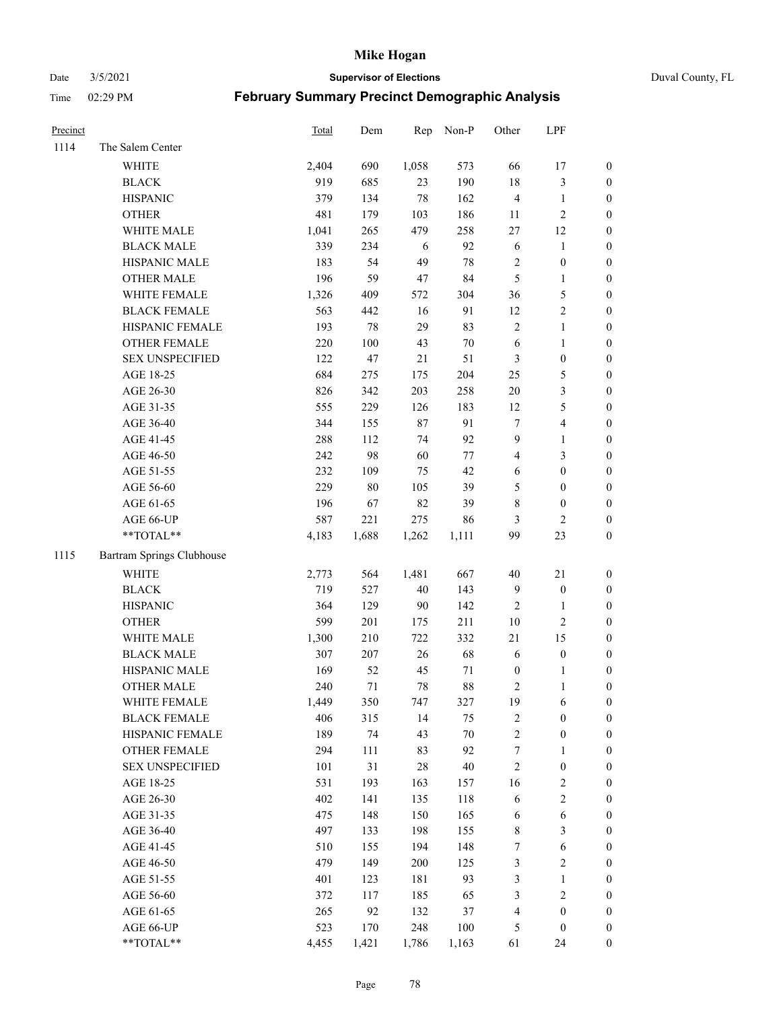Date 3/5/2021 **Supervisor of Elections** Duval County, FL

| Precinct |                           | Total | Dem    | Rep   | Non-P   | Other                   | LPF                     |                  |
|----------|---------------------------|-------|--------|-------|---------|-------------------------|-------------------------|------------------|
| 1114     | The Salem Center          |       |        |       |         |                         |                         |                  |
|          | WHITE                     | 2,404 | 690    | 1,058 | 573     | 66                      | 17                      | 0                |
|          | <b>BLACK</b>              | 919   | 685    | 23    | 190     | $18\,$                  | $\mathfrak{Z}$          | $\boldsymbol{0}$ |
|          | <b>HISPANIC</b>           | 379   | 134    | 78    | 162     | $\overline{4}$          | $\mathbf{1}$            | $\boldsymbol{0}$ |
|          | <b>OTHER</b>              | 481   | 179    | 103   | 186     | 11                      | $\sqrt{2}$              | $\boldsymbol{0}$ |
|          | WHITE MALE                | 1,041 | 265    | 479   | 258     | $27\,$                  | 12                      | $\boldsymbol{0}$ |
|          | <b>BLACK MALE</b>         | 339   | 234    | 6     | 92      | $\sqrt{6}$              | 1                       | $\boldsymbol{0}$ |
|          | HISPANIC MALE             | 183   | 54     | 49    | $78\,$  | $\sqrt{2}$              | $\boldsymbol{0}$        | $\boldsymbol{0}$ |
|          | <b>OTHER MALE</b>         | 196   | 59     | 47    | 84      | $\mathfrak{S}$          | $\mathbf{1}$            | $\boldsymbol{0}$ |
|          | WHITE FEMALE              | 1,326 | 409    | 572   | 304     | 36                      | $\mathfrak{S}$          | $\boldsymbol{0}$ |
|          | <b>BLACK FEMALE</b>       | 563   | 442    | 16    | 91      | 12                      | $\sqrt{2}$              | 0                |
|          | HISPANIC FEMALE           | 193   | $78\,$ | 29    | 83      | $\sqrt{2}$              | $\mathbf{1}$            | 0                |
|          | OTHER FEMALE              | 220   | 100    | 43    | $70\,$  | 6                       | $\mathbf{1}$            | 0                |
|          | <b>SEX UNSPECIFIED</b>    | 122   | 47     | 21    | 51      | 3                       | $\boldsymbol{0}$        | $\boldsymbol{0}$ |
|          | AGE 18-25                 | 684   | 275    | 175   | 204     | $25\,$                  | $\mathfrak{S}$          | $\boldsymbol{0}$ |
|          | AGE 26-30                 | 826   | 342    | 203   | 258     | $20\,$                  | $\mathfrak{Z}$          | $\boldsymbol{0}$ |
|          | AGE 31-35                 | 555   | 229    | 126   | 183     | 12                      | $\mathfrak{S}$          | $\boldsymbol{0}$ |
|          | AGE 36-40                 | 344   | 155    | 87    | 91      | 7                       | $\overline{\mathbf{4}}$ | $\boldsymbol{0}$ |
|          | AGE 41-45                 | 288   | 112    | 74    | 92      | 9                       | $\mathbf{1}$            | $\boldsymbol{0}$ |
|          | AGE 46-50                 | 242   | 98     | 60    | $77\,$  | $\overline{\mathbf{4}}$ | $\mathfrak{Z}$          | $\boldsymbol{0}$ |
|          | AGE 51-55                 | 232   | 109    | 75    | 42      | 6                       | $\boldsymbol{0}$        | $\boldsymbol{0}$ |
|          | AGE 56-60                 | 229   | 80     | 105   | 39      | 5                       | $\boldsymbol{0}$        | 0                |
|          | AGE 61-65                 | 196   | 67     | 82    | 39      | 8                       | $\boldsymbol{0}$        | 0                |
|          | AGE 66-UP                 | 587   | 221    | 275   | 86      | 3                       | $\overline{2}$          | $\boldsymbol{0}$ |
|          | **TOTAL**                 | 4,183 | 1,688  | 1,262 | 1,111   | 99                      | 23                      | $\boldsymbol{0}$ |
| 1115     | Bartram Springs Clubhouse |       |        |       |         |                         |                         |                  |
|          | <b>WHITE</b>              | 2,773 | 564    | 1,481 | 667     | $40\,$                  | 21                      | $\boldsymbol{0}$ |
|          | <b>BLACK</b>              | 719   | 527    | 40    | 143     | 9                       | $\boldsymbol{0}$        | $\boldsymbol{0}$ |
|          | <b>HISPANIC</b>           | 364   | 129    | 90    | 142     | $\overline{c}$          | $\mathbf{1}$            | $\boldsymbol{0}$ |
|          | <b>OTHER</b>              | 599   | 201    | 175   | 211     | $10\,$                  | $\sqrt{2}$              | $\boldsymbol{0}$ |
|          | WHITE MALE                | 1,300 | 210    | 722   | 332     | 21                      | 15                      | $\boldsymbol{0}$ |
|          | <b>BLACK MALE</b>         | 307   | 207    | 26    | 68      | $\sqrt{6}$              | $\boldsymbol{0}$        | $\boldsymbol{0}$ |
|          | HISPANIC MALE             | 169   | 52     | 45    | 71      | $\boldsymbol{0}$        | 1                       | 0                |
|          | <b>OTHER MALE</b>         | 240   | 71     | 78    | $88\,$  | 2                       | $\mathbf{1}$            | 0                |
|          | WHITE FEMALE              | 1,449 | 350    | 747   | 327     | 19                      | 6                       | 0                |
|          | <b>BLACK FEMALE</b>       | 406   | 315    | 14    | 75      | 2                       | $\boldsymbol{0}$        | $\boldsymbol{0}$ |
|          | HISPANIC FEMALE           | 189   | 74     | 43    | $70\,$  | $\overline{c}$          | $\boldsymbol{0}$        | $\boldsymbol{0}$ |
|          | <b>OTHER FEMALE</b>       | 294   | 111    | 83    | 92      | 7                       | $\mathbf{1}$            | $\overline{0}$   |
|          | <b>SEX UNSPECIFIED</b>    | 101   | 31     | 28    | $40\,$  | $\overline{c}$          | $\boldsymbol{0}$        | 0                |
|          | AGE 18-25                 | 531   | 193    | 163   | 157     | 16                      | $\sqrt{2}$              | 0                |
|          | AGE 26-30                 | 402   | 141    | 135   | 118     | 6                       | $\sqrt{2}$              | 0                |
|          | AGE 31-35                 | 475   | 148    | 150   | 165     | 6                       | $\sqrt{6}$              | 0                |
|          | AGE 36-40                 | 497   | 133    | 198   | 155     | 8                       | $\mathfrak{Z}$          | 0                |
|          | AGE 41-45                 | 510   | 155    | 194   | 148     | 7                       | $\sqrt{6}$              | 0                |
|          | AGE 46-50                 | 479   | 149    | 200   | 125     | 3                       | $\sqrt{2}$              | 0                |
|          | AGE 51-55                 | 401   | 123    | 181   | 93      | 3                       | $\mathbf{1}$            | $\boldsymbol{0}$ |
|          | AGE 56-60                 | 372   | 117    | 185   | 65      | 3                       | $\sqrt{2}$              | $\boldsymbol{0}$ |
|          | AGE 61-65                 | 265   | 92     | 132   | 37      | 4                       | $\boldsymbol{0}$        | $\boldsymbol{0}$ |
|          | AGE 66-UP                 | 523   | 170    | 248   | $100\,$ | 5                       | $\boldsymbol{0}$        | $\boldsymbol{0}$ |
|          | **TOTAL**                 | 4,455 | 1,421  | 1,786 | 1,163   | 61                      | 24                      | $\boldsymbol{0}$ |
|          |                           |       |        |       |         |                         |                         |                  |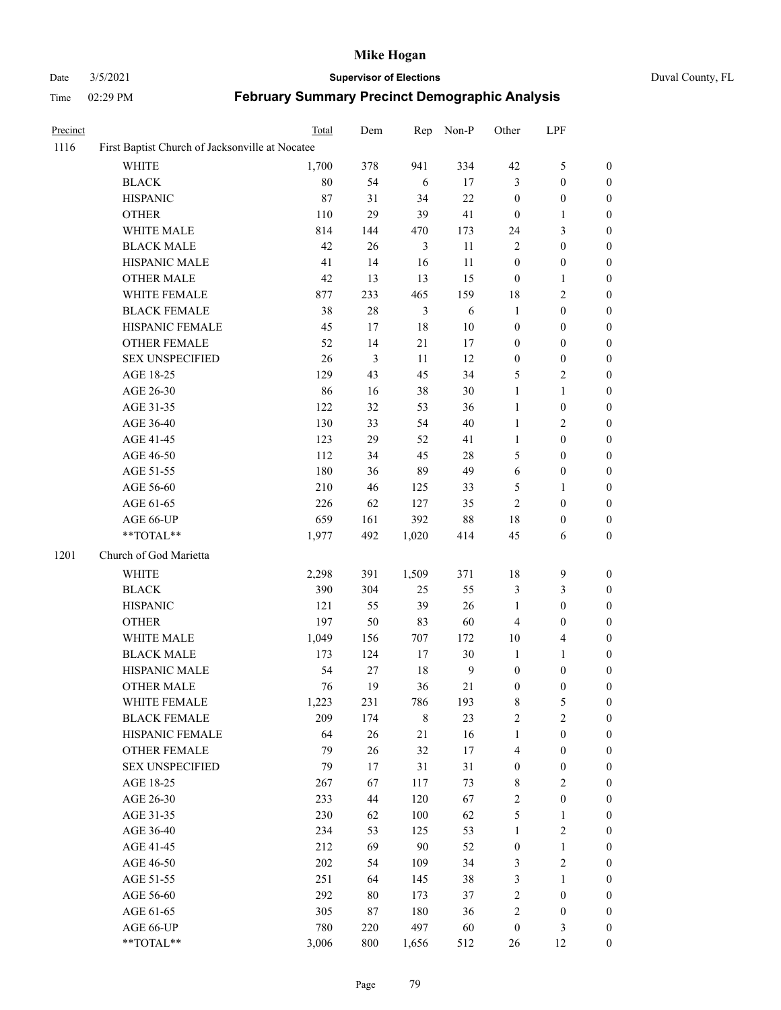# Date 3/5/2021 **Supervisor of Elections** Duval County, FL

| Precinct |                                                 | Total  | Dem            | Rep            | Non-P          | Other            | LPF              |                  |
|----------|-------------------------------------------------|--------|----------------|----------------|----------------|------------------|------------------|------------------|
| 1116     | First Baptist Church of Jacksonville at Nocatee |        |                |                |                |                  |                  |                  |
|          | <b>WHITE</b>                                    | 1,700  | 378            | 941            | 334            | 42               | $\mathfrak{S}$   | $\boldsymbol{0}$ |
|          | <b>BLACK</b>                                    | $80\,$ | 54             | $\sqrt{6}$     | 17             | 3                | $\boldsymbol{0}$ | $\boldsymbol{0}$ |
|          | <b>HISPANIC</b>                                 | 87     | 31             | 34             | $22\,$         | $\boldsymbol{0}$ | $\boldsymbol{0}$ | $\boldsymbol{0}$ |
|          | <b>OTHER</b>                                    | 110    | 29             | 39             | 41             | $\boldsymbol{0}$ | $\mathbf{1}$     | $\boldsymbol{0}$ |
|          | WHITE MALE                                      | 814    | 144            | 470            | 173            | 24               | 3                | $\boldsymbol{0}$ |
|          | <b>BLACK MALE</b>                               | 42     | 26             | $\mathfrak{Z}$ | $11\,$         | $\mathbf{2}$     | $\boldsymbol{0}$ | $\boldsymbol{0}$ |
|          | HISPANIC MALE                                   | 41     | 14             | 16             | 11             | $\boldsymbol{0}$ | $\boldsymbol{0}$ | 0                |
|          | <b>OTHER MALE</b>                               | 42     | 13             | 13             | 15             | $\boldsymbol{0}$ | 1                | 0                |
|          | WHITE FEMALE                                    | 877    | 233            | 465            | 159            | 18               | $\sqrt{2}$       | 0                |
|          | <b>BLACK FEMALE</b>                             | 38     | $28\,$         | $\mathfrak{Z}$ | $\sqrt{6}$     | $\mathbf{1}$     | $\boldsymbol{0}$ | $\boldsymbol{0}$ |
|          | HISPANIC FEMALE                                 | 45     | 17             | $18\,$         | $10\,$         | $\boldsymbol{0}$ | $\boldsymbol{0}$ | $\boldsymbol{0}$ |
|          | OTHER FEMALE                                    | 52     | 14             | $21\,$         | 17             | $\boldsymbol{0}$ | $\boldsymbol{0}$ | $\boldsymbol{0}$ |
|          | <b>SEX UNSPECIFIED</b>                          | 26     | $\mathfrak{Z}$ | 11             | 12             | $\boldsymbol{0}$ | $\boldsymbol{0}$ | $\boldsymbol{0}$ |
|          | AGE 18-25                                       | 129    | 43             | 45             | 34             | 5                | $\sqrt{2}$       | $\boldsymbol{0}$ |
|          | AGE 26-30                                       | 86     | 16             | 38             | $30\,$         | $\mathbf{1}$     | $\mathbf{1}$     | $\boldsymbol{0}$ |
|          | AGE 31-35                                       | 122    | 32             | 53             | 36             | $\mathbf{1}$     | $\boldsymbol{0}$ | $\boldsymbol{0}$ |
|          | AGE 36-40                                       | 130    | 33             | 54             | $40\,$         | $\mathbf{1}$     | $\sqrt{2}$       | 0                |
|          | AGE 41-45                                       | 123    | 29             | 52             | 41             | 1                | $\boldsymbol{0}$ | 0                |
|          | AGE 46-50                                       | 112    | 34             | 45             | $28\,$         | 5                | $\boldsymbol{0}$ | $\boldsymbol{0}$ |
|          | AGE 51-55                                       | 180    | 36             | 89             | 49             | $\sqrt{6}$       | $\boldsymbol{0}$ | $\boldsymbol{0}$ |
|          | AGE 56-60                                       | 210    | 46             | 125            | 33             | 5                | 1                | $\boldsymbol{0}$ |
|          | AGE 61-65                                       | 226    | 62             | 127            | 35             | $\sqrt{2}$       | $\boldsymbol{0}$ | $\boldsymbol{0}$ |
|          | AGE 66-UP                                       | 659    | 161            | 392            | $88\,$         | 18               | $\boldsymbol{0}$ | $\boldsymbol{0}$ |
|          | **TOTAL**                                       | 1,977  | 492            | 1,020          | 414            | 45               | 6                | $\boldsymbol{0}$ |
| 1201     | Church of God Marietta                          |        |                |                |                |                  |                  |                  |
|          | WHITE                                           | 2,298  | 391            | 1,509          | 371            | 18               | $\boldsymbol{9}$ | $\boldsymbol{0}$ |
|          | <b>BLACK</b>                                    | 390    | 304            | 25             | 55             | $\mathfrak{Z}$   | $\mathfrak{Z}$   | $\boldsymbol{0}$ |
|          | <b>HISPANIC</b>                                 | 121    | 55             | 39             | 26             | $\mathbf{1}$     | $\boldsymbol{0}$ | $\boldsymbol{0}$ |
|          | <b>OTHER</b>                                    | 197    | 50             | 83             | 60             | $\overline{4}$   | $\boldsymbol{0}$ | 0                |
|          | WHITE MALE                                      | 1,049  | 156            | 707            | 172            | $10\,$           | $\overline{4}$   | 0                |
|          | <b>BLACK MALE</b>                               | 173    | 124            | 17             | $30\,$         | $\mathbf{1}$     | 1                | 0                |
|          | HISPANIC MALE                                   | 54     | 27             | $18\,$         | $\overline{9}$ | $\boldsymbol{0}$ | $\boldsymbol{0}$ | 0                |
|          | <b>OTHER MALE</b>                               | 76     | 19             | 36             | 21             | $\boldsymbol{0}$ | $\boldsymbol{0}$ | $\boldsymbol{0}$ |
|          | WHITE FEMALE                                    | 1,223  | 231            | 786            | 193            | 8                | 5                | $\boldsymbol{0}$ |
|          | <b>BLACK FEMALE</b>                             | 209    | 174            | $\,$ 8 $\,$    | 23             | $\overline{c}$   | $\sqrt{2}$       | $\overline{0}$   |
|          | HISPANIC FEMALE                                 | 64     | 26             | 21             | 16             | $\mathbf{1}$     | $\boldsymbol{0}$ | 0                |
|          | <b>OTHER FEMALE</b>                             | 79     | 26             | 32             | 17             | 4                | $\boldsymbol{0}$ | 0                |
|          | <b>SEX UNSPECIFIED</b>                          | 79     | 17             | 31             | 31             | $\boldsymbol{0}$ | $\boldsymbol{0}$ | 0                |
|          | AGE 18-25                                       | 267    | 67             | 117            | 73             | $\,$ 8 $\,$      | $\sqrt{2}$       | 0                |
|          | AGE 26-30                                       | 233    | 44             | 120            | 67             | $\sqrt{2}$       | $\boldsymbol{0}$ | 0                |
|          | AGE 31-35                                       | 230    | 62             | 100            | 62             | 5                | $\mathbf{1}$     | 0                |
|          | AGE 36-40                                       | 234    | 53             | 125            | 53             | $\mathbf{1}$     | $\sqrt{2}$       | 0                |
|          | AGE 41-45                                       | 212    | 69             | 90             | 52             | $\boldsymbol{0}$ | $\mathbf{1}$     | 0                |
|          | AGE 46-50                                       | 202    | 54             | 109            | 34             | 3                | $\sqrt{2}$       | $\overline{0}$   |
|          | AGE 51-55                                       | 251    | 64             | 145            | 38             | 3                | $\mathbf{1}$     | 0                |
|          | AGE 56-60                                       | 292    | 80             | 173            | 37             | $\sqrt{2}$       | $\boldsymbol{0}$ | 0                |
|          | AGE 61-65                                       | 305    | 87             | 180            | 36             | $\sqrt{2}$       | $\boldsymbol{0}$ | 0                |
|          | AGE 66-UP                                       | 780    | 220            | 497            | 60             | $\boldsymbol{0}$ | $\mathfrak{Z}$   | 0                |
|          | **TOTAL**                                       | 3,006  | 800            | 1,656          | 512            | 26               | 12               | $\boldsymbol{0}$ |
|          |                                                 |        |                |                |                |                  |                  |                  |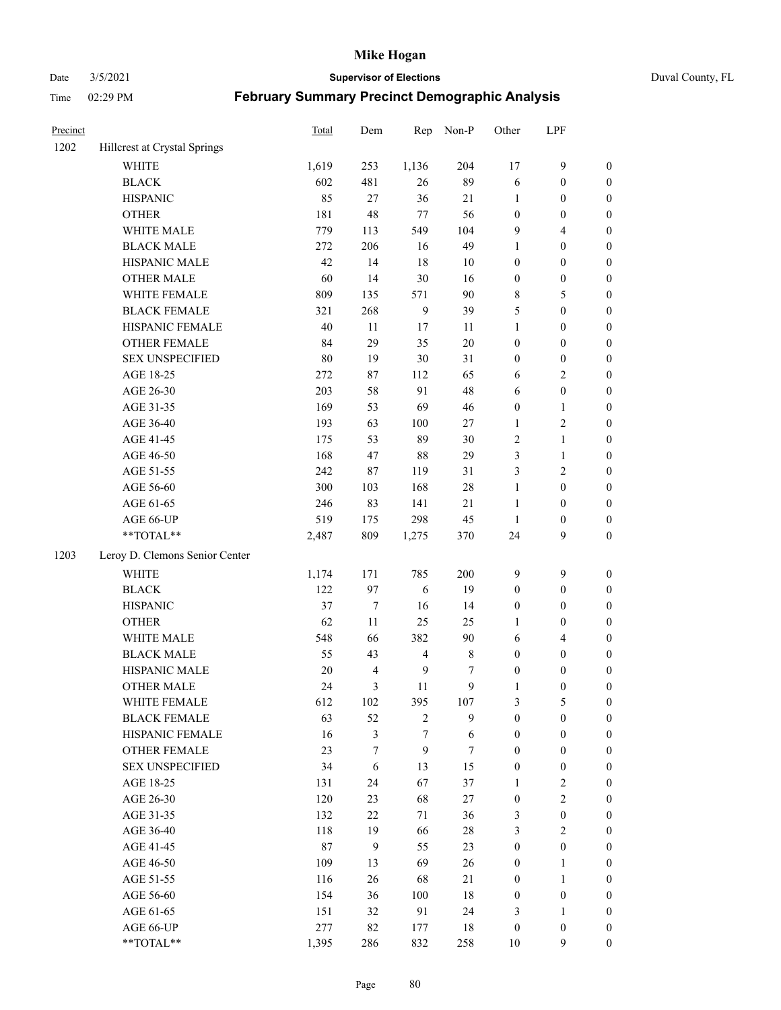Date 3/5/2021 **Supervisor of Elections** Duval County, FL

| Precinct |                                | Total | Dem              | Rep            | Non-P  | Other            | LPF              |                  |
|----------|--------------------------------|-------|------------------|----------------|--------|------------------|------------------|------------------|
| 1202     | Hillcrest at Crystal Springs   |       |                  |                |        |                  |                  |                  |
|          | <b>WHITE</b>                   | 1,619 | 253              | 1,136          | 204    | 17               | $\mathbf{9}$     | 0                |
|          | <b>BLACK</b>                   | 602   | 481              | 26             | 89     | 6                | $\boldsymbol{0}$ | $\boldsymbol{0}$ |
|          | <b>HISPANIC</b>                | 85    | 27               | 36             | 21     | 1                | $\boldsymbol{0}$ | $\boldsymbol{0}$ |
|          | <b>OTHER</b>                   | 181   | 48               | $77\,$         | 56     | $\boldsymbol{0}$ | $\boldsymbol{0}$ | $\boldsymbol{0}$ |
|          | WHITE MALE                     | 779   | 113              | 549            | 104    | 9                | $\overline{4}$   | $\boldsymbol{0}$ |
|          | <b>BLACK MALE</b>              | 272   | 206              | 16             | 49     | $\mathbf{1}$     | $\boldsymbol{0}$ | $\boldsymbol{0}$ |
|          | HISPANIC MALE                  | 42    | 14               | 18             | 10     | $\boldsymbol{0}$ | $\boldsymbol{0}$ | $\boldsymbol{0}$ |
|          | <b>OTHER MALE</b>              | 60    | 14               | 30             | 16     | $\boldsymbol{0}$ | $\boldsymbol{0}$ | $\boldsymbol{0}$ |
|          | WHITE FEMALE                   | 809   | 135              | 571            | 90     | 8                | 5                | $\boldsymbol{0}$ |
|          | <b>BLACK FEMALE</b>            | 321   | 268              | $\overline{9}$ | 39     | 5                | $\boldsymbol{0}$ | 0                |
|          | HISPANIC FEMALE                | 40    | 11               | 17             | 11     | $\mathbf{1}$     | $\boldsymbol{0}$ | 0                |
|          | OTHER FEMALE                   | 84    | 29               | 35             | $20\,$ | $\boldsymbol{0}$ | $\boldsymbol{0}$ | 0                |
|          | <b>SEX UNSPECIFIED</b>         | 80    | 19               | 30             | 31     | $\boldsymbol{0}$ | $\boldsymbol{0}$ | $\boldsymbol{0}$ |
|          | AGE 18-25                      | 272   | 87               | 112            | 65     | 6                | $\sqrt{2}$       | $\boldsymbol{0}$ |
|          | AGE 26-30                      | 203   | 58               | 91             | 48     | 6                | $\boldsymbol{0}$ | $\boldsymbol{0}$ |
|          | AGE 31-35                      | 169   | 53               | 69             | 46     | $\boldsymbol{0}$ | $\mathbf{1}$     | $\boldsymbol{0}$ |
|          | AGE 36-40                      | 193   | 63               | 100            | $27\,$ | $\mathbf{1}$     | $\sqrt{2}$       | $\boldsymbol{0}$ |
|          | AGE 41-45                      | 175   | 53               | 89             | $30\,$ | 2                | $\mathbf{1}$     | $\boldsymbol{0}$ |
|          | AGE 46-50                      | 168   | 47               | 88             | 29     | 3                | $\mathbf{1}$     | $\boldsymbol{0}$ |
|          | AGE 51-55                      | 242   | 87               | 119            | 31     | 3                | $\sqrt{2}$       | $\boldsymbol{0}$ |
|          | AGE 56-60                      | 300   | 103              | 168            | $28\,$ | $\mathbf{1}$     | $\boldsymbol{0}$ | 0                |
|          | AGE 61-65                      | 246   | 83               | 141            | 21     | $\mathbf{1}$     | $\boldsymbol{0}$ | 0                |
|          | AGE 66-UP                      | 519   | 175              | 298            | 45     | $\mathbf{1}$     | $\boldsymbol{0}$ | $\boldsymbol{0}$ |
|          | **TOTAL**                      | 2,487 | 809              | 1,275          | 370    | 24               | 9                | $\boldsymbol{0}$ |
| 1203     | Leroy D. Clemons Senior Center |       |                  |                |        |                  |                  |                  |
|          | <b>WHITE</b>                   | 1,174 | 171              | 785            | 200    | 9                | 9                | $\boldsymbol{0}$ |
|          | <b>BLACK</b>                   | 122   | 97               | $\sqrt{6}$     | 19     | $\boldsymbol{0}$ | $\boldsymbol{0}$ | $\boldsymbol{0}$ |
|          | <b>HISPANIC</b>                | 37    | $\boldsymbol{7}$ | 16             | 14     | $\boldsymbol{0}$ | $\boldsymbol{0}$ | $\boldsymbol{0}$ |
|          | <b>OTHER</b>                   | 62    | 11               | 25             | 25     | 1                | $\boldsymbol{0}$ | $\boldsymbol{0}$ |
|          | WHITE MALE                     | 548   | 66               | 382            | $90\,$ | 6                | $\overline{4}$   | $\boldsymbol{0}$ |
|          | <b>BLACK MALE</b>              | 55    | 43               | $\overline{4}$ | $8\,$  | $\boldsymbol{0}$ | $\boldsymbol{0}$ | $\boldsymbol{0}$ |
|          | HISPANIC MALE                  | 20    | $\overline{4}$   | $\overline{9}$ | 7      | $\boldsymbol{0}$ | $\boldsymbol{0}$ | $\boldsymbol{0}$ |
|          | OTHER MALE                     | 24    | 3                | 11             | 9      | $\mathbf{1}$     | $\boldsymbol{0}$ | $\boldsymbol{0}$ |
|          | WHITE FEMALE                   | 612   | 102              | 395            | 107    | 3                | 5                | 0                |
|          | <b>BLACK FEMALE</b>            | 63    | 52               | $\sqrt{2}$     | 9      | $\boldsymbol{0}$ | $\boldsymbol{0}$ | $\overline{0}$   |
|          | HISPANIC FEMALE                | 16    | 3                | $\tau$         | 6      | $\boldsymbol{0}$ | $\boldsymbol{0}$ | $\overline{0}$   |
|          | OTHER FEMALE                   | 23    | 7                | 9              | $\tau$ | $\boldsymbol{0}$ | $\boldsymbol{0}$ | $\overline{0}$   |
|          | <b>SEX UNSPECIFIED</b>         | 34    | 6                | 13             | 15     | $\boldsymbol{0}$ | $\boldsymbol{0}$ | 0                |
|          | AGE 18-25                      | 131   | 24               | 67             | 37     | 1                | $\sqrt{2}$       | 0                |
|          | AGE 26-30                      | 120   | 23               | 68             | $27\,$ | $\boldsymbol{0}$ | $\overline{2}$   | 0                |
|          | AGE 31-35                      | 132   | 22               | 71             | 36     | 3                | $\boldsymbol{0}$ | 0                |
|          | AGE 36-40                      | 118   | 19               | 66             | $28\,$ | 3                | $\sqrt{2}$       | 0                |
|          | AGE 41-45                      | 87    | 9                | 55             | 23     | $\boldsymbol{0}$ | $\boldsymbol{0}$ | 0                |
|          | AGE 46-50                      | 109   | 13               | 69             | 26     | $\boldsymbol{0}$ | $\mathbf{1}$     | 0                |
|          | AGE 51-55                      | 116   | 26               | 68             | 21     | $\boldsymbol{0}$ | $\mathbf{1}$     | 0                |
|          | AGE 56-60                      | 154   | 36               | 100            | 18     | $\boldsymbol{0}$ | $\boldsymbol{0}$ | $\overline{0}$   |
|          | AGE 61-65                      | 151   | 32               | 91             | 24     | 3                | $\mathbf{1}$     | $\boldsymbol{0}$ |
|          | AGE 66-UP                      | 277   | 82               | 177            | 18     | $\boldsymbol{0}$ | $\boldsymbol{0}$ | 0                |
|          | **TOTAL**                      | 1,395 | 286              | 832            | 258    | 10               | 9                | $\overline{0}$   |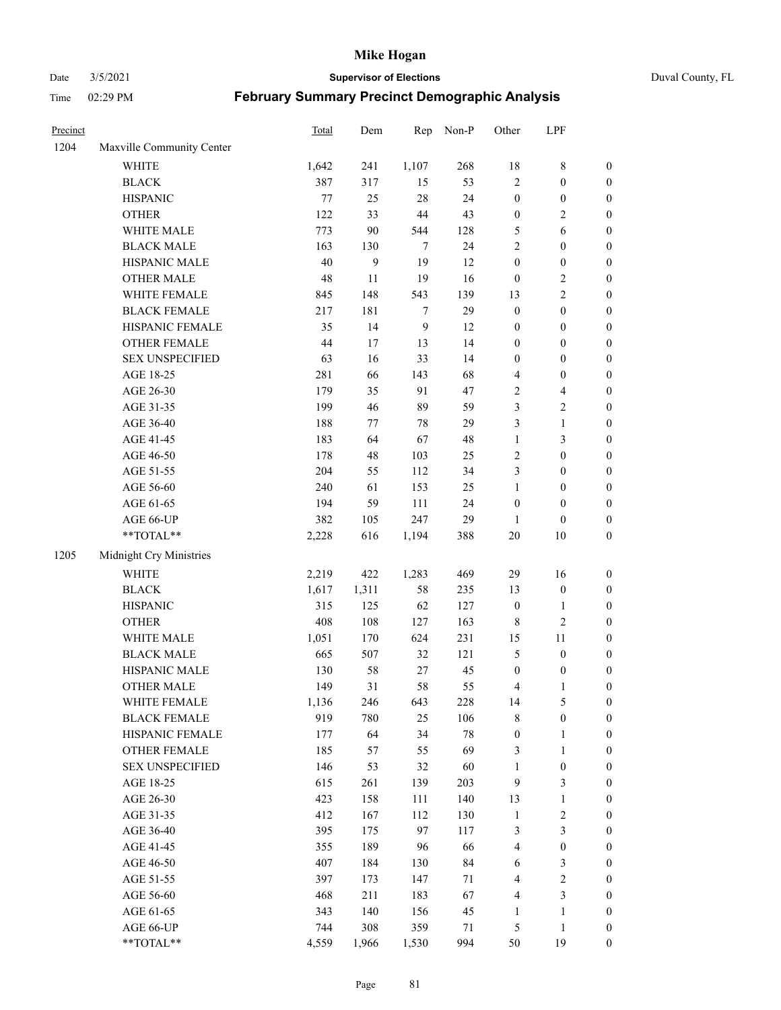Date 3/5/2021 **Supervisor of Elections** Duval County, FL

| Precinct |                                                           | Total | Dem   | Rep            | Non-P  | Other                   | LPF                     |                  |
|----------|-----------------------------------------------------------|-------|-------|----------------|--------|-------------------------|-------------------------|------------------|
| 1204     | Maxville Community Center                                 |       |       |                |        |                         |                         |                  |
|          | <b>WHITE</b>                                              | 1,642 | 241   | 1,107          | 268    | 18                      | $\,$ 8 $\,$             | 0                |
|          | <b>BLACK</b>                                              | 387   | 317   | 15             | 53     | $\overline{2}$          | $\boldsymbol{0}$        | $\boldsymbol{0}$ |
|          | <b>HISPANIC</b>                                           | 77    | 25    | 28             | 24     | $\boldsymbol{0}$        | $\boldsymbol{0}$        | $\boldsymbol{0}$ |
|          | <b>OTHER</b>                                              | 122   | 33    | 44             | 43     | $\boldsymbol{0}$        | $\sqrt{2}$              | $\boldsymbol{0}$ |
|          | WHITE MALE                                                | 773   | 90    | 544            | 128    | 5                       | 6                       | $\boldsymbol{0}$ |
|          | <b>BLACK MALE</b>                                         | 163   | 130   | 7              | 24     | $\overline{c}$          | $\boldsymbol{0}$        | $\boldsymbol{0}$ |
|          | HISPANIC MALE                                             | 40    | 9     | 19             | 12     | $\boldsymbol{0}$        | $\boldsymbol{0}$        | $\boldsymbol{0}$ |
|          | <b>OTHER MALE</b>                                         | 48    | 11    | 19             | 16     | $\boldsymbol{0}$        | $\sqrt{2}$              | $\boldsymbol{0}$ |
|          | WHITE FEMALE                                              | 845   | 148   | 543            | 139    | 13                      | $\overline{2}$          | $\boldsymbol{0}$ |
|          | <b>BLACK FEMALE</b>                                       | 217   | 181   | $\tau$         | 29     | $\boldsymbol{0}$        | $\boldsymbol{0}$        | $\boldsymbol{0}$ |
|          | HISPANIC FEMALE                                           | 35    | 14    | $\overline{9}$ | 12     | $\boldsymbol{0}$        | $\boldsymbol{0}$        | $\boldsymbol{0}$ |
|          | OTHER FEMALE                                              | 44    | 17    | 13             | 14     | $\boldsymbol{0}$        | $\boldsymbol{0}$        | $\boldsymbol{0}$ |
|          | <b>SEX UNSPECIFIED</b>                                    | 63    | 16    | 33             | 14     | $\boldsymbol{0}$        | $\boldsymbol{0}$        | $\boldsymbol{0}$ |
|          | AGE 18-25                                                 | 281   | 66    | 143            | 68     | 4                       | $\boldsymbol{0}$        | $\boldsymbol{0}$ |
|          | AGE 26-30                                                 | 179   | 35    | 91             | 47     | 2                       | $\overline{\mathbf{4}}$ | $\boldsymbol{0}$ |
|          | AGE 31-35                                                 | 199   | 46    | 89             | 59     | 3                       | $\sqrt{2}$              | $\boldsymbol{0}$ |
|          | AGE 36-40                                                 | 188   | 77    | 78             | 29     | 3                       | $\mathbf{1}$            | $\boldsymbol{0}$ |
|          | AGE 41-45                                                 | 183   | 64    | 67             | 48     | $\mathbf{1}$            | 3                       | $\boldsymbol{0}$ |
|          | AGE 46-50                                                 | 178   | 48    | 103            | 25     | 2                       | $\boldsymbol{0}$        | $\boldsymbol{0}$ |
|          | AGE 51-55                                                 | 204   | 55    | 112            | 34     | 3                       | $\boldsymbol{0}$        | $\boldsymbol{0}$ |
|          | AGE 56-60                                                 | 240   | 61    | 153            | 25     | $\mathbf{1}$            | $\boldsymbol{0}$        | 0                |
|          | AGE 61-65                                                 | 194   | 59    | 111            | 24     | $\boldsymbol{0}$        | $\boldsymbol{0}$        | $\boldsymbol{0}$ |
|          | AGE 66-UP                                                 | 382   | 105   | 247            | 29     | $\mathbf{1}$            | $\boldsymbol{0}$        | $\boldsymbol{0}$ |
|          | $\mathrm{*}\mathrm{*}\mathrm{TOTAL} \mathrm{*}\mathrm{*}$ | 2,228 | 616   | 1,194          | 388    | $20\,$                  | $10\,$                  | $\boldsymbol{0}$ |
| 1205     | Midnight Cry Ministries                                   |       |       |                |        |                         |                         |                  |
|          |                                                           |       |       |                |        |                         |                         |                  |
|          | <b>WHITE</b>                                              | 2,219 | 422   | 1,283          | 469    | 29                      | 16                      | $\boldsymbol{0}$ |
|          | <b>BLACK</b>                                              | 1,617 | 1,311 | 58             | 235    | 13                      | $\boldsymbol{0}$        | $\boldsymbol{0}$ |
|          | <b>HISPANIC</b>                                           | 315   | 125   | 62             | 127    | $\boldsymbol{0}$        | $\mathbf{1}$            | $\boldsymbol{0}$ |
|          | <b>OTHER</b>                                              | 408   | 108   | 127            | 163    | 8                       | $\sqrt{2}$              | $\boldsymbol{0}$ |
|          | WHITE MALE                                                | 1,051 | 170   | 624            | 231    | 15                      | $11\,$                  | $\boldsymbol{0}$ |
|          | <b>BLACK MALE</b>                                         | 665   | 507   | 32             | 121    | 5                       | $\boldsymbol{0}$        | $\boldsymbol{0}$ |
|          | HISPANIC MALE                                             | 130   | 58    | 27             | 45     | $\boldsymbol{0}$        | $\boldsymbol{0}$        | 0                |
|          | OTHER MALE                                                | 149   | 31    | 58             | 55     | 4                       | $\mathbf{1}$            | $\boldsymbol{0}$ |
|          | WHITE FEMALE                                              | 1,136 | 246   | 643            | 228    | 14                      | 5                       | 0                |
|          | <b>BLACK FEMALE</b>                                       | 919   | 780   | 25             | 106    | 8                       | $\boldsymbol{0}$        | $\boldsymbol{0}$ |
|          | HISPANIC FEMALE                                           | 177   | 64    | 34             | $78\,$ | $\boldsymbol{0}$        | $\mathbf{1}$            | $\overline{0}$   |
|          | <b>OTHER FEMALE</b>                                       | 185   | 57    | 55             | 69     | 3                       | $\mathbf{1}$            | $\overline{0}$   |
|          | <b>SEX UNSPECIFIED</b>                                    | 146   | 53    | 32             | 60     | $\mathbf{1}$            | $\boldsymbol{0}$        | 0                |
|          | AGE 18-25                                                 | 615   | 261   | 139            | 203    | 9                       | $\mathfrak{Z}$          | 0                |
|          | AGE 26-30                                                 | 423   | 158   | 111            | 140    | 13                      | $\mathbf{1}$            | 0                |
|          | AGE 31-35                                                 | 412   | 167   | 112            | 130    | $\mathbf{1}$            | $\sqrt{2}$              | 0                |
|          | AGE 36-40                                                 | 395   | 175   | 97             | 117    | 3                       | $\mathfrak{Z}$          | 0                |
|          | AGE 41-45                                                 | 355   | 189   | 96             | 66     | $\overline{\mathbf{4}}$ | $\boldsymbol{0}$        | 0                |
|          | AGE 46-50                                                 | 407   | 184   | 130            | 84     | 6                       | 3                       | 0                |
|          | AGE 51-55                                                 | 397   | 173   | 147            | 71     | 4                       | $\sqrt{2}$              | 0                |
|          | AGE 56-60                                                 | 468   | 211   | 183            | 67     | 4                       | $\mathfrak{Z}$          | $\overline{0}$   |
|          | AGE 61-65                                                 | 343   | 140   | 156            | 45     | 1                       | 1                       | $\boldsymbol{0}$ |
|          | AGE 66-UP                                                 | 744   | 308   | 359            | 71     | 5                       | $\mathbf{1}$            | 0                |
|          | **TOTAL**                                                 | 4,559 | 1,966 | 1,530          | 994    | 50                      | 19                      | $\boldsymbol{0}$ |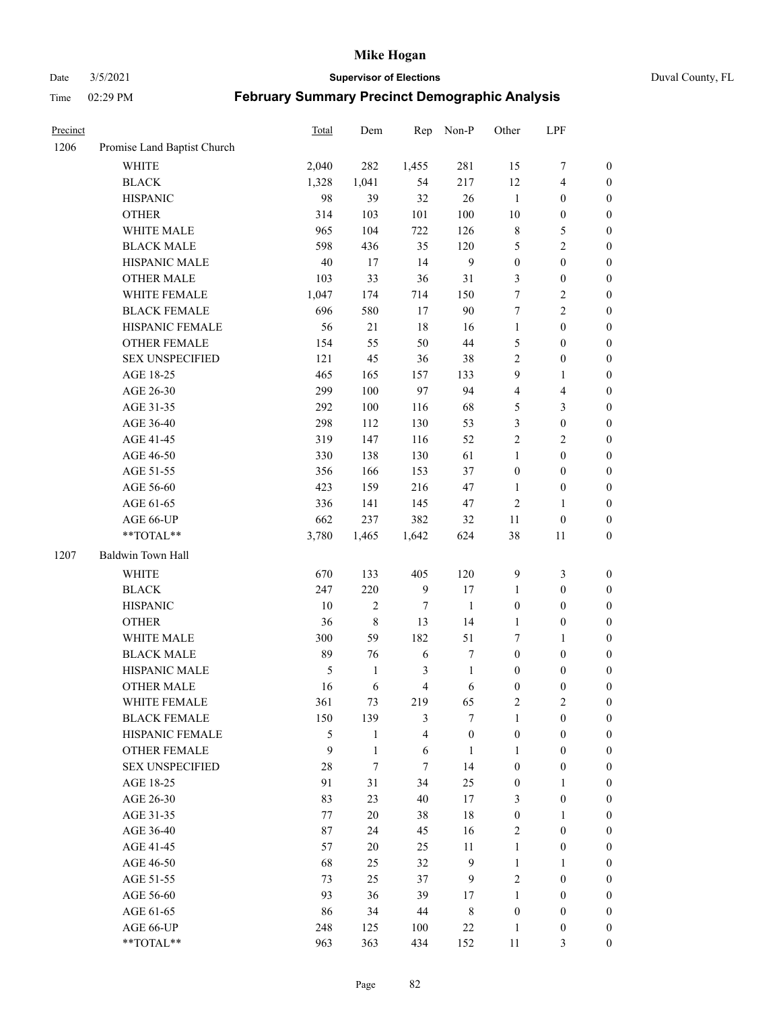Date 3/5/2021 **Supervisor of Elections** Duval County, FL

| Precinct |                             | Total | Dem          | Rep              | Non-P            | Other            | LPF                     |                  |
|----------|-----------------------------|-------|--------------|------------------|------------------|------------------|-------------------------|------------------|
| 1206     | Promise Land Baptist Church |       |              |                  |                  |                  |                         |                  |
|          | <b>WHITE</b>                | 2,040 | 282          | 1,455            | 281              | 15               | 7                       | $\boldsymbol{0}$ |
|          | <b>BLACK</b>                | 1,328 | 1,041        | 54               | 217              | 12               | $\overline{\mathbf{4}}$ | $\boldsymbol{0}$ |
|          | <b>HISPANIC</b>             | 98    | 39           | 32               | $26\,$           | $\mathbf{1}$     | $\boldsymbol{0}$        | $\boldsymbol{0}$ |
|          | <b>OTHER</b>                | 314   | 103          | 101              | 100              | 10               | $\boldsymbol{0}$        | $\boldsymbol{0}$ |
|          | WHITE MALE                  | 965   | 104          | 722              | 126              | 8                | $\mathfrak{S}$          | $\boldsymbol{0}$ |
|          | <b>BLACK MALE</b>           | 598   | 436          | 35               | 120              | 5                | $\sqrt{2}$              | $\boldsymbol{0}$ |
|          | HISPANIC MALE               | 40    | $17\,$       | 14               | $\overline{9}$   | $\boldsymbol{0}$ | $\boldsymbol{0}$        | $\boldsymbol{0}$ |
|          | <b>OTHER MALE</b>           | 103   | 33           | 36               | 31               | 3                | $\boldsymbol{0}$        | $\boldsymbol{0}$ |
|          | WHITE FEMALE                | 1,047 | 174          | 714              | 150              | 7                | $\sqrt{2}$              | $\boldsymbol{0}$ |
|          | <b>BLACK FEMALE</b>         | 696   | 580          | 17               | 90               | $\tau$           | $\overline{2}$          | 0                |
|          | HISPANIC FEMALE             | 56    | 21           | 18               | 16               | $\mathbf{1}$     | $\boldsymbol{0}$        | $\boldsymbol{0}$ |
|          | OTHER FEMALE                | 154   | 55           | 50               | $44\,$           | 5                | $\boldsymbol{0}$        | $\boldsymbol{0}$ |
|          | <b>SEX UNSPECIFIED</b>      | 121   | 45           | 36               | 38               | $\overline{c}$   | $\boldsymbol{0}$        | $\boldsymbol{0}$ |
|          | AGE 18-25                   | 465   | 165          | 157              | 133              | 9                | $\mathbf{1}$            | $\boldsymbol{0}$ |
|          | AGE 26-30                   | 299   | 100          | 97               | 94               | 4                | $\overline{\mathbf{4}}$ | $\boldsymbol{0}$ |
|          | AGE 31-35                   | 292   | 100          | 116              | 68               | 5                | $\mathfrak{Z}$          | $\boldsymbol{0}$ |
|          | AGE 36-40                   | 298   | 112          | 130              | 53               | 3                | $\boldsymbol{0}$        | $\boldsymbol{0}$ |
|          | AGE 41-45                   | 319   | 147          | 116              | 52               | $\overline{c}$   | $\sqrt{2}$              | $\boldsymbol{0}$ |
|          | AGE 46-50                   | 330   | 138          | 130              | 61               | $\mathbf{1}$     | $\boldsymbol{0}$        | $\boldsymbol{0}$ |
|          | AGE 51-55                   | 356   | 166          | 153              | 37               | $\boldsymbol{0}$ | $\boldsymbol{0}$        | 0                |
|          | AGE 56-60                   | 423   | 159          | 216              | 47               | $\mathbf{1}$     | $\boldsymbol{0}$        | $\boldsymbol{0}$ |
|          | AGE 61-65                   | 336   | 141          | 145              | 47               | $\sqrt{2}$       | $\mathbf{1}$            | $\boldsymbol{0}$ |
|          | AGE 66-UP                   | 662   | 237          | 382              | 32               | 11               | $\boldsymbol{0}$        | $\boldsymbol{0}$ |
|          | **TOTAL**                   | 3,780 | 1,465        | 1,642            | 624              | 38               | 11                      | $\boldsymbol{0}$ |
| 1207     | Baldwin Town Hall           |       |              |                  |                  |                  |                         |                  |
|          | WHITE                       | 670   | 133          | 405              | 120              | 9                | $\mathfrak{Z}$          | $\boldsymbol{0}$ |
|          | <b>BLACK</b>                | 247   | 220          | $\boldsymbol{9}$ | 17               | $\mathbf{1}$     | $\boldsymbol{0}$        | $\boldsymbol{0}$ |
|          | <b>HISPANIC</b>             | 10    | $\sqrt{2}$   | 7                | $\mathbf{1}$     | $\boldsymbol{0}$ | $\boldsymbol{0}$        | $\boldsymbol{0}$ |
|          | <b>OTHER</b>                | 36    | $\,$ 8 $\,$  | 13               | 14               | $\mathbf{1}$     | $\boldsymbol{0}$        | $\boldsymbol{0}$ |
|          | WHITE MALE                  | 300   | 59           | 182              | 51               | 7                | $\mathbf{1}$            | $\boldsymbol{0}$ |
|          | <b>BLACK MALE</b>           | 89    | 76           | 6                | $\boldsymbol{7}$ | $\boldsymbol{0}$ | $\boldsymbol{0}$        | $\boldsymbol{0}$ |
|          | HISPANIC MALE               | 5     | $\mathbf{1}$ | 3                | $\mathbf{1}$     | $\boldsymbol{0}$ | $\boldsymbol{0}$        | 0                |
|          | <b>OTHER MALE</b>           | 16    | 6            | $\overline{4}$   | $\sqrt{6}$       | $\boldsymbol{0}$ | $\boldsymbol{0}$        | $\boldsymbol{0}$ |
|          | WHITE FEMALE                | 361   | 73           | 219              | 65               | 2                | $\overline{c}$          | $\overline{0}$   |
|          | <b>BLACK FEMALE</b>         | 150   | 139          | 3                | $\overline{7}$   | $\mathbf{1}$     | $\boldsymbol{0}$        | $\overline{0}$   |
|          | HISPANIC FEMALE             | 5     | 1            | 4                | $\boldsymbol{0}$ | $\boldsymbol{0}$ | $\boldsymbol{0}$        | $\overline{0}$   |
|          | <b>OTHER FEMALE</b>         | 9     | $\mathbf{1}$ | 6                | $\mathbf{1}$     | 1                | $\boldsymbol{0}$        | $\overline{0}$   |
|          | <b>SEX UNSPECIFIED</b>      | 28    | 7            | 7                | 14               | $\boldsymbol{0}$ | $\boldsymbol{0}$        | 0                |
|          | AGE 18-25                   | 91    | 31           | 34               | 25               | $\boldsymbol{0}$ | $\mathbf{1}$            | $\theta$         |
|          | AGE 26-30                   | 83    | 23           | 40               | 17               | 3                | $\boldsymbol{0}$        | 0                |
|          | AGE 31-35                   | 77    | $20\,$       | 38               | 18               | $\boldsymbol{0}$ | $\mathbf{1}$            | 0                |
|          | AGE 36-40                   | 87    | 24           | 45               | 16               | 2                | $\boldsymbol{0}$        | 0                |
|          | AGE 41-45                   | 57    | 20           | 25               | 11               | $\mathbf{1}$     | $\boldsymbol{0}$        | 0                |
|          | AGE 46-50                   | 68    | 25           | 32               | $\overline{9}$   | $\mathbf{1}$     | 1                       | 0                |
|          | AGE 51-55                   | 73    | 25           | 37               | 9                | 2                | $\boldsymbol{0}$        | $\boldsymbol{0}$ |
|          | AGE 56-60                   | 93    | 36           | 39               | 17               | 1                | $\boldsymbol{0}$        | $\boldsymbol{0}$ |
|          | AGE 61-65                   | 86    | 34           | 44               | 8                | $\boldsymbol{0}$ | $\boldsymbol{0}$        | 0                |
|          | AGE 66-UP                   | 248   | 125          | 100              | $22\,$           | $\mathbf{1}$     | $\boldsymbol{0}$        | 0                |
|          | **TOTAL**                   | 963   | 363          | 434              | 152              | 11               | 3                       | $\boldsymbol{0}$ |
|          |                             |       |              |                  |                  |                  |                         |                  |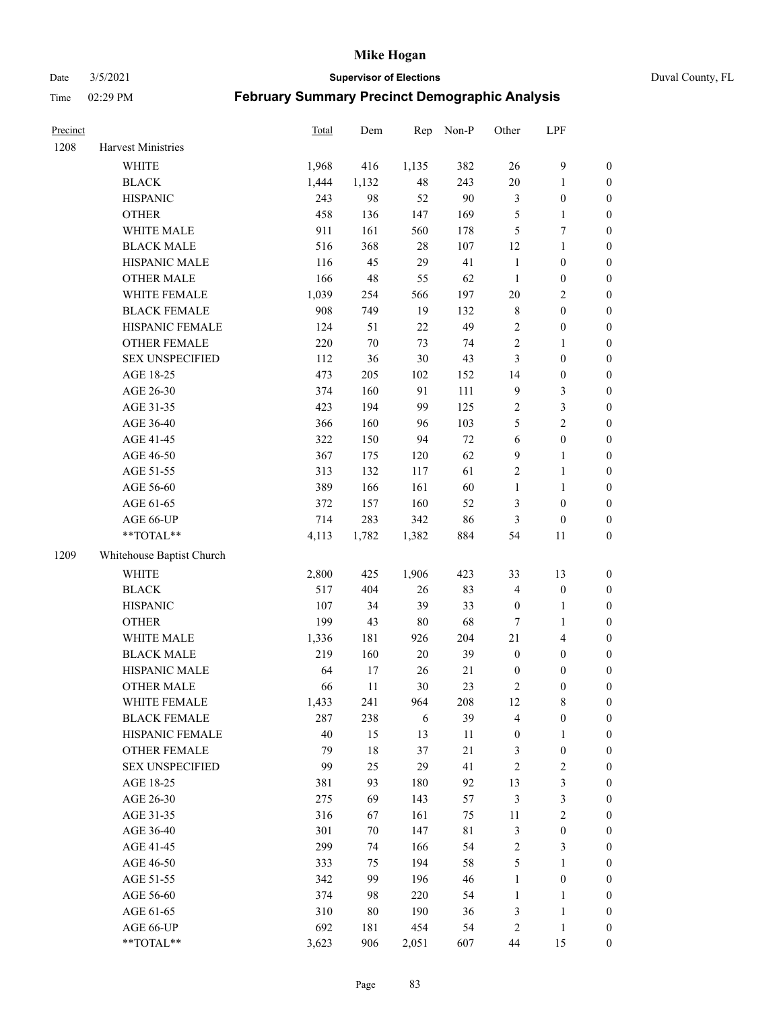#### Date 3/5/2021 **Supervisor of Elections** Duval County, FL

| Precinct |                           | Total | Dem    | Rep    | Non-P       | Other            | LPF              |                  |
|----------|---------------------------|-------|--------|--------|-------------|------------------|------------------|------------------|
| 1208     | Harvest Ministries        |       |        |        |             |                  |                  |                  |
|          | <b>WHITE</b>              | 1,968 | 416    | 1,135  | 382         | 26               | $\mathbf{9}$     | 0                |
|          | <b>BLACK</b>              | 1,444 | 1,132  | 48     | 243         | $20\,$           | $\mathbf{1}$     | 0                |
|          | <b>HISPANIC</b>           | 243   | 98     | 52     | 90          | 3                | $\boldsymbol{0}$ | $\boldsymbol{0}$ |
|          | <b>OTHER</b>              | 458   | 136    | 147    | 169         | 5                | $\mathbf{1}$     | $\boldsymbol{0}$ |
|          | WHITE MALE                | 911   | 161    | 560    | 178         | 5                | 7                | $\boldsymbol{0}$ |
|          | <b>BLACK MALE</b>         | 516   | 368    | 28     | 107         | 12               | $\mathbf{1}$     | $\boldsymbol{0}$ |
|          | HISPANIC MALE             | 116   | 45     | 29     | 41          | $\mathbf{1}$     | $\boldsymbol{0}$ | $\boldsymbol{0}$ |
|          | <b>OTHER MALE</b>         | 166   | 48     | 55     | 62          | $\mathbf{1}$     | $\boldsymbol{0}$ | $\boldsymbol{0}$ |
|          | WHITE FEMALE              | 1,039 | 254    | 566    | 197         | $20\,$           | $\overline{2}$   | $\boldsymbol{0}$ |
|          | <b>BLACK FEMALE</b>       | 908   | 749    | 19     | 132         | 8                | $\boldsymbol{0}$ | $\boldsymbol{0}$ |
|          | HISPANIC FEMALE           | 124   | 51     | 22     | 49          | $\sqrt{2}$       | $\boldsymbol{0}$ | $\boldsymbol{0}$ |
|          | OTHER FEMALE              | 220   | $70\,$ | 73     | 74          | $\overline{2}$   | $\mathbf{1}$     | $\boldsymbol{0}$ |
|          | <b>SEX UNSPECIFIED</b>    | 112   | 36     | 30     | 43          | 3                | $\boldsymbol{0}$ | $\boldsymbol{0}$ |
|          | AGE 18-25                 | 473   | 205    | 102    | 152         | 14               | $\boldsymbol{0}$ | $\boldsymbol{0}$ |
|          | AGE 26-30                 | 374   | 160    | 91     | 111         | 9                | $\mathfrak{Z}$   | $\boldsymbol{0}$ |
|          | AGE 31-35                 | 423   | 194    | 99     | 125         | $\sqrt{2}$       | $\mathfrak{Z}$   | $\boldsymbol{0}$ |
|          | AGE 36-40                 | 366   | 160    | 96     | 103         | 5                | $\overline{c}$   | $\boldsymbol{0}$ |
|          | AGE 41-45                 | 322   | 150    | 94     | $72\,$      | $\sqrt{6}$       | $\boldsymbol{0}$ | $\boldsymbol{0}$ |
|          | AGE 46-50                 | 367   | 175    | 120    | 62          | $\mathbf{9}$     | $\mathbf{1}$     | $\boldsymbol{0}$ |
|          | AGE 51-55                 | 313   | 132    | 117    | 61          | 2                | $\mathbf{1}$     | 0                |
|          | AGE 56-60                 | 389   | 166    | 161    | 60          | $\mathbf{1}$     | 1                | 0                |
|          | AGE 61-65                 | 372   | 157    | 160    | 52          | 3                | $\boldsymbol{0}$ | 0                |
|          | AGE 66-UP                 | 714   | 283    | 342    | 86          | 3                | $\boldsymbol{0}$ | $\boldsymbol{0}$ |
|          | **TOTAL**                 | 4,113 | 1,782  | 1,382  | 884         | 54               | 11               | $\boldsymbol{0}$ |
| 1209     | Whitehouse Baptist Church |       |        |        |             |                  |                  |                  |
|          | <b>WHITE</b>              | 2,800 | 425    | 1,906  | 423         | 33               | 13               | $\boldsymbol{0}$ |
|          | <b>BLACK</b>              | 517   | 404    | 26     | 83          | 4                | $\boldsymbol{0}$ | $\boldsymbol{0}$ |
|          | <b>HISPANIC</b>           | 107   | 34     | 39     | 33          | $\boldsymbol{0}$ | $\mathbf{1}$     | $\boldsymbol{0}$ |
|          | <b>OTHER</b>              | 199   | 43     | $80\,$ | 68          | $\boldsymbol{7}$ | $\mathbf{1}$     | $\boldsymbol{0}$ |
|          | WHITE MALE                | 1,336 | 181    | 926    | 204         | 21               | $\overline{4}$   | $\boldsymbol{0}$ |
|          | <b>BLACK MALE</b>         | 219   | 160    | $20\,$ | 39          | $\boldsymbol{0}$ | $\boldsymbol{0}$ | $\boldsymbol{0}$ |
|          | HISPANIC MALE             | 64    | 17     | 26     | 21          | $\boldsymbol{0}$ | $\boldsymbol{0}$ | $\boldsymbol{0}$ |
|          | <b>OTHER MALE</b>         | 66    | 11     | 30     | 23          | 2                | $\boldsymbol{0}$ | $\boldsymbol{0}$ |
|          | WHITE FEMALE              | 1,433 | 241    | 964    | 208         | 12               | 8                | 0                |
|          | <b>BLACK FEMALE</b>       | 287   | 238    | 6      | 39          | 4                | $\boldsymbol{0}$ | $\overline{0}$   |
|          | HISPANIC FEMALE           | 40    | 15     | 13     | $11\,$      | $\boldsymbol{0}$ | $\mathbf{1}$     | 0                |
|          | <b>OTHER FEMALE</b>       | 79    | $18\,$ | 37     | $21\,$      | 3                | $\boldsymbol{0}$ | 0                |
|          | <b>SEX UNSPECIFIED</b>    | 99    | 25     | 29     | 41          | 2                | $\sqrt{2}$       | 0                |
|          | AGE 18-25                 | 381   | 93     | 180    | 92          | 13               | 3                | 0                |
|          | AGE 26-30                 | 275   | 69     | 143    | 57          | 3                | $\mathfrak{Z}$   | 0                |
|          | AGE 31-35                 | 316   | 67     | 161    | 75          | $11\,$           | $\sqrt{2}$       | 0                |
|          | AGE 36-40                 | 301   | 70     | 147    | $8\sqrt{1}$ | 3                | $\boldsymbol{0}$ | 0                |
|          | AGE 41-45                 | 299   | 74     | 166    | 54          | 2                | 3                | 0                |
|          | AGE 46-50                 | 333   | 75     | 194    | 58          | 5                | $\mathbf{1}$     | 0                |
|          | AGE 51-55                 | 342   | 99     | 196    | 46          | $\mathbf{1}$     | $\boldsymbol{0}$ | 0                |
|          | AGE 56-60                 | 374   | 98     | 220    | 54          | $\mathbf{1}$     | $\mathbf{1}$     | 0                |
|          | AGE 61-65                 | 310   | 80     | 190    | 36          | 3                | $\mathbf{1}$     | 0                |
|          | AGE 66-UP                 | 692   | 181    | 454    | 54          | 2                | $\mathbf{1}$     | 0                |
|          | **TOTAL**                 | 3,623 | 906    | 2,051  | 607         | 44               | 15               | $\boldsymbol{0}$ |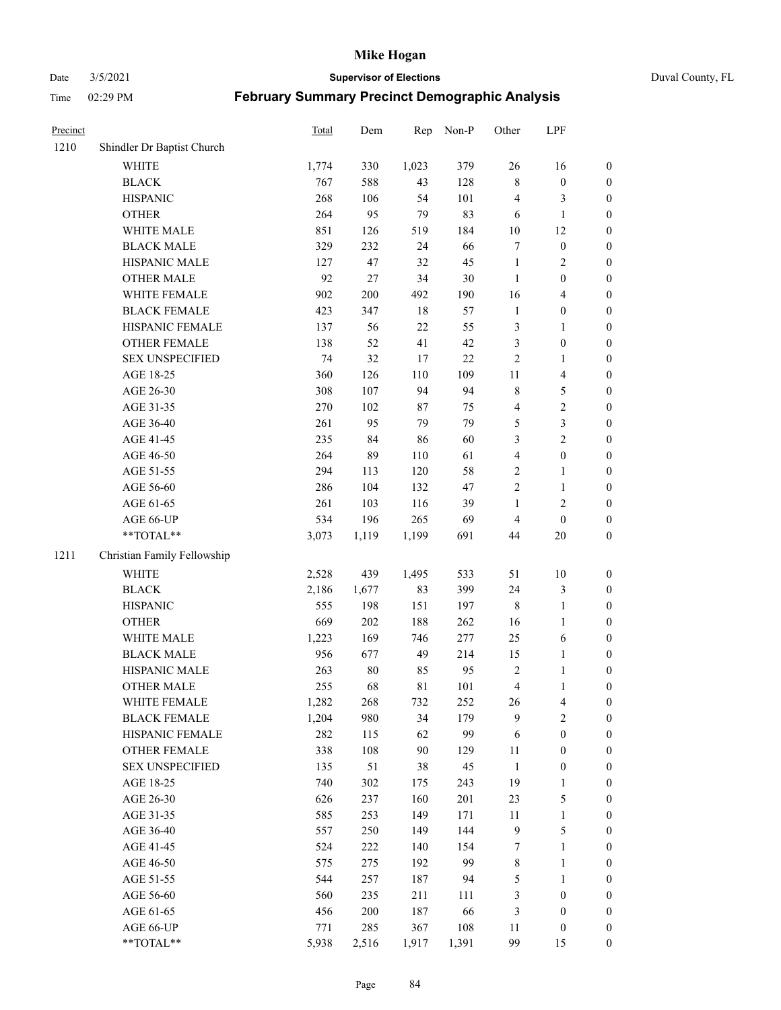Date 3/5/2021 **Supervisor of Elections** Duval County, FL

| Precinct |                             | <b>Total</b> | Dem    | Rep   | Non-P  | Other                   | LPF                     |                  |
|----------|-----------------------------|--------------|--------|-------|--------|-------------------------|-------------------------|------------------|
| 1210     | Shindler Dr Baptist Church  |              |        |       |        |                         |                         |                  |
|          | <b>WHITE</b>                | 1,774        | 330    | 1,023 | 379    | 26                      | 16                      | 0                |
|          | <b>BLACK</b>                | 767          | 588    | 43    | 128    | 8                       | $\boldsymbol{0}$        | 0                |
|          | <b>HISPANIC</b>             | 268          | 106    | 54    | 101    | 4                       | 3                       | $\boldsymbol{0}$ |
|          | <b>OTHER</b>                | 264          | 95     | 79    | 83     | 6                       | $\mathbf{1}$            | $\boldsymbol{0}$ |
|          | WHITE MALE                  | 851          | 126    | 519   | 184    | $10\,$                  | 12                      | $\boldsymbol{0}$ |
|          | <b>BLACK MALE</b>           | 329          | 232    | 24    | 66     | 7                       | $\boldsymbol{0}$        | $\boldsymbol{0}$ |
|          | HISPANIC MALE               | 127          | 47     | 32    | 45     | $\mathbf{1}$            | $\sqrt{2}$              | $\boldsymbol{0}$ |
|          | <b>OTHER MALE</b>           | 92           | 27     | 34    | $30\,$ | $\mathbf{1}$            | $\boldsymbol{0}$        | $\boldsymbol{0}$ |
|          | WHITE FEMALE                | 902          | 200    | 492   | 190    | 16                      | $\overline{\mathbf{4}}$ | $\boldsymbol{0}$ |
|          | <b>BLACK FEMALE</b>         | 423          | 347    | 18    | 57     | $\mathbf{1}$            | $\boldsymbol{0}$        | $\boldsymbol{0}$ |
|          | HISPANIC FEMALE             | 137          | 56     | 22    | 55     | 3                       | $\mathbf{1}$            | $\boldsymbol{0}$ |
|          | OTHER FEMALE                | 138          | 52     | 41    | 42     | 3                       | $\boldsymbol{0}$        | $\boldsymbol{0}$ |
|          | <b>SEX UNSPECIFIED</b>      | 74           | 32     | 17    | $22\,$ | $\sqrt{2}$              | $\mathbf{1}$            | $\boldsymbol{0}$ |
|          | AGE 18-25                   | 360          | 126    | 110   | 109    | $11\,$                  | $\overline{\mathbf{4}}$ | $\boldsymbol{0}$ |
|          | AGE 26-30                   | 308          | 107    | 94    | 94     | 8                       | $\mathfrak{S}$          | $\boldsymbol{0}$ |
|          | AGE 31-35                   | 270          | 102    | 87    | 75     | 4                       | $\sqrt{2}$              | $\boldsymbol{0}$ |
|          | AGE 36-40                   | 261          | 95     | 79    | 79     | 5                       | $\mathfrak{Z}$          | $\boldsymbol{0}$ |
|          | AGE 41-45                   | 235          | 84     | 86    | 60     | 3                       | $\overline{2}$          | $\boldsymbol{0}$ |
|          | AGE 46-50                   | 264          | 89     | 110   | 61     | $\overline{\mathbf{4}}$ | $\boldsymbol{0}$        | $\boldsymbol{0}$ |
|          | AGE 51-55                   | 294          | 113    | 120   | 58     | 2                       | $\mathbf{1}$            | $\boldsymbol{0}$ |
|          | AGE 56-60                   | 286          | 104    | 132   | 47     | $\sqrt{2}$              | $\mathbf{1}$            | 0                |
|          | AGE 61-65                   | 261          | 103    | 116   | 39     | $\mathbf{1}$            | $\sqrt{2}$              | $\boldsymbol{0}$ |
|          | AGE 66-UP                   | 534          | 196    | 265   | 69     | $\overline{4}$          | $\boldsymbol{0}$        | $\boldsymbol{0}$ |
|          | **TOTAL**                   | 3,073        | 1,119  | 1,199 | 691    | 44                      | $20\,$                  | $\boldsymbol{0}$ |
| 1211     | Christian Family Fellowship |              |        |       |        |                         |                         |                  |
|          | WHITE                       | 2,528        | 439    | 1,495 | 533    | 51                      | $10\,$                  | $\boldsymbol{0}$ |
|          | <b>BLACK</b>                | 2,186        | 1,677  | 83    | 399    | 24                      | $\mathfrak{Z}$          | $\boldsymbol{0}$ |
|          | <b>HISPANIC</b>             | 555          | 198    | 151   | 197    | 8                       | $\mathbf{1}$            | $\boldsymbol{0}$ |
|          | <b>OTHER</b>                | 669          | 202    | 188   | 262    | 16                      | $\mathbf{1}$            | $\boldsymbol{0}$ |
|          | WHITE MALE                  | 1,223        | 169    | 746   | 277    | 25                      | $\sqrt{6}$              | $\boldsymbol{0}$ |
|          | <b>BLACK MALE</b>           | 956          | 677    | 49    | 214    | 15                      | $\mathbf{1}$            | $\boldsymbol{0}$ |
|          | HISPANIC MALE               | 263          | $80\,$ | 85    | 95     | $\sqrt{2}$              | 1                       | 0                |
|          | OTHER MALE                  | 255          | 68     | 81    | 101    | $\overline{4}$          | $\mathbf{1}$            | $\boldsymbol{0}$ |
|          | WHITE FEMALE                | 1,282        | 268    | 732   | 252    | 26                      | 4                       | 0                |
|          | <b>BLACK FEMALE</b>         | 1,204        | 980    | 34    | 179    | 9                       | $\overline{2}$          | $\overline{0}$   |
|          | HISPANIC FEMALE             | 282          | 115    | 62    | 99     | 6                       | $\boldsymbol{0}$        | $\overline{0}$   |
|          | <b>OTHER FEMALE</b>         | 338          | 108    | 90    | 129    | 11                      | $\boldsymbol{0}$        | $\overline{0}$   |
|          | <b>SEX UNSPECIFIED</b>      | 135          | 51     | 38    | 45     | $\mathbf{1}$            | $\boldsymbol{0}$        | 0                |
|          | AGE 18-25                   | 740          | 302    | 175   | 243    | 19                      | $\mathbf{1}$            | 0                |
|          | AGE 26-30                   | 626          | 237    | 160   | 201    | 23                      | $\mathfrak{S}$          | 0                |
|          | AGE 31-35                   | 585          | 253    | 149   | 171    | 11                      | $\mathbf{1}$            | 0                |
|          | AGE 36-40                   | 557          | 250    | 149   | 144    | $\overline{9}$          | $\mathfrak{S}$          | 0                |
|          | AGE 41-45                   | 524          | 222    | 140   | 154    | 7                       | $\mathbf{1}$            | 0                |
|          | AGE 46-50                   | 575          | 275    | 192   | 99     | $\,$ 8 $\,$             | $\mathbf{1}$            | 0                |
|          | AGE 51-55                   | 544          | 257    | 187   | 94     | 5                       | $\mathbf{1}$            | 0                |
|          | AGE 56-60                   | 560          | 235    | 211   | 111    | 3                       | $\boldsymbol{0}$        | 0                |
|          | AGE 61-65                   | 456          | 200    | 187   | 66     | 3                       | $\boldsymbol{0}$        | 0                |
|          | AGE 66-UP                   | 771          | 285    | 367   | 108    | 11                      | $\boldsymbol{0}$        | 0                |
|          | **TOTAL**                   | 5,938        | 2,516  | 1,917 | 1,391  | 99                      | 15                      | $\boldsymbol{0}$ |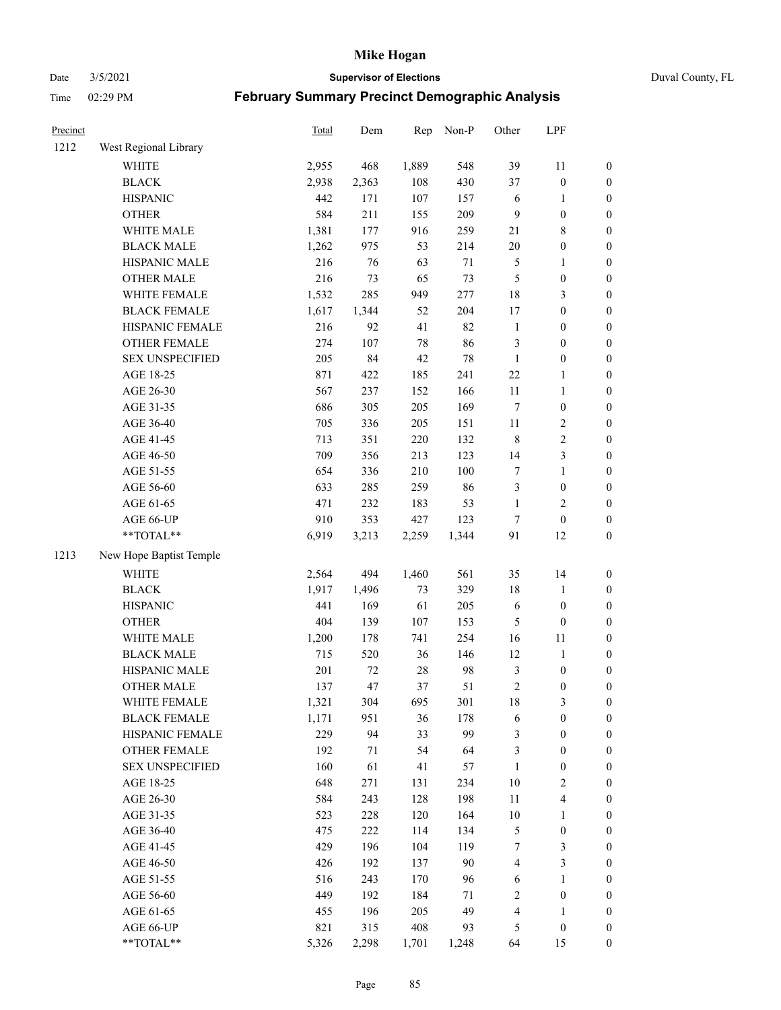Date 3/5/2021 **Supervisor of Elections** Duval County, FL

| Precinct |                                 | <b>Total</b> | Dem   | Rep      | Non-P      | Other          | LPF                              |                  |
|----------|---------------------------------|--------------|-------|----------|------------|----------------|----------------------------------|------------------|
| 1212     | West Regional Library           |              |       |          |            |                |                                  |                  |
|          | <b>WHITE</b>                    | 2,955        | 468   | 1,889    | 548        | 39             | 11                               | 0                |
|          | <b>BLACK</b>                    | 2,938        | 2,363 | 108      | 430        | 37             | $\boldsymbol{0}$                 | $\boldsymbol{0}$ |
|          | <b>HISPANIC</b>                 | 442          | 171   | 107      | 157        | 6              | 1                                | $\boldsymbol{0}$ |
|          | <b>OTHER</b>                    | 584          | 211   | 155      | 209        | 9              | $\boldsymbol{0}$                 | $\boldsymbol{0}$ |
|          | WHITE MALE                      | 1,381        | 177   | 916      | 259        | 21             | $8\,$                            | $\boldsymbol{0}$ |
|          | <b>BLACK MALE</b>               | 1,262        | 975   | 53       | 214        | $20\,$         | $\boldsymbol{0}$                 | $\boldsymbol{0}$ |
|          | HISPANIC MALE                   | 216          | 76    | 63       | 71         | 5              | $\mathbf{1}$                     | $\boldsymbol{0}$ |
|          | <b>OTHER MALE</b>               | 216          | 73    | 65       | 73         | 5              | $\boldsymbol{0}$                 | $\boldsymbol{0}$ |
|          | WHITE FEMALE                    | 1,532        | 285   | 949      | 277        | 18             | $\mathfrak{Z}$                   | $\boldsymbol{0}$ |
|          | <b>BLACK FEMALE</b>             | 1,617        | 1,344 | 52       | 204        | 17             | $\boldsymbol{0}$                 | $\boldsymbol{0}$ |
|          | HISPANIC FEMALE                 | 216          | 92    | 41       | 82         | $\mathbf{1}$   | $\boldsymbol{0}$                 | 0                |
|          | OTHER FEMALE                    | 274          | 107   | 78       | 86         | 3              | $\boldsymbol{0}$                 | $\boldsymbol{0}$ |
|          | <b>SEX UNSPECIFIED</b>          | 205          | 84    | 42       | $78\,$     | $\mathbf{1}$   | $\boldsymbol{0}$                 | $\boldsymbol{0}$ |
|          | AGE 18-25                       | 871          | 422   | 185      | 241        | $22\,$         | 1                                | $\boldsymbol{0}$ |
|          | AGE 26-30                       | 567          | 237   | 152      | 166        | $11\,$         | $\mathbf{1}$                     | $\boldsymbol{0}$ |
|          | AGE 31-35                       | 686          | 305   | 205      | 169        | 7              | $\boldsymbol{0}$                 | $\boldsymbol{0}$ |
|          | AGE 36-40                       | 705          | 336   | 205      | 151        | $11\,$         | $\sqrt{2}$                       | $\boldsymbol{0}$ |
|          | AGE 41-45                       | 713          | 351   | 220      | 132        | $\,$ 8 $\,$    | $\sqrt{2}$                       | $\boldsymbol{0}$ |
|          | AGE 46-50                       | 709          | 356   | 213      | 123        | 14             | $\mathfrak{Z}$                   | $\boldsymbol{0}$ |
|          | AGE 51-55                       | 654          | 336   | 210      | 100        | 7              | $\mathbf{1}$                     | $\boldsymbol{0}$ |
|          | AGE 56-60                       | 633          | 285   | 259      | 86         | 3              | $\boldsymbol{0}$                 | 0                |
|          | AGE 61-65                       | 471          | 232   | 183      | 53         | $\mathbf{1}$   | $\overline{c}$                   | 0                |
|          | AGE 66-UP                       | 910          | 353   | 427      | 123        | $\tau$         | $\boldsymbol{0}$                 | $\boldsymbol{0}$ |
|          | **TOTAL**                       | 6,919        | 3,213 | 2,259    | 1,344      | 91             | 12                               | $\boldsymbol{0}$ |
| 1213     | New Hope Baptist Temple         |              |       |          |            |                |                                  |                  |
|          | <b>WHITE</b>                    |              | 494   |          | 561        | 35             |                                  |                  |
|          |                                 | 2,564        | 1,496 | 1,460    |            |                | 14                               | $\boldsymbol{0}$ |
|          | <b>BLACK</b><br><b>HISPANIC</b> | 1,917<br>441 | 169   | 73<br>61 | 329<br>205 | 18             | $\mathbf{1}$<br>$\boldsymbol{0}$ | $\boldsymbol{0}$ |
|          |                                 |              |       |          |            | 6              |                                  | $\boldsymbol{0}$ |
|          | <b>OTHER</b>                    | 404          | 139   | 107      | 153        | 5              | $\boldsymbol{0}$                 | $\boldsymbol{0}$ |
|          | WHITE MALE                      | 1,200        | 178   | 741      | 254        | 16             | $11\,$                           | $\boldsymbol{0}$ |
|          | <b>BLACK MALE</b>               | 715          | 520   | 36       | 146        | 12             | $\mathbf{1}$                     | $\boldsymbol{0}$ |
|          | HISPANIC MALE                   | 201          | 72    | 28       | 98         | $\mathfrak{Z}$ | $\boldsymbol{0}$                 | $\boldsymbol{0}$ |
|          | <b>OTHER MALE</b>               | 137          | 47    | 37       | 51         | $\overline{c}$ | $\boldsymbol{0}$                 | $\boldsymbol{0}$ |
|          | WHITE FEMALE                    | 1,321        | 304   | 695      | 301        | 18             | 3                                | 0                |
|          | <b>BLACK FEMALE</b>             | 1,171        | 951   | 36       | 178        | 6              | $\boldsymbol{0}$                 | $\boldsymbol{0}$ |
|          | HISPANIC FEMALE                 | 229          | 94    | 33       | 99         | 3              | $\boldsymbol{0}$                 | $\overline{0}$   |
|          | <b>OTHER FEMALE</b>             | 192          | 71    | 54       | 64         | 3              | $\boldsymbol{0}$                 | $\overline{0}$   |
|          | <b>SEX UNSPECIFIED</b>          | 160          | 61    | 41       | 57         | $\mathbf{1}$   | $\boldsymbol{0}$                 | 0                |
|          | AGE 18-25                       | 648          | 271   | 131      | 234        | 10             | $\sqrt{2}$                       | 0                |
|          | AGE 26-30                       | 584          | 243   | 128      | 198        | $11\,$         | $\overline{\mathbf{4}}$          | 0                |
|          | AGE 31-35                       | 523          | 228   | 120      | 164        | $10\,$         | 1                                | 0                |
|          | AGE 36-40                       | 475          | 222   | 114      | 134        | 5              | $\boldsymbol{0}$                 | 0                |
|          | AGE 41-45                       | 429          | 196   | 104      | 119        | 7              | 3                                | 0                |
|          | AGE 46-50                       | 426          | 192   | 137      | 90         | 4              | $\mathfrak{Z}$                   | 0                |
|          | AGE 51-55                       | 516          | 243   | 170      | 96         | 6              | $\mathbf{1}$                     | 0                |
|          | AGE 56-60                       | 449          | 192   | 184      | 71         | 2              | $\boldsymbol{0}$                 | $\boldsymbol{0}$ |
|          | AGE 61-65                       | 455          | 196   | 205      | 49         | 4              | 1                                | $\boldsymbol{0}$ |
|          | AGE 66-UP                       | 821          | 315   | 408      | 93         | 5              | $\boldsymbol{0}$                 | 0                |
|          | $**TOTAL**$                     | 5,326        | 2,298 | 1,701    | 1,248      | 64             | 15                               | $\boldsymbol{0}$ |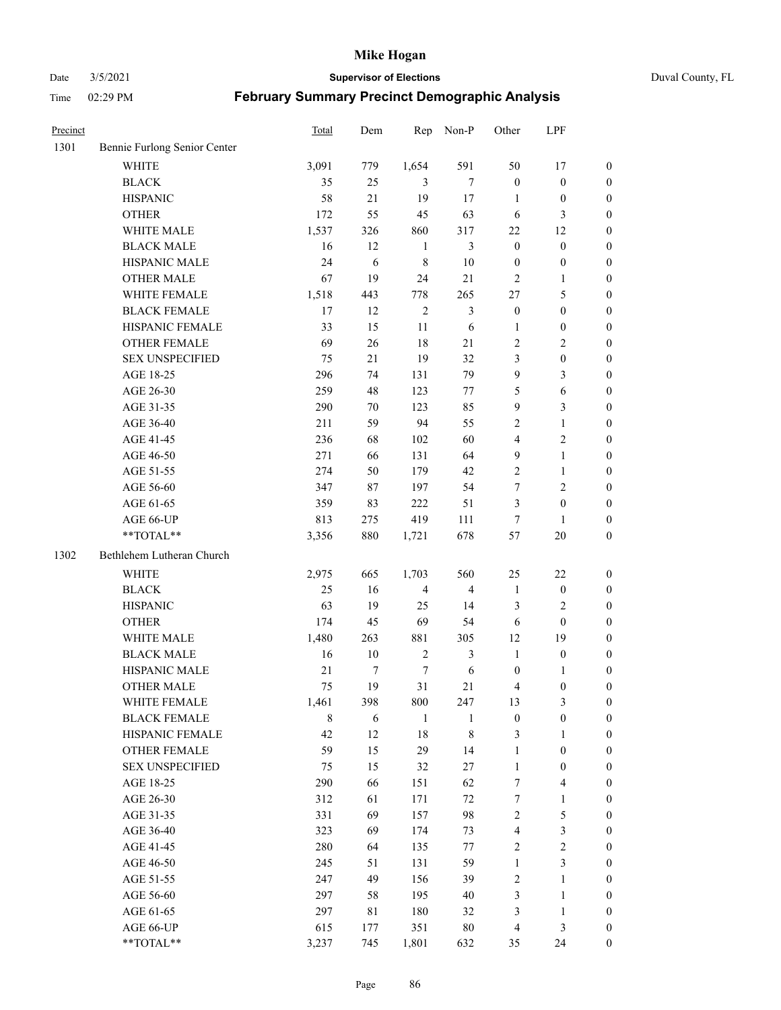#### Date 3/5/2021 **Supervisor of Elections** Duval County, FL

| Precinct |                              | Total  | Dem    | Rep            | Non-P          | Other                   | LPF                     |                  |
|----------|------------------------------|--------|--------|----------------|----------------|-------------------------|-------------------------|------------------|
| 1301     | Bennie Furlong Senior Center |        |        |                |                |                         |                         |                  |
|          | <b>WHITE</b>                 | 3,091  | 779    | 1,654          | 591            | 50                      | 17                      | 0                |
|          | <b>BLACK</b>                 | 35     | 25     | 3              | $\tau$         | $\boldsymbol{0}$        | $\boldsymbol{0}$        | 0                |
|          | <b>HISPANIC</b>              | 58     | 21     | 19             | 17             | 1                       | $\boldsymbol{0}$        | $\boldsymbol{0}$ |
|          | <b>OTHER</b>                 | 172    | 55     | 45             | 63             | 6                       | 3                       | $\boldsymbol{0}$ |
|          | WHITE MALE                   | 1,537  | 326    | 860            | 317            | $22\,$                  | 12                      | $\boldsymbol{0}$ |
|          | <b>BLACK MALE</b>            | 16     | 12     | $\mathbf{1}$   | 3              | $\boldsymbol{0}$        | $\boldsymbol{0}$        | $\boldsymbol{0}$ |
|          | HISPANIC MALE                | 24     | 6      | $\,$ 8 $\,$    | $10\,$         | $\boldsymbol{0}$        | $\boldsymbol{0}$        | $\boldsymbol{0}$ |
|          | <b>OTHER MALE</b>            | 67     | 19     | 24             | 21             | $\mathbf{2}$            | $\mathbf{1}$            | $\boldsymbol{0}$ |
|          | WHITE FEMALE                 | 1,518  | 443    | 778            | 265            | 27                      | $\mathfrak{S}$          | $\boldsymbol{0}$ |
|          | <b>BLACK FEMALE</b>          | 17     | 12     | $\sqrt{2}$     | $\mathfrak{Z}$ | $\boldsymbol{0}$        | $\boldsymbol{0}$        | 0                |
|          | HISPANIC FEMALE              | 33     | 15     | 11             | 6              | 1                       | $\boldsymbol{0}$        | 0                |
|          | OTHER FEMALE                 | 69     | 26     | 18             | 21             | $\mathbf{2}$            | $\sqrt{2}$              | 0                |
|          | <b>SEX UNSPECIFIED</b>       | 75     | 21     | 19             | 32             | 3                       | $\boldsymbol{0}$        | $\boldsymbol{0}$ |
|          | AGE 18-25                    | 296    | 74     | 131            | 79             | 9                       | $\mathfrak{Z}$          | $\boldsymbol{0}$ |
|          | AGE 26-30                    | 259    | 48     | 123            | 77             | 5                       | 6                       | $\boldsymbol{0}$ |
|          | AGE 31-35                    | 290    | 70     | 123            | 85             | 9                       | $\mathfrak{Z}$          | $\boldsymbol{0}$ |
|          | AGE 36-40                    | 211    | 59     | 94             | 55             | 2                       | $\mathbf{1}$            | $\boldsymbol{0}$ |
|          | AGE 41-45                    | 236    | 68     | 102            | 60             | $\overline{4}$          | $\mathbf{2}$            | $\boldsymbol{0}$ |
|          | AGE 46-50                    | 271    | 66     | 131            | 64             | $\mathbf{9}$            | $\mathbf{1}$            | $\boldsymbol{0}$ |
|          | AGE 51-55                    | 274    | 50     | 179            | 42             | $\sqrt{2}$              | $\mathbf{1}$            | 0                |
|          | AGE 56-60                    | 347    | 87     | 197            | 54             | 7                       | $\sqrt{2}$              | 0                |
|          | AGE 61-65                    | 359    | 83     | 222            | 51             | 3                       | $\boldsymbol{0}$        | 0                |
|          | AGE 66-UP                    | 813    | 275    | 419            | 111            | $\boldsymbol{7}$        | 1                       | $\boldsymbol{0}$ |
|          | **TOTAL**                    | 3,356  | 880    | 1,721          | 678            | 57                      | $20\,$                  | $\boldsymbol{0}$ |
|          |                              |        |        |                |                |                         |                         |                  |
| 1302     | Bethlehem Lutheran Church    |        |        |                |                |                         |                         |                  |
|          | <b>WHITE</b>                 | 2,975  | 665    | 1,703          | 560            | 25                      | $22\,$                  | $\boldsymbol{0}$ |
|          | <b>BLACK</b>                 | 25     | 16     | $\overline{4}$ | $\overline{4}$ | $\mathbf{1}$            | $\boldsymbol{0}$        | $\boldsymbol{0}$ |
|          | <b>HISPANIC</b>              | 63     | 19     | 25             | 14             | 3                       | $\mathbf{2}$            | $\boldsymbol{0}$ |
|          | <b>OTHER</b>                 | 174    | 45     | 69             | 54             | 6                       | $\boldsymbol{0}$        | $\boldsymbol{0}$ |
|          | WHITE MALE                   | 1,480  | 263    | 881            | 305            | 12                      | 19                      | $\boldsymbol{0}$ |
|          | <b>BLACK MALE</b>            | 16     | $10\,$ | $\sqrt{2}$     | $\mathfrak{Z}$ | $\mathbf{1}$            | $\boldsymbol{0}$        | $\boldsymbol{0}$ |
|          | HISPANIC MALE                | $21\,$ | 7      | 7              | $\sqrt{6}$     | $\boldsymbol{0}$        | 1                       | 0                |
|          | <b>OTHER MALE</b>            | 75     | 19     | 31             | 21             | 4                       | $\boldsymbol{0}$        | $\boldsymbol{0}$ |
|          | WHITE FEMALE                 | 1,461  | 398    | 800            | 247            | 13                      | 3                       | 0                |
|          | <b>BLACK FEMALE</b>          | 8      | 6      | $\mathbf{1}$   | 1              | $\boldsymbol{0}$        | $\boldsymbol{0}$        | $\boldsymbol{0}$ |
|          | HISPANIC FEMALE              | 42     | 12     | 18             | $\,8\,$        | 3                       | $\mathbf{1}$            | $\overline{0}$   |
|          | OTHER FEMALE                 | 59     | 15     | 29             | 14             | $\mathbf{1}$            | $\boldsymbol{0}$        | $\overline{0}$   |
|          | <b>SEX UNSPECIFIED</b>       | 75     | 15     | 32             | 27             | $\mathbf{1}$            | $\boldsymbol{0}$        | 0                |
|          | AGE 18-25                    | 290    | 66     | 151            | 62             | 7                       | $\overline{\mathbf{4}}$ | 0                |
|          | AGE 26-30                    | 312    | 61     | 171            | 72             | $\boldsymbol{7}$        | $\mathbf{1}$            | 0                |
|          | AGE 31-35                    | 331    | 69     | 157            | 98             | $\overline{c}$          | $\mathfrak s$           | 0                |
|          | AGE 36-40                    | 323    | 69     | 174            | 73             | $\overline{\mathbf{4}}$ | $\mathfrak{Z}$          | 0                |
|          | AGE 41-45                    | 280    | 64     | 135            | 77             | 2                       | $\sqrt{2}$              | 0                |
|          | AGE 46-50                    | 245    | 51     | 131            | 59             | $\mathbf{1}$            | $\mathfrak{Z}$          | 0                |
|          | AGE 51-55                    | 247    | 49     | 156            | 39             | $\sqrt{2}$              | $\mathbf{1}$            | $\boldsymbol{0}$ |
|          | AGE 56-60                    | 297    | 58     | 195            | 40             | 3                       | $\mathbf{1}$            | $\boldsymbol{0}$ |
|          | AGE 61-65                    | 297    | 81     | 180            | 32             | 3                       | $\mathbf{1}$            | $\boldsymbol{0}$ |
|          | AGE 66-UP                    | 615    | 177    | 351            | $80\,$         | $\overline{4}$          | $\mathfrak{Z}$          | $\boldsymbol{0}$ |
|          | **TOTAL**                    | 3,237  | 745    | 1,801          | 632            | 35                      | 24                      | $\boldsymbol{0}$ |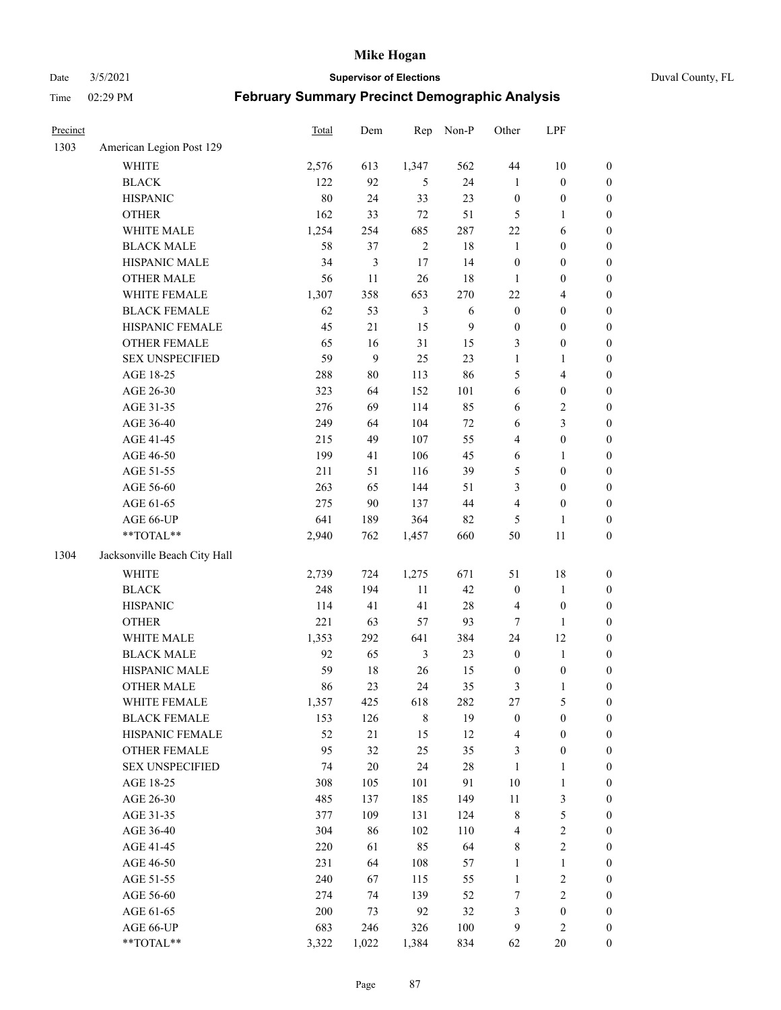Date 3/5/2021 **Supervisor of Elections** Duval County, FL

| Precinct |                              | <b>Total</b> | Dem    | Rep            | Non-P        | Other            | LPF                     |                  |
|----------|------------------------------|--------------|--------|----------------|--------------|------------------|-------------------------|------------------|
| 1303     | American Legion Post 129     |              |        |                |              |                  |                         |                  |
|          | <b>WHITE</b>                 | 2,576        | 613    | 1,347          | 562          | 44               | $10\,$                  | 0                |
|          | <b>BLACK</b>                 | 122          | 92     | 5              | 24           | $\mathbf{1}$     | $\boldsymbol{0}$        | $\boldsymbol{0}$ |
|          | <b>HISPANIC</b>              | 80           | 24     | 33             | 23           | $\boldsymbol{0}$ | $\boldsymbol{0}$        | $\boldsymbol{0}$ |
|          | <b>OTHER</b>                 | 162          | 33     | $72\,$         | 51           | 5                | 1                       | $\boldsymbol{0}$ |
|          | WHITE MALE                   | 1,254        | 254    | 685            | 287          | $22\,$           | 6                       | $\boldsymbol{0}$ |
|          | <b>BLACK MALE</b>            | 58           | 37     | $\sqrt{2}$     | 18           | $\mathbf{1}$     | $\boldsymbol{0}$        | $\boldsymbol{0}$ |
|          | HISPANIC MALE                | 34           | 3      | $17\,$         | 14           | $\boldsymbol{0}$ | $\boldsymbol{0}$        | $\boldsymbol{0}$ |
|          | <b>OTHER MALE</b>            | 56           | 11     | 26             | 18           | $\mathbf{1}$     | $\boldsymbol{0}$        | $\boldsymbol{0}$ |
|          | WHITE FEMALE                 | 1,307        | 358    | 653            | 270          | $22\,$           | $\overline{\mathbf{4}}$ | $\boldsymbol{0}$ |
|          | <b>BLACK FEMALE</b>          | 62           | 53     | $\mathfrak{Z}$ | 6            | $\boldsymbol{0}$ | $\boldsymbol{0}$        | $\boldsymbol{0}$ |
|          | HISPANIC FEMALE              | 45           | 21     | 15             | $\mathbf{9}$ | $\boldsymbol{0}$ | $\boldsymbol{0}$        | $\boldsymbol{0}$ |
|          | OTHER FEMALE                 | 65           | 16     | 31             | 15           | 3                | $\boldsymbol{0}$        | $\boldsymbol{0}$ |
|          | <b>SEX UNSPECIFIED</b>       | 59           | 9      | 25             | 23           | $\mathbf{1}$     | $\mathbf{1}$            | $\boldsymbol{0}$ |
|          | AGE 18-25                    | 288          | $80\,$ | 113            | 86           | 5                | $\overline{\mathbf{4}}$ | $\boldsymbol{0}$ |
|          | AGE 26-30                    | 323          | 64     | 152            | 101          | 6                | $\boldsymbol{0}$        | $\boldsymbol{0}$ |
|          | AGE 31-35                    | 276          | 69     | 114            | 85           | 6                | $\sqrt{2}$              | $\boldsymbol{0}$ |
|          | AGE 36-40                    | 249          | 64     | 104            | 72           | 6                | $\mathfrak{Z}$          | $\boldsymbol{0}$ |
|          | AGE 41-45                    | 215          | 49     | 107            | 55           | 4                | $\boldsymbol{0}$        | $\boldsymbol{0}$ |
|          | AGE 46-50                    | 199          | 41     | 106            | 45           | $\sqrt{6}$       | 1                       | $\boldsymbol{0}$ |
|          | AGE 51-55                    | 211          | 51     | 116            | 39           | 5                | $\boldsymbol{0}$        | $\boldsymbol{0}$ |
|          | AGE 56-60                    | 263          | 65     | 144            | 51           | 3                | $\boldsymbol{0}$        | 0                |
|          | AGE 61-65                    | 275          | 90     | 137            | 44           | 4                | $\boldsymbol{0}$        | $\boldsymbol{0}$ |
|          | AGE 66-UP                    | 641          | 189    | 364            | 82           | 5                | $\mathbf{1}$            | $\boldsymbol{0}$ |
|          | **TOTAL**                    | 2,940        | 762    | 1,457          | 660          | 50               | $11\,$                  | $\boldsymbol{0}$ |
| 1304     | Jacksonville Beach City Hall |              |        |                |              |                  |                         |                  |
|          | WHITE                        | 2,739        | 724    | 1,275          | 671          | 51               | $18\,$                  | $\boldsymbol{0}$ |
|          | <b>BLACK</b>                 | 248          | 194    | $11\,$         | 42           | $\boldsymbol{0}$ | $\mathbf{1}$            | $\boldsymbol{0}$ |
|          | <b>HISPANIC</b>              | 114          | 41     | 41             | $28\,$       | 4                | $\boldsymbol{0}$        | $\boldsymbol{0}$ |
|          | <b>OTHER</b>                 | 221          | 63     | 57             | 93           | 7                | $\mathbf{1}$            | $\boldsymbol{0}$ |
|          | WHITE MALE                   | 1,353        | 292    | 641            | 384          | 24               | 12                      | $\boldsymbol{0}$ |
|          | <b>BLACK MALE</b>            | 92           | 65     | $\mathfrak{Z}$ | 23           | $\boldsymbol{0}$ | $\mathbf{1}$            | $\boldsymbol{0}$ |
|          | HISPANIC MALE                | 59           | $18\,$ | 26             | 15           | $\boldsymbol{0}$ | $\boldsymbol{0}$        | 0                |
|          | OTHER MALE                   | 86           | 23     | 24             | 35           | 3                | $\mathbf{1}$            | $\boldsymbol{0}$ |
|          | WHITE FEMALE                 | 1,357        | 425    | 618            | 282          | 27               | 5                       | 0                |
|          | <b>BLACK FEMALE</b>          | 153          | 126    | 8              | 19           | $\boldsymbol{0}$ | $\boldsymbol{0}$        | $\boldsymbol{0}$ |
|          | HISPANIC FEMALE              | 52           | 21     | 15             | 12           | 4                | $\boldsymbol{0}$        | $\overline{0}$   |
|          | <b>OTHER FEMALE</b>          | 95           | 32     | 25             | 35           | 3                | $\boldsymbol{0}$        | $\overline{0}$   |
|          | <b>SEX UNSPECIFIED</b>       | 74           | $20\,$ | 24             | $28\,$       | $\mathbf{1}$     | $\mathbf{1}$            | 0                |
|          | AGE 18-25                    | 308          | 105    | 101            | 91           | 10               | $\mathbf{1}$            | 0                |
|          | AGE 26-30                    | 485          | 137    | 185            | 149          | $11\,$           | $\mathfrak{Z}$          | 0                |
|          | AGE 31-35                    | 377          | 109    | 131            | 124          | 8                | $\mathfrak s$           | 0                |
|          | AGE 36-40                    | 304          | 86     | 102            | 110          | 4                | $\sqrt{2}$              | 0                |
|          | AGE 41-45                    | 220          | 61     | 85             | 64           | 8                | $\sqrt{2}$              | 0                |
|          | AGE 46-50                    | 231          | 64     | 108            | 57           | $\mathbf{1}$     | $\mathbf{1}$            | 0                |
|          | AGE 51-55                    | 240          | 67     | 115            | 55           | $\mathbf{1}$     | $\sqrt{2}$              | 0                |
|          | AGE 56-60                    | 274          | 74     | 139            | 52           | 7                | $\sqrt{2}$              | $\overline{0}$   |
|          | AGE 61-65                    | 200          | 73     | 92             | 32           | 3                | $\boldsymbol{0}$        | $\overline{0}$   |
|          | AGE 66-UP                    | 683          | 246    | 326            | 100          | 9                | $\mathbf{2}$            | 0                |
|          | **TOTAL**                    | 3,322        | 1,022  | 1,384          | 834          | 62               | 20                      | $\boldsymbol{0}$ |
|          |                              |              |        |                |              |                  |                         |                  |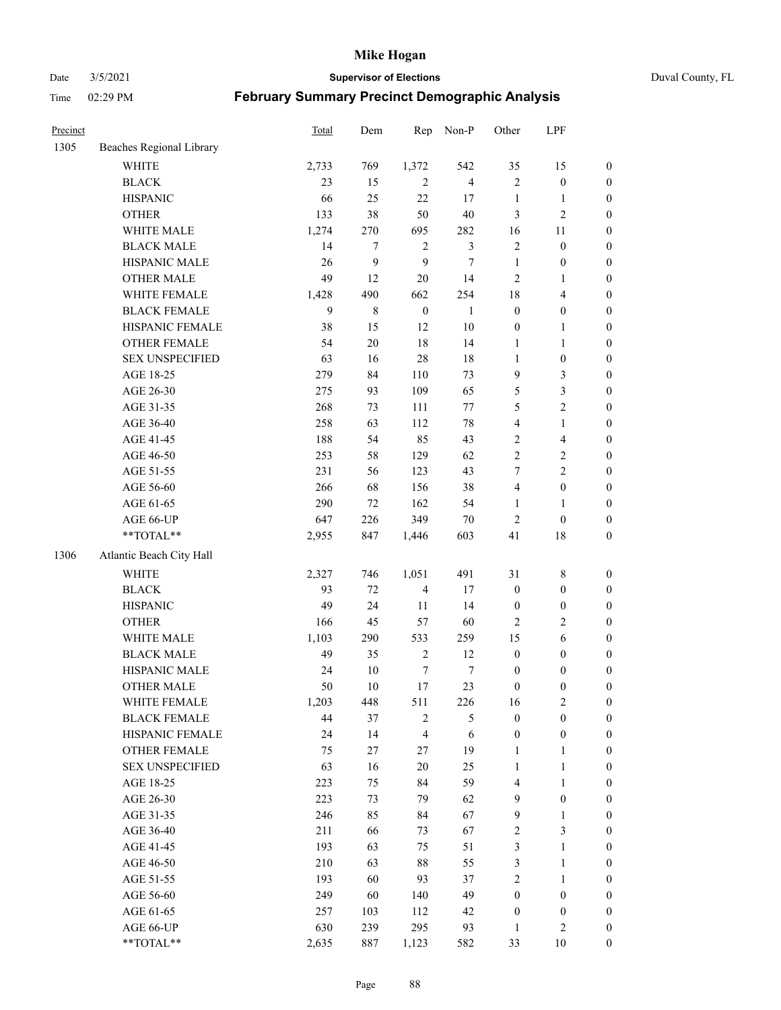Date 3/5/2021 **Supervisor of Elections** Duval County, FL

| Precinct |                          | Total       | Dem         | Rep                   | Non-P          | Other                  | LPF                     |                                      |
|----------|--------------------------|-------------|-------------|-----------------------|----------------|------------------------|-------------------------|--------------------------------------|
| 1305     | Beaches Regional Library |             |             |                       |                |                        |                         |                                      |
|          | <b>WHITE</b>             | 2,733       | 769         | 1,372                 | 542            | 35                     | 15                      | 0                                    |
|          | <b>BLACK</b>             | 23          | 15          | $\overline{2}$        | $\overline{4}$ | $\mathbf{2}$           | $\boldsymbol{0}$        | $\boldsymbol{0}$                     |
|          | <b>HISPANIC</b>          | 66          | 25          | 22                    | 17             | $\mathbf{1}$           | $\mathbf{1}$            | $\boldsymbol{0}$                     |
|          | <b>OTHER</b>             | 133         | 38          | 50                    | $40\,$         | 3                      | $\mathbf{2}$            | $\boldsymbol{0}$                     |
|          | WHITE MALE               | 1,274       | 270         | 695                   | 282            | 16                     | 11                      | $\boldsymbol{0}$                     |
|          | <b>BLACK MALE</b>        | 14          | $\tau$      | $\sqrt{2}$            | $\mathfrak{Z}$ | $\overline{c}$         | $\boldsymbol{0}$        | $\boldsymbol{0}$                     |
|          | HISPANIC MALE            | 26          | 9           | 9                     | $\tau$         | $\mathbf{1}$           | $\boldsymbol{0}$        | $\boldsymbol{0}$                     |
|          | OTHER MALE               | 49          | 12          | 20                    | 14             | $\mathbf{2}$           | $\mathbf{1}$            | $\boldsymbol{0}$                     |
|          | WHITE FEMALE             | 1,428       | 490         | 662                   | 254            | 18                     | $\overline{\mathbf{4}}$ | $\boldsymbol{0}$                     |
|          | <b>BLACK FEMALE</b>      | 9           | $\,$ 8 $\,$ | $\boldsymbol{0}$      | $\mathbf{1}$   | $\boldsymbol{0}$       | $\boldsymbol{0}$        | 0                                    |
|          | HISPANIC FEMALE          | 38          | 15          | 12                    | $10\,$         | $\boldsymbol{0}$       | $\mathbf{1}$            | 0                                    |
|          | <b>OTHER FEMALE</b>      | 54          | $20\,$      | 18                    | 14             | $\mathbf{1}$           | $\mathbf{1}$            | $\boldsymbol{0}$                     |
|          | <b>SEX UNSPECIFIED</b>   | 63          | 16          | 28                    | 18             | $\mathbf{1}$           | $\boldsymbol{0}$        | $\boldsymbol{0}$                     |
|          | AGE 18-25                | 279         | 84          | 110                   | 73             | 9                      | $\mathfrak{Z}$          | $\boldsymbol{0}$                     |
|          | AGE 26-30                | 275         | 93          | 109                   | 65             | 5                      | $\mathfrak{Z}$          | $\boldsymbol{0}$                     |
|          | AGE 31-35                | 268         | 73          | 111                   | $77\,$         | 5                      | $\sqrt{2}$              | $\boldsymbol{0}$                     |
|          | AGE 36-40                | 258         | 63          | 112                   | $78\,$         | 4                      | $\mathbf{1}$            | $\boldsymbol{0}$                     |
|          | AGE 41-45                | 188         | 54          | 85                    | 43             | $\overline{c}$         | $\overline{\mathbf{4}}$ | $\boldsymbol{0}$                     |
|          | AGE 46-50                | 253         | 58          | 129                   | 62             | $\overline{2}$         | $\sqrt{2}$              | $\boldsymbol{0}$                     |
|          | AGE 51-55                | 231         | 56          | 123                   | 43             | 7                      | $\sqrt{2}$              | $\boldsymbol{0}$                     |
|          | AGE 56-60                | 266         | 68          | 156                   | 38             | $\overline{4}$         | $\boldsymbol{0}$        | 0                                    |
|          | AGE 61-65                | 290         | 72          | 162                   | 54             | $\mathbf{1}$           | $\mathbf{1}$            | $\boldsymbol{0}$                     |
|          | AGE 66-UP                | 647         | 226         | 349                   | $70\,$         | $\sqrt{2}$             | $\boldsymbol{0}$        | $\boldsymbol{0}$                     |
|          | **TOTAL**                | 2,955       | 847         | 1,446                 | 603            | 41                     | $18\,$                  | $\boldsymbol{0}$                     |
| 1306     | Atlantic Beach City Hall |             |             |                       |                |                        |                         |                                      |
|          | WHITE                    | 2,327       | 746         | 1,051                 | 491            | 31                     | $\,$ 8 $\,$             | $\boldsymbol{0}$                     |
|          | <b>BLACK</b>             | 93          | 72          | $\overline{4}$        | 17             | $\boldsymbol{0}$       | $\boldsymbol{0}$        |                                      |
|          | <b>HISPANIC</b>          | 49          | 24          | 11                    | 14             | $\boldsymbol{0}$       | $\boldsymbol{0}$        | $\boldsymbol{0}$<br>$\boldsymbol{0}$ |
|          | <b>OTHER</b>             | 166         | 45          | 57                    | 60             | 2                      | $\sqrt{2}$              | $\boldsymbol{0}$                     |
|          | WHITE MALE               | 1,103       | 290         | 533                   | 259            | 15                     | $\sqrt{6}$              | $\boldsymbol{0}$                     |
|          | <b>BLACK MALE</b>        | 49          | 35          | $\sqrt{2}$            | 12             | $\boldsymbol{0}$       | $\boldsymbol{0}$        | $\boldsymbol{0}$                     |
|          | HISPANIC MALE            | 24          | $10\,$      | $\boldsymbol{7}$      | 7              | $\boldsymbol{0}$       | $\boldsymbol{0}$        | $\boldsymbol{0}$                     |
|          | OTHER MALE               | 50          | 10          | $17\,$                | 23             | $\boldsymbol{0}$       | $\boldsymbol{0}$        | $\boldsymbol{0}$                     |
|          | WHITE FEMALE             |             |             |                       |                |                        | 2                       | 0                                    |
|          | <b>BLACK FEMALE</b>      | 1,203<br>44 | 448<br>37   | 511<br>$\overline{c}$ | 226<br>5       | 16<br>$\boldsymbol{0}$ | $\boldsymbol{0}$        | $\boldsymbol{0}$                     |
|          | HISPANIC FEMALE          | 24          | 14          | $\overline{4}$        | 6              | $\boldsymbol{0}$       | $\boldsymbol{0}$        | $\overline{0}$                       |
|          | OTHER FEMALE             | 75          | 27          | 27                    | 19             | $\mathbf{1}$           | $\mathbf{1}$            | $\overline{0}$                       |
|          | <b>SEX UNSPECIFIED</b>   | 63          | 16          | 20                    | 25             | $\mathbf{1}$           | $\mathbf{1}$            | 0                                    |
|          | AGE 18-25                | 223         | 75          | 84                    | 59             | 4                      | $\mathbf{1}$            | $\theta$                             |
|          | AGE 26-30                | 223         | 73          | 79                    | 62             | 9                      | $\boldsymbol{0}$        | 0                                    |
|          | AGE 31-35                | 246         | 85          | 84                    | 67             | 9                      | $\mathbf{1}$            | 0                                    |
|          | AGE 36-40                | 211         | 66          | 73                    | 67             | 2                      | $\mathfrak{Z}$          | 0                                    |
|          | AGE 41-45                | 193         | 63          | 75                    | 51             | 3                      | $\mathbf{1}$            | 0                                    |
|          | AGE 46-50                | 210         | 63          | 88                    | 55             | 3                      | $\mathbf{1}$            | 0                                    |
|          | AGE 51-55                | 193         | 60          | 93                    | 37             | 2                      | $\mathbf{1}$            | 0                                    |
|          | AGE 56-60                | 249         | 60          | 140                   | 49             | $\boldsymbol{0}$       | $\boldsymbol{0}$        | 0                                    |
|          | AGE 61-65                | 257         | 103         | 112                   | 42             | $\boldsymbol{0}$       | $\boldsymbol{0}$        | $\overline{0}$                       |
|          | AGE 66-UP                | 630         | 239         | 295                   | 93             | $\mathbf{1}$           | $\mathbf{2}$            | 0                                    |
|          | **TOTAL**                | 2,635       | 887         | 1,123                 | 582            | 33                     | 10                      | $\boldsymbol{0}$                     |
|          |                          |             |             |                       |                |                        |                         |                                      |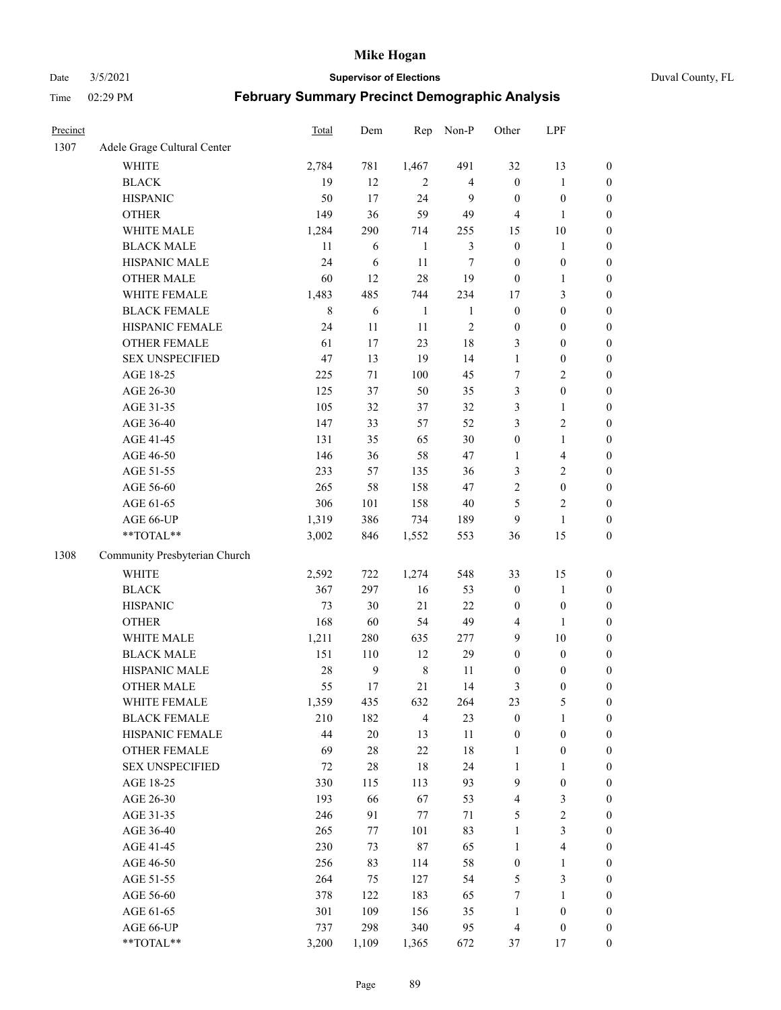Date 3/5/2021 **Supervisor of Elections** Duval County, FL

| Precinct |                               | Total       | Dem    | Rep            | Non-P          | Other                   | LPF                     |                  |
|----------|-------------------------------|-------------|--------|----------------|----------------|-------------------------|-------------------------|------------------|
| 1307     | Adele Grage Cultural Center   |             |        |                |                |                         |                         |                  |
|          | <b>WHITE</b>                  | 2,784       | 781    | 1,467          | 491            | 32                      | 13                      | 0                |
|          | <b>BLACK</b>                  | 19          | 12     | $\overline{2}$ | $\overline{4}$ | $\boldsymbol{0}$        | $\mathbf{1}$            | 0                |
|          | <b>HISPANIC</b>               | 50          | 17     | 24             | 9              | $\boldsymbol{0}$        | $\boldsymbol{0}$        | $\boldsymbol{0}$ |
|          | <b>OTHER</b>                  | 149         | 36     | 59             | 49             | 4                       | 1                       | $\boldsymbol{0}$ |
|          | WHITE MALE                    | 1,284       | 290    | 714            | 255            | 15                      | $10\,$                  | $\boldsymbol{0}$ |
|          | <b>BLACK MALE</b>             | 11          | 6      | $\mathbf{1}$   | $\mathfrak{Z}$ | $\boldsymbol{0}$        | $\mathbf{1}$            | $\boldsymbol{0}$ |
|          | HISPANIC MALE                 | 24          | 6      | 11             | $\tau$         | $\boldsymbol{0}$        | $\boldsymbol{0}$        | $\boldsymbol{0}$ |
|          | <b>OTHER MALE</b>             | 60          | 12     | 28             | 19             | $\boldsymbol{0}$        | $\mathbf{1}$            | $\boldsymbol{0}$ |
|          | WHITE FEMALE                  | 1,483       | 485    | 744            | 234            | 17                      | $\mathfrak{Z}$          | $\boldsymbol{0}$ |
|          | <b>BLACK FEMALE</b>           | $\,$ 8 $\,$ | 6      | $\mathbf{1}$   | $\mathbf{1}$   | $\boldsymbol{0}$        | $\boldsymbol{0}$        | $\boldsymbol{0}$ |
|          | HISPANIC FEMALE               | 24          | 11     | 11             | $\sqrt{2}$     | $\boldsymbol{0}$        | $\boldsymbol{0}$        | 0                |
|          | OTHER FEMALE                  | 61          | 17     | 23             | $18\,$         | 3                       | $\boldsymbol{0}$        | $\boldsymbol{0}$ |
|          | <b>SEX UNSPECIFIED</b>        | 47          | 13     | 19             | 14             | $\mathbf{1}$            | $\boldsymbol{0}$        | $\boldsymbol{0}$ |
|          | AGE 18-25                     | 225         | $71\,$ | 100            | 45             | 7                       | $\sqrt{2}$              | $\boldsymbol{0}$ |
|          | AGE 26-30                     | 125         | 37     | 50             | 35             | 3                       | $\boldsymbol{0}$        | $\boldsymbol{0}$ |
|          | AGE 31-35                     | 105         | 32     | 37             | 32             | 3                       | $\mathbf{1}$            | $\boldsymbol{0}$ |
|          | AGE 36-40                     | 147         | 33     | 57             | 52             | 3                       | $\sqrt{2}$              | $\boldsymbol{0}$ |
|          | AGE 41-45                     | 131         | 35     | 65             | 30             | $\boldsymbol{0}$        | $\mathbf{1}$            | $\boldsymbol{0}$ |
|          | AGE 46-50                     | 146         | 36     | 58             | 47             | 1                       | $\overline{\mathbf{4}}$ | $\boldsymbol{0}$ |
|          | AGE 51-55                     | 233         | 57     | 135            | 36             | 3                       | $\sqrt{2}$              | $\boldsymbol{0}$ |
|          | AGE 56-60                     | 265         | 58     | 158            | 47             | $\sqrt{2}$              | $\boldsymbol{0}$        | 0                |
|          | AGE 61-65                     | 306         | 101    | 158            | $40\,$         | 5                       | $\mathfrak{2}$          | 0                |
|          | AGE 66-UP                     | 1,319       | 386    | 734            | 189            | 9                       | $\mathbf{1}$            | $\boldsymbol{0}$ |
|          | **TOTAL**                     | 3,002       | 846    | 1,552          | 553            | 36                      | 15                      | $\boldsymbol{0}$ |
| 1308     | Community Presbyterian Church |             |        |                |                |                         |                         |                  |
|          | WHITE                         | 2,592       | 722    | 1,274          | 548            | 33                      | 15                      | $\boldsymbol{0}$ |
|          | <b>BLACK</b>                  | 367         | 297    | 16             | 53             | $\boldsymbol{0}$        | $\mathbf{1}$            | $\boldsymbol{0}$ |
|          | <b>HISPANIC</b>               | 73          | 30     | 21             | 22             | $\boldsymbol{0}$        | $\boldsymbol{0}$        | $\boldsymbol{0}$ |
|          | <b>OTHER</b>                  | 168         | 60     | 54             | 49             | 4                       | $\mathbf{1}$            | $\boldsymbol{0}$ |
|          | WHITE MALE                    | 1,211       | 280    | 635            | 277            | 9                       | $10\,$                  | $\boldsymbol{0}$ |
|          | <b>BLACK MALE</b>             | 151         | 110    | 12             | 29             | $\boldsymbol{0}$        | $\boldsymbol{0}$        | $\boldsymbol{0}$ |
|          | HISPANIC MALE                 | 28          | 9      | $\,$ 8 $\,$    | 11             | 0                       | $\boldsymbol{0}$        | $\boldsymbol{0}$ |
|          | <b>OTHER MALE</b>             | 55          | 17     | 21             | 14             | 3                       | $\boldsymbol{0}$        | $\boldsymbol{0}$ |
|          | WHITE FEMALE                  | 1,359       | 435    | 632            | 264            | 23                      | 5                       | 0                |
|          | <b>BLACK FEMALE</b>           | 210         | 182    | $\overline{4}$ | 23             | $\boldsymbol{0}$        | $\mathbf{1}$            | $\boldsymbol{0}$ |
|          | HISPANIC FEMALE               | 44          | $20\,$ | 13             | $11\,$         | $\boldsymbol{0}$        | $\boldsymbol{0}$        | $\overline{0}$   |
|          | OTHER FEMALE                  | 69          | $28\,$ | 22             | $18\,$         | $\mathbf{1}$            | $\boldsymbol{0}$        | $\overline{0}$   |
|          | <b>SEX UNSPECIFIED</b>        | 72          | $28\,$ | 18             | 24             | $\mathbf{1}$            | $\mathbf{1}$            | 0                |
|          | AGE 18-25                     | 330         | 115    | 113            | 93             | 9                       | $\boldsymbol{0}$        | 0                |
|          | AGE 26-30                     | 193         | 66     | 67             | 53             | $\overline{\mathbf{4}}$ | $\mathfrak{Z}$          | 0                |
|          | AGE 31-35                     | 246         | 91     | $77 \,$        | $71\,$         | 5                       | $\sqrt{2}$              | 0                |
|          | AGE 36-40                     | 265         | 77     | 101            | 83             | $\mathbf{1}$            | $\mathfrak{Z}$          | 0                |
|          | AGE 41-45                     | 230         | 73     | 87             | 65             | $\mathbf{1}$            | $\overline{\mathbf{4}}$ | 0                |
|          | AGE 46-50                     | 256         | 83     | 114            | 58             | $\boldsymbol{0}$        | $\mathbf{1}$            | 0                |
|          | AGE 51-55                     | 264         | 75     | 127            | 54             | 5                       | $\mathfrak{Z}$          | 0                |
|          | AGE 56-60                     | 378         | 122    | 183            | 65             | 7                       | 1                       | 0                |
|          | AGE 61-65                     | 301         | 109    | 156            | 35             | $\mathbf{1}$            | $\boldsymbol{0}$        | 0                |
|          | AGE 66-UP                     | 737         | 298    | 340            | 95             | $\overline{4}$          | $\boldsymbol{0}$        | 0                |
|          | **TOTAL**                     | 3,200       | 1,109  | 1,365          | 672            | 37                      | 17                      | $\boldsymbol{0}$ |
|          |                               |             |        |                |                |                         |                         |                  |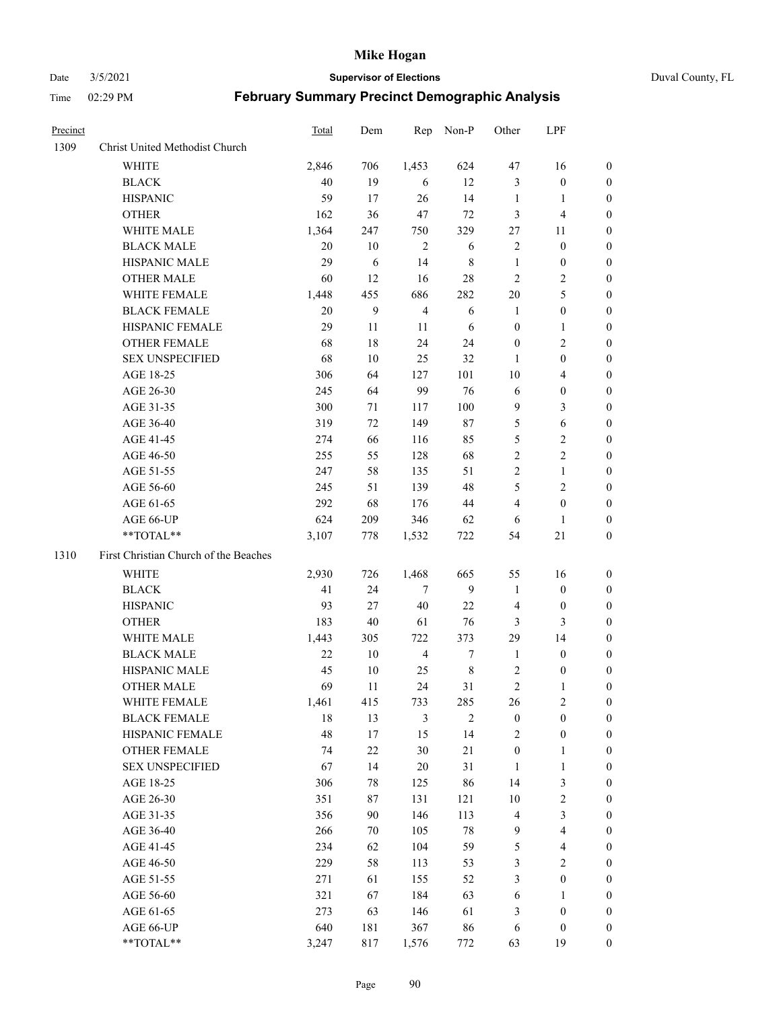#### Date 3/5/2021 **Supervisor of Elections** Duval County, FL

| Precinct |                                       | Total  | Dem    | Rep            | Non-P            | Other            | LPF                     |                  |
|----------|---------------------------------------|--------|--------|----------------|------------------|------------------|-------------------------|------------------|
| 1309     | Christ United Methodist Church        |        |        |                |                  |                  |                         |                  |
|          | <b>WHITE</b>                          | 2,846  | 706    | 1,453          | 624              | 47               | 16                      | 0                |
|          | <b>BLACK</b>                          | 40     | 19     | 6              | 12               | 3                | $\boldsymbol{0}$        | 0                |
|          | <b>HISPANIC</b>                       | 59     | 17     | 26             | 14               | $\mathbf{1}$     | $\mathbf{1}$            | 0                |
|          | <b>OTHER</b>                          | 162    | 36     | 47             | $72\,$           | 3                | $\overline{\mathbf{4}}$ | $\boldsymbol{0}$ |
|          | WHITE MALE                            | 1,364  | 247    | 750            | 329              | 27               | 11                      | $\boldsymbol{0}$ |
|          | <b>BLACK MALE</b>                     | 20     | 10     | $\overline{2}$ | 6                | 2                | $\boldsymbol{0}$        | $\boldsymbol{0}$ |
|          | HISPANIC MALE                         | 29     | 6      | 14             | 8                | $\mathbf{1}$     | $\boldsymbol{0}$        | 0                |
|          | <b>OTHER MALE</b>                     | 60     | 12     | 16             | 28               | $\mathbf{2}$     | $\overline{2}$          | $\boldsymbol{0}$ |
|          | WHITE FEMALE                          | 1,448  | 455    | 686            | 282              | $20\,$           | $\mathfrak s$           | 0                |
|          | <b>BLACK FEMALE</b>                   | $20\,$ | 9      | $\overline{4}$ | 6                | 1                | $\boldsymbol{0}$        | 0                |
|          | HISPANIC FEMALE                       | 29     | 11     | 11             | 6                | $\boldsymbol{0}$ | $\mathbf{1}$            | 0                |
|          | OTHER FEMALE                          | 68     | 18     | 24             | 24               | $\boldsymbol{0}$ | $\sqrt{2}$              | 0                |
|          | <b>SEX UNSPECIFIED</b>                | 68     | 10     | 25             | 32               | 1                | $\boldsymbol{0}$        | $\boldsymbol{0}$ |
|          | AGE 18-25                             | 306    | 64     | 127            | 101              | 10               | $\overline{\mathbf{4}}$ | $\boldsymbol{0}$ |
|          | AGE 26-30                             | 245    | 64     | 99             | 76               | 6                | $\boldsymbol{0}$        | $\boldsymbol{0}$ |
|          | AGE 31-35                             | 300    | 71     | 117            | 100              | 9                | $\mathfrak{Z}$          | $\boldsymbol{0}$ |
|          | AGE 36-40                             | 319    | 72     | 149            | 87               | 5                | $\sqrt{6}$              | $\boldsymbol{0}$ |
|          | AGE 41-45                             | 274    | 66     | 116            | 85               | 5                | $\sqrt{2}$              | $\boldsymbol{0}$ |
|          | AGE 46-50                             | 255    | 55     | 128            | 68               | $\overline{c}$   | $\overline{2}$          | $\boldsymbol{0}$ |
|          | AGE 51-55                             | 247    | 58     | 135            | 51               | $\sqrt{2}$       | $\mathbf{1}$            | 0                |
|          | AGE 56-60                             | 245    | 51     | 139            | 48               | 5                | $\overline{2}$          | 0                |
|          | AGE 61-65                             | 292    | 68     | 176            | 44               | 4                | $\boldsymbol{0}$        | 0                |
|          | AGE 66-UP                             | 624    | 209    | 346            | 62               | 6                | 1                       | 0                |
|          | **TOTAL**                             | 3,107  | 778    | 1,532          | 722              | 54               | $21\,$                  | $\boldsymbol{0}$ |
| 1310     | First Christian Church of the Beaches |        |        |                |                  |                  |                         |                  |
|          | <b>WHITE</b>                          | 2,930  | 726    | 1,468          | 665              | 55               | 16                      | $\boldsymbol{0}$ |
|          | <b>BLACK</b>                          | 41     | 24     | $\tau$         | 9                | $\mathbf{1}$     | $\boldsymbol{0}$        | $\boldsymbol{0}$ |
|          | <b>HISPANIC</b>                       | 93     | 27     | 40             | 22               | $\overline{4}$   | $\boldsymbol{0}$        | 0                |
|          | <b>OTHER</b>                          | 183    | 40     | 61             | 76               | 3                | $\mathfrak{Z}$          | $\overline{0}$   |
|          | WHITE MALE                            | 1,443  | 305    | 722            | 373              | 29               | 14                      | $\boldsymbol{0}$ |
|          | <b>BLACK MALE</b>                     | 22     | $10\,$ | $\overline{4}$ | $\boldsymbol{7}$ | $\mathbf{1}$     | $\boldsymbol{0}$        | 0                |
|          | HISPANIC MALE                         | 45     | $10\,$ | 25             | $\,8\,$          | $\overline{c}$   | $\boldsymbol{0}$        | 0                |
|          | <b>OTHER MALE</b>                     | 69     | 11     | 24             | 31               | $\mathbf{2}$     | 1                       | 0                |
|          | WHITE FEMALE                          | 1,461  | 415    | 733            | 285              | 26               | 2                       | 0                |
|          | <b>BLACK FEMALE</b>                   | 18     | 13     | $\mathfrak{Z}$ | $\mathbf{2}$     | $\boldsymbol{0}$ | $\boldsymbol{0}$        | $\boldsymbol{0}$ |
|          | HISPANIC FEMALE                       | 48     | $17\,$ | 15             | 14               | $\mathbf{2}$     | $\boldsymbol{0}$        | $\overline{0}$   |
|          | OTHER FEMALE                          | 74     | $22\,$ | 30             | 21               | $\boldsymbol{0}$ | $\mathbf{1}$            | $\overline{0}$   |
|          | <b>SEX UNSPECIFIED</b>                | 67     | 14     | 20             | 31               | $\mathbf{1}$     | $\mathbf{1}$            | 0                |
|          | AGE 18-25                             | 306    | 78     | 125            | 86               | 14               | $\mathfrak{Z}$          | 0                |
|          | AGE 26-30                             | 351    | 87     | 131            | 121              | $10\,$           | $\sqrt{2}$              | 0                |
|          | AGE 31-35                             | 356    | 90     | 146            | 113              | 4                | $\mathfrak{Z}$          | 0                |
|          | AGE 36-40                             | 266    | 70     | 105            | $78\,$           | 9                | $\overline{\mathbf{4}}$ | 0                |
|          | AGE 41-45                             | 234    | 62     | 104            | 59               | 5                | $\overline{\mathbf{4}}$ | 0                |
|          | AGE 46-50                             | 229    | 58     | 113            | 53               | 3                | $\sqrt{2}$              | 0                |
|          | AGE 51-55                             | 271    | 61     | 155            | 52               | 3                | $\boldsymbol{0}$        | $\overline{0}$   |
|          | AGE 56-60                             | 321    | 67     | 184            | 63               | 6                | $\mathbf{1}$            | $\boldsymbol{0}$ |
|          | AGE 61-65                             | 273    | 63     | 146            | 61               | 3                | $\boldsymbol{0}$        | $\overline{0}$   |
|          | AGE 66-UP                             | 640    | 181    | 367            | 86               | 6                | $\boldsymbol{0}$        | 0                |
|          | **TOTAL**                             | 3,247  | 817    | 1,576          | 772              | 63               | 19                      | $\boldsymbol{0}$ |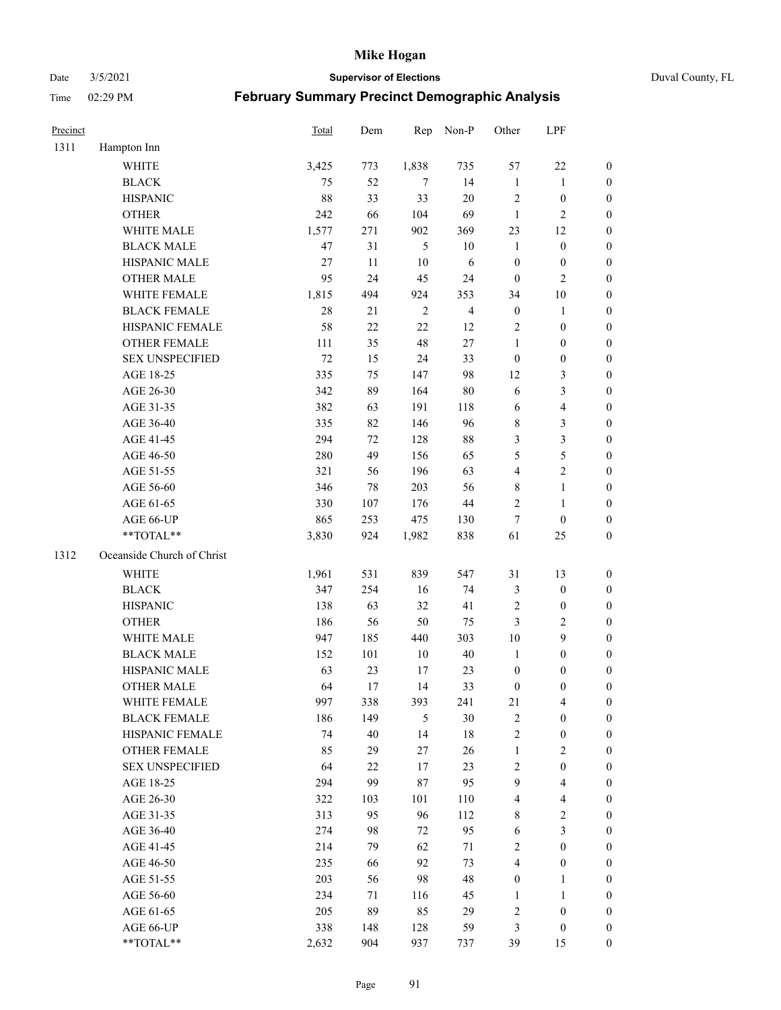Date 3/5/2021 **Supervisor of Elections** Duval County, FL

| Precinct |                            | Total  | Dem    | Rep            | Non-P          | Other            | LPF                     |                  |
|----------|----------------------------|--------|--------|----------------|----------------|------------------|-------------------------|------------------|
| 1311     | Hampton Inn                |        |        |                |                |                  |                         |                  |
|          | <b>WHITE</b>               | 3,425  | 773    | 1,838          | 735            | 57               | 22                      | $\boldsymbol{0}$ |
|          | <b>BLACK</b>               | 75     | 52     | $\tau$         | 14             | $\mathbf{1}$     | $\mathbf{1}$            | $\boldsymbol{0}$ |
|          | <b>HISPANIC</b>            | 88     | 33     | 33             | 20             | $\overline{c}$   | $\boldsymbol{0}$        | $\boldsymbol{0}$ |
|          | <b>OTHER</b>               | 242    | 66     | 104            | 69             | $\mathbf{1}$     | $\mathbf{2}$            | $\boldsymbol{0}$ |
|          | WHITE MALE                 | 1,577  | 271    | 902            | 369            | 23               | 12                      | $\boldsymbol{0}$ |
|          | <b>BLACK MALE</b>          | 47     | 31     | 5              | $10\,$         | $\mathbf{1}$     | $\boldsymbol{0}$        | $\boldsymbol{0}$ |
|          | HISPANIC MALE              | $27\,$ | 11     | 10             | 6              | $\boldsymbol{0}$ | $\boldsymbol{0}$        | $\boldsymbol{0}$ |
|          | <b>OTHER MALE</b>          | 95     | 24     | 45             | 24             | $\boldsymbol{0}$ | $\mathbf{2}$            | $\overline{0}$   |
|          | WHITE FEMALE               | 1,815  | 494    | 924            | 353            | 34               | $10\,$                  | $\boldsymbol{0}$ |
|          | <b>BLACK FEMALE</b>        | 28     | 21     | $\overline{2}$ | $\overline{4}$ | $\boldsymbol{0}$ | $\mathbf{1}$            | 0                |
|          | HISPANIC FEMALE            | 58     | 22     | 22             | 12             | $\overline{2}$   | $\boldsymbol{0}$        | $\boldsymbol{0}$ |
|          | OTHER FEMALE               | 111    | 35     | 48             | $27\,$         | $\mathbf{1}$     | $\boldsymbol{0}$        | $\boldsymbol{0}$ |
|          | <b>SEX UNSPECIFIED</b>     | 72     | 15     | 24             | 33             | $\boldsymbol{0}$ | $\boldsymbol{0}$        | $\boldsymbol{0}$ |
|          | AGE 18-25                  | 335    | 75     | 147            | 98             | 12               | $\mathfrak{Z}$          | $\boldsymbol{0}$ |
|          | AGE 26-30                  | 342    | 89     | 164            | $80\,$         | 6                | $\mathfrak{Z}$          | $\boldsymbol{0}$ |
|          | AGE 31-35                  | 382    | 63     | 191            | 118            | 6                | $\overline{\mathbf{4}}$ | $\boldsymbol{0}$ |
|          | AGE 36-40                  | 335    | 82     | 146            | 96             | 8                | $\mathfrak{Z}$          | $\boldsymbol{0}$ |
|          | AGE 41-45                  | 294    | 72     | 128            | $88\,$         | 3                | $\mathfrak{Z}$          | $\boldsymbol{0}$ |
|          | AGE 46-50                  | 280    | 49     | 156            | 65             | 5                | 5                       | $\boldsymbol{0}$ |
|          | AGE 51-55                  | 321    | 56     | 196            | 63             | $\overline{4}$   | $\overline{2}$          | 0                |
|          | AGE 56-60                  | 346    | 78     | 203            | 56             | 8                | $\mathbf{1}$            | $\boldsymbol{0}$ |
|          | AGE 61-65                  | 330    | 107    | 176            | $44\,$         | $\mathbf{2}$     | $\mathbf{1}$            | $\boldsymbol{0}$ |
|          | AGE 66-UP                  | 865    | 253    | 475            | 130            | 7                | $\boldsymbol{0}$        | $\boldsymbol{0}$ |
|          | **TOTAL**                  | 3,830  | 924    | 1,982          | 838            | 61               | 25                      | $\boldsymbol{0}$ |
| 1312     | Oceanside Church of Christ |        |        |                |                |                  |                         |                  |
|          | WHITE                      | 1,961  | 531    | 839            | 547            | $31\,$           | 13                      | $\boldsymbol{0}$ |
|          | <b>BLACK</b>               | 347    | 254    | 16             | 74             | 3                | $\boldsymbol{0}$        | $\boldsymbol{0}$ |
|          | <b>HISPANIC</b>            | 138    | 63     | 32             | 41             | $\sqrt{2}$       | $\boldsymbol{0}$        | $\boldsymbol{0}$ |
|          | <b>OTHER</b>               | 186    | 56     | 50             | 75             | 3                | $\sqrt{2}$              | $\boldsymbol{0}$ |
|          | WHITE MALE                 | 947    | 185    | 440            | 303            | $10\,$           | $\boldsymbol{9}$        | $\boldsymbol{0}$ |
|          | <b>BLACK MALE</b>          | 152    | 101    | 10             | $40\,$         | $\mathbf{1}$     | $\boldsymbol{0}$        | $\boldsymbol{0}$ |
|          | HISPANIC MALE              | 63     | 23     | 17             | 23             | $\boldsymbol{0}$ | $\boldsymbol{0}$        | 0                |
|          | <b>OTHER MALE</b>          | 64     | 17     | 14             | 33             | $\boldsymbol{0}$ | $\boldsymbol{0}$        | $\boldsymbol{0}$ |
|          | WHITE FEMALE               | 997    | 338    | 393            | 241            | 21               | $\overline{\mathbf{4}}$ | $\overline{0}$   |
|          | <b>BLACK FEMALE</b>        | 186    | 149    | 5              | $30\,$         | 2                | $\boldsymbol{0}$        | $\overline{0}$   |
|          | HISPANIC FEMALE            | 74     | 40     | 14             | 18             | $\overline{c}$   | $\boldsymbol{0}$        | $\overline{0}$   |
|          | <b>OTHER FEMALE</b>        | 85     | 29     | 27             | 26             | $\mathbf{1}$     | $\mathbf{2}$            | 0                |
|          | <b>SEX UNSPECIFIED</b>     | 64     | $22\,$ | 17             | 23             | $\sqrt{2}$       | $\boldsymbol{0}$        | 0                |
|          | AGE 18-25                  | 294    | 99     | 87             | 95             | 9                | $\overline{\mathbf{4}}$ | 0                |
|          | AGE 26-30                  | 322    | 103    | 101            | 110            | 4                | $\overline{\mathbf{4}}$ | 0                |
|          | AGE 31-35                  | 313    | 95     | 96             | 112            | 8                | $\sqrt{2}$              | 0                |
|          | AGE 36-40                  | 274    | 98     | 72             | 95             | 6                | $\mathfrak{Z}$          | 0                |
|          | AGE 41-45                  | 214    | 79     | 62             | 71             | $\overline{c}$   | $\boldsymbol{0}$        | 0                |
|          | AGE 46-50                  | 235    | 66     | 92             | 73             | 4                | $\boldsymbol{0}$        | 0                |
|          | AGE 51-55                  | 203    | 56     | 98             | 48             | $\boldsymbol{0}$ | $\mathbf{1}$            | $\boldsymbol{0}$ |
|          | AGE 56-60                  | 234    | 71     | 116            | 45             | 1                | $\mathbf{1}$            | $\boldsymbol{0}$ |
|          | AGE 61-65                  | 205    | 89     | 85             | 29             | 2                | $\boldsymbol{0}$        | 0                |
|          | AGE 66-UP                  | 338    | 148    | 128            | 59             | 3                | $\boldsymbol{0}$        | 0                |
|          | **TOTAL**                  | 2,632  | 904    | 937            | 737            | 39               | 15                      | $\overline{0}$   |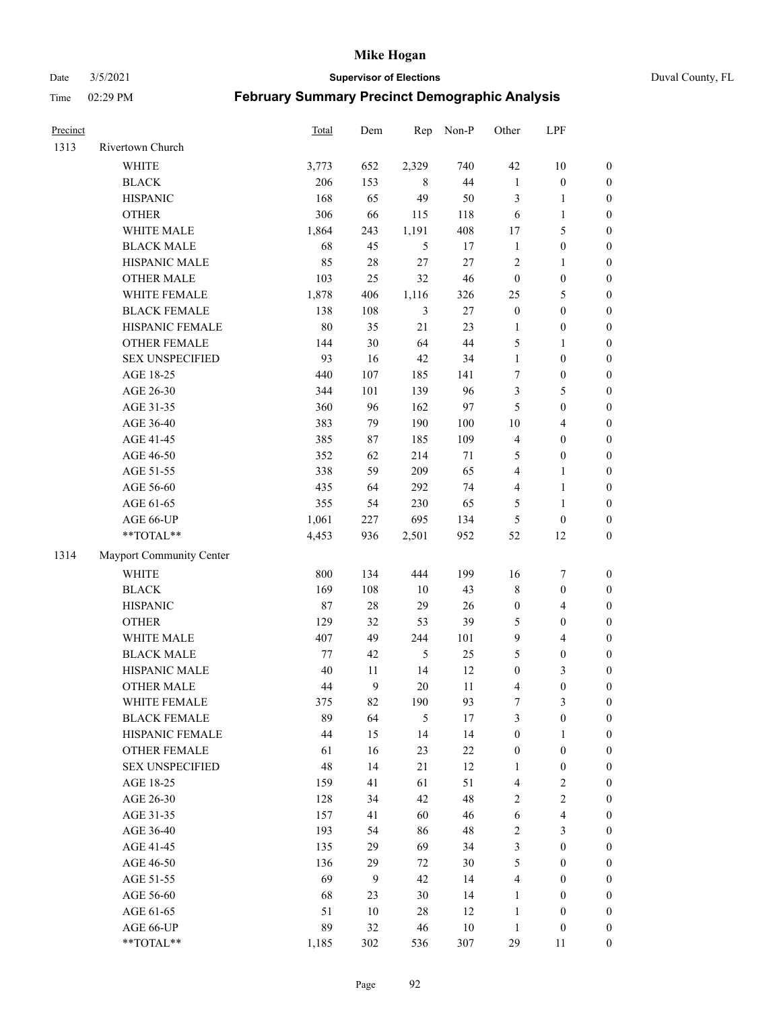#### Date 3/5/2021 **Supervisor of Elections** Duval County, FL

| Precinct |                          | Total   | Dem    | Rep            | Non-P  | Other            | LPF                     |                  |
|----------|--------------------------|---------|--------|----------------|--------|------------------|-------------------------|------------------|
| 1313     | Rivertown Church         |         |        |                |        |                  |                         |                  |
|          | <b>WHITE</b>             | 3,773   | 652    | 2,329          | 740    | 42               | $10\,$                  | 0                |
|          | <b>BLACK</b>             | 206     | 153    | 8              | 44     | $\mathbf{1}$     | $\boldsymbol{0}$        | 0                |
|          | <b>HISPANIC</b>          | 168     | 65     | 49             | 50     | 3                | $\mathbf{1}$            | $\boldsymbol{0}$ |
|          | <b>OTHER</b>             | 306     | 66     | 115            | 118    | 6                | $\mathbf{1}$            | $\boldsymbol{0}$ |
|          | WHITE MALE               | 1,864   | 243    | 1,191          | 408    | 17               | $\mathfrak{S}$          | $\boldsymbol{0}$ |
|          | <b>BLACK MALE</b>        | 68      | 45     | 5              | 17     | $\mathbf{1}$     | $\boldsymbol{0}$        | $\boldsymbol{0}$ |
|          | HISPANIC MALE            | 85      | $28\,$ | 27             | 27     | $\overline{c}$   | $\mathbf{1}$            | $\boldsymbol{0}$ |
|          | <b>OTHER MALE</b>        | 103     | 25     | 32             | 46     | $\boldsymbol{0}$ | $\boldsymbol{0}$        | $\boldsymbol{0}$ |
|          | WHITE FEMALE             | 1,878   | 406    | 1,116          | 326    | 25               | $\mathfrak{S}$          | $\boldsymbol{0}$ |
|          | <b>BLACK FEMALE</b>      | 138     | 108    | $\mathfrak{Z}$ | 27     | $\boldsymbol{0}$ | $\boldsymbol{0}$        | 0                |
|          | HISPANIC FEMALE          | $80\,$  | 35     | 21             | 23     | $\mathbf{1}$     | $\boldsymbol{0}$        | 0                |
|          | OTHER FEMALE             | 144     | 30     | 64             | 44     | 5                | $\mathbf{1}$            | $\boldsymbol{0}$ |
|          | <b>SEX UNSPECIFIED</b>   | 93      | 16     | 42             | 34     | $\mathbf{1}$     | $\boldsymbol{0}$        | $\boldsymbol{0}$ |
|          | AGE 18-25                | 440     | 107    | 185            | 141    | 7                | $\boldsymbol{0}$        | $\boldsymbol{0}$ |
|          | AGE 26-30                | 344     | 101    | 139            | 96     | 3                | $\mathfrak{S}$          | $\boldsymbol{0}$ |
|          | AGE 31-35                | 360     | 96     | 162            | 97     | 5                | $\boldsymbol{0}$        | $\boldsymbol{0}$ |
|          | AGE 36-40                | 383     | 79     | 190            | 100    | $10\,$           | $\overline{\mathbf{4}}$ | $\boldsymbol{0}$ |
|          | AGE 41-45                | 385     | 87     | 185            | 109    | $\overline{4}$   | $\boldsymbol{0}$        | $\boldsymbol{0}$ |
|          | AGE 46-50                | 352     | 62     | 214            | $71\,$ | 5                | $\boldsymbol{0}$        | $\boldsymbol{0}$ |
|          | AGE 51-55                | 338     | 59     | 209            | 65     | $\overline{4}$   | $\mathbf{1}$            | $\boldsymbol{0}$ |
|          | AGE 56-60                | 435     | 64     | 292            | 74     | $\overline{4}$   | $\mathbf{1}$            | 0                |
|          | AGE 61-65                | 355     | 54     | 230            | 65     | 5                | $\mathbf{1}$            | 0                |
|          | AGE 66-UP                | 1,061   | 227    | 695            | 134    | 5                | $\boldsymbol{0}$        | $\boldsymbol{0}$ |
|          | **TOTAL**                | 4,453   | 936    | 2,501          | 952    | 52               | 12                      | $\boldsymbol{0}$ |
| 1314     | Mayport Community Center |         |        |                |        |                  |                         |                  |
|          | <b>WHITE</b>             | 800     | 134    | 444            | 199    | 16               | $\boldsymbol{7}$        | $\boldsymbol{0}$ |
|          | <b>BLACK</b>             | 169     | 108    | 10             | 43     | $\,$ $\,$        | $\boldsymbol{0}$        | $\boldsymbol{0}$ |
|          | <b>HISPANIC</b>          | $87\,$  | $28\,$ | 29             | 26     | $\boldsymbol{0}$ | $\overline{4}$          | $\boldsymbol{0}$ |
|          | <b>OTHER</b>             | 129     | 32     | 53             | 39     | 5                | $\boldsymbol{0}$        | $\boldsymbol{0}$ |
|          | WHITE MALE               | 407     | 49     | 244            | 101    | $\mathbf{9}$     | $\overline{\mathbf{4}}$ | $\boldsymbol{0}$ |
|          | <b>BLACK MALE</b>        | $77 \,$ | 42     | $\mathfrak s$  | 25     | 5                | $\boldsymbol{0}$        | $\boldsymbol{0}$ |
|          | HISPANIC MALE            | 40      | 11     | 14             | 12     | $\boldsymbol{0}$ | $\mathfrak{Z}$          | $\boldsymbol{0}$ |
|          | <b>OTHER MALE</b>        | 44      | 9      | 20             | 11     | 4                | $\boldsymbol{0}$        | $\boldsymbol{0}$ |
|          | WHITE FEMALE             | 375     | 82     | 190            | 93     | 7                | 3                       | 0                |
|          | <b>BLACK FEMALE</b>      | 89      | 64     | $\mathfrak s$  | 17     | 3                | $\boldsymbol{0}$        | $\boldsymbol{0}$ |
|          | HISPANIC FEMALE          | 44      | 15     | 14             | 14     | $\boldsymbol{0}$ | $\mathbf{1}$            | $\overline{0}$   |
|          | OTHER FEMALE             | 61      | 16     | 23             | $22\,$ | $\boldsymbol{0}$ | $\boldsymbol{0}$        | $\overline{0}$   |
|          | <b>SEX UNSPECIFIED</b>   | 48      | 14     | 21             | 12     | $\mathbf{1}$     | $\boldsymbol{0}$        | 0                |
|          | AGE 18-25                | 159     | 41     | 61             | 51     | 4                | $\sqrt{2}$              | 0                |
|          | AGE 26-30                | 128     | 34     | 42             | 48     | $\overline{c}$   | $\sqrt{2}$              | 0                |
|          | AGE 31-35                | 157     | 41     | 60             | 46     | 6                | $\overline{\mathbf{4}}$ | 0                |
|          | AGE 36-40                | 193     | 54     | 86             | 48     | 2                | $\mathfrak{Z}$          | 0                |
|          | AGE 41-45                | 135     | 29     | 69             | 34     | 3                | $\boldsymbol{0}$        | 0                |
|          | AGE 46-50                | 136     | 29     | 72             | 30     | 5                | $\boldsymbol{0}$        | 0                |
|          | AGE 51-55                | 69      | 9      | 42             | 14     | 4                | $\boldsymbol{0}$        | 0                |
|          | AGE 56-60                | 68      | 23     | 30             | 14     | 1                | $\boldsymbol{0}$        | 0                |
|          | AGE 61-65                | 51      | 10     | 28             | 12     | $\mathbf{1}$     | $\boldsymbol{0}$        | 0                |
|          | AGE 66-UP                | 89      | 32     | 46             | $10\,$ | $\mathbf{1}$     | $\boldsymbol{0}$        | 0                |
|          | **TOTAL**                | 1,185   | 302    | 536            | 307    | 29               | 11                      | $\boldsymbol{0}$ |
|          |                          |         |        |                |        |                  |                         |                  |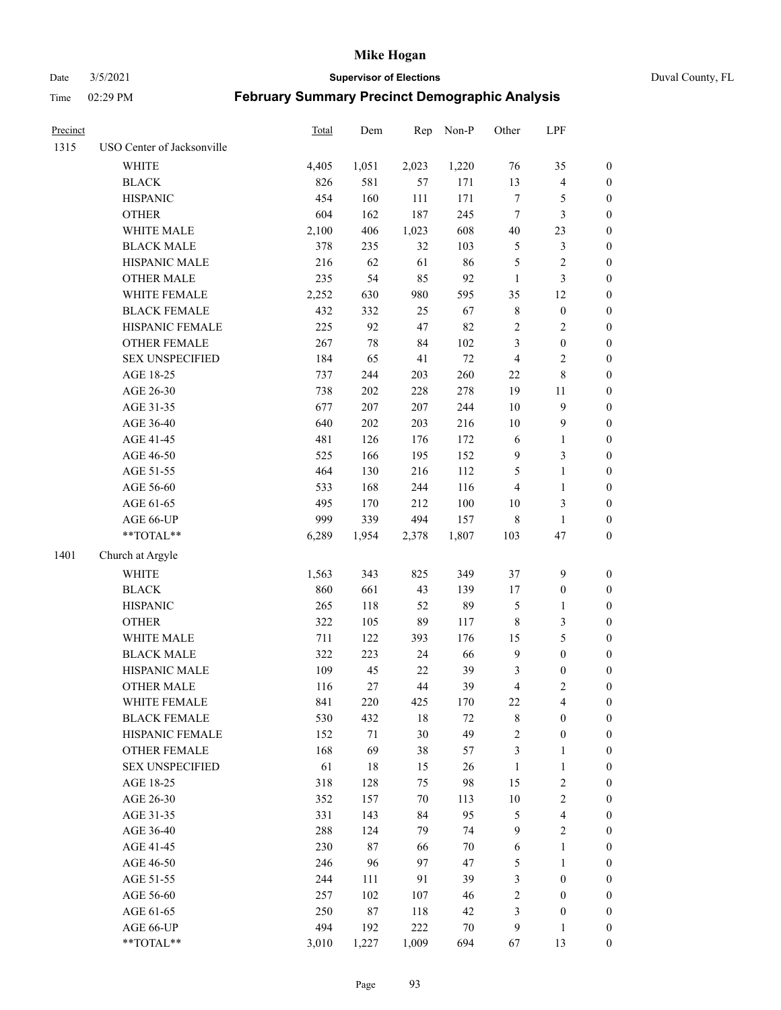Date 3/5/2021 **Supervisor of Elections** Duval County, FL

| Precinct |                            | Total | Dem    | Rep    | Non-P  | Other            | LPF                     |                  |
|----------|----------------------------|-------|--------|--------|--------|------------------|-------------------------|------------------|
| 1315     | USO Center of Jacksonville |       |        |        |        |                  |                         |                  |
|          | <b>WHITE</b>               | 4,405 | 1,051  | 2,023  | 1,220  | 76               | 35                      | 0                |
|          | <b>BLACK</b>               | 826   | 581    | 57     | 171    | 13               | $\overline{\mathbf{4}}$ | $\boldsymbol{0}$ |
|          | <b>HISPANIC</b>            | 454   | 160    | 111    | 171    | $\boldsymbol{7}$ | $\mathfrak{S}$          | $\boldsymbol{0}$ |
|          | <b>OTHER</b>               | 604   | 162    | 187    | 245    | 7                | 3                       | $\boldsymbol{0}$ |
|          | WHITE MALE                 | 2,100 | 406    | 1,023  | 608    | 40               | 23                      | $\boldsymbol{0}$ |
|          | <b>BLACK MALE</b>          | 378   | 235    | 32     | 103    | 5                | $\mathfrak{Z}$          | $\boldsymbol{0}$ |
|          | HISPANIC MALE              | 216   | 62     | 61     | 86     | 5                | $\sqrt{2}$              | $\boldsymbol{0}$ |
|          | <b>OTHER MALE</b>          | 235   | 54     | 85     | 92     | $\mathbf{1}$     | $\mathfrak{Z}$          | $\boldsymbol{0}$ |
|          | WHITE FEMALE               | 2,252 | 630    | 980    | 595    | 35               | 12                      | $\boldsymbol{0}$ |
|          | <b>BLACK FEMALE</b>        | 432   | 332    | 25     | 67     | 8                | $\boldsymbol{0}$        | 0                |
|          | HISPANIC FEMALE            | 225   | 92     | 47     | 82     | $\sqrt{2}$       | $\sqrt{2}$              | 0                |
|          | OTHER FEMALE               | 267   | $78\,$ | 84     | 102    | 3                | $\boldsymbol{0}$        | 0                |
|          | <b>SEX UNSPECIFIED</b>     | 184   | 65     | 41     | $72\,$ | 4                | $\sqrt{2}$              | $\boldsymbol{0}$ |
|          | AGE 18-25                  | 737   | 244    | 203    | 260    | $22\,$           | $\,8\,$                 | $\boldsymbol{0}$ |
|          | AGE 26-30                  | 738   | 202    | 228    | 278    | 19               | 11                      | $\boldsymbol{0}$ |
|          | AGE 31-35                  | 677   | 207    | 207    | 244    | 10               | $\boldsymbol{9}$        | $\boldsymbol{0}$ |
|          | AGE 36-40                  | 640   | 202    | 203    | 216    | 10               | $\mathbf{9}$            | $\boldsymbol{0}$ |
|          | AGE 41-45                  | 481   | 126    | 176    | 172    | $\sqrt{6}$       | $\mathbf{1}$            | $\boldsymbol{0}$ |
|          | AGE 46-50                  | 525   | 166    | 195    | 152    | $\mathbf{9}$     | $\mathfrak{Z}$          | $\boldsymbol{0}$ |
|          | AGE 51-55                  | 464   | 130    | 216    | 112    | 5                | $\mathbf{1}$            | 0                |
|          | AGE 56-60                  | 533   | 168    | 244    | 116    | 4                | $\mathbf{1}$            | 0                |
|          | AGE 61-65                  | 495   | 170    | 212    | 100    | 10               | $\mathfrak{Z}$          | 0                |
|          | AGE 66-UP                  | 999   | 339    | 494    | 157    | 8                | $\mathbf{1}$            | $\boldsymbol{0}$ |
|          | **TOTAL**                  | 6,289 | 1,954  | 2,378  | 1,807  | 103              | 47                      | $\boldsymbol{0}$ |
| 1401     | Church at Argyle           |       |        |        |        |                  |                         |                  |
|          | <b>WHITE</b>               | 1,563 | 343    | 825    | 349    | 37               | $\mathbf{9}$            | $\boldsymbol{0}$ |
|          | <b>BLACK</b>               | 860   | 661    | 43     | 139    | 17               | $\boldsymbol{0}$        | $\boldsymbol{0}$ |
|          | <b>HISPANIC</b>            | 265   | 118    | 52     | 89     | 5                | $\mathbf{1}$            | $\boldsymbol{0}$ |
|          | <b>OTHER</b>               | 322   | 105    | 89     | 117    | $\,$ 8 $\,$      | $\mathfrak{Z}$          | $\boldsymbol{0}$ |
|          | WHITE MALE                 | 711   | 122    | 393    | 176    | 15               | $\mathfrak{S}$          | $\boldsymbol{0}$ |
|          | <b>BLACK MALE</b>          | 322   | 223    | 24     | 66     | $\overline{9}$   | $\boldsymbol{0}$        | $\boldsymbol{0}$ |
|          | HISPANIC MALE              | 109   | 45     | $22\,$ | 39     | 3                | $\boldsymbol{0}$        | 0                |
|          | <b>OTHER MALE</b>          | 116   | 27     | 44     | 39     | 4                | $\mathfrak{2}$          | $\boldsymbol{0}$ |
|          | WHITE FEMALE               | 841   | 220    | 425    | 170    | 22               | 4                       | 0                |
|          | <b>BLACK FEMALE</b>        | 530   | 432    | 18     | 72     | 8                | $\boldsymbol{0}$        | $\boldsymbol{0}$ |
|          | HISPANIC FEMALE            | 152   | $71\,$ | 30     | 49     | $\overline{c}$   | $\boldsymbol{0}$        | $\overline{0}$   |
|          | <b>OTHER FEMALE</b>        | 168   | 69     | 38     | 57     | 3                | $\mathbf{1}$            | $\overline{0}$   |
|          | <b>SEX UNSPECIFIED</b>     | 61    | 18     | 15     | 26     | $\mathbf{1}$     | $\mathbf{1}$            | 0                |
|          | AGE 18-25                  | 318   | 128    | 75     | 98     | 15               | $\sqrt{2}$              | 0                |
|          | AGE 26-30                  | 352   | 157    | 70     | 113    | $10\,$           | $\overline{2}$          | 0                |
|          | AGE 31-35                  | 331   | 143    | 84     | 95     | 5                | $\overline{\mathbf{4}}$ | 0                |
|          | AGE 36-40                  | 288   | 124    | 79     | 74     | 9                | $\sqrt{2}$              | 0                |
|          | AGE 41-45                  | 230   | 87     | 66     | $70\,$ | 6                | $\mathbf{1}$            | 0                |
|          | AGE 46-50                  | 246   | 96     | 97     | 47     | 5                | $\mathbf{1}$            | 0                |
|          | AGE 51-55                  | 244   | 111    | 91     | 39     | 3                | $\boldsymbol{0}$        | 0                |
|          | AGE 56-60                  | 257   | 102    | 107    | 46     | 2                | $\boldsymbol{0}$        | 0                |
|          | AGE 61-65                  | 250   | 87     | 118    | 42     | 3                | $\boldsymbol{0}$        | $\overline{0}$   |
|          | AGE 66-UP                  | 494   | 192    | 222    | 70     | 9                | $\mathbf{1}$            | 0                |
|          | **TOTAL**                  | 3,010 | 1,227  | 1,009  | 694    | 67               | 13                      | $\boldsymbol{0}$ |
|          |                            |       |        |        |        |                  |                         |                  |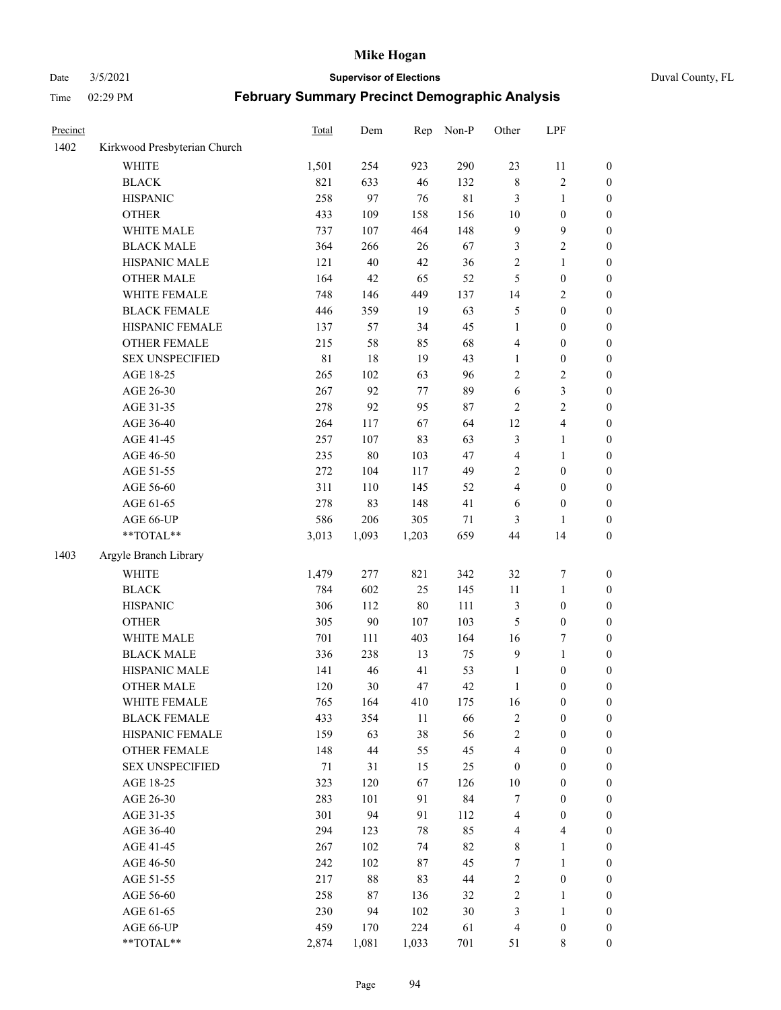# Date 3/5/2021 **Supervisor of Elections** Duval County, FL

| Precinct |                              | <b>Total</b> | Dem    | Rep    | Non-P       | Other            | LPF              |                  |
|----------|------------------------------|--------------|--------|--------|-------------|------------------|------------------|------------------|
| 1402     | Kirkwood Presbyterian Church |              |        |        |             |                  |                  |                  |
|          | <b>WHITE</b>                 | 1,501        | 254    | 923    | 290         | 23               | 11               | 0                |
|          | <b>BLACK</b>                 | 821          | 633    | 46     | 132         | $\,$ 8 $\,$      | $\sqrt{2}$       | $\boldsymbol{0}$ |
|          | <b>HISPANIC</b>              | 258          | 97     | 76     | $8\sqrt{1}$ | 3                | $\mathbf{1}$     | $\boldsymbol{0}$ |
|          | <b>OTHER</b>                 | 433          | 109    | 158    | 156         | $10\,$           | $\boldsymbol{0}$ | $\boldsymbol{0}$ |
|          | WHITE MALE                   | 737          | 107    | 464    | 148         | 9                | $\mathbf{9}$     | $\boldsymbol{0}$ |
|          | <b>BLACK MALE</b>            | 364          | 266    | 26     | 67          | 3                | $\sqrt{2}$       | $\boldsymbol{0}$ |
|          | HISPANIC MALE                | 121          | $40\,$ | 42     | 36          | 2                | $\mathbf{1}$     | $\boldsymbol{0}$ |
|          | <b>OTHER MALE</b>            | 164          | 42     | 65     | 52          | 5                | $\boldsymbol{0}$ | $\boldsymbol{0}$ |
|          | WHITE FEMALE                 | 748          | 146    | 449    | 137         | 14               | $\sqrt{2}$       | $\boldsymbol{0}$ |
|          | <b>BLACK FEMALE</b>          | 446          | 359    | 19     | 63          | 5                | $\boldsymbol{0}$ | $\boldsymbol{0}$ |
|          | HISPANIC FEMALE              | 137          | 57     | 34     | 45          | $\mathbf{1}$     | $\boldsymbol{0}$ | $\boldsymbol{0}$ |
|          | <b>OTHER FEMALE</b>          | 215          | 58     | 85     | 68          | 4                | $\boldsymbol{0}$ | $\boldsymbol{0}$ |
|          | <b>SEX UNSPECIFIED</b>       | 81           | 18     | 19     | 43          | $\mathbf{1}$     | $\boldsymbol{0}$ | $\boldsymbol{0}$ |
|          | AGE 18-25                    | 265          | 102    | 63     | 96          | $\overline{c}$   | $\sqrt{2}$       | $\boldsymbol{0}$ |
|          | AGE 26-30                    | 267          | 92     | 77     | 89          | 6                | $\mathfrak{Z}$   | $\boldsymbol{0}$ |
|          | AGE 31-35                    | 278          | 92     | 95     | $87\,$      | $\overline{c}$   | $\sqrt{2}$       | $\boldsymbol{0}$ |
|          | AGE 36-40                    | 264          | 117    | 67     | 64          | 12               | $\overline{4}$   | $\boldsymbol{0}$ |
|          | AGE 41-45                    | 257          | 107    | 83     | 63          | 3                | $\mathbf{1}$     | $\boldsymbol{0}$ |
|          | AGE 46-50                    | 235          | $80\,$ | 103    | 47          | 4                | $\mathbf{1}$     | $\boldsymbol{0}$ |
|          | AGE 51-55                    | 272          | 104    | 117    | 49          | $\overline{c}$   | $\boldsymbol{0}$ | $\boldsymbol{0}$ |
|          | AGE 56-60                    | 311          | 110    | 145    | 52          | 4                | $\boldsymbol{0}$ | 0                |
|          | AGE 61-65                    | 278          | 83     | 148    | 41          | 6                | $\boldsymbol{0}$ | $\boldsymbol{0}$ |
|          | AGE 66-UP                    | 586          | 206    | 305    | 71          | 3                | 1                | $\boldsymbol{0}$ |
|          | $**TOTAL**$                  | 3,013        | 1,093  | 1,203  | 659         | 44               | 14               | $\boldsymbol{0}$ |
| 1403     | Argyle Branch Library        |              |        |        |             |                  |                  |                  |
|          |                              |              |        |        |             |                  |                  |                  |
|          | <b>WHITE</b>                 | 1,479        | 277    | 821    | 342         | 32               | $\boldsymbol{7}$ | $\boldsymbol{0}$ |
|          | <b>BLACK</b>                 | 784          | 602    | 25     | 145         | $11\,$           | $\mathbf{1}$     | $\boldsymbol{0}$ |
|          | <b>HISPANIC</b>              | 306          | 112    | 80     | 111         | 3                | $\boldsymbol{0}$ | $\boldsymbol{0}$ |
|          | <b>OTHER</b>                 | 305          | $90\,$ | 107    | 103         | 5                | $\boldsymbol{0}$ | $\boldsymbol{0}$ |
|          | WHITE MALE                   | 701          | 111    | 403    | 164         | 16               | $\boldsymbol{7}$ | $\boldsymbol{0}$ |
|          | <b>BLACK MALE</b>            | 336          | 238    | 13     | 75          | 9                | $\mathbf{1}$     | $\boldsymbol{0}$ |
|          | HISPANIC MALE                | 141          | 46     | 41     | 53          | $\mathbf{1}$     | $\boldsymbol{0}$ | 0                |
|          | <b>OTHER MALE</b>            | 120          | $30\,$ | 47     | 42          | $\mathbf{1}$     | $\boldsymbol{0}$ | $\boldsymbol{0}$ |
|          | WHITE FEMALE                 | 765          | 164    | 410    | 175         | 16               | 0                | 0                |
|          | <b>BLACK FEMALE</b>          | 433          | 354    | 11     | 66          | 2                | $\boldsymbol{0}$ | $\overline{0}$   |
|          | HISPANIC FEMALE              | 159          | 63     | 38     | 56          | $\overline{c}$   | $\boldsymbol{0}$ | $\overline{0}$   |
|          | <b>OTHER FEMALE</b>          | 148          | $44\,$ | 55     | 45          | 4                | $\boldsymbol{0}$ | $\overline{0}$   |
|          | <b>SEX UNSPECIFIED</b>       | 71           | 31     | 15     | 25          | $\boldsymbol{0}$ | $\boldsymbol{0}$ | 0                |
|          | AGE 18-25                    | 323          | 120    | 67     | 126         | 10               | $\boldsymbol{0}$ | $\theta$         |
|          | AGE 26-30                    | 283          | 101    | 91     | 84          | 7                | $\boldsymbol{0}$ | 0                |
|          | AGE 31-35                    | 301          | 94     | 91     | 112         | 4                | $\boldsymbol{0}$ | 0                |
|          | AGE 36-40                    | 294          | 123    | 78     | 85          | 4                | $\overline{4}$   | 0                |
|          | AGE 41-45                    | 267          | 102    | 74     | 82          | 8                | $\mathbf{1}$     | 0                |
|          | AGE 46-50                    | 242          | 102    | $87\,$ | 45          | $\boldsymbol{7}$ | $\mathbf{1}$     | 0                |
|          | AGE 51-55                    | 217          | $88\,$ | 83     | $44\,$      | 2                | $\boldsymbol{0}$ | 0                |
|          | AGE 56-60                    | 258          | $87\,$ | 136    | 32          | 2                | 1                | $\overline{0}$   |
|          | AGE 61-65                    | 230          | 94     | 102    | $30\,$      | 3                | $\mathbf{1}$     | $\overline{0}$   |
|          | AGE 66-UP                    | 459          | 170    | 224    | 61          | 4                | $\boldsymbol{0}$ | 0                |
|          | $**TOTAL**$                  | 2,874        | 1,081  | 1,033  | 701         | 51               | 8                | $\boldsymbol{0}$ |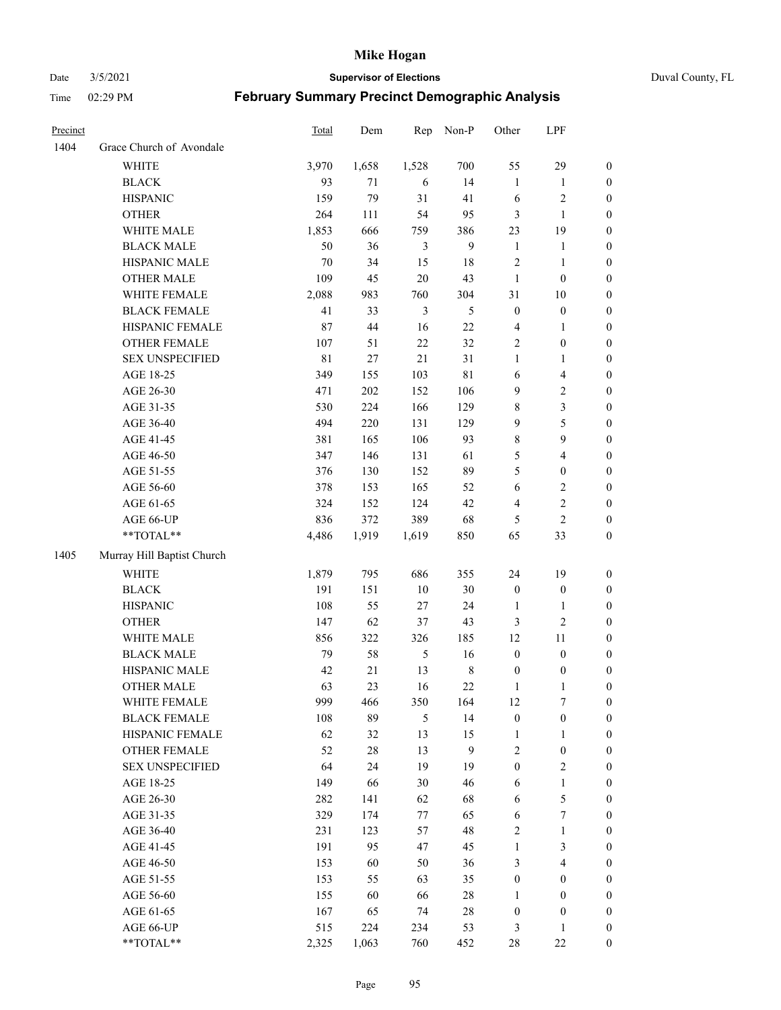Date 3/5/2021 **Supervisor of Elections** Duval County, FL

| Precinct |                            | Total       | Dem    | Rep            | Non-P       | Other            | LPF                     |                  |
|----------|----------------------------|-------------|--------|----------------|-------------|------------------|-------------------------|------------------|
| 1404     | Grace Church of Avondale   |             |        |                |             |                  |                         |                  |
|          | <b>WHITE</b>               | 3,970       | 1,658  | 1,528          | 700         | 55               | 29                      | 0                |
|          | <b>BLACK</b>               | 93          | 71     | 6              | 14          | $\mathbf{1}$     | $\mathbf{1}$            | $\boldsymbol{0}$ |
|          | <b>HISPANIC</b>            | 159         | 79     | 31             | 41          | 6                | $\sqrt{2}$              | $\boldsymbol{0}$ |
|          | <b>OTHER</b>               | 264         | 111    | 54             | 95          | 3                | $\mathbf{1}$            | $\boldsymbol{0}$ |
|          | WHITE MALE                 | 1,853       | 666    | 759            | 386         | 23               | 19                      | $\boldsymbol{0}$ |
|          | <b>BLACK MALE</b>          | 50          | 36     | 3              | 9           | $\mathbf{1}$     | $\mathbf{1}$            | $\boldsymbol{0}$ |
|          | HISPANIC MALE              | $70\,$      | 34     | 15             | 18          | $\overline{c}$   | $\mathbf{1}$            | $\boldsymbol{0}$ |
|          | <b>OTHER MALE</b>          | 109         | 45     | 20             | 43          | $\mathbf{1}$     | $\boldsymbol{0}$        | $\boldsymbol{0}$ |
|          | WHITE FEMALE               | 2,088       | 983    | 760            | 304         | 31               | $10\,$                  | $\boldsymbol{0}$ |
|          | <b>BLACK FEMALE</b>        | 41          | 33     | $\mathfrak{Z}$ | 5           | $\boldsymbol{0}$ | $\boldsymbol{0}$        | 0                |
|          | HISPANIC FEMALE            | 87          | 44     | 16             | $22\,$      | 4                | $\mathbf{1}$            | 0                |
|          | OTHER FEMALE               | 107         | 51     | 22             | 32          | $\mathbf{2}$     | $\boldsymbol{0}$        | 0                |
|          | <b>SEX UNSPECIFIED</b>     | $8\sqrt{1}$ | $27\,$ | 21             | 31          | $\mathbf{1}$     | $\mathbf{1}$            | $\boldsymbol{0}$ |
|          | AGE 18-25                  | 349         | 155    | 103            | $8\sqrt{1}$ | 6                | $\overline{\mathbf{4}}$ | $\boldsymbol{0}$ |
|          | AGE 26-30                  | 471         | 202    | 152            | 106         | 9                | $\sqrt{2}$              | $\boldsymbol{0}$ |
|          | AGE 31-35                  | 530         | 224    | 166            | 129         | $\,$ $\,$        | $\mathfrak{Z}$          | $\boldsymbol{0}$ |
|          | AGE 36-40                  | 494         | 220    | 131            | 129         | 9                | $\mathfrak s$           | $\boldsymbol{0}$ |
|          | AGE 41-45                  | 381         | 165    | 106            | 93          | $\,$ $\,$        | 9                       | $\boldsymbol{0}$ |
|          | AGE 46-50                  | 347         | 146    | 131            | 61          | 5                | $\overline{\mathbf{4}}$ | $\boldsymbol{0}$ |
|          | AGE 51-55                  | 376         | 130    | 152            | 89          | 5                | $\boldsymbol{0}$        | $\boldsymbol{0}$ |
|          | AGE 56-60                  | 378         | 153    | 165            | 52          | 6                | $\sqrt{2}$              | 0                |
|          | AGE 61-65                  | 324         | 152    | 124            | 42          | 4                | $\sqrt{2}$              | 0                |
|          | AGE 66-UP                  | 836         | 372    | 389            | 68          | 5                | $\overline{2}$          | $\boldsymbol{0}$ |
|          | **TOTAL**                  | 4,486       | 1,919  | 1,619          | 850         | 65               | 33                      | $\boldsymbol{0}$ |
| 1405     | Murray Hill Baptist Church |             |        |                |             |                  |                         |                  |
|          | <b>WHITE</b>               | 1,879       | 795    | 686            | 355         | 24               | 19                      | $\boldsymbol{0}$ |
|          | <b>BLACK</b>               | 191         | 151    | 10             | 30          | $\boldsymbol{0}$ | $\boldsymbol{0}$        | $\boldsymbol{0}$ |
|          | <b>HISPANIC</b>            | 108         | 55     | $27\,$         | 24          | $\mathbf{1}$     | $\mathbf{1}$            | $\boldsymbol{0}$ |
|          | <b>OTHER</b>               | 147         | 62     | 37             | 43          | 3                | $\overline{c}$          | $\boldsymbol{0}$ |
|          | WHITE MALE                 | 856         | 322    | 326            | 185         | 12               | $11\,$                  | $\boldsymbol{0}$ |
|          | <b>BLACK MALE</b>          | 79          | 58     | $\mathfrak s$  | 16          | $\boldsymbol{0}$ | $\boldsymbol{0}$        | $\boldsymbol{0}$ |
|          | HISPANIC MALE              | 42          | $21\,$ | 13             | $\,8\,$     | $\boldsymbol{0}$ | $\boldsymbol{0}$        | 0                |
|          | <b>OTHER MALE</b>          | 63          | 23     | 16             | 22          | 1                | $\mathbf{1}$            | 0                |
|          | WHITE FEMALE               | 999         | 466    | 350            | 164         | 12               | 7                       | 0                |
|          | <b>BLACK FEMALE</b>        | 108         | 89     | 5              | 14          | $\boldsymbol{0}$ | $\boldsymbol{0}$        | $\boldsymbol{0}$ |
|          | HISPANIC FEMALE            | 62          | 32     | 13             | 15          | $\mathbf{1}$     | $\mathbf{1}$            | $\overline{0}$   |
|          | <b>OTHER FEMALE</b>        | 52          | $28\,$ | 13             | 9           | 2                | $\boldsymbol{0}$        | $\overline{0}$   |
|          | <b>SEX UNSPECIFIED</b>     | 64          | 24     | 19             | 19          | $\boldsymbol{0}$ | $\mathbf{2}$            | 0                |
|          | AGE 18-25                  | 149         | 66     | 30             | 46          | 6                | $\mathbf{1}$            | 0                |
|          | AGE 26-30                  | 282         | 141    | 62             | 68          | 6                | $\mathfrak{S}$          | 0                |
|          | AGE 31-35                  | 329         | 174    | 77             | 65          | 6                | $\boldsymbol{7}$        | 0                |
|          | AGE 36-40                  | 231         | 123    | 57             | 48          | 2                | $\mathbf{1}$            | 0                |
|          | AGE 41-45                  | 191         | 95     | 47             | 45          | $\mathbf{1}$     | $\mathfrak{Z}$          | 0                |
|          | AGE 46-50                  | 153         | 60     | 50             | 36          | 3                | $\overline{4}$          | 0                |
|          | AGE 51-55                  | 153         | 55     | 63             | 35          | $\boldsymbol{0}$ | $\boldsymbol{0}$        | $\overline{0}$   |
|          | AGE 56-60                  | 155         | 60     | 66             | 28          | 1                | $\boldsymbol{0}$        | $\overline{0}$   |
|          | AGE 61-65                  | 167         | 65     | 74             | $28\,$      | $\boldsymbol{0}$ | $\boldsymbol{0}$        | $\overline{0}$   |
|          | AGE 66-UP                  | 515         | 224    | 234            | 53          | 3                | $\mathbf{1}$            | $\boldsymbol{0}$ |
|          | **TOTAL**                  | 2,325       | 1,063  | 760            | 452         | 28               | $22\,$                  | $\boldsymbol{0}$ |
|          |                            |             |        |                |             |                  |                         |                  |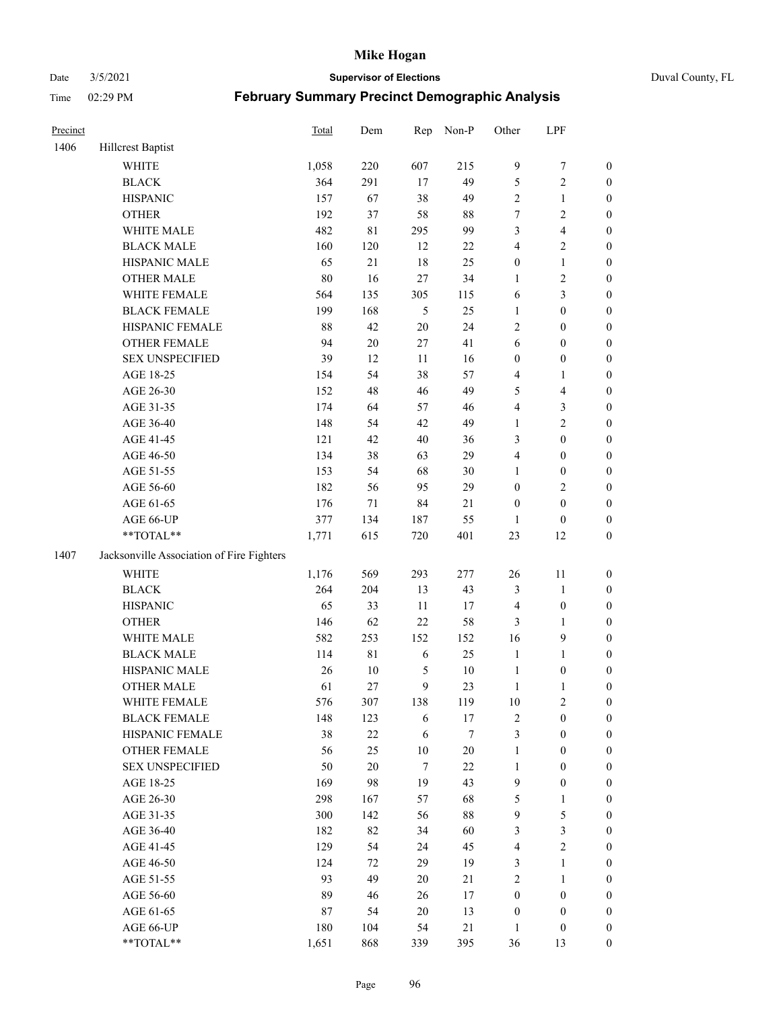#### Date 3/5/2021 **Supervisor of Elections** Duval County, FL

| Precinct |                                           | Total | Dem         | Rep           | Non-P  | Other                   | LPF                     |                  |
|----------|-------------------------------------------|-------|-------------|---------------|--------|-------------------------|-------------------------|------------------|
| 1406     | Hillcrest Baptist                         |       |             |               |        |                         |                         |                  |
|          | <b>WHITE</b>                              | 1,058 | 220         | 607           | 215    | $\overline{9}$          | $\boldsymbol{7}$        | 0                |
|          | <b>BLACK</b>                              | 364   | 291         | 17            | 49     | 5                       | $\sqrt{2}$              | $\boldsymbol{0}$ |
|          | <b>HISPANIC</b>                           | 157   | 67          | 38            | 49     | 2                       | $\mathbf{1}$            | $\boldsymbol{0}$ |
|          | <b>OTHER</b>                              | 192   | 37          | 58            | $88\,$ | 7                       | $\sqrt{2}$              | $\boldsymbol{0}$ |
|          | WHITE MALE                                | 482   | 81          | 295           | 99     | 3                       | $\overline{\mathbf{4}}$ | $\boldsymbol{0}$ |
|          | <b>BLACK MALE</b>                         | 160   | 120         | 12            | $22\,$ | 4                       | $\sqrt{2}$              | $\boldsymbol{0}$ |
|          | HISPANIC MALE                             | 65    | 21          | 18            | 25     | $\boldsymbol{0}$        | $\mathbf{1}$            | $\boldsymbol{0}$ |
|          | <b>OTHER MALE</b>                         | 80    | 16          | 27            | 34     | $\mathbf{1}$            | $\mathbf{2}$            | $\boldsymbol{0}$ |
|          | WHITE FEMALE                              | 564   | 135         | 305           | 115    | 6                       | $\mathfrak{Z}$          | $\boldsymbol{0}$ |
|          | <b>BLACK FEMALE</b>                       | 199   | 168         | $\mathfrak s$ | 25     | $\mathbf{1}$            | $\boldsymbol{0}$        | $\boldsymbol{0}$ |
|          | HISPANIC FEMALE                           | 88    | 42          | 20            | 24     | $\overline{c}$          | $\boldsymbol{0}$        | 0                |
|          | OTHER FEMALE                              | 94    | $20\,$      | 27            | 41     | 6                       | $\boldsymbol{0}$        | $\boldsymbol{0}$ |
|          | <b>SEX UNSPECIFIED</b>                    | 39    | 12          | $11\,$        | 16     | $\boldsymbol{0}$        | $\boldsymbol{0}$        | $\boldsymbol{0}$ |
|          | AGE 18-25                                 | 154   | 54          | 38            | 57     | 4                       | 1                       | $\boldsymbol{0}$ |
|          | AGE 26-30                                 | 152   | 48          | 46            | 49     | 5                       | $\overline{\mathbf{4}}$ | $\boldsymbol{0}$ |
|          | AGE 31-35                                 | 174   | 64          | 57            | 46     | 4                       | $\mathfrak{Z}$          | $\boldsymbol{0}$ |
|          | AGE 36-40                                 | 148   | 54          | 42            | 49     | $\mathbf{1}$            | $\sqrt{2}$              | $\boldsymbol{0}$ |
|          | AGE 41-45                                 | 121   | 42          | $40\,$        | 36     | 3                       | $\boldsymbol{0}$        | $\boldsymbol{0}$ |
|          | AGE 46-50                                 | 134   | 38          | 63            | 29     | 4                       | $\boldsymbol{0}$        | $\boldsymbol{0}$ |
|          | AGE 51-55                                 | 153   | 54          | 68            | $30\,$ | 1                       | $\boldsymbol{0}$        | $\boldsymbol{0}$ |
|          | AGE 56-60                                 | 182   | 56          | 95            | 29     | $\boldsymbol{0}$        | $\sqrt{2}$              | 0                |
|          | AGE 61-65                                 | 176   | 71          | 84            | 21     | $\boldsymbol{0}$        | $\boldsymbol{0}$        | $\boldsymbol{0}$ |
|          | AGE 66-UP                                 | 377   | 134         | 187           | 55     | $\mathbf{1}$            | $\boldsymbol{0}$        | $\boldsymbol{0}$ |
|          | **TOTAL**                                 | 1,771 | 615         | 720           | 401    | 23                      | 12                      | $\boldsymbol{0}$ |
| 1407     | Jacksonville Association of Fire Fighters |       |             |               |        |                         |                         |                  |
|          | <b>WHITE</b>                              | 1,176 | 569         | 293           | 277    | $26\,$                  | 11                      | $\boldsymbol{0}$ |
|          | <b>BLACK</b>                              | 264   | 204         | 13            | 43     | 3                       | $\mathbf{1}$            | $\boldsymbol{0}$ |
|          | <b>HISPANIC</b>                           | 65    | 33          | $11\,$        | 17     | 4                       | $\boldsymbol{0}$        | $\boldsymbol{0}$ |
|          | <b>OTHER</b>                              | 146   | 62          | 22            | 58     | 3                       | $\mathbf{1}$            | $\boldsymbol{0}$ |
|          | WHITE MALE                                | 582   | 253         | 152           | 152    | 16                      | $\mathbf{9}$            | $\boldsymbol{0}$ |
|          | <b>BLACK MALE</b>                         | 114   | $8\sqrt{1}$ | 6             | 25     | $\mathbf{1}$            | $\mathbf{1}$            | $\boldsymbol{0}$ |
|          | HISPANIC MALE                             | 26    | $10\,$      | 5             | $10\,$ | $\mathbf{1}$            | $\boldsymbol{0}$        | $\boldsymbol{0}$ |
|          | OTHER MALE                                | 61    | 27          | 9             | 23     | $\mathbf{1}$            | $\mathbf{1}$            | $\boldsymbol{0}$ |
|          | WHITE FEMALE                              | 576   | 307         | 138           | 119    | 10                      | 2                       | 0                |
|          | <b>BLACK FEMALE</b>                       | 148   | 123         | 6             | 17     | 2                       | $\boldsymbol{0}$        | $\boldsymbol{0}$ |
|          | HISPANIC FEMALE                           | 38    | $22\,$      | 6             | 7      | 3                       | $\boldsymbol{0}$        | $\overline{0}$   |
|          | <b>OTHER FEMALE</b>                       | 56    | 25          | $10\,$        | $20\,$ | $\mathbf{1}$            | $\boldsymbol{0}$        | $\overline{0}$   |
|          | <b>SEX UNSPECIFIED</b>                    | 50    | $20\,$      | $\tau$        | $22\,$ | $\mathbf{1}$            | $\boldsymbol{0}$        | 0                |
|          | AGE 18-25                                 | 169   | 98          | 19            | 43     | 9                       | $\boldsymbol{0}$        | $\theta$         |
|          | AGE 26-30                                 | 298   | 167         | 57            | 68     | 5                       | $\mathbf{1}$            | 0                |
|          | AGE 31-35                                 | 300   | 142         | 56            | $88\,$ | 9                       | $\mathfrak s$           | 0                |
|          | AGE 36-40                                 | 182   | 82          | 34            | 60     | 3                       | $\mathfrak{Z}$          | 0                |
|          | AGE 41-45                                 | 129   | 54          | 24            | 45     | $\overline{\mathbf{4}}$ | $\sqrt{2}$              | 0                |
|          | AGE 46-50                                 | 124   | 72          | 29            | 19     | 3                       | $\mathbf{1}$            | 0                |
|          | AGE 51-55                                 | 93    | 49          | 20            | 21     | 2                       | $\mathbf{1}$            | 0                |
|          | AGE 56-60                                 | 89    | 46          | 26            | 17     | $\boldsymbol{0}$        | $\boldsymbol{0}$        | 0                |
|          | AGE 61-65                                 | 87    | 54          | $20\,$        | 13     | $\boldsymbol{0}$        | $\boldsymbol{0}$        | $\overline{0}$   |
|          | AGE 66-UP                                 | 180   | 104         | 54            | $21\,$ | $\mathbf{1}$            | $\boldsymbol{0}$        | 0                |
|          | **TOTAL**                                 | 1,651 | 868         | 339           | 395    | 36                      | 13                      | $\boldsymbol{0}$ |
|          |                                           |       |             |               |        |                         |                         |                  |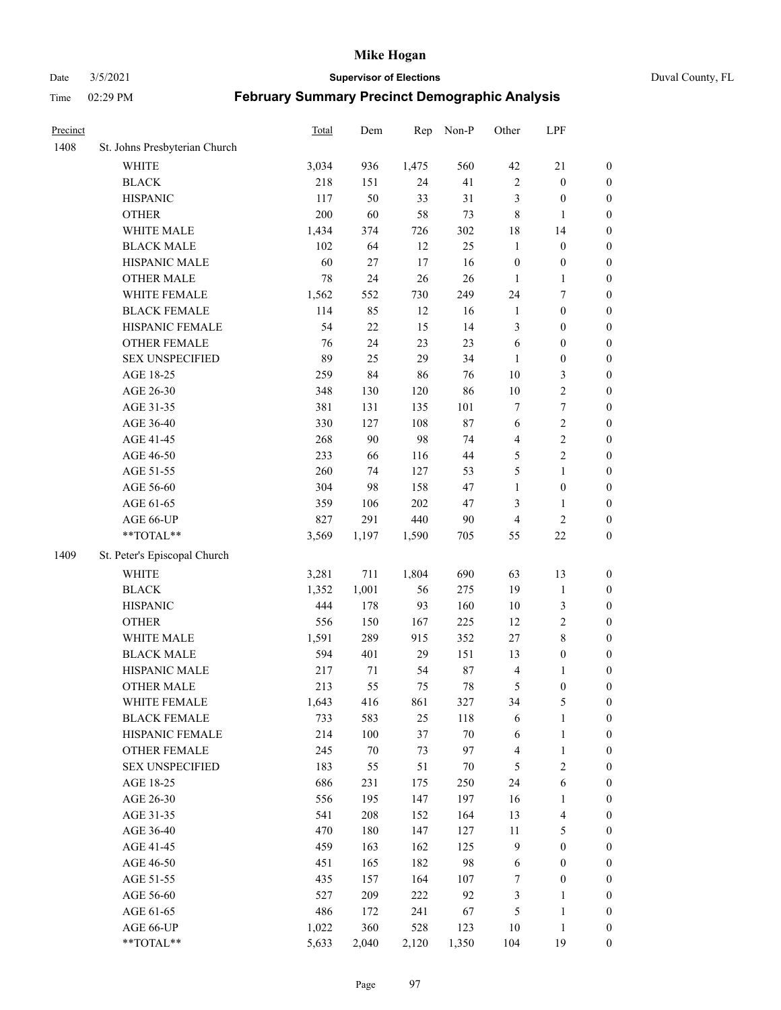Date 3/5/2021 **Supervisor of Elections** Duval County, FL

| Precinct |                               | <b>Total</b> | Dem    | Rep   | Non-P  | Other                   | LPF              |                  |
|----------|-------------------------------|--------------|--------|-------|--------|-------------------------|------------------|------------------|
| 1408     | St. Johns Presbyterian Church |              |        |       |        |                         |                  |                  |
|          | WHITE                         | 3,034        | 936    | 1,475 | 560    | 42                      | $21\,$           | 0                |
|          | <b>BLACK</b>                  | 218          | 151    | 24    | 41     | $\sqrt{2}$              | $\boldsymbol{0}$ | 0                |
|          | <b>HISPANIC</b>               | 117          | 50     | 33    | 31     | 3                       | $\boldsymbol{0}$ | $\boldsymbol{0}$ |
|          | <b>OTHER</b>                  | 200          | 60     | 58    | 73     | 8                       | $\mathbf{1}$     | $\boldsymbol{0}$ |
|          | WHITE MALE                    | 1,434        | 374    | 726   | 302    | 18                      | 14               | $\boldsymbol{0}$ |
|          | <b>BLACK MALE</b>             | 102          | 64     | 12    | 25     | $\mathbf{1}$            | $\boldsymbol{0}$ | $\boldsymbol{0}$ |
|          | HISPANIC MALE                 | 60           | 27     | 17    | 16     | $\boldsymbol{0}$        | $\boldsymbol{0}$ | $\boldsymbol{0}$ |
|          | <b>OTHER MALE</b>             | $78\,$       | 24     | 26    | 26     | $\mathbf{1}$            | $\mathbf{1}$     | $\boldsymbol{0}$ |
|          | WHITE FEMALE                  | 1,562        | 552    | 730   | 249    | 24                      | 7                | $\boldsymbol{0}$ |
|          | <b>BLACK FEMALE</b>           | 114          | 85     | 12    | 16     | $\mathbf{1}$            | $\boldsymbol{0}$ | $\boldsymbol{0}$ |
|          | HISPANIC FEMALE               | 54           | $22\,$ | 15    | 14     | 3                       | $\boldsymbol{0}$ | 0                |
|          | <b>OTHER FEMALE</b>           | 76           | 24     | 23    | 23     | 6                       | $\boldsymbol{0}$ | $\boldsymbol{0}$ |
|          | <b>SEX UNSPECIFIED</b>        | 89           | 25     | 29    | 34     | $\mathbf{1}$            | $\boldsymbol{0}$ | $\boldsymbol{0}$ |
|          | AGE 18-25                     | 259          | 84     | 86    | 76     | $10\,$                  | $\mathfrak{Z}$   | $\boldsymbol{0}$ |
|          | AGE 26-30                     | 348          | 130    | 120   | 86     | $10\,$                  | $\sqrt{2}$       | $\boldsymbol{0}$ |
|          | AGE 31-35                     | 381          | 131    | 135   | 101    | 7                       | $\boldsymbol{7}$ | $\boldsymbol{0}$ |
|          | AGE 36-40                     | 330          | 127    | 108   | 87     | 6                       | $\sqrt{2}$       | $\boldsymbol{0}$ |
|          | AGE 41-45                     | 268          | 90     | 98    | 74     | $\overline{\mathbf{4}}$ | $\sqrt{2}$       | $\boldsymbol{0}$ |
|          | AGE 46-50                     | 233          | 66     | 116   | $44\,$ | 5                       | $\overline{c}$   | $\boldsymbol{0}$ |
|          | AGE 51-55                     | 260          | 74     | 127   | 53     | 5                       | $\mathbf{1}$     | $\boldsymbol{0}$ |
|          | AGE 56-60                     | 304          | 98     | 158   | 47     | $\mathbf{1}$            | $\boldsymbol{0}$ | 0                |
|          | AGE 61-65                     | 359          | 106    | 202   | 47     | 3                       | $\mathbf{1}$     | 0                |
|          | AGE 66-UP                     | 827          | 291    | 440   | $90\,$ | 4                       | $\sqrt{2}$       | $\boldsymbol{0}$ |
|          | $**TOTAL**$                   | 3,569        | 1,197  | 1,590 | 705    | 55                      | $22\,$           | $\boldsymbol{0}$ |
| 1409     | St. Peter's Episcopal Church  |              |        |       |        |                         |                  |                  |
|          | <b>WHITE</b>                  | 3,281        | 711    | 1,804 | 690    | 63                      | 13               | $\boldsymbol{0}$ |
|          | <b>BLACK</b>                  | 1,352        | 1,001  | 56    | 275    | 19                      | $\mathbf{1}$     | $\boldsymbol{0}$ |
|          | <b>HISPANIC</b>               | 444          | 178    | 93    | 160    | $10\,$                  | $\mathfrak{Z}$   | $\boldsymbol{0}$ |
|          | <b>OTHER</b>                  | 556          | 150    | 167   | 225    | 12                      | $\sqrt{2}$       | $\boldsymbol{0}$ |
|          | WHITE MALE                    | 1,591        | 289    | 915   | 352    | 27                      | $\,$ 8 $\,$      | $\boldsymbol{0}$ |
|          | <b>BLACK MALE</b>             | 594          | 401    | 29    | 151    | 13                      | $\boldsymbol{0}$ | $\boldsymbol{0}$ |
|          | HISPANIC MALE                 | 217          | 71     | 54    | $87\,$ | 4                       | 1                | $\boldsymbol{0}$ |
|          | <b>OTHER MALE</b>             | 213          | 55     | 75    | $78\,$ | 5                       | $\boldsymbol{0}$ | $\boldsymbol{0}$ |
|          | WHITE FEMALE                  | 1,643        | 416    | 861   | 327    | 34                      | 5                | 0                |
|          | <b>BLACK FEMALE</b>           | 733          | 583    | 25    | 118    | 6                       | $\mathbf{1}$     | $\boldsymbol{0}$ |
|          | HISPANIC FEMALE               | 214          | 100    | 37    | $70\,$ | 6                       | $\mathbf{1}$     | $\boldsymbol{0}$ |
|          | OTHER FEMALE                  | 245          | $70\,$ | 73    | 97     | 4                       | $\mathbf{1}$     | $\overline{0}$   |
|          | <b>SEX UNSPECIFIED</b>        | 183          | 55     | 51    | $70\,$ | 5                       | $\mathfrak{2}$   | 0                |
|          | AGE 18-25                     | 686          | 231    | 175   | 250    | 24                      | 6                | 0                |
|          | AGE 26-30                     | 556          | 195    | 147   | 197    | 16                      | $\mathbf{1}$     | 0                |
|          | AGE 31-35                     | 541          | 208    | 152   | 164    | 13                      | $\overline{4}$   | 0                |
|          | AGE 36-40                     | 470          | 180    | 147   | 127    | $11\,$                  | $\mathfrak s$    | 0                |
|          | AGE 41-45                     | 459          | 163    | 162   | 125    | 9                       | $\boldsymbol{0}$ | 0                |
|          | AGE 46-50                     | 451          | 165    | 182   | 98     | 6                       | $\boldsymbol{0}$ | 0                |
|          | AGE 51-55                     | 435          | 157    | 164   | 107    | 7                       | $\boldsymbol{0}$ | 0                |
|          | AGE 56-60                     | 527          | 209    | 222   | 92     | 3                       | 1                | $\boldsymbol{0}$ |
|          | AGE 61-65                     | 486          | 172    | 241   | 67     | 5                       | $\mathbf{1}$     | $\boldsymbol{0}$ |
|          | AGE 66-UP                     | 1,022        | 360    | 528   | 123    | 10                      | $\mathbf{1}$     | 0                |
|          | **TOTAL**                     | 5,633        | 2,040  | 2,120 | 1,350  | 104                     | 19               | $\boldsymbol{0}$ |
|          |                               |              |        |       |        |                         |                  |                  |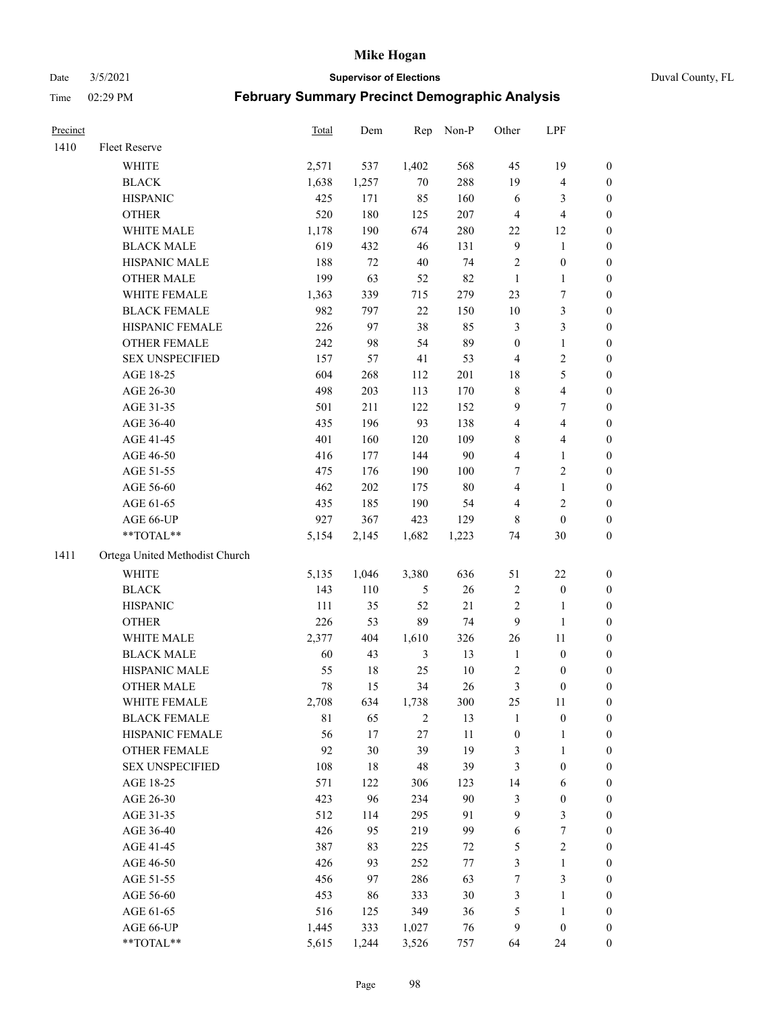Date 3/5/2021 **Supervisor of Elections** Duval County, FL

| Precinct |                                | Total | Dem    | Rep    | Non-P   | Other            | LPF              |                  |
|----------|--------------------------------|-------|--------|--------|---------|------------------|------------------|------------------|
| 1410     | Fleet Reserve                  |       |        |        |         |                  |                  |                  |
|          | <b>WHITE</b>                   | 2,571 | 537    | 1,402  | 568     | 45               | 19               | 0                |
|          | <b>BLACK</b>                   | 1,638 | 1,257  | $70\,$ | 288     | 19               | $\overline{4}$   | 0                |
|          | <b>HISPANIC</b>                | 425   | 171    | 85     | 160     | 6                | 3                | $\boldsymbol{0}$ |
|          | <b>OTHER</b>                   | 520   | 180    | 125    | 207     | $\overline{4}$   | $\overline{4}$   | $\boldsymbol{0}$ |
|          | WHITE MALE                     | 1,178 | 190    | 674    | 280     | 22               | 12               | $\boldsymbol{0}$ |
|          | <b>BLACK MALE</b>              | 619   | 432    | 46     | 131     | 9                | 1                | $\boldsymbol{0}$ |
|          | HISPANIC MALE                  | 188   | 72     | $40\,$ | 74      | 2                | $\boldsymbol{0}$ | $\boldsymbol{0}$ |
|          | <b>OTHER MALE</b>              | 199   | 63     | 52     | 82      | $\mathbf{1}$     | $\mathbf{1}$     | $\boldsymbol{0}$ |
|          | WHITE FEMALE                   | 1,363 | 339    | 715    | 279     | 23               | 7                | $\boldsymbol{0}$ |
|          | <b>BLACK FEMALE</b>            | 982   | 797    | $22\,$ | 150     | 10               | $\mathfrak{Z}$   | 0                |
|          | HISPANIC FEMALE                | 226   | 97     | 38     | 85      | 3                | $\mathfrak{Z}$   | 0                |
|          | OTHER FEMALE                   | 242   | 98     | 54     | 89      | $\boldsymbol{0}$ | $\mathbf{1}$     | 0                |
|          | <b>SEX UNSPECIFIED</b>         | 157   | 57     | 41     | 53      | 4                | $\sqrt{2}$       | $\boldsymbol{0}$ |
|          | AGE 18-25                      | 604   | 268    | 112    | 201     | 18               | 5                | $\boldsymbol{0}$ |
|          | AGE 26-30                      | 498   | 203    | 113    | 170     | 8                | $\overline{4}$   | $\boldsymbol{0}$ |
|          | AGE 31-35                      | 501   | 211    | 122    | 152     | 9                | $\boldsymbol{7}$ | $\boldsymbol{0}$ |
|          | AGE 36-40                      | 435   | 196    | 93     | 138     | 4                | $\overline{4}$   | $\boldsymbol{0}$ |
|          | AGE 41-45                      | 401   | 160    | 120    | 109     | 8                | $\overline{4}$   | $\boldsymbol{0}$ |
|          | AGE 46-50                      | 416   | 177    | 144    | 90      | 4                | $\mathbf{1}$     | $\boldsymbol{0}$ |
|          | AGE 51-55                      | 475   | 176    | 190    | 100     | 7                | $\sqrt{2}$       | 0                |
|          | AGE 56-60                      | 462   | 202    | 175    | $80\,$  | 4                | $\mathbf{1}$     | 0                |
|          | AGE 61-65                      | 435   | 185    | 190    | 54      | 4                | $\mathfrak{2}$   | 0                |
|          | AGE 66-UP                      | 927   | 367    | 423    | 129     | 8                | $\boldsymbol{0}$ | $\boldsymbol{0}$ |
|          | $**TOTAL**$                    | 5,154 | 2,145  | 1,682  | 1,223   | 74               | 30               | $\boldsymbol{0}$ |
| 1411     | Ortega United Methodist Church |       |        |        |         |                  |                  |                  |
|          | <b>WHITE</b>                   | 5,135 | 1,046  | 3,380  | 636     | 51               | $22\,$           | $\boldsymbol{0}$ |
|          | <b>BLACK</b>                   | 143   | 110    | 5      | 26      | 2                | $\boldsymbol{0}$ | $\boldsymbol{0}$ |
|          | <b>HISPANIC</b>                | 111   | 35     | 52     | 21      | 2                | $\mathbf{1}$     | $\boldsymbol{0}$ |
|          | <b>OTHER</b>                   | 226   | 53     | 89     | 74      | 9                | $\mathbf{1}$     | $\boldsymbol{0}$ |
|          | WHITE MALE                     | 2,377 | 404    | 1,610  | 326     | 26               | 11               | $\boldsymbol{0}$ |
|          | <b>BLACK MALE</b>              | 60    | 43     | 3      | 13      | $\mathbf{1}$     | $\boldsymbol{0}$ | $\boldsymbol{0}$ |
|          | HISPANIC MALE                  | 55    | $18\,$ | 25     | $10\,$  | 2                | $\boldsymbol{0}$ | 0                |
|          | <b>OTHER MALE</b>              | 78    | 15     | 34     | 26      | 3                | $\boldsymbol{0}$ | 0                |
|          | WHITE FEMALE                   | 2,708 | 634    | 1,738  | 300     | 25               | 11               | 0                |
|          | <b>BLACK FEMALE</b>            | 81    | 65     | 2      | 13      | $\mathbf{1}$     | $\boldsymbol{0}$ | 0                |
|          | HISPANIC FEMALE                | 56    | 17     | 27     | $11\,$  | $\boldsymbol{0}$ | $\mathbf{1}$     | $\boldsymbol{0}$ |
|          | OTHER FEMALE                   | 92    | 30     | 39     | 19      | 3                | $\mathbf{1}$     | $\overline{0}$   |
|          | <b>SEX UNSPECIFIED</b>         | 108   | 18     | 48     | 39      | 3                | $\boldsymbol{0}$ | 0                |
|          | AGE 18-25                      | 571   | 122    | 306    | 123     | 14               | 6                | 0                |
|          | AGE 26-30                      | 423   | 96     | 234    | 90      | 3                | $\boldsymbol{0}$ | 0                |
|          | AGE 31-35                      | 512   | 114    | 295    | 91      | 9                | $\mathfrak{Z}$   | 0                |
|          | AGE 36-40                      | 426   | 95     | 219    | 99      | 6                | $\boldsymbol{7}$ | 0                |
|          | AGE 41-45                      | 387   | 83     | 225    | 72      | 5                | $\sqrt{2}$       | 0                |
|          | AGE 46-50                      | 426   | 93     | 252    | $77 \,$ | 3                | $\mathbf{1}$     | 0                |
|          | AGE 51-55                      | 456   | 97     | 286    | 63      | 7                | 3                | 0                |
|          | AGE 56-60                      | 453   | 86     | 333    | 30      | 3                | 1                | 0                |
|          | AGE 61-65                      | 516   | 125    | 349    | 36      | 5                | $\mathbf{1}$     | 0                |
|          | AGE 66-UP                      | 1,445 | 333    | 1,027  | 76      | 9                | $\boldsymbol{0}$ | 0                |
|          | **TOTAL**                      | 5,615 | 1,244  | 3,526  | 757     | 64               | 24               | $\boldsymbol{0}$ |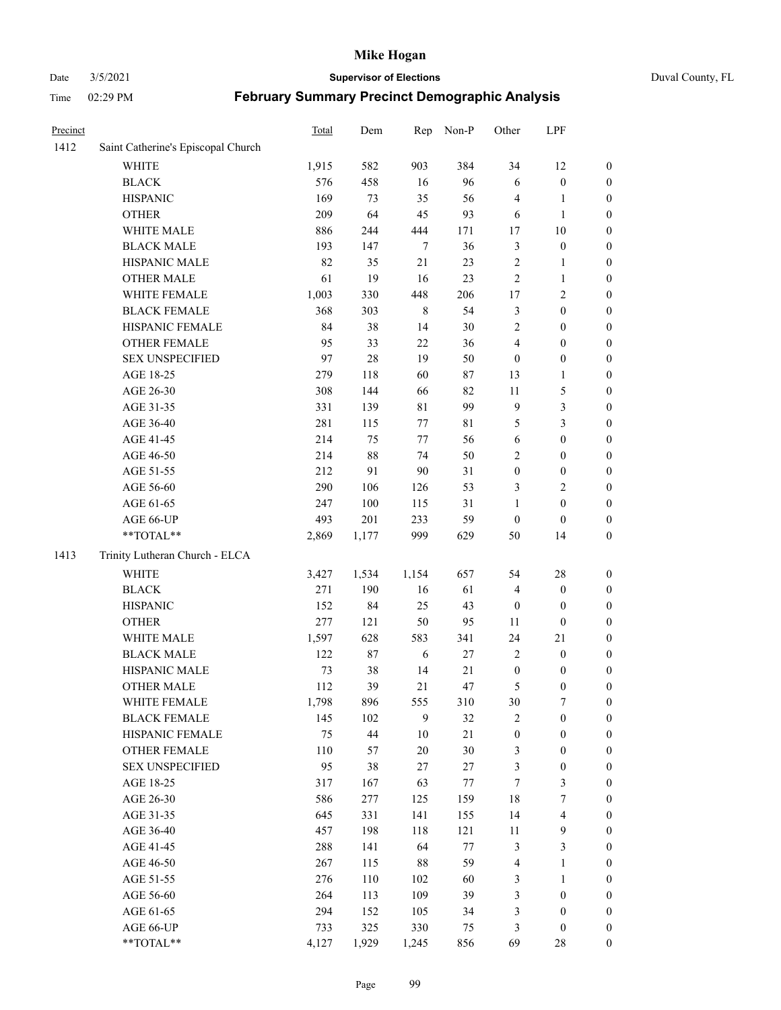#### Date 3/5/2021 **Supervisor of Elections** Duval County, FL

| Precinct |                                    | Total | Dem    | Rep         | Non-P  | Other            | LPF                     |                  |
|----------|------------------------------------|-------|--------|-------------|--------|------------------|-------------------------|------------------|
| 1412     | Saint Catherine's Episcopal Church |       |        |             |        |                  |                         |                  |
|          | <b>WHITE</b>                       | 1,915 | 582    | 903         | 384    | 34               | 12                      | 0                |
|          | <b>BLACK</b>                       | 576   | 458    | 16          | 96     | 6                | $\boldsymbol{0}$        | 0                |
|          | <b>HISPANIC</b>                    | 169   | 73     | 35          | 56     | 4                | $\mathbf{1}$            | $\boldsymbol{0}$ |
|          | <b>OTHER</b>                       | 209   | 64     | 45          | 93     | 6                | $\mathbf{1}$            | $\boldsymbol{0}$ |
|          | WHITE MALE                         | 886   | 244    | 444         | 171    | 17               | $10\,$                  | $\boldsymbol{0}$ |
|          | <b>BLACK MALE</b>                  | 193   | 147    | $\tau$      | 36     | 3                | $\boldsymbol{0}$        | $\boldsymbol{0}$ |
|          | HISPANIC MALE                      | 82    | 35     | 21          | 23     | $\overline{c}$   | $\mathbf{1}$            | $\boldsymbol{0}$ |
|          | <b>OTHER MALE</b>                  | 61    | 19     | 16          | 23     | $\mathfrak{2}$   | $\mathbf{1}$            | $\boldsymbol{0}$ |
|          | WHITE FEMALE                       | 1,003 | 330    | 448         | 206    | 17               | $\overline{2}$          | $\boldsymbol{0}$ |
|          | <b>BLACK FEMALE</b>                | 368   | 303    | $\,$ 8 $\,$ | 54     | 3                | $\boldsymbol{0}$        | 0                |
|          | HISPANIC FEMALE                    | 84    | 38     | 14          | 30     | $\mathfrak{2}$   | $\boldsymbol{0}$        | $\boldsymbol{0}$ |
|          | OTHER FEMALE                       | 95    | 33     | 22          | 36     | 4                | $\boldsymbol{0}$        | $\boldsymbol{0}$ |
|          | <b>SEX UNSPECIFIED</b>             | 97    | 28     | 19          | 50     | $\boldsymbol{0}$ | $\boldsymbol{0}$        | $\boldsymbol{0}$ |
|          | AGE 18-25                          | 279   | 118    | 60          | 87     | 13               | $\mathbf{1}$            | $\boldsymbol{0}$ |
|          | AGE 26-30                          | 308   | 144    | 66          | 82     | $11\,$           | $\mathfrak{S}$          | $\boldsymbol{0}$ |
|          | AGE 31-35                          | 331   | 139    | $8\sqrt{1}$ | 99     | 9                | $\mathfrak{Z}$          | $\boldsymbol{0}$ |
|          | AGE 36-40                          | 281   | 115    | 77          | 81     | 5                | $\mathfrak{Z}$          | $\boldsymbol{0}$ |
|          | AGE 41-45                          | 214   | 75     | 77          | 56     | $\sqrt{6}$       | $\boldsymbol{0}$        | $\boldsymbol{0}$ |
|          | AGE 46-50                          | 214   | $88\,$ | 74          | 50     | 2                | $\boldsymbol{0}$        | $\boldsymbol{0}$ |
|          | AGE 51-55                          | 212   | 91     | 90          | 31     | $\boldsymbol{0}$ | $\boldsymbol{0}$        | $\boldsymbol{0}$ |
|          | AGE 56-60                          | 290   | 106    | 126         | 53     | 3                | $\overline{2}$          | 0                |
|          | AGE 61-65                          | 247   | 100    | 115         | 31     | 1                | $\boldsymbol{0}$        | $\boldsymbol{0}$ |
|          | AGE 66-UP                          | 493   | 201    | 233         | 59     | $\boldsymbol{0}$ | $\boldsymbol{0}$        | $\boldsymbol{0}$ |
|          | **TOTAL**                          | 2,869 | 1,177  | 999         | 629    | 50               | 14                      | $\boldsymbol{0}$ |
| 1413     | Trinity Lutheran Church - ELCA     |       |        |             |        |                  |                         |                  |
|          | <b>WHITE</b>                       | 3,427 | 1,534  | 1,154       | 657    | 54               | $28\,$                  | $\boldsymbol{0}$ |
|          | <b>BLACK</b>                       | 271   | 190    | 16          | 61     | 4                | $\boldsymbol{0}$        | $\boldsymbol{0}$ |
|          | <b>HISPANIC</b>                    | 152   | 84     | 25          | 43     | $\boldsymbol{0}$ | $\boldsymbol{0}$        | $\boldsymbol{0}$ |
|          | <b>OTHER</b>                       | 277   | 121    | 50          | 95     | 11               | $\boldsymbol{0}$        | $\boldsymbol{0}$ |
|          | WHITE MALE                         | 1,597 | 628    | 583         | 341    | 24               | 21                      | $\boldsymbol{0}$ |
|          | <b>BLACK MALE</b>                  | 122   | $87\,$ | 6           | 27     | $\mathbf{2}$     | $\boldsymbol{0}$        | $\boldsymbol{0}$ |
|          | HISPANIC MALE                      | 73    | 38     | 14          | 21     | $\boldsymbol{0}$ | $\boldsymbol{0}$        | 0                |
|          | <b>OTHER MALE</b>                  | 112   | 39     | 21          | 47     | 5                | $\boldsymbol{0}$        | $\boldsymbol{0}$ |
|          | WHITE FEMALE                       | 1,798 | 896    | 555         | 310    | 30               | 7                       | 0                |
|          | <b>BLACK FEMALE</b>                | 145   | 102    | 9           | 32     | 2                | $\boldsymbol{0}$        | $\boldsymbol{0}$ |
|          | HISPANIC FEMALE                    | 75    | 44     | 10          | 21     | $\boldsymbol{0}$ | $\boldsymbol{0}$        | $\overline{0}$   |
|          | OTHER FEMALE                       | 110   | 57     | 20          | 30     | 3                | $\boldsymbol{0}$        | $\overline{0}$   |
|          | <b>SEX UNSPECIFIED</b>             | 95    | 38     | $27\,$      | 27     | 3                | $\boldsymbol{0}$        | 0                |
|          | AGE 18-25                          | 317   | 167    | 63          | 77     | 7                | $\mathfrak{Z}$          | $\theta$         |
|          | AGE 26-30                          | 586   | 277    | 125         | 159    | 18               | $\boldsymbol{7}$        | 0                |
|          | AGE 31-35                          | 645   | 331    | 141         | 155    | 14               | $\overline{\mathbf{4}}$ | 0                |
|          | AGE 36-40                          | 457   | 198    | 118         | 121    | 11               | $\mathbf{9}$            | 0                |
|          | AGE 41-45                          | 288   | 141    | 64          | $77\,$ | 3                | $\mathfrak{Z}$          | 0                |
|          | AGE 46-50                          | 267   | 115    | 88          | 59     | 4                | $\mathbf{1}$            | 0                |
|          | AGE 51-55                          | 276   | 110    | 102         | 60     | 3                | $\mathbf{1}$            | 0                |
|          | AGE 56-60                          | 264   | 113    | 109         | 39     | 3                | $\boldsymbol{0}$        | $\overline{0}$   |
|          | AGE 61-65                          | 294   | 152    | 105         | 34     | 3                | $\boldsymbol{0}$        | $\overline{0}$   |
|          | AGE 66-UP                          | 733   | 325    | 330         | 75     | 3                | $\boldsymbol{0}$        | $\boldsymbol{0}$ |
|          | **TOTAL**                          | 4,127 | 1,929  | 1,245       | 856    | 69               | 28                      | $\boldsymbol{0}$ |
|          |                                    |       |        |             |        |                  |                         |                  |